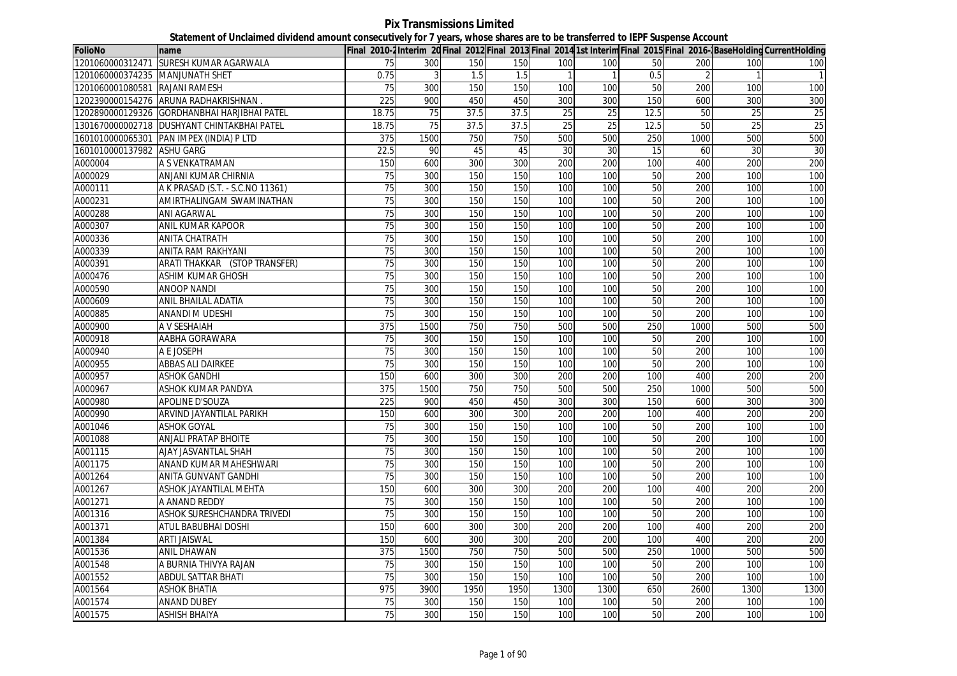**Pix Transmissions Limited Statement of Unclaimed dividend amount consecutively for 7 years, whose shares are to be transferred to IEPF Suspense Account**

| <b>FolioNo</b>                  | name                                         |                 |      |      |      |      |      |      |      |      | Final 2010-2Interim 20 Final 2012 Final 2013 Final 2014 1st Interim Final 2015 Final 2016-BaseHolding CurrentHolding |
|---------------------------------|----------------------------------------------|-----------------|------|------|------|------|------|------|------|------|----------------------------------------------------------------------------------------------------------------------|
|                                 | 1201060000312471 SURESH KUMAR AGARWALA       | 75              | 300  | 150  | 150  | 100  | 100  | 50   | 200  | 100  | 100                                                                                                                  |
| 1201060000374235 MANJUNATH SHET |                                              | 0.75            | 3    | 1.5  | 1.5  |      |      | 0.5  |      |      |                                                                                                                      |
| 1201060001080581 RAJANI RAMESH  |                                              | 75              | 300  | 150  | 150  | 100  | 100  | 50   | 200  | 100  | 100                                                                                                                  |
|                                 | 1202390000154276 ARUNA RADHAKRISHNAN.        | 225             | 900  | 450  | 450  | 300  | 300  | 150  | 600  | 300  | 300                                                                                                                  |
|                                 | 1202890000129326 GORDHANBHAI HARJIBHAI PATEL | 18.75           | 75   | 37.5 | 37.5 | 25   | 25   | 12.5 | 50   | 25   | 25                                                                                                                   |
|                                 | 1301670000002718 DUSHYANT CHINTAKBHAI PATEL  | 18.75           | 75   | 37.5 | 37.5 | 25   | 25   | 12.5 | 50   | 25   | 25                                                                                                                   |
|                                 | 1601010000065301 PAN IMPEX (INDIA) P LTD     | 375             | 1500 | 750  | 750  | 500  | 500  | 250  | 1000 | 500  | 500                                                                                                                  |
| 1601010000137982 ASHU GARG      |                                              | 22.5            | 90   | 45   | 45   | 30   | 30   | 15   | 60   | 30   | 30                                                                                                                   |
| A000004                         | A S VENKATRAMAN                              | 150             | 600  | 300  | 300  | 200  | 200  | 100  | 400  | 200  | 200                                                                                                                  |
| A000029                         | ANJANI KUMAR CHIRNIA                         | 75              | 300  | 150  | 150  | 100  | 100  | 50   | 200  | 100  | 100                                                                                                                  |
| A000111                         | A K PRASAD (S.T. - S.C.NO 11361)             | 75              | 300  | 150  | 150  | 100  | 100  | 50   | 200  | 100  | 100                                                                                                                  |
| A000231                         | AMIRTHALINGAM SWAMINATHAN                    | 75              | 300  | 150  | 150  | 100  | 100  | 50   | 200  | 100  | 100                                                                                                                  |
| A000288                         | <b>ANI AGARWAL</b>                           | 75              | 300  | 150  | 150  | 100  | 100  | 50   | 200  | 100  | 100                                                                                                                  |
| A000307                         | ANIL KUMAR KAPOOR                            | 75              | 300  | 150  | 150  | 100  | 100  | 50   | 200  | 100  | 100                                                                                                                  |
| A000336                         | <b>ANITA CHATRATH</b>                        | 75              | 300  | 150  | 150  | 100  | 100  | 50   | 200  | 100  | 100                                                                                                                  |
| A000339                         | <b>ANITA RAM RAKHYANI</b>                    | $\overline{75}$ | 300  | 150  | 150  | 100  | 100  | 50   | 200  | 100  | 100                                                                                                                  |
| A000391                         | ARATI THAKKAR (STOP TRANSFER)                | 75              | 300  | 150  | 150  | 100  | 100  | 50   | 200  | 100  | 100                                                                                                                  |
| A000476                         | <b>ASHIM KUMAR GHOSH</b>                     | 75              | 300  | 150  | 150  | 100  | 100  | 50   | 200  | 100  | 100                                                                                                                  |
| A000590                         | <b>ANOOP NANDI</b>                           | 75              | 300  | 150  | 150  | 100  | 100  | 50   | 200  | 100  | 100                                                                                                                  |
| A000609                         | ANIL BHAILAL ADATIA                          | 75              | 300  | 150  | 150  | 100  | 100  | 50   | 200  | 100  | 100                                                                                                                  |
| A000885                         | <b>ANANDI M UDESHI</b>                       | 75              | 300  | 150  | 150  | 100  | 100  | 50   | 200  | 100  | 100                                                                                                                  |
| A000900                         | A V SESHAIAH                                 | 375             | 1500 | 750  | 750  | 500  | 500  | 250  | 1000 | 500  | 500                                                                                                                  |
| A000918                         | AABHA GORAWARA                               | 75              | 300  | 150  | 150  | 100  | 100  | 50   | 200  | 100  | 100                                                                                                                  |
| A000940                         | A E JOSEPH                                   | 75              | 300  | 150  | 150  | 100  | 100  | 50   | 200  | 100  | 100                                                                                                                  |
| A000955                         | <b>ABBAS ALI DAIRKEE</b>                     | $\overline{75}$ | 300  | 150  | 150  | 100  | 100  | 50   | 200  | 100  | 100                                                                                                                  |
| A000957                         | <b>ASHOK GANDHI</b>                          | 150             | 600  | 300  | 300  | 200  | 200  | 100  | 400  | 200  | 200                                                                                                                  |
| A000967                         | ASHOK KUMAR PANDYA                           | 375             | 1500 | 750  | 750  | 500  | 500  | 250  | 1000 | 500  | 500                                                                                                                  |
| A000980                         | <b>APOLINE D'SOUZA</b>                       | 225             | 900  | 450  | 450  | 300  | 300  | 150  | 600  | 300  | 300                                                                                                                  |
| A000990                         | ARVIND JAYANTILAL PARIKH                     | 150             | 600  | 300  | 300  | 200  | 200  | 100  | 400  | 200  | 200                                                                                                                  |
| A001046                         | <b>ASHOK GOYAL</b>                           | 75              | 300  | 150  | 150  | 100  | 100  | 50   | 200  | 100  | 100                                                                                                                  |
| A001088                         | <b>ANJALI PRATAP BHOITE</b>                  | 75              | 300  | 150  | 150  | 100  | 100  | 50   | 200  | 100  | 100                                                                                                                  |
| A001115                         | AJAY JASVANTLAL SHAH                         | 75              | 300  | 150  | 150  | 100  | 100  | 50   | 200  | 100  | 100                                                                                                                  |
| A001175                         | ANAND KUMAR MAHESHWARI                       | 75              | 300  | 150  | 150  | 100  | 100  | 50   | 200  | 100  | 100                                                                                                                  |
| A001264                         | ANITA GUNVANT GANDHI                         | 75              | 300  | 150  | 150  | 100  | 100  | 50   | 200  | 100  | 100                                                                                                                  |
| A001267                         | ASHOK JAYANTILAL MEHTA                       | 150             | 600  | 300  | 300  | 200  | 200  | 100  | 400  | 200  | 200                                                                                                                  |
| A001271                         | A ANAND REDDY                                | 75              | 300  | 150  | 150  | 100  | 100  | 50   | 200  | 100  | 100                                                                                                                  |
| A001316                         | ASHOK SURESHCHANDRA TRIVEDI                  | 75              | 300  | 150  | 150  | 100  | 100  | 50   | 200  | 100  | 100                                                                                                                  |
| A001371                         | ATUL BABUBHAI DOSHI                          | 150             | 600  | 300  | 300  | 200  | 200  | 100  | 400  | 200  | 200                                                                                                                  |
| A001384                         | <b>ARTI JAISWAL</b>                          | 150             | 600  | 300  | 300  | 200  | 200  | 100  | 400  | 200  | 200                                                                                                                  |
| A001536                         | <b>ANIL DHAWAN</b>                           | 375             | 1500 | 750  | 750  | 500  | 500  | 250  | 1000 | 500  | 500                                                                                                                  |
| A001548                         | A BURNIA THIVYA RAJAN                        | 75              | 300  | 150  | 150  | 100  | 100  | 50   | 200  | 100  | 100                                                                                                                  |
| A001552                         | <b>ABDUL SATTAR BHATI</b>                    | 75              | 300  | 150  | 150  | 100  | 100  | 50   | 200  | 100  | 100                                                                                                                  |
| A001564                         | <b>ASHOK BHATIA</b>                          | 975             | 3900 | 1950 | 1950 | 1300 | 1300 | 650  | 2600 | 1300 | 1300                                                                                                                 |
| A001574                         | <b>ANAND DUBEY</b>                           | 75              | 300  | 150  | 150  | 100  | 100  | 50   | 200  | 100  | 100                                                                                                                  |
| A001575                         | <b>ASHISH BHAIYA</b>                         | 75              | 300  | 150  | 150  | 100  | 100  | 50   | 200  | 100  | 100                                                                                                                  |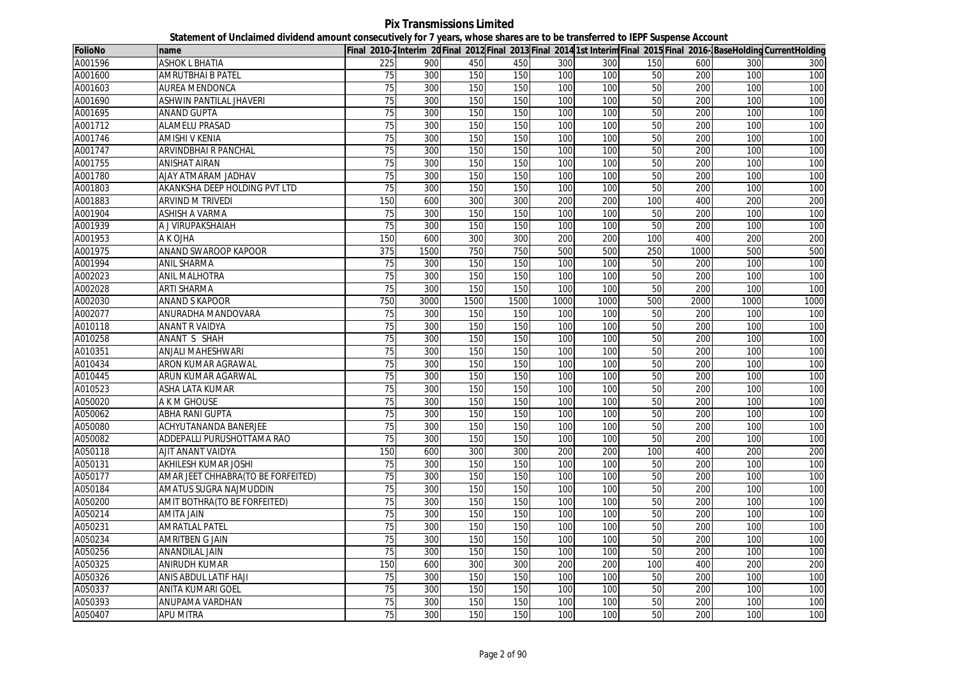**Pix Transmissions Limited Statement of Unclaimed dividend amount consecutively for 7 years, whose shares are to be transferred to IEPF Suspense Account**

| <b>FolioNo</b> | name                               |                 |      |      |      |      |      |     |      |      | Final 2010-2Interim 20Final 2012 Final 2013 Final 2014 1st Interim Final 2015 Final 2016-BaseHolding CurrentHolding |
|----------------|------------------------------------|-----------------|------|------|------|------|------|-----|------|------|---------------------------------------------------------------------------------------------------------------------|
| A001596        | ASHOK L BHATIA                     | 225             | 900  | 450  | 450  | 300  | 300  | 150 | 600  | 300  | 300                                                                                                                 |
| A001600        | <b>AMRUTBHAI B PATEL</b>           | 75              | 300  | 150  | 150  | 100  | 100  | 50  | 200  | 100  | 100                                                                                                                 |
| A001603        | <b>AUREA MENDONCA</b>              | $\overline{75}$ | 300  | 150  | 150  | 100  | 100  | 50  | 200  | 100  | 100                                                                                                                 |
| A001690        | ASHWIN PANTILAL JHAVERI            | 75              | 300  | 150  | 150  | 100  | 100  | 50  | 200  | 100  | 100                                                                                                                 |
| A001695        | <b>ANAND GUPTA</b>                 | 75              | 300  | 150  | 150  | 100  | 100  | 50  | 200  | 100  | 100                                                                                                                 |
| A001712        | <b>ALAMELU PRASAD</b>              | 75              | 300  | 150  | 150  | 100  | 100  | 50  | 200  | 100  | 100                                                                                                                 |
| A001746        | <b>AMISHI V KENIA</b>              | 75              | 300  | 150  | 150  | 100  | 100  | 50  | 200  | 100  | 100                                                                                                                 |
| A001747        | ARVINDBHAI R PANCHAL               | 75              | 300  | 150  | 150  | 100  | 100  | 50  | 200  | 100  | 100                                                                                                                 |
| A001755        | <b>ANISHAT AIRAN</b>               | 75              | 300  | 150  | 150  | 100  | 100  | 50  | 200  | 100  | 100                                                                                                                 |
| A001780        | AJAY ATMARAM JADHAV                | 75              | 300  | 150  | 150  | 100  | 100  | 50  | 200  | 100  | 100                                                                                                                 |
| A001803        | AKANKSHA DEEP HOLDING PVT LTD      | 75              | 300  | 150  | 150  | 100  | 100  | 50  | 200  | 100  | 100                                                                                                                 |
| A001883        | <b>ARVIND M TRIVEDI</b>            | 150             | 600  | 300  | 300  | 200  | 200  | 100 | 400  | 200  | 200                                                                                                                 |
| A001904        | <b>ASHISH A VARMA</b>              | 75              | 300  | 150  | 150  | 100  | 100  | 50  | 200  | 100  | 100                                                                                                                 |
| A001939        | A J VIRUPAKSHAIAH                  | $\overline{75}$ | 300  | 150  | 150  | 100  | 100  | 50  | 200  | 100  | 100                                                                                                                 |
| A001953        | A K OJHA                           | 150             | 600  | 300  | 300  | 200  | 200  | 100 | 400  | 200  | 200                                                                                                                 |
| A001975        | <b>ANAND SWAROOP KAPOOR</b>        | 375             | 1500 | 750  | 750  | 500  | 500  | 250 | 1000 | 500  | 500                                                                                                                 |
| A001994        | ANIL SHARMA                        | 75              | 300  | 150  | 150  | 100  | 100  | 50  | 200  | 100  | 100                                                                                                                 |
| A002023        | ANIL MALHOTRA                      | 75              | 300  | 150  | 150  | 100  | 100  | 50  | 200  | 100  | 100                                                                                                                 |
| A002028        | <b>ARTI SHARMA</b>                 | 75              | 300  | 150  | 150  | 100  | 100  | 50  | 200  | 100  | 100                                                                                                                 |
| A002030        | <b>ANAND S KAPOOR</b>              | 750             | 3000 | 1500 | 1500 | 1000 | 1000 | 500 | 2000 | 1000 | 1000                                                                                                                |
| A002077        | ANURADHA MANDOVARA                 | 75              | 300  | 150  | 150  | 100  | 100  | 50  | 200  | 100  | 100                                                                                                                 |
| A010118        | ANANT R VAIDYA                     | 75              | 300  | 150  | 150  | 100  | 100  | 50  | 200  | 100  | 100                                                                                                                 |
| A010258        | ANANT S SHAH                       | 75              | 300  | 150  | 150  | 100  | 100  | 50  | 200  | 100  | 100                                                                                                                 |
| A010351        | ANJALI MAHESHWARI                  | 75              | 300  | 150  | 150  | 100  | 100  | 50  | 200  | 100  | 100                                                                                                                 |
| A010434        | ARON KUMAR AGRAWAL                 | 75              | 300  | 150  | 150  | 100  | 100  | 50  | 200  | 100  | 100                                                                                                                 |
| A010445        | ARUN KUMAR AGARWAL                 | 75              | 300  | 150  | 150  | 100  | 100  | 50  | 200  | 100  | 100                                                                                                                 |
| A010523        | ASHA LATA KUMAR                    | $\overline{75}$ | 300  | 150  | 150  | 100  | 100  | 50  | 200  | 100  | 100                                                                                                                 |
| A050020        | A K M GHOUSE                       | 75              | 300  | 150  | 150  | 100  | 100  | 50  | 200  | 100  | 100                                                                                                                 |
| A050062        | ABHA RANI GUPTA                    | 75              | 300  | 150  | 150  | 100  | 100  | 50  | 200  | 100  | 100                                                                                                                 |
| A050080        | <b>ACHYUTANANDA BANERJEE</b>       | 75              | 300  | 150  | 150  | 100  | 100  | 50  | 200  | 100  | 100                                                                                                                 |
| A050082        | ADDEPALLI PURUSHOTTAMA RAO         | 75              | 300  | 150  | 150  | 100  | 100  | 50  | 200  | 100  | 100                                                                                                                 |
| A050118        | AJIT ANANT VAIDYA                  | 150             | 600  | 300  | 300  | 200  | 200  | 100 | 400  | 200  | 200                                                                                                                 |
| A050131        | AKHILESH KUMAR JOSHI               | 75              | 300  | 150  | 150  | 100  | 100  | 50  | 200  | 100  | 100                                                                                                                 |
| A050177        | AMAR JEET CHHABRA(TO BE FORFEITED) | 75              | 300  | 150  | 150  | 100  | 100  | 50  | 200  | 100  | 100                                                                                                                 |
| A050184        | AMATUS SUGRA NAJMUDDIN             | 75              | 300  | 150  | 150  | 100  | 100  | 50  | 200  | 100  | 100                                                                                                                 |
| A050200        | AMIT BOTHRA(TO BE FORFEITED)       | 75              | 300  | 150  | 150  | 100  | 100  | 50  | 200  | 100  | 100                                                                                                                 |
| A050214        | <b>AMITA JAIN</b>                  | 75              | 300  | 150  | 150  | 100  | 100  | 50  | 200  | 100  | 100                                                                                                                 |
| A050231        | <b>AMRATLAL PATEL</b>              | 75              | 300  | 150  | 150  | 100  | 100  | 50  | 200  | 100  | 100                                                                                                                 |
| A050234        | AMRITBEN G JAIN                    | $\overline{75}$ | 300  | 150  | 150  | 100  | 100  | 50  | 200  | 100  | 100                                                                                                                 |
| A050256        | ANANDILAL JAIN                     | 75              | 300  | 150  | 150  | 100  | 100  | 50  | 200  | 100  | 100                                                                                                                 |
| A050325        | ANIRUDH KUMAR                      | 150             | 600  | 300  | 300  | 200  | 200  | 100 | 400  | 200  | 200                                                                                                                 |
| A050326        | ANIS ABDUL LATIF HAJI              | 75              | 300  | 150  | 150  | 100  | 100  | 50  | 200  | 100  | 100                                                                                                                 |
| A050337        | <b>ANITA KUMARI GOEL</b>           | $\overline{75}$ | 300  | 150  | 150  | 100  | 100  | 50  | 200  | 100  | 100                                                                                                                 |
| A050393        | ANUPAMA VARDHAN                    | 75              | 300  | 150  | 150  | 100  | 100  | 50  | 200  | 100  | 100                                                                                                                 |
| A050407        | <b>APU MITRA</b>                   | 75              | 300  | 150  | 150  | 100  | 100  | 50  | 200  | 100  | 100                                                                                                                 |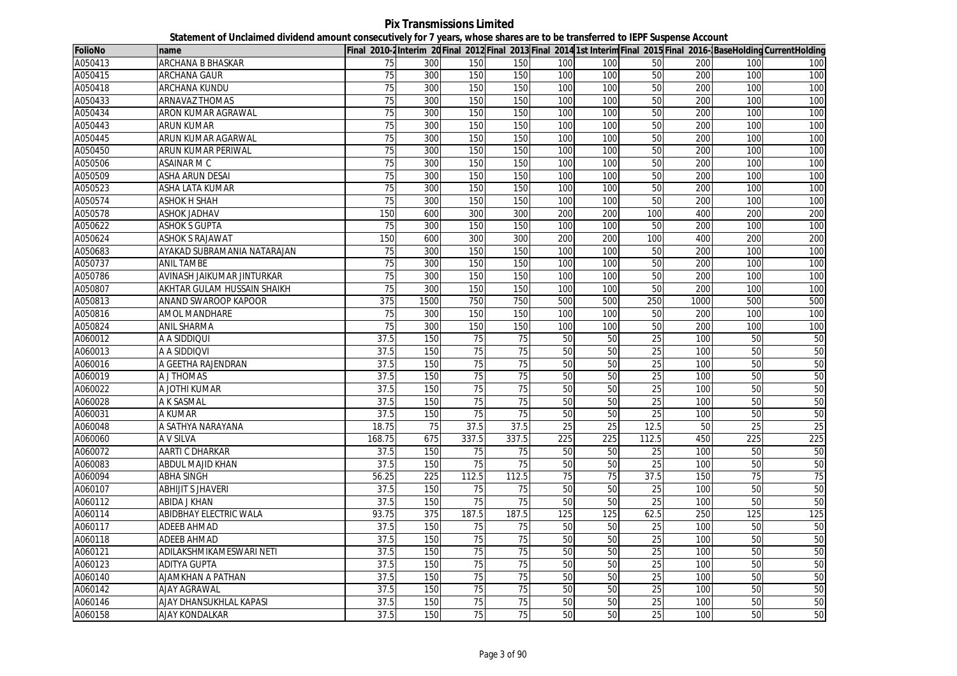**Pix Transmissions Limited Statement of Unclaimed dividend amount consecutively for 7 years, whose shares are to be transferred to IEPF Suspense Account**

| <b>FolioNo</b> | name                        |                 |      |                 |                 |     |     |                 |      |     | Final 2010-2 Interim 20 Final 2012 Final 2013 Final 2014 1st Interim Final 2015 Final 2016- BaseHolding CurrentHolding |
|----------------|-----------------------------|-----------------|------|-----------------|-----------------|-----|-----|-----------------|------|-----|------------------------------------------------------------------------------------------------------------------------|
| A050413        | ARCHANA B BHASKAR           | 75              | 300  | 150             | 150             | 100 | 100 | 50              | 200  | 100 | 100                                                                                                                    |
| A050415        | ARCHANA GAUR                | 75              | 300  | 150             | 150             | 100 | 100 | 50              | 200  | 100 | 100                                                                                                                    |
| A050418        | <b>ARCHANA KUNDU</b>        | 75              | 300  | 150             | 150             | 100 | 100 | 50              | 200  | 100 | 100                                                                                                                    |
| A050433        | <b>ARNAVAZ THOMAS</b>       | 75              | 300  | 150             | 150             | 100 | 100 | 50              | 200  | 100 | 100                                                                                                                    |
| A050434        | ARON KUMAR AGRAWAL          | 75              | 300  | 150             | 150             | 100 | 100 | 50              | 200  | 100 | 100                                                                                                                    |
| A050443        | <b>ARUN KUMAR</b>           | 75              | 300  | 150             | 150             | 100 | 100 | 50              | 200  | 100 | 100                                                                                                                    |
| A050445        | ARUN KUMAR AGARWAL          | 75              | 300  | 150             | 150             | 100 | 100 | 50              | 200  | 100 | 100                                                                                                                    |
| A050450        | ARUN KUMAR PERIWAL          | 75              | 300  | 150             | 150             | 100 | 100 | 50              | 200  | 100 | 100                                                                                                                    |
| A050506        | ASAINAR M C                 | 75              | 300  | 150             | 150             | 100 | 100 | 50              | 200  | 100 | 100                                                                                                                    |
| A050509        | ASHA ARUN DESAI             | 75              | 300  | 150             | 150             | 100 | 100 | 50              | 200  | 100 | 100                                                                                                                    |
| A050523        | ASHA LATA KUMAR             | $\overline{75}$ | 300  | 150             | 150             | 100 | 100 | 50              | 200  | 100 | 100                                                                                                                    |
| A050574        | <b>ASHOK H SHAH</b>         | 75              | 300  | 150             | 150             | 100 | 100 | 50              | 200  | 100 | 100                                                                                                                    |
| A050578        | <b>ASHOK JADHAV</b>         | 150             | 600  | 300             | 300             | 200 | 200 | 100             | 400  | 200 | 200                                                                                                                    |
| A050622        | <b>ASHOK S GUPTA</b>        | 75              | 300  | 150             | 150             | 100 | 100 | 50              | 200  | 100 | 100                                                                                                                    |
| A050624        | <b>ASHOK S RAJAWAT</b>      | 150             | 600  | 300             | 300             | 200 | 200 | 100             | 400  | 200 | 200                                                                                                                    |
| A050683        | AYAKAD SUBRAMANIA NATARAJAN | 75              | 300  | 150             | 150             | 100 | 100 | 50              | 200  | 100 | 100                                                                                                                    |
| A050737        | ANIL TAMBE                  | 75              | 300  | 150             | 150             | 100 | 100 | 50              | 200  | 100 | 100                                                                                                                    |
| A050786        | AVINASH JAIKUMAR JINTURKAR  | 75              | 300  | 150             | 150             | 100 | 100 | 50              | 200  | 100 | 100                                                                                                                    |
| A050807        | AKHTAR GULAM HUSSAIN SHAIKH | 75              | 300  | 150             | 150             | 100 | 100 | 50              | 200  | 100 | 100                                                                                                                    |
| A050813        | ANAND SWAROOP KAPOOR        | 375             | 1500 | 750             | 750             | 500 | 500 | 250             | 1000 | 500 | 500                                                                                                                    |
| A050816        | AMOL MANDHARE               | 75              | 300  | 150             | 150             | 100 | 100 | 50              | 200  | 100 | 100                                                                                                                    |
| A050824        | ANIL SHARMA                 | 75              | 300  | 150             | 150             | 100 | 100 | 50              | 200  | 100 | 100                                                                                                                    |
| A060012        | A A SIDDIQUI                | 37.5            | 150  | $\overline{75}$ | $\overline{75}$ | 50  | 50  | $\overline{25}$ | 100  | 50  | 50                                                                                                                     |
| A060013        | A A SIDDIQVI                | 37.5            | 150  | 75              | 75              | 50  | 50  | 25              | 100  | 50  | 50                                                                                                                     |
| A060016        | A GEETHA RAJENDRAN          | 37.5            | 150  | 75              | 75              | 50  | 50  | 25              | 100  | 50  | 50                                                                                                                     |
| A060019        | A J THOMAS                  | 37.5            | 150  | 75              | $\overline{75}$ | 50  | 50  | 25              | 100  | 50  | 50                                                                                                                     |
| A060022        | A JOTHI KUMAR               | 37.5            | 150  | 75              | 75              | 50  | 50  | $\overline{25}$ | 100  | 50  | 50                                                                                                                     |
| A060028        | A K SASMAL                  | 37.5            | 150  | 75              | 75              | 50  | 50  | 25              | 100  | 50  | 50                                                                                                                     |
| A060031        | A KUMAR                     | 37.5            | 150  | 75              | 75              | 50  | 50  | 25              | 100  | 50  | 50                                                                                                                     |
| A060048        | A SATHYA NARAYANA           | 18.75           | 75   | 37.5            | 37.5            | 25  | 25  | 12.5            | 50   | 25  | 25                                                                                                                     |
| A060060        | A V SILVA                   | 168.75          | 675  | 337.5           | 337.5           | 225 | 225 | 112.5           | 450  | 225 | 225                                                                                                                    |
| A060072        | <b>AARTI C DHARKAR</b>      | 37.5            | 150  | 75              | $\overline{75}$ | 50  | 50  | 25              | 100  | 50  | 50                                                                                                                     |
| A060083        | ABDUL MAJID KHAN            | 37.5            | 150  | 75              | $\overline{75}$ | 50  | 50  | 25              | 100  | 50  | 50                                                                                                                     |
| A060094        | ABHA SINGH                  | 56.25           | 225  | 112.5           | 112.5           | 75  | 75  | 37.5            | 150  | 75  | 75                                                                                                                     |
| A060107        | <b>ABHIJIT S JHAVERI</b>    | 37.5            | 150  | 75              | 75              | 50  | 50  | 25              | 100  | 50  | 50                                                                                                                     |
| A060112        | ABIDA J KHAN                | 37.5            | 150  | 75              | 75              | 50  | 50  | 25              | 100  | 50  | 50                                                                                                                     |
| A060114        | ABIDBHAY ELECTRIC WALA      | 93.75           | 375  | 187.5           | 187.5           | 125 | 125 | 62.5            | 250  | 125 | 125                                                                                                                    |
| A060117        | <b>ADEEB AHMAD</b>          | 37.5            | 150  | 75              | 75              | 50  | 50  | 25              | 100  | 50  | 50                                                                                                                     |
| A060118        | <b>ADEEB AHMAD</b>          | 37.5            | 150  | $\overline{75}$ | 75              | 50  | 50  | 25              | 100  | 50  | 50                                                                                                                     |
| A060121        | ADILAKSHMIKAMESWARI NETI    | 37.5            | 150  | 75              | $\overline{75}$ | 50  | 50  | 25              | 100  | 50  | 50                                                                                                                     |
| A060123        | <b>ADITYA GUPTA</b>         | 37.5            | 150  | 75              | $\overline{75}$ | 50  | 50  | $\overline{25}$ | 100  | 50  | 50                                                                                                                     |
| A060140        | <b>AJAMKHAN A PATHAN</b>    | 37.5            | 150  | 75              | $\overline{75}$ | 50  | 50  | $\overline{25}$ | 100  | 50  | 50                                                                                                                     |
| A060142        | <b>AJAY AGRAWAL</b>         | 37.5            | 150  | 75              | 75              | 50  | 50  | 25              | 100  | 50  | 50                                                                                                                     |
| A060146        | AJAY DHANSUKHLAL KAPASI     | 37.5            | 150  | 75              | 75              | 50  | 50  | 25              | 100  | 50  | 50                                                                                                                     |
| A060158        | AJAY KONDALKAR              | 37.5            | 150  | 75              | 75              | 50  | 50  | 25              | 100  | 50  | 50                                                                                                                     |
|                |                             |                 |      |                 |                 |     |     |                 |      |     |                                                                                                                        |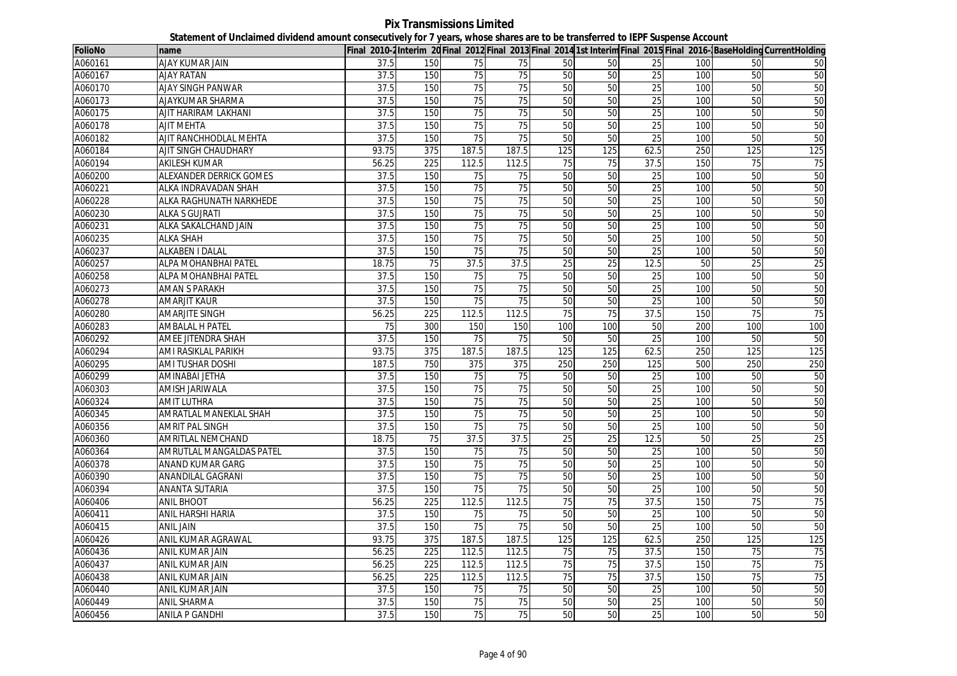**Pix Transmissions Limited Statement of Unclaimed dividend amount consecutively for 7 years, whose shares are to be transferred to IEPF Suspense Account**

| <b>FolioNo</b> | name                       |                 |                  |                 |                 |                 |                 |                 |     |                 | Final 2010-2 Interim 20 Final 2012 Final 2013 Final 2014 1st Interim Final 2015 Final 2016- BaseHolding CurrentHolding |
|----------------|----------------------------|-----------------|------------------|-----------------|-----------------|-----------------|-----------------|-----------------|-----|-----------------|------------------------------------------------------------------------------------------------------------------------|
| A060161        | AJAY KUMAR JAIN            | 37.5            | 150              | 75              | 75              | 50              | 50              | 25              | 100 | 50              | 50                                                                                                                     |
| A060167        | <b>AJAY RATAN</b>          | 37.5            | 150              | 75              | 75              | 50              | 50              | 25              | 100 | 50              | 50                                                                                                                     |
| A060170        | <b>AJAY SINGH PANWAR</b>   | 37.5            | 150              | 75              | $\overline{75}$ | 50              | 50              | 25              | 100 | 50              | 50                                                                                                                     |
| A060173        | AJAYKUMAR SHARMA           | 37.5            | 150              | 75              | 75              | 50              | 50              | 25              | 100 | 50              | 50                                                                                                                     |
| A060175        | AJIT HARIRAM LAKHANI       | 37.5            | 150              | 75              | 75              | 50              | 50              | 25              | 100 | 50              | 50                                                                                                                     |
| A060178        | AJIT MEHTA                 | 37.5            | 150              | 75              | $\overline{75}$ | 50              | 50              | 25              | 100 | 50              | 50                                                                                                                     |
| A060182        | AJIT RANCHHODLAL MEHTA     | 37.5            | 150              | 75              | 75              | 50              | 50              | 25              | 100 | 50              | 50                                                                                                                     |
| A060184        | AJIT SINGH CHAUDHARY       | 93.75           | 375              | 187.5           | 187.5           | 125             | 125             | 62.5            | 250 | 125             | 125                                                                                                                    |
| A060194        | <b>AKILESH KUMAR</b>       | 56.25           | 225              | 112.5           | 112.5           | $\overline{75}$ | $\overline{75}$ | 37.5            | 150 | 75              | 75                                                                                                                     |
| A060200        | ALEXANDER DERRICK GOMES    | 37.5            | 150              | 75              | 75              | 50              | 50              | $\overline{25}$ | 100 | 50              | 50                                                                                                                     |
| A060221        | ALKA INDRAVADAN SHAH       | 37.5            | 150              | 75              | 75              | 50              | 50              | 25              | 100 | 50              | 50                                                                                                                     |
| A060228        | ALKA RAGHUNATH NARKHEDE    | 37.5            | 150              | 75              | 75              | 50              | 50              | 25              | 100 | 50              | 50                                                                                                                     |
| A060230        | ALKA S GUJRATI             | 37.5            | 150              | 75              | 75              | 50              | 50              | 25              | 100 | 50              | 50                                                                                                                     |
| A060231        | ALKA SAKALCHAND JAIN       | 37.5            | 150              | $\overline{75}$ | $\overline{75}$ | 50              | 50              | $\overline{25}$ | 100 | 50              | 50                                                                                                                     |
| A060235        | <b>ALKA SHAH</b>           | 37.5            | 150              | 75              | $\overline{75}$ | 50              | 50              | 25              | 100 | 50              | 50                                                                                                                     |
| A060237        | <b>ALKABEN I DALAL</b>     | 37.5            | 150              | 75              | 75              | 50              | 50              | 25              | 100 | 50              | 50                                                                                                                     |
| A060257        | ALPA MOHANBHAI PATEL       | 18.75           | 75               | 37.5            | 37.5            | $\overline{25}$ | $\overline{25}$ | 12.5            | 50  | $\overline{25}$ | 25                                                                                                                     |
| A060258        | ALPA MOHANBHAI PATEL       | 37.5            | 150              | 75              | 75              | 50              | 50              | 25              | 100 | 50              | 50                                                                                                                     |
| A060273        | <b>AMAN S PARAKH</b>       | 37.5            | 150              | $\overline{75}$ | $\overline{75}$ | 50              | 50              | 25              | 100 | 50              | 50                                                                                                                     |
| A060278        | <b>AMARJIT KAUR</b>        | 37.5            | 150              | 75              | 75              | 50              | 50              | 25              | 100 | 50              | 50                                                                                                                     |
| A060280        | <b>AMARJITE SINGH</b>      | 56.25           | 225              | 112.5           | 112.5           | 75              | 75              | 37.5            | 150 | 75              | 75                                                                                                                     |
| A060283        | <b>AMBALAL H PATEL</b>     | $\overline{75}$ | 300              | 150             | 150             | 100             | 100             | 50              | 200 | 100             | 100                                                                                                                    |
| A060292        | AMEE JITENDRA SHAH         | 37.5            | 150              | $\overline{75}$ | $\overline{75}$ | 50              | 50              | $\overline{25}$ | 100 | 50              | 50                                                                                                                     |
| A060294        | <b>AMI RASIKLAL PARIKH</b> | 93.75           | 375              | 187.5           | 187.5           | 125             | 125             | 62.5            | 250 | 125             | 125                                                                                                                    |
| A060295        | AMI TUSHAR DOSHI           | 187.5           | 750              | 375             | 375             | 250             | 250             | 125             | 500 | 250             | 250                                                                                                                    |
| A060299        | <b>AMINABAI JETHA</b>      | 37.5            | 150              | 75              | $\overline{75}$ | 50              | 50              | 25              | 100 | 50              | 50                                                                                                                     |
| A060303        | <b>AMISH JARIWALA</b>      | 37.5            | 150              | 75              | 75              | 50              | 50              | 25              | 100 | 50              | 50                                                                                                                     |
| A060324        | <b>AMIT LUTHRA</b>         | 37.5            | 150              | 75              | 75              | 50              | 50              | 25              | 100 | 50              | 50                                                                                                                     |
| A060345        | AMRATLAL MANEKLAL SHAH     | 37.5            | 150              | 75              | $\overline{75}$ | 50              | 50              | 25              | 100 | 50              | 50                                                                                                                     |
| A060356        | <b>AMRIT PAL SINGH</b>     | 37.5            | 150              | 75              | 75              | 50              | 50              | 25              | 100 | 50              | 50                                                                                                                     |
| A060360        | <b>AMRITLAL NEMCHAND</b>   | 18.75           | 75               | 37.5            | 37.5            | 25              | 25              | 12.5            | 50  | 25              | 25                                                                                                                     |
| A060364        | AMRUTLAL MANGALDAS PATEL   | 37.5            | 150              | 75              | 75              | 50              | 50              | 25              | 100 | 50              | 50                                                                                                                     |
| A060378        | ANAND KUMAR GARG           | 37.5            | 150              | 75              | $\overline{75}$ | 50              | 50              | 25              | 100 | 50              | 50                                                                                                                     |
| A060390        | ANANDILAL GAGRANI          | 37.5            | 150              | 75              | 75              | 50              | 50              | 25              | 100 | 50              | 50                                                                                                                     |
| A060394        | <b>ANANTA SUTARIA</b>      | 37.5            | 150              | 75              | 75              | 50              | 50              | 25              | 100 | 50              | 50                                                                                                                     |
| A060406        | <b>ANIL BHOOT</b>          | 56.25           | 225              | 112.5           | 112.5           | 75              | 75              | 37.5            | 150 | $\overline{75}$ | 75                                                                                                                     |
| A060411        | <b>ANIL HARSHI HARIA</b>   | 37.5            | 150              | 75              | 75              | 50              | 50              | 25              | 100 | 50              | 50                                                                                                                     |
| A060415        | <b>ANIL JAIN</b>           | 37.5            | 150              | 75              | $\overline{75}$ | 50              | 50              | 25              | 100 | 50              | 50                                                                                                                     |
| A060426        | ANIL KUMAR AGRAWAL         | 93.75           | 375              | 187.5           | 187.5           | 125             | 125             | 62.5            | 250 | 125             | 125                                                                                                                    |
| A060436        | <b>ANIL KUMAR JAIN</b>     | 56.25           | 225              | 112.5           | 112.5           | 75              | 75              | 37.5            | 150 | 75              | 75                                                                                                                     |
| A060437        | ANIL KUMAR JAIN            | 56.25           | $\overline{225}$ | 112.5           | 112.5           | $\overline{75}$ | 75              | 37.5            | 150 | 75              | 75                                                                                                                     |
| A060438        | <b>ANIL KUMAR JAIN</b>     | 56.25           | 225              | 112.5           | 112.5           | 75              | 75              | 37.5            | 150 | 75              | 75                                                                                                                     |
| A060440        | <b>ANIL KUMAR JAIN</b>     | 37.5            | 150              | 75              | 75              | 50              | 50              | 25              | 100 | 50              | 50                                                                                                                     |
| A060449        | <b>ANIL SHARMA</b>         | 37.5            | 150              | 75              | 75              | 50              | 50              | $\overline{25}$ | 100 | 50              | 50                                                                                                                     |
| A060456        | <b>ANILA P GANDHI</b>      | 37.5            | 150              | 75              | 75              | 50              | 50              | 25              | 100 | 50              | 50                                                                                                                     |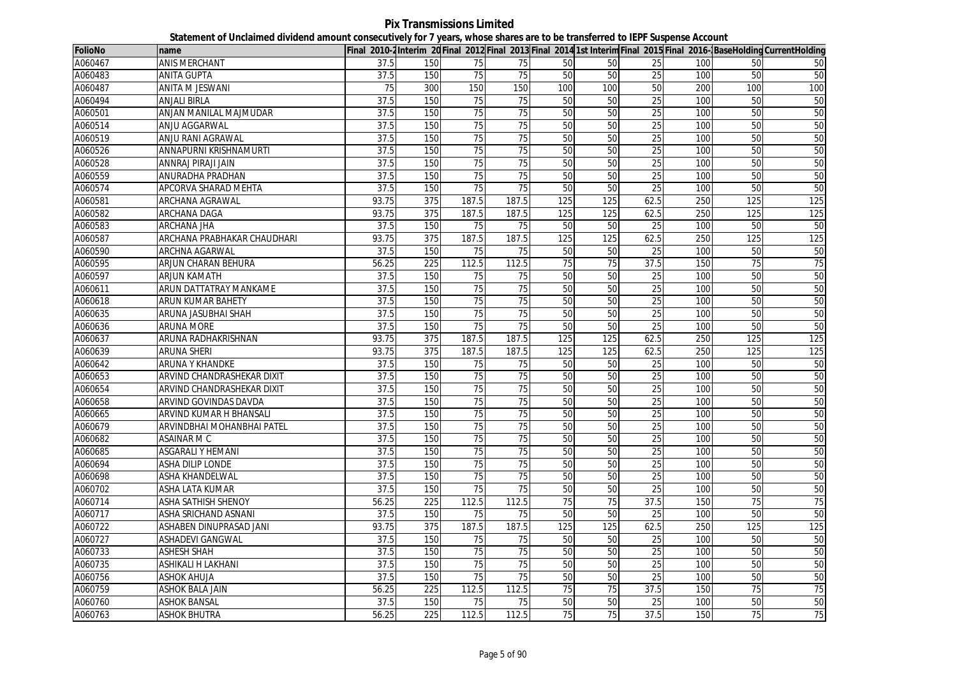**Pix Transmissions Limited Statement of Unclaimed dividend amount consecutively for 7 years, whose shares are to be transferred to IEPF Suspense Account**

| <b>FolioNo</b> | name                        |       |     |                 |                 |                 |     |                 |     |     | Final 2010-2Interim 20Final 2012 Final 2013 Final 2014 1st InterimFinal 2015 Final 2016-1BaseHoldingCurrentHolding |
|----------------|-----------------------------|-------|-----|-----------------|-----------------|-----------------|-----|-----------------|-----|-----|--------------------------------------------------------------------------------------------------------------------|
| A060467        | <b>ANIS MERCHANT</b>        | 37.5  | 150 | 75              | 75              | 50              | 50  | 25              | 100 | 50  | 50                                                                                                                 |
| A060483        | <b>ANITA GUPTA</b>          | 37.5  | 150 | 75              | 75              | 50              | 50  | 25              | 100 | 50  | 50                                                                                                                 |
| A060487        | <b>ANITA M JESWANI</b>      | 75    | 300 | 150             | 150             | 100             | 100 | 50              | 200 | 100 | 100                                                                                                                |
| A060494        | <b>ANJALI BIRLA</b>         | 37.5  | 150 | 75              | 75              | 50              | 50  | $\overline{25}$ | 100 | 50  | 50                                                                                                                 |
| A060501        | ANJAN MANILAL MAJMUDAR      | 37.5  | 150 | 75              | 75              | 50              | 50  | 25              | 100 | 50  | 50                                                                                                                 |
| A060514        | ANJU AGGARWAL               | 37.5  | 150 | 75              | 75              | 50              | 50  | 25              | 100 | 50  | 50                                                                                                                 |
| A060519        | ANJU RANI AGRAWAL           | 37.5  | 150 | 75              | 75              | 50              | 50  | $\overline{25}$ | 100 | 50  | 50                                                                                                                 |
| A060526        | ANNAPURNI KRISHNAMURTI      | 37.5  | 150 | 75              | 75              | 50              | 50  | 25              | 100 | 50  | 50                                                                                                                 |
| A060528        | ANNRAJ PIRAJI JAIN          | 37.5  | 150 | 75              | $\overline{75}$ | 50              | 50  | 25              | 100 | 50  | 50                                                                                                                 |
| A060559        | ANURADHA PRADHAN            | 37.5  | 150 | 75              | 75              | 50              | 50  | 25              | 100 | 50  | 50                                                                                                                 |
| A060574        | APCORVA SHARAD MEHTA        | 37.5  | 150 | $\overline{75}$ | 75              | 50              | 50  | 25              | 100 | 50  | 50                                                                                                                 |
| A060581        | ARCHANA AGRAWAL             | 93.75 | 375 | 187.5           | 187.5           | 125             | 125 | 62.5            | 250 | 125 | 125                                                                                                                |
| A060582        | <b>ARCHANA DAGA</b>         | 93.75 | 375 | 187.5           | 187.5           | 125             | 125 | 62.5            | 250 | 125 | 125                                                                                                                |
| A060583        | <b>ARCHANA JHA</b>          | 37.5  | 150 | 75              | 75              | 50              | 50  | 25              | 100 | 50  | 50                                                                                                                 |
| A060587        | ARCHANA PRABHAKAR CHAUDHARI | 93.75 | 375 | 187.5           | 187.5           | 125             | 125 | 62.5            | 250 | 125 | 125                                                                                                                |
| A060590        | ARCHNA AGARWAL              | 37.5  | 150 | 75              | 75              | 50              | 50  | 25              | 100 | 50  | 50                                                                                                                 |
| A060595        | ARJUN CHARAN BEHURA         | 56.25 | 225 | 112.5           | 112.5           | $\overline{75}$ | 75  | 37.5            | 150 | 75  | 75                                                                                                                 |
| A060597        | <b>ARJUN KAMATH</b>         | 37.5  | 150 | 75              | 75              | 50              | 50  | 25              | 100 | 50  | 50                                                                                                                 |
| A060611        | ARUN DATTATRAY MANKAME      | 37.5  | 150 | 75              | 75              | 50              | 50  | 25              | 100 | 50  | 50                                                                                                                 |
| A060618        | <b>ARUN KUMAR BAHETY</b>    | 37.5  | 150 | 75              | 75              | 50              | 50  | 25              | 100 | 50  | 50                                                                                                                 |
| A060635        | ARUNA JASUBHAI SHAH         | 37.5  | 150 | 75              | 75              | 50              | 50  | 25              | 100 | 50  | 50                                                                                                                 |
| A060636        | <b>ARUNA MORE</b>           | 37.5  | 150 | 75              | 75              | 50              | 50  | 25              | 100 | 50  | 50                                                                                                                 |
| A060637        | ARUNA RADHAKRISHNAN         | 93.75 | 375 | 187.5           | 187.5           | 125             | 125 | 62.5            | 250 | 125 | 125                                                                                                                |
| A060639        | <b>ARUNA SHERI</b>          | 93.75 | 375 | 187.5           | 187.5           | 125             | 125 | 62.5            | 250 | 125 | 125                                                                                                                |
| A060642        | <b>ARUNA Y KHANDKE</b>      | 37.5  | 150 | 75              | 75              | 50              | 50  | $\overline{25}$ | 100 | 50  | 50                                                                                                                 |
| A060653        | ARVIND CHANDRASHEKAR DIXIT  | 37.5  | 150 | 75              | 75              | 50              | 50  | $\overline{25}$ | 100 | 50  | 50                                                                                                                 |
| A060654        | ARVIND CHANDRASHEKAR DIXIT  | 37.5  | 150 | $\overline{75}$ | $\overline{75}$ | 50              | 50  | 25              | 100 | 50  | 50                                                                                                                 |
| A060658        | ARVIND GOVINDAS DAVDA       | 37.5  | 150 | 75              | 75              | 50              | 50  | 25              | 100 | 50  | 50                                                                                                                 |
| A060665        | ARVIND KUMAR H BHANSALI     | 37.5  | 150 | 75              | 75              | 50              | 50  | 25              | 100 | 50  | 50                                                                                                                 |
| A060679        | ARVINDBHAI MOHANBHAI PATEL  | 37.5  | 150 | $\overline{75}$ | 75              | 50              | 50  | 25              | 100 | 50  | 50                                                                                                                 |
| A060682        | ASAINAR M C                 | 37.5  | 150 | $\overline{75}$ | 75              | 50              | 50  | $\overline{25}$ | 100 | 50  | 50                                                                                                                 |
| A060685        | <b>ASGARALI Y HEMANI</b>    | 37.5  | 150 | 75              | 75              | 50              | 50  | 25              | 100 | 50  | 50                                                                                                                 |
| A060694        | ASHA DILIP LONDE            | 37.5  | 150 | 75              | 75              | 50              | 50  | 25              | 100 | 50  | 50                                                                                                                 |
| A060698        | <b>ASHA KHANDELWAL</b>      | 37.5  | 150 | 75              | 75              | 50              | 50  | 25              | 100 | 50  | 50                                                                                                                 |
| A060702        | <b>ASHA LATA KUMAR</b>      | 37.5  | 150 | $\overline{75}$ | $\overline{75}$ | 50              | 50  | 25              | 100 | 50  | 50                                                                                                                 |
| A060714        | ASHA SATHISH SHENOY         | 56.25 | 225 | 112.5           | 112.5           | 75              | 75  | 37.5            | 150 | 75  | $\overline{75}$                                                                                                    |
| A060717        | ASHA SRICHAND ASNANI        | 37.5  | 150 | 75              | 75              | 50              | 50  | 25              | 100 | 50  | 50                                                                                                                 |
| A060722        | ASHABEN DINUPRASAD JANI     | 93.75 | 375 | 187.5           | 187.5           | 125             | 125 | 62.5            | 250 | 125 | 125                                                                                                                |
| A060727        | ASHADEVI GANGWAL            | 37.5  | 150 | 75              | 75              | 50              | 50  | 25              | 100 | 50  | 50                                                                                                                 |
| A060733        | <b>ASHESH SHAH</b>          | 37.5  | 150 | 75              | 75              | 50              | 50  | 25              | 100 | 50  | 50                                                                                                                 |
| A060735        | ASHIKALI H LAKHANI          | 37.5  | 150 | 75              | 75              | 50              | 50  | 25              | 100 | 50  | 50                                                                                                                 |
| A060756        | <b>ASHOK AHUJA</b>          | 37.5  | 150 | 75              | 75              | 50              | 50  | 25              | 100 | 50  | 50                                                                                                                 |
| A060759        | <b>ASHOK BALA JAIN</b>      | 56.25 | 225 | 112.5           | 112.5           | $\overline{75}$ | 75  | 37.5            | 150 | 75  | 75                                                                                                                 |
| A060760        | <b>ASHOK BANSAL</b>         | 37.5  | 150 | 75              | 75              | 50              | 50  | 25              | 100 | 50  | 50                                                                                                                 |
| A060763        | <b>ASHOK BHUTRA</b>         | 56.25 | 225 | 112.5           | 112.5           | 75              | 75  | 37.5            | 150 | 75  | 75                                                                                                                 |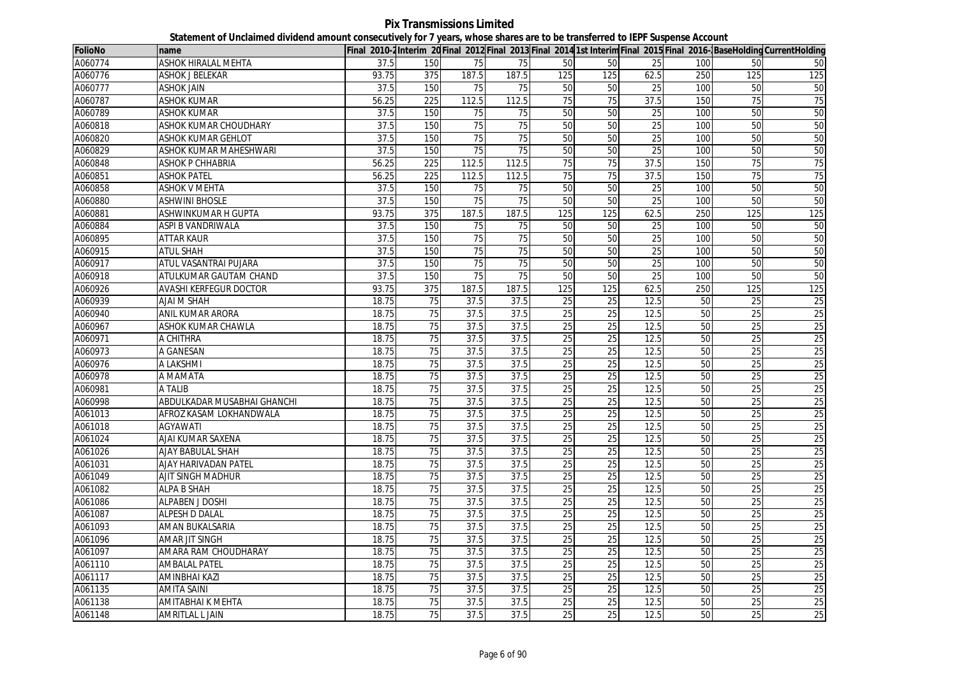| <b>FolioNo</b> | name                          |       |                  |                 |                 |                 |                 |                 |     |                 | Final 2010-2Interim 20 Final 2012 Final 2013 Final 2014 1st Interim Final 2015 Final 2016-BaseHolding CurrentHolding |
|----------------|-------------------------------|-------|------------------|-----------------|-----------------|-----------------|-----------------|-----------------|-----|-----------------|----------------------------------------------------------------------------------------------------------------------|
| A060774        | ASHOK HIRALAL MEHTA           | 37.5  | 150              | 75              | 75              | 50              | 50              | 25              | 100 | 50              | 50                                                                                                                   |
| A060776        | <b>ASHOK J BELEKAR</b>        | 93.75 | 375              | 187.5           | 187.5           | 125             | 125             | 62.5            | 250 | 125             | 125                                                                                                                  |
| A060777        | <b>ASHOK JAIN</b>             | 37.5  | 150              | 75              | 75              | 50              | 50              | 25              | 100 | 50              | 50                                                                                                                   |
| A060787        | ASHOK KUMAR                   | 56.25 | 225              | 112.5           | 112.5           | 75              | 75              | 37.5            | 150 | 75              | 75                                                                                                                   |
| A060789        | <b>ASHOK KUMAR</b>            | 37.5  | 150              | 75              | 75              | 50              | 50              | 25              | 100 | 50              | 50                                                                                                                   |
| A060818        | ASHOK KUMAR CHOUDHARY         | 37.5  | 150              | 75              | 75              | 50              | 50              | 25              | 100 | 50              | 50                                                                                                                   |
| A060820        | ASHOK KUMAR GEHLOT            | 37.5  | 150              | 75              | 75              | 50              | 50              | 25              | 100 | 50              | 50                                                                                                                   |
| A060829        | ASHOK KUMAR MAHESHWARI        | 37.5  | 150              | 75              | 75              | 50              | 50              | 25              | 100 | 50              | 50                                                                                                                   |
| A060848        | ASHOK P CHHABRIA              | 56.25 | $\overline{225}$ | 112.5           | 112.5           | 75              | 75              | 37.5            | 150 | 75              | 75                                                                                                                   |
| A060851        | <b>ASHOK PATEL</b>            | 56.25 | 225              | 112.5           | 112.5           | 75              | 75              | 37.5            | 150 | 75              | 75                                                                                                                   |
| A060858        | <b>ASHOK V MEHTA</b>          | 37.5  | 150              | 75              | 75              | 50              | 50              | 25              | 100 | 50              | 50                                                                                                                   |
| A060880        | <b>ASHWINI BHOSLE</b>         | 37.5  | 150              | 75              | 75              | 50              | 50              | 25              | 100 | 50              | 50                                                                                                                   |
| A060881        | ASHWINKUMAR H GUPTA           | 93.75 | 375              | 187.5           | 187.5           | 125             | 125             | 62.5            | 250 | 125             | 125                                                                                                                  |
| A060884        | ASPI B VANDRIWALA             | 37.5  | 150              | 75              | 75              | 50              | 50              | 25              | 100 | 50              | 50                                                                                                                   |
| A060895        | <b>ATTAR KAUR</b>             | 37.5  | 150              | 75              | 75              | 50              | 50              | 25              | 100 | 50              | 50                                                                                                                   |
| A060915        | <b>ATUL SHAH</b>              | 37.5  | 150              | $\overline{75}$ | $\overline{75}$ | 50              | 50              | $\overline{25}$ | 100 | 50              | 50                                                                                                                   |
| A060917        | ATUL VASANTRAI PUJARA         | 37.5  | 150              | 75              | 75              | 50              | 50              | 25              | 100 | 50              | 50                                                                                                                   |
| A060918        | ATULKUMAR GAUTAM CHAND        | 37.5  | 150              | 75              | 75              | 50              | 50              | 25              | 100 | 50              | 50                                                                                                                   |
| A060926        | <b>AVASHI KERFEGUR DOCTOR</b> | 93.75 | 375              | 187.5           | 187.5           | 125             | 125             | 62.5            | 250 | 125             | 125                                                                                                                  |
| A060939        | <b>AJAI M SHAH</b>            | 18.75 | 75               | 37.5            | 37.5            | 25              | 25              | 12.5            | 50  | 25              | $\overline{25}$                                                                                                      |
| A060940        | <b>ANIL KUMAR ARORA</b>       | 18.75 | 75               | 37.5            | 37.5            | 25              | 25              | 12.5            | 50  | 25              | 25                                                                                                                   |
| A060967        | ASHOK KUMAR CHAWLA            | 18.75 | 75               | 37.5            | 37.5            | 25              | $\overline{25}$ | 12.5            | 50  | 25              | 25                                                                                                                   |
| A060971        | A CHITHRA                     | 18.75 | 75               | 37.5            | 37.5            | $\overline{25}$ | 25              | 12.5            | 50  | 25              | 25                                                                                                                   |
| A060973        | A GANESAN                     | 18.75 | 75               | 37.5            | 37.5            | 25              | 25              | 12.5            | 50  | 25              | 25                                                                                                                   |
| A060976        | A LAKSHMI                     | 18.75 | $\overline{75}$  | 37.5            | 37.5            | 25              | $\overline{25}$ | 12.5            | 50  | $\overline{25}$ | $\overline{25}$                                                                                                      |
| A060978        | A MAMATA                      | 18.75 | 75               | 37.5            | 37.5            | 25              | 25              | 12.5            | 50  | 25              | 25                                                                                                                   |
| A060981        | A TALIB                       | 18.75 | 75               | 37.5            | 37.5            | 25              | 25              | 12.5            | 50  | 25              | 25                                                                                                                   |
| A060998        | ABDULKADAR MUSABHAI GHANCHI   | 18.75 | 75               | 37.5            | 37.5            | 25              | 25              | 12.5            | 50  | 25              | 25                                                                                                                   |
| A061013        | AFROZ KASAM LOKHANDWALA       | 18.75 | 75               | 37.5            | 37.5            | 25              | 25              | 12.5            | 50  | 25              | 25                                                                                                                   |
| A061018        | AGYAWATI                      | 18.75 | $\overline{75}$  | 37.5            | 37.5            | $\overline{25}$ | $\overline{25}$ | 12.5            | 50  | 25              | 25                                                                                                                   |
| A061024        | AJAI KUMAR SAXENA             | 18.75 | 75               | 37.5            | 37.5            | 25              | 25              | 12.5            | 50  | 25              | 25                                                                                                                   |
| A061026        | <b>AJAY BABULAL SHAH</b>      | 18.75 | 75               | 37.5            | 37.5            | 25              | 25              | 12.5            | 50  | 25              | 25                                                                                                                   |
| A061031        | AJAY HARIVADAN PATEL          | 18.75 | 75               | 37.5            | 37.5            | 25              | 25              | 12.5            | 50  | 25              | 25                                                                                                                   |
| A061049        | <b>AJIT SINGH MADHUR</b>      | 18.75 | 75               | 37.5            | 37.5            | 25              | 25              | 12.5            | 50  | 25              | 25                                                                                                                   |
| A061082        | <b>ALPA B SHAH</b>            | 18.75 | 75               | 37.5            | 37.5            | 25              | 25              | 12.5            | 50  | 25              | 25                                                                                                                   |
| A061086        | <b>ALPABEN J DOSHI</b>        | 18.75 | $\overline{75}$  | 37.5            | 37.5            | 25              | 25              | 12.5            | 50  | $\overline{25}$ | 25                                                                                                                   |
| A061087        | ALPESH D DALAL                | 18.75 | 75               | 37.5            | 37.5            | 25              | 25              | 12.5            | 50  | 25              | 25                                                                                                                   |
| A061093        | AMAN BUKALSARIA               | 18.75 | $\overline{75}$  | 37.5            | 37.5            | $\overline{25}$ | $\overline{25}$ | 12.5            | 50  | $\overline{25}$ | 25                                                                                                                   |
| A061096        | <b>AMAR JIT SINGH</b>         | 18.75 | $\overline{75}$  | 37.5            | 37.5            | $\overline{25}$ | $\overline{25}$ | 12.5            | 50  | $\overline{25}$ | 25                                                                                                                   |
| A061097        | AMARA RAM CHOUDHARAY          | 18.75 | 75               | 37.5            | 37.5            | 25              | 25              | 12.5            | 50  | 25              | 25                                                                                                                   |
| A061110        | <b>AMBALAL PATEL</b>          | 18.75 | 75               | 37.5            | 37.5            | 25              | 25              | 12.5            | 50  | 25              | $\overline{25}$                                                                                                      |
| A061117        | <b>AMINBHAI KAZI</b>          | 18.75 | 75               | 37.5            | 37.5            | 25              | 25              | 12.5            | 50  | $\overline{25}$ | 25                                                                                                                   |
| A061135        | <b>AMITA SAINI</b>            | 18.75 | 75               | 37.5            | 37.5            | 25              | 25              | 12.5            | 50  | 25              | 25                                                                                                                   |
| A061138        | AMITABHAI K MEHTA             | 18.75 | 75               | 37.5            | 37.5            | 25              | 25              | 12.5            | 50  | $\overline{25}$ | 25                                                                                                                   |
| A061148        | <b>AMRITLAL L JAIN</b>        | 18.75 | 75               | 37.5            | 37.5            | 25              | 25              | 12.5            | 50  | 25              | 25                                                                                                                   |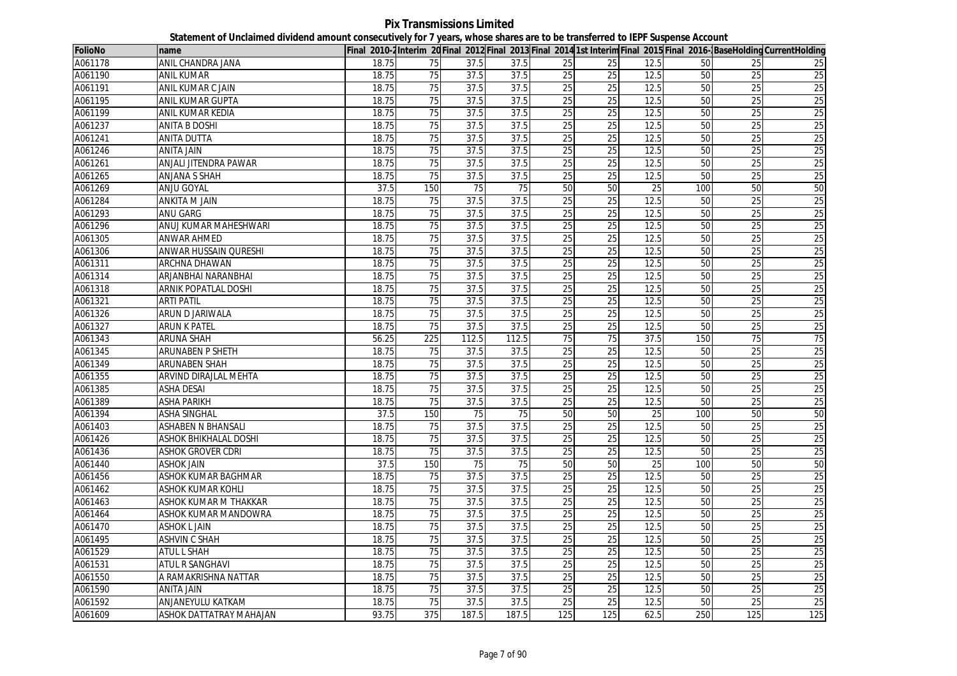**Pix Transmissions Limited Statement of Unclaimed dividend amount consecutively for 7 years, whose shares are to be transferred to IEPF Suspense Account**

| <b>FolioNo</b> | name                           |       |                 |                 |                 |                 |                 |                 |     |                 | Final 2010-2Interim 20 Final 2012 Final 2013 Final 2014 1st Interim Final 2015 Final 2016-BaseHolding CurrentHolding |
|----------------|--------------------------------|-------|-----------------|-----------------|-----------------|-----------------|-----------------|-----------------|-----|-----------------|----------------------------------------------------------------------------------------------------------------------|
| A061178        | ANIL CHANDRA JANA              | 18.75 | 75              | 37.5            | 37.5            | 25              | 25              | 12.5            | 50  | 25              | 25                                                                                                                   |
| A061190        | <b>ANIL KUMAR</b>              | 18.75 | 75              | 37.5            | 37.5            | 25              | 25              | 12.5            | 50  | 25              | 25                                                                                                                   |
| A061191        | ANIL KUMAR C JAIN              | 18.75 | 75              | 37.5            | 37.5            | 25              | 25              | 12.5            | 50  | 25              | 25                                                                                                                   |
| A061195        | <b>ANIL KUMAR GUPTA</b>        | 18.75 | 75              | 37.5            | 37.5            | 25              | 25              | 12.5            | 50  | 25              | 25                                                                                                                   |
| A061199        | ANIL KUMAR KEDIA               | 18.75 | 75              | 37.5            | 37.5            | 25              | 25              | 12.5            | 50  | $\overline{25}$ | 25                                                                                                                   |
| A061237        | <b>ANITA B DOSHI</b>           | 18.75 | 75              | 37.5            | 37.5            | 25              | 25              | 12.5            | 50  | 25              | 25                                                                                                                   |
| A061241        | <b>ANITA DUTTA</b>             | 18.75 | 75              | 37.5            | 37.5            | 25              | 25              | 12.5            | 50  | 25              | 25                                                                                                                   |
| A061246        | <b>ANITA JAIN</b>              | 18.75 | 75              | 37.5            | 37.5            | 25              | 25              | 12.5            | 50  | 25              | 25                                                                                                                   |
| A061261        | ANJALI JITENDRA PAWAR          | 18.75 | 75              | 37.5            | 37.5            | $\overline{25}$ | 25              | 12.5            | 50  | 25              | 25                                                                                                                   |
| A061265        | ANJANA S SHAH                  | 18.75 | 75              | 37.5            | 37.5            | 25              | 25              | 12.5            | 50  | 25              | 25                                                                                                                   |
| A061269        | <b>ANJU GOYAL</b>              | 37.5  | 150             | $\overline{75}$ | $\overline{75}$ | 50              | 50              | $\overline{25}$ | 100 | 50              | 50                                                                                                                   |
| A061284        | <b>ANKITA M JAIN</b>           | 18.75 | 75              | 37.5            | 37.5            | 25              | 25              | 12.5            | 50  | $\overline{25}$ | 25                                                                                                                   |
| A061293        | ANU GARG                       | 18.75 | 75              | 37.5            | 37.5            | 25              | 25              | 12.5            | 50  | 25              | 25                                                                                                                   |
| A061296        | ANUJ KUMAR MAHESHWARI          | 18.75 | 75              | 37.5            | 37.5            | 25              | 25              | 12.5            | 50  | $\overline{25}$ | 25                                                                                                                   |
| A061305        | ANWAR AHMED                    | 18.75 | 75              | 37.5            | 37.5            | 25              | 25              | 12.5            | 50  | 25              | 25                                                                                                                   |
| A061306        | ANWAR HUSSAIN QURESHI          | 18.75 | $\overline{75}$ | 37.5            | 37.5            | $\overline{25}$ | $\overline{25}$ | 12.5            | 50  | $\overline{25}$ | 25                                                                                                                   |
| A061311        | ARCHNA DHAWAN                  | 18.75 | 75              | 37.5            | 37.5            | 25              | 25              | 12.5            | 50  | 25              | 25                                                                                                                   |
| A061314        | ARJANBHAI NARANBHAI            | 18.75 | 75              | 37.5            | 37.5            | 25              | 25              | 12.5            | 50  | $\overline{25}$ | 25                                                                                                                   |
| A061318        | ARNIK POPATLAL DOSHI           | 18.75 | 75              | 37.5            | 37.5            | 25              | 25              | 12.5            | 50  | 25              | 25                                                                                                                   |
| A061321        | ARTI PATIL                     | 18.75 | $\overline{75}$ | 37.5            | 37.5            | 25              | 25              | 12.5            | 50  | $\overline{25}$ | 25                                                                                                                   |
| A061326        | ARUN D JARIWALA                | 18.75 | 75              | 37.5            | 37.5            | 25              | 25              | 12.5            | 50  | $\overline{25}$ | 25                                                                                                                   |
| A061327        | <b>ARUN K PATEL</b>            | 18.75 | 75              | 37.5            | 37.5            | 25              | 25              | 12.5            | 50  | 25              | 25                                                                                                                   |
| A061343        | ARUNA SHAH                     | 56.25 | 225             | 112.5           | 112.5           | 75              | $\overline{75}$ | 37.5            | 150 | $\overline{75}$ | 75                                                                                                                   |
| A061345        | <b>ARUNABEN P SHETH</b>        | 18.75 | 75              | 37.5            | 37.5            | 25              | 25              | 12.5            | 50  | 25              | 25                                                                                                                   |
| A061349        | <b>ARUNABEN SHAH</b>           | 18.75 | $\overline{75}$ | 37.5            | 37.5            | 25              | $\overline{25}$ | 12.5            | 50  | $\overline{25}$ | 25                                                                                                                   |
| A061355        | ARVIND DIRAJLAL MEHTA          | 18.75 | 75              | 37.5            | 37.5            | 25              | 25              | 12.5            | 50  | 25              | 25                                                                                                                   |
| A061385        | <b>ASHA DESAI</b>              | 18.75 | 75              | 37.5            | 37.5            | 25              | $\overline{25}$ | 12.5            | 50  | 25              | 25                                                                                                                   |
| A061389        | <b>ASHA PARIKH</b>             | 18.75 | 75              | 37.5            | 37.5            | 25              | 25              | 12.5            | 50  | $\overline{25}$ | 25                                                                                                                   |
| A061394        | <b>ASHA SINGHAL</b>            | 37.5  | 150             | 75              | 75              | 50              | 50              | $\overline{25}$ | 100 | 50              | 50                                                                                                                   |
| A061403        | <b>ASHABEN N BHANSALI</b>      | 18.75 | 75              | 37.5            | 37.5            | $\overline{25}$ | 25              | 12.5            | 50  | 25              | 25                                                                                                                   |
| A061426        | <b>ASHOK BHIKHALAL DOSHI</b>   | 18.75 | 75              | 37.5            | 37.5            | 25              | 25              | 12.5            | 50  | 25              | 25                                                                                                                   |
| A061436        | <b>ASHOK GROVER CDRI</b>       | 18.75 | 75              | 37.5            | 37.5            | 25              | 25              | 12.5            | 50  | 25              | 25                                                                                                                   |
| A061440        | <b>ASHOK JAIN</b>              | 37.5  | 150             | 75              | 75              | 50              | 50              | 25              | 100 | 50              | 50                                                                                                                   |
| A061456        | ASHOK KUMAR BAGHMAR            | 18.75 | 75              | 37.5            | 37.5            | 25              | 25              | 12.5            | 50  | 25              | 25                                                                                                                   |
| A061462        | <b>ASHOK KUMAR KOHLI</b>       | 18.75 | 75              | 37.5            | 37.5            | 25              | 25              | 12.5            | 50  | 25              | 25                                                                                                                   |
| A061463        | ASHOK KUMAR M THAKKAR          | 18.75 | $\overline{75}$ | 37.5            | 37.5            | 25              | 25              | 12.5            | 50  | $\overline{25}$ | 25                                                                                                                   |
| A061464        | ASHOK KUMAR MANDOWRA           | 18.75 | 75              | 37.5            | 37.5            | 25              | 25              | 12.5            | 50  | 25              | 25                                                                                                                   |
| A061470        | ASHOK L JAIN                   | 18.75 | $\overline{75}$ | 37.5            | 37.5            | $\overline{25}$ | $\overline{25}$ | 12.5            | 50  | $\overline{25}$ | 25                                                                                                                   |
| A061495        | <b>ASHVIN C SHAH</b>           | 18.75 | $\overline{75}$ | 37.5            | 37.5            | 25              | $\overline{25}$ | 12.5            | 50  | $\overline{25}$ | 25                                                                                                                   |
| A061529        | <b>ATUL L SHAH</b>             | 18.75 | 75              | 37.5            | 37.5            | 25              | 25              | 12.5            | 50  | 25              | 25                                                                                                                   |
| A061531        | ATUL R SANGHAVI                | 18.75 | $\overline{75}$ | 37.5            | 37.5            | $\overline{25}$ | $\overline{25}$ | 12.5            | 50  | $\overline{25}$ | $\overline{25}$                                                                                                      |
| A061550        | A RAMAKRISHNA NATTAR           | 18.75 | 75              | 37.5            | 37.5            | 25              | 25              | 12.5            | 50  | 25              | 25                                                                                                                   |
| A061590        | <b>ANITA JAIN</b>              | 18.75 | $\overline{75}$ | 37.5            | 37.5            | 25              | $\overline{25}$ | 12.5            | 50  | $\overline{25}$ | 25                                                                                                                   |
| A061592        | ANJANEYULU KATKAM              | 18.75 | 75              | 37.5            | 37.5            | 25              | 25              | 12.5            | 50  | $\overline{25}$ | 25                                                                                                                   |
| A061609        | <b>ASHOK DATTATRAY MAHAJAN</b> | 93.75 | 375             | 187.5           | 187.5           | 125             | 125             | 62.5            | 250 | 125             | 125                                                                                                                  |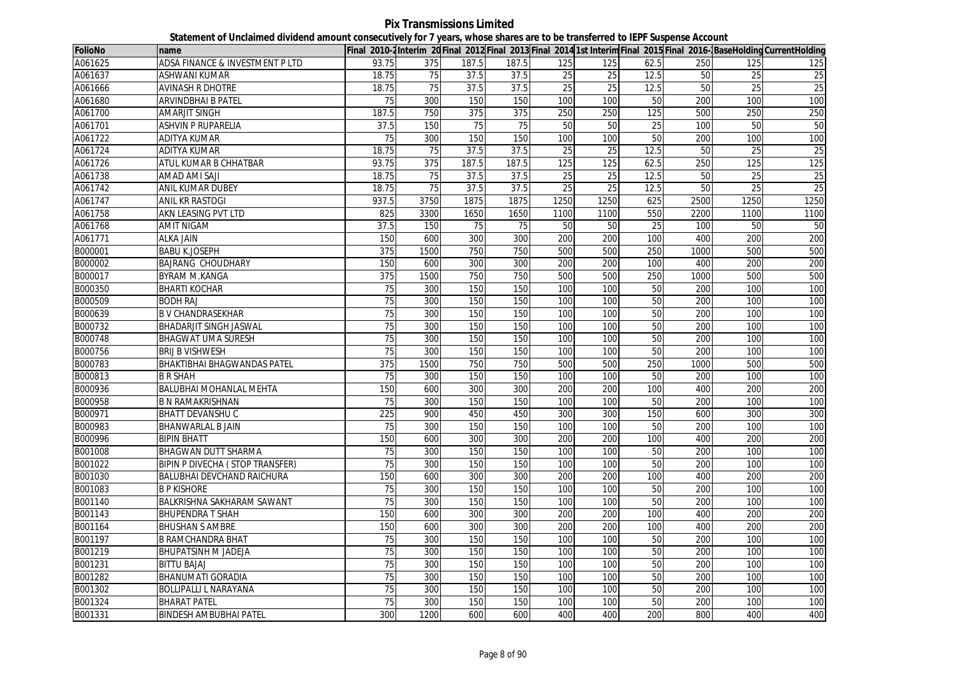**Pix Transmissions Limited Statement of Unclaimed dividend amount consecutively for 7 years, whose shares are to be transferred to IEPF Suspense Account**

| <b>FolioNo</b> | name                               |                  |                 |       |       |                 |                 |      |                 |                 | Final 2010-2 Interim 20 Final 2012 Final 2013 Final 2014 1st Interim Final 2015 Final 2016- BaseHolding CurrentHolding |
|----------------|------------------------------------|------------------|-----------------|-------|-------|-----------------|-----------------|------|-----------------|-----------------|------------------------------------------------------------------------------------------------------------------------|
| A061625        | ADSA FINANCE & INVESTMENT P LTD    | 93.75            | 375             | 187.5 | 187.5 | 125             | 125             | 62.5 | 250             | 125             | 125                                                                                                                    |
| A061637        | ASHWANI KUMAR                      | 18.75            | 75              | 37.5  | 37.5  | 25              | 25              | 12.5 | 50              | 25              | $\overline{25}$                                                                                                        |
| A061666        | <b>AVINASH R DHOTRE</b>            | 18.75            | 75              | 37.5  | 37.5  | 25              | $\overline{25}$ | 12.5 | 50              | $\overline{25}$ | $\overline{25}$                                                                                                        |
| A061680        | ARVINDBHAI B PATEL                 | 75               | 300             | 150   | 150   | 100             | 100             | 50   | 200             | 100             | 100                                                                                                                    |
| A061700        | <b>AMARJIT SINGH</b>               | 187.5            | 750             | 375   | 375   | 250             | 250             | 125  | 500             | 250             | 250                                                                                                                    |
| A061701        | <b>ASHVIN P RUPARELIA</b>          | 37.5             | 150             | 75    | 75    | 50              | 50              | 25   | 100             | 50              | 50                                                                                                                     |
| A061722        | ADITYA KUMAR                       | 75               | 300             | 150   | 150   | 100             | 100             | 50   | 200             | 100             | 100                                                                                                                    |
| A061724        | <b>ADITYA KUMAR</b>                | 18.75            | 75              | 37.5  | 37.5  | 25              | 25              | 12.5 | 50              | 25              | $\overline{25}$                                                                                                        |
| A061726        | ATUL KUMAR B CHHATBAR              | 93.75            | 375             | 187.5 | 187.5 | 125             | 125             | 62.5 | 250             | 125             | 125                                                                                                                    |
| A061738        | <b>AMAD AMI SAJI</b>               | 18.75            | $\overline{75}$ | 37.5  | 37.5  | $\overline{25}$ | $\overline{25}$ | 12.5 | $\overline{50}$ | $\overline{25}$ | 25                                                                                                                     |
| A061742        | <b>ANIL KUMAR DUBEY</b>            | 18.75            | 75              | 37.5  | 37.5  | 25              | $\overline{25}$ | 12.5 | 50              | 25              | 25                                                                                                                     |
| A061747        | <b>ANIL KR RASTOGI</b>             | 937.5            | 3750            | 1875  | 1875  | 1250            | 1250            | 625  | 2500            | 1250            | 1250                                                                                                                   |
| A061758        | AKN LEASING PVT LTD                | 825              | 3300            | 1650  | 1650  | 1100            | 1100            | 550  | 2200            | 1100            | 1100                                                                                                                   |
| A061768        | AMIT NIGAM                         | 37.5             | 150             | 75    | 75    | 50              | 50              | 25   | 100             | 50              | 50                                                                                                                     |
| A061771        | ALKA JAIN                          | 150              | 600             | 300   | 300   | 200             | 200             | 100  | 400             | 200             | 200                                                                                                                    |
| B000001        | <b>BABU K.JOSEPH</b>               | $\overline{375}$ | 1500            | 750   | 750   | 500             | 500             | 250  | 1000            | 500             | 500                                                                                                                    |
| B000002        | BAJRANG CHOUDHARY                  | 150              | 600             | 300   | 300   | 200             | 200             | 100  | 400             | 200             | 200                                                                                                                    |
| B000017        | <b>BYRAM M.KANGA</b>               | 375              | 1500            | 750   | 750   | 500             | 500             | 250  | 1000            | 500             | 500                                                                                                                    |
| B000350        | <b>BHARTI KOCHAR</b>               | 75               | 300             | 150   | 150   | 100             | 100             | 50   | 200             | 100             | 100                                                                                                                    |
| B000509        | <b>BODH RAJ</b>                    | 75               | 300             | 150   | 150   | 100             | 100             | 50   | 200             | 100             | 100                                                                                                                    |
| B000639        | <b>B V CHANDRASEKHAR</b>           | 75               | 300             | 150   | 150   | 100             | 100             | 50   | 200             | 100             | 100                                                                                                                    |
| B000732        | <b>BHADARJIT SINGH JASWAL</b>      | 75               | 300             | 150   | 150   | 100             | 100             | 50   | 200             | 100             | 100                                                                                                                    |
| B000748        | <b>BHAGWAT UMA SURESH</b>          | $\overline{75}$  | 300             | 150   | 150   | 100             | 100             | 50   | 200             | 100             | 100                                                                                                                    |
| B000756        | BRIJ B VISHWESH                    | 75               | 300             | 150   | 150   | 100             | 100             | 50   | 200             | 100             | 100                                                                                                                    |
| B000783        | <b>BHAKTIBHAI BHAGWANDAS PATEL</b> | $\overline{375}$ | 1500            | 750   | 750   | 500             | 500             | 250  | 1000            | 500             | 500                                                                                                                    |
| B000813        | <b>B R SHAH</b>                    | 75               | 300             | 150   | 150   | 100             | 100             | 50   | 200             | 100             | 100                                                                                                                    |
| B000936        | <b>BALUBHAI MOHANLAL MEHTA</b>     | 150              | 600             | 300   | 300   | 200             | 200             | 100  | 400             | 200             | 200                                                                                                                    |
| B000958        | <b>B N RAMAKRISHNAN</b>            | $\overline{75}$  | 300             | 150   | 150   | 100             | 100             | 50   | 200             | 100             | 100                                                                                                                    |
| B000971        | <b>BHATT DEVANSHU C</b>            | 225              | 900             | 450   | 450   | 300             | 300             | 150  | 600             | 300             | 300                                                                                                                    |
| B000983        | <b>BHANWARLAL B JAIN</b>           | 75               | 300             | 150   | 150   | 100             | 100             | 50   | 200             | 100             | 100                                                                                                                    |
| B000996        | <b>BIPIN BHATT</b>                 | 150              | 600             | 300   | 300   | 200             | 200             | 100  | 400             | 200             | 200                                                                                                                    |
| B001008        | <b>BHAGWAN DUTT SHARMA</b>         | 75               | 300             | 150   | 150   | 100             | 100             | 50   | 200             | 100             | 100                                                                                                                    |
| B001022        | BIPIN P DIVECHA (STOP TRANSFER)    | 75               | 300             | 150   | 150   | 100             | 100             | 50   | 200             | 100             | 100                                                                                                                    |
| B001030        | BALUBHAI DEVCHAND RAICHURA         | 150              | 600             | 300   | 300   | 200             | 200             | 100  | 400             | 200             | 200                                                                                                                    |
| B001083        | <b>B P KISHORE</b>                 | 75               | 300             | 150   | 150   | 100             | 100             | 50   | 200             | 100             | 100                                                                                                                    |
| B001140        | BALKRISHNA SAKHARAM SAWANT         | 75               | 300             | 150   | 150   | 100             | 100             | 50   | 200             | 100             | 100                                                                                                                    |
| B001143        | BHUPENDRA T SHAH                   | 150              | 600             | 300   | 300   | 200             | 200             | 100  | 400             | 200             | 200                                                                                                                    |
| B001164        | <b>BHUSHAN S AMBRE</b>             | 150              | 600             | 300   | 300   | 200             | 200             | 100  | 400             | 200             | 200                                                                                                                    |
| B001197        | B RAMCHANDRA BHAT                  | 75               | 300             | 150   | 150   | 100             | 100             | 50   | 200             | 100             | 100                                                                                                                    |
| B001219        | BHUPATSINH M JADEJA                | 75               | 300             | 150   | 150   | 100             | 100             | 50   | 200             | 100             | 100                                                                                                                    |
| B001231        | <b>BITTU BAJAJ</b>                 | 75               | 300             | 150   | 150   | 100             | 100             | 50   | 200             | 100             | 100                                                                                                                    |
| B001282        | <b>BHANUMATI GORADIA</b>           | 75               | 300             | 150   | 150   | 100             | 100             | 50   | 200             | 100             | 100                                                                                                                    |
| B001302        | BOLLIPALLI L NARAYANA              | 75               | 300             | 150   | 150   | 100             | 100             | 50   | 200             | 100             | 100                                                                                                                    |
| B001324        | <b>BHARAT PATEL</b>                | 75               | 300             | 150   | 150   | 100             | 100             | 50   | 200             | 100             | 100                                                                                                                    |
| B001331        | <b>BINDESH AMBUBHAI PATEL</b>      | 300              | 1200            | 600   | 600   | 400             | 400             | 200  | 800             | 400             | 400                                                                                                                    |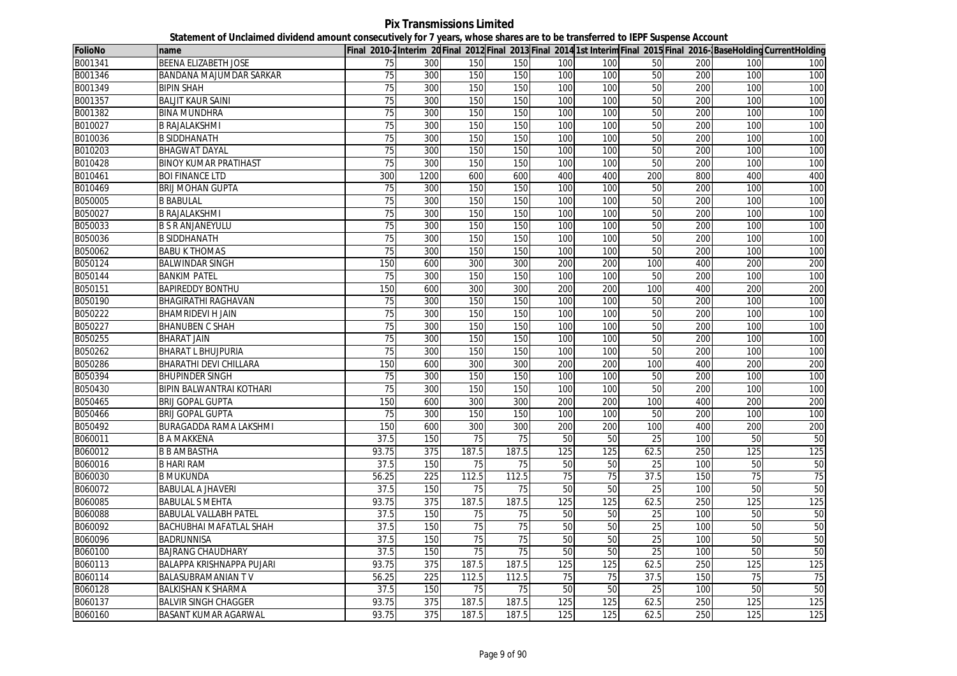**Pix Transmissions Limited Statement of Unclaimed dividend amount consecutively for 7 years, whose shares are to be transferred to IEPF Suspense Account**

| <b>FolioNo</b> | name                            |                 |      |                 |                 |     |     |                 |     |     | Final 2010-2Interim 20 Final 2012 Final 2013 Final 2014 1st Interim Final 2015 Final 2016-BaseHolding CurrentHolding |
|----------------|---------------------------------|-----------------|------|-----------------|-----------------|-----|-----|-----------------|-----|-----|----------------------------------------------------------------------------------------------------------------------|
| B001341        | <b>BEENA ELIZABETH JOSE</b>     | 75              | 300  | 150             | 150             | 100 | 100 | 50              | 200 | 100 | 100                                                                                                                  |
| B001346        | BANDANA MAJUMDAR SARKAR         | 75              | 300  | 150             | 150             | 100 | 100 | 50              | 200 | 100 | 100                                                                                                                  |
| B001349        | <b>BIPIN SHAH</b>               | 75              | 300  | 150             | 150             | 100 | 100 | 50              | 200 | 100 | 100                                                                                                                  |
| B001357        | <b>BALJIT KAUR SAINI</b>        | 75              | 300  | 150             | 150             | 100 | 100 | 50              | 200 | 100 | 100                                                                                                                  |
| B001382        | <b>BINA MUNDHRA</b>             | 75              | 300  | 150             | 150             | 100 | 100 | 50              | 200 | 100 | 100                                                                                                                  |
| B010027        | <b>B RAJALAKSHMI</b>            | 75              | 300  | 150             | 150             | 100 | 100 | 50              | 200 | 100 | 100                                                                                                                  |
| B010036        | <b>B SIDDHANATH</b>             | 75              | 300  | 150             | 150             | 100 | 100 | 50              | 200 | 100 | 100                                                                                                                  |
| B010203        | <b>BHAGWAT DAYAL</b>            | 75              | 300  | 150             | 150             | 100 | 100 | 50              | 200 | 100 | 100                                                                                                                  |
| B010428        | <b>BINOY KUMAR PRATIHAST</b>    | 75              | 300  | 150             | 150             | 100 | 100 | 50              | 200 | 100 | 100                                                                                                                  |
| B010461        | <b>BOI FINANCE LTD</b>          | 300             | 1200 | 600             | 600             | 400 | 400 | 200             | 800 | 400 | 400                                                                                                                  |
| B010469        | <b>BRIJ MOHAN GUPTA</b>         | 75              | 300  | 150             | 150             | 100 | 100 | 50              | 200 | 100 | 100                                                                                                                  |
| B050005        | <b>B BABULAL</b>                | 75              | 300  | 150             | 150             | 100 | 100 | 50              | 200 | 100 | 100                                                                                                                  |
| B050027        | <b>B RAJALAKSHMI</b>            | 75              | 300  | 150             | 150             | 100 | 100 | 50              | 200 | 100 | 100                                                                                                                  |
| B050033        | <b>B S R ANJANEYULU</b>         | 75              | 300  | 150             | 150             | 100 | 100 | 50              | 200 | 100 | 100                                                                                                                  |
| B050036        | <b>B SIDDHANATH</b>             | 75              | 300  | 150             | 150             | 100 | 100 | 50              | 200 | 100 | 100                                                                                                                  |
| B050062        | <b>BABU K THOMAS</b>            | $\overline{75}$ | 300  | 150             | 150             | 100 | 100 | 50              | 200 | 100 | 100                                                                                                                  |
| B050124        | <b>BALWINDAR SINGH</b>          | 150             | 600  | 300             | 300             | 200 | 200 | 100             | 400 | 200 | 200                                                                                                                  |
| B050144        | <b>BANKIM PATEL</b>             | 75              | 300  | 150             | 150             | 100 | 100 | 50              | 200 | 100 | 100                                                                                                                  |
| B050151        | <b>BAPIREDDY BONTHU</b>         | 150             | 600  | 300             | 300             | 200 | 200 | 100             | 400 | 200 | 200                                                                                                                  |
| B050190        | <b>BHAGIRATHI RAGHAVAN</b>      | 75              | 300  | 150             | 150             | 100 | 100 | 50              | 200 | 100 | 100                                                                                                                  |
| B050222        | <b>BHAMRIDEVI H JAIN</b>        | 75              | 300  | 150             | 150             | 100 | 100 | 50              | 200 | 100 | 100                                                                                                                  |
| B050227        | <b>BHANUBEN C SHAH</b>          | $\overline{75}$ | 300  | 150             | 150             | 100 | 100 | 50              | 200 | 100 | 100                                                                                                                  |
| B050255        | <b>BHARAT JAIN</b>              | $\overline{75}$ | 300  | 150             | 150             | 100 | 100 | 50              | 200 | 100 | 100                                                                                                                  |
| B050262        | <b>BHARAT L BHUJPURIA</b>       | 75              | 300  | 150             | 150             | 100 | 100 | 50              | 200 | 100 | 100                                                                                                                  |
| B050286        | BHARATHI DEVI CHILLARA          | 150             | 600  | 300             | 300             | 200 | 200 | 100             | 400 | 200 | 200                                                                                                                  |
| B050394        | <b>BHUPINDER SINGH</b>          | 75              | 300  | 150             | 150             | 100 | 100 | 50              | 200 | 100 | 100                                                                                                                  |
| B050430        | <b>BIPIN BALWANTRAI KOTHARI</b> | 75              | 300  | 150             | 150             | 100 | 100 | 50              | 200 | 100 | 100                                                                                                                  |
| B050465        | <b>BRIJ GOPAL GUPTA</b>         | 150             | 600  | 300             | 300             | 200 | 200 | 100             | 400 | 200 | 200                                                                                                                  |
| B050466        | <b>BRIJ GOPAL GUPTA</b>         | 75              | 300  | 150             | 150             | 100 | 100 | 50              | 200 | 100 | 100                                                                                                                  |
| B050492        | BURAGADDA RAMA LAKSHMI          | 150             | 600  | 300             | 300             | 200 | 200 | 100             | 400 | 200 | 200                                                                                                                  |
| B060011        | <b>B A MAKKENA</b>              | 37.5            | 150  | 75              | $\overline{75}$ | 50  | 50  | 25              | 100 | 50  | 50                                                                                                                   |
| B060012        | <b>B B AMBASTHA</b>             | 93.75           | 375  | 187.5           | 187.5           | 125 | 125 | 62.5            | 250 | 125 | 125                                                                                                                  |
| B060016        | <b>B HARI RAM</b>               | 37.5            | 150  | 75              | 75              | 50  | 50  | 25              | 100 | 50  | 50                                                                                                                   |
| B060030        | <b>B MUKUNDA</b>                | 56.25           | 225  | 112.5           | 112.5           | 75  | 75  | 37.5            | 150 | 75  | 75                                                                                                                   |
| B060072        | BABULAL A JHAVERI               | 37.5            | 150  | 75              | 75              | 50  | 50  | 25              | 100 | 50  | 50                                                                                                                   |
| B060085        | <b>BABULAL S MEHTA</b>          | 93.75           | 375  | 187.5           | 187.5           | 125 | 125 | 62.5            | 250 | 125 | 125                                                                                                                  |
| B060088        | <b>BABULAL VALLABH PATEL</b>    | 37.5            | 150  | 75              | 75              | 50  | 50  | 25              | 100 | 50  | 50                                                                                                                   |
| B060092        | BACHUBHAI MAFATLAL SHAH         | 37.5            | 150  | 75              | 75              | 50  | 50  | 25              | 100 | 50  | 50                                                                                                                   |
| B060096        | <b>BADRUNNISA</b>               | 37.5            | 150  | 75              | 75              | 50  | 50  | 25              | 100 | 50  | 50                                                                                                                   |
| B060100        | <b>BAJRANG CHAUDHARY</b>        | 37.5            | 150  | 75              | 75              | 50  | 50  | 25              | 100 | 50  | 50                                                                                                                   |
| B060113        | BALAPPA KRISHNAPPA PUJARI       | 93.75           | 375  | 187.5           | 187.5           | 125 | 125 | 62.5            | 250 | 125 | 125                                                                                                                  |
| B060114        | BALASUBRAMANIAN TV              | 56.25           | 225  | 112.5           | 112.5           | 75  | 75  | 37.5            | 150 | 75  | 75                                                                                                                   |
| B060128        | <b>BALKISHAN K SHARMA</b>       | 37.5            | 150  | $\overline{75}$ | 75              | 50  | 50  | $\overline{25}$ | 100 | 50  | 50                                                                                                                   |
| B060137        | <b>BALVIR SINGH CHAGGER</b>     | 93.75           | 375  | 187.5           | 187.5           | 125 | 125 | 62.5            | 250 | 125 | 125                                                                                                                  |
| B060160        | <b>BASANT KUMAR AGARWAL</b>     | 93.75           | 375  | 187.5           | 187.5           | 125 | 125 | 62.5            | 250 | 125 | $\overline{125}$                                                                                                     |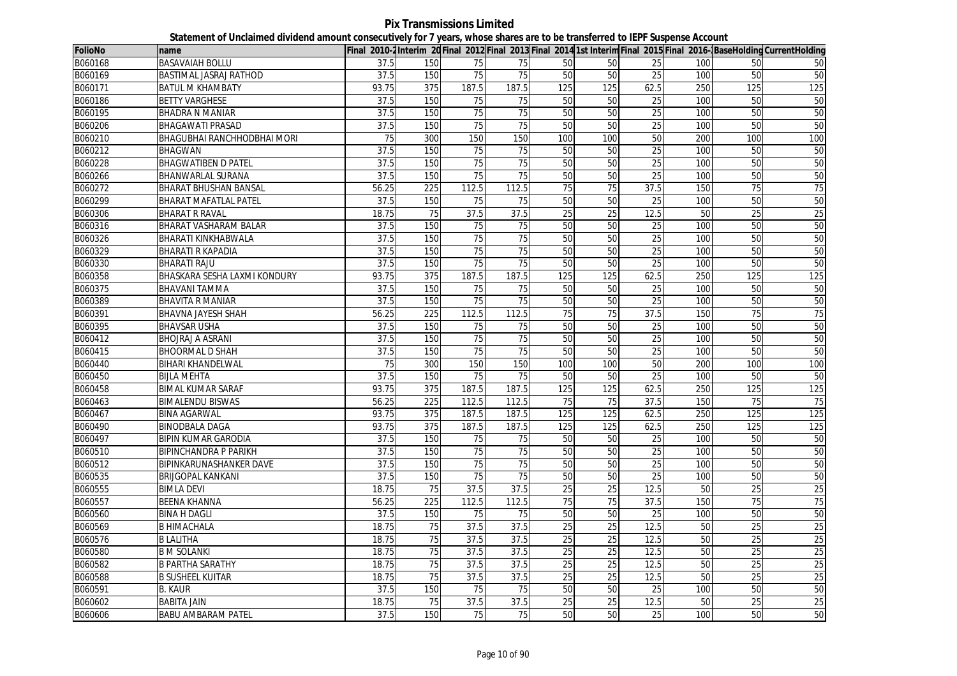| <b>FolioNo</b> | name                               |       |                  |                 |                 |                 |                 |                 |     |                 | Final 2010-2Interim 20Final 2012 Final 2013 Final 2014 1st Interim Final 2015 Final 2016-BaseHolding CurrentHolding |
|----------------|------------------------------------|-------|------------------|-----------------|-----------------|-----------------|-----------------|-----------------|-----|-----------------|---------------------------------------------------------------------------------------------------------------------|
| B060168        | <b>BASAVAIAH BOLLU</b>             | 37.5  | 150              | 75              | 75              | 50              | 50              | 25              | 100 | 50              | 50                                                                                                                  |
| B060169        | BASTIMAL JASRAJ RATHOD             | 37.5  | 150              | 75              | 75              | 50              | 50              | 25              | 100 | 50              | 50                                                                                                                  |
| B060171        | <b>BATUL M KHAMBATY</b>            | 93.75 | 375              | 187.5           | 187.5           | 125             | 125             | 62.5            | 250 | 125             | 125                                                                                                                 |
| B060186        | <b>BETTY VARGHESE</b>              | 37.5  | 150              | 75              | 75              | 50              | 50              | 25              | 100 | 50              | 50                                                                                                                  |
| B060195        | <b>BHADRA N MANIAR</b>             | 37.5  | 150              | 75              | 75              | 50              | 50              | $\overline{25}$ | 100 | 50              | 50                                                                                                                  |
| B060206        | <b>BHAGAWATI PRASAD</b>            | 37.5  | 150              | 75              | 75              | 50              | 50              | 25              | 100 | 50              | 50                                                                                                                  |
| B060210        | <b>BHAGUBHAI RANCHHODBHAI MORI</b> | 75    | 300              | 150             | 150             | 100             | 100             | 50              | 200 | 100             | 100                                                                                                                 |
| B060212        | <b>BHAGWAN</b>                     | 37.5  | 150              | 75              | 75              | 50              | 50              | 25              | 100 | 50              | 50                                                                                                                  |
| B060228        | <b>BHAGWATIBEN D PATEL</b>         | 37.5  | 150              | 75              | 75              | 50              | 50              | 25              | 100 | 50              | 50                                                                                                                  |
| B060266        | <b>BHANWARLAL SURANA</b>           | 37.5  | 150              | 75              | $\overline{75}$ | 50              | 50              | 25              | 100 | 50              | 50                                                                                                                  |
| B060272        | <b>BHARAT BHUSHAN BANSAL</b>       | 56.25 | 225              | 112.5           | 112.5           | 75              | 75              | 37.5            | 150 | $\overline{75}$ | 75                                                                                                                  |
| B060299        | <b>BHARAT MAFATLAL PATEL</b>       | 37.5  | 150              | 75              | 75              | 50              | 50              | 25              | 100 | 50              | 50                                                                                                                  |
| B060306        | <b>BHARAT R RAVAL</b>              | 18.75 | 75               | 37.5            | 37.5            | 25              | 25              | 12.5            | 50  | $\overline{25}$ | 25                                                                                                                  |
| B060316        | BHARAT VASHARAM BALAR              | 37.5  | 150              | 75              | 75              | 50              | 50              | 25              | 100 | 50              | 50                                                                                                                  |
| B060326        | BHARATI KINKHABWALA                | 37.5  | 150              | 75              | 75              | 50              | 50              | 25              | 100 | 50              | 50                                                                                                                  |
| B060329        | <b>BHARATI R KAPADIA</b>           | 37.5  | 150              | 75              | 75              | 50              | 50              | $\overline{25}$ | 100 | 50              | 50                                                                                                                  |
| B060330        | <b>BHARATI RAJU</b>                | 37.5  | 150              | 75              | 75              | 50              | 50              | 25              | 100 | 50              | 50                                                                                                                  |
| B060358        | BHASKARA SESHA LAXMI KONDURY       | 93.75 | 375              | 187.5           | 187.5           | 125             | 125             | 62.5            | 250 | 125             | 125                                                                                                                 |
| B060375        | <b>BHAVANI TAMMA</b>               | 37.5  | 150              | 75              | 75              | 50              | 50              | 25              | 100 | 50              | 50                                                                                                                  |
| B060389        | <b>BHAVITA R MANIAR</b>            | 37.5  | 150              | 75              | 75              | 50              | 50              | 25              | 100 | 50              | 50                                                                                                                  |
| B060391        | <b>BHAVNA JAYESH SHAH</b>          | 56.25 | 225              | 112.5           | 112.5           | 75              | 75              | 37.5            | 150 | 75              | 75                                                                                                                  |
| B060395        | <b>BHAVSAR USHA</b>                | 37.5  | 150              | 75              | 75              | 50              | 50              | 25              | 100 | 50              | 50                                                                                                                  |
| B060412        | <b>BHOJRAJ A ASRANI</b>            | 37.5  | 150              | $\overline{75}$ | $\overline{75}$ | 50              | 50              | 25              | 100 | 50              | 50                                                                                                                  |
| B060415        | <b>BHOORMAL D SHAH</b>             | 37.5  | 150              | 75              | 75              | 50              | 50              | 25              | 100 | 50              | 50                                                                                                                  |
| B060440        | <b>BIHARI KHANDELWAL</b>           | 75    | 300              | 150             | 150             | 100             | 100             | 50              | 200 | 100             | 100                                                                                                                 |
| B060450        | <b>BIJLA MEHTA</b>                 | 37.5  | 150              | 75              | 75              | 50              | 50              | 25              | 100 | 50              | 50                                                                                                                  |
| B060458        | <b>BIMAL KUMAR SARAF</b>           | 93.75 | 375              | 187.5           | 187.5           | 125             | 125             | 62.5            | 250 | 125             | 125                                                                                                                 |
| B060463        | <b>BIMALENDU BISWAS</b>            | 56.25 | 225              | 112.5           | 112.5           | 75              | 75              | 37.5            | 150 | 75              | 75                                                                                                                  |
| B060467        | <b>BINA AGARWAL</b>                | 93.75 | 375              | 187.5           | 187.5           | 125             | 125             | 62.5            | 250 | 125             | 125                                                                                                                 |
| B060490        | <b>BINODBALA DAGA</b>              | 93.75 | $\overline{375}$ | 187.5           | 187.5           | 125             | 125             | 62.5            | 250 | 125             | 125                                                                                                                 |
| B060497        | <b>BIPIN KUMAR GARODIA</b>         | 37.5  | 150              | 75              | 75              | 50              | 50              | 25              | 100 | 50              | 50                                                                                                                  |
| B060510        | <b>BIPINCHANDRA P PARIKH</b>       | 37.5  | 150              | 75              | $\overline{75}$ | 50              | 50              | 25              | 100 | 50              | 50                                                                                                                  |
| B060512        | BIPINKARUNASHANKER DAVE            | 37.5  | 150              | 75              | 75              | 50              | 50              | 25              | 100 | 50              | 50                                                                                                                  |
| B060535        | <b>BRIJGOPAL KANKANI</b>           | 37.5  | 150              | 75              | 75              | 50              | 50              | 25              | 100 | 50              | 50                                                                                                                  |
| B060555        | <b>BIMLA DEVI</b>                  | 18.75 | 75               | 37.5            | 37.5            | 25              | 25              | 12.5            | 50  | 25              | 25                                                                                                                  |
| B060557        | <b>BEENA KHANNA</b>                | 56.25 | 225              | 112.5           | 112.5           | 75              | 75              | 37.5            | 150 | 75              | 75                                                                                                                  |
| B060560        | <b>BINA H DAGLI</b>                | 37.5  | 150              | 75              | 75              | 50              | 50              | 25              | 100 | 50              | 50                                                                                                                  |
| B060569        | <b>B HIMACHALA</b>                 | 18.75 | 75               | 37.5            | 37.5            | 25              | 25              | 12.5            | 50  | 25              | 25                                                                                                                  |
| B060576        | <b>B LALITHA</b>                   | 18.75 | $\overline{75}$  | 37.5            | 37.5            | 25              | $\overline{25}$ | 12.5            | 50  | 25              | 25                                                                                                                  |
| B060580        | <b>B M SOLANKI</b>                 | 18.75 | 75               | 37.5            | 37.5            | 25              | 25              | 12.5            | 50  | 25              | 25                                                                                                                  |
| B060582        | <b>B PARTHA SARATHY</b>            | 18.75 | 75               | 37.5            | 37.5            | $\overline{25}$ | 25              | 12.5            | 50  | 25              | $\overline{25}$                                                                                                     |
| B060588        | <b>B SUSHEEL KUITAR</b>            | 18.75 | 75               | 37.5            | 37.5            | 25              | 25              | 12.5            | 50  | $\overline{25}$ | 25                                                                                                                  |
| B060591        | <b>B. KAUR</b>                     | 37.5  | 150              | 75              | 75              | 50              | 50              | 25              | 100 | 50              | 50                                                                                                                  |
| B060602        | <b>BABITA JAIN</b>                 | 18.75 | 75               | 37.5            | 37.5            | 25              | 25              | 12.5            | 50  | 25              | 25                                                                                                                  |
| B060606        | <b>BABU AMBARAM PATEL</b>          | 37.5  | 150              | 75              | 75              | 50              | 50              | 25              | 100 | 50              | 50                                                                                                                  |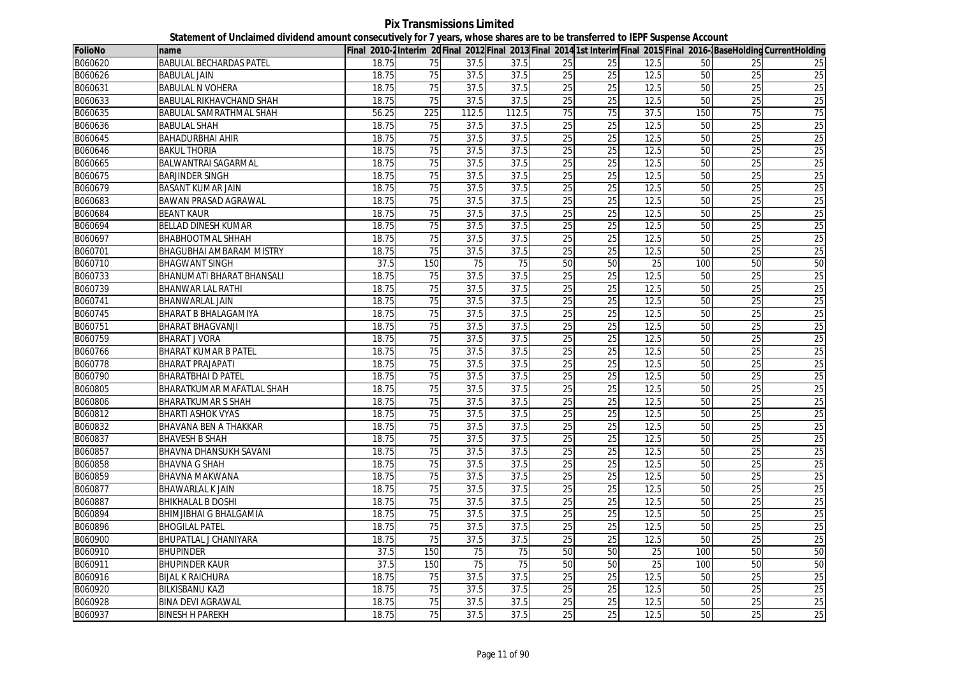**Pix Transmissions Limited Statement of Unclaimed dividend amount consecutively for 7 years, whose shares are to be transferred to IEPF Suspense Account**

| <b>FolioNo</b> | name                             |       |                 |       |                 |                 |                 |      |     |                 | Final 2010-2Interim 20 Final 2012 Final 2013 Final 2014 1st Interim Final 2015 Final 2016-BaseHolding CurrentHolding |
|----------------|----------------------------------|-------|-----------------|-------|-----------------|-----------------|-----------------|------|-----|-----------------|----------------------------------------------------------------------------------------------------------------------|
| B060620        | <b>BABULAL BECHARDAS PATEL</b>   | 18.75 | 75              | 37.5  | 37.5            | 25              | 25              | 12.5 | 50  | 25              | 25                                                                                                                   |
| B060626        | <b>BABULAL JAIN</b>              | 18.75 | 75              | 37.5  | 37.5            | 25              | 25              | 12.5 | 50  | 25              | 25                                                                                                                   |
| B060631        | <b>BABULAL N VOHERA</b>          | 18.75 | 75              | 37.5  | 37.5            | 25              | 25              | 12.5 | 50  | 25              | 25                                                                                                                   |
| B060633        | <b>BABULAL RIKHAVCHAND SHAH</b>  | 18.75 | 75              | 37.5  | 37.5            | 25              | 25              | 12.5 | 50  | 25              | 25                                                                                                                   |
| B060635        | <b>BABULAL SAMRATHMAL SHAH</b>   | 56.25 | 225             | 112.5 | 112.5           | 75              | 75              | 37.5 | 150 | 75              | 75                                                                                                                   |
| B060636        | <b>BABULAL SHAH</b>              | 18.75 | 75              | 37.5  | 37.5            | 25              | 25              | 12.5 | 50  | 25              | 25                                                                                                                   |
| B060645        | <b>BAHADURBHAI AHIR</b>          | 18.75 | 75              | 37.5  | 37.5            | 25              | 25              | 12.5 | 50  | 25              | 25                                                                                                                   |
| B060646        | <b>BAKUL THORIA</b>              | 18.75 | 75              | 37.5  | 37.5            | 25              | 25              | 12.5 | 50  | 25              | 25                                                                                                                   |
| B060665        | BALWANTRAI SAGARMAL              | 18.75 | $\overline{75}$ | 37.5  | 37.5            | $\overline{25}$ | 25              | 12.5 | 50  | 25              | 25                                                                                                                   |
| B060675        | <b>BARJINDER SINGH</b>           | 18.75 | $\overline{75}$ | 37.5  | 37.5            | 25              | 25              | 12.5 | 50  | 25              | 25                                                                                                                   |
| B060679        | <b>BASANT KUMAR JAIN</b>         | 18.75 | $\overline{75}$ | 37.5  | 37.5            | 25              | $\overline{25}$ | 12.5 | 50  | $\overline{25}$ | 25                                                                                                                   |
| B060683        | <b>BAWAN PRASAD AGRAWAL</b>      | 18.75 | 75              | 37.5  | 37.5            | 25              | 25              | 12.5 | 50  | $\overline{25}$ | 25                                                                                                                   |
| B060684        | <b>BEANT KAUR</b>                | 18.75 | 75              | 37.5  | 37.5            | 25              | 25              | 12.5 | 50  | $\overline{25}$ | 25                                                                                                                   |
| B060694        | BELLAD DINESH KUMAR              | 18.75 | 75              | 37.5  | 37.5            | 25              | 25              | 12.5 | 50  | $\overline{25}$ | 25                                                                                                                   |
| B060697        | <b>BHABHOOTMAL SHHAH</b>         | 18.75 | 75              | 37.5  | 37.5            | 25              | 25              | 12.5 | 50  | 25              | 25                                                                                                                   |
| B060701        | <b>BHAGUBHAI AMBARAM MISTRY</b>  | 18.75 | $\overline{75}$ | 37.5  | 37.5            | $\overline{25}$ | $\overline{25}$ | 12.5 | 50  | $\overline{25}$ | 25                                                                                                                   |
| B060710        | <b>BHAGWANT SINGH</b>            | 37.5  | 150             | 75    | 75              | 50              | 50              | 25   | 100 | 50              | 50                                                                                                                   |
| B060733        | <b>BHANUMATI BHARAT BHANSALI</b> | 18.75 | 75              | 37.5  | 37.5            | 25              | 25              | 12.5 | 50  | 25              | 25                                                                                                                   |
| B060739        | <b>BHANWAR LAL RATHI</b>         | 18.75 | 75              | 37.5  | 37.5            | 25              | 25              | 12.5 | 50  | 25              | 25                                                                                                                   |
| B060741        | <b>BHANWARLAL JAIN</b>           | 18.75 | $\overline{75}$ | 37.5  | 37.5            | 25              | 25              | 12.5 | 50  | $\overline{25}$ | 25                                                                                                                   |
| B060745        | <b>BHARAT B BHALAGAMIYA</b>      | 18.75 | 75              | 37.5  | 37.5            | 25              | 25              | 12.5 | 50  | $\overline{25}$ | 25                                                                                                                   |
| B060751        | <b>BHARAT BHAGVANJI</b>          | 18.75 | 75              | 37.5  | 37.5            | 25              | 25              | 12.5 | 50  | 25              | 25                                                                                                                   |
| B060759        | <b>BHARAT J VORA</b>             | 18.75 | $\overline{75}$ | 37.5  | 37.5            | 25              | $\overline{25}$ | 12.5 | 50  | $\overline{25}$ | 25                                                                                                                   |
| B060766        | <b>BHARAT KUMAR B PATEL</b>      | 18.75 | 75              | 37.5  | 37.5            | 25              | 25              | 12.5 | 50  | 25              | 25                                                                                                                   |
| B060778        | <b>BHARAT PRAJAPATI</b>          | 18.75 | 75              | 37.5  | 37.5            | 25              | $\overline{25}$ | 12.5 | 50  | $\overline{25}$ | 25                                                                                                                   |
| B060790        | <b>BHARATBHAI D PATEL</b>        | 18.75 | 75              | 37.5  | 37.5            | 25              | 25              | 12.5 | 50  | 25              | 25                                                                                                                   |
| B060805        | BHARATKUMAR MAFATLAL SHAH        | 18.75 | 75              | 37.5  | 37.5            | 25              | $\overline{25}$ | 12.5 | 50  | 25              | 25                                                                                                                   |
| B060806        | <b>BHARATKUMAR S SHAH</b>        | 18.75 | 75              | 37.5  | 37.5            | 25              | 25              | 12.5 | 50  | 25              | 25                                                                                                                   |
| B060812        | <b>BHARTI ASHOK VYAS</b>         | 18.75 | 75              | 37.5  | 37.5            | 25              | 25              | 12.5 | 50  | $\overline{25}$ | 25                                                                                                                   |
| B060832        | BHAVANA BEN A THAKKAR            | 18.75 | $\overline{75}$ | 37.5  | 37.5            | $\overline{25}$ | $\overline{25}$ | 12.5 | 50  | $\overline{25}$ | 25                                                                                                                   |
| B060837        | <b>BHAVESH B SHAH</b>            | 18.75 | 75              | 37.5  | 37.5            | 25              | 25              | 12.5 | 50  | 25              | 25                                                                                                                   |
| B060857        | BHAVNA DHANSUKH SAVANI           | 18.75 | 75              | 37.5  | 37.5            | 25              | 25              | 12.5 | 50  | 25              | 25                                                                                                                   |
| B060858        | <b>BHAVNA G SHAH</b>             | 18.75 | 75              | 37.5  | 37.5            | 25              | 25              | 12.5 | 50  | 25              | 25                                                                                                                   |
| B060859        | <b>BHAVNA MAKWANA</b>            | 18.75 | 75              | 37.5  | 37.5            | 25              | 25              | 12.5 | 50  | 25              | 25                                                                                                                   |
| B060877        | <b>BHAWARLAL K JAIN</b>          | 18.75 | 75              | 37.5  | 37.5            | 25              | 25              | 12.5 | 50  | 25              | 25                                                                                                                   |
| B060887        | <b>BHIKHALAL B DOSHI</b>         | 18.75 | $\overline{75}$ | 37.5  | 37.5            | 25              | 25              | 12.5 | 50  | $\overline{25}$ | 25                                                                                                                   |
| B060894        | <b>BHIMJIBHAI G BHALGAMIA</b>    | 18.75 | 75              | 37.5  | 37.5            | 25              | 25              | 12.5 | 50  | 25              | 25                                                                                                                   |
| B060896        | <b>BHOGILAL PATEL</b>            | 18.75 | $\overline{75}$ | 37.5  | 37.5            | $\overline{25}$ | $\overline{25}$ | 12.5 | 50  | $\overline{25}$ | 25                                                                                                                   |
| B060900        | BHUPATLAL J CHANIYARA            | 18.75 | $\overline{75}$ | 37.5  | 37.5            | 25              | $\overline{25}$ | 12.5 | 50  | $\overline{25}$ | 25                                                                                                                   |
| B060910        | <b>BHUPINDER</b>                 | 37.5  | 150             | 75    | 75              | 50              | 50              | 25   | 100 | 50              | 50                                                                                                                   |
| B060911        | <b>BHUPINDER KAUR</b>            | 37.5  | 150             | 75    | $\overline{75}$ | 50              | 50              | 25   | 100 | 50              | 50                                                                                                                   |
| B060916        | <b>BIJAL K RAICHURA</b>          | 18.75 | 75              | 37.5  | 37.5            | 25              | 25              | 12.5 | 50  | 25              | 25                                                                                                                   |
| B060920        | <b>BILKISBANU KAZI</b>           | 18.75 | 75              | 37.5  | 37.5            | 25              | $\overline{25}$ | 12.5 | 50  | 25              | 25                                                                                                                   |
| B060928        | <b>BINA DEVI AGRAWAL</b>         | 18.75 | 75              | 37.5  | 37.5            | 25              | 25              | 12.5 | 50  | 25              | 25                                                                                                                   |
| B060937        | <b>BINESH H PAREKH</b>           | 18.75 | 75              | 37.5  | 37.5            | 25              | 25              | 12.5 | 50  | 25              | 25                                                                                                                   |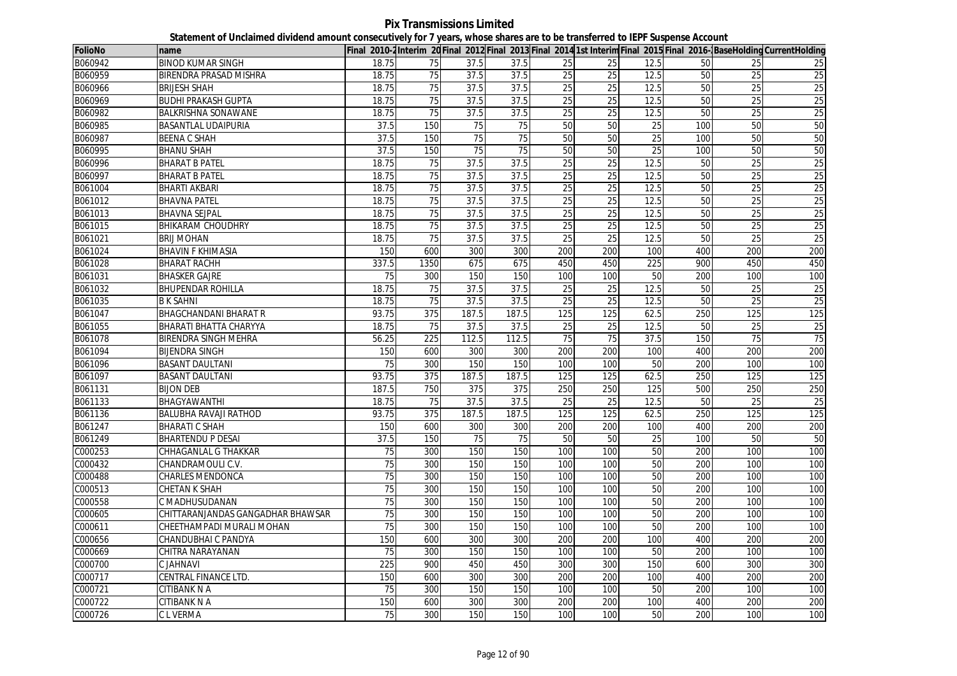**Pix Transmissions Limited Statement of Unclaimed dividend amount consecutively for 7 years, whose shares are to be transferred to IEPF Suspense Account**

| <b>FolioNo</b> | name                              |                 |                  |       |       |                 |                 |      |     |                 | Final 2010-2Interim 20 Final 2012 Final 2013 Final 2014 1st Interim Final 2015 Final 2016-BaseHolding CurrentHolding |
|----------------|-----------------------------------|-----------------|------------------|-------|-------|-----------------|-----------------|------|-----|-----------------|----------------------------------------------------------------------------------------------------------------------|
| B060942        | <b>BINOD KUMAR SINGH</b>          | 18.75           | 75               | 37.5  | 37.5  | 25              | 25              | 12.5 | 50  | 25              | 25                                                                                                                   |
| B060959        | <b>BIRENDRA PRASAD MISHRA</b>     | 18.75           | 75               | 37.5  | 37.5  | 25              | 25              | 12.5 | 50  | 25              | 25                                                                                                                   |
| B060966        | <b>BRIJESH SHAH</b>               | 18.75           | 75               | 37.5  | 37.5  | 25              | 25              | 12.5 | 50  | 25              | 25                                                                                                                   |
| B060969        | <b>BUDHI PRAKASH GUPTA</b>        | 18.75           | $\overline{75}$  | 37.5  | 37.5  | 25              | 25              | 12.5 | 50  | $\overline{25}$ | 25                                                                                                                   |
| B060982        | <b>BALKRISHNA SONAWANE</b>        | 18.75           | 75               | 37.5  | 37.5  | 25              | 25              | 12.5 | 50  | 25              | 25                                                                                                                   |
| B060985        | BASANTLAL UDAIPURIA               | 37.5            | 150              | 75    | 75    | 50              | 50              | 25   | 100 | 50              | 50                                                                                                                   |
| B060987        | <b>BEENA C SHAH</b>               | 37.5            | 150              | 75    | 75    | 50              | 50              | 25   | 100 | 50              | 50                                                                                                                   |
| B060995        | <b>BHANU SHAH</b>                 | 37.5            | 150              | 75    | 75    | 50              | 50              | 25   | 100 | 50              | 50                                                                                                                   |
| B060996        | <b>BHARAT B PATEL</b>             | 18.75           | 75               | 37.5  | 37.5  | 25              | 25              | 12.5 | 50  | 25              | 25                                                                                                                   |
| B060997        | <b>BHARAT B PATEL</b>             | 18.75           | 75               | 37.5  | 37.5  | 25              | 25              | 12.5 | 50  | 25              | 25                                                                                                                   |
| B061004        | <b>BHARTI AKBARI</b>              | 18.75           | 75               | 37.5  | 37.5  | 25              | $\overline{25}$ | 12.5 | 50  | 25              | 25                                                                                                                   |
| B061012        | <b>BHAVNA PATEL</b>               | 18.75           | 75               | 37.5  | 37.5  | 25              | 25              | 12.5 | 50  | 25              | 25                                                                                                                   |
| B061013        | <b>BHAVNA SEJPAL</b>              | 18.75           | 75               | 37.5  | 37.5  | 25              | 25              | 12.5 | 50  | 25              | 25                                                                                                                   |
| B061015        | <b>BHIKARAM CHOUDHRY</b>          | 18.75           | 75               | 37.5  | 37.5  | 25              | 25              | 12.5 | 50  | 25              | 25                                                                                                                   |
| B061021        | <b>BRIJ MOHAN</b>                 | 18.75           | 75               | 37.5  | 37.5  | 25              | 25              | 12.5 | 50  | $\overline{25}$ | 25                                                                                                                   |
| B061024        | <b>BHAVIN F KHIMASIA</b>          | 150             | 600              | 300   | 300   | 200             | 200             | 100  | 400 | 200             | 200                                                                                                                  |
| B061028        | <b>BHARAT RACHH</b>               | 337.5           | 1350             | 675   | 675   | 450             | 450             | 225  | 900 | 450             | 450                                                                                                                  |
| B061031        | <b>BHASKER GAJRE</b>              | 75              | 300              | 150   | 150   | 100             | 100             | 50   | 200 | 100             | 100                                                                                                                  |
| B061032        | <b>BHUPENDAR ROHILLA</b>          | 18.75           | $\overline{75}$  | 37.5  | 37.5  | $\overline{25}$ | 25              | 12.5 | 50  | 25              | $\overline{25}$                                                                                                      |
| B061035        | <b>B K SAHNI</b>                  | 18.75           | 75               | 37.5  | 37.5  | 25              | 25              | 12.5 | 50  | 25              | 25                                                                                                                   |
| B061047        | <b>BHAGCHANDANI BHARAT R</b>      | 93.75           | 375              | 187.5 | 187.5 | 125             | 125             | 62.5 | 250 | 125             | 125                                                                                                                  |
| B061055        | BHARATI BHATTA CHARYYA            | 18.75           | 75               | 37.5  | 37.5  | $\overline{25}$ | $\overline{25}$ | 12.5 | 50  | $\overline{25}$ | $\overline{25}$                                                                                                      |
| B061078        | BIRENDRA SINGH MEHRA              | 56.25           | $\overline{225}$ | 112.5 | 112.5 | 75              | 75              | 37.5 | 150 | $\overline{75}$ | 75                                                                                                                   |
| B061094        | <b>BIJENDRA SINGH</b>             | 150             | 600              | 300   | 300   | 200             | 200             | 100  | 400 | 200             | 200                                                                                                                  |
| B061096        | <b>BASANT DAULTANI</b>            | 75              | 300              | 150   | 150   | 100             | 100             | 50   | 200 | 100             | 100                                                                                                                  |
| B061097        | <b>BASANT DAULTANI</b>            | 93.75           | 375              | 187.5 | 187.5 | 125             | 125             | 62.5 | 250 | 125             | 125                                                                                                                  |
| B061131        | <b>BIJON DEB</b>                  | 187.5           | 750              | 375   | 375   | 250             | 250             | 125  | 500 | 250             | 250                                                                                                                  |
| B061133        | BHAGYAWANTHI                      | 18.75           | 75               | 37.5  | 37.5  | 25              | 25              | 12.5 | 50  | $\overline{25}$ | 25                                                                                                                   |
| B061136        | <b>BALUBHA RAVAJI RATHOD</b>      | 93.75           | 375              | 187.5 | 187.5 | 125             | 125             | 62.5 | 250 | 125             | 125                                                                                                                  |
| B061247        | <b>BHARATI C SHAH</b>             | 150             | 600              | 300   | 300   | 200             | 200             | 100  | 400 | 200             | 200                                                                                                                  |
| B061249        | <b>BHARTENDU P DESAI</b>          | 37.5            | 150              | 75    | 75    | 50              | 50              | 25   | 100 | 50              | 50                                                                                                                   |
| C000253        | CHHAGANLAL G THAKKAR              | 75              | 300              | 150   | 150   | 100             | 100             | 50   | 200 | 100             | 100                                                                                                                  |
| C000432        | CHANDRAMOULI C.V.                 | 75              | 300              | 150   | 150   | 100             | 100             | 50   | 200 | 100             | 100                                                                                                                  |
| C000488        | <b>CHARLES MENDONCA</b>           | 75              | 300              | 150   | 150   | 100             | 100             | 50   | 200 | 100             | 100                                                                                                                  |
| C000513        | <b>CHETAN K SHAH</b>              | 75              | 300              | 150   | 150   | 100             | 100             | 50   | 200 | 100             | 100                                                                                                                  |
| C000558        | C MADHUSUDANAN                    | 75              | 300              | 150   | 150   | 100             | 100             | 50   | 200 | 100             | 100                                                                                                                  |
| C000605        | CHITTARANJANDAS GANGADHAR BHAWSAR | 75              | 300              | 150   | 150   | 100             | 100             | 50   | 200 | 100             | 100                                                                                                                  |
| C000611        | CHEETHAMPADI MURALI MOHAN         | 75              | 300              | 150   | 150   | 100             | 100             | 50   | 200 | 100             | 100                                                                                                                  |
| C000656        | CHANDUBHAI C PANDYA               | 150             | 600              | 300   | 300   | 200             | 200             | 100  | 400 | 200             | 200                                                                                                                  |
| C000669        | CHITRA NARAYANAN                  | 75              | 300              | 150   | 150   | 100             | 100             | 50   | 200 | 100             | 100                                                                                                                  |
| C000700        | C JAHNAVI                         | 225             | 900              | 450   | 450   | 300             | 300             | 150  | 600 | 300             | 300                                                                                                                  |
| C000717        | CENTRAL FINANCE LTD.              | 150             | 600              | 300   | 300   | 200             | 200             | 100  | 400 | 200             | 200                                                                                                                  |
| C000721        | CITIBANK N A                      | $\overline{75}$ | 300              | 150   | 150   | 100             | 100             | 50   | 200 | 100             | 100                                                                                                                  |
| C000722        | <b>CITIBANK N A</b>               | 150             | 600              | 300   | 300   | 200             | 200             | 100  | 400 | 200             | 200                                                                                                                  |
| C000726        | C L VERMA                         | 75              | 300              | 150   | 150   | 100             | 100             | 50   | 200 | 100             | 100                                                                                                                  |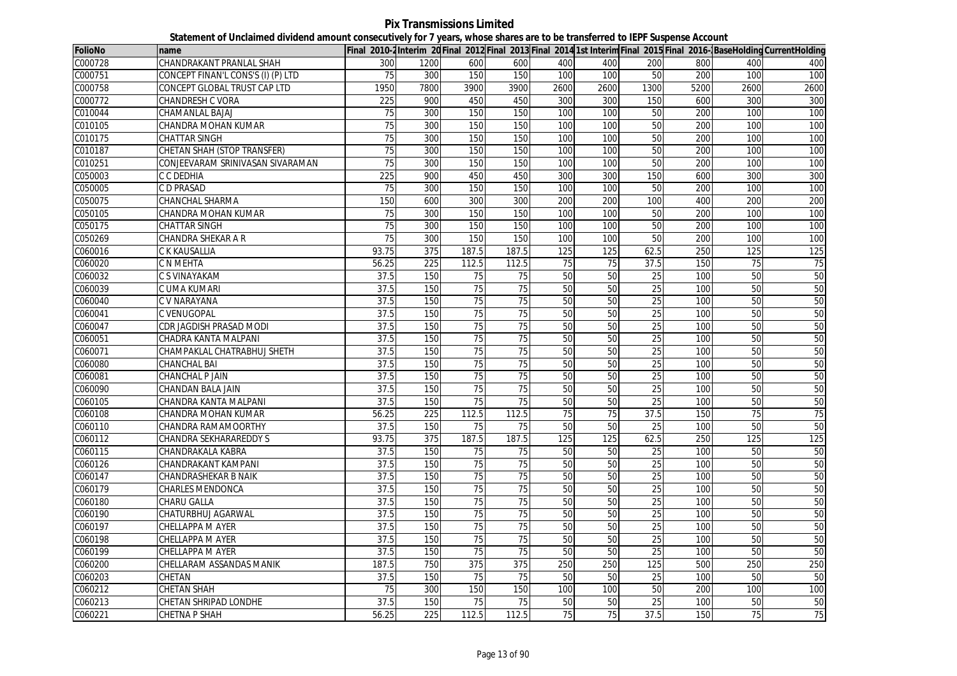| <b>FolioNo</b> | name                               |                 |      |                 |                 |      |      |                 |      |      | Final 2010-2 Interim 20 Final 2012 Final 2013 Final 2014 1st Interim Final 2015 Final 2016-BaseHolding CurrentHolding |
|----------------|------------------------------------|-----------------|------|-----------------|-----------------|------|------|-----------------|------|------|-----------------------------------------------------------------------------------------------------------------------|
| C000728        | CHANDRAKANT PRANLAL SHAH           | 300             | 1200 | 600             | 600             | 400  | 400  | 200             | 800  | 400  | 400                                                                                                                   |
| C000751        | CONCEPT FINAN'L CONS'S (I) (P) LTD | 75              | 300  | 150             | 150             | 100  | 100  | 50              | 200  | 100  | 100                                                                                                                   |
| C000758        | CONCEPT GLOBAL TRUST CAP LTD       | 1950            | 7800 | 3900            | 3900            | 2600 | 2600 | 1300            | 5200 | 2600 | 2600                                                                                                                  |
| C000772        | CHANDRESH C VORA                   | 225             | 900  | 450             | 450             | 300  | 300  | 150             | 600  | 300  | 300                                                                                                                   |
| C010044        | CHAMANLAL BAJAJ                    | 75              | 300  | 150             | 150             | 100  | 100  | 50              | 200  | 100  | 100                                                                                                                   |
| C010105        | CHANDRA MOHAN KUMAR                | 75              | 300  | 150             | 150             | 100  | 100  | 50              | 200  | 100  | 100                                                                                                                   |
| C010175        | <b>CHATTAR SINGH</b>               | $\overline{75}$ | 300  | 150             | 150             | 100  | 100  | 50              | 200  | 100  | 100                                                                                                                   |
| C010187        | <b>CHETAN SHAH (STOP TRANSFER)</b> | 75              | 300  | 150             | 150             | 100  | 100  | 50              | 200  | 100  | 100                                                                                                                   |
| CO10251        | CONJEEVARAM SRINIVASAN SIVARAMAN   | $\overline{75}$ | 300  | 150             | 150             | 100  | 100  | 50              | 200  | 100  | 100                                                                                                                   |
| C050003        | C C DEDHIA                         | 225             | 900  | 450             | 450             | 300  | 300  | 150             | 600  | 300  | 300                                                                                                                   |
| C050005        | C D PRASAD                         | 75              | 300  | 150             | 150             | 100  | 100  | 50              | 200  | 100  | 100                                                                                                                   |
| C050075        | <b>CHANCHAL SHARMA</b>             | 150             | 600  | 300             | 300             | 200  | 200  | 100             | 400  | 200  | 200                                                                                                                   |
| C050105        | CHANDRA MOHAN KUMAR                | 75              | 300  | 150             | 150             | 100  | 100  | 50              | 200  | 100  | 100                                                                                                                   |
| C050175        | <b>CHATTAR SINGH</b>               | 75              | 300  | 150             | 150             | 100  | 100  | 50              | 200  | 100  | 100                                                                                                                   |
| C050269        | CHANDRA SHEKAR A R                 | 75              | 300  | 150             | 150             | 100  | 100  | 50              | 200  | 100  | 100                                                                                                                   |
| C060016        | C K KAUSALLIA                      | 93.75           | 375  | 187.5           | 187.5           | 125  | 125  | 62.5            | 250  | 125  | 125                                                                                                                   |
| C060020        | C N MEHTA                          | 56.25           | 225  | 112.5           | 112.5           | 75   | 75   | 37.5            | 150  | 75   | 75                                                                                                                    |
| C060032        | C S VINAYAKAM                      | 37.5            | 150  | 75              | 75              | 50   | 50   | 25              | 100  | 50   | 50                                                                                                                    |
| C060039        | C UMA KUMARI                       | 37.5            | 150  | 75              | 75              | 50   | 50   | 25              | 100  | 50   | 50                                                                                                                    |
| C060040        | C V NARAYANA                       | 37.5            | 150  | 75              | 75              | 50   | 50   | 25              | 100  | 50   | 50                                                                                                                    |
| C060041        | C VENUGOPAL                        | 37.5            | 150  | 75              | 75              | 50   | 50   | 25              | 100  | 50   | 50                                                                                                                    |
| C060047        | CDR JAGDISH PRASAD MODI            | 37.5            | 150  | 75              | 75              | 50   | 50   | 25              | 100  | 50   | 50                                                                                                                    |
| C060051        | CHADRA KANTA MALPANI               | 37.5            | 150  | $\overline{75}$ | 75              | 50   | 50   | 25              | 100  | 50   | 50                                                                                                                    |
| C060071        | CHAMPAKLAL CHATRABHUJ SHETH        | 37.5            | 150  | 75              | $\overline{75}$ | 50   | 50   | $\overline{25}$ | 100  | 50   | 50                                                                                                                    |
| C060080        | CHANCHAL BAI                       | 37.5            | 150  | 75              | 75              | 50   | 50   | 25              | 100  | 50   | 50                                                                                                                    |
| C060081        | <b>CHANCHAL P JAIN</b>             | 37.5            | 150  | 75              | 75              | 50   | 50   | $\overline{25}$ | 100  | 50   | 50                                                                                                                    |
| C060090        | CHANDAN BALA JAIN                  | 37.5            | 150  | 75              | 75              | 50   | 50   | 25              | 100  | 50   | 50                                                                                                                    |
| C060105        | CHANDRA KANTA MALPANI              | 37.5            | 150  | 75              | 75              | 50   | 50   | 25              | 100  | 50   | 50                                                                                                                    |
| C060108        | CHANDRA MOHAN KUMAR                | 56.25           | 225  | 112.5           | 112.5           | 75   | 75   | 37.5            | 150  | 75   | 75                                                                                                                    |
| C060110        | CHANDRA RAMAMOORTHY                | 37.5            | 150  | 75              | 75              | 50   | 50   | 25              | 100  | 50   | 50                                                                                                                    |
| C060112        | CHANDRA SEKHARAREDDY S             | 93.75           | 375  | 187.5           | 187.5           | 125  | 125  | 62.5            | 250  | 125  | 125                                                                                                                   |
| C060115        | CHANDRAKALA KABRA                  | 37.5            | 150  | 75              | 75              | 50   | 50   | 25              | 100  | 50   | 50                                                                                                                    |
| C060126        | CHANDRAKANT KAMPANI                | 37.5            | 150  | $\overline{75}$ | $\overline{75}$ | 50   | 50   | $\overline{25}$ | 100  | 50   | 50                                                                                                                    |
| C060147        | CHANDRASHEKAR B NAIK               | 37.5            | 150  | 75              | 75              | 50   | 50   | 25              | 100  | 50   | 50                                                                                                                    |
| C060179        | <b>CHARLES MENDONCA</b>            | 37.5            | 150  | 75              | 75              | 50   | 50   | 25              | 100  | 50   | 50                                                                                                                    |
| C060180        | CHARU GALLA                        | 37.5            | 150  | 75              | 75              | 50   | 50   | 25              | 100  | 50   | 50                                                                                                                    |
| C060190        | CHATURBHUJ AGARWAL                 | 37.5            | 150  | 75              | 75              | 50   | 50   | 25              | 100  | 50   | 50                                                                                                                    |
| C060197        | CHELLAPPA M AYER                   | 37.5            | 150  | 75              | $\overline{75}$ | 50   | 50   | 25              | 100  | 50   | 50                                                                                                                    |
| C060198        | CHELLAPPA M AYER                   | 37.5            | 150  | $\overline{75}$ | $\overline{75}$ | 50   | 50   | 25              | 100  | 50   | 50                                                                                                                    |
| C060199        | CHELLAPPA M AYER                   | 37.5            | 150  | 75              | 75              | 50   | 50   | 25              | 100  | 50   | 50                                                                                                                    |
| C060200        | CHELLARAM ASSANDAS MANIK           | 187.5           | 750  | 375             | 375             | 250  | 250  | 125             | 500  | 250  | 250                                                                                                                   |
| C060203        | CHETAN                             | 37.5            | 150  | 75              | 75              | 50   | 50   | 25              | 100  | 50   | 50                                                                                                                    |
| C060212        | CHETAN SHAH                        | 75              | 300  | 150             | 150             | 100  | 100  | 50              | 200  | 100  | 100                                                                                                                   |
| C060213        | CHETAN SHRIPAD LONDHE              | 37.5            | 150  | 75              | 75              | 50   | 50   | 25              | 100  | 50   | 50                                                                                                                    |
| C060221        | CHETNA P SHAH                      | 56.25           | 225  | 112.5           | 112.5           | 75   | 75   | 37.5            | 150  | 75   | 75                                                                                                                    |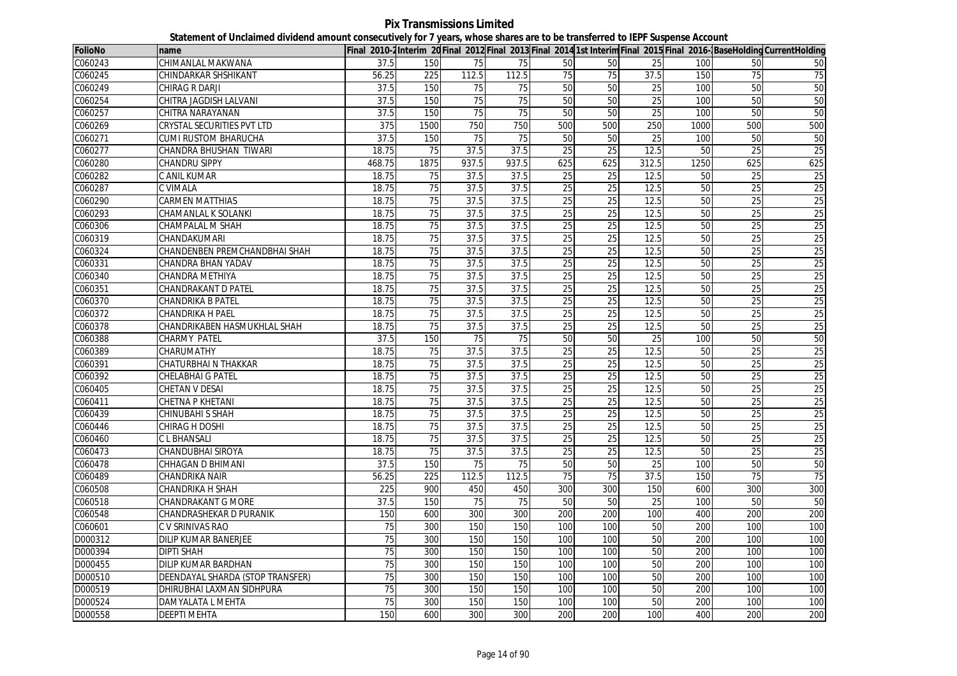**Pix Transmissions Limited Statement of Unclaimed dividend amount consecutively for 7 years, whose shares are to be transferred to IEPF Suspense Account**

| <b>FolioNo</b> | name                             |                 |      |                 |                 |                 |                 |                 |      |                 | Final 2010-2 Interim 20 Final 2012 Final 2013 Final 2014 1st Interim Final 2015 Final 2016- BaseHolding CurrentHolding |
|----------------|----------------------------------|-----------------|------|-----------------|-----------------|-----------------|-----------------|-----------------|------|-----------------|------------------------------------------------------------------------------------------------------------------------|
| C060243        | CHIMANLAL MAKWANA                | 37.5            | 150  | 75              | 75              | 50              | 50              | 25              | 100  | 50              | 50                                                                                                                     |
| C060245        | CHINDARKAR SHSHIKANT             | 56.25           | 225  | 112.5           | 112.5           | 75              | 75              | 37.5            | 150  | 75              | $\overline{75}$                                                                                                        |
| C060249        | <b>CHIRAG R DARJI</b>            | 37.5            | 150  | 75              | 75              | 50              | 50              | 25              | 100  | 50              | 50                                                                                                                     |
| C060254        | CHITRA JAGDISH LALVANI           | 37.5            | 150  | 75              | $\overline{75}$ | 50              | 50              | $\overline{25}$ | 100  | 50              | 50                                                                                                                     |
| C060257        | CHITRA NARAYANAN                 | 37.5            | 150  | 75              | 75              | 50              | 50              | 25              | 100  | 50              | 50                                                                                                                     |
| C060269        | CRYSTAL SECURITIES PVT LTD       | 375             | 1500 | 750             | 750             | 500             | 500             | 250             | 1000 | 500             | 500                                                                                                                    |
| C060271        | CUMI RUSTOM BHARUCHA             | 37.5            | 150  | 75              | 75              | 50              | 50              | 25              | 100  | 50              | 50                                                                                                                     |
| C060277        | CHANDRA BHUSHAN TIWARI           | 18.75           | 75   | 37.5            | 37.5            | 25              | 25              | 12.5            | 50   | 25              | 25                                                                                                                     |
| C060280        | <b>CHANDRU SIPPY</b>             | 468.75          | 1875 | 937.5           | 937.5           | 625             | 625             | 312.5           | 1250 | 625             | 625                                                                                                                    |
| C060282        | C ANIL KUMAR                     | 18.75           | 75   | 37.5            | 37.5            | 25              | 25              | 12.5            | 50   | 25              | 25                                                                                                                     |
| C060287        | <b>C VIMALA</b>                  | 18.75           | 75   | 37.5            | 37.5            | 25              | $\overline{25}$ | 12.5            | 50   | 25              | 25                                                                                                                     |
| C060290        | CARMEN MATTHIAS                  | 18.75           | 75   | 37.5            | 37.5            | 25              | 25              | 12.5            | 50   | 25              | 25                                                                                                                     |
| C060293        | CHAMANLAL K SOLANKI              | 18.75           | 75   | 37.5            | 37.5            | 25              | $\overline{25}$ | 12.5            | 50   | 25              | 25                                                                                                                     |
| C060306        | CHAMPALAL M SHAH                 | 18.75           | 75   | 37.5            | 37.5            | 25              | 25              | 12.5            | 50   | $\overline{25}$ | 25                                                                                                                     |
| C060319        | CHANDAKUMARI                     | 18.75           | 75   | 37.5            | 37.5            | 25              | 25              | 12.5            | 50   | $\overline{25}$ | 25                                                                                                                     |
| C060324        | CHANDENBEN PREMCHANDBHAI SHAH    | 18.75           | 75   | 37.5            | 37.5            | 25              | 25              | 12.5            | 50   | $\overline{25}$ | 25                                                                                                                     |
| C060331        | CHANDRA BHAN YADAV               | 18.75           | 75   | 37.5            | 37.5            | $\overline{25}$ | $\overline{25}$ | 12.5            | 50   | 25              | 25                                                                                                                     |
| C060340        | CHANDRA METHIYA                  | 18.75           | 75   | 37.5            | 37.5            | 25              | 25              | 12.5            | 50   | 25              | 25                                                                                                                     |
| C060351        | CHANDRAKANT D PATEL              | 18.75           | 75   | 37.5            | 37.5            | 25              | $\overline{25}$ | 12.5            | 50   | $\overline{25}$ | 25                                                                                                                     |
| C060370        | <b>CHANDRIKA B PATEL</b>         | 18.75           | 75   | 37.5            | 37.5            | 25              | 25              | 12.5            | 50   | $\overline{25}$ | 25                                                                                                                     |
| C060372        | <b>CHANDRIKA H PAEL</b>          | 18.75           | 75   | 37.5            | 37.5            | 25              | 25              | 12.5            | 50   | 25              | 25                                                                                                                     |
| C060378        | CHANDRIKABEN HASMUKHLAL SHAH     | 18.75           | 75   | 37.5            | 37.5            | 25              | $\overline{25}$ | 12.5            | 50   | $\overline{25}$ | 25                                                                                                                     |
| C060388        | CHARMY PATEL                     | 37.5            | 150  | $\overline{75}$ | 75              | 50              | 50              | $\overline{25}$ | 100  | 50              | 50                                                                                                                     |
| C060389        | CHARUMATHY                       | 18.75           | 75   | 37.5            | 37.5            | 25              | 25              | 12.5            | 50   | 25              | 25                                                                                                                     |
| C060391        | CHATURBHAI N THAKKAR             | 18.75           | 75   | 37.5            | 37.5            | 25              | 25              | 12.5            | 50   | $\overline{25}$ | 25                                                                                                                     |
| C060392        | CHELABHAI G PATEL                | 18.75           | 75   | 37.5            | 37.5            | 25              | 25              | 12.5            | 50   | 25              | 25                                                                                                                     |
| C060405        | <b>CHETAN V DESAI</b>            | 18.75           | 75   | 37.5            | 37.5            | 25              | 25              | 12.5            | 50   | 25              | 25                                                                                                                     |
| C060411        | <b>CHETNA P KHETANI</b>          | 18.75           | 75   | 37.5            | 37.5            | 25              | 25              | 12.5            | 50   | 25              | 25                                                                                                                     |
| C060439        | <b>CHINUBAHI S SHAH</b>          | 18.75           | 75   | 37.5            | 37.5            | 25              | 25              | 12.5            | 50   | 25              | 25                                                                                                                     |
| C060446        | CHIRAG H DOSHI                   | 18.75           | 75   | 37.5            | 37.5            | 25              | 25              | 12.5            | 50   | 25              | 25                                                                                                                     |
| C060460        | <b>CLBHANSALI</b>                | 18.75           | 75   | 37.5            | 37.5            | 25              | 25              | 12.5            | 50   | $\overline{25}$ | 25                                                                                                                     |
| C060473        | CHANDUBHAI SIROYA                | 18.75           | 75   | 37.5            | 37.5            | 25              | 25              | 12.5            | 50   | 25              | 25                                                                                                                     |
| C060478        | CHHAGAN D BHIMANI                | 37.5            | 150  | 75              | 75              | 50              | 50              | 25              | 100  | 50              | 50                                                                                                                     |
| C060489        | CHANDRIKA NAIR                   | 56.25           | 225  | 112.5           | 112.5           | 75              | 75              | 37.5            | 150  | 75              | 75                                                                                                                     |
| C060508        | CHANDRIKA H SHAH                 | 225             | 900  | 450             | 450             | 300             | 300             | 150             | 600  | 300             | 300                                                                                                                    |
| C060518        | CHANDRAKANT G MORE               | 37.5            | 150  | 75              | 75              | 50              | 50              | 25              | 100  | 50              | 50                                                                                                                     |
| C060548        | CHANDRASHEKAR D PURANIK          | 150             | 600  | 300             | 300             | 200             | 200             | 100             | 400  | 200             | 200                                                                                                                    |
| C060601        | C V SRINIVAS RAO                 | 75              | 300  | 150             | 150             | 100             | 100             | 50              | 200  | 100             | 100                                                                                                                    |
| D000312        | DILIP KUMAR BANERJEE             | 75              | 300  | 150             | 150             | 100             | 100             | 50              | 200  | 100             | 100                                                                                                                    |
| D000394        | DIPTI SHAH                       | 75              | 300  | 150             | 150             | 100             | 100             | 50              | 200  | 100             | 100                                                                                                                    |
| D000455        | <b>DILIP KUMAR BARDHAN</b>       | 75              | 300  | 150             | 150             | 100             | 100             | 50              | 200  | 100             | 100                                                                                                                    |
| D000510        | DEENDAYAL SHARDA (STOP TRANSFER) | 75              | 300  | 150             | 150             | 100             | 100             | 50              | 200  | 100             | 100                                                                                                                    |
| D000519        | DHIRUBHAI LAXMAN SIDHPURA        | $\overline{75}$ | 300  | 150             | 150             | 100             | 100             | 50              | 200  | 100             | 100                                                                                                                    |
| D000524        | DAMYALATA L MEHTA                | 75              | 300  | 150             | 150             | 100             | 100             | 50              | 200  | 100             | 100                                                                                                                    |
| D000558        | DEEPTI MEHTA                     | 150             | 600  | 300             | 300             | 200             | 200             | 100             | 400  | 200             | 200                                                                                                                    |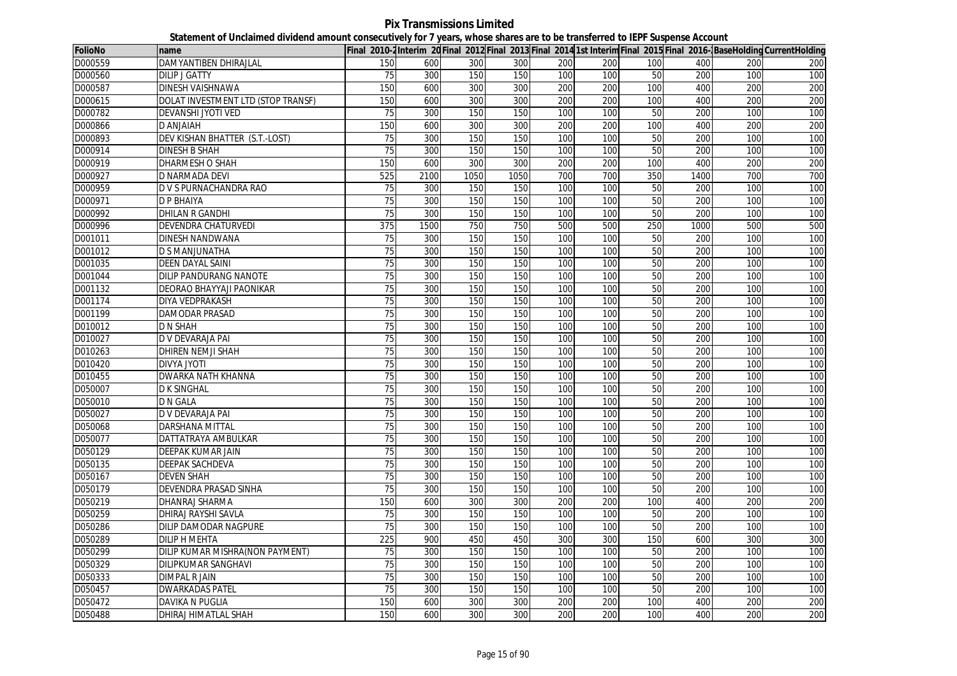**Pix Transmissions Limited Statement of Unclaimed dividend amount consecutively for 7 years, whose shares are to be transferred to IEPF Suspense Account**

| FolioNo | name                               |                 |      |      |      |     |     |                 |      |     | Final 2010-2Interim 20 Final 2012 Final 2013 Final 2014 1st Interim Final 2015 Final 2016-BaseHolding CurrentHolding |
|---------|------------------------------------|-----------------|------|------|------|-----|-----|-----------------|------|-----|----------------------------------------------------------------------------------------------------------------------|
| D000559 | DAMYANTIBEN DHIRAJLAL              | 150             | 600  | 300  | 300  | 200 | 200 | 100             | 400  | 200 | 200                                                                                                                  |
| D000560 | <b>DILIP J GATTY</b>               | 75              | 300  | 150  | 150  | 100 | 100 | 50              | 200  | 100 | 100                                                                                                                  |
| D000587 | <b>DINESH VAISHNAWA</b>            | 150             | 600  | 300  | 300  | 200 | 200 | 100             | 400  | 200 | 200                                                                                                                  |
| D000615 | DOLAT INVESTMENT LTD (STOP TRANSF) | 150             | 600  | 300  | 300  | 200 | 200 | 100             | 400  | 200 | 200                                                                                                                  |
| D000782 | <b>DEVANSHI JYOTI VED</b>          | 75              | 300  | 150  | 150  | 100 | 100 | 50              | 200  | 100 | 100                                                                                                                  |
| D000866 | <b>D ANJAIAH</b>                   | 150             | 600  | 300  | 300  | 200 | 200 | 100             | 400  | 200 | 200                                                                                                                  |
| D000893 | DEV KISHAN BHATTER (S.T.-LOST)     | 75              | 300  | 150  | 150  | 100 | 100 | 50              | 200  | 100 | 100                                                                                                                  |
| D000914 | <b>DINESH B SHAH</b>               | 75              | 300  | 150  | 150  | 100 | 100 | 50              | 200  | 100 | 100                                                                                                                  |
| D000919 | <b>DHARMESH O SHAH</b>             | 150             | 600  | 300  | 300  | 200 | 200 | 100             | 400  | 200 | 200                                                                                                                  |
| D000927 | <b>D NARMADA DEVI</b>              | 525             | 2100 | 1050 | 1050 | 700 | 700 | 350             | 1400 | 700 | 700                                                                                                                  |
| D000959 | D V S PURNACHANDRA RAO             | 75              | 300  | 150  | 150  | 100 | 100 | 50              | 200  | 100 | 100                                                                                                                  |
| D000971 | <b>D P BHAIYA</b>                  | $\overline{75}$ | 300  | 150  | 150  | 100 | 100 | 50              | 200  | 100 | 100                                                                                                                  |
| D000992 | <b>DHILAN R GANDHI</b>             | 75              | 300  | 150  | 150  | 100 | 100 | 50              | 200  | 100 | 100                                                                                                                  |
| D000996 | DEVENDRA CHATURVEDI                | 375             | 1500 | 750  | 750  | 500 | 500 | 250             | 1000 | 500 | 500                                                                                                                  |
| D001011 | DINESH NANDWANA                    | 75              | 300  | 150  | 150  | 100 | 100 | 50              | 200  | 100 | 100                                                                                                                  |
| D001012 | D S MANJUNATHA                     | 75              | 300  | 150  | 150  | 100 | 100 | 50              | 200  | 100 | 100                                                                                                                  |
| D001035 | <b>DEEN DAYAL SAINI</b>            | 75              | 300  | 150  | 150  | 100 | 100 | 50              | 200  | 100 | 100                                                                                                                  |
| D001044 | <b>DILIP PANDURANG NANOTE</b>      | 75              | 300  | 150  | 150  | 100 | 100 | 50              | 200  | 100 | 100                                                                                                                  |
| D001132 | DEORAO BHAYYAJI PAONIKAR           | 75              | 300  | 150  | 150  | 100 | 100 | 50              | 200  | 100 | 100                                                                                                                  |
| D001174 | DIYA VEDPRAKASH                    | $\overline{75}$ | 300  | 150  | 150  | 100 | 100 | 50              | 200  | 100 | 100                                                                                                                  |
| D001199 | DAMODAR PRASAD                     | 75              | 300  | 150  | 150  | 100 | 100 | 50              | 200  | 100 | 100                                                                                                                  |
| D010012 | <b>D N SHAH</b>                    | $\overline{75}$ | 300  | 150  | 150  | 100 | 100 | 50              | 200  | 100 | 100                                                                                                                  |
| D010027 | D V DEVARAJA PAI                   | 75              | 300  | 150  | 150  | 100 | 100 | 50              | 200  | 100 | 100                                                                                                                  |
| D010263 | <b>DHIREN NEMJI SHAH</b>           | 75              | 300  | 150  | 150  | 100 | 100 | 50              | 200  | 100 | 100                                                                                                                  |
| D010420 | <b>ITOYL AYVIO</b>                 | 75              | 300  | 150  | 150  | 100 | 100 | 50              | 200  | 100 | 100                                                                                                                  |
| D010455 | <b>DWARKA NATH KHANNA</b>          | 75              | 300  | 150  | 150  | 100 | 100 | 50              | 200  | 100 | 100                                                                                                                  |
| D050007 | <b>D K SINGHAL</b>                 | 75              | 300  | 150  | 150  | 100 | 100 | 50              | 200  | 100 | 100                                                                                                                  |
| D050010 | D N GALA                           | 75              | 300  | 150  | 150  | 100 | 100 | 50              | 200  | 100 | 100                                                                                                                  |
| D050027 | D V DEVARAJA PAI                   | 75              | 300  | 150  | 150  | 100 | 100 | 50              | 200  | 100 | 100                                                                                                                  |
| D050068 | DARSHANA MITTAL                    | $\overline{75}$ | 300  | 150  | 150  | 100 | 100 | 50              | 200  | 100 | 100                                                                                                                  |
| D050077 | DATTATRAYA AMBULKAR                | 75              | 300  | 150  | 150  | 100 | 100 | 50              | 200  | 100 | 100                                                                                                                  |
| D050129 | <b>DEEPAK KUMAR JAIN</b>           | 75              | 300  | 150  | 150  | 100 | 100 | 50              | 200  | 100 | 100                                                                                                                  |
| D050135 | <b>DEEPAK SACHDEVA</b>             | 75              | 300  | 150  | 150  | 100 | 100 | 50              | 200  | 100 | 100                                                                                                                  |
| D050167 | <b>DEVEN SHAH</b>                  | 75              | 300  | 150  | 150  | 100 | 100 | 50              | 200  | 100 | 100                                                                                                                  |
| D050179 | DEVENDRA PRASAD SINHA              | 75              | 300  | 150  | 150  | 100 | 100 | 50              | 200  | 100 | 100                                                                                                                  |
| D050219 | <b>DHANRAJ SHARMA</b>              | 150             | 600  | 300  | 300  | 200 | 200 | 100             | 400  | 200 | 200                                                                                                                  |
| D050259 | <b>DHIRAJ RAYSHI SAVLA</b>         | 75              | 300  | 150  | 150  | 100 | 100 | 50              | 200  | 100 | 100                                                                                                                  |
| D050286 | DILIP DAMODAR NAGPURE              | 75              | 300  | 150  | 150  | 100 | 100 | 50              | 200  | 100 | 100                                                                                                                  |
| D050289 | <b>DILIP H MEHTA</b>               | 225             | 900  | 450  | 450  | 300 | 300 | 150             | 600  | 300 | 300                                                                                                                  |
| D050299 | DILIP KUMAR MISHRA(NON PAYMENT)    | 75              | 300  | 150  | 150  | 100 | 100 | 50              | 200  | 100 | 100                                                                                                                  |
| D050329 | DILIPKUMAR SANGHAVI                | $\overline{75}$ | 300  | 150  | 150  | 100 | 100 | 50              | 200  | 100 | 100                                                                                                                  |
| D050333 | <b>DIMPAL R JAIN</b>               | 75              | 300  | 150  | 150  | 100 | 100 | $\overline{50}$ | 200  | 100 | 100                                                                                                                  |
| D050457 | <b>DWARKADAS PATEL</b>             | $\overline{75}$ | 300  | 150  | 150  | 100 | 100 | 50              | 200  | 100 | 100                                                                                                                  |
| D050472 | <b>DAVIKA N PUGLIA</b>             | 150             | 600  | 300  | 300  | 200 | 200 | 100             | 400  | 200 | 200                                                                                                                  |
| D050488 | DHIRAJ HIMATLAL SHAH               | 150             | 600  | 300  | 300  | 200 | 200 | 100             | 400  | 200 | 200                                                                                                                  |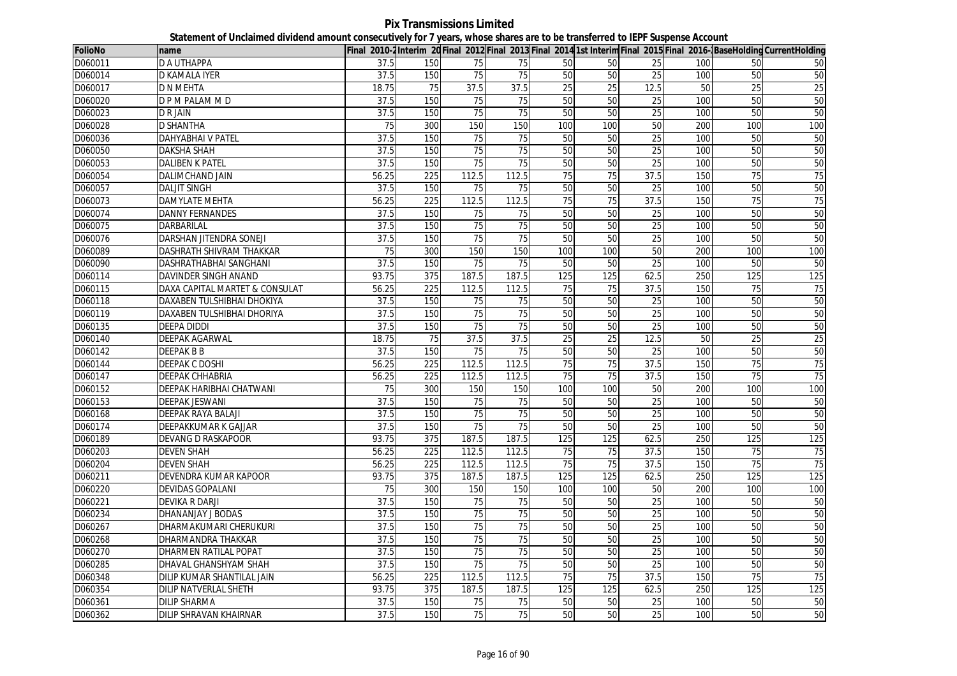**Pix Transmissions Limited Statement of Unclaimed dividend amount consecutively for 7 years, whose shares are to be transferred to IEPF Suspense Account**

| <b>FolioNo</b> | name                           |                 |                  |       |                 |                 |                 |                 |     |                 | Final 2010-2 Interim 20 Final 2012 Final 2013 Final 2014 1st Interim Final 2015 Final 2016- BaseHolding CurrentHolding |
|----------------|--------------------------------|-----------------|------------------|-------|-----------------|-----------------|-----------------|-----------------|-----|-----------------|------------------------------------------------------------------------------------------------------------------------|
| D060011        | <b>D A UTHAPPA</b>             | 37.5            | 150              | 75    | 75              | 50              | 50              | 25              | 100 | 50              | 50                                                                                                                     |
| D060014        | <b>D KAMALA IYER</b>           | 37.5            | 150              | 75    | 75              | 50              | 50              | 25              | 100 | 50              | 50                                                                                                                     |
| D060017        | <b>D N MEHTA</b>               | 18.75           | $\overline{75}$  | 37.5  | 37.5            | 25              | $\overline{25}$ | 12.5            | 50  | $\overline{25}$ | 25                                                                                                                     |
| D060020        | D P M PALAM M D                | 37.5            | 150              | 75    | 75              | 50              | 50              | 25              | 100 | 50              | 50                                                                                                                     |
| D060023        | <b>DRJAIN</b>                  | 37.5            | 150              | 75    | 75              | 50              | 50              | 25              | 100 | 50              | 50                                                                                                                     |
| D060028        | <b>D SHANTHA</b>               | 75              | 300              | 150   | 150             | 100             | 100             | 50              | 200 | 100             | 100                                                                                                                    |
| D060036        | <b>DAHYABHAI V PATEL</b>       | 37.5            | 150              | 75    | 75              | 50              | 50              | 25              | 100 | 50              | 50                                                                                                                     |
| D060050        | <b>DAKSHA SHAH</b>             | 37.5            | 150              | 75    | $\overline{75}$ | 50              | 50              | 25              | 100 | 50              | 50                                                                                                                     |
| D060053        | <b>DALIBEN K PATEL</b>         | 37.5            | 150              | 75    | 75              | 50              | 50              | 25              | 100 | 50              | 50                                                                                                                     |
| D060054        | DALIMCHAND JAIN                | 56.25           | 225              | 112.5 | 112.5           | 75              | 75              | 37.5            | 150 | $\overline{75}$ | 75                                                                                                                     |
| D060057        | <b>DALJIT SINGH</b>            | 37.5            | 150              | 75    | 75              | 50              | 50              | 25              | 100 | 50              | 50                                                                                                                     |
| D060073        | <b>DAMYLATE MEHTA</b>          | 56.25           | 225              | 112.5 | 112.5           | 75              | 75              | 37.5            | 150 | 75              | 75                                                                                                                     |
| D060074        | <b>DANNY FERNANDES</b>         | 37.5            | 150              | 75    | 75              | 50              | 50              | 25              | 100 | 50              | 50                                                                                                                     |
| D060075        | DARBARILAL                     | 37.5            | 150              | 75    | 75              | 50              | 50              | 25              | 100 | 50              | 50                                                                                                                     |
| D060076        | DARSHAN JITENDRA SONEJI        | 37.5            | 150              | 75    | 75              | 50              | 50              | 25              | 100 | 50              | 50                                                                                                                     |
| D060089        | DASHRATH SHIVRAM THAKKAR       | $\overline{75}$ | 300              | 150   | 150             | 100             | 100             | 50              | 200 | 100             | 100                                                                                                                    |
| D060090        | DASHRATHABHAI SANGHANI         | 37.5            | 150              | 75    | 75              | 50              | 50              | 25              | 100 | 50              | 50                                                                                                                     |
| D060114        | DAVINDER SINGH ANAND           | 93.75           | 375              | 187.5 | 187.5           | 125             | 125             | 62.5            | 250 | 125             | 125                                                                                                                    |
| D060115        | DAXA CAPITAL MARTET & CONSULAT | 56.25           | 225              | 112.5 | 112.5           | 75              | 75              | 37.5            | 150 | 75              | 75                                                                                                                     |
| D060118        | DAXABEN TULSHIBHAI DHOKIYA     | 37.5            | 150              | 75    | $\overline{75}$ | 50              | 50              | 25              | 100 | 50              | 50                                                                                                                     |
| D060119        | DAXABEN TULSHIBHAI DHORIYA     | 37.5            | 150              | 75    | 75              | 50              | 50              | 25              | 100 | 50              | 50                                                                                                                     |
| D060135        | <b>DEEPA DIDDI</b>             | 37.5            | 150              | 75    | 75              | 50              | 50              | 25              | 100 | 50              | 50                                                                                                                     |
| D060140        | DEEPAK AGARWAL                 | 18.75           | $\overline{75}$  | 37.5  | 37.5            | $\overline{25}$ | $\overline{25}$ | 12.5            | 50  | $\overline{25}$ | 25                                                                                                                     |
| D060142        | <b>DEEPAK B B</b>              | 37.5            | 150              | 75    | 75              | 50              | 50              | 25              | 100 | 50              | 50                                                                                                                     |
| D060144        | DEEPAK C DOSHI                 | 56.25           | 225              | 112.5 | 112.5           | 75              | 75              | 37.5            | 150 | 75              | 75                                                                                                                     |
| D060147        | <b>DEEPAK CHHABRIA</b>         | 56.25           | 225              | 112.5 | 112.5           | 75              | 75              | 37.5            | 150 | 75              | 75                                                                                                                     |
| D060152        | DEEPAK HARIBHAI CHATWANI       | 75              | 300              | 150   | 150             | 100             | 100             | 50              | 200 | 100             | 100                                                                                                                    |
| D060153        | <b>DEEPAK JESWANI</b>          | 37.5            | 150              | 75    | $\overline{75}$ | 50              | 50              | $\overline{25}$ | 100 | 50              | 50                                                                                                                     |
| D060168        | DEEPAK RAYA BALAJI             | 37.5            | 150              | 75    | 75              | 50              | 50              | 25              | 100 | 50              | 50                                                                                                                     |
| D060174        | DEEPAKKUMAR K GAJJAR           | 37.5            | 150              | 75    | 75              | 50              | 50              | 25              | 100 | 50              | 50                                                                                                                     |
| D060189        | <b>DEVANG D RASKAPOOR</b>      | 93.75           | 375              | 187.5 | 187.5           | 125             | 125             | 62.5            | 250 | 125             | 125                                                                                                                    |
| D060203        | <b>DEVEN SHAH</b>              | 56.25           | 225              | 112.5 | 112.5           | 75              | 75              | 37.5            | 150 | 75              | 75                                                                                                                     |
| D060204        | <b>DEVEN SHAH</b>              | 56.25           | 225              | 112.5 | 112.5           | 75              | 75              | 37.5            | 150 | 75              | 75                                                                                                                     |
| D060211        | DEVENDRA KUMAR KAPOOR          | 93.75           | 375              | 187.5 | 187.5           | 125             | 125             | 62.5            | 250 | 125             | 125                                                                                                                    |
| D060220        | <b>DEVIDAS GOPALANI</b>        | 75              | 300              | 150   | 150             | 100             | 100             | 50              | 200 | 100             | 100                                                                                                                    |
| D060221        | DEVIKA R DARJI                 | 37.5            | 150              | 75    | 75              | 50              | 50              | $\overline{25}$ | 100 | 50              | 50                                                                                                                     |
| D060234        | DHANANJAY J BODAS              | 37.5            | 150              | 75    | $\overline{75}$ | 50              | $\overline{50}$ | 25              | 100 | 50              | 50                                                                                                                     |
| D060267        | DHARMAKUMARI CHERUKURI         | 37.5            | 150              | 75    | 75              | 50              | 50              | 25              | 100 | 50              | 50                                                                                                                     |
| D060268        | DHARMANDRA THAKKAR             | 37.5            | 150              | 75    | 75              | 50              | 50              | 25              | 100 | 50              | 50                                                                                                                     |
| D060270        | DHARMEN RATILAL POPAT          | 37.5            | 150              | 75    | 75              | 50              | 50              | 25              | 100 | 50              | 50                                                                                                                     |
| D060285        | DHAVAL GHANSHYAM SHAH          | 37.5            | 150              | 75    | 75              | 50              | 50              | 25              | 100 | 50              | 50                                                                                                                     |
| D060348        | DILIP KUMAR SHANTILAL JAIN     | 56.25           | $\overline{225}$ | 112.5 | 112.5           | 75              | 75              | 37.5            | 150 | 75              | 75                                                                                                                     |
| D060354        | <b>DILIP NATVERLAL SHETH</b>   | 93.75           | 375              | 187.5 | 187.5           | 125             | 125             | 62.5            | 250 | 125             | 125                                                                                                                    |
| D060361        | <b>DILIP SHARMA</b>            | 37.5            | 150              | 75    | 75              | 50              | 50              | 25              | 100 | 50              | 50                                                                                                                     |
| D060362        | <b>DILIP SHRAVAN KHAIRNAR</b>  | 37.5            | 150              | 75    | 75              | 50              | 50              | 25              | 100 | 50              | 50                                                                                                                     |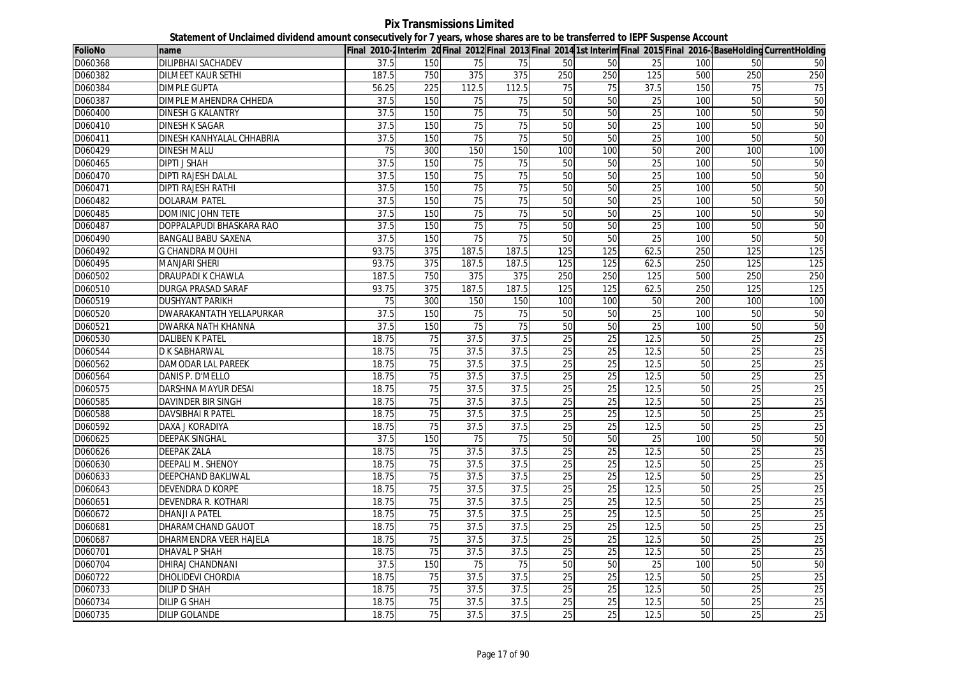**Pix Transmissions Limited Statement of Unclaimed dividend amount consecutively for 7 years, whose shares are to be transferred to IEPF Suspense Account**

| <b>FolioNo</b> | name                      |                 |                 |       |                 |                 |                 |                 |     |                 | Final 2010-2 Interim 20 Final 2012 Final 2013 Final 2014 1st Interim Final 2015 Final 2016- BaseHolding CurrentHolding |
|----------------|---------------------------|-----------------|-----------------|-------|-----------------|-----------------|-----------------|-----------------|-----|-----------------|------------------------------------------------------------------------------------------------------------------------|
| D060368        | <b>DILIPBHAI SACHADEV</b> | 37.5            | 150             | 75    | 75              | 50              | 50              | 25              | 100 | 50              | 50                                                                                                                     |
| D060382        | <b>DILMEET KAUR SETHI</b> | 187.5           | 750             | 375   | 375             | 250             | 250             | 125             | 500 | 250             | 250                                                                                                                    |
| D060384        | <b>DIMPLE GUPTA</b>       | 56.25           | 225             | 112.5 | 112.5           | 75              | 75              | 37.5            | 150 | 75              | 75                                                                                                                     |
| D060387        | DIMPLE MAHENDRA CHHEDA    | 37.5            | 150             | 75    | 75              | 50              | 50              | 25              | 100 | 50              | 50                                                                                                                     |
| D060400        | <b>DINESH G KALANTRY</b>  | 37.5            | 150             | 75    | 75              | 50              | 50              | 25              | 100 | 50              | 50                                                                                                                     |
| D060410        | <b>DINESH K SAGAR</b>     | 37.5            | 150             | 75    | $\overline{75}$ | 50              | 50              | $\overline{25}$ | 100 | 50              | 50                                                                                                                     |
| D060411        | DINESH KANHYALAL CHHABRIA | 37.5            | 150             | 75    | 75              | 50              | 50              | 25              | 100 | 50              | 50                                                                                                                     |
| D060429        | <b>DINESH MALU</b>        | 75              | 300             | 150   | 150             | 100             | 100             | 50              | 200 | 100             | 100                                                                                                                    |
| D060465        | DIPTI J SHAH              | 37.5            | 150             | 75    | 75              | 50              | 50              | 25              | 100 | 50              | 50                                                                                                                     |
| D060470        | <b>DIPTI RAJESH DALAL</b> | 37.5            | 150             | 75    | 75              | 50              | 50              | 25              | 100 | 50              | 50                                                                                                                     |
| D060471        | <b>DIPTI RAJESH RATHI</b> | 37.5            | 150             | 75    | 75              | 50              | 50              | 25              | 100 | 50              | 50                                                                                                                     |
| D060482        | <b>DOLARAM PATEL</b>      | 37.5            | 150             | 75    | 75              | 50              | 50              | 25              | 100 | 50              | 50                                                                                                                     |
| D060485        | <b>DOMINIC JOHN TETE</b>  | 37.5            | 150             | 75    | 75              | 50              | 50              | 25              | 100 | 50              | 50                                                                                                                     |
| D060487        | DOPPALAPUDI BHASKARA RAO  | 37.5            | 150             | 75    | 75              | 50              | 50              | $\overline{25}$ | 100 | 50              | 50                                                                                                                     |
| D060490        | BANGALI BABU SAXENA       | 37.5            | 150             | 75    | 75              | 50              | 50              | 25              | 100 | 50              | 50                                                                                                                     |
| D060492        | G CHANDRA MOUHI           | 93.75           | 375             | 187.5 | 187.5           | 125             | 125             | 62.5            | 250 | 125             | 125                                                                                                                    |
| D060495        | <b>MANJARI SHERI</b>      | 93.75           | 375             | 187.5 | 187.5           | 125             | 125             | 62.5            | 250 | 125             | 125                                                                                                                    |
| D060502        | DRAUPADI K CHAWLA         | 187.5           | 750             | 375   | 375             | 250             | 250             | 125             | 500 | 250             | 250                                                                                                                    |
| D060510        | <b>DURGA PRASAD SARAF</b> | 93.75           | 375             | 187.5 | 187.5           | 125             | 125             | 62.5            | 250 | 125             | 125                                                                                                                    |
| D060519        | <b>DUSHYANT PARIKH</b>    | $\overline{75}$ | 300             | 150   | 150             | 100             | 100             | 50              | 200 | 100             | 100                                                                                                                    |
| D060520        | DWARAKANTATH YELLAPURKAR  | 37.5            | 150             | 75    | 75              | 50              | 50              | 25              | 100 | 50              | 50                                                                                                                     |
| D060521        | DWARKA NATH KHANNA        | 37.5            | 150             | 75    | 75              | 50              | 50              | 25              | 100 | 50              | 50                                                                                                                     |
| D060530        | <b>DALIBEN K PATEL</b>    | 18.75           | $\overline{75}$ | 37.5  | 37.5            | $\overline{25}$ | $\overline{25}$ | 12.5            | 50  | $\overline{25}$ | 25                                                                                                                     |
| D060544        | D K SABHARWAL             | 18.75           | 75              | 37.5  | 37.5            | 25              | 25              | 12.5            | 50  | 25              | 25                                                                                                                     |
| D060562        | <b>DAMODAR LAL PAREEK</b> | 18.75           | $\overline{75}$ | 37.5  | 37.5            | $\overline{25}$ | $\overline{25}$ | 12.5            | 50  | $\overline{25}$ | 25                                                                                                                     |
| D060564        | DANIS P. D'MELLO          | 18.75           | $\overline{75}$ | 37.5  | 37.5            | 25              | 25              | 12.5            | 50  | 25              | 25                                                                                                                     |
| D060575        | DARSHNA MAYUR DESAI       | 18.75           | 75              | 37.5  | 37.5            | 25              | 25              | 12.5            | 50  | 25              | 25                                                                                                                     |
| D060585        | <b>DAVINDER BIR SINGH</b> | 18.75           | 75              | 37.5  | 37.5            | 25              | 25              | 12.5            | 50  | $\overline{25}$ | 25                                                                                                                     |
| D060588        | <b>DAVSIBHAI R PATEL</b>  | 18.75           | 75              | 37.5  | 37.5            | 25              | 25              | 12.5            | 50  | 25              | 25                                                                                                                     |
| D060592        | DAXA J KORADIYA           | 18.75           | 75              | 37.5  | 37.5            | 25              | 25              | 12.5            | 50  | 25              | $\overline{25}$                                                                                                        |
| D060625        | <b>DEEPAK SINGHAL</b>     | 37.5            | 150             | 75    | 75              | 50              | 50              | 25              | 100 | 50              | 50                                                                                                                     |
| D060626        | <b>DEEPAK ZALA</b>        | 18.75           | 75              | 37.5  | 37.5            | 25              | 25              | 12.5            | 50  | 25              | 25                                                                                                                     |
| D060630        | <b>DEEPALI M. SHENOY</b>  | 18.75           | 75              | 37.5  | 37.5            | 25              | 25              | 12.5            | 50  | 25              | 25                                                                                                                     |
| D060633        | DEEPCHAND BAKLIWAL        | 18.75           | 75              | 37.5  | 37.5            | 25              | 25              | 12.5            | 50  | 25              | 25                                                                                                                     |
| D060643        | <b>DEVENDRA D KORPE</b>   | 18.75           | 75              | 37.5  | 37.5            | 25              | 25              | 12.5            | 50  | 25              | 25                                                                                                                     |
| D060651        | DEVENDRA R. KOTHARI       | 18.75           | $\overline{75}$ | 37.5  | 37.5            | 25              | 25              | 12.5            | 50  | 25              | 25                                                                                                                     |
| D060672        | <b>DHANJI A PATEL</b>     | 18.75           | 75              | 37.5  | 37.5            | 25              | 25              | 12.5            | 50  | 25              | 25                                                                                                                     |
| D060681        | DHARAMCHAND GAUOT         | 18.75           | 75              | 37.5  | 37.5            | $\overline{25}$ | $\overline{25}$ | 12.5            | 50  | $\overline{25}$ | 25                                                                                                                     |
| D060687        | DHARMENDRA VEER HAJELA    | 18.75           | 75              | 37.5  | 37.5            | 25              | 25              | 12.5            | 50  | $\overline{25}$ | 25                                                                                                                     |
| D060701        | DHAVAL P SHAH             | 18.75           | 75              | 37.5  | 37.5            | 25              | 25              | 12.5            | 50  | 25              | 25                                                                                                                     |
| D060704        | DHIRAJ CHANDNANI          | 37.5            | 150             | 75    | 75              | 50              | 50              | 25              | 100 | 50              | 50                                                                                                                     |
| D060722        | DHOLIDEVI CHORDIA         | 18.75           | $\overline{75}$ | 37.5  | 37.5            | 25              | $\overline{25}$ | 12.5            | 50  | $\overline{25}$ | 25                                                                                                                     |
| D060733        | <b>DILIP D SHAH</b>       | 18.75           | 75              | 37.5  | 37.5            | 25              | 25              | 12.5            | 50  | 25              | 25                                                                                                                     |
| D060734        | <b>DILIP G SHAH</b>       | 18.75           | 75              | 37.5  | 37.5            | 25              | 25              | 12.5            | 50  | 25              | 25                                                                                                                     |
| D060735        | <b>DILIP GOLANDE</b>      | 18.75           | 75              | 37.5  | 37.5            | 25              | 25              | 12.5            | 50  | 25              | 25                                                                                                                     |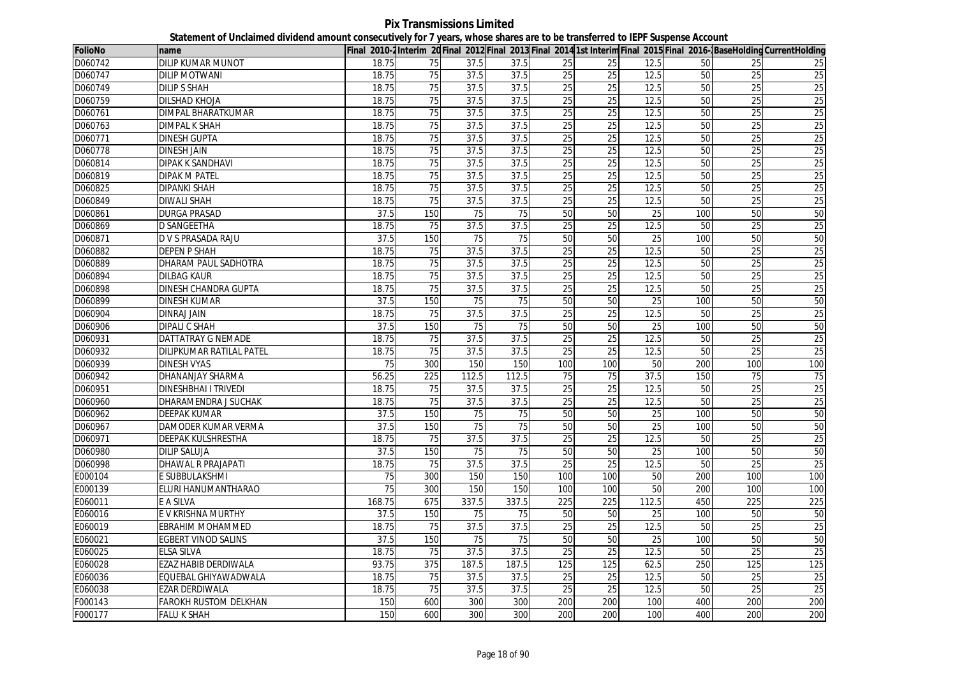**Pix Transmissions Limited Statement of Unclaimed dividend amount consecutively for 7 years, whose shares are to be transferred to IEPF Suspense Account**

| FolioNo | Iname                       |        |                 |       |       |                 |                 |       |     |                 | Final 2010-2Interim 20 Final 2012 Final 2013 Final 2014 1st Interim Final 2015 Final 2016-BaseHolding CurrentHolding |
|---------|-----------------------------|--------|-----------------|-------|-------|-----------------|-----------------|-------|-----|-----------------|----------------------------------------------------------------------------------------------------------------------|
| D060742 | <b>DILIP KUMAR MUNOT</b>    | 18.75  | 75              | 37.5  | 37.5  | 25              | 25              | 12.5  | 50  | 25              | 25                                                                                                                   |
| D060747 | <b>DILIP MOTWANI</b>        | 18.75  | 75              | 37.5  | 37.5  | 25              | 25              | 12.5  | 50  | 25              | 25                                                                                                                   |
| D060749 | <b>DILIPS SHAH</b>          | 18.75  | 75              | 37.5  | 37.5  | 25              | $\overline{25}$ | 12.5  | 50  | $\overline{25}$ | 25                                                                                                                   |
| D060759 | DILSHAD KHOJA               | 18.75  | 75              | 37.5  | 37.5  | 25              | 25              | 12.5  | 50  | 25              | 25                                                                                                                   |
| D060761 | <b>DIMPAL BHARATKUMAR</b>   | 18.75  | 75              | 37.5  | 37.5  | 25              | 25              | 12.5  | 50  | 25              | 25                                                                                                                   |
| D060763 | <b>DIMPAL K SHAH</b>        | 18.75  | 75              | 37.5  | 37.5  | $\overline{25}$ | $\overline{25}$ | 12.5  | 50  | $\overline{25}$ | 25                                                                                                                   |
| D060771 | <b>DINESH GUPTA</b>         | 18.75  | 75              | 37.5  | 37.5  | 25              | 25              | 12.5  | 50  | 25              | 25                                                                                                                   |
| D060778 | <b>DINESH JAIN</b>          | 18.75  | 75              | 37.5  | 37.5  | 25              | $\overline{25}$ | 12.5  | 50  | 25              | 25                                                                                                                   |
| D060814 | <b>DIPAK K SANDHAVI</b>     | 18.75  | 75              | 37.5  | 37.5  | 25              | 25              | 12.5  | 50  | 25              | 25                                                                                                                   |
| D060819 | <b>DIPAK M PATEL</b>        | 18.75  | 75              | 37.5  | 37.5  | $\overline{25}$ | 25              | 12.5  | 50  | 25              | 25                                                                                                                   |
| D060825 | <b>DIPANKI SHAH</b>         | 18.75  | 75              | 37.5  | 37.5  | 25              | 25              | 12.5  | 50  | 25              | 25                                                                                                                   |
| D060849 | <b>DIWALI SHAH</b>          | 18.75  | 75              | 37.5  | 37.5  | 25              | 25              | 12.5  | 50  | 25              | 25                                                                                                                   |
| D060861 | <b>DURGA PRASAD</b>         | 37.5   | 150             | 75    | 75    | 50              | 50              | 25    | 100 | 50              | 50                                                                                                                   |
| D060869 | <b>D SANGEETHA</b>          | 18.75  | 75              | 37.5  | 37.5  | $\overline{25}$ | $\overline{25}$ | 12.5  | 50  | $\overline{25}$ | 25                                                                                                                   |
| D060871 | D V S PRASADA RAJU          | 37.5   | 150             | 75    | 75    | 50              | 50              | 25    | 100 | 50              | 50                                                                                                                   |
| D060882 | <b>DEPEN P SHAH</b>         | 18.75  | 75              | 37.5  | 37.5  | $\overline{25}$ | 25              | 12.5  | 50  | 25              | 25                                                                                                                   |
| D060889 | DHARAM PAUL SADHOTRA        | 18.75  | 75              | 37.5  | 37.5  | 25              | 25              | 12.5  | 50  | 25              | 25                                                                                                                   |
| D060894 | <b>DILBAG KAUR</b>          | 18.75  | 75              | 37.5  | 37.5  | $\overline{25}$ | $\overline{25}$ | 12.5  | 50  | 25              | 25                                                                                                                   |
| D060898 | DINESH CHANDRA GUPTA        | 18.75  | 75              | 37.5  | 37.5  | $\overline{25}$ | $\overline{25}$ | 12.5  | 50  | 25              | 25                                                                                                                   |
| D060899 | <b>DINESH KUMAR</b>         | 37.5   | 150             | 75    | 75    | 50              | 50              | 25    | 100 | 50              | 50                                                                                                                   |
| D060904 | <b>DINRAJ JAIN</b>          | 18.75  | 75              | 37.5  | 37.5  | 25              | 25              | 12.5  | 50  | 25              | 25                                                                                                                   |
| D060906 | <b>DIPALI C SHAH</b>        | 37.5   | 150             | 75    | 75    | 50              | 50              | 25    | 100 | 50              | 50                                                                                                                   |
| D060931 | DATTATRAY G NEMADE          | 18.75  | 75              | 37.5  | 37.5  | $\overline{25}$ | $\overline{25}$ | 12.5  | 50  | 25              | 25                                                                                                                   |
| D060932 | DILIPKUMAR RATILAL PATEL    | 18.75  | 75              | 37.5  | 37.5  | 25              | 25              | 12.5  | 50  | 25              | 25                                                                                                                   |
| D060939 | <b>DINESH VYAS</b>          | 75     | 300             | 150   | 150   | 100             | 100             | 50    | 200 | 100             | 100                                                                                                                  |
| D060942 | <b>DHANANJAY SHARMA</b>     | 56.25  | 225             | 112.5 | 112.5 | 75              | 75              | 37.5  | 150 | 75              | 75                                                                                                                   |
| D060951 | <b>DINESHBHAI I TRIVEDI</b> | 18.75  | 75              | 37.5  | 37.5  | $\overline{25}$ | $\overline{25}$ | 12.5  | 50  | 25              | $\overline{25}$                                                                                                      |
| D060960 | DHARAMENDRA J SUCHAK        | 18.75  | 75              | 37.5  | 37.5  | 25              | 25              | 12.5  | 50  | 25              | 25                                                                                                                   |
| D060962 | <b>DEEPAK KUMAR</b>         | 37.5   | 150             | 75    | 75    | 50              | 50              | 25    | 100 | 50              | 50                                                                                                                   |
| D060967 | DAMODER KUMAR VERMA         | 37.5   | 150             | 75    | 75    | 50              | 50              | 25    | 100 | 50              | 50                                                                                                                   |
| D060971 | DEEPAK KULSHRESTHA          | 18.75  | 75              | 37.5  | 37.5  | 25              | 25              | 12.5  | 50  | 25              | 25                                                                                                                   |
| D060980 | <b>DILIP SALUJA</b>         | 37.5   | 150             | 75    | 75    | 50              | 50              | 25    | 100 | 50              | 50                                                                                                                   |
| D060998 | DHAWAL R PRAJAPATI          | 18.75  | 75              | 37.5  | 37.5  | 25              | 25              | 12.5  | 50  | 25              | 25                                                                                                                   |
| E000104 | E SUBBULAKSHMI              | 75     | 300             | 150   | 150   | 100             | 100             | 50    | 200 | 100             | 100                                                                                                                  |
| E000139 | ELURI HANUMANTHARAO         | 75     | 300             | 150   | 150   | 100             | 100             | 50    | 200 | 100             | 100                                                                                                                  |
| E060011 | E A SILVA                   | 168.75 | 675             | 337.5 | 337.5 | 225             | 225             | 112.5 | 450 | 225             | 225                                                                                                                  |
| E060016 | E V KRISHNA MURTHY          | 37.5   | 150             | 75    | 75    | 50              | 50              | 25    | 100 | 50              | 50                                                                                                                   |
| E060019 | EBRAHIM MOHAMMED            | 18.75  | 75              | 37.5  | 37.5  | 25              | 25              | 12.5  | 50  | 25              | 25                                                                                                                   |
| E060021 | EGBERT VINOD SALINS         | 37.5   | 150             | 75    | 75    | 50              | $\overline{50}$ | 25    | 100 | 50              | 50                                                                                                                   |
| E060025 | ELSA SILVA                  | 18.75  | 75              | 37.5  | 37.5  | 25              | 25              | 12.5  | 50  | 25              | 25                                                                                                                   |
| E060028 | EZAZ HABIB DERDIWALA        | 93.75  | 375             | 187.5 | 187.5 | 125             | 125             | 62.5  | 250 | 125             | 125                                                                                                                  |
| E060036 | EQUEBAL GHIYAWADWALA        | 18.75  | 75              | 37.5  | 37.5  | 25              | 25              | 12.5  | 50  | 25              | 25                                                                                                                   |
| E060038 | <b>EZAR DERDIWALA</b>       | 18.75  | $\overline{75}$ | 37.5  | 37.5  | 25              | $\overline{25}$ | 12.5  | 50  | $\overline{25}$ | 25                                                                                                                   |
| F000143 | FAROKH RUSTOM DELKHAN       | 150    | 600             | 300   | 300   | 200             | 200             | 100   | 400 | 200             | 200                                                                                                                  |
| F000177 | <b>FALU K SHAH</b>          | 150    | 600             | 300   | 300   | 200             | 200             | 100   | 400 | 200             | 200                                                                                                                  |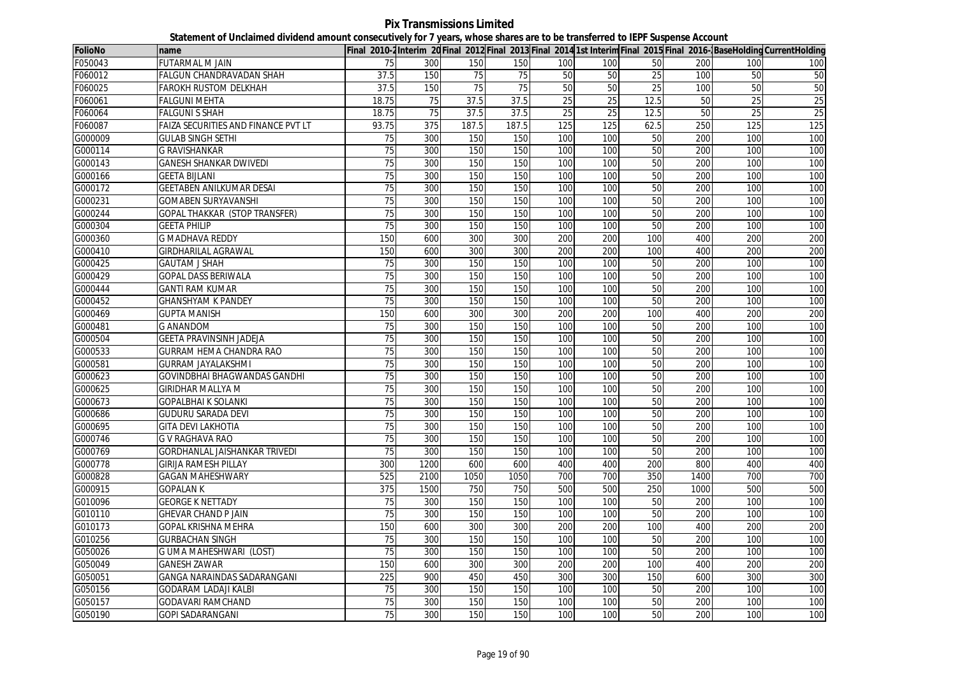**Pix Transmissions Limited Statement of Unclaimed dividend amount consecutively for 7 years, whose shares are to be transferred to IEPF Suspense Account**

| <b>FolioNo</b> | name                                       |                 |      |       |       |     |     |      |            |                  | Final 2010-2Interim 20 Final 2012 Final 2013 Final 2014 1st Interim Final 2015 Final 2016-BaseHolding CurrentHolding |
|----------------|--------------------------------------------|-----------------|------|-------|-------|-----|-----|------|------------|------------------|----------------------------------------------------------------------------------------------------------------------|
| F050043        | <b>FUTARMAL M JAIN</b>                     | 75              | 300  | 150   | 150   | 100 | 100 | 50   | 200        | 100              | 100                                                                                                                  |
| F060012        | FALGUN CHANDRAVADAN SHAH                   | 37.5            | 150  | 75    | 75    | 50  | 50  | 25   | <b>100</b> | 50               | 50                                                                                                                   |
| F060025        | <b>FAROKH RUSTOM DELKHAH</b>               | 37.5            | 150  | 75    | 75    | 50  | 50  | 25   | 100        | 50               | 50                                                                                                                   |
| F060061        | FALGUNI MEHTA                              | 18.75           | 75   | 37.5  | 37.5  | 25  | 25  | 12.5 | 50         | 25               | $\overline{25}$                                                                                                      |
| F060064        | <b>FALGUNI S SHAH</b>                      | 18.75           | 75   | 37.5  | 37.5  | 25  | 25  | 12.5 | 50         | 25               | 25                                                                                                                   |
| F060087        | <b>FAIZA SECURITIES AND FINANCE PVT LT</b> | 93.75           | 375  | 187.5 | 187.5 | 125 | 125 | 62.5 | 250        | 125              | 125                                                                                                                  |
| G000009        | <b>GULAB SINGH SETHI</b>                   | 75              | 300  | 150   | 150   | 100 | 100 | 50   | 200        | 100              | 100                                                                                                                  |
| G000114        | <b>G RAVISHANKAR</b>                       | 75              | 300  | 150   | 150   | 100 | 100 | 50   | 200        | 100              | 100                                                                                                                  |
| G000143        | <b>GANESH SHANKAR DWIVEDI</b>              | 75              | 300  | 150   | 150   | 100 | 100 | 50   | 200        | 100              | 100                                                                                                                  |
| G000166        | <b>GEETA BIJLANI</b>                       | 75              | 300  | 150   | 150   | 100 | 100 | 50   | 200        | 100              | 100                                                                                                                  |
| G000172        | GEETABEN ANILKUMAR DESAI                   | 75              | 300  | 150   | 150   | 100 | 100 | 50   | 200        | 100              | 100                                                                                                                  |
| G000231        | <b>GOMABEN SURYAVANSHI</b>                 | 75              | 300  | 150   | 150   | 100 | 100 | 50   | 200        | 100              | 100                                                                                                                  |
| G000244        | <b>GOPAL THAKKAR (STOP TRANSFER)</b>       | 75              | 300  | 150   | 150   | 100 | 100 | 50   | 200        | 100              | 100                                                                                                                  |
| G000304        | <b>GEETA PHILIP</b>                        | 75              | 300  | 150   | 150   | 100 | 100 | 50   | 200        | 100              | 100                                                                                                                  |
| G000360        | <b>G MADHAVA REDDY</b>                     | 150             | 600  | 300   | 300   | 200 | 200 | 100  | 400        | 200              | 200                                                                                                                  |
| G000410        | GIRDHARILAL AGRAWAL                        | 150             | 600  | 300   | 300   | 200 | 200 | 100  | 400        | 200              | 200                                                                                                                  |
| G000425        | <b>GAUTAM J SHAH</b>                       | 75              | 300  | 150   | 150   | 100 | 100 | 50   | 200        | 100              | 100                                                                                                                  |
| G000429        | <b>GOPAL DASS BERIWALA</b>                 | 75              | 300  | 150   | 150   | 100 | 100 | 50   | 200        | 100              | 100                                                                                                                  |
| G000444        | <b>GANTI RAM KUMAR</b>                     | 75              | 300  | 150   | 150   | 100 | 100 | 50   | 200        | 100              | 100                                                                                                                  |
| G000452        | <b>GHANSHYAM K PANDEY</b>                  | 75              | 300  | 150   | 150   | 100 | 100 | 50   | 200        | 100              | 100                                                                                                                  |
| G000469        | <b>GUPTA MANISH</b>                        | 150             | 600  | 300   | 300   | 200 | 200 | 100  | 400        | 200              | 200                                                                                                                  |
| G000481        | <b>G ANANDOM</b>                           | 75              | 300  | 150   | 150   | 100 | 100 | 50   | 200        | 100              | 100                                                                                                                  |
| G000504        | GEETA PRAVINSINH JADEJA                    | 75              | 300  | 150   | 150   | 100 | 100 | 50   | 200        | 100              | 100                                                                                                                  |
| G000533        | GURRAM HEMA CHANDRA RAO                    | 75              | 300  | 150   | 150   | 100 | 100 | 50   | 200        | 100              | 100                                                                                                                  |
| G000581        | <b>GURRAM JAYALAKSHMI</b>                  | 75              | 300  | 150   | 150   | 100 | 100 | 50   | 200        | 100              | 100                                                                                                                  |
| G000623        | GOVINDBHAI BHAGWANDAS GANDHI               | 75              | 300  | 150   | 150   | 100 | 100 | 50   | 200        | 100              | 100                                                                                                                  |
| G000625        | GIRIDHAR MALLYA M                          | 75              | 300  | 150   | 150   | 100 | 100 | 50   | 200        | 100              | 100                                                                                                                  |
| G000673        | <b>GOPALBHAI K SOLANKI</b>                 | 75              | 300  | 150   | 150   | 100 | 100 | 50   | 200        | 100              | 100                                                                                                                  |
| G000686        | <b>GUDURU SARADA DEVI</b>                  | 75              | 300  | 150   | 150   | 100 | 100 | 50   | 200        | 100              | 100                                                                                                                  |
| G000695        | <b>GITA DEVI LAKHOTIA</b>                  | $\overline{75}$ | 300  | 150   | 150   | 100 | 100 | 50   | 200        | 100              | 100                                                                                                                  |
| G000746        | <b>G V RAGHAVA RAO</b>                     | 75              | 300  | 150   | 150   | 100 | 100 | 50   | 200        | 100              | 100                                                                                                                  |
| G000769        | <b>GORDHANLAL JAISHANKAR TRIVEDI</b>       | 75              | 300  | 150   | 150   | 100 | 100 | 50   | 200        | 100              | 100                                                                                                                  |
| G000778        | <b>GIRIJA RAMESH PILLAY</b>                | 300             | 1200 | 600   | 600   | 400 | 400 | 200  | 800        | 400              | 400                                                                                                                  |
| G000828        | GAGAN MAHESHWARY                           | 525             | 2100 | 1050  | 1050  | 700 | 700 | 350  | 1400       | 700              | 700                                                                                                                  |
| G000915        | <b>GOPALAN K</b>                           | 375             | 1500 | 750   | 750   | 500 | 500 | 250  | 1000       | 500              | 500                                                                                                                  |
| G010096        | <b>GEORGE K NETTADY</b>                    | 75              | 300  | 150   | 150   | 100 | 100 | 50   | 200        | 100              | 100                                                                                                                  |
| G010110        | <b>GHEVAR CHAND P JAIN</b>                 | 75              | 300  | 150   | 150   | 100 | 100 | 50   | 200        | 100              | 100                                                                                                                  |
| G010173        | GOPAL KRISHNA MEHRA                        | 150             | 600  | 300   | 300   | 200 | 200 | 100  | 400        | 200              | 200                                                                                                                  |
| G010256        | <b>GURBACHAN SINGH</b>                     | 75              | 300  | 150   | 150   | 100 | 100 | 50   | 200        | 100              | 100                                                                                                                  |
| G050026        | G UMA MAHESHWARI (LOST)                    | 75              | 300  | 150   | 150   | 100 | 100 | 50   | 200        | 100              | 100                                                                                                                  |
| G050049        | GANESH ZAWAR                               | 150             | 600  | 300   | 300   | 200 | 200 | 100  | 400        | 200              | 200                                                                                                                  |
| G050051        | <b>GANGA NARAINDAS SADARANGANI</b>         | 225             | 900  | 450   | 450   | 300 | 300 | 150  | 600        | 300              | 300                                                                                                                  |
| G050156        | <b>GODARAM LADAJI KALBI</b>                | 75              | 300  | 150   | 150   | 100 | 100 | 50   | 200        | 100              | 100                                                                                                                  |
| G050157        | <b>GODAVARI RAMCHAND</b>                   | 75              | 300  | 150   | 150   | 100 | 100 | 50   | 200        | 100 <sub>l</sub> | 100                                                                                                                  |
| G050190        | <b>GOPI SADARANGANI</b>                    | 75              | 300  | 150   | 150   | 100 | 100 | 50   | 200        | 100              | 100                                                                                                                  |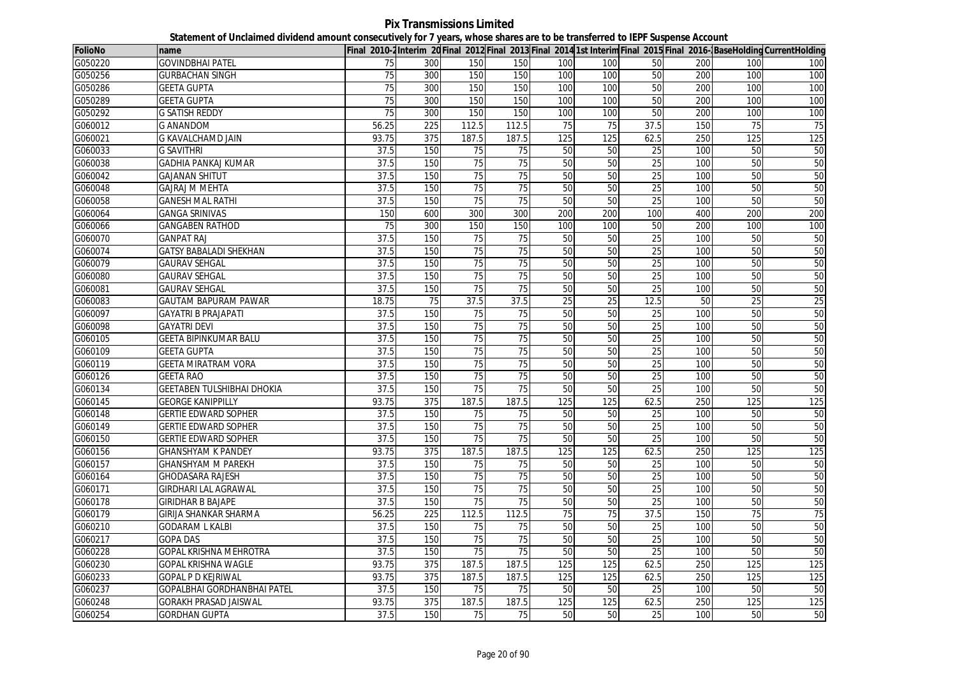**Pix Transmissions Limited Statement of Unclaimed dividend amount consecutively for 7 years, whose shares are to be transferred to IEPF Suspense Account**

| FolioNo | name                          |       |                  |                 |                 |     |                 |                 |     |     | Final 2010-2 Interim 20 Final 2012 Final 2013 Final 2014 1st Interim Final 2015 Final 2016- BaseHolding CurrentHolding |
|---------|-------------------------------|-------|------------------|-----------------|-----------------|-----|-----------------|-----------------|-----|-----|------------------------------------------------------------------------------------------------------------------------|
| G050220 | <b>GOVINDBHAI PATEL</b>       | 75    | 300              | 150             | 150             | 100 | 100             | 50              | 200 | 100 | 100                                                                                                                    |
| G050256 | <b>GURBACHAN SINGH</b>        | 75    | 300              | 150             | 150             | 100 | 100             | 50              | 200 | 100 | 100                                                                                                                    |
| G050286 | <b>GEETA GUPTA</b>            | 75    | 300              | 150             | 150             | 100 | 100             | 50              | 200 | 100 | 100                                                                                                                    |
| G050289 | <b>GEETA GUPTA</b>            | 75    | 300              | 150             | 150             | 100 | 100             | 50              | 200 | 100 | 100                                                                                                                    |
| G050292 | <b>G SATISH REDDY</b>         | 75    | 300              | 150             | 150             | 100 | 100             | 50              | 200 | 100 | 100                                                                                                                    |
| G060012 | <b>G ANANDOM</b>              | 56.25 | 225              | 112.5           | 112.5           | 75  | 75              | 37.5            | 150 | 75  | 75                                                                                                                     |
| G060021 | <b>G KAVALCHAMD JAIN</b>      | 93.75 | 375              | 187.5           | 187.5           | 125 | 125             | 62.5            | 250 | 125 | 125                                                                                                                    |
| G060033 | <b>G SAVITHRI</b>             | 37.5  | 150              | 75              | 75              | 50  | 50              | 25              | 100 | 50  | 50                                                                                                                     |
| G060038 | <b>GADHIA PANKAJ KUMAR</b>    | 37.5  | 150              | $\overline{75}$ | 75              | 50  | 50              | $\overline{25}$ | 100 | 50  | 50                                                                                                                     |
| G060042 | <b>GAJANAN SHITUT</b>         | 37.5  | 150              | 75              | 75              | 50  | 50              | 25              | 100 | 50  | 50                                                                                                                     |
| G060048 | <b>GAJRAJ M MEHTA</b>         | 37.5  | 150              | 75              | $\overline{75}$ | 50  | 50              | 25              | 100 | 50  | 50                                                                                                                     |
| G060058 | <b>GANESH MAL RATHI</b>       | 37.5  | 150              | 75              | 75              | 50  | 50              | 25              | 100 | 50  | 50                                                                                                                     |
| G060064 | <b>GANGA SRINIVAS</b>         | 150   | 600              | 300             | 300             | 200 | 200             | 100             | 400 | 200 | 200                                                                                                                    |
| G060066 | <b>GANGABEN RATHOD</b>        | 75    | 300              | 150             | 150             | 100 | 100             | 50              | 200 | 100 | 100                                                                                                                    |
| G060070 | <b>GANPAT RAJ</b>             | 37.5  | 150              | $\overline{75}$ | $\overline{75}$ | 50  | 50              | 25              | 100 | 50  | 50                                                                                                                     |
| G060074 | <b>GATSY BABALADI SHEKHAN</b> | 37.5  | 150              | $\overline{75}$ | 75              | 50  | 50              | $\overline{25}$ | 100 | 50  | 50                                                                                                                     |
| G060079 | <b>GAURAV SEHGAL</b>          | 37.5  | 150              | $\overline{75}$ | $\overline{75}$ | 50  | 50              | 25              | 100 | 50  | 50                                                                                                                     |
| G060080 | <b>GAURAV SEHGAL</b>          | 37.5  | 150              | 75              | 75              | 50  | 50              | 25              | 100 | 50  | 50                                                                                                                     |
| G060081 | <b>GAURAV SEHGAL</b>          | 37.5  | 150              | 75              | $\overline{75}$ | 50  | 50              | 25              | 100 | 50  | 50                                                                                                                     |
| G060083 | <b>GAUTAM BAPURAM PAWAR</b>   | 18.75 | 75               | 37.5            | 37.5            | 25  | 25              | 12.5            | 50  | 25  | $\overline{25}$                                                                                                        |
| G060097 | <b>GAYATRI B PRAJAPATI</b>    | 37.5  | 150              | 75              | 75              | 50  | 50              | 25              | 100 | 50  | 50                                                                                                                     |
| G060098 | <b>GAYATRI DEVI</b>           | 37.5  | 150              | 75              | $\overline{75}$ | 50  | 50              | 25              | 100 | 50  | 50                                                                                                                     |
| G060105 | GEETA BIPINKUMAR BALU         | 37.5  | 150              | $\overline{75}$ | $\overline{75}$ | 50  | 50              | $\overline{25}$ | 100 | 50  | 50                                                                                                                     |
| G060109 | <b>GEETA GUPTA</b>            | 37.5  | 150              | 75              | 75              | 50  | 50              | 25              | 100 | 50  | 50                                                                                                                     |
| G060119 | <b>GEETA MIRATRAM VORA</b>    | 37.5  | 150              | 75              | 75              | 50  | 50              | $\overline{25}$ | 100 | 50  | 50                                                                                                                     |
| G060126 | <b>GEETA RAO</b>              | 37.5  | 150              | 75              | 75              | 50  | 50              | 25              | 100 | 50  | 50                                                                                                                     |
| G060134 | GEETABEN TULSHIBHAI DHOKIA    | 37.5  | 150              | 75              | $\overline{75}$ | 50  | 50              | 25              | 100 | 50  | 50                                                                                                                     |
| G060145 | <b>GEORGE KANIPPILLY</b>      | 93.75 | 375              | 187.5           | 187.5           | 125 | 125             | 62.5            | 250 | 125 | 125                                                                                                                    |
| G060148 | <b>GERTIE EDWARD SOPHER</b>   | 37.5  | 150              | 75              | 75              | 50  | 50              | $\overline{25}$ | 100 | 50  | 50                                                                                                                     |
| G060149 | <b>GERTIE EDWARD SOPHER</b>   | 37.5  | 150              | 75              | 75              | 50  | 50              | 25              | 100 | 50  | 50                                                                                                                     |
| G060150 | <b>GERTIE EDWARD SOPHER</b>   | 37.5  | 150              | 75              | 75              | 50  | 50              | 25              | 100 | 50  | 50                                                                                                                     |
| G060156 | <b>GHANSHYAM K PANDEY</b>     | 93.75 | 375              | 187.5           | 187.5           | 125 | 125             | 62.5            | 250 | 125 | 125                                                                                                                    |
| G060157 | <b>GHANSHYAM M PAREKH</b>     | 37.5  | 150              | 75              | 75              | 50  | 50              | $\overline{25}$ | 100 | 50  | 50                                                                                                                     |
| G060164 | GHODASARA RAJESH              | 37.5  | 150              | 75              | 75              | 50  | 50              | 25              | 100 | 50  | 50                                                                                                                     |
| G060171 | <b>GIRDHARI LAL AGRAWAL</b>   | 37.5  | 150              | 75              | 75              | 50  | 50              | 25              | 100 | 50  | 50                                                                                                                     |
| G060178 | <b>GIRIDHAR B BAJAPE</b>      | 37.5  | 150              | 75              | 75              | 50  | 50              | 25              | 100 | 50  | 50                                                                                                                     |
| G060179 | <b>GIRIJA SHANKAR SHARMA</b>  | 56.25 | 225              | 112.5           | 112.5           | 75  | 75              | 37.5            | 150 | 75  | 75                                                                                                                     |
| G060210 | <b>GODARAM L KALBI</b>        | 37.5  | 150              | 75              | 75              | 50  | 50              | 25              | 100 | 50  | 50                                                                                                                     |
| G060217 | <b>GOPA DAS</b>               | 37.5  | 150              | $\overline{75}$ | 75              | 50  | $\overline{50}$ | 25              | 100 | 50  | 50                                                                                                                     |
| G060228 | GOPAL KRISHNA MEHROTRA        | 37.5  | 150              | 75              | 75              | 50  | 50              | 25              | 100 | 50  | 50                                                                                                                     |
| G060230 | GOPAL KRISHNA WAGLE           | 93.75 | $\overline{375}$ | 187.5           | 187.5           | 125 | 125             | 62.5            | 250 | 125 | 125                                                                                                                    |
| G060233 | <b>GOPAL P D KEJRIWAL</b>     | 93.75 | 375              | 187.5           | 187.5           | 125 | 125             | 62.5            | 250 | 125 | 125                                                                                                                    |
| G060237 | GOPALBHAI GORDHANBHAI PATEL   | 37.5  | 150              | $\overline{75}$ | 75              | 50  | 50              | $\overline{25}$ | 100 | 50  | 50                                                                                                                     |
| G060248 | GORAKH PRASAD JAISWAL         | 93.75 | 375              | 187.5           | 187.5           | 125 | 125             | 62.5            | 250 | 125 | 125                                                                                                                    |
| G060254 | <b>GORDHAN GUPTA</b>          | 37.5  | 150              | 75              | 75              | 50  | 50              | 25              | 100 | 50  | 50                                                                                                                     |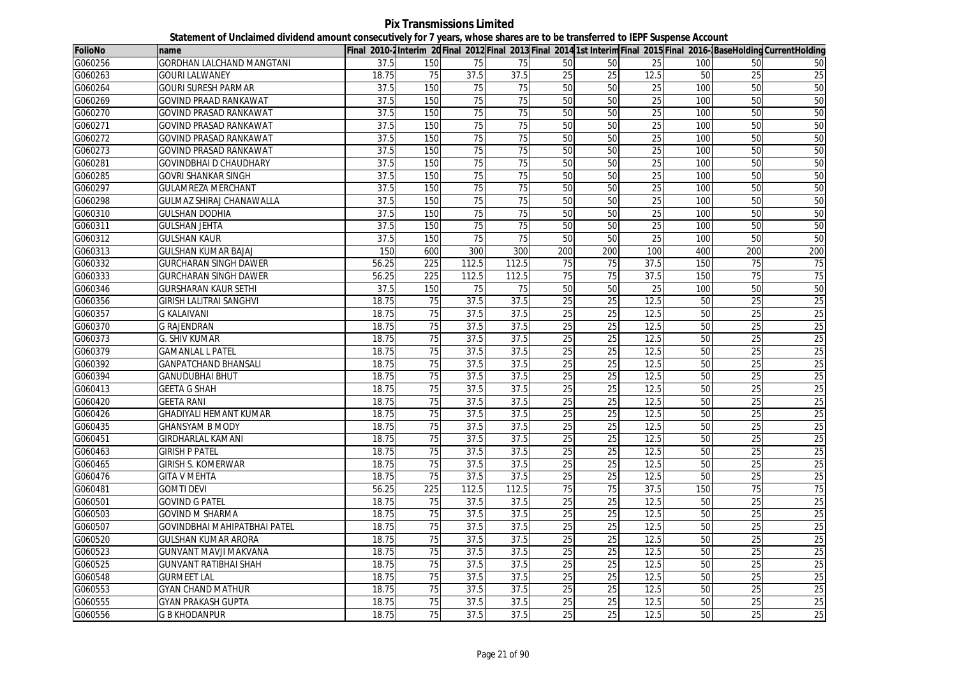| <b>FolioNo</b> | name                                |       |                 |       |                 |                 |                 |                 |     |                 | Final 2010-2Interim 20Final 2012 Final 2013 Final 2014 1st Interim Final 2015 Final 2016- BaseHolding CurrentHolding |
|----------------|-------------------------------------|-------|-----------------|-------|-----------------|-----------------|-----------------|-----------------|-----|-----------------|----------------------------------------------------------------------------------------------------------------------|
| G060256        | <b>GORDHAN LALCHAND MANGTANI</b>    | 37.5  | 150             | 75    | 75              | 50              | 50              | 25              | 100 | 50              | 50                                                                                                                   |
| G060263        | <b>GOURI LALWANEY</b>               | 18.75 | 75              | 37.5  | 37.5            | 25              | 25              | 12.5            | 50  | 25              | 25                                                                                                                   |
| G060264        | <b>GOURI SURESH PARMAR</b>          | 37.5  | 150             | 75    | 75              | 50              | 50              | 25              | 100 | 50              | 50                                                                                                                   |
| G060269        | <b>GOVIND PRAAD RANKAWAT</b>        | 37.5  | 150             | 75    | $\overline{75}$ | 50              | $\overline{50}$ | $\overline{25}$ | 100 | 50              | 50                                                                                                                   |
| G060270        | <b>GOVIND PRASAD RANKAWAT</b>       | 37.5  | 150             | 75    | 75              | 50              | 50              | 25              | 100 | 50              | 50                                                                                                                   |
| G060271        | <b>GOVIND PRASAD RANKAWAT</b>       | 37.5  | 150             | 75    | 75              | 50              | 50              | 25              | 100 | 50              | 50                                                                                                                   |
| G060272        | <b>GOVIND PRASAD RANKAWAT</b>       | 37.5  | 150             | 75    | 75              | 50              | 50              | 25              | 100 | 50              | 50                                                                                                                   |
| G060273        | <b>GOVIND PRASAD RANKAWAT</b>       | 37.5  | 150             | 75    | $\overline{75}$ | 50              | 50              | 25              | 100 | $\overline{50}$ | 50                                                                                                                   |
| G060281        | <b>GOVINDBHAI D CHAUDHARY</b>       | 37.5  | 150             | 75    | $\overline{75}$ | 50              | 50              | $\overline{25}$ | 100 | 50              | 50                                                                                                                   |
| G060285        | <b>GOVRI SHANKAR SINGH</b>          | 37.5  | 150             | 75    | 75              | 50              | 50              | $\overline{25}$ | 100 | $\overline{50}$ | 50                                                                                                                   |
| G060297        | <b>GULAMREZA MERCHANT</b>           | 37.5  | 150             | 75    | 75              | 50              | 50              | 25              | 100 | 50              | 50                                                                                                                   |
| G060298        | <b>GULMAZ SHIRAJ CHANAWALLA</b>     | 37.5  | 150             | 75    | 75              | 50              | 50              | 25              | 100 | 50              | 50                                                                                                                   |
| G060310        | <b>GULSHAN DODHIA</b>               | 37.5  | 150             | 75    | 75              | 50              | 50              | 25              | 100 | 50              | 50                                                                                                                   |
| G060311        | <b>GULSHAN JEHTA</b>                | 37.5  | 150             | 75    | 75              | 50              | 50              | 25              | 100 | 50              | 50                                                                                                                   |
| G060312        | <b>GULSHAN KAUR</b>                 | 37.5  | 150             | 75    | 75              | 50              | 50              | 25              | 100 | 50              | 50                                                                                                                   |
| G060313        | <b>GULSHAN KUMAR BAJAJ</b>          | 150   | 600             | 300   | 300             | 200             | 200             | 100             | 400 | 200             | 200                                                                                                                  |
| G060332        | <b>GURCHARAN SINGH DAWER</b>        | 56.25 | 225             | 112.5 | 112.5           | 75              | $\overline{75}$ | 37.5            | 150 | 75              | 75                                                                                                                   |
| G060333        | <b>GURCHARAN SINGH DAWER</b>        | 56.25 | 225             | 112.5 | 112.5           | 75              | 75              | 37.5            | 150 | 75              | 75                                                                                                                   |
| G060346        | <b>GURSHARAN KAUR SETHI</b>         | 37.5  | 150             | 75    | 75              | 50              | 50              | 25              | 100 | 50              | 50                                                                                                                   |
| G060356        | GIRISH LALITRAI SANGHVI             | 18.75 | 75              | 37.5  | 37.5            | 25              | 25              | 12.5            | 50  | 25              | 25                                                                                                                   |
| G060357        | <b>G KALAIVANI</b>                  | 18.75 | 75              | 37.5  | 37.5            | $\overline{25}$ | 25              | 12.5            | 50  | 25              | 25                                                                                                                   |
| G060370        | <b>G RAJENDRAN</b>                  | 18.75 | 75              | 37.5  | 37.5            | 25              | 25              | 12.5            | 50  | 25              | 25                                                                                                                   |
| G060373        | <b>G. SHIV KUMAR</b>                | 18.75 | 75              | 37.5  | 37.5            | 25              | 25              | 12.5            | 50  | 25              | 25                                                                                                                   |
| G060379        | <b>GAMANLAL L PATEL</b>             | 18.75 | 75              | 37.5  | 37.5            | 25              | 25              | 12.5            | 50  | 25              | 25                                                                                                                   |
| G060392        | <b>GANPATCHAND BHANSALI</b>         | 18.75 | 75              | 37.5  | 37.5            | 25              | $\overline{25}$ | 12.5            | 50  | $\overline{25}$ | 25                                                                                                                   |
| G060394        | <b>GANUDUBHAI BHUT</b>              | 18.75 | 75              | 37.5  | 37.5            | 25              | 25              | 12.5            | 50  | 25              | 25                                                                                                                   |
| G060413        | <b>GEETA G SHAH</b>                 | 18.75 | 75              | 37.5  | 37.5            | 25              | 25              | 12.5            | 50  | 25              | 25                                                                                                                   |
| G060420        | <b>GEETA RANI</b>                   | 18.75 | 75              | 37.5  | 37.5            | $\overline{25}$ | $\overline{25}$ | 12.5            | 50  | $\overline{25}$ | 25                                                                                                                   |
| G060426        | GHADIYALI HEMANT KUMAR              | 18.75 | 75              | 37.5  | 37.5            | 25              | 25              | 12.5            | 50  | $\overline{25}$ | 25                                                                                                                   |
| G060435        | <b>GHANSYAM B MODY</b>              | 18.75 | 75              | 37.5  | 37.5            | $\overline{25}$ | 25              | 12.5            | 50  | 25              | 25                                                                                                                   |
| G060451        | <b>GIRDHARLAL KAMANI</b>            | 18.75 | 75              | 37.5  | 37.5            | 25              | 25              | 12.5            | 50  | $\overline{25}$ | 25                                                                                                                   |
| G060463        | <b>GIRISH P PATEL</b>               | 18.75 | 75              | 37.5  | 37.5            | $\overline{25}$ | $\overline{25}$ | 12.5            | 50  | 25              | 25                                                                                                                   |
| G060465        | <b>GIRISH S. KOMERWAR</b>           | 18.75 | 75              | 37.5  | 37.5            | $\overline{25}$ | 25              | 12.5            | 50  | 25              | 25                                                                                                                   |
| G060476        | <b>GITA V MEHTA</b>                 | 18.75 | 75              | 37.5  | 37.5            | 25              | 25              | 12.5            | 50  | 25              | 25                                                                                                                   |
| G060481        | <b>GOMTI DEVI</b>                   | 56.25 | 225             | 112.5 | 112.5           | 75              | 75              | 37.5            | 150 | 75              | 75                                                                                                                   |
| G060501        | <b>GOVIND G PATEL</b>               | 18.75 | $\overline{75}$ | 37.5  | 37.5            | $\overline{25}$ | $\overline{25}$ | 12.5            | 50  | $\overline{25}$ | 25                                                                                                                   |
| G060503        | <b>GOVIND M SHARMA</b>              | 18.75 | 75              | 37.5  | 37.5            | 25              | 25              | 12.5            | 50  | 25              | 25                                                                                                                   |
| G060507        | <b>GOVINDBHAI MAHIPATBHAI PATEL</b> | 18.75 | 75              | 37.5  | 37.5            | 25              | 25              | 12.5            | 50  | 25              | 25                                                                                                                   |
| G060520        | <b>GULSHAN KUMAR ARORA</b>          | 18.75 | $\overline{75}$ | 37.5  | 37.5            | 25              | $\overline{25}$ | 12.5            | 50  | $\overline{25}$ | 25                                                                                                                   |
| G060523        | <b>GUNVANT MAVJI MAKVANA</b>        | 18.75 | 75              | 37.5  | 37.5            | 25              | 25              | 12.5            | 50  | 25              | 25                                                                                                                   |
| G060525        | <b>GUNVANT RATIBHAI SHAH</b>        | 18.75 | 75              | 37.5  | 37.5            | 25              | 25              | 12.5            | 50  | 25              | 25                                                                                                                   |
| G060548        | <b>GURMEET LAL</b>                  | 18.75 | 75              | 37.5  | 37.5            | 25              | 25              | 12.5            | 50  | 25              | 25                                                                                                                   |
| G060553        | <b>GYAN CHAND MATHUR</b>            | 18.75 | 75              | 37.5  | 37.5            | 25              | 25              | 12.5            | 50  | 25              | 25                                                                                                                   |
| G060555        | <b>GYAN PRAKASH GUPTA</b>           | 18.75 | 75              | 37.5  | 37.5            | 25              | 25              | 12.5            | 50  | 25              | 25                                                                                                                   |
| G060556        | <b>G B KHODANPUR</b>                | 18.75 | 75              | 37.5  | 37.5            | 25              | 25              | 12.5            | 50  | 25              | 25                                                                                                                   |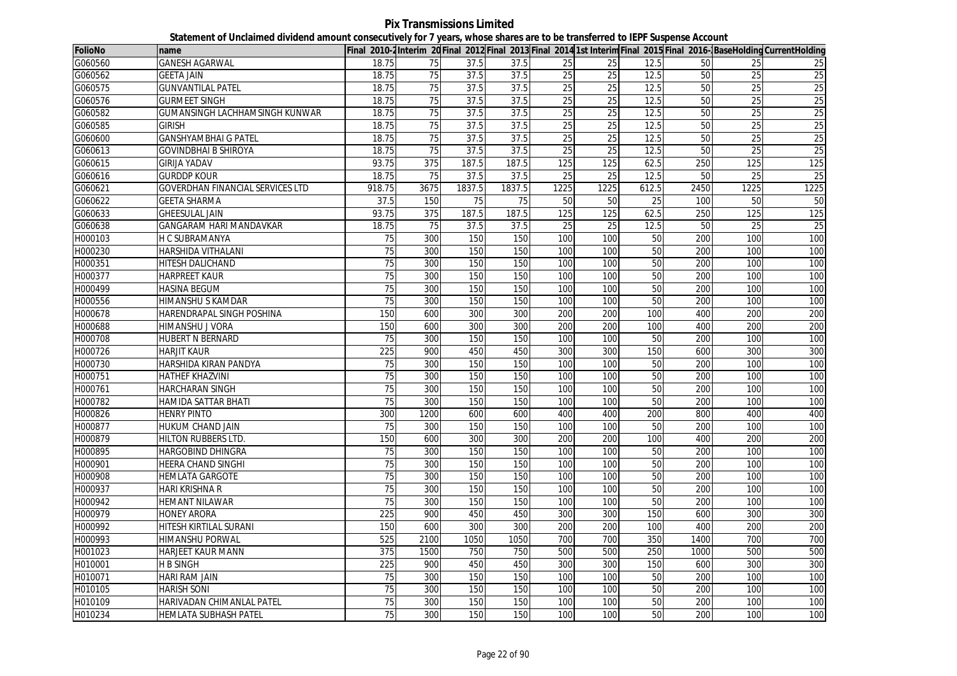**Pix Transmissions Limited Statement of Unclaimed dividend amount consecutively for 7 years, whose shares are to be transferred to IEPF Suspense Account**

| FolioNo | name                                  |                 |      |        |        |                 |                 |       |      |      | Final 2010-2Interim 20Final 2012 Final 2013 Final 2014 1st Interim Final 2015 Final 2016-BaseHolding CurrentHolding |
|---------|---------------------------------------|-----------------|------|--------|--------|-----------------|-----------------|-------|------|------|---------------------------------------------------------------------------------------------------------------------|
| G060560 | <b>GANESH AGARWAL</b>                 | 18.75           | 75   | 37.5   | 37.5   | 25              | 25              | 12.5  | 50   | 25   | 25                                                                                                                  |
| G060562 | <b>GEETA JAIN</b>                     | 18.75           | 75   | 37.5   | 37.5   | 25              | 25              | 12.5  | 50   | 25   | 25                                                                                                                  |
| G060575 | <b>GUNVANTILAL PATEL</b>              | 18.75           | 75   | 37.5   | 37.5   | 25              | $\overline{25}$ | 12.5  | 50   | 25   | $\overline{25}$                                                                                                     |
| G060576 | <b>GURMEET SINGH</b>                  | 18.75           | 75   | 37.5   | 37.5   | 25              | 25              | 12.5  | 50   | 25   | 25                                                                                                                  |
| G060582 | <b>GUMANSINGH LACHHAMSINGH KUNWAR</b> | 18.75           | 75   | 37.5   | 37.5   | 25              | 25              | 12.5  | 50   | 25   | 25                                                                                                                  |
| G060585 | <b>GIRISH</b>                         | 18.75           | 75   | 37.5   | 37.5   | $\overline{25}$ | $\overline{25}$ | 12.5  | 50   | 25   | 25                                                                                                                  |
| G060600 | <b>GANSHYAMBHAI G PATEL</b>           | 18.75           | 75   | 37.5   | 37.5   | 25              | 25              | 12.5  | 50   | 25   | 25                                                                                                                  |
| G060613 | <b>GOVINDBHAI B SHIROYA</b>           | 18.75           | 75   | 37.5   | 37.5   | 25              | 25              | 12.5  | 50   | 25   | 25                                                                                                                  |
| G060615 | <b>GIRIJA YADAV</b>                   | 93.75           | 375  | 187.5  | 187.5  | 125             | 125             | 62.5  | 250  | 125  | 125                                                                                                                 |
| G060616 | <b>GURDDP KOUR</b>                    | 18.75           | 75   | 37.5   | 37.5   | 25              | 25              | 12.5  | 50   | 25   | 25                                                                                                                  |
| G060621 | GOVERDHAN FINANCIAL SERVICES LTD      | 918.75          | 3675 | 1837.5 | 1837.5 | 1225            | 1225            | 612.5 | 2450 | 1225 | 1225                                                                                                                |
| G060622 | <b>GEETA SHARMA</b>                   | 37.5            | 150  | 75     | 75     | 50              | 50              | 25    | 100  | 50   | 50                                                                                                                  |
| G060633 | <b>GHEESULAL JAIN</b>                 | 93.75           | 375  | 187.5  | 187.5  | 125             | 125             | 62.5  | 250  | 125  | 125                                                                                                                 |
| G060638 | GANGARAM HARI MANDAVKAR               | 18.75           | 75   | 37.5   | 37.5   | $\overline{25}$ | 25              | 12.5  | 50   | 25   | $\overline{25}$                                                                                                     |
| H000103 | H C SUBRAMANYA                        | $\overline{75}$ | 300  | 150    | 150    | 100             | 100             | 50    | 200  | 100  | 100                                                                                                                 |
| H000230 | HARSHIDA VITHALANI                    | 75              | 300  | 150    | 150    | 100             | 100             | 50    | 200  | 100  | 100                                                                                                                 |
| H000351 | <b>HITESH DALICHAND</b>               | 75              | 300  | 150    | 150    | 100             | 100             | 50    | 200  | 100  | 100                                                                                                                 |
| H000377 | <b>HARPREET KAUR</b>                  | 75              | 300  | 150    | 150    | 100             | 100             | 50    | 200  | 100  | 100                                                                                                                 |
| H000499 | <b>HASINA BEGUM</b>                   | 75              | 300  | 150    | 150    | 100             | 100             | 50    | 200  | 100  | 100                                                                                                                 |
| H000556 | <b>HIMANSHU S KAMDAR</b>              | 75              | 300  | 150    | 150    | 100             | 100             | 50    | 200  | 100  | 100                                                                                                                 |
| H000678 | HARENDRAPAL SINGH POSHINA             | 150             | 600  | 300    | 300    | 200             | 200             | 100   | 400  | 200  | 200                                                                                                                 |
| H000688 | HIMANSHU J VORA                       | 150             | 600  | 300    | 300    | 200             | 200             | 100   | 400  | 200  | 200                                                                                                                 |
| H000708 | HUBERT N BERNARD                      | $\overline{75}$ | 300  | 150    | 150    | 100             | 100             | 50    | 200  | 100  | 100                                                                                                                 |
| H000726 | <b>HARJIT KAUR</b>                    | 225             | 900  | 450    | 450    | 300             | 300             | 150   | 600  | 300  | 300                                                                                                                 |
| H000730 | HARSHIDA KIRAN PANDYA                 | 75              | 300  | 150    | 150    | 100             | 100             | 50    | 200  | 100  | 100                                                                                                                 |
| H000751 | <b>HATHEF KHAZVINI</b>                | 75              | 300  | 150    | 150    | 100             | 100             | 50    | 200  | 100  | 100                                                                                                                 |
| H000761 | <b>HARCHARAN SINGH</b>                | $\overline{75}$ | 300  | 150    | 150    | 100             | 100             | 50    | 200  | 100  | 100                                                                                                                 |
| H000782 | HAMIDA SATTAR BHATI                   | 75              | 300  | 150    | 150    | 100             | 100             | 50    | 200  | 100  | 100                                                                                                                 |
| H000826 | <b>HENRY PINTO</b>                    | 300             | 1200 | 600    | 600    | 400             | 400             | 200   | 800  | 400  | 400                                                                                                                 |
| H000877 | <b>HUKUM CHAND JAIN</b>               | 75              | 300  | 150    | 150    | 100             | 100             | 50    | 200  | 100  | 100                                                                                                                 |
| H000879 | <b>HILTON RUBBERS LTD.</b>            | 150             | 600  | 300    | 300    | 200             | 200             | 100   | 400  | 200  | 200                                                                                                                 |
| H000895 | HARGOBIND DHINGRA                     | 75              | 300  | 150    | 150    | 100             | 100             | 50    | 200  | 100  | 100                                                                                                                 |
| H000901 | HEERA CHAND SINGHI                    | 75              | 300  | 150    | 150    | 100             | 100             | 50    | 200  | 100  | 100                                                                                                                 |
| H000908 | <b>HEMLATA GARGOTE</b>                | $\overline{75}$ | 300  | 150    | 150    | 100             | 100             | 50    | 200  | 100  | 100                                                                                                                 |
| H000937 | <b>HARI KRISHNA R</b>                 | 75              | 300  | 150    | 150    | 100             | 100             | 50    | 200  | 100  | 100                                                                                                                 |
| H000942 | <b>HEMANT NILAWAR</b>                 | 75              | 300  | 150    | 150    | 100             | 100             | 50    | 200  | 100  | 100                                                                                                                 |
| H000979 | <b>HONEY ARORA</b>                    | 225             | 900  | 450    | 450    | 300             | 300             | 150   | 600  | 300  | 300                                                                                                                 |
| H000992 | HITESH KIRTILAL SURANI                | 150             | 600  | 300    | 300    | 200             | 200             | 100   | 400  | 200  | 200                                                                                                                 |
| H000993 | HIMANSHU PORWAL                       | 525             | 2100 | 1050   | 1050   | 700             | 700             | 350   | 1400 | 700  | 700                                                                                                                 |
| H001023 | <b>HARJEET KAUR MANN</b>              | 375             | 1500 | 750    | 750    | 500             | 500             | 250   | 1000 | 500  | 500                                                                                                                 |
| H010001 | <b>H B SINGH</b>                      | 225             | 900  | 450    | 450    | 300             | 300             | 150   | 600  | 300  | 300                                                                                                                 |
| H010071 | HARI RAM JAIN                         | 75              | 300  | 150    | 150    | 100             | 100             | 50    | 200  | 100  | 100                                                                                                                 |
| H010105 | <b>HARISH SONI</b>                    | 75              | 300  | 150    | 150    | 100             | 100             | 50    | 200  | 100  | 100                                                                                                                 |
| H010109 | HARIVADAN CHIMANLAL PATEL             | 75              | 300  | 150    | 150    | 100             | 100             | 50    | 200  | 100  | 100                                                                                                                 |
| H010234 | <b>HEMLATA SUBHASH PATEL</b>          | 75              | 300  | 150    | 150    | 100             | 100             | 50    | 200  | 100  | 100                                                                                                                 |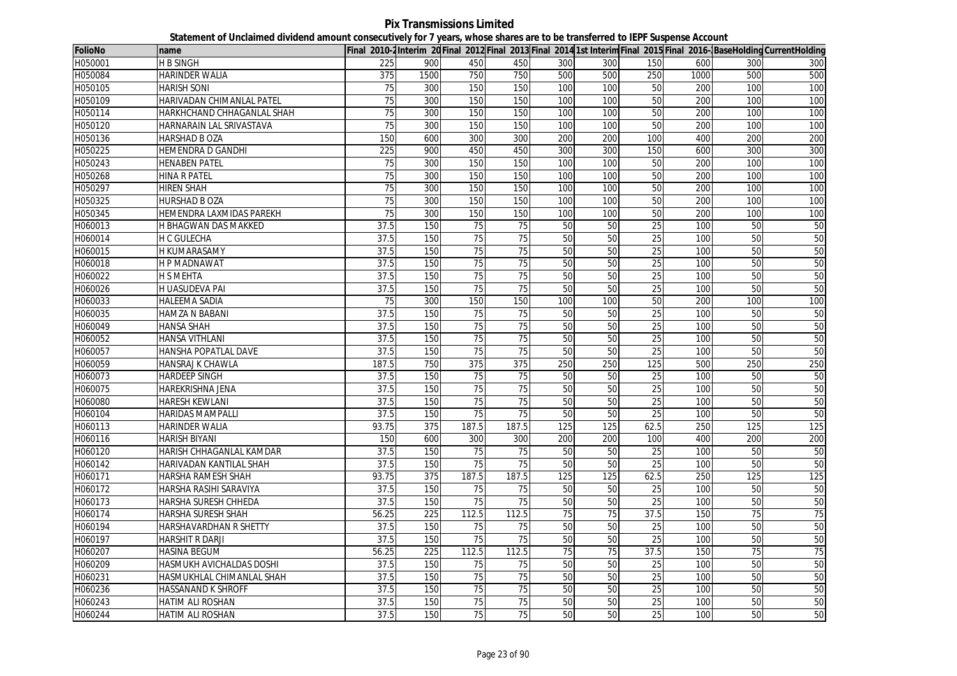**Pix Transmissions Limited Statement of Unclaimed dividend amount consecutively for 7 years, whose shares are to be transferred to IEPF Suspense Account**

| <b>FolioNo</b> | name                        |                   |      |                 |                 |     |     |                 |      |     | Final 2010-2Interim 20 Final 2012 Final 2013 Final 2014 1st Interim Final 2015 Final 2016-BaseHolding CurrentHolding |
|----------------|-----------------------------|-------------------|------|-----------------|-----------------|-----|-----|-----------------|------|-----|----------------------------------------------------------------------------------------------------------------------|
| H050001        | <b>H B SINGH</b>            | 225               | 900  | 450             | 450             | 300 | 300 | 150             | 600  | 300 | 300                                                                                                                  |
| H050084        | <b>HARINDER WALIA</b>       | 375               | 1500 | 750             | 750             | 500 | 500 | 250             | 1000 | 500 | 500                                                                                                                  |
| H050105        | <b>HARISH SONI</b>          | 75                | 300  | 150             | 150             | 100 | 100 | 50              | 200  | 100 | 100                                                                                                                  |
| H050109        | HARIVADAN CHIMANLAL PATEL   | $\overline{75}$   | 300  | 150             | 150             | 100 | 100 | 50              | 200  | 100 | 100                                                                                                                  |
| H050114        | HARKHCHAND CHHAGANLAL SHAH  | 75                | 300  | 150             | 150             | 100 | 100 | 50              | 200  | 100 | 100                                                                                                                  |
| H050120        | HARNARAIN LAL SRIVASTAVA    | $\overline{75}$   | 300  | 150             | 150             | 100 | 100 | 50              | 200  | 100 | 100                                                                                                                  |
| H050136        | HARSHAD B OZA               | 150               | 600  | 300             | 300             | 200 | 200 | 100             | 400  | 200 | 200                                                                                                                  |
| H050225        | <b>HEMENDRA D GANDHI</b>    | 225               | 900  | 450             | 450             | 300 | 300 | 150             | 600  | 300 | 300                                                                                                                  |
| H050243        | <b>HENABEN PATEL</b>        | 75                | 300  | 150             | 150             | 100 | 100 | 50              | 200  | 100 | 100                                                                                                                  |
| H050268        | <b>HINA R PATEL</b>         | 75                | 300  | 150             | 150             | 100 | 100 | 50              | 200  | 100 | 100                                                                                                                  |
| H050297        | <b>HIREN SHAH</b>           | 75                | 300  | 150             | 150             | 100 | 100 | 50              | 200  | 100 | 100                                                                                                                  |
| H050325        | <b>HURSHAD B OZA</b>        | $\overline{75}$   | 300  | 150             | 150             | 100 | 100 | 50              | 200  | 100 | 100                                                                                                                  |
| H050345        | HEMENDRA LAXMIDAS PAREKH    | 75                | 300  | 150             | 150             | 100 | 100 | 50              | 200  | 100 | 100                                                                                                                  |
| H060013        | H BHAGWAN DAS MAKKED        | 37.5              | 150  | 75              | 75              | 50  | 50  | 25              | 100  | 50  | 50                                                                                                                   |
| H060014        | <b>H C GULECHA</b>          | 37.5              | 150  | 75              | 75              | 50  | 50  | 25              | 100  | 50  | 50                                                                                                                   |
| H060015        | <b>H KUMARASAMY</b>         | $\overline{37.5}$ | 150  | 75              | $\overline{75}$ | 50  | 50  | $\overline{25}$ | 100  | 50  | 50                                                                                                                   |
| H060018        | <b>HP MADNAWAT</b>          | 37.5              | 150  | 75              | 75              | 50  | 50  | 25              | 100  | 50  | 50                                                                                                                   |
| H060022        | <b>H S MEHTA</b>            | 37.5              | 150  | 75              | 75              | 50  | 50  | 25              | 100  | 50  | 50                                                                                                                   |
| H060026        | <b>H UASUDEVA PAI</b>       | 37.5              | 150  | 75              | 75              | 50  | 50  | 25              | 100  | 50  | 50                                                                                                                   |
| H060033        | <b>HALEEMA SADIA</b>        | 75                | 300  | 150             | 150             | 100 | 100 | 50              | 200  | 100 | 100                                                                                                                  |
| H060035        | <b>HAMZA N BABANI</b>       | 37.5              | 150  | 75              | $\overline{75}$ | 50  | 50  | 25              | 100  | 50  | 50                                                                                                                   |
| H060049        | <b>HANSA SHAH</b>           | 37.5              | 150  | 75              | 75              | 50  | 50  | 25              | 100  | 50  | 50                                                                                                                   |
| H060052        | HANSA VITHLANI              | 37.5              | 150  | $\overline{75}$ | $\overline{75}$ | 50  | 50  | 25              | 100  | 50  | 50                                                                                                                   |
| H060057        | <b>HANSHA POPATLAL DAVE</b> | 37.5              | 150  | 75              | 75              | 50  | 50  | 25              | 100  | 50  | 50                                                                                                                   |
| H060059        | HANSRAJ K CHAWLA            | 187.5             | 750  | 375             | 375             | 250 | 250 | 125             | 500  | 250 | 250                                                                                                                  |
| H060073        | <b>HARDEEP SINGH</b>        | 37.5              | 150  | 75              | 75              | 50  | 50  | 25              | 100  | 50  | 50                                                                                                                   |
| H060075        | HAREKRISHNA JENA            | 37.5              | 150  | 75              | 75              | 50  | 50  | 25              | 100  | 50  | 50                                                                                                                   |
| H060080        | <b>HARESH KEWLANI</b>       | 37.5              | 150  | 75              | 75              | 50  | 50  | 25              | 100  | 50  | 50                                                                                                                   |
| H060104        | <b>HARIDAS MAMPALLI</b>     | 37.5              | 150  | 75              | 75              | 50  | 50  | $\overline{25}$ | 100  | 50  | 50                                                                                                                   |
| H060113        | HARINDER WALIA              | 93.75             | 375  | 187.5           | 187.5           | 125 | 125 | 62.5            | 250  | 125 | 125                                                                                                                  |
| H060116        | <b>HARISH BIYANI</b>        | 150               | 600  | 300             | 300             | 200 | 200 | 100             | 400  | 200 | 200                                                                                                                  |
| H060120        | HARISH CHHAGANLAL KAMDAR    | 37.5              | 150  | 75              | 75              | 50  | 50  | 25              | 100  | 50  | 50                                                                                                                   |
| H060142        | HARIVADAN KANTILAL SHAH     | 37.5              | 150  | 75              | 75              | 50  | 50  | 25              | 100  | 50  | 50                                                                                                                   |
| H060171        | HARSHA RAMESH SHAH          | 93.75             | 375  | 187.5           | 187.5           | 125 | 125 | 62.5            | 250  | 125 | 125                                                                                                                  |
| H060172        | HARSHA RASIHI SARAVIYA      | 37.5              | 150  | 75              | 75              | 50  | 50  | 25              | 100  | 50  | 50                                                                                                                   |
| H060173        | HARSHA SURESH CHHEDA        | 37.5              | 150  | $\overline{75}$ | $\overline{75}$ | 50  | 50  | 25              | 100  | 50  | 50                                                                                                                   |
| H060174        | HARSHA SURESH SHAH          | 56.25             | 225  | 112.5           | 112.5           | 75  | 75  | 37.5            | 150  | 75  | 75                                                                                                                   |
| H060194        | HARSHAVARDHAN R SHETTY      | 37.5              | 150  | 75              | 75              | 50  | 50  | 25              | 100  | 50  | 50                                                                                                                   |
| H060197        | <b>HARSHIT R DARJI</b>      | 37.5              | 150  | $\overline{75}$ | $\overline{75}$ | 50  | 50  | $\overline{25}$ | 100  | 50  | 50                                                                                                                   |
| H060207        | <b>HASINA BEGUM</b>         | 56.25             | 225  | 112.5           | 112.5           | 75  | 75  | 37.5            | 150  | 75  | 75                                                                                                                   |
| H060209        | HASMUKH AVICHALDAS DOSHI    | 37.5              | 150  | 75              | 75              | 50  | 50  | 25              | 100  | 50  | 50                                                                                                                   |
| H060231        | HASMUKHLAL CHIMANLAL SHAH   | 37.5              | 150  | 75              | 75              | 50  | 50  | 25              | 100  | 50  | 50                                                                                                                   |
| H060236        | <b>HASSANAND K SHROFF</b>   | 37.5              | 150  | 75              | 75              | 50  | 50  | 25              | 100  | 50  | 50                                                                                                                   |
| H060243        | <b>HATIM ALI ROSHAN</b>     | 37.5              | 150  | 75              | 75              | 50  | 50  | $\overline{25}$ | 100  | 50  | 50                                                                                                                   |
| H060244        | <b>HATIM ALI ROSHAN</b>     | 37.5              | 150  | 75              | 75              | 50  | 50  | 25              | 100  | 50  | 50                                                                                                                   |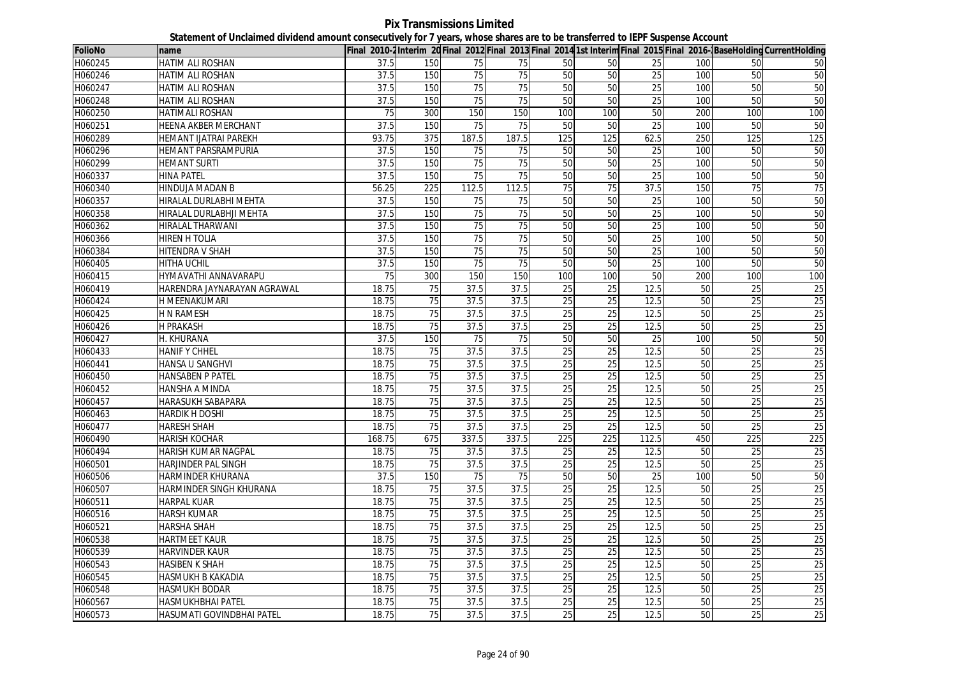| <b>FolioNo</b> | name                         |        |                  |                 |                 |                  |                 |                 |     |                 | Final 2010-2Interim 20 Final 2012 Final 2013 Final 2014 1st Interim Final 2015 Final 2016-BaseHolding CurrentHolding |
|----------------|------------------------------|--------|------------------|-----------------|-----------------|------------------|-----------------|-----------------|-----|-----------------|----------------------------------------------------------------------------------------------------------------------|
| H060245        | HATIM ALI ROSHAN             | 37.5   | 150              | 75              | 75              | 50               | 50              | 25              | 100 | 50              | 50                                                                                                                   |
| H060246        | HATIM ALI ROSHAN             | 37.5   | 150              | 75              | $\overline{75}$ | 50               | 50              | 25              | 100 | 50              | 50                                                                                                                   |
| H060247        | HATIM ALI ROSHAN             | 37.5   | 150              | 75              | 75              | 50               | 50              | 25              | 100 | 50              | 50                                                                                                                   |
| H060248        | <b>HATIM ALI ROSHAN</b>      | 37.5   | 150              | 75              | 75              | 50               | 50              | 25              | 100 | 50              | 50                                                                                                                   |
| H060250        | <b>HATIMALI ROSHAN</b>       | 75     | 300              | 150             | 150             | 100              | 100             | 50              | 200 | 100             | 100                                                                                                                  |
| H060251        | HEENA AKBER MERCHANT         | 37.5   | 150              | 75              | 75              | 50               | 50              | $\overline{25}$ | 100 | 50              | 50                                                                                                                   |
| H060289        | <b>HEMANT IJATRAI PAREKH</b> | 93.75  | $\overline{375}$ | 187.5           | 187.5           | 125              | 125             | 62.5            | 250 | 125             | 125                                                                                                                  |
| H060296        | HEMANT PARSRAMPURIA          | 37.5   | 150              | 75              | 75              | 50               | 50              | 25              | 100 | 50              | 50                                                                                                                   |
| H060299        | <b>HEMANT SURTI</b>          | 37.5   | 150              | $\overline{75}$ | 75              | 50               | 50              | 25              | 100 | 50              | 50                                                                                                                   |
| H060337        | <b>HINA PATEL</b>            | 37.5   | 150              | 75              | 75              | 50               | 50              | 25              | 100 | 50              | 50                                                                                                                   |
| H060340        | HINDUJA MADAN B              | 56.25  | 225              | 112.5           | 112.5           | 75               | 75              | 37.5            | 150 | 75              | 75                                                                                                                   |
| H060357        | HIRALAL DURLABHI MEHTA       | 37.5   | 150              | 75              | 75              | 50               | 50              | 25              | 100 | 50              | 50                                                                                                                   |
| H060358        | HIRALAL DURLABHJI MEHTA      | 37.5   | 150              | 75              | 75              | 50               | 50              | 25              | 100 | 50              | 50                                                                                                                   |
| H060362        | <b>HIRALAL THARWANI</b>      | 37.5   | 150              | 75              | $\overline{75}$ | 50               | 50              | 25              | 100 | 50              | 50                                                                                                                   |
| H060366        | HIREN H TOLIA                | 37.5   | 150              | 75              | 75              | 50               | 50              | 25              | 100 | 50              | 50                                                                                                                   |
| H060384        | HITENDRA V SHAH              | 37.5   | 150              | $\overline{75}$ | 75              | 50               | 50              | 25              | 100 | 50              | 50                                                                                                                   |
| H060405        | <b>HITHA UCHIL</b>           | 37.5   | 150              | 75              | 75              | 50               | 50              | 25              | 100 | 50              | 50                                                                                                                   |
| H060415        | HYMAVATHI ANNAVARAPU         | 75     | 300              | 150             | 150             | 100              | 100             | 50              | 200 | 100             | 100                                                                                                                  |
| H060419        | HARENDRA JAYNARAYAN AGRAWAL  | 18.75  | 75               | 37.5            | 37.5            | 25               | 25              | 12.5            | 50  | 25              | 25                                                                                                                   |
| H060424        | H MEENAKUMARI                | 18.75  | 75               | 37.5            | 37.5            | 25               | $\overline{25}$ | 12.5            | 50  | 25              | 25                                                                                                                   |
| H060425        | H N RAMESH                   | 18.75  | 75               | 37.5            | 37.5            | 25               | 25              | 12.5            | 50  | 25              | 25                                                                                                                   |
| H060426        | H PRAKASH                    | 18.75  | 75               | 37.5            | 37.5            | 25               | 25              | 12.5            | 50  | 25              | 25                                                                                                                   |
| H060427        | H. KHURANA                   | 37.5   | 150              | 75              | 75              | 50               | 50              | 25              | 100 | 50              | 50                                                                                                                   |
| H060433        | <b>HANIF Y CHHEL</b>         | 18.75  | $\overline{75}$  | 37.5            | 37.5            | 25               | $\overline{25}$ | 12.5            | 50  | $\overline{25}$ | 25                                                                                                                   |
| H060441        | <b>HANSA U SANGHVI</b>       | 18.75  | 75               | 37.5            | 37.5            | 25               | 25              | 12.5            | 50  | 25              | 25                                                                                                                   |
| H060450        | <b>HANSABEN P PATEL</b>      | 18.75  | 75               | 37.5            | 37.5            | 25               | 25              | 12.5            | 50  | 25              | 25                                                                                                                   |
| H060452        | HANSHA A MINDA               | 18.75  | 75               | 37.5            | 37.5            | 25               | 25              | 12.5            | 50  | 25              | 25                                                                                                                   |
| H060457        | <b>HARASUKH SABAPARA</b>     | 18.75  | 75               | 37.5            | 37.5            | 25               | $\overline{25}$ | 12.5            | 50  | 25              | 25                                                                                                                   |
| H060463        | HARDIK H DOSHI               | 18.75  | 75               | 37.5            | 37.5            | 25               | 25              | 12.5            | 50  | $\overline{25}$ | 25                                                                                                                   |
| H060477        | <b>HARESH SHAH</b>           | 18.75  | 75               | 37.5            | 37.5            | 25               | 25              | 12.5            | 50  | 25              | 25                                                                                                                   |
| H060490        | <b>HARISH KOCHAR</b>         | 168.75 | 675              | 337.5           | 337.5           | $\overline{225}$ | 225             | 112.5           | 450 | 225             | $\overline{225}$                                                                                                     |
| H060494        | HARISH KUMAR NAGPAL          | 18.75  | 75               | 37.5            | 37.5            | 25               | 25              | 12.5            | 50  | 25              | 25                                                                                                                   |
| H060501        | <b>HARJINDER PAL SINGH</b>   | 18.75  | 75               | 37.5            | 37.5            | $\overline{25}$  | $\overline{25}$ | 12.5            | 50  | $\overline{25}$ | $\overline{25}$                                                                                                      |
| H060506        | HARMINDER KHURANA            | 37.5   | 150              | 75              | 75              | 50               | 50              | 25              | 100 | 50              | 50                                                                                                                   |
| H060507        | HARMINDER SINGH KHURANA      | 18.75  | 75               | 37.5            | 37.5            | 25               | 25              | 12.5            | 50  | 25              | $\overline{25}$                                                                                                      |
| H060511        | <b>HARPAL KUAR</b>           | 18.75  | 75               | 37.5            | 37.5            | 25               | 25              | 12.5            | 50  | 25              | 25                                                                                                                   |
| H060516        | HARSH KUMAR                  | 18.75  | 75               | 37.5            | 37.5            | 25               | 25              | 12.5            | 50  | $\overline{25}$ | 25                                                                                                                   |
| H060521        | HARSHA SHAH                  | 18.75  | $\overline{75}$  | 37.5            | 37.5            | 25               | $\overline{25}$ | 12.5            | 50  | $\overline{25}$ | 25                                                                                                                   |
| H060538        | HARTMEET KAUR                | 18.75  | $\overline{75}$  | 37.5            | 37.5            | 25               | 25              | 12.5            | 50  | 25              | 25                                                                                                                   |
| H060539        | <b>HARVINDER KAUR</b>        | 18.75  | 75               | 37.5            | 37.5            | 25               | 25              | 12.5            | 50  | 25              | 25                                                                                                                   |
| H060543        | HASIBEN K SHAH               | 18.75  | 75               | 37.5            | 37.5            | 25               | 25              | 12.5            | 50  | 25              | $\overline{25}$                                                                                                      |
| H060545        | HASMUKH B KAKADIA            | 18.75  | 75               | 37.5            | 37.5            | $\overline{25}$  | 25              | 12.5            | 50  | $\overline{25}$ | 25                                                                                                                   |
| H060548        | HASMUKH BODAR                | 18.75  | 75               | 37.5            | 37.5            | 25               | 25              | 12.5            | 50  | 25              | 25                                                                                                                   |
| H060567        | HASMUKHBHAI PATEL            | 18.75  | 75               | 37.5            | 37.5            | $\overline{25}$  | 25              | 12.5            | 50  | 25              | $\overline{25}$                                                                                                      |
| H060573        | HASUMATI GOVINDBHAI PATEL    | 18.75  | 75               | 37.5            | 37.5            | 25               | 25              | 12.5            | 50  | 25              | 25                                                                                                                   |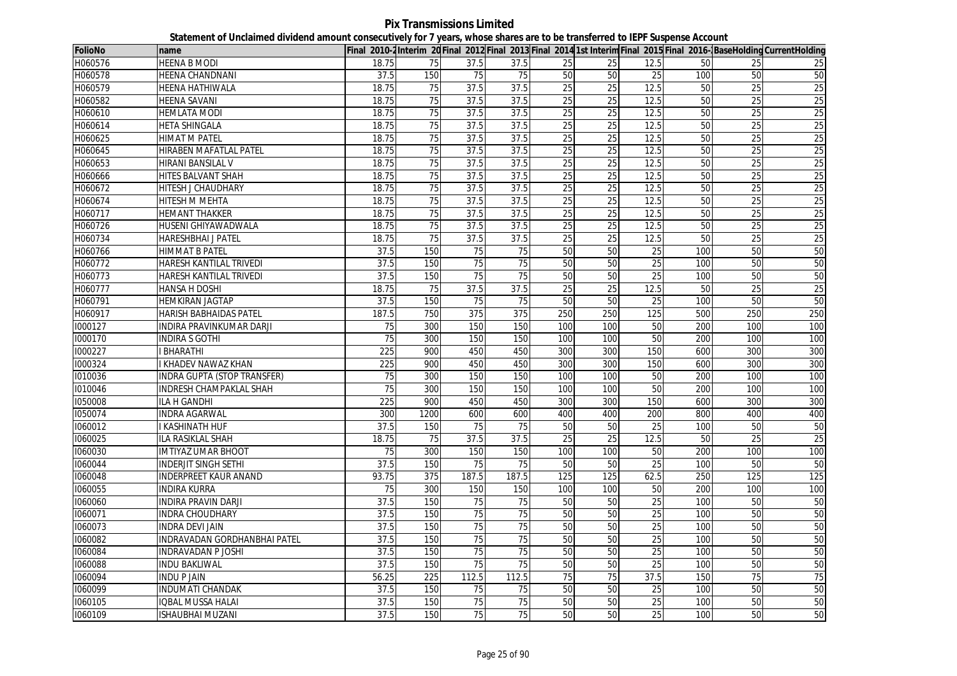**Pix Transmissions Limited Statement of Unclaimed dividend amount consecutively for 7 years, whose shares are to be transferred to IEPF Suspense Account**

| <b>FolioNo</b> | name                               |                 |                 |       |                 |                 |                 |                 |                 |                 | Final 2010-2Interim 20 Final 2012 Final 2013 Final 2014 1st Interim Final 2015 Final 2016-BaseHolding CurrentHolding |
|----------------|------------------------------------|-----------------|-----------------|-------|-----------------|-----------------|-----------------|-----------------|-----------------|-----------------|----------------------------------------------------------------------------------------------------------------------|
| H060576        | <b>HEENA B MODI</b>                | 18.75           | 75              | 37.5  | 37.5            | 25              | 25              | 12.5            | 50              | 25              | 25                                                                                                                   |
| H060578        | <b>HEENA CHANDNANI</b>             | 37.5            | 150             | 75    | 75              | 50              | 50              | 25              | 100             | 50              | 50                                                                                                                   |
| H060579        | HEENA HATHIWALA                    | 18.75           | 75              | 37.5  | 37.5            | 25              | 25              | 12.5            | 50              | 25              | 25                                                                                                                   |
| H060582        | <b>HEENA SAVANI</b>                | 18.75           | $\overline{75}$ | 37.5  | 37.5            | 25              | 25              | 12.5            | 50              | $\overline{25}$ | 25                                                                                                                   |
| H060610        | <b>HEMLATA MODI</b>                | 18.75           | 75              | 37.5  | 37.5            | 25              | 25              | 12.5            | 50              | 25              | 25                                                                                                                   |
| H060614        | <b>HETA SHINGALA</b>               | 18.75           | 75              | 37.5  | 37.5            | 25              | 25              | 12.5            | 50              | 25              | 25                                                                                                                   |
| H060625        | <b>HIMAT M PATEL</b>               | 18.75           | 75              | 37.5  | 37.5            | 25              | 25              | 12.5            | 50              | 25              | 25                                                                                                                   |
| H060645        | HIRABEN MAFATLAL PATEL             | 18.75           | 75              | 37.5  | 37.5            | 25              | 25              | 12.5            | 50              | 25              | 25                                                                                                                   |
| H060653        | <b>HIRANI BANSILAL V</b>           | 18.75           | $\overline{75}$ | 37.5  | 37.5            | $\overline{25}$ | $\overline{25}$ | 12.5            | 50              | 25              | 25                                                                                                                   |
| H060666        | <b>HITES BALVANT SHAH</b>          | 18.75           | 75              | 37.5  | 37.5            | 25              | 25              | 12.5            | 50              | 25              | 25                                                                                                                   |
| H060672        | <b>HITESH J CHAUDHARY</b>          | 18.75           | 75              | 37.5  | 37.5            | 25              | $\overline{25}$ | 12.5            | 50              | 25              | 25                                                                                                                   |
| H060674        | <b>HITESH M MEHTA</b>              | 18.75           | 75              | 37.5  | 37.5            | 25              | 25              | 12.5            | 50              | 25              | 25                                                                                                                   |
| H060717        | <b>HEMANT THAKKER</b>              | 18.75           | 75              | 37.5  | 37.5            | 25              | 25              | 12.5            | 50              | 25              | 25                                                                                                                   |
| H060726        | HUSENI GHIYAWADWALA                | 18.75           | 75              | 37.5  | 37.5            | 25              | 25              | 12.5            | 50              | $\overline{25}$ | 25                                                                                                                   |
| H060734        | HARESHBHAI J PATEL                 | 18.75           | 75              | 37.5  | 37.5            | 25              | 25              | 12.5            | 50              | $\overline{25}$ | 25                                                                                                                   |
| H060766        | <b>HIMMAT B PATEL</b>              | 37.5            | 150             | 75    | 75              | 50              | 50              | 25              | 100             | 50              | 50                                                                                                                   |
| H060772        | HARESH KANTILAL TRIVEDI            | 37.5            | 150             | 75    | $\overline{75}$ | 50              | 50              | 25              | 100             | 50              | 50                                                                                                                   |
| H060773        | HARESH KANTILAL TRIVEDI            | 37.5            | 150             | 75    | 75              | 50              | 50              | 25              | 100             | 50              | 50                                                                                                                   |
| H060777        | HANSA H DOSHI                      | 18.75           | $\overline{75}$ | 37.5  | 37.5            | 25              | 25              | 12.5            | $\overline{50}$ | $\overline{25}$ | 25                                                                                                                   |
| H060791        | <b>HEMKIRAN JAGTAP</b>             | 37.5            | 150             | 75    | 75              | 50              | 50              | 25              | 100             | 50              | 50                                                                                                                   |
| H060917        | <b>HARISH BABHAIDAS PATEL</b>      | 187.5           | 750             | 375   | 375             | 250             | 250             | 125             | 500             | 250             | 250                                                                                                                  |
| 1000127        | INDIRA PRAVINKUMAR DARJI           | $\overline{75}$ | 300             | 150   | 150             | 100             | 100             | 50              | 200             | 100             | 100                                                                                                                  |
| 1000170        | INDIRA S GOTHI                     | 75              | 300             | 150   | 150             | 100             | 100             | 50              | 200             | 100             | 100                                                                                                                  |
| 1000227        | <b>BHARATHI</b>                    | 225             | 900             | 450   | 450             | 300             | 300             | 150             | 600             | 300             | 300                                                                                                                  |
| 1000324        | <b>KHADEV NAWAZ KHAN</b>           | 225             | 900             | 450   | 450             | 300             | 300             | 150             | 600             | 300             | 300                                                                                                                  |
| 1010036        | <b>INDRA GUPTA (STOP TRANSFER)</b> | $\overline{75}$ | 300             | 150   | 150             | 100             | 100             | 50              | 200             | 100             | 100                                                                                                                  |
| 1010046        | <b>INDRESH CHAMPAKLAL SHAH</b>     | 75              | 300             | 150   | 150             | 100             | 100             | 50              | 200             | 100             | 100                                                                                                                  |
| 1050008        | ILA H GANDHI                       | 225             | 900             | 450   | 450             | 300             | 300             | 150             | 600             | 300             | 300                                                                                                                  |
| 1050074        | <b>INDRA AGARWAL</b>               | 300             | 1200            | 600   | 600             | 400             | 400             | 200             | 800             | 400             | 400                                                                                                                  |
| 1060012        | I KASHINATH HUF                    | 37.5            | 150             | 75    | 75              | 50              | 50              | 25              | 100             | 50              | 50                                                                                                                   |
| 1060025        | ILA RASIKLAL SHAH                  | 18.75           | 75              | 37.5  | 37.5            | 25              | 25              | 12.5            | 50              | 25              | 25                                                                                                                   |
| 1060030        | <b>IMTIYAZ UMAR BHOOT</b>          | 75              | 300             | 150   | 150             | 100             | 100             | 50              | 200             | 100             | 100                                                                                                                  |
| 1060044        | INDERJIT SINGH SETHI               | 37.5            | 150             | 75    | 75              | 50              | 50              | 25              | 100             | 50              | 50                                                                                                                   |
| 1060048        | <b>INDERPREET KAUR ANAND</b>       | 93.75           | 375             | 187.5 | 187.5           | 125             | 125             | 62.5            | 250             | 125             | 125                                                                                                                  |
| 1060055        | <b>INDIRA KURRA</b>                | 75              | 300             | 150   | 150             | 100             | 100             | 50              | 200             | 100             | 100                                                                                                                  |
| 1060060        | INDIRA PRAVIN DARJI                | 37.5            | 150             | 75    | 75              | 50              | 50              | 25              | 100             | 50              | 50                                                                                                                   |
| 1060071        | <b>INDRA CHOUDHARY</b>             | 37.5            | 150             | 75    | 75              | 50              | 50              | 25              | 100             | 50              | 50                                                                                                                   |
| 1060073        | <b>INDRA DEVI JAIN</b>             | 37.5            | 150             | 75    | $\overline{75}$ | 50              | 50              | $\overline{25}$ | 100             | 50              | 50                                                                                                                   |
| 1060082        | INDRAVADAN GORDHANBHAI PATEL       | 37.5            | 150             | 75    | 75              | 50              | 50              | 25              | 100             | 50              | 50                                                                                                                   |
| 1060084        | <b>INDRAVADAN P JOSHI</b>          | 37.5            | 150             | 75    | 75              | 50              | 50              | 25              | 100             | 50              | 50                                                                                                                   |
| 1060088        | <b>INDU BAKLIWAL</b>               | 37.5            | 150             | 75    | $\overline{75}$ | 50              | 50              | 25              | 100             | 50              | 50                                                                                                                   |
| 1060094        | <b>INDU P JAIN</b>                 | 56.25           | 225             | 112.5 | 112.5           | 75              | 75              | 37.5            | 150             | 75              | 75                                                                                                                   |
| 1060099        | <b>INDUMATI CHANDAK</b>            | 37.5            | 150             | 75    | 75              | 50              | $\overline{50}$ | 25              | 100             | 50              | 50                                                                                                                   |
| 1060105        | <b>IQBAL MUSSA HALAI</b>           | 37.5            | 150             | 75    | 75              | 50              | 50              | 25              | 100             | 50              | 50                                                                                                                   |
| 1060109        | <b>ISHAUBHAI MUZANI</b>            | 37.5            | 150             | 75    | 75              | 50              | 50              | 25              | 100             | 50              | 50                                                                                                                   |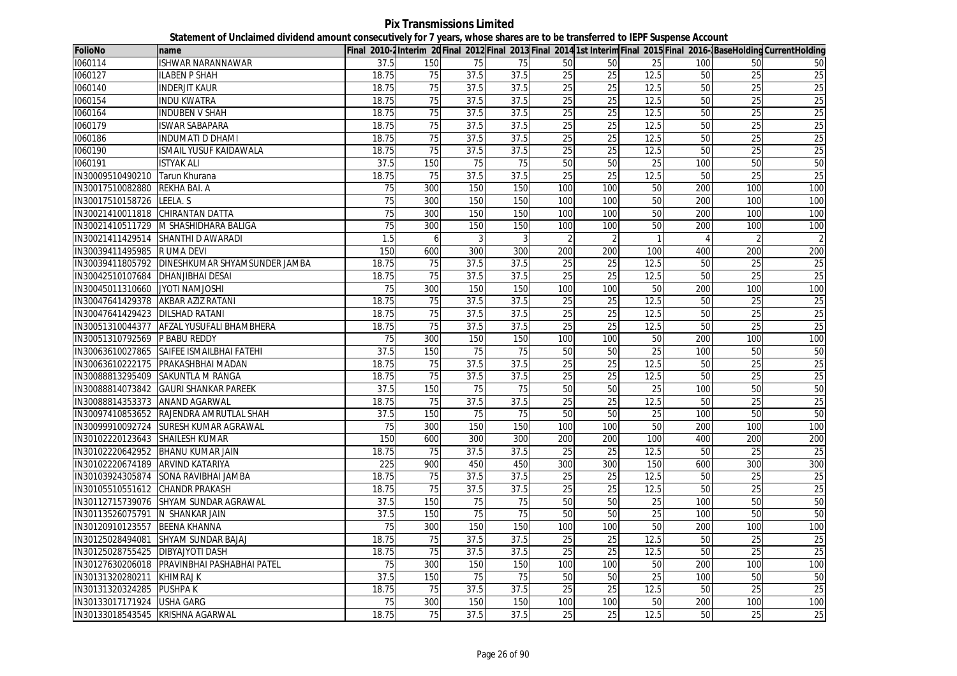**Pix Transmissions Limited Statement of Unclaimed dividend amount consecutively for 7 years, whose shares are to be transferred to IEPF Suspense Account**

| <b>FolioNo</b>                      | name                                           |                 |     |                |                 |                 |                 |                 |                |                 | Final 2010-2Interim 20Final 2012 Final 2013 Final 2014 1st Interim Final 2015 Final 2016- BaseHolding CurrentHolding |
|-------------------------------------|------------------------------------------------|-----------------|-----|----------------|-----------------|-----------------|-----------------|-----------------|----------------|-----------------|----------------------------------------------------------------------------------------------------------------------|
| 1060114                             | ISHWAR NARANNAWAR                              | 37.5            | 150 | 75             | 75              | 50              | 50              | 25              | 100            | 50              | 50                                                                                                                   |
| 1060127                             | <b>ILABEN P SHAH</b>                           | 18.75           | 75  | 37.5           | 37.5            | 25              | 25              | 12.5            | 50             | 25              | 25                                                                                                                   |
| 1060140                             | <b>INDERJIT KAUR</b>                           | 18.75           | 75  | 37.5           | 37.5            | 25              | 25              | 12.5            | 50             | 25              | 25                                                                                                                   |
| 1060154                             | <b>INDU KWATRA</b>                             | 18.75           | 75  | 37.5           | 37.5            | 25              | 25              | 12.5            | 50             | 25              | 25                                                                                                                   |
| 1060164                             | <b>INDUBEN V SHAH</b>                          | 18.75           | 75  | 37.5           | 37.5            | 25              | 25              | 12.5            | 50             | $\overline{25}$ | 25                                                                                                                   |
| 1060179                             | <b>ISWAR SABAPARA</b>                          | 18.75           | 75  | 37.5           | 37.5            | 25              | 25              | 12.5            | 50             | 25              | 25                                                                                                                   |
| 1060186                             | <b>INDUMATI D DHAMI</b>                        | 18.75           | 75  | 37.5           | 37.5            | 25              | 25              | 12.5            | 50             | 25              | 25                                                                                                                   |
| 1060190                             | <b>ISMAIL YUSUF KAIDAWALA</b>                  | 18.75           | 75  | 37.5           | 37.5            | 25              | 25              | 12.5            | 50             | 25              | 25                                                                                                                   |
| 1060191                             | <b>ISTYAK ALI</b>                              | 37.5            | 150 | 75             | 75              | 50              | 50              | 25              | 100            | 50              | 50                                                                                                                   |
| IN30009510490210 Tarun Khurana      |                                                | 18.75           | 75  | 37.5           | 37.5            | 25              | 25              | 12.5            | 50             | 25              | 25                                                                                                                   |
| IN30017510082880                    | REKHA BAI. A                                   | 75              | 300 | 150            | 150             | 100             | 100             | 50              | 200            | 100             | 100                                                                                                                  |
| IN30017510158726 LEELA. S           |                                                | 75              | 300 | 150            | 150             | 100             | 100             | 50              | 200            | 100             | 100                                                                                                                  |
| IN30021410011818 CHIRANTAN DATTA    |                                                | 75              | 300 | 150            | 150             | 100             | 100             | 50              | 200            | 100             | 100                                                                                                                  |
|                                     | IN30021410511729 M SHASHIDHARA BALIGA          | 75              | 300 | 150            | 150             | 100             | 100             | 50              | 200            | 100             | 100                                                                                                                  |
|                                     | IN30021411429514 SHANTHI D AWARADI             | 1.5             | 6   | $\overline{3}$ | 3               | $\overline{2}$  | $\overline{2}$  | $\mathbf{1}$    | $\overline{A}$ |                 |                                                                                                                      |
| IN30039411495985 R UMA DEVI         |                                                | 150             | 600 | 300            | 300             | 200             | 200             | 100             | 400            | 200             | 200                                                                                                                  |
|                                     | IN30039411805792 DINESHKUMAR SHYAMSUNDER JAMBA | 18.75           | 75  | 37.5           | 37.5            | $\overline{25}$ | 25              | 12.5            | 50             | 25              | $\overline{25}$                                                                                                      |
| IN30042510107684   DHANJIBHAI DESAI |                                                | 18.75           | 75  | 37.5           | 37.5            | 25              | 25              | 12.5            | 50             | 25              | 25                                                                                                                   |
| IN30045011310660 JYOTI NAMJOSHI     |                                                | 75              | 300 | 150            | 150             | 100             | 100             | 50              | 200            | 100             | 100                                                                                                                  |
| IN30047641429378 AKBAR AZIZ RATANI  |                                                | 18.75           | 75  | 37.5           | 37.5            | 25              | 25              | 12.5            | 50             | 25              | $\overline{25}$                                                                                                      |
| IN30047641429423 DILSHAD RATANI     |                                                | 18.75           | 75  | 37.5           | 37.5            | 25              | 25              | 12.5            | 50             | 25              | 25                                                                                                                   |
| IN30051310044377                    | AFZAL YUSUFALI BHAMBHERA                       | 18.75           | 75  | 37.5           | 37.5            | $\overline{25}$ | 25              | 12.5            | 50             | $\overline{25}$ | 25                                                                                                                   |
| IN30051310792569 P BABU REDDY       |                                                | 75              | 300 | 150            | 150             | 100             | 100             | 50              | 200            | 100             | 100                                                                                                                  |
|                                     | IN30063610027865 SAIFEE ISMAILBHAI FATEHI      | 37.5            | 150 | 75             | 75              | 50              | 50              | 25              | 100            | 50              | 50                                                                                                                   |
|                                     | IN30063610222175 PRAKASHBHAI MADAN             | 18.75           | 75  | 37.5           | 37.5            | 25              | 25              | 12.5            | 50             | 25              | 25                                                                                                                   |
|                                     | IN30088813295409 SAKUNTLA M RANGA              | 18.75           | 75  | 37.5           | 37.5            | 25              | 25              | 12.5            | 50             | $\overline{25}$ | 25                                                                                                                   |
|                                     | IN30088814073842 GAURI SHANKAR PAREEK          | 37.5            | 150 | 75             | 75              | 50              | 50              | 25              | 100            | 50              | 50                                                                                                                   |
| IN30088814353373 ANAND AGARWAL      |                                                | 18.75           | 75  | 37.5           | 37.5            | $\overline{25}$ | $\overline{25}$ | 12.5            | 50             | 25              | $\overline{25}$                                                                                                      |
|                                     | IN30097410853652 RAJENDRA AMRUTLAL SHAH        | 37.5            | 150 | 75             | 75              | 50              | 50              | 25              | 100            | 50              | 50                                                                                                                   |
|                                     | IN30099910092724 SURESH KUMAR AGRAWAL          | 75              | 300 | 150            | 150             | 100             | 100             | 50              | 200            | 100             | 100                                                                                                                  |
| IN30102220123643 SHAILESH KUMAR     |                                                | 150             | 600 | 300            | 300             | 200             | 200             | 100             | 400            | 200             | 200                                                                                                                  |
| IN30102220642952 BHANU KUMAR JAIN   |                                                | 18.75           | 75  | 37.5           | 37.5            | 25              | 25              | 12.5            | 50             | 25              | 25                                                                                                                   |
| IN30102220674189 ARVIND KATARIYA    |                                                | 225             | 900 | 450            | 450             | 300             | 300             | 150             | 600            | 300             | 300                                                                                                                  |
|                                     | IN30103924305874 SONA RAVIBHAI JAMBA           | 18.75           | 75  | 37.5           | 37.5            | $\overline{25}$ | 25              | 12.5            | 50             | 25              | 25                                                                                                                   |
| IN30105510551612 CHANDR PRAKASH     |                                                | 18.75           | 75  | 37.5           | 37.5            | 25              | $\overline{25}$ | 12.5            | 50             | 25              | 25                                                                                                                   |
|                                     | IN30112715739076 SHYAM SUNDAR AGRAWAL          | 37.5            | 150 | 75             | 75              | 50              | 50              | 25              | 100            | 50              | 50                                                                                                                   |
| IN30113526075791 N SHANKAR JAIN     |                                                | 37.5            | 150 | 75             | 75              | 50              | 50              | 25              | 100            | 50              | 50                                                                                                                   |
| IN30120910123557                    | <b>BEENA KHANNA</b>                            | $\overline{75}$ | 300 | 150            | 150             | 100             | 100             | 50              | 200            | 100             | 100                                                                                                                  |
|                                     | IN30125028494081 SHYAM SUNDAR BAJAJ            | 18.75           | 75  | 37.5           | 37.5            | $\overline{25}$ | 25              | 12.5            | 50             | 25              | 25                                                                                                                   |
| IN30125028755425 DIBYAJYOTI DASH    |                                                | 18.75           | 75  | 37.5           | 37.5            | 25              | 25              | 12.5            | 50             | 25              | $\overline{25}$                                                                                                      |
|                                     | IN30127630206018 PRAVINBHAI PASHABHAI PATEL    | 75              | 300 | 150            | 150             | 100             | 100             | 50              | 200            | 100             | 100                                                                                                                  |
| IN30131320280211                    | <b>KHIMRAJ K</b>                               | 37.5            | 150 | 75             | $\overline{75}$ | 50              | 50              | $\overline{25}$ | 100            | 50              | 50                                                                                                                   |
| IN30131320324285 PUSHPA K           |                                                | 18.75           | 75  | 37.5           | 37.5            | 25              | 25              | 12.5            | 50             | 25              | $\overline{25}$                                                                                                      |
| IN30133017171924 USHA GARG          |                                                | 75              | 300 | 150            | 150             | 100             | 100             | 50              | 200            | 100             | 100                                                                                                                  |
| IN30133018543545 KRISHNA AGARWAL    |                                                | 18.75           | 75  | 37.5           | 37.5            | 25              | 25              | 12.5            | 50             | 25              | 25                                                                                                                   |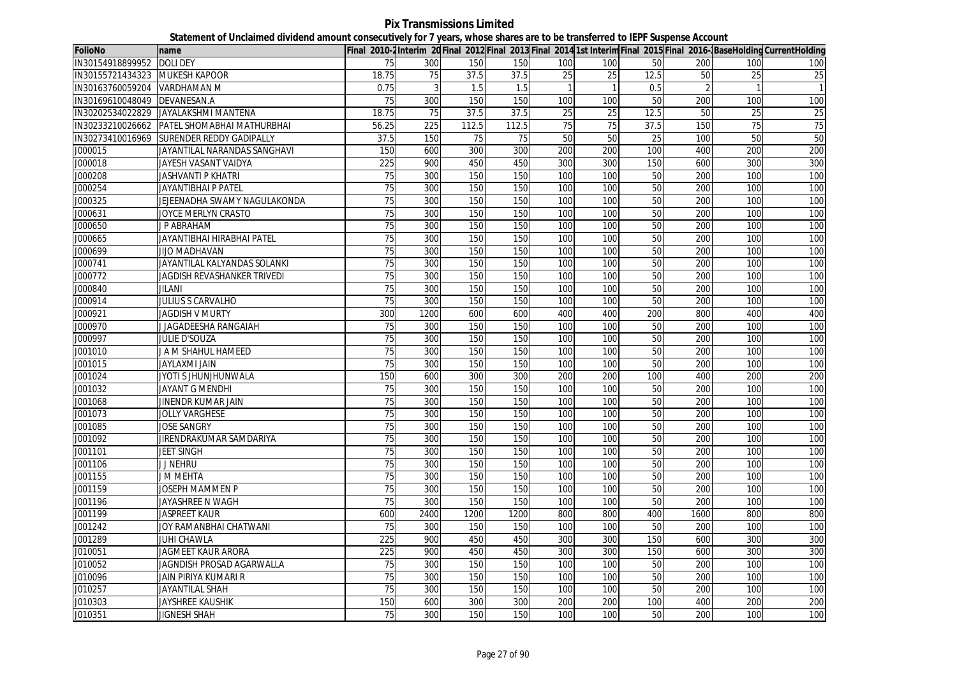**Pix Transmissions Limited Statement of Unclaimed dividend amount consecutively for 7 years, whose shares are to be transferred to IEPF Suspense Account**

| <b>FolioNo</b>                 | name                            |                 |      |       |       |                 |                 |      |      |     | Final 2010-2Interim 20 Final 2012 Final 2013 Final 2014 1st Interim Final 2015 Final 2016-BaseHolding CurrentHolding |
|--------------------------------|---------------------------------|-----------------|------|-------|-------|-----------------|-----------------|------|------|-----|----------------------------------------------------------------------------------------------------------------------|
| IN30154918899952               | <b>DOLI DEY</b>                 | 75              | 300  | 150   | 150   | 100             | 100             | 50   | 200  | 100 | 100                                                                                                                  |
| IN30155721434323 MUKESH KAPOOR |                                 | 18.75           | 75   | 37.5  | 37.5  | 25              | 25              | 12.5 | 50   | 25  | $\overline{25}$                                                                                                      |
| IN30163760059204 VARDHAMAN M   |                                 | 0.75            | 3    | 1.5   | 1.5   | $\mathbf{1}$    | $\mathbf{1}$    | 0.5  |      |     |                                                                                                                      |
| IN30169610048049               | DEVANESAN.A                     | 75              | 300  | 150   | 150   | 100             | 100             | 50   | 200  | 100 | 100                                                                                                                  |
| IN30202534022829               | JAYALAKSHMI MANTENA             | 18.75           | 75   | 37.5  | 37.5  | $\overline{25}$ | $\overline{25}$ | 12.5 | 50   | 25  | $\overline{25}$                                                                                                      |
| IN30233210026662               | PATEL SHOMABHAI MATHURBHAI      | 56.25           | 225  | 112.5 | 112.5 | 75              | 75              | 37.5 | 150  | 75  | 75                                                                                                                   |
| IN30273410016969               | <b>SURENDER REDDY GADIPALLY</b> | 37.5            | 150  | 75    | 75    | 50              | 50              | 25   | 100  | 50  | 50                                                                                                                   |
| J000015                        | JAYANTILAL NARANDAS SANGHAVI    | 150             | 600  | 300   | 300   | 200             | 200             | 100  | 400  | 200 | 200                                                                                                                  |
| J000018                        | JAYESH VASANT VAIDYA            | 225             | 900  | 450   | 450   | 300             | 300             | 150  | 600  | 300 | 300                                                                                                                  |
| J000208                        | <b>JASHVANTI P KHATRI</b>       | 75              | 300  | 150   | 150   | 100             | 100             | 50   | 200  | 100 | 100                                                                                                                  |
| J000254                        | <b>JAYANTIBHAI P PATEL</b>      | 75              | 300  | 150   | 150   | 100             | 100             | 50   | 200  | 100 | 100                                                                                                                  |
| J000325                        | JEJEENADHA SWAMY NAGULAKONDA    | 75              | 300  | 150   | 150   | 100             | 100             | 50   | 200  | 100 | 100                                                                                                                  |
| J000631                        | JOYCE MERLYN CRASTO             | 75              | 300  | 150   | 150   | 100             | 100             | 50   | 200  | 100 | 100                                                                                                                  |
| J000650                        | J P ABRAHAM                     | 75              | 300  | 150   | 150   | 100             | 100             | 50   | 200  | 100 | 100                                                                                                                  |
| J000665                        | JAYANTIBHAI HIRABHAI PATEL      | 75              | 300  | 150   | 150   | 100             | 100             | 50   | 200  | 100 | 100                                                                                                                  |
| J000699                        | <b>JIJO MADHAVAN</b>            | 75              | 300  | 150   | 150   | 100             | 100             | 50   | 200  | 100 | 100                                                                                                                  |
| J000741                        | JAYANTILAL KALYANDAS SOLANKI    | 75              | 300  | 150   | 150   | 100             | 100             | 50   | 200  | 100 | 100                                                                                                                  |
| J000772                        | JAGDISH REVASHANKER TRIVEDI     | 75              | 300  | 150   | 150   | 100             | 100             | 50   | 200  | 100 | 100                                                                                                                  |
| J000840                        | <b>JILANI</b>                   | 75              | 300  | 150   | 150   | 100             | 100             | 50   | 200  | 100 | 100                                                                                                                  |
| J000914                        | <b>JULIUS S CARVALHO</b>        | 75              | 300  | 150   | 150   | 100             | 100             | 50   | 200  | 100 | 100                                                                                                                  |
| J000921                        | <b>JAGDISH V MURTY</b>          | 300             | 1200 | 600   | 600   | 400             | 400             | 200  | 800  | 400 | 400                                                                                                                  |
| J000970                        | J JAGADEESHA RANGAIAH           | 75              | 300  | 150   | 150   | 100             | 100             | 50   | 200  | 100 | 100                                                                                                                  |
| J000997                        | Julie d'Souza                   | 75              | 300  | 150   | 150   | 100             | 100             | 50   | 200  | 100 | 100                                                                                                                  |
| J001010                        | J A M SHAHUL HAMEED             | 75              | 300  | 150   | 150   | 100             | 100             | 50   | 200  | 100 | 100                                                                                                                  |
| J001015                        | JAYLAXMI JAIN                   | 75              | 300  | 150   | 150   | 100             | 100             | 50   | 200  | 100 | 100                                                                                                                  |
| J001024                        | JYOTI S JHUNJHUNWALA            | 150             | 600  | 300   | 300   | 200             | 200             | 100  | 400  | 200 | 200                                                                                                                  |
| J001032                        | JAYANT G MENDHI                 | 75              | 300  | 150   | 150   | 100             | 100             | 50   | 200  | 100 | 100                                                                                                                  |
| J001068                        | JINENDR KUMAR JAIN              | 75              | 300  | 150   | 150   | 100             | 100             | 50   | 200  | 100 | 100                                                                                                                  |
| J001073                        | <b>JOLLY VARGHESE</b>           | 75              | 300  | 150   | 150   | 100             | 100             | 50   | 200  | 100 | 100                                                                                                                  |
| J001085                        | <b>JOSE SANGRY</b>              | 75              | 300  | 150   | 150   | 100             | 100             | 50   | 200  | 100 | 100                                                                                                                  |
| J001092                        | JIRENDRAKUMAR SAMDARIYA         | 75              | 300  | 150   | 150   | 100             | 100             | 50   | 200  | 100 | 100                                                                                                                  |
| J001101                        | <b>JEET SINGH</b>               | 75              | 300  | 150   | 150   | 100             | 100             | 50   | 200  | 100 | 100                                                                                                                  |
| J001106                        | <b>J J NEHRU</b>                | 75              | 300  | 150   | 150   | 100             | 100             | 50   | 200  | 100 | 100                                                                                                                  |
| J001155                        | J M MEHTA                       | 75              | 300  | 150   | 150   | 100             | 100             | 50   | 200  | 100 | 100                                                                                                                  |
| J001159                        | JOSEPH MAMMEN P                 | 75              | 300  | 150   | 150   | 100             | 100             | 50   | 200  | 100 | 100                                                                                                                  |
| J001196                        | JAYASHREE N WAGH                | 75              | 300  | 150   | 150   | 100             | 100             | 50   | 200  | 100 | 100                                                                                                                  |
| J001199                        | <b>JASPREET KAUR</b>            | 600             | 2400 | 1200  | 1200  | 800             | 800             | 400  | 1600 | 800 | 800                                                                                                                  |
| J001242                        | JOY RAMANBHAI CHATWANI          | $\overline{75}$ | 300  | 150   | 150   | 100             | 100             | 50   | 200  | 100 | 100                                                                                                                  |
| J001289                        | JUHI CHAWLA                     | 225             | 900  | 450   | 450   | 300             | 300             | 150  | 600  | 300 | 300                                                                                                                  |
| J010051                        | <b>JAGMEET KAUR ARORA</b>       | 225             | 900  | 450   | 450   | 300             | 300             | 150  | 600  | 300 | 300                                                                                                                  |
| J010052                        | JAGNDISH PROSAD AGARWALLA       | 75              | 300  | 150   | 150   | 100             | 100             | 50   | 200  | 100 | 100                                                                                                                  |
| J010096                        | JAIN PIRIYA KUMARI R            | 75              | 300  | 150   | 150   | 100             | 100             | 50   | 200  | 100 | 100                                                                                                                  |
| J010257                        | <b>JAYANTILAL SHAH</b>          | 75              | 300  | 150   | 150   | 100             | 100             | 50   | 200  | 100 | 100                                                                                                                  |
| J010303                        | <b>JAYSHREE KAUSHIK</b>         | 150             | 600  | 300   | 300   | 200             | 200             | 100  | 400  | 200 | 200                                                                                                                  |
| J010351                        | JIGNESH SHAH                    | 75              | 300  | 150   | 150   | 100             | 100             | 50   | 200  | 100 | 100                                                                                                                  |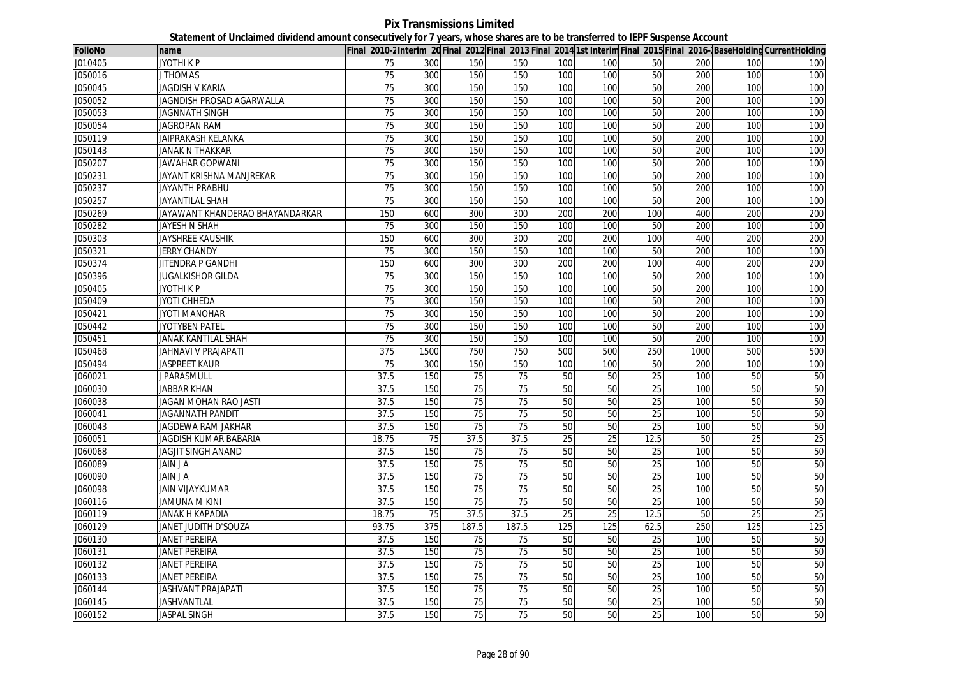**Pix Transmissions Limited Statement of Unclaimed dividend amount consecutively for 7 years, whose shares are to be transferred to IEPF Suspense Account**

| <b>FolioNo</b> | name                            |                 |      |                 |                 |     |     |                 |      |                 | Final 2010-2Interim 20Final 2012 Final 2013 Final 2014 1st Interim Final 2015 Final 2016-BaseHolding CurrentHolding |
|----------------|---------------------------------|-----------------|------|-----------------|-----------------|-----|-----|-----------------|------|-----------------|---------------------------------------------------------------------------------------------------------------------|
| J010405        | JYOTHI K P                      | 75              | 300  | 150             | 150             | 100 | 100 | 50              | 200  | 100             | 100                                                                                                                 |
| J050016        | <b>J THOMAS</b>                 | 75              | 300  | 150             | 150             | 100 | 100 | 50              | 200  | 100             | 100                                                                                                                 |
| J050045        | <b>JAGDISH V KARIA</b>          | $\overline{75}$ | 300  | 150             | 150             | 100 | 100 | 50              | 200  | 100             | 100                                                                                                                 |
| J050052        | JAGNDISH PROSAD AGARWALLA       | 75              | 300  | 150             | 150             | 100 | 100 | 50              | 200  | 100             | 100                                                                                                                 |
| J050053        | <b>JAGNNATH SINGH</b>           | 75              | 300  | 150             | 150             | 100 | 100 | 50              | 200  | 100             | 100                                                                                                                 |
| J050054        | JAGROPAN RAM                    | 75              | 300  | 150             | 150             | 100 | 100 | 50              | 200  | 100             | 100                                                                                                                 |
| J050119        | JAIPRAKASH KELANKA              | 75              | 300  | 150             | 150             | 100 | 100 | 50              | 200  | 100             | 100                                                                                                                 |
| J050143        | JANAK N THAKKAR                 | 75              | 300  | 150             | 150             | 100 | 100 | 50              | 200  | 100             | 100                                                                                                                 |
| J050207        | JAWAHAR GOPWANI                 | 75              | 300  | 150             | 150             | 100 | 100 | 50              | 200  | 100             | 100                                                                                                                 |
| J050231        | JAYANT KRISHNA MANJREKAR        | 75              | 300  | 150             | 150             | 100 | 100 | 50              | 200  | 100             | 100                                                                                                                 |
| J050237        | JAYANTH PRABHU                  | 75              | 300  | 150             | 150             | 100 | 100 | 50              | 200  | 100             | 100                                                                                                                 |
| J050257        | <b>JAYANTILAL SHAH</b>          | 75              | 300  | 150             | 150             | 100 | 100 | 50              | 200  | 100             | 100                                                                                                                 |
| J050269        | JAYAWANT KHANDERAO BHAYANDARKAR | 150             | 600  | 300             | 300             | 200 | 200 | 100             | 400  | 200             | 200                                                                                                                 |
| J050282        | JAYESH N SHAH                   | 75              | 300  | 150             | 150             | 100 | 100 | 50              | 200  | 100             | 100                                                                                                                 |
| J050303        | <b>JAYSHREE KAUSHIK</b>         | 150             | 600  | 300             | 300             | 200 | 200 | 100             | 400  | 200             | 200                                                                                                                 |
| J050321        | <b>JERRY CHANDY</b>             | 75              | 300  | 150             | 150             | 100 | 100 | 50              | 200  | 100             | 100                                                                                                                 |
| J050374        | JITENDRA P GANDHI               | 150             | 600  | 300             | 300             | 200 | 200 | 100             | 400  | 200             | 200                                                                                                                 |
| J050396        | <b>JUGALKISHOR GILDA</b>        | 75              | 300  | 150             | 150             | 100 | 100 | 50              | 200  | 100             | 100                                                                                                                 |
| J050405        | JYOTHI K P                      | 75              | 300  | 150             | 150             | 100 | 100 | 50              | 200  | 100             | 100                                                                                                                 |
| J050409        | JYOTI CHHEDA                    | 75              | 300  | 150             | 150             | 100 | 100 | 50              | 200  | 100             | 100                                                                                                                 |
| J050421        | <b>JYOTI MANOHAR</b>            | 75              | 300  | 150             | 150             | 100 | 100 | 50              | 200  | 100             | 100                                                                                                                 |
| J050442        | <b>JYOTYBEN PATEL</b>           | 75              | 300  | 150             | 150             | 100 | 100 | 50              | 200  | 100             | 100                                                                                                                 |
| J050451        | JANAK KANTILAL SHAH             | 75              | 300  | 150             | 150             | 100 | 100 | 50              | 200  | 100             | 100                                                                                                                 |
| J050468        | JAHNAVI V PRAJAPATI             | 375             | 1500 | 750             | 750             | 500 | 500 | 250             | 1000 | 500             | 500                                                                                                                 |
| J050494        | <b>JASPREET KAUR</b>            | 75              | 300  | 150             | 150             | 100 | 100 | 50              | 200  | 100             | 100                                                                                                                 |
| J060021        | J PARASMULL                     | 37.5            | 150  | 75              | 75              | 50  | 50  | $\overline{25}$ | 100  | 50              | 50                                                                                                                  |
| J060030        | <b>JABBAR KHAN</b>              | 37.5            | 150  | 75              | 75              | 50  | 50  | 25              | 100  | 50              | 50                                                                                                                  |
| J060038        | JAGAN MOHAN RAO JASTI           | 37.5            | 150  | 75              | 75              | 50  | 50  | 25              | 100  | 50              | 50                                                                                                                  |
| J060041        | <b>JAGANNATH PANDIT</b>         | 37.5            | 150  | 75              | 75              | 50  | 50  | 25              | 100  | 50              | 50                                                                                                                  |
| J060043        | <b>JAGDEWA RAM JAKHAR</b>       | 37.5            | 150  | 75              | 75              | 50  | 50  | 25              | 100  | 50              | 50                                                                                                                  |
| J060051        | JAGDISH KUMAR BABARIA           | 18.75           | 75   | 37.5            | 37.5            | 25  | 25  | 12.5            | 50   | $\overline{25}$ | 25                                                                                                                  |
| J060068        | JAGJIT SINGH ANAND              | 37.5            | 150  | 75              | 75              | 50  | 50  | 25              | 100  | 50              | 50                                                                                                                  |
| J060089        | JAIN J A                        | 37.5            | 150  | 75              | 75              | 50  | 50  | 25              | 100  | 50              | 50                                                                                                                  |
| J060090        | <b>ALNIAL</b>                   | 37.5            | 150  | 75              | 75              | 50  | 50  | 25              | 100  | 50              | 50                                                                                                                  |
| J060098        | <b>JAIN VIJAYKUMAR</b>          | 37.5            | 150  | 75              | 75              | 50  | 50  | 25              | 100  | 50              | 50                                                                                                                  |
| J060116        | JAMUNA M KINI                   | 37.5            | 150  | 75              | 75              | 50  | 50  | 25              | 100  | 50              | 50                                                                                                                  |
| J060119        | <b>JANAK H KAPADIA</b>          | 18.75           | 75   | 37.5            | 37.5            | 25  | 25  | 12.5            | 50   | 25              | $\overline{25}$                                                                                                     |
| J060129        | JANET JUDITH D'SOUZA            | 93.75           | 375  | 187.5           | 187.5           | 125 | 125 | 62.5            | 250  | 125             | 125                                                                                                                 |
| J060130        | JANET PEREIRA                   | 37.5            | 150  | 75              | 75              | 50  | 50  | 25              | 100  | 50              | 50                                                                                                                  |
| J060131        | JANET PEREIRA                   | 37.5            | 150  | 75              | $\overline{75}$ | 50  | 50  | 25              | 100  | 50              | 50                                                                                                                  |
| J060132        | JANET PEREIRA                   | 37.5            | 150  | $\overline{75}$ | 75              | 50  | 50  | 25              | 100  | 50              | 50                                                                                                                  |
| J060133        | <b>JANET PEREIRA</b>            | 37.5            | 150  | 75              | 75              | 50  | 50  | $\overline{25}$ | 100  | 50              | 50                                                                                                                  |
| J060144        | <b>JASHVANT PRAJAPATI</b>       | 37.5            | 150  | 75              | 75              | 50  | 50  | 25              | 100  | 50              | 50                                                                                                                  |
| J060145        | <b>JASHVANTLAL</b>              | 37.5            | 150  | 75              | 75              | 50  | 50  | 25              | 100  | 50              | 50                                                                                                                  |
| J060152        | <b>JASPAL SINGH</b>             | 37.5            | 150  | 75              | 75              | 50  | 50  | 25              | 100  | 50              | 50                                                                                                                  |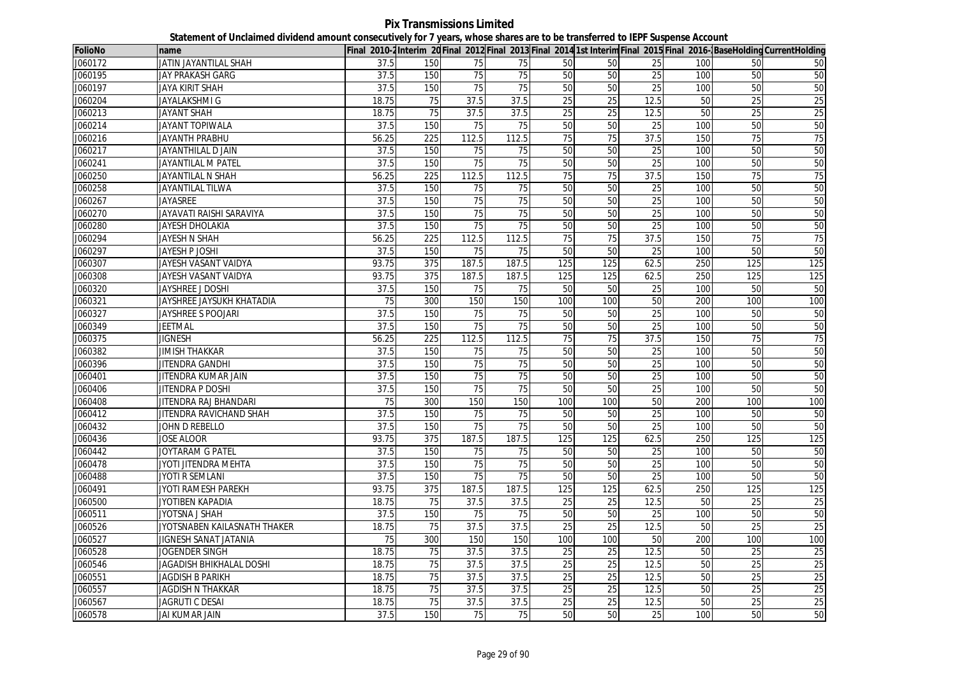**Pix Transmissions Limited Statement of Unclaimed dividend amount consecutively for 7 years, whose shares are to be transferred to IEPF Suspense Account**

| <b>FolioNo</b> | name                         |                 |                  |                 |                 |                 |                 |                 |     |                 | Final 2010-2Interim 20 Final 2012 Final 2013 Final 2014 1st Interim Final 2015 Final 2016-BaseHolding CurrentHolding |
|----------------|------------------------------|-----------------|------------------|-----------------|-----------------|-----------------|-----------------|-----------------|-----|-----------------|----------------------------------------------------------------------------------------------------------------------|
| J060172        | JATIN JAYANTILAL SHAH        | 37.5            | 150              | 75              | 75              | 50              | 50              | 25              | 100 | 50              | 50                                                                                                                   |
| J060195        | JAY PRAKASH GARG             | 37.5            | 150              | 75              | 75              | 50              | 50              | 25              | 100 | 50              | 50                                                                                                                   |
| J060197        | <b>JAYA KIRIT SHAH</b>       | 37.5            | 150              | 75              | 75              | 50              | 50              | 25              | 100 | 50              | 50                                                                                                                   |
| J060204        | JAYALAKSHMI G                | 18.75           | 75               | 37.5            | 37.5            | 25              | 25              | 12.5            | 50  | 25              | 25                                                                                                                   |
| J060213        | <b>JAYANT SHAH</b>           | 18.75           | 75               | 37.5            | 37.5            | 25              | 25              | 12.5            | 50  | 25              | 25                                                                                                                   |
| J060214        | <b>JAYANT TOPIWALA</b>       | 37.5            | 150              | 75              | 75              | 50              | 50              | 25              | 100 | 50              | 50                                                                                                                   |
| J060216        | JAYANTH PRABHU               | 56.25           | 225              | 112.5           | 112.5           | 75              | 75              | 37.5            | 150 | $\overline{75}$ | 75                                                                                                                   |
| J060217        | JAYANTHILAL D JAIN           | 37.5            | 150              | 75              | 75              | 50              | 50              | 25              | 100 | 50              | 50                                                                                                                   |
| J060241        | JAYANTILAL M PATEL           | 37.5            | 150              | $\overline{75}$ | 75              | 50              | 50              | 25              | 100 | 50              | 50                                                                                                                   |
| J060250        | JAYANTILAL N SHAH            | 56.25           | 225              | 112.5           | 112.5           | 75              | 75              | 37.5            | 150 | 75              | 75                                                                                                                   |
| J060258        | <b>JAYANTILAL TILWA</b>      | 37.5            | 150              | 75              | 75              | 50              | 50              | 25              | 100 | 50              | 50                                                                                                                   |
| J060267        | JAYASREE                     | 37.5            | 150              | 75              | 75              | 50              | 50              | 25              | 100 | 50              | 50                                                                                                                   |
| J060270        | JAYAVATI RAISHI SARAVIYA     | 37.5            | 150              | 75              | $\overline{75}$ | 50              | 50              | 25              | 100 | 50              | 50                                                                                                                   |
| J060280        | JAYESH DHOLAKIA              | 37.5            | 150              | 75              | 75              | 50              | 50              | 25              | 100 | 50              | 50                                                                                                                   |
| J060294        | JAYESH N SHAH                | 56.25           | 225              | 112.5           | 112.5           | 75              | 75              | 37.5            | 150 | 75              | 75                                                                                                                   |
| J060297        | JAYESH P JOSHI               | 37.5            | 150              | $\overline{75}$ | 75              | 50              | 50              | 25              | 100 | 50              | 50                                                                                                                   |
| J060307        | JAYESH VASANT VAIDYA         | 93.75           | 375              | 187.5           | 187.5           | 125             | 125             | 62.5            | 250 | 125             | 125                                                                                                                  |
| J060308        | JAYESH VASANT VAIDYA         | 93.75           | 375              | 187.5           | 187.5           | 125             | 125             | 62.5            | 250 | 125             | 125                                                                                                                  |
| J060320        | JAYSHREE J DOSHI             | 37.5            | 150              | 75              | 75              | 50              | 50              | 25              | 100 | 50              | 50                                                                                                                   |
| J060321        | JAYSHREE JAYSUKH KHATADIA    | 75              | 300              | 150             | 150             | 100             | 100             | 50              | 200 | 100             | 100                                                                                                                  |
| J060327        | JAYSHREE S POOJARI           | 37.5            | 150              | 75              | 75              | 50              | 50              | $\overline{25}$ | 100 | 50              | 50                                                                                                                   |
| J060349        | JEETMAL                      | 37.5            | 150              | 75              | 75              | 50              | 50              | 25              | 100 | 50              | 50                                                                                                                   |
| J060375        | <b>JIGNESH</b>               | 56.25           | $\overline{225}$ | 112.5           | 112.5           | $\overline{75}$ | 75              | 37.5            | 150 | $\overline{75}$ | 75                                                                                                                   |
| J060382        | <b>JIMISH THAKKAR</b>        | 37.5            | 150              | 75              | 75              | 50              | 50              | 25              | 100 | 50              | 50                                                                                                                   |
| J060396        | JITENDRA GANDHI              | 37.5            | 150              | 75              | 75              | 50              | 50              | 25              | 100 | 50              | 50                                                                                                                   |
| J060401        | JITENDRA KUMAR JAIN          | 37.5            | 150              | 75              | 75              | 50              | 50              | 25              | 100 | 50              | 50                                                                                                                   |
| J060406        | <b>JITENDRA P DOSHI</b>      | 37.5            | 150              | 75              | 75              | 50              | 50              | 25              | 100 | 50              | 50                                                                                                                   |
| J060408        | JITENDRA RAJ BHANDARI        | 75              | 300              | 150             | 150             | 100             | 100             | 50              | 200 | 100             | 100                                                                                                                  |
| J060412        | JITENDRA RAVICHAND SHAH      | 37.5            | 150              | 75              | 75              | 50              | 50              | 25              | 100 | 50              | 50                                                                                                                   |
| J060432        | JOHN D REBELLO               | 37.5            | 150              | 75              | 75              | 50              | 50              | 25              | 100 | 50              | 50                                                                                                                   |
| J060436        | <b>JOSE ALOOR</b>            | 93.75           | 375              | 187.5           | 187.5           | 125             | 125             | 62.5            | 250 | 125             | 125                                                                                                                  |
| J060442        | JOYTARAM G PATEL             | 37.5            | 150              | 75              | 75              | 50              | 50              | 25              | 100 | 50              | 50                                                                                                                   |
| J060478        | JYOTI JITENDRA MEHTA         | 37.5            | 150              | 75              | 75              | 50              | 50              | 25              | 100 | 50              | 50                                                                                                                   |
| J060488        | <b>JYOTI R SEMLANI</b>       | 37.5            | 150              | 75              | 75              | 50              | 50              | 25              | 100 | 50              | 50                                                                                                                   |
| J060491        | JYOTI RAMESH PAREKH          | 93.75           | 375              | 187.5           | 187.5           | 125             | 125             | 62.5            | 250 | 125             | 125                                                                                                                  |
| J060500        | JYOTIBEN KAPADIA             | 18.75           | 75               | 37.5            | 37.5            | 25              | 25              | 12.5            | 50  | $\overline{25}$ | $\overline{25}$                                                                                                      |
| J060511        | JYOTSNA J SHAH               | 37.5            | 150              | 75              | 75              | 50              | 50              | 25              | 100 | 50              | 50                                                                                                                   |
| J060526        | JYOTSNABEN KAILASNATH THAKER | 18.75           | 75               | 37.5            | 37.5            | $\overline{25}$ | $\overline{25}$ | 12.5            | 50  | $\overline{25}$ | 25                                                                                                                   |
| J060527        | JIGNESH SANAT JATANIA        | $\overline{75}$ | 300              | 150             | 150             | 100             | 100             | 50              | 200 | 100             | 100                                                                                                                  |
| J060528        | JOGENDER SINGH               | 18.75           | 75               | 37.5            | 37.5            | 25              | 25              | 12.5            | 50  | 25              | 25                                                                                                                   |
| J060546        | JAGADISH BHIKHALAL DOSHI     | 18.75           | 75               | 37.5            | 37.5            | 25              | 25              | 12.5            | 50  | 25              | 25                                                                                                                   |
| J060551        | <b>JAGDISH B PARIKH</b>      | 18.75           | 75               | 37.5            | 37.5            | 25              | 25              | 12.5            | 50  | 25              | 25                                                                                                                   |
| J060557        | <b>JAGDISH N THAKKAR</b>     | 18.75           | 75               | 37.5            | 37.5            | 25              | 25              | 12.5            | 50  | 25              | 25                                                                                                                   |
| J060567        | <b>JAGRUTI C DESAI</b>       | 18.75           | 75               | 37.5            | 37.5            | 25              | 25              | 12.5            | 50  | $\overline{25}$ | 25                                                                                                                   |
| J060578        | JAI KUMAR JAIN               | 37.5            | 150              | 75              | 75              | 50              | 50              | 25              | 100 | 50              | 50                                                                                                                   |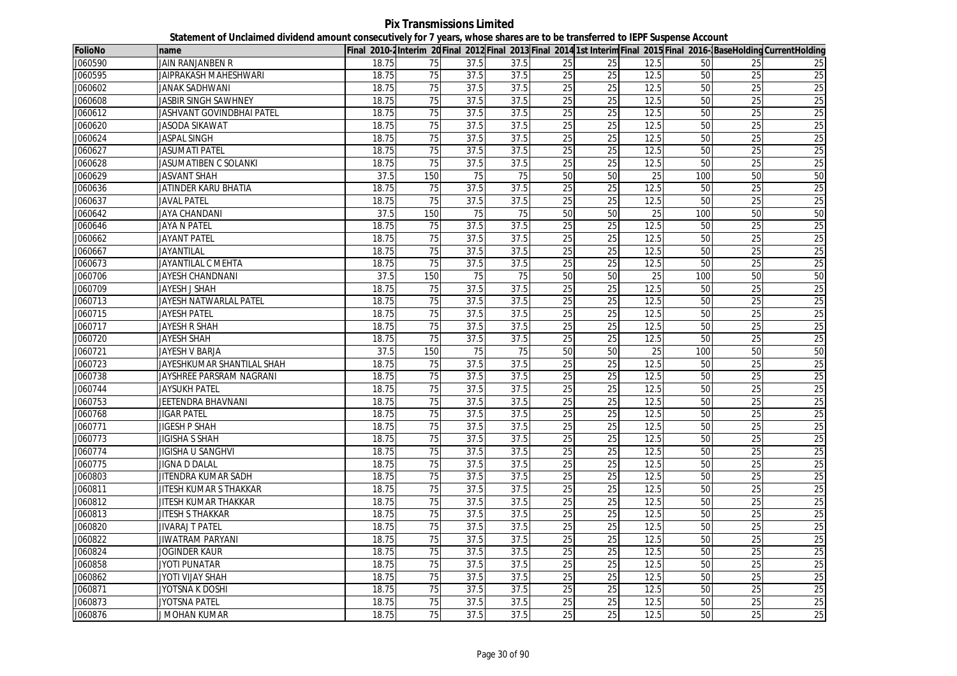**Pix Transmissions Limited Statement of Unclaimed dividend amount consecutively for 7 years, whose shares are to be transferred to IEPF Suspense Account**

| J060590<br>JAIN RANJANBEN R<br>18.75<br>75<br>37.5<br>37.5<br>25<br>12.5<br>50<br>25<br>25<br>25<br>75<br>25<br>25<br>J060595<br>JAIPRAKASH MAHESHWARI<br>18.75<br>37.5<br>37.5<br>12.5<br>50<br>$\overline{25}$<br>$\overline{25}$<br>25<br>25<br>J060602<br>75<br>37.5<br>37.5<br>25<br>12.5<br>25<br>JANAK SADHWANI<br>18.75<br>50<br><b>JASBIR SINGH SAWHNEY</b><br>75<br>37.5<br>37.5<br>$\overline{25}$<br>$\overline{25}$<br>50<br>$\overline{25}$<br>$\overline{25}$<br>J060608<br>18.75<br>12.5<br>25<br>25<br>25<br>75<br>37.5<br>25<br>12.5<br>50<br>J060612<br>JASHVANT GOVINDBHAI PATEL<br>18.75<br>37.5<br>25<br>J060620<br>18.75<br>$\overline{75}$<br>37.5<br>37.5<br>25<br>$\overline{25}$<br>12.5<br>50<br>$\overline{25}$<br>JASODA SIKAWAT<br>25<br>75<br>37.5<br>37.5<br>25<br>25<br>12.5<br>25<br>J060624<br><b>JASPAL SINGH</b><br>18.75<br>50<br>$\overline{25}$<br>25<br>J060627<br><b>JASUMATI PATEL</b><br>75<br>37.5<br>37.5<br>25<br>12.5<br>50<br>25<br>18.75<br>25<br>$\overline{75}$<br>25<br>25<br>25<br>J060628<br>JASUMATIBEN C SOLANKI<br>18.75<br>37.5<br>37.5<br>12.5<br>50<br>50<br>J060629<br>37.5<br>150<br>75<br>75<br>50<br>50<br>25<br>100<br>50<br>JASVANT SHAH<br>J060636<br>25<br>25<br>JATINDER KARU BHATIA<br>18.75<br>75<br>37.5<br>37.5<br>25<br>12.5<br>25<br>50<br>75<br>37.5<br>37.5<br>25<br>25<br>J060637<br><b>JAVAL PATEL</b><br>18.75<br>25<br>12.5<br>50<br>25 |
|----------------------------------------------------------------------------------------------------------------------------------------------------------------------------------------------------------------------------------------------------------------------------------------------------------------------------------------------------------------------------------------------------------------------------------------------------------------------------------------------------------------------------------------------------------------------------------------------------------------------------------------------------------------------------------------------------------------------------------------------------------------------------------------------------------------------------------------------------------------------------------------------------------------------------------------------------------------------------------------------------------------------------------------------------------------------------------------------------------------------------------------------------------------------------------------------------------------------------------------------------------------------------------------------------------------------------------------------------------------------------------------------------------------------------|
|                                                                                                                                                                                                                                                                                                                                                                                                                                                                                                                                                                                                                                                                                                                                                                                                                                                                                                                                                                                                                                                                                                                                                                                                                                                                                                                                                                                                                            |
|                                                                                                                                                                                                                                                                                                                                                                                                                                                                                                                                                                                                                                                                                                                                                                                                                                                                                                                                                                                                                                                                                                                                                                                                                                                                                                                                                                                                                            |
|                                                                                                                                                                                                                                                                                                                                                                                                                                                                                                                                                                                                                                                                                                                                                                                                                                                                                                                                                                                                                                                                                                                                                                                                                                                                                                                                                                                                                            |
|                                                                                                                                                                                                                                                                                                                                                                                                                                                                                                                                                                                                                                                                                                                                                                                                                                                                                                                                                                                                                                                                                                                                                                                                                                                                                                                                                                                                                            |
|                                                                                                                                                                                                                                                                                                                                                                                                                                                                                                                                                                                                                                                                                                                                                                                                                                                                                                                                                                                                                                                                                                                                                                                                                                                                                                                                                                                                                            |
|                                                                                                                                                                                                                                                                                                                                                                                                                                                                                                                                                                                                                                                                                                                                                                                                                                                                                                                                                                                                                                                                                                                                                                                                                                                                                                                                                                                                                            |
|                                                                                                                                                                                                                                                                                                                                                                                                                                                                                                                                                                                                                                                                                                                                                                                                                                                                                                                                                                                                                                                                                                                                                                                                                                                                                                                                                                                                                            |
|                                                                                                                                                                                                                                                                                                                                                                                                                                                                                                                                                                                                                                                                                                                                                                                                                                                                                                                                                                                                                                                                                                                                                                                                                                                                                                                                                                                                                            |
|                                                                                                                                                                                                                                                                                                                                                                                                                                                                                                                                                                                                                                                                                                                                                                                                                                                                                                                                                                                                                                                                                                                                                                                                                                                                                                                                                                                                                            |
|                                                                                                                                                                                                                                                                                                                                                                                                                                                                                                                                                                                                                                                                                                                                                                                                                                                                                                                                                                                                                                                                                                                                                                                                                                                                                                                                                                                                                            |
|                                                                                                                                                                                                                                                                                                                                                                                                                                                                                                                                                                                                                                                                                                                                                                                                                                                                                                                                                                                                                                                                                                                                                                                                                                                                                                                                                                                                                            |
|                                                                                                                                                                                                                                                                                                                                                                                                                                                                                                                                                                                                                                                                                                                                                                                                                                                                                                                                                                                                                                                                                                                                                                                                                                                                                                                                                                                                                            |
| 50<br>50<br>50<br>50<br>J060642<br><b>JAYA CHANDANI</b><br>37.5<br>150<br>75<br>75<br>25<br>100                                                                                                                                                                                                                                                                                                                                                                                                                                                                                                                                                                                                                                                                                                                                                                                                                                                                                                                                                                                                                                                                                                                                                                                                                                                                                                                            |
| J060646<br>75<br>37.5<br>$\overline{25}$<br>25<br><b>JAYA N PATEL</b><br>18.75<br>37.5<br>25<br>12.5<br>50<br>25                                                                                                                                                                                                                                                                                                                                                                                                                                                                                                                                                                                                                                                                                                                                                                                                                                                                                                                                                                                                                                                                                                                                                                                                                                                                                                           |
| 25<br>25<br>J060662<br><b>JAYANT PATEL</b><br>18.75<br>$\overline{75}$<br>37.5<br>37.5<br>25<br>12.5<br>50<br>$\overline{25}$                                                                                                                                                                                                                                                                                                                                                                                                                                                                                                                                                                                                                                                                                                                                                                                                                                                                                                                                                                                                                                                                                                                                                                                                                                                                                              |
| J060667<br>$\overline{75}$<br>37.5<br>$\overline{25}$<br>$\overline{25}$<br>12.5<br>50<br>$\overline{25}$<br>25<br><b>JAYANTILAL</b><br>18.75<br>37.5                                                                                                                                                                                                                                                                                                                                                                                                                                                                                                                                                                                                                                                                                                                                                                                                                                                                                                                                                                                                                                                                                                                                                                                                                                                                      |
| 25<br>25<br>J060673<br><b>JAYANTILAL C MEHTA</b><br>18.75<br>75<br>37.5<br>37.5<br>$\overline{25}$<br>12.5<br>50<br>$\overline{25}$                                                                                                                                                                                                                                                                                                                                                                                                                                                                                                                                                                                                                                                                                                                                                                                                                                                                                                                                                                                                                                                                                                                                                                                                                                                                                        |
| 50<br>150<br>50<br>50<br>25<br>100<br>50<br>J060706<br><b>JAYESH CHANDNANI</b><br>37.5<br>75<br>75                                                                                                                                                                                                                                                                                                                                                                                                                                                                                                                                                                                                                                                                                                                                                                                                                                                                                                                                                                                                                                                                                                                                                                                                                                                                                                                         |
| 25<br>J060709<br><b>JAYESH J SHAH</b><br>18.75<br>75<br>37.5<br>37.5<br>25<br>25<br>12.5<br>25<br>50                                                                                                                                                                                                                                                                                                                                                                                                                                                                                                                                                                                                                                                                                                                                                                                                                                                                                                                                                                                                                                                                                                                                                                                                                                                                                                                       |
| 37.5<br>37.5<br>25<br>25<br>J060713<br>JAYESH NATWARLAL PATEL<br>18.75<br>75<br>25<br>12.5<br>50<br>$\overline{25}$                                                                                                                                                                                                                                                                                                                                                                                                                                                                                                                                                                                                                                                                                                                                                                                                                                                                                                                                                                                                                                                                                                                                                                                                                                                                                                        |
| 75<br>$\overline{25}$<br>25<br>12.5<br>50<br>25<br>25<br>J060715<br><b>JAYESH PATEL</b><br>18.75<br>37.5<br>37.5                                                                                                                                                                                                                                                                                                                                                                                                                                                                                                                                                                                                                                                                                                                                                                                                                                                                                                                                                                                                                                                                                                                                                                                                                                                                                                           |
| 75<br>25<br>25<br>25<br>J060717<br><b>JAYESH R SHAH</b><br>18.75<br>37.5<br>37.5<br>12.5<br>50<br>$\overline{25}$                                                                                                                                                                                                                                                                                                                                                                                                                                                                                                                                                                                                                                                                                                                                                                                                                                                                                                                                                                                                                                                                                                                                                                                                                                                                                                          |
| 25<br>25<br>18.75<br>75<br>37.5<br>37.5<br>25<br>12.5<br>50<br>25<br>J060720<br>JAYESH SHAH                                                                                                                                                                                                                                                                                                                                                                                                                                                                                                                                                                                                                                                                                                                                                                                                                                                                                                                                                                                                                                                                                                                                                                                                                                                                                                                                |
| 50<br>50<br>J060721<br>JAYESH V BARJA<br>37.5<br>150<br>75<br>75<br>50<br>25<br>100<br>50                                                                                                                                                                                                                                                                                                                                                                                                                                                                                                                                                                                                                                                                                                                                                                                                                                                                                                                                                                                                                                                                                                                                                                                                                                                                                                                                  |
| 25<br>JAYESHKUMAR SHANTILAL SHAH<br>$\overline{25}$<br>25<br>50<br>25<br>J060723<br>18.75<br>75<br>37.5<br>37.5<br>12.5                                                                                                                                                                                                                                                                                                                                                                                                                                                                                                                                                                                                                                                                                                                                                                                                                                                                                                                                                                                                                                                                                                                                                                                                                                                                                                    |
| 25<br>J060738<br>75<br>37.5<br>25<br>25<br>12.5<br>50<br>25<br>JAYSHREE PARSRAM NAGRANI<br>18.75<br>37.5                                                                                                                                                                                                                                                                                                                                                                                                                                                                                                                                                                                                                                                                                                                                                                                                                                                                                                                                                                                                                                                                                                                                                                                                                                                                                                                   |
| 25<br>25<br>J060744<br><b>JAYSUKH PATEL</b><br>18.75<br>75<br>37.5<br>37.5<br>25<br>12.5<br>50<br>25                                                                                                                                                                                                                                                                                                                                                                                                                                                                                                                                                                                                                                                                                                                                                                                                                                                                                                                                                                                                                                                                                                                                                                                                                                                                                                                       |
| 25<br>J060753<br>18.75<br>$\overline{75}$<br>37.5<br>37.5<br>$\overline{25}$<br>$\overline{25}$<br>12.5<br>50<br>$\overline{25}$<br>JEETENDRA BHAVNANI                                                                                                                                                                                                                                                                                                                                                                                                                                                                                                                                                                                                                                                                                                                                                                                                                                                                                                                                                                                                                                                                                                                                                                                                                                                                     |
| 75<br>25<br>25<br>50<br>25<br>25<br>J060768<br>18.75<br>37.5<br>37.5<br>12.5<br><b>JIGAR PATEL</b>                                                                                                                                                                                                                                                                                                                                                                                                                                                                                                                                                                                                                                                                                                                                                                                                                                                                                                                                                                                                                                                                                                                                                                                                                                                                                                                         |
| 25<br>$\overline{75}$<br>25<br>J060771<br><b>JIGESH P SHAH</b><br>18.75<br>37.5<br>37.5<br>25<br>12.5<br>50<br>25                                                                                                                                                                                                                                                                                                                                                                                                                                                                                                                                                                                                                                                                                                                                                                                                                                                                                                                                                                                                                                                                                                                                                                                                                                                                                                          |
| 25<br>25<br>J060773<br>18.75<br>75<br>37.5<br>37.5<br>25<br>12.5<br>50<br>25<br>JIGISHA S SHAH                                                                                                                                                                                                                                                                                                                                                                                                                                                                                                                                                                                                                                                                                                                                                                                                                                                                                                                                                                                                                                                                                                                                                                                                                                                                                                                             |
| 25<br>25<br>75<br>$\overline{25}$<br>25<br>J060774<br><b>JIGISHA U SANGHVI</b><br>18.75<br>37.5<br>37.5<br>12.5<br>50                                                                                                                                                                                                                                                                                                                                                                                                                                                                                                                                                                                                                                                                                                                                                                                                                                                                                                                                                                                                                                                                                                                                                                                                                                                                                                      |
| 25<br>75<br>37.5<br>37.5<br>25<br>25<br>50<br>25<br>J060775<br>JIGNA D DALAL<br>18.75<br>12.5                                                                                                                                                                                                                                                                                                                                                                                                                                                                                                                                                                                                                                                                                                                                                                                                                                                                                                                                                                                                                                                                                                                                                                                                                                                                                                                              |
| 25<br>25<br>75<br>$\overline{25}$<br>12.5<br>50<br>25<br>J060803<br>JITENDRA KUMAR SADH<br>18.75<br>37.5<br>37.5                                                                                                                                                                                                                                                                                                                                                                                                                                                                                                                                                                                                                                                                                                                                                                                                                                                                                                                                                                                                                                                                                                                                                                                                                                                                                                           |
| 75<br>37.5<br>25<br>25<br>25<br>J060811<br>JITESH KUMAR S THAKKAR<br>18.75<br>37.5<br>12.5<br>50<br>25                                                                                                                                                                                                                                                                                                                                                                                                                                                                                                                                                                                                                                                                                                                                                                                                                                                                                                                                                                                                                                                                                                                                                                                                                                                                                                                     |
| 37.5<br>25<br>25<br>J060812<br>JITESH KUMAR THAKKAR<br>18.75<br>75<br>37.5<br>25<br>12.5<br>50<br>25                                                                                                                                                                                                                                                                                                                                                                                                                                                                                                                                                                                                                                                                                                                                                                                                                                                                                                                                                                                                                                                                                                                                                                                                                                                                                                                       |
| 75<br>25<br>$\overline{25}$<br>25<br>25<br><b>JITESH S THAKKAR</b><br>37.5<br>37.5<br>12.5<br>50<br>J060813<br>18.75                                                                                                                                                                                                                                                                                                                                                                                                                                                                                                                                                                                                                                                                                                                                                                                                                                                                                                                                                                                                                                                                                                                                                                                                                                                                                                       |
| 25<br>J060820<br><b>JIVARAJ T PATEL</b><br>18.75<br>75<br>37.5<br>25<br>25<br>12.5<br>50<br>25<br>37.5                                                                                                                                                                                                                                                                                                                                                                                                                                                                                                                                                                                                                                                                                                                                                                                                                                                                                                                                                                                                                                                                                                                                                                                                                                                                                                                     |
| 25<br>$\overline{75}$<br>37.5<br>37.5<br>25<br>$\overline{25}$<br>12.5<br>50<br>$\overline{25}$<br>J060822<br><b>JIWATRAM PARYANI</b><br>18.75                                                                                                                                                                                                                                                                                                                                                                                                                                                                                                                                                                                                                                                                                                                                                                                                                                                                                                                                                                                                                                                                                                                                                                                                                                                                             |
| 25<br>25<br>J060824<br>75<br>37.5<br>37.5<br>25<br>12.5<br>50<br>25<br><b>JOGINDER KAUR</b><br>18.75                                                                                                                                                                                                                                                                                                                                                                                                                                                                                                                                                                                                                                                                                                                                                                                                                                                                                                                                                                                                                                                                                                                                                                                                                                                                                                                       |
| 25<br>J060858<br>18.75<br>75<br>37.5<br>37.5<br>$\overline{25}$<br>$\overline{25}$<br>12.5<br>50<br>$\overline{25}$<br><b>JYOTI PUNATAR</b>                                                                                                                                                                                                                                                                                                                                                                                                                                                                                                                                                                                                                                                                                                                                                                                                                                                                                                                                                                                                                                                                                                                                                                                                                                                                                |
| 75<br>25<br>25<br>25<br>J060862<br>JYOTI VIJAY SHAH<br>18.75<br>37.5<br>37.5<br>12.5<br>50<br>25                                                                                                                                                                                                                                                                                                                                                                                                                                                                                                                                                                                                                                                                                                                                                                                                                                                                                                                                                                                                                                                                                                                                                                                                                                                                                                                           |
| 25<br>25<br>J060871<br>JYOTSNA K DOSHI<br>18.75<br>75<br>37.5<br>37.5<br>$\overline{25}$<br>12.5<br>50<br>$\overline{25}$                                                                                                                                                                                                                                                                                                                                                                                                                                                                                                                                                                                                                                                                                                                                                                                                                                                                                                                                                                                                                                                                                                                                                                                                                                                                                                  |
| 75<br>37.5<br>37.5<br>25<br>25<br>25<br>25<br>J060873<br><b>JYOTSNA PATEL</b><br>18.75<br>12.5<br>50                                                                                                                                                                                                                                                                                                                                                                                                                                                                                                                                                                                                                                                                                                                                                                                                                                                                                                                                                                                                                                                                                                                                                                                                                                                                                                                       |
| $\overline{75}$<br>25<br>25<br>50<br>25<br>25<br>J060876<br><b>J MOHAN KUMAR</b><br>18.75<br>37.5<br>37.5<br>12.5                                                                                                                                                                                                                                                                                                                                                                                                                                                                                                                                                                                                                                                                                                                                                                                                                                                                                                                                                                                                                                                                                                                                                                                                                                                                                                          |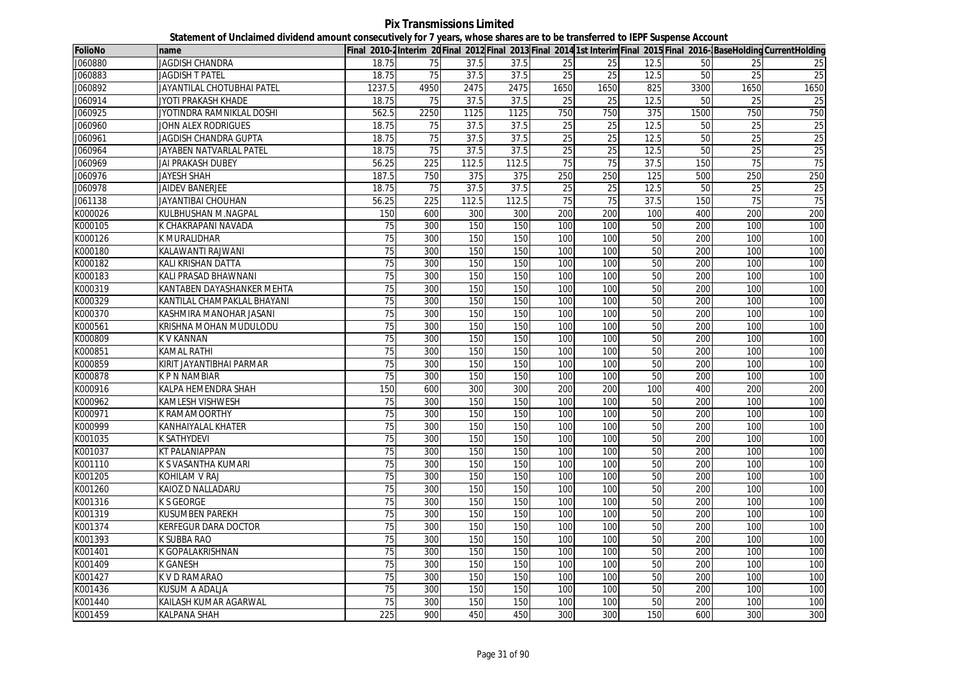**Pix Transmissions Limited Statement of Unclaimed dividend amount consecutively for 7 years, whose shares are to be transferred to IEPF Suspense Account**

| <b>FolioNo</b> | name                         |                 |                 |       |       |                 |                 |      |      |                 | Final 2010-2Interim 20 Final 2012 Final 2013 Final 2014 1st Interim Final 2015 Final 2016-BaseHolding CurrentHolding |
|----------------|------------------------------|-----------------|-----------------|-------|-------|-----------------|-----------------|------|------|-----------------|----------------------------------------------------------------------------------------------------------------------|
| J060880        | <b>JAGDISH CHANDRA</b>       | 18.75           | 75              | 37.5  | 37.5  | 25              | 25              | 12.5 | 50   | 25              | 25                                                                                                                   |
| J060883        | JAGDISH T PATEL              | 18.75           | 75              | 37.5  | 37.5  | 25              | 25              | 12.5 | 50   | 25              | 25                                                                                                                   |
| J060892        | JAYANTILAL CHOTUBHAI PATEL   | 1237.5          | 4950            | 2475  | 2475  | 1650            | 1650            | 825  | 3300 | 1650            | 1650                                                                                                                 |
| J060914        | JYOTI PRAKASH KHADE          | 18.75           | 75              | 37.5  | 37.5  | 25              | 25              | 12.5 | 50   | 25              | 25                                                                                                                   |
| J060925        | JYOTINDRA RAMNIKLAL DOSHI    | 562.5           | 2250            | 1125  | 1125  | 750             | 750             | 375  | 1500 | 750             | 750                                                                                                                  |
| J060960        | JOHN ALEX RODRIGUES          | 18.75           | 75              | 37.5  | 37.5  | 25              | 25              | 12.5 | 50   | 25              | 25                                                                                                                   |
| J060961        | <b>JAGDISH CHANDRA GUPTA</b> | 18.75           | $\overline{75}$ | 37.5  | 37.5  | 25              | $\overline{25}$ | 12.5 | 50   | $\overline{25}$ | 25                                                                                                                   |
| J060964        | JAYABEN NATVARLAL PATEL      | 18.75           | 75              | 37.5  | 37.5  | 25              | 25              | 12.5 | 50   | 25              | 25                                                                                                                   |
| J060969        | JAI PRAKASH DUBEY            | 56.25           | 225             | 112.5 | 112.5 | $\overline{75}$ | 75              | 37.5 | 150  | 75              | 75                                                                                                                   |
| J060976        | JAYESH SHAH                  | 187.5           | 750             | 375   | 375   | 250             | 250             | 125  | 500  | 250             | 250                                                                                                                  |
| J060978        | <b>JAIDEV BANERJEE</b>       | 18.75           | 75              | 37.5  | 37.5  | 25              | 25              | 12.5 | 50   | 25              | $\overline{25}$                                                                                                      |
| J061138        | <b>JAYANTIBAI CHOUHAN</b>    | 56.25           | 225             | 112.5 | 112.5 | 75              | 75              | 37.5 | 150  | 75              | 75                                                                                                                   |
| K000026        | KULBHUSHAN M.NAGPAL          | 150             | 600             | 300   | 300   | 200             | 200             | 100  | 400  | 200             | 200                                                                                                                  |
| K000105        | K CHAKRAPANI NAVADA          | 75              | 300             | 150   | 150   | 100             | 100             | 50   | 200  | 100             | 100                                                                                                                  |
| K000126        | K MURALIDHAR                 | 75              | 300             | 150   | 150   | 100             | 100             | 50   | 200  | 100             | 100                                                                                                                  |
| K000180        | KALAWANTI RAJWANI            | 75              | 300             | 150   | 150   | 100             | 100             | 50   | 200  | 100             | 100                                                                                                                  |
| K000182        | KALI KRISHAN DATTA           | $\overline{75}$ | 300             | 150   | 150   | 100             | 100             | 50   | 200  | 100             | 100                                                                                                                  |
| K000183        | KALI PRASAD BHAWNANI         | 75              | 300             | 150   | 150   | 100             | 100             | 50   | 200  | 100             | 100                                                                                                                  |
| K000319        | KANTABEN DAYASHANKER MEHTA   | 75              | 300             | 150   | 150   | 100             | 100             | 50   | 200  | 100             | 100                                                                                                                  |
| K000329        | KANTILAL CHAMPAKLAL BHAYANI  | 75              | 300             | 150   | 150   | 100             | 100             | 50   | 200  | 100             | 100                                                                                                                  |
| K000370        | KASHMIRA MANOHAR JASANI      | 75              | 300             | 150   | 150   | 100             | 100             | 50   | 200  | 100             | 100                                                                                                                  |
| K000561        | KRISHNA MOHAN MUDULODU       | 75              | 300             | 150   | 150   | 100             | 100             | 50   | 200  | 100             | 100                                                                                                                  |
| K000809        | K V KANNAN                   | $\overline{75}$ | 300             | 150   | 150   | 100             | 100             | 50   | 200  | 100             | 100                                                                                                                  |
| K000851        | KAMAL RATHI                  | 75              | 300             | 150   | 150   | 100             | 100             | 50   | 200  | 100             | 100                                                                                                                  |
| K000859        | KIRIT JAYANTIBHAI PARMAR     | $\overline{75}$ | 300             | 150   | 150   | 100             | 100             | 50   | 200  | 100             | 100                                                                                                                  |
| K000878        | <b>K P N NAMBIAR</b>         | 75              | 300             | 150   | 150   | 100             | 100             | 50   | 200  | 100             | 100                                                                                                                  |
| K000916        | KALPA HEMENDRA SHAH          | 150             | 600             | 300   | 300   | 200             | 200             | 100  | 400  | 200             | 200                                                                                                                  |
| K000962        | KAMLESH VISHWESH             | 75              | 300             | 150   | 150   | 100             | 100             | 50   | 200  | 100             | 100                                                                                                                  |
| K000971        | K RAMAMOORTHY                | 75              | 300             | 150   | 150   | 100             | 100             | 50   | 200  | 100             | 100                                                                                                                  |
| K000999        | KANHAIYALAL KHATER           | 75              | 300             | 150   | 150   | 100             | 100             | 50   | 200  | 100             | 100                                                                                                                  |
| K001035        | <b>K SATHYDEVI</b>           | 75              | 300             | 150   | 150   | 100             | 100             | 50   | 200  | 100             | 100                                                                                                                  |
| K001037        | <b>KT PALANIAPPAN</b>        | 75              | 300             | 150   | 150   | 100             | 100             | 50   | 200  | 100             | 100                                                                                                                  |
| K001110        | K S VASANTHA KUMARI          | $\overline{75}$ | 300             | 150   | 150   | 100             | 100             | 50   | 200  | 100             | 100                                                                                                                  |
| K001205        | <b>KOHILAM V RAJ</b>         | 75              | 300             | 150   | 150   | 100             | 100             | 50   | 200  | 100             | 100                                                                                                                  |
| K001260        | KAIOZ D NALLADARU            | 75              | 300             | 150   | 150   | 100             | 100             | 50   | 200  | 100             | 100                                                                                                                  |
| K001316        | <b>K S GEORGE</b>            | 75              | 300             | 150   | 150   | 100             | 100             | 50   | 200  | 100             | 100                                                                                                                  |
| K001319        | KUSUMBEN PAREKH              | 75              | 300             | 150   | 150   | 100             | 100             | 50   | 200  | 100             | 100                                                                                                                  |
| K001374        | <b>KERFEGUR DARA DOCTOR</b>  | 75              | 300             | 150   | 150   | 100             | 100             | 50   | 200  | 100             | 100                                                                                                                  |
| K001393        | K SUBBA RAO                  | 75              | 300             | 150   | 150   | 100             | 100             | 50   | 200  | 100             | 100                                                                                                                  |
| K001401        | K GOPALAKRISHNAN             | 75              | 300             | 150   | 150   | 100             | 100             | 50   | 200  | 100             | 100                                                                                                                  |
| K001409        | K GANESH                     | 75              | 300             | 150   | 150   | 100             | 100             | 50   | 200  | 100             | 100                                                                                                                  |
| K001427        | K V D RAMARAO                | 75              | 300             | 150   | 150   | 100             | 100             | 50   | 200  | 100             | 100                                                                                                                  |
| K001436        | KUSUM A ADALJA               | 75              | 300             | 150   | 150   | 100             | 100             | 50   | 200  | 100             | 100                                                                                                                  |
| K001440        | KAILASH KUMAR AGARWAL        | 75              | 300             | 150   | 150   | 100             | 100             | 50   | 200  | 100             | 100                                                                                                                  |
| K001459        | <b>KALPANA SHAH</b>          | 225             | 900             | 450   | 450   | 300             | 300             | 150  | 600  | 300             | 300                                                                                                                  |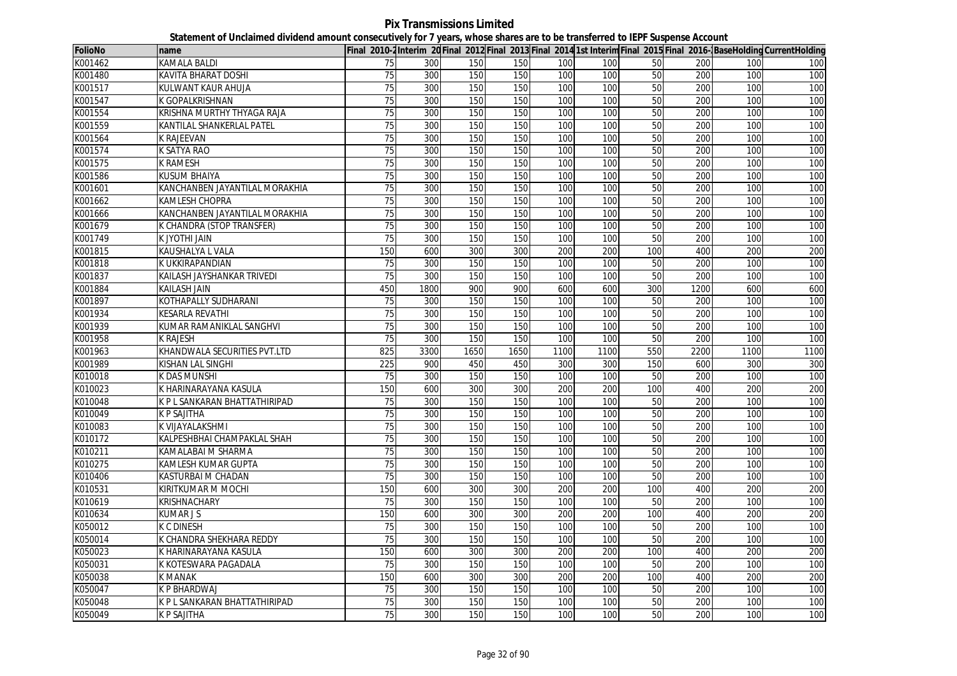**Pix Transmissions Limited Statement of Unclaimed dividend amount consecutively for 7 years, whose shares are to be transferred to IEPF Suspense Account**

| <b>FolioNo</b> | name                           |                 |      |      |      |      |      |                 |      |      | Final 2010-2Interim 20Final 2012 Final 2013 Final 2014 1st Interim Final 2015 Final 2016-BaseHolding CurrentHolding |
|----------------|--------------------------------|-----------------|------|------|------|------|------|-----------------|------|------|---------------------------------------------------------------------------------------------------------------------|
| K001462        | KAMALA BALDI                   | 75              | 300  | 150  | 150  | 100  | 100  | 50              | 200  | 100  | 100                                                                                                                 |
| K001480        | <b>KAVITA BHARAT DOSHI</b>     | 75              | 300  | 150  | 150  | 100  | 100  | 50              | 200  | 100  | 100                                                                                                                 |
| K001517        | KULWANT KAUR AHUJA             | 75              | 300  | 150  | 150  | 100  | 100  | 50              | 200  | 100  | 100                                                                                                                 |
| K001547        | K GOPALKRISHNAN                | 75              | 300  | 150  | 150  | 100  | 100  | 50              | 200  | 100  | 100                                                                                                                 |
| K001554        | KRISHNA MURTHY THYAGA RAJA     | 75              | 300  | 150  | 150  | 100  | 100  | 50              | 200  | 100  | 100                                                                                                                 |
| K001559        | KANTILAL SHANKERLAL PATEL      | 75              | 300  | 150  | 150  | 100  | 100  | 50              | 200  | 100  | 100                                                                                                                 |
| K001564        | K RAJEEVAN                     | 75              | 300  | 150  | 150  | 100  | 100  | 50              | 200  | 100  | 100                                                                                                                 |
| K001574        | K SATYA RAO                    | 75              | 300  | 150  | 150  | 100  | 100  | 50              | 200  | 100  | 100                                                                                                                 |
| K001575        | K RAMESH                       | 75              | 300  | 150  | 150  | 100  | 100  | 50              | 200  | 100  | 100                                                                                                                 |
| K001586        | KUSUM BHAIYA                   | 75              | 300  | 150  | 150  | 100  | 100  | 50              | 200  | 100  | 100                                                                                                                 |
| K001601        | KANCHANBEN JAYANTILAL MORAKHIA | $\overline{75}$ | 300  | 150  | 150  | 100  | 100  | 50              | 200  | 100  | 100                                                                                                                 |
| K001662        | <b>KAMLESH CHOPRA</b>          | 75              | 300  | 150  | 150  | 100  | 100  | 50              | 200  | 100  | 100                                                                                                                 |
| K001666        | KANCHANBEN JAYANTILAL MORAKHIA | 75              | 300  | 150  | 150  | 100  | 100  | 50              | 200  | 100  | 100                                                                                                                 |
| K001679        | K CHANDRA (STOP TRANSFER)      | 75              | 300  | 150  | 150  | 100  | 100  | $\overline{50}$ | 200  | 100  | 100                                                                                                                 |
| K001749        | k jyothi jain                  | 75              | 300  | 150  | 150  | 100  | 100  | 50              | 200  | 100  | 100                                                                                                                 |
| K001815        | KAUSHALYA L VALA               | 150             | 600  | 300  | 300  | 200  | 200  | 100             | 400  | 200  | 200                                                                                                                 |
| K001818        | K UKKIRAPANDIAN                | 75              | 300  | 150  | 150  | 100  | 100  | 50              | 200  | 100  | 100                                                                                                                 |
| K001837        | KAILASH JAYSHANKAR TRIVEDI     | 75              | 300  | 150  | 150  | 100  | 100  | 50              | 200  | 100  | 100                                                                                                                 |
| K001884        | <b>KAILASH JAIN</b>            | 450             | 1800 | 900  | 900  | 600  | 600  | 300             | 1200 | 600  | 600                                                                                                                 |
| K001897        | KOTHAPALLY SUDHARANI           | 75              | 300  | 150  | 150  | 100  | 100  | 50              | 200  | 100  | 100                                                                                                                 |
| K001934        | <b>KESARLA REVATHI</b>         | 75              | 300  | 150  | 150  | 100  | 100  | 50              | 200  | 100  | 100                                                                                                                 |
| K001939        | KUMAR RAMANIKLAL SANGHVI       | $\overline{75}$ | 300  | 150  | 150  | 100  | 100  | 50              | 200  | 100  | 100                                                                                                                 |
| K001958        | k rajesh                       | $\overline{75}$ | 300  | 150  | 150  | 100  | 100  | 50              | 200  | 100  | 100                                                                                                                 |
| K001963        | KHANDWALA SECURITIES PVT.LTD   | 825             | 3300 | 1650 | 1650 | 1100 | 1100 | 550             | 2200 | 1100 | 1100                                                                                                                |
| K001989        | KISHAN LAL SINGHI              | 225             | 900  | 450  | 450  | 300  | 300  | 150             | 600  | 300  | 300                                                                                                                 |
| K010018        | K DAS MUNSHI                   | 75              | 300  | 150  | 150  | 100  | 100  | 50              | 200  | 100  | 100                                                                                                                 |
| K010023        | K HARINARAYANA KASULA          | 150             | 600  | 300  | 300  | 200  | 200  | 100             | 400  | 200  | 200                                                                                                                 |
| K010048        | K P L SANKARAN BHATTATHIRIPAD  | 75              | 300  | 150  | 150  | 100  | 100  | 50              | 200  | 100  | 100                                                                                                                 |
| K010049        | K P SAJITHA                    | 75              | 300  | 150  | 150  | 100  | 100  | 50              | 200  | 100  | 100                                                                                                                 |
| K010083        | K VIJAYALAKSHMI                | 75              | 300  | 150  | 150  | 100  | 100  | 50              | 200  | 100  | 100                                                                                                                 |
| K010172        | KALPESHBHAI CHAMPAKLAL SHAH    | 75              | 300  | 150  | 150  | 100  | 100  | 50              | 200  | 100  | 100                                                                                                                 |
| K010211        | KAMALABAI M SHARMA             | 75              | 300  | 150  | 150  | 100  | 100  | 50              | 200  | 100  | 100                                                                                                                 |
| K010275        | KAMLESH KUMAR GUPTA            | 75              | 300  | 150  | 150  | 100  | 100  | 50              | 200  | 100  | 100                                                                                                                 |
| K010406        | <b>KASTURBAI M CHADAN</b>      | 75              | 300  | 150  | 150  | 100  | 100  | 50              | 200  | 100  | 100                                                                                                                 |
| K010531        | KIRITKUMAR M MOCHI             | 150             | 600  | 300  | 300  | 200  | 200  | 100             | 400  | 200  | 200                                                                                                                 |
| K010619        | KRISHNACHARY                   | 75              | 300  | 150  | 150  | 100  | 100  | 50              | 200  | 100  | 100                                                                                                                 |
| K010634        | <b>KUMARJS</b>                 | 150             | 600  | 300  | 300  | 200  | 200  | 100             | 400  | 200  | 200                                                                                                                 |
| K050012        | K C DINESH                     | 75              | 300  | 150  | 150  | 100  | 100  | 50              | 200  | 100  | 100                                                                                                                 |
| K050014        | K CHANDRA SHEKHARA REDDY       | 75              | 300  | 150  | 150  | 100  | 100  | 50              | 200  | 100  | 100                                                                                                                 |
| K050023        | K HARINARAYANA KASULA          | 150             | 600  | 300  | 300  | 200  | 200  | 100             | 400  | 200  | 200                                                                                                                 |
| K050031        | K KOTESWARA PAGADALA           | 75              | 300  | 150  | 150  | 100  | 100  | 50              | 200  | 100  | 100                                                                                                                 |
| K050038        | K MANAK                        | 150             | 600  | 300  | 300  | 200  | 200  | 100             | 400  | 200  | 200                                                                                                                 |
| K050047        | K P BHARDWAJ                   | 75              | 300  | 150  | 150  | 100  | 100  | 50              | 200  | 100  | 100                                                                                                                 |
| K050048        | K P L SANKARAN BHATTATHIRIPAD  | 75              | 300  | 150  | 150  | 100  | 100  | 50              | 200  | 100  | 100                                                                                                                 |
| K050049        | K P SAJITHA                    | 75              | 300  | 150  | 150  | 100  | 100  | 50              | 200  | 100  | 100                                                                                                                 |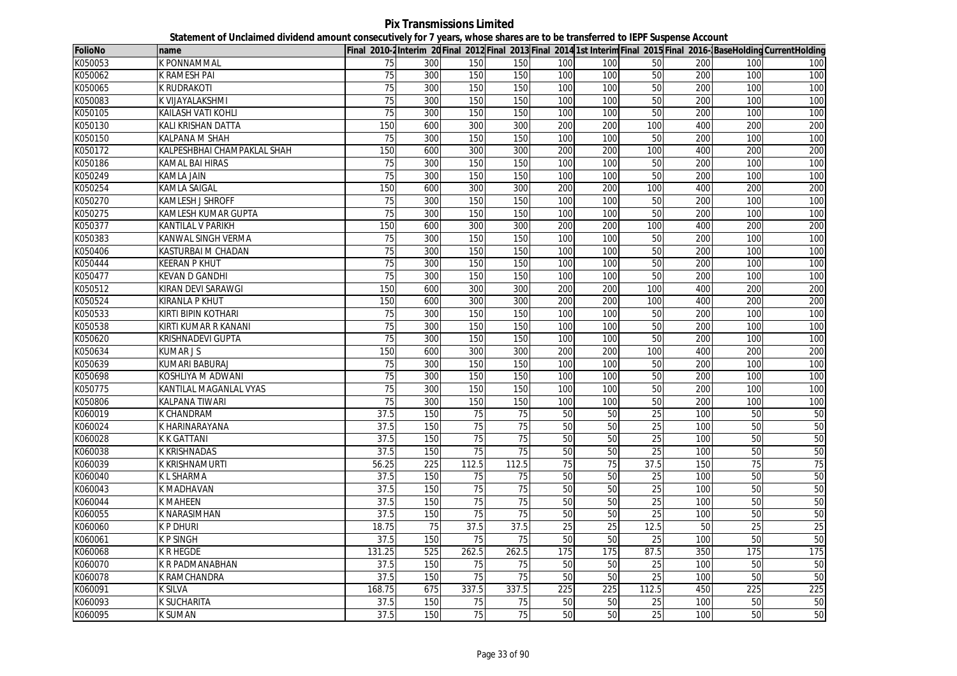**Pix Transmissions Limited Statement of Unclaimed dividend amount consecutively for 7 years, whose shares are to be transferred to IEPF Suspense Account**

| <b>FolioNo</b> | name                        |                 |     |       |       |                 |                 |                 |     |     | Final 2010-2Interim 20 Final 2012 Final 2013 Final 2014 1st Interim Final 2015 Final 2016-BaseHolding CurrentHolding |
|----------------|-----------------------------|-----------------|-----|-------|-------|-----------------|-----------------|-----------------|-----|-----|----------------------------------------------------------------------------------------------------------------------|
| K050053        | K PONNAMMAL                 | 75              | 300 | 150   | 150   | 100             | 100             | 50              | 200 | 100 | 100                                                                                                                  |
| K050062        | <b>K RAMESH PAI</b>         | 75              | 300 | 150   | 150   | 100             | 100             | 50              | 200 | 100 | 100                                                                                                                  |
| K050065        | <b>K RUDRAKOTI</b>          | 75              | 300 | 150   | 150   | 100             | 100             | 50              | 200 | 100 | 100                                                                                                                  |
| K050083        | K VIJAYALAKSHMI             | 75              | 300 | 150   | 150   | 100             | 100             | 50              | 200 | 100 | 100                                                                                                                  |
| K050105        | KAILASH VATI KOHLI          | $\overline{75}$ | 300 | 150   | 150   | 100             | 100             | 50              | 200 | 100 | 100                                                                                                                  |
| K050130        | KALI KRISHAN DATTA          | 150             | 600 | 300   | 300   | 200             | 200             | 100             | 400 | 200 | 200                                                                                                                  |
| K050150        | <b>KALPANA M SHAH</b>       | 75              | 300 | 150   | 150   | 100             | 100             | 50              | 200 | 100 | 100                                                                                                                  |
| K050172        | KALPESHBHAI CHAMPAKLAL SHAH | 150             | 600 | 300   | 300   | 200             | 200             | 100             | 400 | 200 | 200                                                                                                                  |
| K050186        | <b>KAMAL BAI HIRAS</b>      | 75              | 300 | 150   | 150   | 100             | 100             | 50              | 200 | 100 | 100                                                                                                                  |
| K050249        | <b>KAMLA JAIN</b>           | 75              | 300 | 150   | 150   | 100             | 100             | 50              | 200 | 100 | 100                                                                                                                  |
| K050254        | <b>KAMLA SAIGAL</b>         | 150             | 600 | 300   | 300   | 200             | 200             | 100             | 400 | 200 | 200                                                                                                                  |
| K050270        | <b>KAMLESH J SHROFF</b>     | 75              | 300 | 150   | 150   | 100             | 100             | 50              | 200 | 100 | 100                                                                                                                  |
| K050275        | KAMLESH KUMAR GUPTA         | 75              | 300 | 150   | 150   | 100             | 100             | 50              | 200 | 100 | 100                                                                                                                  |
| K050377        | <b>KANTILAL V PARIKH</b>    | 150             | 600 | 300   | 300   | 200             | 200             | 100             | 400 | 200 | 200                                                                                                                  |
| K050383        | KANWAL SINGH VERMA          | 75              | 300 | 150   | 150   | 100             | 100             | 50              | 200 | 100 | 100                                                                                                                  |
| K050406        | KASTURBAI M CHADAN          | 75              | 300 | 150   | 150   | 100             | 100             | 50              | 200 | 100 | 100                                                                                                                  |
| K050444        | <b>KEERAN P KHUT</b>        | 75              | 300 | 150   | 150   | 100             | 100             | 50              | 200 | 100 | 100                                                                                                                  |
| K050477        | <b>KEVAN D GANDHI</b>       | 75              | 300 | 150   | 150   | 100             | 100             | 50              | 200 | 100 | 100                                                                                                                  |
| K050512        | KIRAN DEVI SARAWGI          | 150             | 600 | 300   | 300   | 200             | 200             | 100             | 400 | 200 | 200                                                                                                                  |
| K050524        | <b>KIRANLA P KHUT</b>       | 150             | 600 | 300   | 300   | 200             | 200             | 100             | 400 | 200 | 200                                                                                                                  |
| K050533        | <b>KIRTI BIPIN KOTHARI</b>  | 75              | 300 | 150   | 150   | 100             | 100             | 50              | 200 | 100 | 100                                                                                                                  |
| K050538        | KIRTI KUMAR R KANANI        | $\overline{75}$ | 300 | 150   | 150   | 100             | 100             | 50              | 200 | 100 | 100                                                                                                                  |
| K050620        | KRISHNADEVI GUPTA           | 75              | 300 | 150   | 150   | 100             | 100             | 50              | 200 | 100 | 100                                                                                                                  |
| K050634        | <b>KUMARJS</b>              | 150             | 600 | 300   | 300   | 200             | 200             | 100             | 400 | 200 | 200                                                                                                                  |
| K050639        | <b>KUMARI BABURAJ</b>       | 75              | 300 | 150   | 150   | 100             | 100             | 50              | 200 | 100 | 100                                                                                                                  |
| K050698        | KOSHLIYA M ADWANI           | 75              | 300 | 150   | 150   | 100             | 100             | 50              | 200 | 100 | 100                                                                                                                  |
| K050775        | KANTILAL MAGANLAL VYAS      | 75              | 300 | 150   | 150   | 100             | 100             | 50              | 200 | 100 | 100                                                                                                                  |
| K050806        | <b>KALPANA TIWARI</b>       | 75              | 300 | 150   | 150   | 100             | 100             | 50              | 200 | 100 | 100                                                                                                                  |
| K060019        | <b>K CHANDRAM</b>           | 37.5            | 150 | 75    | 75    | 50              | 50              | 25              | 100 | 50  | 50                                                                                                                   |
| K060024        | K HARINARAYANA              | 37.5            | 150 | 75    | 75    | 50              | 50              | 25              | 100 | 50  | 50                                                                                                                   |
| K060028        | <b>K K GATTANI</b>          | 37.5            | 150 | 75    | 75    | 50              | 50              | 25              | 100 | 50  | 50                                                                                                                   |
| K060038        | <b>K KRISHNADAS</b>         | 37.5            | 150 | 75    | 75    | 50              | 50              | 25              | 100 | 50  | 50                                                                                                                   |
| K060039        | K KRISHNAMURTI              | 56.25           | 225 | 112.5 | 112.5 | 75              | 75              | 37.5            | 150 | 75  | 75                                                                                                                   |
| K060040        | <b>KLSHARMA</b>             | 37.5            | 150 | 75    | 75    | 50              | 50              | 25              | 100 | 50  | 50                                                                                                                   |
| K060043        | <b>K MADHAVAN</b>           | 37.5            | 150 | 75    | 75    | 50              | 50              | 25              | 100 | 50  | 50                                                                                                                   |
| K060044        | <b>K MAHEEN</b>             | 37.5            | 150 | 75    | 75    | 50              | 50              | 25              | 100 | 50  | 50                                                                                                                   |
| K060055        | K NARASIMHAN                | 37.5            | 150 | 75    | 75    | 50              | 50              | $\overline{25}$ | 100 | 50  | 50                                                                                                                   |
| K060060        | <b>K P DHURI</b>            | 18.75           | 75  | 37.5  | 37.5  | $\overline{25}$ | $\overline{25}$ | 12.5            | 50  | 25  | 25                                                                                                                   |
| K060061        | <b>KPSINGH</b>              | 37.5            | 150 | 75    | 75    | 50              | 50              | 25              | 100 | 50  | 50                                                                                                                   |
| K060068        | <b>K R HEGDE</b>            | 131.25          | 525 | 262.5 | 262.5 | 175             | 175             | 87.5            | 350 | 175 | 175                                                                                                                  |
| K060070        | <b>K R PADMANABHAN</b>      | 37.5            | 150 | 75    | 75    | 50              | 50              | 25              | 100 | 50  | 50                                                                                                                   |
| K060078        | <b>K RAMCHANDRA</b>         | 37.5            | 150 | 75    | 75    | 50              | 50              | 25              | 100 | 50  | 50                                                                                                                   |
| K060091        | <b>K SILVA</b>              | 168.75          | 675 | 337.5 | 337.5 | 225             | 225             | 112.5           | 450 | 225 | 225                                                                                                                  |
| K060093        | <b>K SUCHARITA</b>          | 37.5            | 150 | 75    | 75    | 50              | 50              | 25              | 100 | 50  | 50                                                                                                                   |
| K060095        | <b>K SUMAN</b>              | 37.5            | 150 | 75    | 75    | 50              | 50              | 25              | 100 | 50  | 50                                                                                                                   |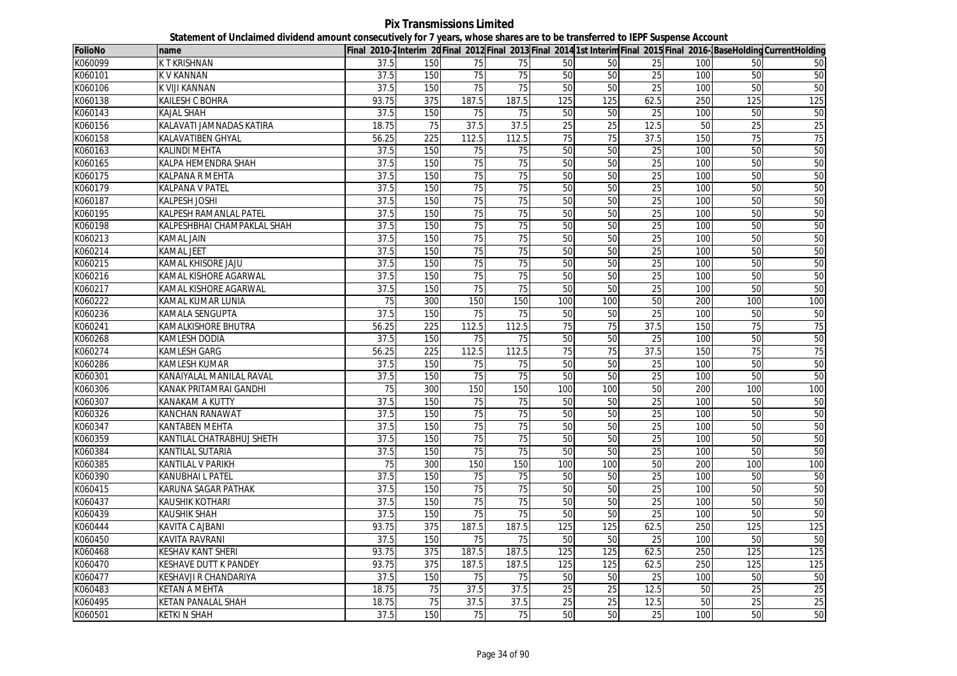**Pix Transmissions Limited Statement of Unclaimed dividend amount consecutively for 7 years, whose shares are to be transferred to IEPF Suspense Account**

| <b>FolioNo</b> | name                        |                   |     |                 |                 |                 |                 |                 |     |                 | Final 2010-2Interim 20Final 2012 Final 2013 Final 2014 1st Interim Final 2015 Final 2016-BaseHolding CurrentHolding |
|----------------|-----------------------------|-------------------|-----|-----------------|-----------------|-----------------|-----------------|-----------------|-----|-----------------|---------------------------------------------------------------------------------------------------------------------|
| K060099        | K T KRISHNAN                | 37.5              | 150 | 75              | 75              | 50              | 50              | 25              | 100 | 50              | 50                                                                                                                  |
| K060101        | <b>KV KANNAN</b>            | 37.5              | 150 | 75              | 75              | 50              | 50              | 25              | 100 | 50              | 50                                                                                                                  |
| K060106        | K VIJI KANNAN               | 37.5              | 150 | 75              | 75              | 50              | 50              | 25              | 100 | 50              | 50                                                                                                                  |
| K060138        | <b>KAILESH C BOHRA</b>      | 93.75             | 375 | 187.5           | 187.5           | 125             | 125             | 62.5            | 250 | 125             | 125                                                                                                                 |
| K060143        | KAJAL SHAH                  | 37.5              | 150 | 75              | 75              | 50              | 50              | 25              | 100 | 50              | 50                                                                                                                  |
| K060156        | KALAVATI JAMNADAS KATIRA    | 18.75             | 75  | 37.5            | 37.5            | $\overline{25}$ | $\overline{25}$ | 12.5            | 50  | $\overline{25}$ | $\overline{25}$                                                                                                     |
| K060158        | KALAVATIBEN GHYAL           | 56.25             | 225 | 112.5           | 112.5           | 75              | 75              | 37.5            | 150 | 75              | 75                                                                                                                  |
| K060163        | <b>KALINDI MEHTA</b>        | 37.5              | 150 | 75              | 75              | 50              | 50              | 25              | 100 | 50              | 50                                                                                                                  |
| K060165        | KALPA HEMENDRA SHAH         | 37.5              | 150 | $\overline{75}$ | 75              | 50              | 50              | 25              | 100 | 50              | 50                                                                                                                  |
| K060175        | KALPANA R MEHTA             | 37.5              | 150 | 75              | $\overline{75}$ | 50              | 50              | 25              | 100 | 50              | 50                                                                                                                  |
| K060179        | <b>KALPANA V PATEL</b>      | 37.5              | 150 | 75              | 75              | 50              | 50              | 25              | 100 | 50              | 50                                                                                                                  |
| K060187        | <b>KALPESH JOSHI</b>        | 37.5              | 150 | 75              | 75              | 50              | 50              | 25              | 100 | 50              | 50                                                                                                                  |
| K060195        | KALPESH RAMANLAL PATEL      | 37.5              | 150 | 75              | 75              | 50              | 50              | 25              | 100 | 50              | 50                                                                                                                  |
| K060198        | KALPESHBHAI CHAMPAKLAL SHAH | $\overline{37.5}$ | 150 | 75              | 75              | 50              | 50              | 25              | 100 | 50              | 50                                                                                                                  |
| K060213        | KAMAL JAIN                  | 37.5              | 150 | 75              | 75              | 50              | 50              | 25              | 100 | 50              | 50                                                                                                                  |
| K060214        | <b>KAMAL JEET</b>           | 37.5              | 150 | 75              | 75              | 50              | 50              | 25              | 100 | 50              | 50                                                                                                                  |
| K060215        | KAMAL KHISORE JAJU          | 37.5              | 150 | 75              | 75              | 50              | 50              | 25              | 100 | 50              | 50                                                                                                                  |
| K060216        | KAMAL KISHORE AGARWAL       | 37.5              | 150 | 75              | 75              | 50              | 50              | 25              | 100 | 50              | 50                                                                                                                  |
| K060217        | KAMAL KISHORE AGARWAL       | 37.5              | 150 | 75              | 75              | 50              | 50              | 25              | 100 | 50              | 50                                                                                                                  |
| K060222        | KAMAL KUMAR LUNIA           | 75                | 300 | 150             | 150             | 100             | 100             | 50              | 200 | 100             | 100                                                                                                                 |
| K060236        | <b>KAMALA SENGUPTA</b>      | 37.5              | 150 | 75              | 75              | 50              | 50              | 25              | 100 | 50              | 50                                                                                                                  |
| K060241        | KAMALKISHORE BHUTRA         | 56.25             | 225 | 112.5           | 112.5           | 75              | 75              | 37.5            | 150 | 75              | 75                                                                                                                  |
| K060268        | KAMLESH DODIA               | 37.5              | 150 | $\overline{75}$ | 75              | 50              | 50              | 25              | 100 | 50              | 50                                                                                                                  |
| K060274        | <b>KAMLESH GARG</b>         | 56.25             | 225 | 112.5           | 112.5           | 75              | 75              | 37.5            | 150 | $\overline{75}$ | 75                                                                                                                  |
| K060286        | <b>KAMLESH KUMAR</b>        | 37.5              | 150 | $\overline{75}$ | 75              | 50              | 50              | 25              | 100 | 50              | 50                                                                                                                  |
| K060301        | KANAIYALAL MANILAL RAVAL    | 37.5              | 150 | 75              | 75              | 50              | 50              | 25              | 100 | 50              | 50                                                                                                                  |
| K060306        | KANAK PRITAMRAI GANDHI      | $\overline{75}$   | 300 | 150             | 150             | 100             | 100             | 50              | 200 | 100             | 100                                                                                                                 |
| K060307        | KANAKAM A KUTTY             | 37.5              | 150 | 75              | 75              | 50              | 50              | 25              | 100 | 50              | 50                                                                                                                  |
| K060326        | <b>KANCHAN RANAWAT</b>      | 37.5              | 150 | 75              | $\overline{75}$ | 50              | 50              | 25              | 100 | 50              | 50                                                                                                                  |
| K060347        | <b>KANTABEN MEHTA</b>       | 37.5              | 150 | $\overline{75}$ | 75              | 50              | 50              | $\overline{25}$ | 100 | 50              | 50                                                                                                                  |
| K060359        | KANTILAL CHATRABHUJ SHETH   | $\overline{37.5}$ | 150 | 75              | 75              | 50              | 50              | 25              | 100 | 50              | 50                                                                                                                  |
| K060384        | KANTILAL SUTARIA            | 37.5              | 150 | 75              | 75              | 50              | 50              | 25              | 100 | 50              | 50                                                                                                                  |
| K060385        | KANTILAL V PARIKH           | $\overline{75}$   | 300 | 150             | 150             | 100             | 100             | 50              | 200 | 100             | 100                                                                                                                 |
| K060390        | KANUBHAI L PATEL            | 37.5              | 150 | 75              | 75              | 50              | 50              | 25              | 100 | 50              | 50                                                                                                                  |
| K060415        | KARUNA SAGAR PATHAK         | $\overline{37.5}$ | 150 | $\overline{75}$ | $\overline{75}$ | 50              | 50              | 25              | 100 | 50              | 50                                                                                                                  |
| K060437        | <b>KAUSHIK KOTHARI</b>      | 37.5              | 150 | 75              | 75              | 50              | 50              | 25              | 100 | 50              | 50                                                                                                                  |
| K060439        | <b>KAUSHIK SHAH</b>         | 37.5              | 150 | 75              | 75              | 50              | 50              | 25              | 100 | 50              | 50                                                                                                                  |
| K060444        | KAVITA C AJBANI             | 93.75             | 375 | 187.5           | 187.5           | 125             | 125             | 62.5            | 250 | 125             | 125                                                                                                                 |
| K060450        | KAVITA RAVRANI              | 37.5              | 150 | 75              | 75              | 50              | 50              | 25              | 100 | 50              | 50                                                                                                                  |
| K060468        | KESHAV KANT SHERI           | 93.75             | 375 | 187.5           | 187.5           | 125             | 125             | 62.5            | 250 | 125             | 125                                                                                                                 |
| K060470        | KESHAVE DUTT K PANDEY       | 93.75             | 375 | 187.5           | 187.5           | 125             | 125             | 62.5            | 250 | 125             | 125                                                                                                                 |
| K060477        | KESHAVJI R CHANDARIYA       | 37.5              | 150 | 75              | 75              | 50              | 50              | 25              | 100 | 50              | 50                                                                                                                  |
| K060483        | <b>KETAN A MEHTA</b>        | 18.75             | 75  | 37.5            | 37.5            | 25              | 25              | 12.5            | 50  | 25              | 25                                                                                                                  |
| K060495        | <b>KETAN PANALAL SHAH</b>   | 18.75             | 75  | 37.5            | 37.5            | 25              | 25              | 12.5            | 50  | $\overline{25}$ | 25                                                                                                                  |
| K060501        | <b>KETKIN SHAH</b>          | 37.5              | 150 | 75              | 75              | 50              | 50              | 25              | 100 | 50              | 50                                                                                                                  |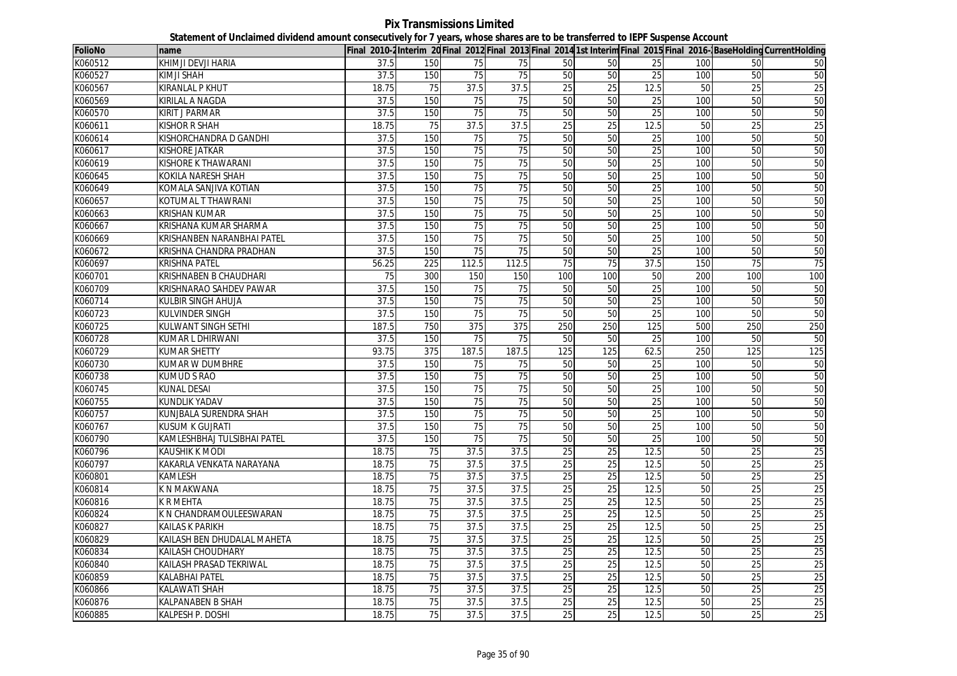**Pix Transmissions Limited Statement of Unclaimed dividend amount consecutively for 7 years, whose shares are to be transferred to IEPF Suspense Account**

| <b>FolioNo</b> | name                        |                   |     |                 |                 |                 |                 |                 |     |                 | Final 2010-2 Interim 20 Final 2012 Final 2013 Final 2014 1st Interim Final 2015 Final 2016- BaseHolding CurrentHolding |
|----------------|-----------------------------|-------------------|-----|-----------------|-----------------|-----------------|-----------------|-----------------|-----|-----------------|------------------------------------------------------------------------------------------------------------------------|
| K060512        | KHIMJI DEVJI HARIA          | 37.5              | 150 | 75              | 75              | 50              | 50              | 25              | 100 | 50              | 50                                                                                                                     |
| K060527        | KIMJI SHAH                  | 37.5              | 150 | 75              | 75              | 50              | 50              | 25              | 100 | 50              | 50                                                                                                                     |
| K060567        | <b>KIRANLAL P KHUT</b>      | 18.75             | 75  | 37.5            | 37.5            | 25              | 25              | 12.5            | 50  | 25              | 25                                                                                                                     |
| K060569        | <b>KIRILAL A NAGDA</b>      | 37.5              | 150 | 75              | 75              | 50              | 50              | 25              | 100 | 50              | 50                                                                                                                     |
| K060570        | KIRIT J PARMAR              | 37.5              | 150 | 75              | 75              | 50              | 50              | 25              | 100 | 50              | 50                                                                                                                     |
| K060611        | <b>KISHOR R SHAH</b>        | 18.75             | 75  | 37.5            | 37.5            | 25              | 25              | 12.5            | 50  | $\overline{25}$ | 25                                                                                                                     |
| K060614        | KISHORCHANDRA D GANDHI      | 37.5              | 150 | 75              | 75              | 50              | 50              | 25              | 100 | 50              | 50                                                                                                                     |
| K060617        | <b>KISHORE JATKAR</b>       | 37.5              | 150 | 75              | 75              | 50              | 50              | 25              | 100 | 50              | 50                                                                                                                     |
| K060619        | KISHORE K THAWARANI         | 37.5              | 150 | 75              | 75              | 50              | 50              | 25              | 100 | 50              | 50                                                                                                                     |
| K060645        | KOKILA NARESH SHAH          | 37.5              | 150 | 75              | $\overline{75}$ | 50              | 50              | 25              | 100 | 50              | 50                                                                                                                     |
| K060649        | KOMALA SANJIVA KOTIAN       | 37.5              | 150 | 75              | 75              | 50              | 50              | 25              | 100 | 50              | 50                                                                                                                     |
| K060657        | KOTUMAL T THAWRANI          | 37.5              | 150 | 75              | $\overline{75}$ | 50              | 50              | 25              | 100 | 50              | 50                                                                                                                     |
| K060663        | KRISHAN KUMAR               | 37.5              | 150 | 75              | 75              | 50              | 50              | 25              | 100 | 50              | 50                                                                                                                     |
| K060667        | KRISHANA KUMAR SHARMA       | $\overline{37.5}$ | 150 | $\overline{75}$ | $\overline{75}$ | 50              | 50              | 25              | 100 | 50              | 50                                                                                                                     |
| K060669        | KRISHANBEN NARANBHAI PATEL  | 37.5              | 150 | 75              | 75              | 50              | 50              | 25              | 100 | 50              | 50                                                                                                                     |
| K060672        | KRISHNA CHANDRA PRADHAN     | 37.5              | 150 | 75              | 75              | 50              | 50              | 25              | 100 | 50              | 50                                                                                                                     |
| K060697        | KRISHNA PATEL               | 56.25             | 225 | 112.5           | 112.5           | 75              | 75              | 37.5            | 150 | 75              | 75                                                                                                                     |
| K060701        | KRISHNABEN B CHAUDHARI      | 75                | 300 | 150             | 150             | 100             | 100             | 50              | 200 | 100             | 100                                                                                                                    |
| K060709        | KRISHNARAO SAHDEV PAWAR     | 37.5              | 150 | 75              | 75              | 50              | 50              | 25              | 100 | 50              | 50                                                                                                                     |
| K060714        | KULBIR SINGH AHUJA          | 37.5              | 150 | 75              | 75              | 50              | 50              | $\overline{25}$ | 100 | 50              | 50                                                                                                                     |
| K060723        | <b>KULVINDER SINGH</b>      | 37.5              | 150 | 75              | 75              | 50              | 50              | 25              | 100 | 50              | 50                                                                                                                     |
| K060725        | KULWANT SINGH SETHI         | 187.5             | 750 | 375             | 375             | 250             | 250             | 125             | 500 | 250             | 250                                                                                                                    |
| K060728        | KUMAR L DHIRWANI            | 37.5              | 150 | 75              | 75              | 50              | 50              | 25              | 100 | 50              | 50                                                                                                                     |
| K060729        | <b>KUMAR SHETTY</b>         | 93.75             | 375 | 187.5           | 187.5           | 125             | 125             | 62.5            | 250 | 125             | 125                                                                                                                    |
| K060730        | KUMAR W DUMBHRE             | 37.5              | 150 | 75              | 75              | 50              | 50              | 25              | 100 | 50              | 50                                                                                                                     |
| K060738        | <b>KUMUD S RAO</b>          | 37.5              | 150 | 75              | $\overline{75}$ | 50              | 50              | 25              | 100 | 50              | 50                                                                                                                     |
| K060745        | <b>KUNAL DESAI</b>          | 37.5              | 150 | 75              | 75              | 50              | 50              | 25              | 100 | 50              | 50                                                                                                                     |
| K060755        | KUNDLIK YADAV               | 37.5              | 150 | 75              | $\overline{75}$ | 50              | 50              | 25              | 100 | 50              | 50                                                                                                                     |
| K060757        | KUNJBALA SURENDRA SHAH      | 37.5              | 150 | 75              | 75              | 50              | 50              | 25              | 100 | 50              | 50                                                                                                                     |
| K060767        | <b>KUSUM K GUJRATI</b>      | 37.5              | 150 | $\overline{75}$ | 75              | 50              | 50              | 25              | 100 | 50              | 50                                                                                                                     |
| K060790        | KAMLESHBHAJ TULSIBHAI PATEL | 37.5              | 150 | 75              | 75              | 50              | 50              | 25              | 100 | 50              | 50                                                                                                                     |
| K060796        | KAUSHIK K MODI              | 18.75             | 75  | 37.5            | 37.5            | 25              | 25              | 12.5            | 50  | 25              | 25                                                                                                                     |
| K060797        | KAKARLA VENKATA NARAYANA    | 18.75             | 75  | 37.5            | 37.5            | 25              | 25              | 12.5            | 50  | 25              | 25                                                                                                                     |
| K060801        | KAMLESH                     | 18.75             | 75  | 37.5            | 37.5            | 25              | 25              | 12.5            | 50  | 25              | 25                                                                                                                     |
| K060814        | K N MAKWANA                 | 18.75             | 75  | 37.5            | 37.5            | 25              | $\overline{25}$ | 12.5            | 50  | 25              | 25                                                                                                                     |
| K060816        | K R MEHTA                   | 18.75             | 75  | 37.5            | 37.5            | 25              | 25              | 12.5            | 50  | $\overline{25}$ | 25                                                                                                                     |
| K060824        | K N CHANDRAMOULEESWARAN     | 18.75             | 75  | 37.5            | 37.5            | $\overline{25}$ | 25              | 12.5            | 50  | 25              | 25                                                                                                                     |
| K060827        | <b>KAILAS K PARIKH</b>      | 18.75             | 75  | 37.5            | 37.5            | $\overline{25}$ | $\overline{25}$ | 12.5            | 50  | $\overline{25}$ | 25                                                                                                                     |
| K060829        | KAILASH BEN DHUDALAL MAHETA | 18.75             | 75  | 37.5            | 37.5            | 25              | 25              | 12.5            | 50  | $\overline{25}$ | 25                                                                                                                     |
| K060834        | <b>KAILASH CHOUDHARY</b>    | 18.75             | 75  | 37.5            | 37.5            | 25              | 25              | 12.5            | 50  | 25              | 25                                                                                                                     |
| K060840        | KAILASH PRASAD TEKRIWAL     | 18.75             | 75  | 37.5            | 37.5            | 25              | $\overline{25}$ | 12.5            | 50  | $\overline{25}$ | 25                                                                                                                     |
| K060859        | KALABHAI PATEL              | 18.75             | 75  | 37.5            | 37.5            | 25              | $\overline{25}$ | 12.5            | 50  | $\overline{25}$ | 25                                                                                                                     |
| K060866        | <b>KALAWATI SHAH</b>        | 18.75             | 75  | 37.5            | 37.5            | 25              | 25              | 12.5            | 50  | 25              | 25                                                                                                                     |
| K060876        | KALPANABEN B SHAH           | 18.75             | 75  | 37.5            | 37.5            | 25              | 25              | 12.5            | 50  | 25              | 25                                                                                                                     |
| K060885        | <b>KALPESH P. DOSHI</b>     | 18.75             | 75  | 37.5            | 37.5            | 25              | 25              | 12.5            | 50  | 25              | 25                                                                                                                     |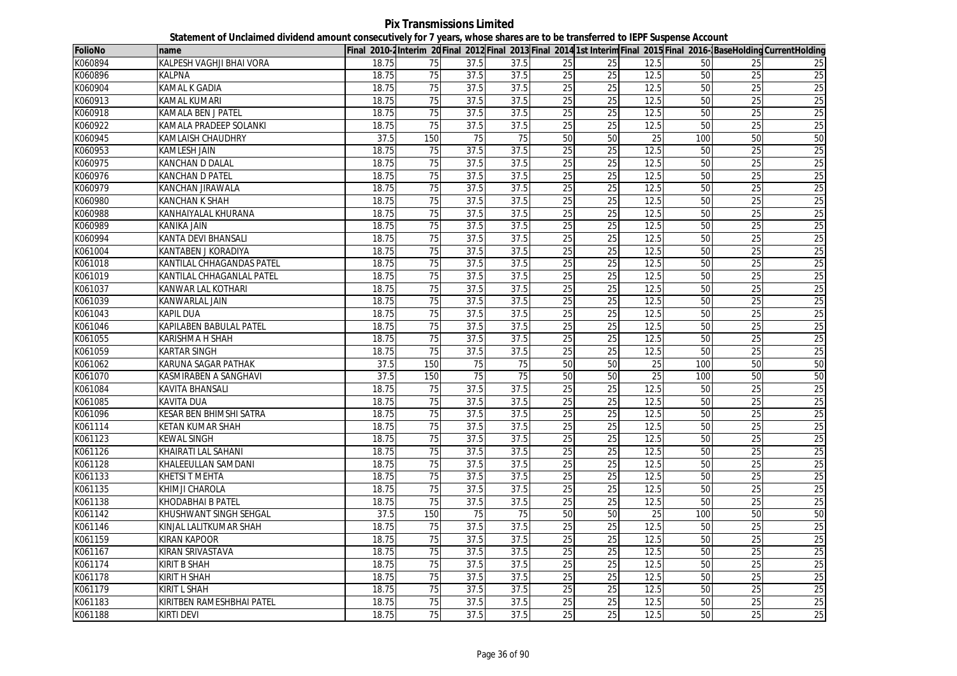| <b>FolioNo</b> | name                       |       |                 |      |                 |                 |                 |                 |     |                 | Final 2010-2Interim 20 Final 2012 Final 2013 Final 2014 1st Interim Final 2015 Final 2016-BaseHolding CurrentHolding |
|----------------|----------------------------|-------|-----------------|------|-----------------|-----------------|-----------------|-----------------|-----|-----------------|----------------------------------------------------------------------------------------------------------------------|
| K060894        | KALPESH VAGHJI BHAI VORA   | 18.75 | 75              | 37.5 | 37.5            | 25              | 25              | 12.5            | 50  | 25              | 25                                                                                                                   |
| K060896        | KALPNA                     | 18.75 | 75              | 37.5 | 37.5            | 25              | 25              | 12.5            | 50  | 25              | 25                                                                                                                   |
| K060904        | <b>KAMAL K GADIA</b>       | 18.75 | 75              | 37.5 | 37.5            | 25              | $\overline{25}$ | 12.5            | 50  | 25              | 25                                                                                                                   |
| K060913        | KAMAL KUMARI               | 18.75 | 75              | 37.5 | 37.5            | 25              | 25              | 12.5            | 50  | 25              | 25                                                                                                                   |
| K060918        | KAMALA BEN J PATEL         | 18.75 | 75              | 37.5 | 37.5            | 25              | 25              | 12.5            | 50  | 25              | 25                                                                                                                   |
| K060922        | KAMALA PRADEEP SOLANKI     | 18.75 | 75              | 37.5 | 37.5            | 25              | 25              | 12.5            | 50  | 25              | 25                                                                                                                   |
| K060945        | KAMLAISH CHAUDHRY          | 37.5  | 150             | 75   | 75              | 50              | 50              | 25              | 100 | 50              | 50                                                                                                                   |
| K060953        | <b>KAMLESH JAIN</b>        | 18.75 | 75              | 37.5 | 37.5            | 25              | 25              | 12.5            | 50  | 25              | 25                                                                                                                   |
| K060975        | KANCHAN D DALAL            | 18.75 | $\overline{75}$ | 37.5 | 37.5            | $\overline{25}$ | $\overline{25}$ | 12.5            | 50  | 25              | 25                                                                                                                   |
| K060976        | <b>KANCHAN D PATEL</b>     | 18.75 | 75              | 37.5 | 37.5            | 25              | 25              | 12.5            | 50  | 25              | 25                                                                                                                   |
| K060979        | KANCHAN JIRAWALA           | 18.75 | 75              | 37.5 | 37.5            | 25              | 25              | 12.5            | 50  | 25              | 25                                                                                                                   |
| K060980        | <b>KANCHAN K SHAH</b>      | 18.75 | 75              | 37.5 | 37.5            | 25              | 25              | 12.5            | 50  | 25              | 25                                                                                                                   |
| K060988        | KANHAIYALAL KHURANA        | 18.75 | 75              | 37.5 | 37.5            | 25              | 25              | 12.5            | 50  | 25              | 25                                                                                                                   |
| K060989        | <b>KANIKA JAIN</b>         | 18.75 | 75              | 37.5 | 37.5            | 25              | 25              | 12.5            | 50  | 25              | 25                                                                                                                   |
| K060994        | KANTA DEVI BHANSALI        | 18.75 | 75              | 37.5 | 37.5            | 25              | 25              | 12.5            | 50  | 25              | 25                                                                                                                   |
| K061004        | KANTABEN J KORADIYA        | 18.75 | $\overline{75}$ | 37.5 | 37.5            | $\overline{25}$ | $\overline{25}$ | 12.5            | 50  | 25              | 25                                                                                                                   |
| K061018        | KANTILAL CHHAGANDAS PATEL  | 18.75 | 75              | 37.5 | 37.5            | 25              | 25              | 12.5            | 50  | 25              | 25                                                                                                                   |
| K061019        | KANTILAL CHHAGANLAL PATEL  | 18.75 | 75              | 37.5 | 37.5            | 25              | 25              | 12.5            | 50  | 25              | 25                                                                                                                   |
| K061037        | KANWAR LAL KOTHARI         | 18.75 | 75              | 37.5 | 37.5            | 25              | 25              | 12.5            | 50  | 25              | 25                                                                                                                   |
| K061039        | KANWARLAL JAIN             | 18.75 | 75              | 37.5 | 37.5            | $\overline{25}$ | 25              | 12.5            | 50  | 25              | 25                                                                                                                   |
| K061043        | Kapil Dua                  | 18.75 | 75              | 37.5 | 37.5            | 25              | 25              | 12.5            | 50  | 25              | 25                                                                                                                   |
| K061046        | KAPILABEN BABULAL PATEL    | 18.75 | 75              | 37.5 | 37.5            | 25              | 25              | 12.5            | 50  | 25              | 25                                                                                                                   |
| K061055        | KARISHMA H SHAH            | 18.75 | 75              | 37.5 | 37.5            | $\overline{25}$ | 25              | 12.5            | 50  | $\overline{25}$ | 25                                                                                                                   |
| K061059        | <b>KARTAR SINGH</b>        | 18.75 | 75              | 37.5 | 37.5            | 25              | 25              | 12.5            | 50  | 25              | 25                                                                                                                   |
| K061062        | KARUNA SAGAR PATHAK        | 37.5  | 150             | 75   | $\overline{75}$ | 50              | 50              | $\overline{25}$ | 100 | 50              | 50                                                                                                                   |
| K061070        | KASMIRABEN A SANGHAVI      | 37.5  | 150             | 75   | 75              | 50              | 50              | 25              | 100 | 50              | 50                                                                                                                   |
| K061084        | KAVITA BHANSALI            | 18.75 | 75              | 37.5 | 37.5            | 25              | 25              | 12.5            | 50  | 25              | 25                                                                                                                   |
| K061085        | <b>KAVITA DUA</b>          | 18.75 | 75              | 37.5 | 37.5            | 25              | 25              | 12.5            | 50  | 25              | 25                                                                                                                   |
| K061096        | KESAR BEN BHIMSHI SATRA    | 18.75 | 75              | 37.5 | 37.5            | 25              | 25              | 12.5            | 50  | 25              | 25                                                                                                                   |
| K061114        | KETAN KUMAR SHAH           | 18.75 | 75              | 37.5 | 37.5            | 25              | 25              | 12.5            | 50  | 25              | 25                                                                                                                   |
| K061123        | <b>KEWAL SINGH</b>         | 18.75 | 75              | 37.5 | 37.5            | 25              | 25              | 12.5            | 50  | 25              | 25                                                                                                                   |
| K061126        | <b>KHAIRATI LAL SAHANI</b> | 18.75 | 75              | 37.5 | 37.5            | $\overline{25}$ | 25              | 12.5            | 50  | 25              | 25                                                                                                                   |
| K061128        | KHALEEULLAN SAMDANI        | 18.75 | 75              | 37.5 | 37.5            | 25              | $\overline{25}$ | 12.5            | 50  | $\overline{25}$ | 25                                                                                                                   |
| K061133        | KHETSI T MEHTA             | 18.75 | 75              | 37.5 | 37.5            | 25              | $\overline{25}$ | 12.5            | 50  | $\overline{25}$ | 25                                                                                                                   |
| K061135        | KHIMJI CHAROLA             | 18.75 | 75              | 37.5 | 37.5            | 25              | 25              | 12.5            | 50  | 25              | 25                                                                                                                   |
| K061138        | KHODABHAI B PATEL          | 18.75 | 75              | 37.5 | 37.5            | 25              | 25              | 12.5            | 50  | $\overline{25}$ | $\overline{25}$                                                                                                      |
| K061142        | KHUSHWANT SINGH SEHGAL     | 37.5  | 150             | 75   | 75              | 50              | 50              | 25              | 100 | 50              | 50                                                                                                                   |
| K061146        | KINJAL LALITKUMAR SHAH     | 18.75 | 75              | 37.5 | 37.5            | 25              | $\overline{25}$ | 12.5            | 50  | $\overline{25}$ | 25                                                                                                                   |
| K061159        | <b>KIRAN KAPOOR</b>        | 18.75 | $\overline{75}$ | 37.5 | 37.5            | 25              | $\overline{25}$ | 12.5            | 50  | $\overline{25}$ | 25                                                                                                                   |
| K061167        | KIRAN SRIVASTAVA           | 18.75 | 75              | 37.5 | 37.5            | 25              | 25              | 12.5            | 50  | 25              | 25                                                                                                                   |
| K061174        | <b>KIRIT B SHAH</b>        | 18.75 | 75              | 37.5 | 37.5            | 25              | 25              | 12.5            | 50  | 25              | 25                                                                                                                   |
| K061178        | <b>KIRIT H SHAH</b>        | 18.75 | 75              | 37.5 | 37.5            | 25              | 25              | 12.5            | 50  | 25              | 25                                                                                                                   |
| K061179        | <b>KIRIT L SHAH</b>        | 18.75 | 75              | 37.5 | 37.5            | 25              | 25              | 12.5            | 50  | 25              | 25                                                                                                                   |
| K061183        | KIRITBEN RAMESHBHAI PATEL  | 18.75 | 75              | 37.5 | 37.5            | 25              | $\overline{25}$ | 12.5            | 50  | $\overline{25}$ | 25                                                                                                                   |
| K061188        | <b>KIRTI DEVI</b>          | 18.75 | $\overline{75}$ | 37.5 | 37.5            | 25              | 25              | 12.5            | 50  | 25              | 25                                                                                                                   |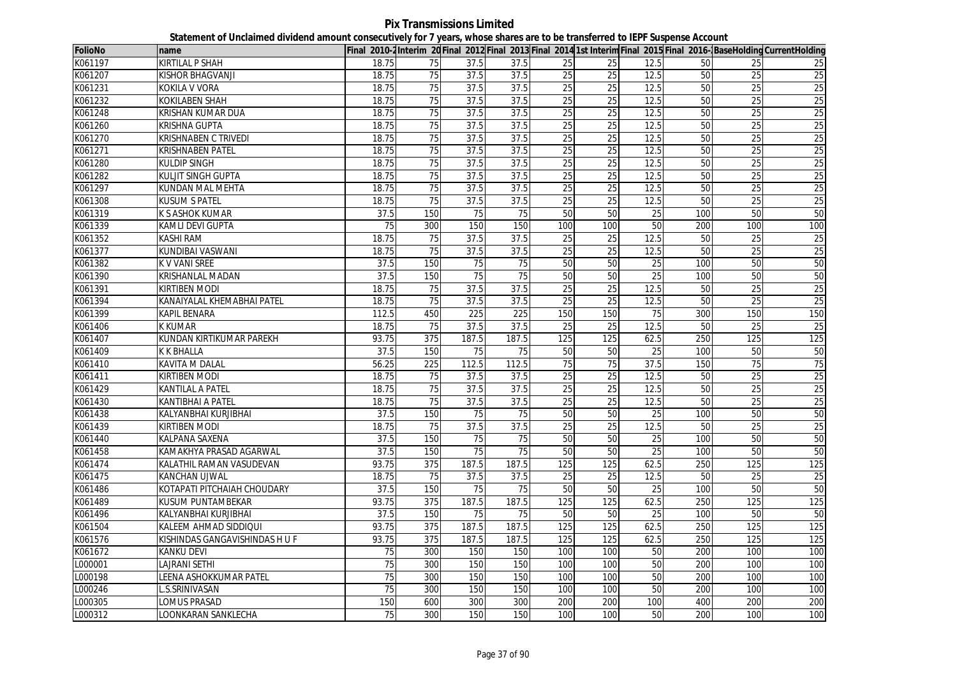**Pix Transmissions Limited Statement of Unclaimed dividend amount consecutively for 7 years, whose shares are to be transferred to IEPF Suspense Account**

| FolioNo | name                           |       |                  |       |       |                 |                 |      |     |                 | Final 2010-2Interim 20 Final 2012 Final 2013 Final 2014 1st Interim Final 2015 Final 2016-BaseHolding CurrentHolding |
|---------|--------------------------------|-------|------------------|-------|-------|-----------------|-----------------|------|-----|-----------------|----------------------------------------------------------------------------------------------------------------------|
| K061197 | KIRTILAL P SHAH                | 18.75 | 75               | 37.5  | 37.5  | 25              | 25              | 12.5 | 50  | 25              | 25                                                                                                                   |
| K061207 | <b>KISHOR BHAGVANJI</b>        | 18.75 | 75               | 37.5  | 37.5  | 25              | 25              | 12.5 | 50  | 25              | 25                                                                                                                   |
| K061231 | KOKILA V VORA                  | 18.75 | 75               | 37.5  | 37.5  | 25              | 25              | 12.5 | 50  | 25              | 25                                                                                                                   |
| K061232 | KOKILABEN SHAH                 | 18.75 | 75               | 37.5  | 37.5  | 25              | $\overline{25}$ | 12.5 | 50  | $\overline{25}$ | 25                                                                                                                   |
| K061248 | KRISHAN KUMAR DUA              | 18.75 | 75               | 37.5  | 37.5  | 25              | 25              | 12.5 | 50  | 25              | 25                                                                                                                   |
| K061260 | KRISHNA GUPTA                  | 18.75 | 75               | 37.5  | 37.5  | 25              | 25              | 12.5 | 50  | 25              | 25                                                                                                                   |
| K061270 | KRISHNABEN C TRIVEDI           | 18.75 | 75               | 37.5  | 37.5  | 25              | 25              | 12.5 | 50  | 25              | 25                                                                                                                   |
| K061271 | KRISHNABEN PATEL               | 18.75 | 75               | 37.5  | 37.5  | 25              | 25              | 12.5 | 50  | 25              | 25                                                                                                                   |
| K061280 | KULDIP SINGH                   | 18.75 | 75               | 37.5  | 37.5  | 25              | 25              | 12.5 | 50  | 25              | 25                                                                                                                   |
| K061282 | <b>KULJIT SINGH GUPTA</b>      | 18.75 | 75               | 37.5  | 37.5  | 25              | 25              | 12.5 | 50  | 25              | 25                                                                                                                   |
| K061297 | <b>KUNDAN MAL MEHTA</b>        | 18.75 | 75               | 37.5  | 37.5  | 25              | $\overline{25}$ | 12.5 | 50  | 25              | 25                                                                                                                   |
| K061308 | <b>KUSUM S PATEL</b>           | 18.75 | 75               | 37.5  | 37.5  | 25              | 25              | 12.5 | 50  | 25              | 25                                                                                                                   |
| K061319 | K S ASHOK KUMAR                | 37.5  | 150              | 75    | 75    | 50              | 50              | 25   | 100 | 50              | 50                                                                                                                   |
| K061339 | KAMLI DEVI GUPTA               | 75    | 300              | 150   | 150   | 100             | 100             | 50   | 200 | 100             | 100                                                                                                                  |
| K061352 | <b>KASHI RAM</b>               | 18.75 | $\overline{75}$  | 37.5  | 37.5  | 25              | $\overline{25}$ | 12.5 | 50  | $\overline{25}$ | $\overline{25}$                                                                                                      |
| K061377 | <b>KUNDIBAI VASWANI</b>        | 18.75 | 75               | 37.5  | 37.5  | 25              | $\overline{25}$ | 12.5 | 50  | $\overline{25}$ | 25                                                                                                                   |
| K061382 | K V VANI SREE                  | 37.5  | 150              | 75    | 75    | 50              | 50              | 25   | 100 | $\overline{50}$ | 50                                                                                                                   |
| K061390 | <b>KRISHANLAL MADAN</b>        | 37.5  | 150              | 75    | 75    | 50              | 50              | 25   | 100 | 50              | 50                                                                                                                   |
| K061391 | KIRTIBEN MODI                  | 18.75 | 75               | 37.5  | 37.5  | $\overline{25}$ | $\overline{25}$ | 12.5 | 50  | $\overline{25}$ | 25                                                                                                                   |
| K061394 | KANAIYALAL KHEMABHAI PATEL     | 18.75 | 75               | 37.5  | 37.5  | 25              | 25              | 12.5 | 50  | 25              | 25                                                                                                                   |
| K061399 | KAPIL BENARA                   | 112.5 | 450              | 225   | 225   | 150             | 150             | 75   | 300 | 150             | 150                                                                                                                  |
| K061406 | K KUMAR                        | 18.75 | 75               | 37.5  | 37.5  | 25              | 25              | 12.5 | 50  | $\overline{25}$ | $\overline{25}$                                                                                                      |
| K061407 | KUNDAN KIRTIKUMAR PAREKH       | 93.75 | $\overline{375}$ | 187.5 | 187.5 | 125             | 125             | 62.5 | 250 | 125             | 125                                                                                                                  |
| K061409 | <b>K K BHALLA</b>              | 37.5  | 150              | 75    | 75    | 50              | 50              | 25   | 100 | 50              | 50                                                                                                                   |
| K061410 | KAVITA M DALAL                 | 56.25 | 225              | 112.5 | 112.5 | 75              | 75              | 37.5 | 150 | 75              | 75                                                                                                                   |
| K061411 | KIRTIBEN MODI                  | 18.75 | 75               | 37.5  | 37.5  | 25              | 25              | 12.5 | 50  | 25              | 25                                                                                                                   |
| K061429 | KANTILAL A PATEL               | 18.75 | 75               | 37.5  | 37.5  | 25              | $\overline{25}$ | 12.5 | 50  | 25              | 25                                                                                                                   |
| K061430 | <b>KANTIBHAI A PATEL</b>       | 18.75 | 75               | 37.5  | 37.5  | 25              | 25              | 12.5 | 50  | $\overline{25}$ | 25                                                                                                                   |
| K061438 | KALYANBHAI KURJIBHAI           | 37.5  | 150              | 75    | 75    | 50              | 50              | 25   | 100 | 50              | 50                                                                                                                   |
| K061439 | KIRTIBEN MODI                  | 18.75 | 75               | 37.5  | 37.5  | 25              | 25              | 12.5 | 50  | 25              | 25                                                                                                                   |
| K061440 | KALPANA SAXENA                 | 37.5  | 150              | 75    | 75    | 50              | 50              | 25   | 100 | 50              | 50                                                                                                                   |
| K061458 | KAMAKHYA PRASAD AGARWAL        | 37.5  | 150              | 75    | 75    | 50              | 50              | 25   | 100 | 50              | 50                                                                                                                   |
| K061474 | KALATHIL RAMAN VASUDEVAN       | 93.75 | 375              | 187.5 | 187.5 | 125             | 125             | 62.5 | 250 | 125             | 125                                                                                                                  |
| K061475 | KANCHAN UJWAL                  | 18.75 | 75               | 37.5  | 37.5  | 25              | 25              | 12.5 | 50  | 25              | 25                                                                                                                   |
| K061486 | KOTAPATI PITCHAIAH CHOUDARY    | 37.5  | 150              | 75    | 75    | 50              | 50              | 25   | 100 | 50              | 50                                                                                                                   |
| K061489 | KUSUM PUNTAMBEKAR              | 93.75 | 375              | 187.5 | 187.5 | 125             | 125             | 62.5 | 250 | 125             | 125                                                                                                                  |
| K061496 | KALYANBHAI KURJIBHAI           | 37.5  | 150              | 75    | 75    | 50              | 50              | 25   | 100 | 50              | 50                                                                                                                   |
| K061504 | KALEEM AHMAD SIDDIQUI          | 93.75 | 375              | 187.5 | 187.5 | 125             | 125             | 62.5 | 250 | 125             | 125                                                                                                                  |
| K061576 | KISHINDAS GANGAVISHINDAS H U F | 93.75 | 375              | 187.5 | 187.5 | 125             | 125             | 62.5 | 250 | 125             | 125                                                                                                                  |
| K061672 | KANKU DEVI                     | 75    | 300              | 150   | 150   | 100             | 100             | 50   | 200 | 100             | 100                                                                                                                  |
| L000001 | LAJRANI SETHI                  | 75    | 300              | 150   | 150   | 100             | 100             | 50   | 200 | 100             | 100                                                                                                                  |
| L000198 | <b>EENA ASHOKKUMAR PATEL</b>   | 75    | 300              | 150   | 150   | 100             | 100             | 50   | 200 | 100             | 100                                                                                                                  |
| L000246 | S.SRINIVASAN                   | 75    | 300              | 150   | 150   | 100             | 100             | 50   | 200 | 100             | 100                                                                                                                  |
| L000305 | LOMUS PRASAD                   | 150   | 600              | 300   | 300   | 200             | 200             | 100  | 400 | 200             | 200                                                                                                                  |
| L000312 | LOONKARAN SANKLECHA            | 75    | 300              | 150   | 150   | 100             | 100             | 50   | 200 | 100             | 100                                                                                                                  |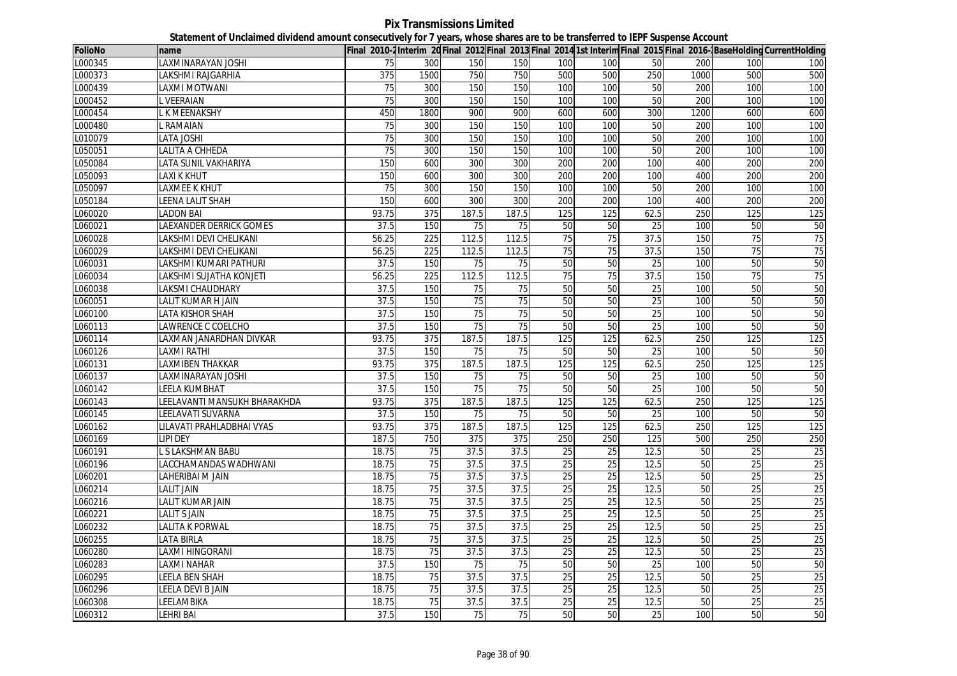**Pix Transmissions Limited Statement of Unclaimed dividend amount consecutively for 7 years, whose shares are to be transferred to IEPF Suspense Account**

| FolioNo | Iname                          |                   |                 |                 |       |                 |                  |                 |      |                 | Final 2010-2Interim 20Final 2012 Final 2013 Final 2014 1st Interim Final 2015 Final 2016-BaseHolding CurrentHolding |
|---------|--------------------------------|-------------------|-----------------|-----------------|-------|-----------------|------------------|-----------------|------|-----------------|---------------------------------------------------------------------------------------------------------------------|
| L000345 | LAXMINARAYAN JOSHI             | 75                | 300             | 150             | 150   | 100             | 100              | 50              | 200  | 100             | 100                                                                                                                 |
| L000373 | LAKSHMI RAJGARHIA              | 375               | 1500            | 750             | 750   | 500             | 500              | 250             | 1000 | 500             | 500                                                                                                                 |
| L000439 | LAXMI MOTWANI                  | $\overline{75}$   | 300             | 150             | 150   | 100             | 100              | 50              | 200  | 100             | 100                                                                                                                 |
| L000452 | <b>VEERAIAN</b>                | 75                | 300             | 150             | 150   | 100             | 100              | 50              | 200  | 100             | 100                                                                                                                 |
| L000454 | K MEENAKSHY                    | 450               | 1800            | 900             | 900   | 600             | 600              | 300             | 1200 | 600             | 600                                                                                                                 |
| L000480 | . RAMAIAN                      | 75                | 300             | 150             | 150   | 100             | 100              | 50              | 200  | 100             | 100                                                                                                                 |
| L010079 | LATA JOSHI                     | 75                | 300             | 150             | 150   | 100             | 100              | 50              | 200  | 100             | 100                                                                                                                 |
| L050051 | LALITA A CHHEDA                | 75                | 300             | 150             | 150   | 100             | 100              | 50              | 200  | 100             | 100                                                                                                                 |
| L050084 | LATA SUNIL VAKHARIYA           | 150               | 600             | 300             | 300   | 200             | 200              | 100             | 400  | 200             | 200                                                                                                                 |
| L050093 | LAXI K KHUT                    | 150               | 600             | 300             | 300   | 200             | 200              | 100             | 400  | 200             | 200                                                                                                                 |
| L050097 | LAXMEE K KHUT                  | 75                | 300             | 150             | 150   | 100             | 100              | 50              | 200  | 100             | 100                                                                                                                 |
| L050184 | <b>LEENA LALIT SHAH</b>        | 150               | 600             | 300             | 300   | 200             | 200              | 100             | 400  | 200             | 200                                                                                                                 |
| L060020 | LADON BAI                      | 93.75             | 375             | 187.5           | 187.5 | 125             | 125              | 62.5            | 250  | 125             | 125                                                                                                                 |
| L060021 | <b>LAEXANDER DERRICK GOMES</b> | 37.5              | 150             | 75              | 75    | 50              | 50               | 25              | 100  | 50              | 50                                                                                                                  |
| L060028 | AKSHMI DEVI CHELIKANI          | 56.25             | 225             | 112.5           | 112.5 | 75              | 75               | 37.5            | 150  | $\overline{75}$ | 75                                                                                                                  |
| L060029 | LAKSHMI DEVI CHELIKANI         | 56.25             | 225             | 112.5           | 112.5 | $\overline{75}$ | $\overline{75}$  | 37.5            | 150  | 75              | 75                                                                                                                  |
| L060031 | LAKSHMI KUMARI PATHURI         | 37.5              | 150             | 75              | 75    | 50              | 50               | 25              | 100  | 50              | 50                                                                                                                  |
| L060034 | LAKSHMI SUJATHA KONJETI        | 56.25             | 225             | 112.5           | 112.5 | 75              | 75               | 37.5            | 150  | 75              | 75                                                                                                                  |
| L060038 | LAKSMI CHAUDHARY               | 37.5              | 150             | 75              | 75    | 50              | 50               | 25              | 100  | 50              | 50                                                                                                                  |
| L060051 | LALIT KUMAR H JAIN             | 37.5              | 150             | 75              | 75    | 50              | 50               | 25              | 100  | 50              | 50                                                                                                                  |
| L060100 | LATA KISHOR SHAH               | 37.5              | 150             | 75              | 75    | 50              | 50               | 25              | 100  | 50              | 50                                                                                                                  |
| L060113 | LAWRENCE C COELCHO             | 37.5              | 150             | 75              | 75    | 50              | 50               | 25              | 100  | 50              | 50                                                                                                                  |
| L060114 | AXMAN JANARDHAN DIVKAR         | 93.75             | 375             | 187.5           | 187.5 | 125             | $\overline{125}$ | 62.5            | 250  | 125             | 125                                                                                                                 |
| L060126 | LAXMI RATHI                    | 37.5              | 150             | 75              | 75    | 50              | 50               | 25              | 100  | 50              | 50                                                                                                                  |
| L060131 | LAXMIBEN THAKKAR               | 93.75             | 375             | 187.5           | 187.5 | 125             | 125              | 62.5            | 250  | 125             | 125                                                                                                                 |
| L060137 | LAXMINARAYAN JOSHI             | 37.5              | 150             | 75              | 75    | 50              | 50               | 25              | 100  | 50              | 50                                                                                                                  |
| L060142 | LEELA KUMBHAT                  | $\overline{37.5}$ | 150             | $\overline{75}$ | 75    | 50              | 50               | $\overline{25}$ | 100  | 50              | 50                                                                                                                  |
| L060143 | LEELAVANTI MANSUKH BHARAKHDA   | 93.75             | 375             | 187.5           | 187.5 | 125             | 125              | 62.5            | 250  | 125             | 125                                                                                                                 |
| L060145 | LEELAVATI SUVARNA              | 37.5              | 150             | 75              | 75    | 50              | 50               | 25              | 100  | 50              | 50                                                                                                                  |
| L060162 | LILAVATI PRAHLADBHAI VYAS      | 93.75             | 375             | 187.5           | 187.5 | 125             | 125              | 62.5            | 250  | 125             | 125                                                                                                                 |
| L060169 | LIPI DEY                       | 187.5             | 750             | 375             | 375   | 250             | 250              | 125             | 500  | 250             | 250                                                                                                                 |
| L060191 | L S LAKSHMAN BABU              | 18.75             | 75              | 37.5            | 37.5  | 25              | 25               | 12.5            | 50   | 25              | 25                                                                                                                  |
| L060196 | LACCHAMANDAS WADHWANI          | 18.75             | 75              | 37.5            | 37.5  | $\overline{25}$ | 25               | 12.5            | 50   | 25              | 25                                                                                                                  |
| L060201 | LAHERIBAI M JAIN               | 18.75             | 75              | 37.5            | 37.5  | 25              | 25               | 12.5            | 50   | 25              | 25                                                                                                                  |
| L060214 | <b>LALIT JAIN</b>              | 18.75             | 75              | 37.5            | 37.5  | $\overline{25}$ | 25               | 12.5            | 50   | 25              | 25                                                                                                                  |
| L060216 | LALIT KUMAR JAIN               | 18.75             | 75              | 37.5            | 37.5  | 25              | 25               | 12.5            | 50   | 25              | 25                                                                                                                  |
| L060221 | <b>LALIT S JAIN</b>            | 18.75             | 75              | 37.5            | 37.5  | 25              | 25               | 12.5            | 50   | 25              | 25                                                                                                                  |
| L060232 | LALITA K PORWAL                | 18.75             | 75              | 37.5            | 37.5  | 25              | 25               | 12.5            | 50   | 25              | 25                                                                                                                  |
| L060255 | LATA BIRLA                     | 18.75             | $\overline{75}$ | 37.5            | 37.5  | $\overline{25}$ | $\overline{25}$  | 12.5            | 50   | 25              | 25                                                                                                                  |
| L060280 | LAXMI HINGORANI                | 18.75             | 75              | 37.5            | 37.5  | 25              | 25               | 12.5            | 50   | 25              | 25                                                                                                                  |
| L060283 | LAXMI NAHAR                    | 37.5              | 150             | 75              | 75    | 50              | 50               | 25              | 100  | 50              | 50                                                                                                                  |
| L060295 | LEELA BEN SHAH                 | 18.75             | 75              | 37.5            | 37.5  | 25              | 25               | 12.5            | 50   | $\overline{25}$ | 25                                                                                                                  |
| L060296 | LEELA DEVI B JAIN              | 18.75             | 75              | 37.5            | 37.5  | $\overline{25}$ | 25               | 12.5            | 50   | 25              | 25                                                                                                                  |
| L060308 | LEELAMBIKA                     | 18.75             | 75              | 37.5            | 37.5  | 25              | 25               | 12.5            | 50   | 25              | 25                                                                                                                  |
| L060312 | LEHRI BAI                      | 37.5              | 150             | $\overline{75}$ | 75    | 50              | 50               | 25              | 100  | 50              | 50                                                                                                                  |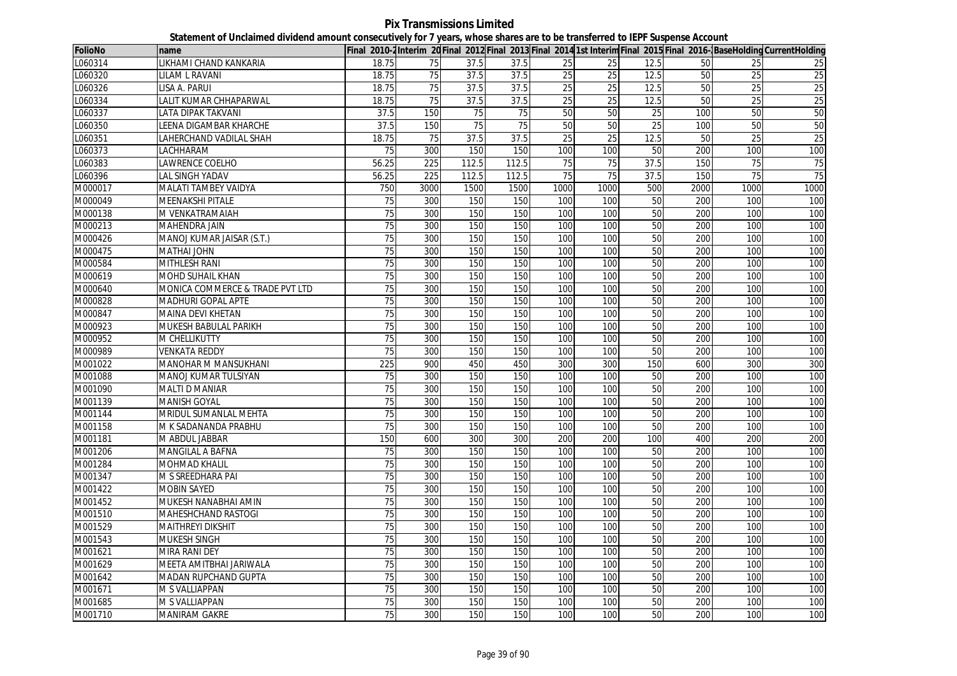**Pix Transmissions Limited Statement of Unclaimed dividend amount consecutively for 7 years, whose shares are to be transferred to IEPF Suspense Account**

| FolioNo | name                            |                 |      |       |       |      |                 |      |      |                 | Final 2010-2Interim 20Final 2012 Final 2013 Final 2014 1st Interim Final 2015 Final 2016- BaseHolding CurrentHolding |
|---------|---------------------------------|-----------------|------|-------|-------|------|-----------------|------|------|-----------------|----------------------------------------------------------------------------------------------------------------------|
| L060314 | LIKHAMI CHAND KANKARIA          | 18.75           | 75   | 37.5  | 37.5  | 25   | 25              | 12.5 | 50   | 25              | 25                                                                                                                   |
| L060320 | LILAM L RAVANI                  | 18.75           | 75   | 37.5  | 37.5  | 25   | 25              | 12.5 | 50   | $\overline{25}$ | 25                                                                                                                   |
| L060326 | LISA A. PARUI                   | 18.75           | 75   | 37.5  | 37.5  | 25   | $\overline{25}$ | 12.5 | 50   | $\overline{25}$ | 25                                                                                                                   |
| L060334 | LALIT KUMAR CHHAPARWAL          | 18.75           | 75   | 37.5  | 37.5  | 25   | 25              | 12.5 | 50   | $\overline{25}$ | 25                                                                                                                   |
| L060337 | LATA DIPAK TAKVANI              | 37.5            | 150  | 75    | 75    | 50   | 50              | 25   | 100  | 50              | 50                                                                                                                   |
| L060350 | <b>LEENA DIGAMBAR KHARCHE</b>   | 37.5            | 150  | 75    | 75    | 50   | 50              | 25   | 100  | 50              | 50                                                                                                                   |
| L060351 | LAHERCHAND VADILAL SHAH         | 18.75           | 75   | 37.5  | 37.5  | 25   | 25              | 12.5 | 50   | 25              | 25                                                                                                                   |
| L060373 | LACHHARAM                       | 75              | 300  | 150   | 150   | 100  | 100             | 50   | 200  | 100             | 100                                                                                                                  |
| L060383 | LAWRENCE COELHO                 | 56.25           | 225  | 112.5 | 112.5 | 75   | 75              | 37.5 | 150  | 75              | 75                                                                                                                   |
| L060396 | <b>LAL SINGH YADAV</b>          | 56.25           | 225  | 112.5 | 112.5 | 75   | 75              | 37.5 | 150  | 75              | 75                                                                                                                   |
| M000017 | MALATI TAMBEY VAIDYA            | 750             | 3000 | 1500  | 1500  | 1000 | 1000            | 500  | 2000 | 1000            | 1000                                                                                                                 |
| M000049 | MEENAKSHI PITALE                | 75              | 300  | 150   | 150   | 100  | 100             | 50   | 200  | 100             | 100                                                                                                                  |
| M000138 | M VENKATRAMAIAH                 | 75              | 300  | 150   | 150   | 100  | 100             | 50   | 200  | 100             | 100                                                                                                                  |
| M000213 | <b>MAHENDRA JAIN</b>            | 75              | 300  | 150   | 150   | 100  | 100             | 50   | 200  | 100             | 100                                                                                                                  |
| M000426 | MANOJ KUMAR JAISAR (S.T.)       | 75              | 300  | 150   | 150   | 100  | 100             | 50   | 200  | 100             | 100                                                                                                                  |
| M000475 | <b>MATHAI JOHN</b>              | 75              | 300  | 150   | 150   | 100  | 100             | 50   | 200  | 100             | 100                                                                                                                  |
| M000584 | MITHLESH RANI                   | 75              | 300  | 150   | 150   | 100  | 100             | 50   | 200  | 100             | 100                                                                                                                  |
| M000619 | <b>MOHD SUHAIL KHAN</b>         | 75              | 300  | 150   | 150   | 100  | 100             | 50   | 200  | 100             | 100                                                                                                                  |
| M000640 | MONICA COMMERCE & TRADE PVT LTD | 75              | 300  | 150   | 150   | 100  | 100             | 50   | 200  | 100             | 100                                                                                                                  |
| M000828 | MADHURI GOPAL APTE              | 75              | 300  | 150   | 150   | 100  | 100             | 50   | 200  | 100             | 100                                                                                                                  |
| M000847 | <b>MAINA DEVI KHETAN</b>        | 75              | 300  | 150   | 150   | 100  | 100             | 50   | 200  | 100             | 100                                                                                                                  |
| M000923 | MUKESH BABULAL PARIKH           | $\overline{75}$ | 300  | 150   | 150   | 100  | 100             | 50   | 200  | 100             | 100                                                                                                                  |
| M000952 | M CHELLIKUTTY                   | 75              | 300  | 150   | 150   | 100  | 100             | 50   | 200  | 100             | 100                                                                                                                  |
| M000989 | <b>VENKATA REDDY</b>            | 75              | 300  | 150   | 150   | 100  | 100             | 50   | 200  | 100             | 100                                                                                                                  |
| M001022 | <b>MANOHAR M MANSUKHANI</b>     | 225             | 900  | 450   | 450   | 300  | 300             | 150  | 600  | 300             | 300                                                                                                                  |
| M001088 | <b>MANOJ KUMAR TULSIYAN</b>     | $\overline{75}$ | 300  | 150   | 150   | 100  | 100             | 50   | 200  | 100             | 100                                                                                                                  |
| M001090 | <b>MALTI D MANIAR</b>           | $\overline{75}$ | 300  | 150   | 150   | 100  | 100             | 50   | 200  | 100             | 100                                                                                                                  |
| M001139 | <b>MANISH GOYAL</b>             | 75              | 300  | 150   | 150   | 100  | 100             | 50   | 200  | 100             | 100                                                                                                                  |
| M001144 | MRIDUL SUMANLAL MEHTA           | $\overline{75}$ | 300  | 150   | 150   | 100  | 100             | 50   | 200  | 100             | 100                                                                                                                  |
| M001158 | M K SADANANDA PRABHU            | 75              | 300  | 150   | 150   | 100  | 100             | 50   | 200  | 100             | 100                                                                                                                  |
| M001181 | M ABDUL JABBAR                  | 150             | 600  | 300   | 300   | 200  | 200             | 100  | 400  | 200             | 200                                                                                                                  |
| M001206 | MANGILAL A BAFNA                | $\overline{75}$ | 300  | 150   | 150   | 100  | 100             | 50   | 200  | 100             | 100                                                                                                                  |
| M001284 | MOHMAD KHALIL                   | 75              | 300  | 150   | 150   | 100  | 100             | 50   | 200  | 100             | 100                                                                                                                  |
| M001347 | M S SREEDHARA PAI               | 75              | 300  | 150   | 150   | 100  | 100             | 50   | 200  | 100             | 100                                                                                                                  |
| M001422 | <b>MOBIN SAYED</b>              | 75              | 300  | 150   | 150   | 100  | 100             | 50   | 200  | 100             | 100                                                                                                                  |
| M001452 | MUKESH NANABHAI AMIN            | 75              | 300  | 150   | 150   | 100  | 100             | 50   | 200  | 100             | 100                                                                                                                  |
| M001510 | <b>MAHESHCHAND RASTOGI</b>      | 75              | 300  | 150   | 150   | 100  | 100             | 50   | 200  | 100             | 100                                                                                                                  |
| M001529 | <b>MAITHREYI DIKSHIT</b>        | 75              | 300  | 150   | 150   | 100  | 100             | 50   | 200  | 100             | 100                                                                                                                  |
| M001543 | MUKESH SINGH                    | 75              | 300  | 150   | 150   | 100  | 100             | 50   | 200  | 100             | 100                                                                                                                  |
| M001621 | MIRA RANI DEY                   | 75              | 300  | 150   | 150   | 100  | 100             | 50   | 200  | 100             | 100                                                                                                                  |
| M001629 | MEETA AMITBHAI JARIWALA         | 75              | 300  | 150   | 150   | 100  | 100             | 50   | 200  | 100             | 100                                                                                                                  |
| M001642 | MADAN RUPCHAND GUPTA            | 75              | 300  | 150   | 150   | 100  | 100             | 50   | 200  | 100             | 100                                                                                                                  |
| M001671 | <b>M S VALLIAPPAN</b>           | 75              | 300  | 150   | 150   | 100  | 100             | 50   | 200  | 100             | 100                                                                                                                  |
| M001685 | M S VALLIAPPAN                  | 75              | 300  | 150   | 150   | 100  | 100             | 50   | 200  | 100             | 100                                                                                                                  |
| M001710 | <b>MANIRAM GAKRE</b>            | 75              | 300  | 150   | 150   | 100  | 100             | 50   | 200  | 100             | 100                                                                                                                  |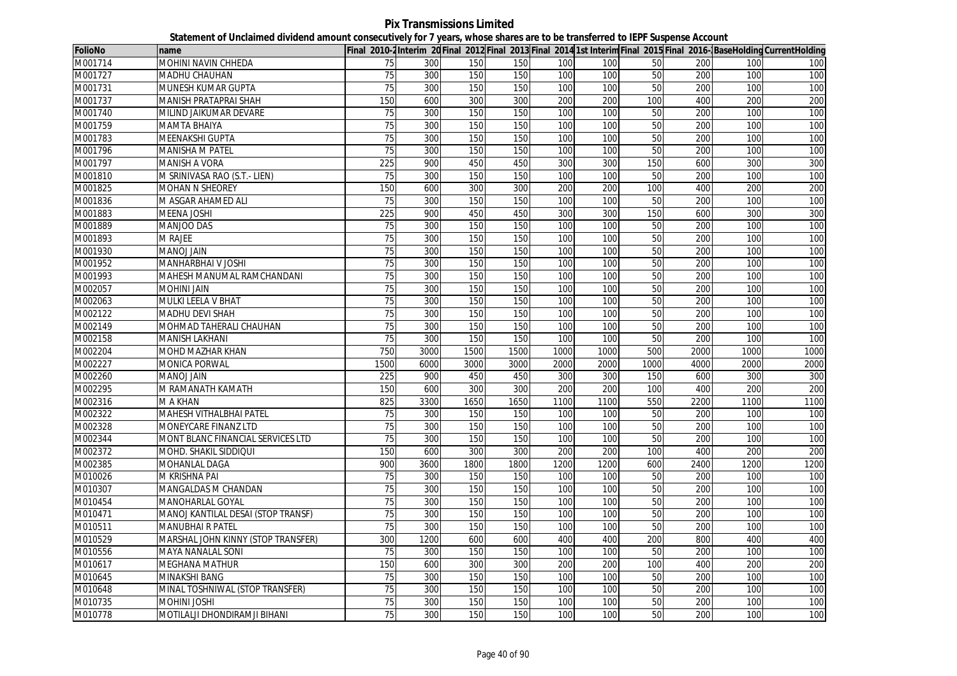**Pix Transmissions Limited Statement of Unclaimed dividend amount consecutively for 7 years, whose shares are to be transferred to IEPF Suspense Account**

| <b>FolioNo</b> | name                               |                 |      |      |      |      |      |      |      |      | Final 2010-2Interim 20Final 2012 Final 2013 Final 2014 1st Interim Final 2015 Final 2016-BaseHolding CurrentHolding |
|----------------|------------------------------------|-----------------|------|------|------|------|------|------|------|------|---------------------------------------------------------------------------------------------------------------------|
| M001714        | <b>MOHINI NAVIN CHHEDA</b>         | 75              | 300  | 150  | 150  | 100  | 100  | 50   | 200  | 100  | 100                                                                                                                 |
| M001727        | MADHU CHAUHAN                      | 75              | 300  | 150  | 150  | 100  | 100  | 50   | 200  | 100  | 100                                                                                                                 |
| M001731        | MUNESH KUMAR GUPTA                 | $\overline{75}$ | 300  | 150  | 150  | 100  | 100  | 50   | 200  | 100  | 100                                                                                                                 |
| M001737        | MANISH PRATAPRAI SHAH              | 150             | 600  | 300  | 300  | 200  | 200  | 100  | 400  | 200  | 200                                                                                                                 |
| M001740        | MILIND JAIKUMAR DEVARE             | 75              | 300  | 150  | 150  | 100  | 100  | 50   | 200  | 100  | 100                                                                                                                 |
| M001759        | MAMTA BHAIYA                       | 75              | 300  | 150  | 150  | 100  | 100  | 50   | 200  | 100  | 100                                                                                                                 |
| M001783        | <b>MEENAKSHI GUPTA</b>             | 75              | 300  | 150  | 150  | 100  | 100  | 50   | 200  | 100  | 100                                                                                                                 |
| M001796        | MANISHA M PATEL                    | 75              | 300  | 150  | 150  | 100  | 100  | 50   | 200  | 100  | 100                                                                                                                 |
| M001797        | MANISH A VORA                      | 225             | 900  | 450  | 450  | 300  | 300  | 150  | 600  | 300  | 300                                                                                                                 |
| M001810        | M SRINIVASA RAO (S.T.- LIEN)       | 75              | 300  | 150  | 150  | 100  | 100  | 50   | 200  | 100  | 100                                                                                                                 |
| M001825        | <b>MOHAN N SHEOREY</b>             | 150             | 600  | 300  | 300  | 200  | 200  | 100  | 400  | 200  | 200                                                                                                                 |
| M001836        | M ASGAR AHAMED ALI                 | 75              | 300  | 150  | 150  | 100  | 100  | 50   | 200  | 100  | 100                                                                                                                 |
| M001883        | <b>MEENA JOSHI</b>                 | 225             | 900  | 450  | 450  | 300  | 300  | 150  | 600  | 300  | 300                                                                                                                 |
| M001889        | <b>MANJOO DAS</b>                  | 75              | 300  | 150  | 150  | 100  | 100  | 50   | 200  | 100  | 100                                                                                                                 |
| M001893        | M RAJEE                            | 75              | 300  | 150  | 150  | 100  | 100  | 50   | 200  | 100  | 100                                                                                                                 |
| M001930        | <b>MANOJ JAIN</b>                  | 75              | 300  | 150  | 150  | 100  | 100  | 50   | 200  | 100  | 100                                                                                                                 |
| M001952        | MANHARBHAI V JOSHI                 | 75              | 300  | 150  | 150  | 100  | 100  | 50   | 200  | 100  | 100                                                                                                                 |
| M001993        | MAHESH MANUMAL RAMCHANDANI         | 75              | 300  | 150  | 150  | 100  | 100  | 50   | 200  | 100  | 100                                                                                                                 |
| M002057        | <b>MOHINI JAIN</b>                 | 75              | 300  | 150  | 150  | 100  | 100  | 50   | 200  | 100  | 100                                                                                                                 |
| M002063        | MULKI LEELA V BHAT                 | 75              | 300  | 150  | 150  | 100  | 100  | 50   | 200  | 100  | 100                                                                                                                 |
| M002122        | <b>MADHU DEVI SHAH</b>             | 75              | 300  | 150  | 150  | 100  | 100  | 50   | 200  | 100  | 100                                                                                                                 |
| M002149        | MOHMAD TAHERALI CHAUHAN            | 75              | 300  | 150  | 150  | 100  | 100  | 50   | 200  | 100  | 100                                                                                                                 |
| M002158        | MANISH LAKHANI                     | 75              | 300  | 150  | 150  | 100  | 100  | 50   | 200  | 100  | 100                                                                                                                 |
| M002204        | MOHD MAZHAR KHAN                   | 750             | 3000 | 1500 | 1500 | 1000 | 1000 | 500  | 2000 | 1000 | 1000                                                                                                                |
| M002227        | <b>MONICA PORWAL</b>               | 1500            | 6000 | 3000 | 3000 | 2000 | 2000 | 1000 | 4000 | 2000 | 2000                                                                                                                |
| M002260        | MANOJ JAIN                         | 225             | 900  | 450  | 450  | 300  | 300  | 150  | 600  | 300  | 300                                                                                                                 |
| M002295        | M RAMANATH KAMATH                  | 150             | 600  | 300  | 300  | 200  | 200  | 100  | 400  | 200  | 200                                                                                                                 |
| M002316        | M A KHAN                           | 825             | 3300 | 1650 | 1650 | 1100 | 1100 | 550  | 2200 | 1100 | 1100                                                                                                                |
| M002322        | <b>MAHESH VITHALBHAI PATEL</b>     | 75              | 300  | 150  | 150  | 100  | 100  | 50   | 200  | 100  | 100                                                                                                                 |
| M002328        | <b>MONEYCARE FINANZ LTD</b>        | 75              | 300  | 150  | 150  | 100  | 100  | 50   | 200  | 100  | 100                                                                                                                 |
| M002344        | MONT BLANC FINANCIAL SERVICES LTD  | 75              | 300  | 150  | 150  | 100  | 100  | 50   | 200  | 100  | 100                                                                                                                 |
| M002372        | MOHD. SHAKIL SIDDIQUI              | 150             | 600  | 300  | 300  | 200  | 200  | 100  | 400  | 200  | 200                                                                                                                 |
| M002385        | MOHANLAL DAGA                      | 900             | 3600 | 1800 | 1800 | 1200 | 1200 | 600  | 2400 | 1200 | 1200                                                                                                                |
| M010026        | M KRISHNA PAI                      | 75              | 300  | 150  | 150  | 100  | 100  | 50   | 200  | 100  | 100                                                                                                                 |
| M010307        | MANGALDAS M CHANDAN                | 75              | 300  | 150  | 150  | 100  | 100  | 50   | 200  | 100  | 100                                                                                                                 |
| M010454        | MANOHARLAL GOYAL                   | 75              | 300  | 150  | 150  | 100  | 100  | 50   | 200  | 100  | 100                                                                                                                 |
| M010471        | MANOJ KANTILAL DESAI (STOP TRANSF) | 75              | 300  | 150  | 150  | 100  | 100  | 50   | 200  | 100  | 100                                                                                                                 |
| M010511        | MANUBHAI R PATEL                   | 75              | 300  | 150  | 150  | 100  | 100  | 50   | 200  | 100  | 100                                                                                                                 |
| M010529        | MARSHAL JOHN KINNY (STOP TRANSFER) | 300             | 1200 | 600  | 600  | 400  | 400  | 200  | 800  | 400  | 400                                                                                                                 |
| M010556        | <b>MAYA NANALAL SONI</b>           | 75              | 300  | 150  | 150  | 100  | 100  | 50   | 200  | 100  | 100                                                                                                                 |
| M010617        | MEGHANA MATHUR                     | 150             | 600  | 300  | 300  | 200  | 200  | 100  | 400  | 200  | 200                                                                                                                 |
| M010645        | MINAKSHI BANG                      | 75              | 300  | 150  | 150  | 100  | 100  | 50   | 200  | 100  | 100                                                                                                                 |
| M010648        | MINAL TOSHNIWAL (STOP TRANSFER)    | $\overline{75}$ | 300  | 150  | 150  | 100  | 100  | 50   | 200  | 100  | 100                                                                                                                 |
| M010735        | <b>MOHINI JOSHI</b>                | 75              | 300  | 150  | 150  | 100  | 100  | 50   | 200  | 100  | 100                                                                                                                 |
| M010778        | MOTILALJI DHONDIRAMJI BIHANI       | 75              | 300  | 150  | 150  | 100  | 100  | 50   | 200  | 100  | 100                                                                                                                 |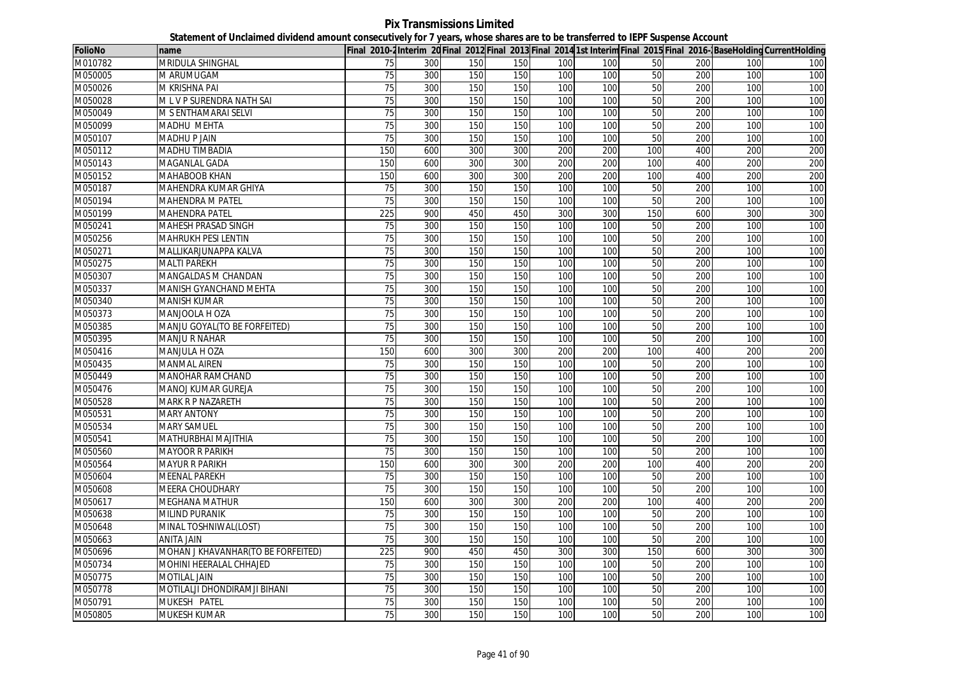**Pix Transmissions Limited Statement of Unclaimed dividend amount consecutively for 7 years, whose shares are to be transferred to IEPF Suspense Account**

| <b>FolioNo</b> | name                               |                 |     |     |     |     |     |     |     |     | Final 2010-2Interim 20 Final 2012 Final 2013 Final 2014 1st Interim Final 2015 Final 2016-BaseHolding CurrentHolding |
|----------------|------------------------------------|-----------------|-----|-----|-----|-----|-----|-----|-----|-----|----------------------------------------------------------------------------------------------------------------------|
| M010782        | MRIDULA SHINGHAL                   | 75              | 300 | 150 | 150 | 100 | 100 | 50  | 200 | 100 | 100                                                                                                                  |
| M050005        | M ARUMUGAM                         | 75              | 300 | 150 | 150 | 100 | 100 | 50  | 200 | 100 | 100                                                                                                                  |
| M050026        | M KRISHNA PAI                      | 75              | 300 | 150 | 150 | 100 | 100 | 50  | 200 | 100 | 100                                                                                                                  |
| M050028        | M L V P SURENDRA NATH SAI          | 75              | 300 | 150 | 150 | 100 | 100 | 50  | 200 | 100 | 100                                                                                                                  |
| M050049        | M S ENTHAMARAI SELVI               | 75              | 300 | 150 | 150 | 100 | 100 | 50  | 200 | 100 | 100                                                                                                                  |
| M050099        | <b>MADHU MEHTA</b>                 | $\overline{75}$ | 300 | 150 | 150 | 100 | 100 | 50  | 200 | 100 | 100                                                                                                                  |
| M050107        | <b>MADHU P JAIN</b>                | 75              | 300 | 150 | 150 | 100 | 100 | 50  | 200 | 100 | 100                                                                                                                  |
| M050112        | <b>MADHU TIMBADIA</b>              | 150             | 600 | 300 | 300 | 200 | 200 | 100 | 400 | 200 | 200                                                                                                                  |
| M050143        | <b>MAGANLAL GADA</b>               | 150             | 600 | 300 | 300 | 200 | 200 | 100 | 400 | 200 | 200                                                                                                                  |
| M050152        | <b>MAHABOOB KHAN</b>               | 150             | 600 | 300 | 300 | 200 | 200 | 100 | 400 | 200 | 200                                                                                                                  |
| M050187        | MAHENDRA KUMAR GHIYA               | 75              | 300 | 150 | 150 | 100 | 100 | 50  | 200 | 100 | 100                                                                                                                  |
| M050194        | <b>MAHENDRA M PATEL</b>            | 75              | 300 | 150 | 150 | 100 | 100 | 50  | 200 | 100 | 100                                                                                                                  |
| M050199        | <b>MAHENDRA PATEL</b>              | 225             | 900 | 450 | 450 | 300 | 300 | 150 | 600 | 300 | 300                                                                                                                  |
| M050241        | MAHESH PRASAD SINGH                | 75              | 300 | 150 | 150 | 100 | 100 | 50  | 200 | 100 | 100                                                                                                                  |
| M050256        | MAHRUKH PESI LENTIN                | 75              | 300 | 150 | 150 | 100 | 100 | 50  | 200 | 100 | 100                                                                                                                  |
| M050271        | MALLIKARJUNAPPA KALVA              | 75              | 300 | 150 | 150 | 100 | 100 | 50  | 200 | 100 | 100                                                                                                                  |
| M050275        | <b>MALTI PAREKH</b>                | 75              | 300 | 150 | 150 | 100 | 100 | 50  | 200 | 100 | 100                                                                                                                  |
| M050307        | MANGALDAS M CHANDAN                | 75              | 300 | 150 | 150 | 100 | 100 | 50  | 200 | 100 | 100                                                                                                                  |
| M050337        | MANISH GYANCHAND MEHTA             | 75              | 300 | 150 | 150 | 100 | 100 | 50  | 200 | 100 | 100                                                                                                                  |
| M050340        | <b>MANISH KUMAR</b>                | 75              | 300 | 150 | 150 | 100 | 100 | 50  | 200 | 100 | 100                                                                                                                  |
| M050373        | MANJOOLA H OZA                     | 75              | 300 | 150 | 150 | 100 | 100 | 50  | 200 | 100 | 100                                                                                                                  |
| M050385        | MANJU GOYAL(TO BE FORFEITED)       | 75              | 300 | 150 | 150 | 100 | 100 | 50  | 200 | 100 | 100                                                                                                                  |
| M050395        | <b>MANJU R NAHAR</b>               | 75              | 300 | 150 | 150 | 100 | 100 | 50  | 200 | 100 | 100                                                                                                                  |
| M050416        | <b>MANJULA H OZA</b>               | 150             | 600 | 300 | 300 | 200 | 200 | 100 | 400 | 200 | 200                                                                                                                  |
| M050435        | <b>MANMAL AIREN</b>                | 75              | 300 | 150 | 150 | 100 | 100 | 50  | 200 | 100 | 100                                                                                                                  |
| M050449        | <b>MANOHAR RAMCHAND</b>            | 75              | 300 | 150 | 150 | 100 | 100 | 50  | 200 | 100 | 100                                                                                                                  |
| M050476        | MANOJ KUMAR GUREJA                 | 75              | 300 | 150 | 150 | 100 | 100 | 50  | 200 | 100 | 100                                                                                                                  |
| M050528        | <b>MARK R P NAZARETH</b>           | $\overline{75}$ | 300 | 150 | 150 | 100 | 100 | 50  | 200 | 100 | 100                                                                                                                  |
| M050531        | <b>MARY ANTONY</b>                 | 75              | 300 | 150 | 150 | 100 | 100 | 50  | 200 | 100 | 100                                                                                                                  |
| M050534        | <b>MARY SAMUEL</b>                 | 75              | 300 | 150 | 150 | 100 | 100 | 50  | 200 | 100 | 100                                                                                                                  |
| M050541        | MATHURBHAI MAJITHIA                | 75              | 300 | 150 | 150 | 100 | 100 | 50  | 200 | 100 | 100                                                                                                                  |
| M050560        | <b>MAYOOR R PARIKH</b>             | 75              | 300 | 150 | 150 | 100 | 100 | 50  | 200 | 100 | 100                                                                                                                  |
| M050564        | <b>MAYUR R PARIKH</b>              | 150             | 600 | 300 | 300 | 200 | 200 | 100 | 400 | 200 | 200                                                                                                                  |
| M050604        | <b>MEENAL PAREKH</b>               | 75              | 300 | 150 | 150 | 100 | 100 | 50  | 200 | 100 | 100                                                                                                                  |
| M050608        | MEERA CHOUDHARY                    | 75              | 300 | 150 | 150 | 100 | 100 | 50  | 200 | 100 | 100                                                                                                                  |
| M050617        | <b>MEGHANA MATHUR</b>              | 150             | 600 | 300 | 300 | 200 | 200 | 100 | 400 | 200 | 200                                                                                                                  |
| M050638        | <b>MILIND PURANIK</b>              | $\overline{75}$ | 300 | 150 | 150 | 100 | 100 | 50  | 200 | 100 | 100                                                                                                                  |
| M050648        | MINAL TOSHNIWAL(LOST)              | $\overline{75}$ | 300 | 150 | 150 | 100 | 100 | 50  | 200 | 100 | 100                                                                                                                  |
| M050663        | <b>ANITA JAIN</b>                  | 75              | 300 | 150 | 150 | 100 | 100 | 50  | 200 | 100 | 100                                                                                                                  |
| M050696        | MOHAN J KHAVANHAR(TO BE FORFEITED) | 225             | 900 | 450 | 450 | 300 | 300 | 150 | 600 | 300 | 300                                                                                                                  |
| M050734        | MOHINI HEERALAL CHHAJED            | 75              | 300 | 150 | 150 | 100 | 100 | 50  | 200 | 100 | 100                                                                                                                  |
| M050775        | <b>MOTILAL JAIN</b>                | 75              | 300 | 150 | 150 | 100 | 100 | 50  | 200 | 100 | 100                                                                                                                  |
| M050778        | MOTILALJI DHONDIRAMJI BIHANI       | 75              | 300 | 150 | 150 | 100 | 100 | 50  | 200 | 100 | 100                                                                                                                  |
| M050791        | MUKESH PATEL                       | 75              | 300 | 150 | 150 | 100 | 100 | 50  | 200 | 100 | 100                                                                                                                  |
| M050805        | MUKESH KUMAR                       | 75              | 300 | 150 | 150 | 100 | 100 | 50  | 200 | 100 | 100                                                                                                                  |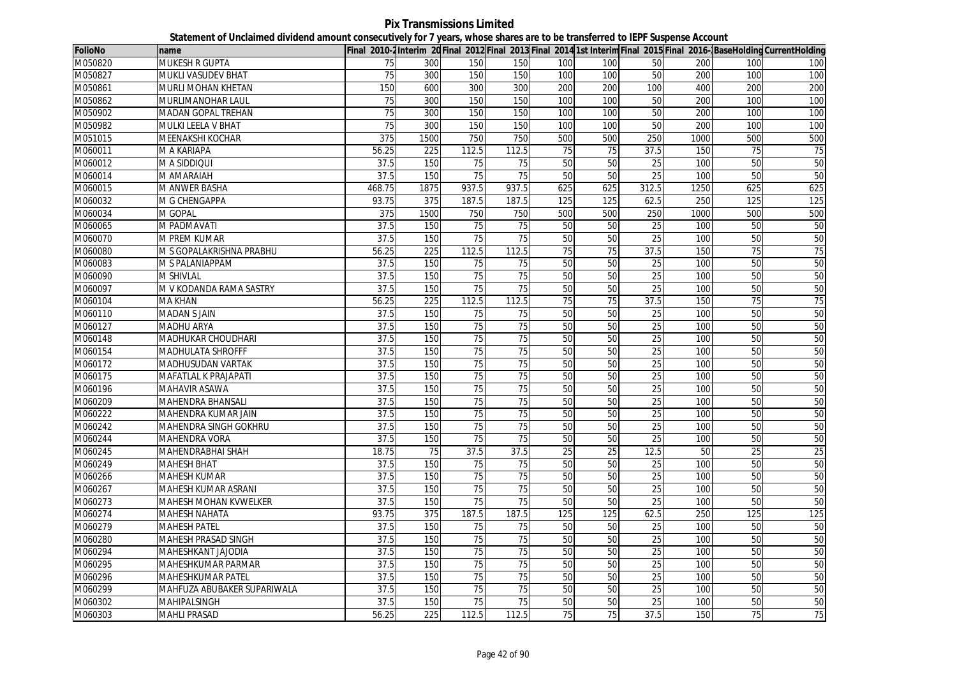**Pix Transmissions Limited Statement of Unclaimed dividend amount consecutively for 7 years, whose shares are to be transferred to IEPF Suspense Account**

| <b>FolioNo</b> | name                        |        |      |                 |                 |     |     |                 |      |     | Final 2010-2Interim 20Final 2012 Final 2013 Final 2014 1st Interim Final 2015 Final 2016-BaseHolding CurrentHolding |
|----------------|-----------------------------|--------|------|-----------------|-----------------|-----|-----|-----------------|------|-----|---------------------------------------------------------------------------------------------------------------------|
| M050820        | MUKESH R GUPTA              | 75     | 300  | 150             | 150             | 100 | 100 | 50              | 200  | 100 | 100                                                                                                                 |
| M050827        | <b>MUKLI VASUDEV BHAT</b>   | 75     | 300  | 150             | 150             | 100 | 100 | 50              | 200  | 100 | 100                                                                                                                 |
| M050861        | MURLI MOHAN KHETAN          | 150    | 600  | 300             | 300             | 200 | 200 | 100             | 400  | 200 | 200                                                                                                                 |
| M050862        | MURLIMANOHAR LAUL           | 75     | 300  | 150             | 150             | 100 | 100 | 50              | 200  | 100 | 100                                                                                                                 |
| M050902        | MADAN GOPAL TREHAN          | 75     | 300  | 150             | 150             | 100 | 100 | 50              | 200  | 100 | 100                                                                                                                 |
| M050982        | MULKI LEELA V BHAT          | 75     | 300  | 150             | 150             | 100 | 100 | 50              | 200  | 100 | 100                                                                                                                 |
| M051015        | MEENAKSHI KOCHAR            | 375    | 1500 | 750             | 750             | 500 | 500 | 250             | 1000 | 500 | 500                                                                                                                 |
| M060011        | M A KARIAPA                 | 56.25  | 225  | 112.5           | 112.5           | 75  | 75  | 37.5            | 150  | 75  | 75                                                                                                                  |
| M060012        | M A SIDDIQUI                | 37.5   | 150  | 75              | 75              | 50  | 50  | 25              | 100  | 50  | 50                                                                                                                  |
| M060014        | M AMARAIAH                  | 37.5   | 150  | 75              | $\overline{75}$ | 50  | 50  | $\overline{25}$ | 100  | 50  | 50                                                                                                                  |
| M060015        | M ANWER BASHA               | 468.75 | 1875 | 937.5           | 937.5           | 625 | 625 | 312.5           | 1250 | 625 | 625                                                                                                                 |
| M060032        | M G CHENGAPPA               | 93.75  | 375  | 187.5           | 187.5           | 125 | 125 | 62.5            | 250  | 125 | 125                                                                                                                 |
| M060034        | M GOPAL                     | 375    | 1500 | 750             | 750             | 500 | 500 | 250             | 1000 | 500 | 500                                                                                                                 |
| M060065        | M PADMAVATI                 | 37.5   | 150  | $\overline{75}$ | 75              | 50  | 50  | 25              | 100  | 50  | 50                                                                                                                  |
| M060070        | M PREM KUMAR                | 37.5   | 150  | 75              | 75              | 50  | 50  | 25              | 100  | 50  | 50                                                                                                                  |
| M060080        | M S GOPALAKRISHNA PRABHU    | 56.25  | 225  | 112.5           | 112.5           | 75  | 75  | 37.5            | 150  | 75  | 75                                                                                                                  |
| M060083        | M S PALANIAPPAM             | 37.5   | 150  | 75              | 75              | 50  | 50  | 25              | 100  | 50  | 50                                                                                                                  |
| M060090        | M SHIVLAL                   | 37.5   | 150  | 75              | 75              | 50  | 50  | 25              | 100  | 50  | 50                                                                                                                  |
| M060097        | M V KODANDA RAMA SASTRY     | 37.5   | 150  | 75              | 75              | 50  | 50  | 25              | 100  | 50  | 50                                                                                                                  |
| M060104        | <b>MA KHAN</b>              | 56.25  | 225  | 112.5           | 112.5           | 75  | 75  | 37.5            | 150  | 75  | 75                                                                                                                  |
| M060110        | <b>MADAN S JAIN</b>         | 37.5   | 150  | 75              | 75              | 50  | 50  | 25              | 100  | 50  | 50                                                                                                                  |
| M060127        | <b>MADHU ARYA</b>           | 37.5   | 150  | 75              | 75              | 50  | 50  | 25              | 100  | 50  | 50                                                                                                                  |
| M060148        | <b>MADHUKAR CHOUDHARI</b>   | 37.5   | 150  | $\overline{75}$ | 75              | 50  | 50  | 25              | 100  | 50  | 50                                                                                                                  |
| M060154        | <b>MADHULATA SHROFFF</b>    | 37.5   | 150  | 75              | 75              | 50  | 50  | 25              | 100  | 50  | 50                                                                                                                  |
| M060172        | MADHUSUDAN VARTAK           | 37.5   | 150  | 75              | 75              | 50  | 50  | 25              | 100  | 50  | 50                                                                                                                  |
| M060175        | <b>MAFATLAL K PRAJAPATI</b> | 37.5   | 150  | 75              | 75              | 50  | 50  | 25              | 100  | 50  | 50                                                                                                                  |
| M060196        | <b>MAHAVIR ASAWA</b>        | 37.5   | 150  | 75              | 75              | 50  | 50  | 25              | 100  | 50  | 50                                                                                                                  |
| M060209        | <b>MAHENDRA BHANSALI</b>    | 37.5   | 150  | 75              | 75              | 50  | 50  | 25              | 100  | 50  | 50                                                                                                                  |
| M060222        | MAHENDRA KUMAR JAIN         | 37.5   | 150  | 75              | $\overline{75}$ | 50  | 50  | 25              | 100  | 50  | 50                                                                                                                  |
| M060242        | MAHENDRA SINGH GOKHRU       | 37.5   | 150  | 75              | 75              | 50  | 50  | 25              | 100  | 50  | 50                                                                                                                  |
| M060244        | <b>MAHENDRA VORA</b>        | 37.5   | 150  | 75              | $\overline{75}$ | 50  | 50  | 25              | 100  | 50  | 50                                                                                                                  |
| M060245        | MAHENDRABHAI SHAH           | 18.75  | 75   | 37.5            | 37.5            | 25  | 25  | 12.5            | 50   | 25  | 25                                                                                                                  |
| M060249        | <b>MAHESH BHAT</b>          | 37.5   | 150  | 75              | 75              | 50  | 50  | 25              | 100  | 50  | 50                                                                                                                  |
| M060266        | MAHESH KUMAR                | 37.5   | 150  | 75              | 75              | 50  | 50  | 25              | 100  | 50  | 50                                                                                                                  |
| M060267        | MAHESH KUMAR ASRANI         | 37.5   | 150  | 75              | 75              | 50  | 50  | 25              | 100  | 50  | 50                                                                                                                  |
| M060273        | MAHESH MOHAN KVWELKER       | 37.5   | 150  | 75              | 75              | 50  | 50  | 25              | 100  | 50  | 50                                                                                                                  |
| M060274        | <b>MAHESH NAHATA</b>        | 93.75  | 375  | 187.5           | 187.5           | 125 | 125 | 62.5            | 250  | 125 | 125                                                                                                                 |
| M060279        | <b>MAHESH PATEL</b>         | 37.5   | 150  | 75              | 75              | 50  | 50  | 25              | 100  | 50  | 50                                                                                                                  |
| M060280        | MAHESH PRASAD SINGH         | 37.5   | 150  | 75              | 75              | 50  | 50  | 25              | 100  | 50  | 50                                                                                                                  |
| M060294        | MAHESHKANT JAJODIA          | 37.5   | 150  | 75              | 75              | 50  | 50  | 25              | 100  | 50  | 50                                                                                                                  |
| M060295        | MAHESHKUMAR PARMAR          | 37.5   | 150  | $\overline{75}$ | 75              | 50  | 50  | 25              | 100  | 50  | 50                                                                                                                  |
| M060296        | MAHESHKUMAR PATEL           | 37.5   | 150  | 75              | $\overline{75}$ | 50  | 50  | $\overline{25}$ | 100  | 50  | 50                                                                                                                  |
| M060299        | MAHFUZA ABUBAKER SUPARIWALA | 37.5   | 150  | 75              | 75              | 50  | 50  | 25              | 100  | 50  | 50                                                                                                                  |
| M060302        | <b>MAHIPALSINGH</b>         | 37.5   | 150  | 75              | 75              | 50  | 50  | 25              | 100  | 50  | 50                                                                                                                  |
| M060303        | <b>MAHLI PRASAD</b>         | 56.25  | 225  | 112.5           | 112.5           | 75  | 75  | 37.5            | 150  | 75  | 75                                                                                                                  |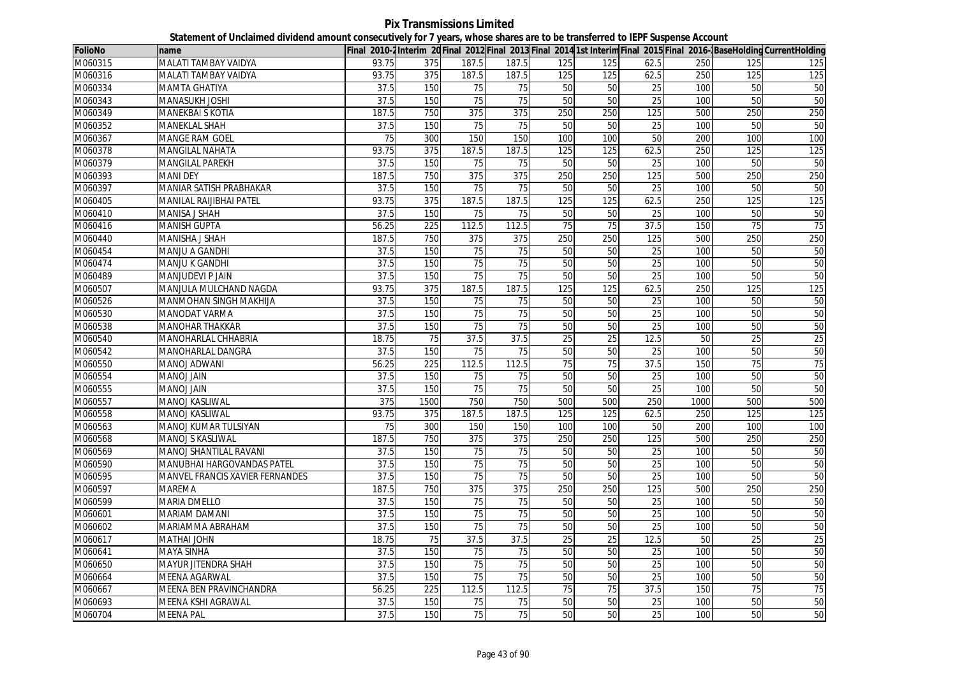**Pix Transmissions Limited Statement of Unclaimed dividend amount consecutively for 7 years, whose shares are to be transferred to IEPF Suspense Account**

| <b>FolioNo</b> | name                            |                 |                  |                  |                  |                 |                 |                 |      |     | Final 2010-2Interim 20 Final 2012 Final 2013 Final 2014 1st Interim Final 2015 Final 2016-BaseHolding CurrentHolding |
|----------------|---------------------------------|-----------------|------------------|------------------|------------------|-----------------|-----------------|-----------------|------|-----|----------------------------------------------------------------------------------------------------------------------|
| M060315        | MALATI TAMBAY VAIDYA            | 93.75           | 375              | 187.5            | 187.5            | 125             | 125             | 62.5            | 250  | 125 | 125                                                                                                                  |
| M060316        | MALATI TAMBAY VAIDYA            | 93.75           | 375              | 187.5            | 187.5            | 125             | 125             | 62.5            | 250  | 125 | 125                                                                                                                  |
| M060334        | MAMTA GHATIYA                   | 37.5            | 150              | 75               | 75               | 50              | 50              | 25              | 100  | 50  | 50                                                                                                                   |
| M060343        | <b>MANASUKH JOSHI</b>           | 37.5            | 150              | 75               | 75               | 50              | 50              | 25              | 100  | 50  | 50                                                                                                                   |
| M060349        | <b>MANEKBAI S KOTIA</b>         | 187.5           | 750              | 375              | 375              | 250             | 250             | 125             | 500  | 250 | 250                                                                                                                  |
| M060352        | <b>MANEKLAL SHAH</b>            | 37.5            | 150              | 75               | 75               | 50              | 50              | 25              | 100  | 50  | 50                                                                                                                   |
| M060367        | <b>MANGE RAM GOEL</b>           | $\overline{75}$ | 300              | 150              | 150              | 100             | 100             | 50              | 200  | 100 | 100                                                                                                                  |
| M060378        | <b>MANGILAL NAHATA</b>          | 93.75           | 375              | 187.5            | 187.5            | 125             | 125             | 62.5            | 250  | 125 | 125                                                                                                                  |
| M060379        | MANGILAL PAREKH                 | 37.5            | 150              | 75               | 75               | 50              | 50              | 25              | 100  | 50  | 50                                                                                                                   |
| M060393        | <b>MANI DEY</b>                 | 187.5           | 750              | 375              | 375              | 250             | 250             | 125             | 500  | 250 | 250                                                                                                                  |
| M060397        | MANIAR SATISH PRABHAKAR         | 37.5            | 150              | 75               | 75               | 50              | 50              | 25              | 100  | 50  | 50                                                                                                                   |
| M060405        | MANILAL RAIJIBHAI PATEL         | 93.75           | 375              | 187.5            | 187.5            | 125             | 125             | 62.5            | 250  | 125 | 125                                                                                                                  |
| M060410        | MANISA J SHAH                   | 37.5            | 150              | 75               | 75               | 50              | 50              | 25              | 100  | 50  | 50                                                                                                                   |
| M060416        | <b>MANISH GUPTA</b>             | 56.25           | 225              | 112.5            | 112.5            | 75              | 75              | 37.5            | 150  | 75  | 75                                                                                                                   |
| M060440        | <b>MANISHA J SHAH</b>           | 187.5           | 750              | $\overline{375}$ | $\overline{375}$ | 250             | 250             | 125             | 500  | 250 | 250                                                                                                                  |
| M060454        | MANJU A GANDHI                  | 37.5            | 150              | $\overline{75}$  | 75               | 50              | 50              | $\overline{25}$ | 100  | 50  | 50                                                                                                                   |
| M060474        | <b>MANJU K GANDHI</b>           | 37.5            | 150              | $\overline{75}$  | $\overline{75}$  | 50              | 50              | $\overline{25}$ | 100  | 50  | 50                                                                                                                   |
| M060489        | MANJUDEVI P JAIN                | 37.5            | 150              | 75               | 75               | 50              | 50              | 25              | 100  | 50  | 50                                                                                                                   |
| M060507        | MANJULA MULCHAND NAGDA          | 93.75           | 375              | 187.5            | 187.5            | 125             | 125             | 62.5            | 250  | 125 | 125                                                                                                                  |
| M060526        | MANMOHAN SINGH MAKHIJA          | 37.5            | 150              | 75               | 75               | 50              | 50              | 25              | 100  | 50  | 50                                                                                                                   |
| M060530        | MANODAT VARMA                   | 37.5            | 150              | 75               | $\overline{75}$  | 50              | 50              | $\overline{25}$ | 100  | 50  | 50                                                                                                                   |
| M060538        | <b>MANOHAR THAKKAR</b>          | 37.5            | 150              | 75               | 75               | 50              | 50              | 25              | 100  | 50  | 50                                                                                                                   |
| M060540        | MANOHARLAL CHHABRIA             | 18.75           | 75               | 37.5             | 37.5             | $\overline{25}$ | 25              | 12.5            | 50   | 25  | 25                                                                                                                   |
| M060542        | MANOHARLAL DANGRA               | 37.5            | 150              | 75               | 75               | 50              | 50              | 25              | 100  | 50  | 50                                                                                                                   |
| M060550        | <b>MANOJ ADWANI</b>             | 56.25           | 225              | 112.5            | 112.5            | 75              | 75              | 37.5            | 150  | 75  | 75                                                                                                                   |
| M060554        | <b>MANOJ JAIN</b>               | 37.5            | 150              | 75               | 75               | 50              | 50              | 25              | 100  | 50  | 50                                                                                                                   |
| M060555        | <b>MIAL LONAM</b>               | 37.5            | 150              | 75               | 75               | 50              | 50              | 25              | 100  | 50  | 50                                                                                                                   |
| M060557        | MANOJ KASLIWAL                  | 375             | 1500             | 750              | 750              | 500             | 500             | 250             | 1000 | 500 | 500                                                                                                                  |
| M060558        | <b>MANOJ KASLIWAL</b>           | 93.75           | 375              | 187.5            | 187.5            | 125             | 125             | 62.5            | 250  | 125 | 125                                                                                                                  |
| M060563        | MANOJ KUMAR TULSIYAN            | 75              | 300              | 150              | 150              | 100             | 100             | 50              | 200  | 100 | 100                                                                                                                  |
| M060568        | MANOJ S KASLIWAL                | 187.5           | 750              | 375              | 375              | 250             | 250             | 125             | 500  | 250 | 250                                                                                                                  |
| M060569        | MANOJ SHANTILAL RAVANI          | 37.5            | 150              | 75               | 75               | 50              | 50              | 25              | 100  | 50  | 50                                                                                                                   |
| M060590        | MANUBHAI HARGOVANDAS PATEL      | 37.5            | 150              | $\overline{75}$  | $\overline{75}$  | 50              | 50              | 25              | 100  | 50  | 50                                                                                                                   |
| M060595        | MANVEL FRANCIS XAVIER FERNANDES | 37.5            | 150              | 75               | 75               | 50              | 50              | 25              | 100  | 50  | 50                                                                                                                   |
| M060597        | MAREMA                          | 187.5           | 750              | 375              | 375              | 250             | 250             | 125             | 500  | 250 | 250                                                                                                                  |
| M060599        | <b>MARIA DMELLO</b>             | 37.5            | 150              | 75               | 75               | 50              | 50              | 25              | 100  | 50  | 50                                                                                                                   |
| M060601        | <b>MARIAM DAMANI</b>            | 37.5            | 150              | 75               | 75               | 50              | 50              | 25              | 100  | 50  | 50                                                                                                                   |
| M060602        | MARIAMMA ABRAHAM                | 37.5            | 150              | 75               | 75               | 50              | 50              | 25              | 100  | 50  | 50                                                                                                                   |
| M060617        | MATHAI JOHN                     | 18.75           | 75               | 37.5             | 37.5             | $\overline{25}$ | 25              | 12.5            | 50   | 25  | 25                                                                                                                   |
| M060641        | MAYA SINHA                      | 37.5            | 150              | 75               | 75               | 50              | 50              | 25              | 100  | 50  | 50                                                                                                                   |
| M060650        | MAYUR JITENDRA SHAH             | 37.5            | 150              | 75               | 75               | 50              | 50              | 25              | 100  | 50  | 50                                                                                                                   |
| M060664        | MEENA AGARWAL                   | 37.5            | 150              | 75               | 75               | 50              | 50              | 25              | 100  | 50  | 50                                                                                                                   |
| M060667        | MEENA BEN PRAVINCHANDRA         | 56.25           | $\overline{225}$ | 112.5            | 112.5            | $\overline{75}$ | $\overline{75}$ | 37.5            | 150  | 75  | 75                                                                                                                   |
| M060693        | MEENA KSHI AGRAWAL              | 37.5            | 150              | 75               | 75               | 50              | 50              | 25              | 100  | 50  | 50                                                                                                                   |
| M060704        | <b>MEENA PAL</b>                | 37.5            | 150              | 75               | $\overline{75}$  | 50              | 50              | 25              | 100  | 50  | 50                                                                                                                   |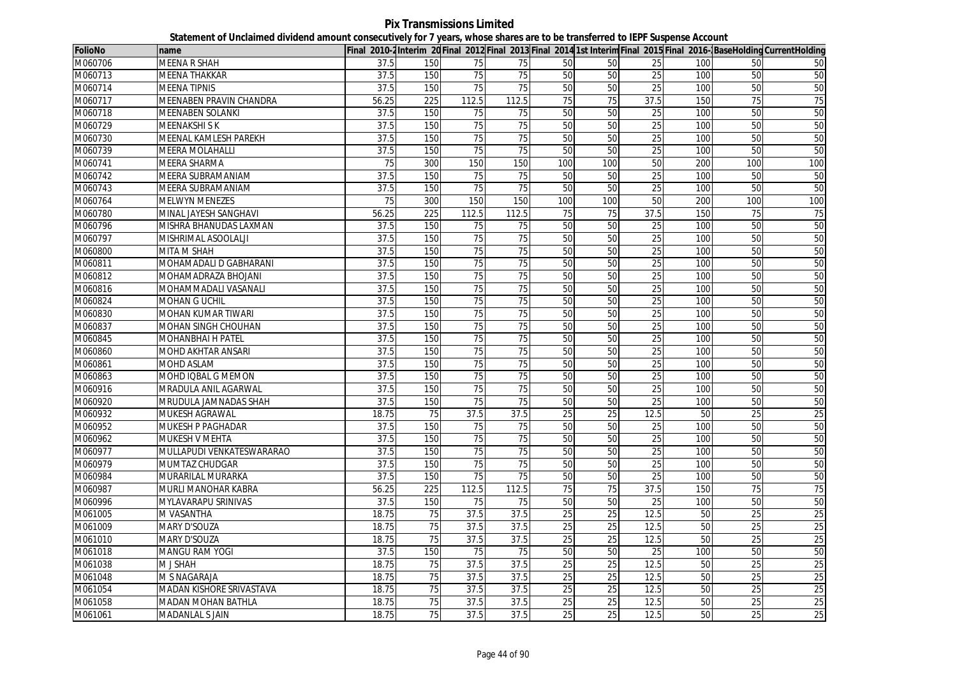**Pix Transmissions Limited Statement of Unclaimed dividend amount consecutively for 7 years, whose shares are to be transferred to IEPF Suspense Account**

| <b>FolioNo</b> | name                       |       |                 |       |                 |                 |                 |                 |     |                 | Final 2010-2Interim 20 Final 2012 Final 2013 Final 2014 1st Interim Final 2015 Final 2016-BaseHolding CurrentHolding |
|----------------|----------------------------|-------|-----------------|-------|-----------------|-----------------|-----------------|-----------------|-----|-----------------|----------------------------------------------------------------------------------------------------------------------|
| M060706        | MEENA R SHAH               | 37.5  | 150             | 75    | 75              | 50              | 50              | 25              | 100 | 50              | 50                                                                                                                   |
| M060713        | <b>MEENA THAKKAR</b>       | 37.5  | 150             | 75    | $\overline{75}$ | 50              | 50              | 25              | 100 | 50              | 50                                                                                                                   |
| M060714        | <b>MEENA TIPNIS</b>        | 37.5  | 150             | 75    | 75              | 50              | 50              | 25              | 100 | 50              | 50                                                                                                                   |
| M060717        | MEENABEN PRAVIN CHANDRA    | 56.25 | 225             | 112.5 | 112.5           | 75              | 75              | 37.5            | 150 | $\overline{75}$ | 75                                                                                                                   |
| M060718        | MEENABEN SOLANKI           | 37.5  | 150             | 75    | 75              | 50              | 50              | 25              | 100 | 50              | 50                                                                                                                   |
| M060729        | <b>MEENAKSHISK</b>         | 37.5  | 150             | 75    | 75              | 50              | 50              | 25              | 100 | 50              | 50                                                                                                                   |
| M060730        | MEENAL KAMLESH PAREKH      | 37.5  | 150             | 75    | 75              | 50              | 50              | 25              | 100 | 50              | 50                                                                                                                   |
| M060739        | <b>MEERA MOLAHALLI</b>     | 37.5  | 150             | 75    | 75              | 50              | 50              | 25              | 100 | 50              | 50                                                                                                                   |
| M060741        | MEERA SHARMA               | 75    | 300             | 150   | 150             | 100             | 100             | 50              | 200 | 100             | 100                                                                                                                  |
| M060742        | MEERA SUBRAMANIAM          | 37.5  | 150             | 75    | 75              | 50              | 50              | 25              | 100 | 50              | 50                                                                                                                   |
| M060743        | MEERA SUBRAMANIAM          | 37.5  | 150             | 75    | 75              | 50              | 50              | 25              | 100 | 50              | 50                                                                                                                   |
| M060764        | <b>MELWYN MENEZES</b>      | 75    | 300             | 150   | 150             | 100             | 100             | 50              | 200 | 100             | 100                                                                                                                  |
| M060780        | MINAL JAYESH SANGHAVI      | 56.25 | 225             | 112.5 | 112.5           | 75              | 75              | 37.5            | 150 | 75              | 75                                                                                                                   |
| M060796        | MISHRA BHANUDAS LAXMAN     | 37.5  | 150             | 75    | 75              | 50              | 50              | $\overline{25}$ | 100 | 50              | 50                                                                                                                   |
| M060797        | MISHRIMAL ASOOLALJI        | 37.5  | 150             | 75    | 75              | 50              | 50              | 25              | 100 | 50              | 50                                                                                                                   |
| M060800        | MITA M SHAH                | 37.5  | 150             | 75    | 75              | 50              | 50              | $\overline{25}$ | 100 | 50              | 50                                                                                                                   |
| M060811        | MOHAMADALI D GABHARANI     | 37.5  | 150             | 75    | $\overline{75}$ | 50              | 50              | 25              | 100 | 50              | 50                                                                                                                   |
| M060812        | MOHAMADRAZA BHOJANI        | 37.5  | 150             | 75    | $\overline{75}$ | 50              | 50              | 25              | 100 | 50              | 50                                                                                                                   |
| M060816        | MOHAMMADALI VASANALI       | 37.5  | 150             | 75    | $\overline{75}$ | 50              | 50              | $\overline{25}$ | 100 | 50              | 50                                                                                                                   |
| M060824        | <b>MOHAN G UCHIL</b>       | 37.5  | 150             | 75    | 75              | 50              | 50              | 25              | 100 | 50              | 50                                                                                                                   |
| M060830        | <b>MOHAN KUMAR TIWARI</b>  | 37.5  | 150             | 75    | 75              | 50              | 50              | 25              | 100 | 50              | 50                                                                                                                   |
| M060837        | <b>MOHAN SINGH CHOUHAN</b> | 37.5  | 150             | 75    | $\overline{75}$ | 50              | 50              | 25              | 100 | 50              | 50                                                                                                                   |
| M060845        | MOHANBHAI H PATEL          | 37.5  | 150             | 75    | $\overline{75}$ | 50              | 50              | $\overline{25}$ | 100 | 50              | 50                                                                                                                   |
| M060860        | MOHD AKHTAR ANSARI         | 37.5  | 150             | 75    | 75              | 50              | 50              | 25              | 100 | 50              | 50                                                                                                                   |
| M060861        | MOHD ASLAM                 | 37.5  | 150             | 75    | 75              | 50              | 50              | 25              | 100 | 50              | 50                                                                                                                   |
| M060863        | MOHD IQBAL G MEMON         | 37.5  | 150             | 75    | 75              | 50              | 50              | 25              | 100 | 50              | 50                                                                                                                   |
| M060916        | MRADULA ANIL AGARWAL       | 37.5  | 150             | 75    | 75              | 50              | 50              | 25              | 100 | 50              | 50                                                                                                                   |
| M060920        | MRUDULA JAMNADAS SHAH      | 37.5  | 150             | 75    | 75              | 50              | 50              | 25              | 100 | 50              | 50                                                                                                                   |
| M060932        | MUKESH AGRAWAL             | 18.75 | 75              | 37.5  | 37.5            | 25              | 25              | 12.5            | 50  | 25              | 25                                                                                                                   |
| M060952        | MUKESH P PAGHADAR          | 37.5  | 150             | 75    | 75              | 50              | 50              | 25              | 100 | 50              | 50                                                                                                                   |
| M060962        | MUKESH V MEHTA             | 37.5  | 150             | 75    | 75              | 50              | 50              | 25              | 100 | 50              | 50                                                                                                                   |
| M060977        | MULLAPUDI VENKATESWARARAO  | 37.5  | 150             | 75    | 75              | 50              | 50              | 25              | 100 | 50              | 50                                                                                                                   |
| M060979        | MUMTAZ CHUDGAR             | 37.5  | 150             | 75    | 75              | 50              | 50              | 25              | 100 | 50              | 50                                                                                                                   |
| M060984        | MURARILAL MURARKA          | 37.5  | 150             | 75    | 75              | 50              | 50              | 25              | 100 | 50              | 50                                                                                                                   |
| M060987        | MURLI MANOHAR KABRA        | 56.25 | 225             | 112.5 | 112.5           | 75              | 75              | 37.5            | 150 | 75              | 75                                                                                                                   |
| M060996        | MYLAVARAPU SRINIVAS        | 37.5  | 150             | 75    | 75              | 50              | 50              | 25              | 100 | 50              | 50                                                                                                                   |
| M061005        | M VASANTHA                 | 18.75 | 75              | 37.5  | 37.5            | 25              | 25              | 12.5            | 50  | 25              | 25                                                                                                                   |
| M061009        | <b>MARY D'SOUZA</b>        | 18.75 | 75              | 37.5  | 37.5            | 25              | $\overline{25}$ | 12.5            | 50  | 25              | 25                                                                                                                   |
| M061010        | <b>MARY D'SOUZA</b>        | 18.75 | $\overline{75}$ | 37.5  | 37.5            | $\overline{25}$ | 25              | 12.5            | 50  | 25              | $\overline{25}$                                                                                                      |
| M061018        | MANGU RAM YOGI             | 37.5  | 150             | 75    | 75              | 50              | 50              | 25              | 100 | 50              | 50                                                                                                                   |
| M061038        | M J SHAH                   | 18.75 | 75              | 37.5  | 37.5            | $\overline{25}$ | 25              | 12.5            | 50  | $\overline{25}$ | $\overline{25}$                                                                                                      |
| M061048        | M S NAGARAJA               | 18.75 | 75              | 37.5  | 37.5            | 25              | 25              | 12.5            | 50  | 25              | 25                                                                                                                   |
| M061054        | MADAN KISHORE SRIVASTAVA   | 18.75 | $\overline{75}$ | 37.5  | 37.5            | $\overline{25}$ | $\overline{25}$ | 12.5            | 50  | 25              | $\overline{25}$                                                                                                      |
| M061058        | MADAN MOHAN BATHLA         | 18.75 | 75              | 37.5  | 37.5            | 25              | 25              | 12.5            | 50  | 25              | 25                                                                                                                   |
| M061061        | MADANLAL S JAIN            | 18.75 | 75              | 37.5  | 37.5            | 25              | 25              | 12.5            | 50  | $\overline{25}$ | 25                                                                                                                   |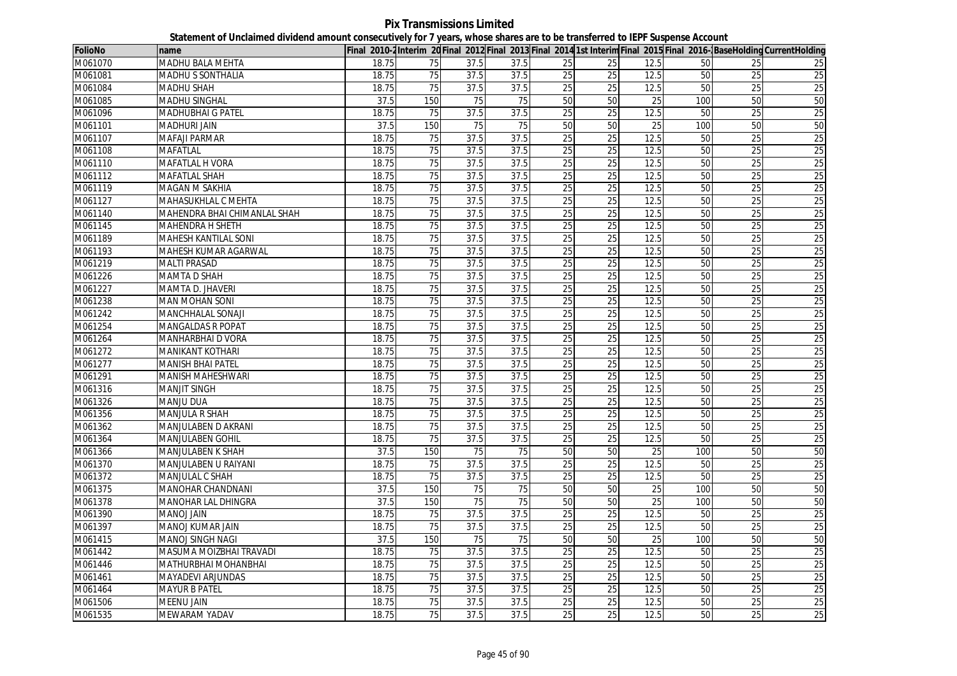**Pix Transmissions Limited Statement of Unclaimed dividend amount consecutively for 7 years, whose shares are to be transferred to IEPF Suspense Account**

| <b>FolioNo</b> | name                         |       |                 |      |      |                 |                 |      |     |                 | Final 2010-2Interim 20Final 2012 Final 2013 Final 2014 1st Interim Final 2015 Final 2016-BaseHolding CurrentHolding |
|----------------|------------------------------|-------|-----------------|------|------|-----------------|-----------------|------|-----|-----------------|---------------------------------------------------------------------------------------------------------------------|
| M061070        | MADHU BALA MEHTA             | 18.75 | 75              | 37.5 | 37.5 | 25              | 25              | 12.5 | 50  | 25              | 25                                                                                                                  |
| M061081        | MADHU S SONTHALIA            | 18.75 | 75              | 37.5 | 37.5 | 25              | 25              | 12.5 | 50  | $\overline{25}$ | $\overline{25}$                                                                                                     |
| M061084        | MADHU SHAH                   | 18.75 | 75              | 37.5 | 37.5 | 25              | 25              | 12.5 | 50  | 25              | 25                                                                                                                  |
| M061085        | MADHU SINGHAL                | 37.5  | 150             | 75   | 75   | 50              | 50              | 25   | 100 | 50              | 50                                                                                                                  |
| M061096        | MADHUBHAI G PATEL            | 18.75 | 75              | 37.5 | 37.5 | 25              | 25              | 12.5 | 50  | 25              | 25                                                                                                                  |
| M061101        | MADHURI JAIN                 | 37.5  | 150             | 75   | 75   | 50              | 50              | 25   | 100 | 50              | 50                                                                                                                  |
| M061107        | <b>MAFAJI PARMAR</b>         | 18.75 | 75              | 37.5 | 37.5 | 25              | 25              | 12.5 | 50  | $\overline{25}$ | 25                                                                                                                  |
| M061108        | MAFATLAL                     | 18.75 | 75              | 37.5 | 37.5 | 25              | 25              | 12.5 | 50  | 25              | 25                                                                                                                  |
| M061110        | MAFATLAL H VORA              | 18.75 | 75              | 37.5 | 37.5 | 25              | 25              | 12.5 | 50  | 25              | 25                                                                                                                  |
| M061112        | <b>MAFATLAL SHAH</b>         | 18.75 | 75              | 37.5 | 37.5 | 25              | 25              | 12.5 | 50  | 25              | 25                                                                                                                  |
| M061119        | <b>MAGAN M SAKHIA</b>        | 18.75 | 75              | 37.5 | 37.5 | 25              | $\overline{25}$ | 12.5 | 50  | 25              | 25                                                                                                                  |
| M061127        | MAHASUKHLAL C MEHTA          | 18.75 | 75              | 37.5 | 37.5 | $\overline{25}$ | 25              | 12.5 | 50  | $\overline{25}$ | 25                                                                                                                  |
| M061140        | MAHENDRA BHAI CHIMANLAL SHAH | 18.75 | 75              | 37.5 | 37.5 | 25              | 25              | 12.5 | 50  | $\overline{25}$ | 25                                                                                                                  |
| M061145        | MAHENDRA H SHETH             | 18.75 | 75              | 37.5 | 37.5 | $\overline{25}$ | $\overline{25}$ | 12.5 | 50  | 25              | 25                                                                                                                  |
| M061189        | MAHESH KANTILAL SONI         | 18.75 | 75              | 37.5 | 37.5 | 25              | 25              | 12.5 | 50  | 25              | 25                                                                                                                  |
| M061193        | MAHESH KUMAR AGARWAL         | 18.75 | $\overline{75}$ | 37.5 | 37.5 | 25              | 25              | 12.5 | 50  | 25              | 25                                                                                                                  |
| M061219        | <b>MALTI PRASAD</b>          | 18.75 | 75              | 37.5 | 37.5 | 25              | $\overline{25}$ | 12.5 | 50  | 25              | 25                                                                                                                  |
| M061226        | MAMTA D SHAH                 | 18.75 | 75              | 37.5 | 37.5 | 25              | $\overline{25}$ | 12.5 | 50  | $\overline{25}$ | 25                                                                                                                  |
| M061227        | MAMTA D. JHAVERI             | 18.75 | 75              | 37.5 | 37.5 | 25              | 25              | 12.5 | 50  | 25              | 25                                                                                                                  |
| M061238        | <b>MAN MOHAN SONI</b>        | 18.75 | $\overline{75}$ | 37.5 | 37.5 | $\overline{25}$ | 25              | 12.5 | 50  | 25              | $\overline{25}$                                                                                                     |
| M061242        | MANCHHALAL SONAJI            | 18.75 | 75              | 37.5 | 37.5 | 25              | 25              | 12.5 | 50  | 25              | 25                                                                                                                  |
| M061254        | MANGALDAS R POPAT            | 18.75 | 75              | 37.5 | 37.5 | $\overline{25}$ | $\overline{25}$ | 12.5 | 50  | 25              | $\overline{25}$                                                                                                     |
| M061264        | MANHARBHAI D VORA            | 18.75 | $\overline{75}$ | 37.5 | 37.5 | $\overline{25}$ | 25              | 12.5 | 50  | $\overline{25}$ | 25                                                                                                                  |
| M061272        | MANIKANT KOTHARI             | 18.75 | 75              | 37.5 | 37.5 | 25              | 25              | 12.5 | 50  | 25              | 25                                                                                                                  |
| M061277        | <b>MANISH BHAI PATEL</b>     | 18.75 | $\overline{75}$ | 37.5 | 37.5 | 25              | $\overline{25}$ | 12.5 | 50  | $\overline{25}$ | 25                                                                                                                  |
| M061291        | <b>MANISH MAHESHWARI</b>     | 18.75 | 75              | 37.5 | 37.5 | 25              | 25              | 12.5 | 50  | 25              | 25                                                                                                                  |
| M061316        | <b>MANJIT SINGH</b>          | 18.75 | 75              | 37.5 | 37.5 | 25              | $\overline{25}$ | 12.5 | 50  | 25              | 25                                                                                                                  |
| M061326        | <b>MANJU DUA</b>             | 18.75 | 75              | 37.5 | 37.5 | $\overline{25}$ | 25              | 12.5 | 50  | 25              | 25                                                                                                                  |
| M061356        | <b>MANJULA R SHAH</b>        | 18.75 | 75              | 37.5 | 37.5 | 25              | 25              | 12.5 | 50  | 25              | 25                                                                                                                  |
| M061362        | MANJULABEN D AKRANI          | 18.75 | $\overline{75}$ | 37.5 | 37.5 | 25              | 25              | 12.5 | 50  | 25              | 25                                                                                                                  |
| M061364        | <b>MANJULABEN GOHIL</b>      | 18.75 | 75              | 37.5 | 37.5 | 25              | 25              | 12.5 | 50  | $\overline{25}$ | 25                                                                                                                  |
| M061366        | MANJULABEN K SHAH            | 37.5  | 150             | 75   | 75   | 50              | 50              | 25   | 100 | 50              | 50                                                                                                                  |
| M061370        | MANJULABEN U RAIYANI         | 18.75 | 75              | 37.5 | 37.5 | 25              | 25              | 12.5 | 50  | 25              | 25                                                                                                                  |
| M061372        | MANJULAL C SHAH              | 18.75 | 75              | 37.5 | 37.5 | 25              | 25              | 12.5 | 50  | $\overline{25}$ | 25                                                                                                                  |
| M061375        | MANOHAR CHANDNANI            | 37.5  | 150             | 75   | 75   | 50              | 50              | 25   | 100 | 50              | 50                                                                                                                  |
| M061378        | MANOHAR LAL DHINGRA          | 37.5  | 150             | 75   | 75   | 50              | 50              | 25   | 100 | 50              | 50                                                                                                                  |
| M061390        | <b>MIAL LONAM</b>            | 18.75 | 75              | 37.5 | 37.5 | 25              | 25              | 12.5 | 50  | 25              | 25                                                                                                                  |
| M061397        | <b>MANOJ KUMAR JAIN</b>      | 18.75 | 75              | 37.5 | 37.5 | $\overline{25}$ | $\overline{25}$ | 12.5 | 50  | $\overline{25}$ | 25                                                                                                                  |
| M061415        | MANOJ SINGH NAGI             | 37.5  | 150             | 75   | 75   | 50              | 50              | 25   | 100 | 50              | 50                                                                                                                  |
| M061442        | MASUMA MOIZBHAI TRAVADI      | 18.75 | 75              | 37.5 | 37.5 | 25              | 25              | 12.5 | 50  | 25              | $\overline{25}$                                                                                                     |
| M061446        | MATHURBHAI MOHANBHAI         | 18.75 | 75              | 37.5 | 37.5 | 25              | $\overline{25}$ | 12.5 | 50  | $\overline{25}$ | 25                                                                                                                  |
| M061461        | MAYADEVI ARJUNDAS            | 18.75 | 75              | 37.5 | 37.5 | 25              | 25              | 12.5 | 50  | 25              | 25                                                                                                                  |
| M061464        | <b>MAYUR B PATEL</b>         | 18.75 | 75              | 37.5 | 37.5 | 25              | 25              | 12.5 | 50  | 25              | 25                                                                                                                  |
| M061506        | <b>MEENU JAIN</b>            | 18.75 | 75              | 37.5 | 37.5 | $\overline{25}$ | 25              | 12.5 | 50  | 25              | 25                                                                                                                  |
| M061535        | MEWARAM YADAV                | 18.75 | 75              | 37.5 | 37.5 | 25              | 25              | 12.5 | 50  | 25              | 25                                                                                                                  |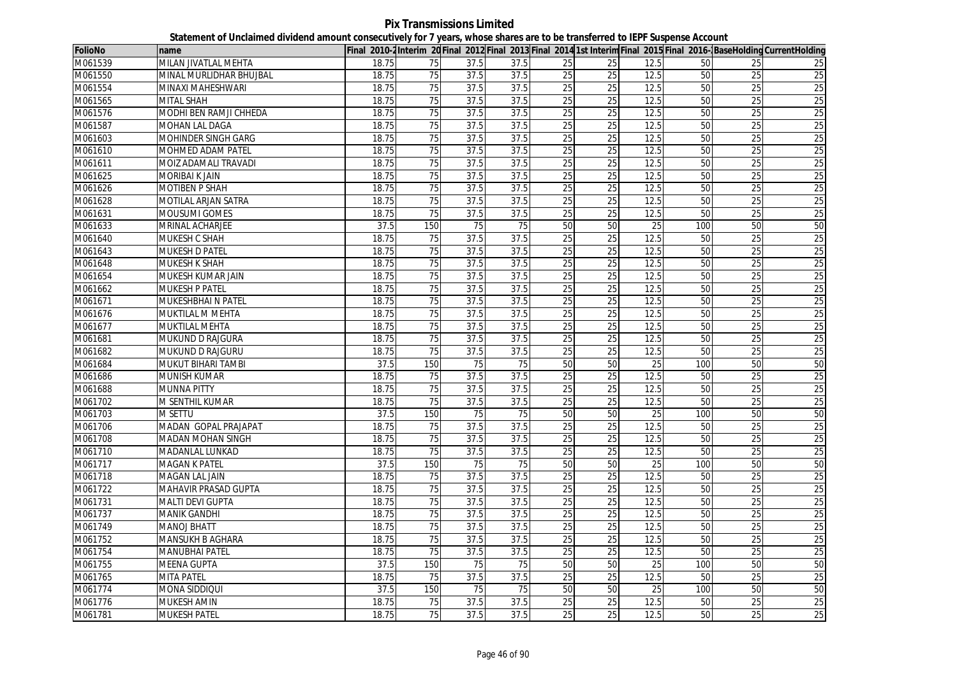**Pix Transmissions Limited Statement of Unclaimed dividend amount consecutively for 7 years, whose shares are to be transferred to IEPF Suspense Account**

| <b>FolioNo</b> | name                        |       |                 |      |      |                 |                 |                 |     |                 | Final 2010-2Interim 20 Final 2012 Final 2013 Final 2014 1st Interim Final 2015 Final 2016-BaseHolding CurrentHolding |
|----------------|-----------------------------|-------|-----------------|------|------|-----------------|-----------------|-----------------|-----|-----------------|----------------------------------------------------------------------------------------------------------------------|
| M061539        | MILAN JIVATLAL MEHTA        | 18.75 | 75              | 37.5 | 37.5 | 25              | 25              | 12.5            | 50  | 25              | 25                                                                                                                   |
| M061550        | MINAL MURLIDHAR BHUJBAL     | 18.75 | 75              | 37.5 | 37.5 | 25              | 25              | 12.5            | 50  | 25              | 25                                                                                                                   |
| M061554        | MINAXI MAHESHWARI           | 18.75 | 75              | 37.5 | 37.5 | 25              | 25              | 12.5            | 50  | 25              | 25                                                                                                                   |
| M061565        | <b>MITAL SHAH</b>           | 18.75 | $\overline{75}$ | 37.5 | 37.5 | 25              | 25              | 12.5            | 50  | $\overline{25}$ | 25                                                                                                                   |
| M061576        | MODHI BEN RAMJI CHHEDA      | 18.75 | 75              | 37.5 | 37.5 | 25              | 25              | 12.5            | 50  | 25              | 25                                                                                                                   |
| M061587        | MOHAN LAL DAGA              | 18.75 | 75              | 37.5 | 37.5 | 25              | 25              | 12.5            | 50  | 25              | 25                                                                                                                   |
| M061603        | MOHINDER SINGH GARG         | 18.75 | 75              | 37.5 | 37.5 | 25              | 25              | 12.5            | 50  | 25              | 25                                                                                                                   |
| M061610        | MOHMED ADAM PATEL           | 18.75 | 75              | 37.5 | 37.5 | 25              | 25              | 12.5            | 50  | 25              | 25                                                                                                                   |
| M061611        | MOIZ ADAMALI TRAVADI        | 18.75 | $\overline{75}$ | 37.5 | 37.5 | $\overline{25}$ | $\overline{25}$ | 12.5            | 50  | 25              | 25                                                                                                                   |
| M061625        | <b>MORIBAI K JAIN</b>       | 18.75 | 75              | 37.5 | 37.5 | 25              | 25              | 12.5            | 50  | 25              | 25                                                                                                                   |
| M061626        | <b>MOTIBEN P SHAH</b>       | 18.75 | 75              | 37.5 | 37.5 | 25              | $\overline{25}$ | 12.5            | 50  | 25              | 25                                                                                                                   |
| M061628        | MOTILAL ARJAN SATRA         | 18.75 | 75              | 37.5 | 37.5 | 25              | 25              | 12.5            | 50  | 25              | 25                                                                                                                   |
| M061631        | <b>MOUSUMI GOMES</b>        | 18.75 | 75              | 37.5 | 37.5 | 25              | 25              | 12.5            | 50  | 25              | 25                                                                                                                   |
| M061633        | MRINAL ACHARJEE             | 37.5  | 150             | 75   | 75   | 50              | 50              | $\overline{25}$ | 100 | 50              | 50                                                                                                                   |
| M061640        | <b>MUKESH C SHAH</b>        | 18.75 | $\overline{75}$ | 37.5 | 37.5 | 25              | 25              | 12.5            | 50  | $\overline{25}$ | 25                                                                                                                   |
| M061643        | <b>MUKESH D PATEL</b>       | 18.75 | $\overline{75}$ | 37.5 | 37.5 | 25              | $\overline{25}$ | 12.5            | 50  | $\overline{25}$ | 25                                                                                                                   |
| M061648        | <b>MUKESH K SHAH</b>        | 18.75 | 75              | 37.5 | 37.5 | 25              | 25              | 12.5            | 50  | 25              | 25                                                                                                                   |
| M061654        | MUKESH KUMAR JAIN           | 18.75 | 75              | 37.5 | 37.5 | 25              | 25              | 12.5            | 50  | 25              | 25                                                                                                                   |
| M061662        | <b>MUKESH P PATEL</b>       | 18.75 | $\overline{75}$ | 37.5 | 37.5 | 25              | $\overline{25}$ | 12.5            | 50  | $\overline{25}$ | 25                                                                                                                   |
| M061671        | MUKESHBHAI N PATEL          | 18.75 | 75              | 37.5 | 37.5 | 25              | 25              | 12.5            | 50  | 25              | 25                                                                                                                   |
| M061676        | <b>MUKTILAL M MEHTA</b>     | 18.75 | 75              | 37.5 | 37.5 | 25              | 25              | 12.5            | 50  | 25              | 25                                                                                                                   |
| M061677        | <b>MUKTILAL MEHTA</b>       | 18.75 | 75              | 37.5 | 37.5 | 25              | 25              | 12.5            | 50  | $\overline{25}$ | 25                                                                                                                   |
| M061681        | MUKUND D RAJGURA            | 18.75 | 75              | 37.5 | 37.5 | 25              | $\overline{25}$ | 12.5            | 50  | $\overline{25}$ | 25                                                                                                                   |
| M061682        | MUKUND D RAJGURU            | 18.75 | 75              | 37.5 | 37.5 | 25              | 25              | 12.5            | 50  | 25              | 25                                                                                                                   |
| M061684        | <b>MUKUT BIHARI TAMBI</b>   | 37.5  | 150             | 75   | 75   | 50              | 50              | 25              | 100 | 50              | 50                                                                                                                   |
| M061686        | <b>MUNISH KUMAR</b>         | 18.75 | $\overline{75}$ | 37.5 | 37.5 | 25              | 25              | 12.5            | 50  | 25              | 25                                                                                                                   |
| M061688        | <b>MUNNA PITTY</b>          | 18.75 | 75              | 37.5 | 37.5 | 25              | 25              | 12.5            | 50  | 25              | 25                                                                                                                   |
| M061702        | M SENTHIL KUMAR             | 18.75 | 75              | 37.5 | 37.5 | 25              | 25              | 12.5            | 50  | 25              | 25                                                                                                                   |
| M061703        | M SETTU                     | 37.5  | 150             | 75   | 75   | 50              | 50              | 25              | 100 | 50              | 50                                                                                                                   |
| M061706        | <b>MADAN GOPAL PRAJAPAT</b> | 18.75 | 75              | 37.5 | 37.5 | 25              | 25              | 12.5            | 50  | 25              | 25                                                                                                                   |
| M061708        | <b>MADAN MOHAN SINGH</b>    | 18.75 | 75              | 37.5 | 37.5 | 25              | 25              | 12.5            | 50  | $\overline{25}$ | 25                                                                                                                   |
| M061710        | MADANLAL LUNKAD             | 18.75 | 75              | 37.5 | 37.5 | 25              | 25              | 12.5            | 50  | 25              | 25                                                                                                                   |
| M061717        | MAGAN K PATEL               | 37.5  | 150             | 75   | 75   | 50              | 50              | 25              | 100 | 50              | 50                                                                                                                   |
| M061718        | <b>MAGAN LAL JAIN</b>       | 18.75 | 75              | 37.5 | 37.5 | 25              | 25              | 12.5            | 50  | 25              | 25                                                                                                                   |
| M061722        | MAHAVIR PRASAD GUPTA        | 18.75 | 75              | 37.5 | 37.5 | 25              | 25              | 12.5            | 50  | $\overline{25}$ | 25                                                                                                                   |
| M061731        | MALTI DEVI GUPTA            | 18.75 | 75              | 37.5 | 37.5 | 25              | 25              | 12.5            | 50  | 25              | 25                                                                                                                   |
| M061737        | <b>MANIK GANDHI</b>         | 18.75 | 75              | 37.5 | 37.5 | 25              | 25              | 12.5            | 50  | 25              | 25                                                                                                                   |
| M061749        | <b>MANOJ BHATT</b>          | 18.75 | 75              | 37.5 | 37.5 | 25              | $\overline{25}$ | 12.5            | 50  | $\overline{25}$ | 25                                                                                                                   |
| M061752        | MANSUKH B AGHARA            | 18.75 | 75              | 37.5 | 37.5 | $\overline{25}$ | 25              | 12.5            | 50  | 25              | 25                                                                                                                   |
| M061754        | MANUBHAI PATEL              | 18.75 | 75              | 37.5 | 37.5 | 25              | 25              | 12.5            | 50  | 25              | 25                                                                                                                   |
| M061755        | <b>MEENA GUPTA</b>          | 37.5  | 150             | 75   | 75   | 50              | 50              | 25              | 100 | 50              | 50                                                                                                                   |
| M061765        | MITA PATEL                  | 18.75 | 75              | 37.5 | 37.5 | 25              | 25              | 12.5            | 50  | 25              | 25                                                                                                                   |
| M061774        | <b>MONA SIDDIQUI</b>        | 37.5  | 150             | 75   | 75   | 50              | $\overline{50}$ | 25              | 100 | 50              | 50                                                                                                                   |
| M061776        | <b>MUKESH AMIN</b>          | 18.75 | 75              | 37.5 | 37.5 | 25              | 25              | 12.5            | 50  | $\overline{25}$ | 25                                                                                                                   |
| M061781        | <b>MUKESH PATEL</b>         | 18.75 | 75              | 37.5 | 37.5 | 25              | 25              | 12.5            | 50  | $\overline{25}$ | 25                                                                                                                   |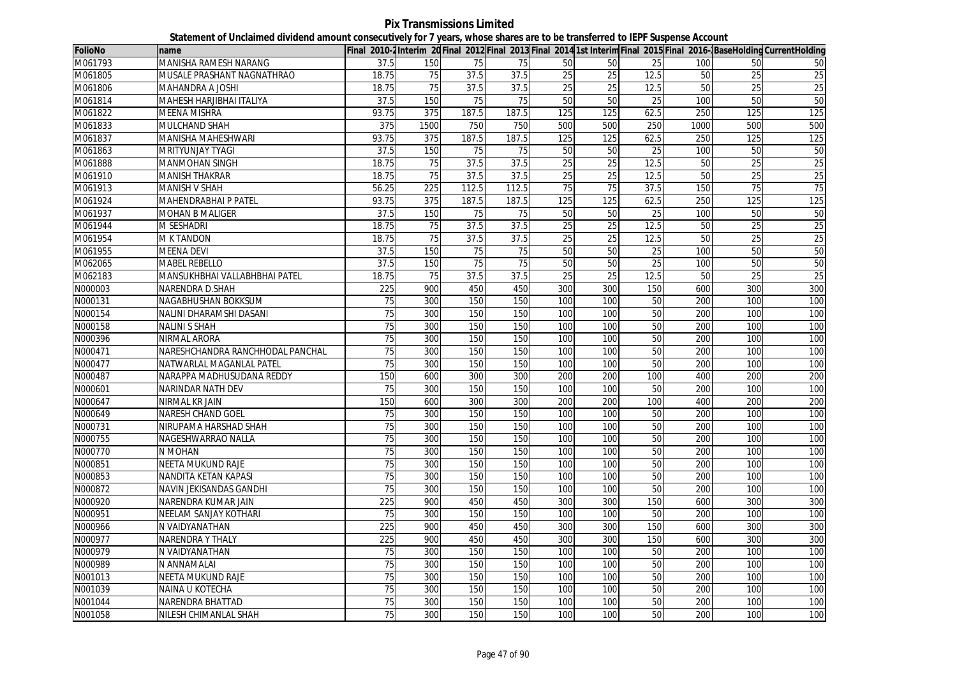**Pix Transmissions Limited Statement of Unclaimed dividend amount consecutively for 7 years, whose shares are to be transferred to IEPF Suspense Account**

| <b>FolioNo</b> | name                             |                 |      |       |       |                 |                 |      |      |                 | Final 2010-2 Interim 20 Final 2012 Final 2013 Final 2014 1st Interim Final 2015 Final 2016- BaseHolding CurrentHolding |
|----------------|----------------------------------|-----------------|------|-------|-------|-----------------|-----------------|------|------|-----------------|------------------------------------------------------------------------------------------------------------------------|
| M061793        | MANISHA RAMESH NARANG            | 37.5            | 150  | 75    | 75    | 50              | 50              | 25   | 100  | 50              | 50                                                                                                                     |
| M061805        | MUSALE PRASHANT NAGNATHRAO       | 18.75           | 75   | 37.5  | 37.5  | 25              | 25              | 12.5 | 50   | 25              | 25                                                                                                                     |
| M061806        | MAHANDRA A JOSHI                 | 18.75           | 75   | 37.5  | 37.5  | 25              | 25              | 12.5 | 50   | 25              | 25                                                                                                                     |
| M061814        | MAHESH HARJIBHAI ITALIYA         | 37.5            | 150  | 75    | 75    | 50              | 50              | 25   | 100  | 50              | 50                                                                                                                     |
| M061822        | MEENA MISHRA                     | 93.75           | 375  | 187.5 | 187.5 | 125             | 125             | 62.5 | 250  | 125             | 125                                                                                                                    |
| M061833        | MULCHAND SHAH                    | 375             | 1500 | 750   | 750   | 500             | 500             | 250  | 1000 | 500             | 500                                                                                                                    |
| M061837        | MANISHA MAHESHWARI               | 93.75           | 375  | 187.5 | 187.5 | 125             | 125             | 62.5 | 250  | 125             | 125                                                                                                                    |
| M061863        | <b>MRITYUNJAY TYAGI</b>          | 37.5            | 150  | 75    | 75    | 50              | 50              | 25   | 100  | 50              | 50                                                                                                                     |
| M061888        | MANMOHAN SINGH                   | 18.75           | 75   | 37.5  | 37.5  | 25              | 25              | 12.5 | 50   | 25              | 25                                                                                                                     |
| M061910        | <b>MANISH THAKRAR</b>            | 18.75           | 75   | 37.5  | 37.5  | 25              | 25              | 12.5 | 50   | 25              | 25                                                                                                                     |
| M061913        | <b>MANISH V SHAH</b>             | 56.25           | 225  | 112.5 | 112.5 | 75              | 75              | 37.5 | 150  | 75              | 75                                                                                                                     |
| M061924        | <b>MAHENDRABHAI P PATEL</b>      | 93.75           | 375  | 187.5 | 187.5 | 125             | 125             | 62.5 | 250  | 125             | 125                                                                                                                    |
| M061937        | <b>MOHAN B MALIGER</b>           | 37.5            | 150  | 75    | 75    | 50              | 50              | 25   | 100  | 50              | 50                                                                                                                     |
| M061944        | <b>M SESHADRI</b>                | 18.75           | 75   | 37.5  | 37.5  | $\overline{25}$ | $\overline{25}$ | 12.5 | 50   | $\overline{25}$ | 25                                                                                                                     |
| M061954        | <b>M K TANDON</b>                | 18.75           | 75   | 37.5  | 37.5  | 25              | 25              | 12.5 | 50   | 25              | 25                                                                                                                     |
| M061955        | <b>MEENA DEVI</b>                | 37.5            | 150  | 75    | 75    | 50              | 50              | 25   | 100  | 50              | 50                                                                                                                     |
| M062065        | <b>MABEL REBELLO</b>             | 37.5            | 150  | 75    | 75    | 50              | 50              | 25   | 100  | 50              | 50                                                                                                                     |
| M062183        | MANSUKHBHAI VALLABHBHAI PATEL    | 18.75           | 75   | 37.5  | 37.5  | 25              | 25              | 12.5 | 50   | 25              | 25                                                                                                                     |
| N000003        | NARENDRA D.SHAH                  | 225             | 900  | 450   | 450   | 300             | 300             | 150  | 600  | 300             | 300                                                                                                                    |
| N000131        | NAGABHUSHAN BOKKSUM              | 75              | 300  | 150   | 150   | 100             | 100             | 50   | 200  | 100             | 100                                                                                                                    |
| N000154        | NALINI DHARAMSHI DASANI          | 75              | 300  | 150   | 150   | 100             | 100             | 50   | 200  | 100             | 100                                                                                                                    |
| N000158        | <b>NALINI S SHAH</b>             | 75              | 300  | 150   | 150   | 100             | 100             | 50   | 200  | 100             | 100                                                                                                                    |
| N000396        | NIRMAL ARORA                     | 75              | 300  | 150   | 150   | 100             | 100             | 50   | 200  | 100             | 100                                                                                                                    |
| N000471        | NARESHCHANDRA RANCHHODAL PANCHAL | 75              | 300  | 150   | 150   | 100             | 100             | 50   | 200  | 100             | 100                                                                                                                    |
| N000477        | NATWARLAL MAGANLAL PATEL         | 75              | 300  | 150   | 150   | 100             | 100             | 50   | 200  | 100             | 100                                                                                                                    |
| N000487        | NARAPPA MADHUSUDANA REDDY        | 150             | 600  | 300   | 300   | 200             | 200             | 100  | 400  | 200             | 200                                                                                                                    |
| N000601        | NARINDAR NATH DEV                | 75              | 300  | 150   | 150   | 100             | 100             | 50   | 200  | 100             | 100                                                                                                                    |
| N000647        | NIRMAL KR JAIN                   | 150             | 600  | 300   | 300   | 200             | 200             | 100  | 400  | 200             | 200                                                                                                                    |
| N000649        | NARESH CHAND GOEL                | 75              | 300  | 150   | 150   | 100             | 100             | 50   | 200  | 100             | 100                                                                                                                    |
| N000731        | NIRUPAMA HARSHAD SHAH            | $\overline{75}$ | 300  | 150   | 150   | 100             | 100             | 50   | 200  | 100             | 100                                                                                                                    |
| N000755        | NAGESHWARRAO NALLA               | 75              | 300  | 150   | 150   | 100             | 100             | 50   | 200  | 100             | 100                                                                                                                    |
| N000770        | N MOHAN                          | 75              | 300  | 150   | 150   | 100             | 100             | 50   | 200  | 100             | 100                                                                                                                    |
| N000851        | NEETA MUKUND RAJE                | 75              | 300  | 150   | 150   | 100             | 100             | 50   | 200  | 100             | 100                                                                                                                    |
| N000853        | NANDITA KETAN KAPASI             | 75              | 300  | 150   | 150   | 100             | 100             | 50   | 200  | 100             | 100                                                                                                                    |
| N000872        | NAVIN JEKISANDAS GANDHI          | 75              | 300  | 150   | 150   | 100             | 100             | 50   | 200  | 100             | 100                                                                                                                    |
| N000920        | NARENDRA KUMAR JAIN              | 225             | 900  | 450   | 450   | 300             | 300             | 150  | 600  | 300             | 300                                                                                                                    |
| N000951        | NEELAM SANJAY KOTHARI            | 75              | 300  | 150   | 150   | 100             | 100             | 50   | 200  | 100             | 100                                                                                                                    |
| N000966        | N VAIDYANATHAN                   | 225             | 900  | 450   | 450   | 300             | 300             | 150  | 600  | 300             | 300                                                                                                                    |
| N000977        | NARENDRA Y THALY                 | 225             | 900  | 450   | 450   | 300             | 300             | 150  | 600  | 300             | 300                                                                                                                    |
| N000979        | N VAIDYANATHAN                   | $\overline{75}$ | 300  | 150   | 150   | 100             | 100             | 50   | 200  | 100             | 100                                                                                                                    |
| N000989        | N ANNAMALAI                      | 75              | 300  | 150   | 150   | 100             | 100             | 50   | 200  | 100             | 100                                                                                                                    |
| N001013        | NEETA MUKUND RAJE                | $\overline{75}$ | 300  | 150   | 150   | 100             | 100             | 50   | 200  | 100             | 100                                                                                                                    |
| N001039        | NAINA U KOTECHA                  | 75              | 300  | 150   | 150   | 100             | 100             | 50   | 200  | 100             | 100                                                                                                                    |
| N001044        | NARENDRA BHATTAD                 | 75              | 300  | 150   | 150   | 100             | 100             | 50   | 200  | 100             | 100                                                                                                                    |
| N001058        | NILESH CHIMANLAL SHAH            | 75              | 300  | 150   | 150   | 100             | 100             | 50   | 200  | 100             | 100                                                                                                                    |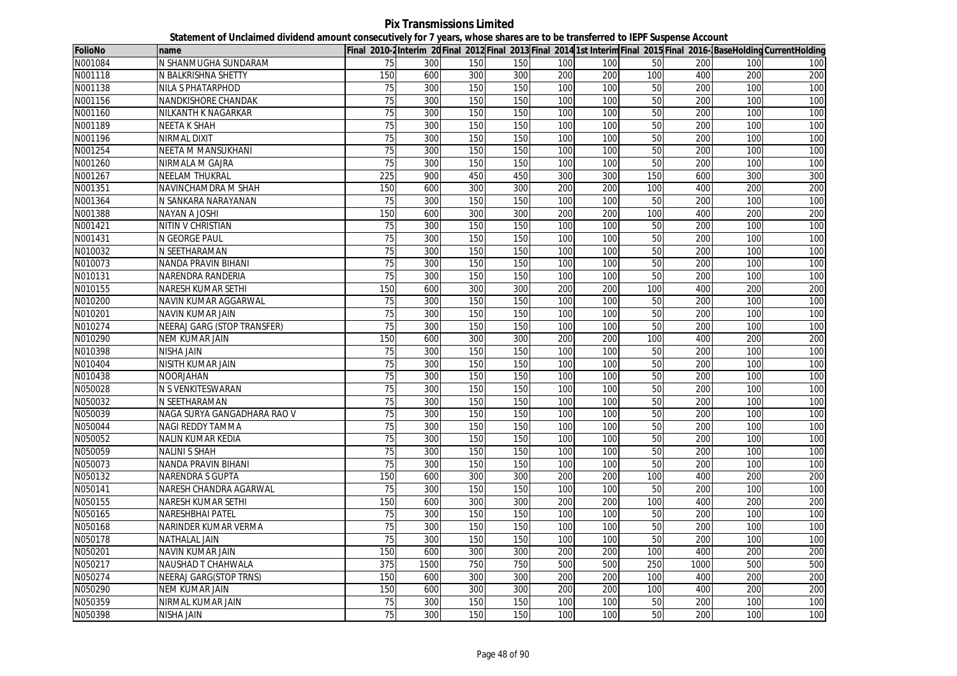**Pix Transmissions Limited Statement of Unclaimed dividend amount consecutively for 7 years, whose shares are to be transferred to IEPF Suspense Account**

| <b>FolioNo</b> | name                        |                 |      |     |     |     |     |     |      |     | Final 2010-2Interim 20Final 2012 Final 2013 Final 2014 1st Interim Final 2015 Final 2016-BaseHolding CurrentHolding |
|----------------|-----------------------------|-----------------|------|-----|-----|-----|-----|-----|------|-----|---------------------------------------------------------------------------------------------------------------------|
| N001084        | N SHANMUGHA SUNDARAM        | 75              | 300  | 150 | 150 | 100 | 100 | 50  | 200  | 100 | 100                                                                                                                 |
| N001118        | N BALKRISHNA SHETTY         | 150             | 600  | 300 | 300 | 200 | 200 | 100 | 400  | 200 | 200                                                                                                                 |
| N001138        | <b>NILA S PHATARPHOD</b>    | $\overline{75}$ | 300  | 150 | 150 | 100 | 100 | 50  | 200  | 100 | 100                                                                                                                 |
| N001156        | NANDKISHORE CHANDAK         | 75              | 300  | 150 | 150 | 100 | 100 | 50  | 200  | 100 | 100                                                                                                                 |
| N001160        | NILKANTH K NAGARKAR         | 75              | 300  | 150 | 150 | 100 | 100 | 50  | 200  | 100 | 100                                                                                                                 |
| N001189        | NEETA K SHAH                | 75              | 300  | 150 | 150 | 100 | 100 | 50  | 200  | 100 | 100                                                                                                                 |
| N001196        | <b>NIRMAL DIXIT</b>         | 75              | 300  | 150 | 150 | 100 | 100 | 50  | 200  | 100 | 100                                                                                                                 |
| N001254        | NEETA M MANSUKHANI          | 75              | 300  | 150 | 150 | 100 | 100 | 50  | 200  | 100 | 100                                                                                                                 |
| N001260        | NIRMALA M GAJRA             | 75              | 300  | 150 | 150 | 100 | 100 | 50  | 200  | 100 | 100                                                                                                                 |
| N001267        | <b>NEELAM THUKRAL</b>       | 225             | 900  | 450 | 450 | 300 | 300 | 150 | 600  | 300 | 300                                                                                                                 |
| N001351        | NAVINCHAMDRA M SHAH         | 150             | 600  | 300 | 300 | 200 | 200 | 100 | 400  | 200 | 200                                                                                                                 |
| N001364        | N SANKARA NARAYANAN         | 75              | 300  | 150 | 150 | 100 | 100 | 50  | 200  | 100 | 100                                                                                                                 |
| N001388        | NAYAN A JOSHI               | 150             | 600  | 300 | 300 | 200 | 200 | 100 | 400  | 200 | 200                                                                                                                 |
| N001421        | NITIN V CHRISTIAN           | 75              | 300  | 150 | 150 | 100 | 100 | 50  | 200  | 100 | 100                                                                                                                 |
| N001431        | <b>N GEORGE PAUL</b>        | 75              | 300  | 150 | 150 | 100 | 100 | 50  | 200  | 100 | 100                                                                                                                 |
| N010032        | N SEETHARAMAN               | 75              | 300  | 150 | 150 | 100 | 100 | 50  | 200  | 100 | 100                                                                                                                 |
| N010073        | NANDA PRAVIN BIHANI         | 75              | 300  | 150 | 150 | 100 | 100 | 50  | 200  | 100 | 100                                                                                                                 |
| N010131        | NARENDRA RANDERIA           | 75              | 300  | 150 | 150 | 100 | 100 | 50  | 200  | 100 | 100                                                                                                                 |
| N010155        | NARESH KUMAR SETHI          | 150             | 600  | 300 | 300 | 200 | 200 | 100 | 400  | 200 | 200                                                                                                                 |
| N010200        | NAVIN KUMAR AGGARWAL        | 75              | 300  | 150 | 150 | 100 | 100 | 50  | 200  | 100 | 100                                                                                                                 |
| N010201        | <b>NAVIN KUMAR JAIN</b>     | 75              | 300  | 150 | 150 | 100 | 100 | 50  | 200  | 100 | 100                                                                                                                 |
| N010274        | NEERAJ GARG (STOP TRANSFER) | 75              | 300  | 150 | 150 | 100 | 100 | 50  | 200  | 100 | 100                                                                                                                 |
| N010290        | NEM KUMAR JAIN              | 150             | 600  | 300 | 300 | 200 | 200 | 100 | 400  | 200 | 200                                                                                                                 |
| N010398        | NISHA JAIN                  | 75              | 300  | 150 | 150 | 100 | 100 | 50  | 200  | 100 | 100                                                                                                                 |
| N010404        | NISITH KUMAR JAIN           | 75              | 300  | 150 | 150 | 100 | 100 | 50  | 200  | 100 | 100                                                                                                                 |
| N010438        | NOORJAHAN                   | 75              | 300  | 150 | 150 | 100 | 100 | 50  | 200  | 100 | 100                                                                                                                 |
| N050028        | N S VENKITESWARAN           | $\overline{75}$ | 300  | 150 | 150 | 100 | 100 | 50  | 200  | 100 | 100                                                                                                                 |
| N050032        | N SEETHARAMAN               | 75              | 300  | 150 | 150 | 100 | 100 | 50  | 200  | 100 | 100                                                                                                                 |
| N050039        | NAGA SURYA GANGADHARA RAO V | 75              | 300  | 150 | 150 | 100 | 100 | 50  | 200  | 100 | 100                                                                                                                 |
| N050044        | NAGI REDDY TAMMA            | 75              | 300  | 150 | 150 | 100 | 100 | 50  | 200  | 100 | 100                                                                                                                 |
| N050052        | NALIN KUMAR KEDIA           | 75              | 300  | 150 | 150 | 100 | 100 | 50  | 200  | 100 | 100                                                                                                                 |
| N050059        | <b>NALINI S SHAH</b>        | 75              | 300  | 150 | 150 | 100 | 100 | 50  | 200  | 100 | 100                                                                                                                 |
| N050073        | NANDA PRAVIN BIHANI         | 75              | 300  | 150 | 150 | 100 | 100 | 50  | 200  | 100 | 100                                                                                                                 |
| N050132        | <b>NARENDRA S GUPTA</b>     | 150             | 600  | 300 | 300 | 200 | 200 | 100 | 400  | 200 | 200                                                                                                                 |
| N050141        | NARESH CHANDRA AGARWAL      | 75              | 300  | 150 | 150 | 100 | 100 | 50  | 200  | 100 | 100                                                                                                                 |
| N050155        | NARESH KUMAR SETHI          | 150             | 600  | 300 | 300 | 200 | 200 | 100 | 400  | 200 | 200                                                                                                                 |
| N050165        | NARESHBHAI PATEL            | 75              | 300  | 150 | 150 | 100 | 100 | 50  | 200  | 100 | 100                                                                                                                 |
| N050168        | NARINDER KUMAR VERMA        | 75              | 300  | 150 | 150 | 100 | 100 | 50  | 200  | 100 | 100                                                                                                                 |
| N050178        | NATHALAL JAIN               | $\overline{75}$ | 300  | 150 | 150 | 100 | 100 | 50  | 200  | 100 | 100                                                                                                                 |
| N050201        | NAVIN KUMAR JAIN            | 150             | 600  | 300 | 300 | 200 | 200 | 100 | 400  | 200 | 200                                                                                                                 |
| N050217        | NAUSHAD T CHAHWALA          | 375             | 1500 | 750 | 750 | 500 | 500 | 250 | 1000 | 500 | 500                                                                                                                 |
| N050274        | NEERAJ GARG(STOP TRNS)      | 150             | 600  | 300 | 300 | 200 | 200 | 100 | 400  | 200 | 200                                                                                                                 |
| N050290        | <b>NEM KUMAR JAIN</b>       | 150             | 600  | 300 | 300 | 200 | 200 | 100 | 400  | 200 | 200                                                                                                                 |
| N050359        | NIRMAL KUMAR JAIN           | 75              | 300  | 150 | 150 | 100 | 100 | 50  | 200  | 100 | 100                                                                                                                 |
| N050398        | NISHA JAIN                  | 75              | 300  | 150 | 150 | 100 | 100 | 50  | 200  | 100 | 100                                                                                                                 |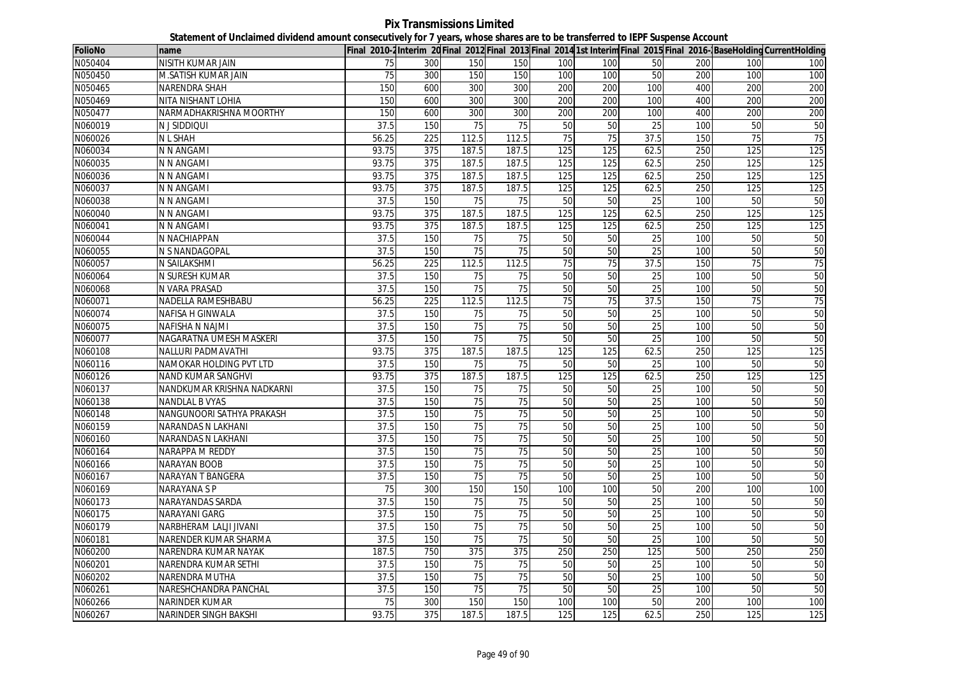**Pix Transmissions Limited Statement of Unclaimed dividend amount consecutively for 7 years, whose shares are to be transferred to IEPF Suspense Account**

| FolioNo | name                       |       |     |                 |                 |     |                 |                 |     |                 | Final 2010-2Interim 20 Final 2012 Final 2013 Final 2014 1st Interim Final 2015 Final 2016-BaseHolding CurrentHolding |
|---------|----------------------------|-------|-----|-----------------|-----------------|-----|-----------------|-----------------|-----|-----------------|----------------------------------------------------------------------------------------------------------------------|
| N050404 | NISITH KUMAR JAIN          | 75    | 300 | 150             | 150             | 100 | 100             | 50              | 200 | 100             | 100                                                                                                                  |
| N050450 | M.SATISH KUMAR JAIN        | 75    | 300 | 150             | 150             | 100 | 100             | 50              | 200 | 100             | 100                                                                                                                  |
| N050465 | <b>NARENDRA SHAH</b>       | 150   | 600 | 300             | 300             | 200 | 200             | 100             | 400 | 200             | 200                                                                                                                  |
| N050469 | NITA NISHANT LOHIA         | 150   | 600 | 300             | 300             | 200 | 200             | 100             | 400 | 200             | 200                                                                                                                  |
| N050477 | NARMADHAKRISHNA MOORTHY    | 150   | 600 | 300             | 300             | 200 | 200             | 100             | 400 | 200             | 200                                                                                                                  |
| N060019 | <b>NJSIDDIQUI</b>          | 37.5  | 150 | 75              | 75              | 50  | 50              | 25              | 100 | 50              | 50                                                                                                                   |
| N060026 | <b>NLSHAH</b>              | 56.25 | 225 | 112.5           | 112.5           | 75  | 75              | 37.5            | 150 | 75              | 75                                                                                                                   |
| N060034 | N N ANGAMI                 | 93.75 | 375 | 187.5           | 187.5           | 125 | 125             | 62.5            | 250 | 125             | 125                                                                                                                  |
| N060035 | N N ANGAMI                 | 93.75 | 375 | 187.5           | 187.5           | 125 | 125             | 62.5            | 250 | 125             | 125                                                                                                                  |
| N060036 | N N ANGAMI                 | 93.75 | 375 | 187.5           | 187.5           | 125 | 125             | 62.5            | 250 | 125             | 125                                                                                                                  |
| N060037 | N N ANGAMI                 | 93.75 | 375 | 187.5           | 187.5           | 125 | 125             | 62.5            | 250 | 125             | 125                                                                                                                  |
| N060038 | N N ANGAMI                 | 37.5  | 150 | 75              | 75              | 50  | 50              | 25              | 100 | 50              | 50                                                                                                                   |
| N060040 | N N ANGAMI                 | 93.75 | 375 | 187.5           | 187.5           | 125 | 125             | 62.5            | 250 | 125             | 125                                                                                                                  |
| N060041 | N N ANGAMI                 | 93.75 | 375 | 187.5           | 187.5           | 125 | 125             | 62.5            | 250 | 125             | 125                                                                                                                  |
| N060044 | N NACHIAPPAN               | 37.5  | 150 | 75              | 75              | 50  | 50              | 25              | 100 | 50              | 50                                                                                                                   |
| N060055 | N S NANDAGOPAL             | 37.5  | 150 | $\overline{75}$ | 75              | 50  | $\overline{50}$ | 25              | 100 | 50              | 50                                                                                                                   |
| N060057 | N SAILAKSHMI               | 56.25 | 225 | 112.5           | 112.5           | 75  | 75              | 37.5            | 150 | 75              | 75                                                                                                                   |
| N060064 | N SURESH KUMAR             | 37.5  | 150 | 75              | 75              | 50  | 50              | 25              | 100 | 50              | 50                                                                                                                   |
| N060068 | N VARA PRASAD              | 37.5  | 150 | 75              | 75              | 50  | 50              | 25              | 100 | 50              | 50                                                                                                                   |
| N060071 | NADELLA RAMESHBABU         | 56.25 | 225 | 112.5           | 112.5           | 75  | 75              | 37.5            | 150 | $\overline{75}$ | 75                                                                                                                   |
| N060074 | <b>NAFISA H GINWALA</b>    | 37.5  | 150 | 75              | 75              | 50  | 50              | 25              | 100 | 50              | 50                                                                                                                   |
| N060075 | <b>NAFISHA N NAJMI</b>     | 37.5  | 150 | 75              | 75              | 50  | 50              | 25              | 100 | 50              | 50                                                                                                                   |
| N060077 | NAGARATNA UMESH MASKERI    | 37.5  | 150 | 75              | $\overline{75}$ | 50  | 50              | $\overline{25}$ | 100 | 50              | 50                                                                                                                   |
| N060108 | NALLURI PADMAVATHI         | 93.75 | 375 | 187.5           | 187.5           | 125 | 125             | 62.5            | 250 | 125             | 125                                                                                                                  |
| N060116 | NAMOKAR HOLDING PVT LTD    | 37.5  | 150 | $\overline{75}$ | 75              | 50  | 50              | 25              | 100 | 50              | 50                                                                                                                   |
| N060126 | <b>NAND KUMAR SANGHVI</b>  | 93.75 | 375 | 187.5           | 187.5           | 125 | 125             | 62.5            | 250 | 125             | 125                                                                                                                  |
| N060137 | NANDKUMAR KRISHNA NADKARNI | 37.5  | 150 | $\overline{75}$ | 75              | 50  | 50              | $\overline{25}$ | 100 | 50              | 50                                                                                                                   |
| N060138 | <b>NANDLAL B VYAS</b>      | 37.5  | 150 | 75              | 75              | 50  | 50              | 25              | 100 | 50              | 50                                                                                                                   |
| N060148 | NANGUNOORI SATHYA PRAKASH  | 37.5  | 150 | 75              | 75              | 50  | 50              | 25              | 100 | 50              | 50                                                                                                                   |
| N060159 | NARANDAS N LAKHANI         | 37.5  | 150 | 75              | 75              | 50  | 50              | 25              | 100 | 50              | 50                                                                                                                   |
| N060160 | NARANDAS N LAKHANI         | 37.5  | 150 | 75              | 75              | 50  | 50              | 25              | 100 | 50              | 50                                                                                                                   |
| N060164 | NARAPPA M REDDY            | 37.5  | 150 | 75              | $\overline{75}$ | 50  | 50              | 25              | 100 | 50              | 50                                                                                                                   |
| N060166 | <b>NARAYAN BOOB</b>        | 37.5  | 150 | 75              | 75              | 50  | 50              | $\overline{25}$ | 100 | $\overline{50}$ | 50                                                                                                                   |
| N060167 | NARAYAN T BANGERA          | 37.5  | 150 | 75              | 75              | 50  | 50              | 25              | 100 | 50              | 50                                                                                                                   |
| N060169 | <b>NARAYANA S P</b>        | 75    | 300 | 150             | 150             | 100 | 100             | 50              | 200 | 100             | 100                                                                                                                  |
| N060173 | NARAYANDAS SARDA           | 37.5  | 150 | $\overline{75}$ | 75              | 50  | 50              | 25              | 100 | 50              | 50                                                                                                                   |
| N060175 | <b>NARAYANI GARG</b>       | 37.5  | 150 | 75              | 75              | 50  | 50              | 25              | 100 | 50              | 50                                                                                                                   |
| N060179 | NARBHERAM LALJI JIVANI     | 37.5  | 150 | 75              | 75              | 50  | 50              | 25              | 100 | 50              | 50                                                                                                                   |
| N060181 | NARENDER KUMAR SHARMA      | 37.5  | 150 | $\overline{75}$ | $\overline{75}$ | 50  | 50              | $\overline{25}$ | 100 | 50              | 50                                                                                                                   |
| N060200 | NARENDRA KUMAR NAYAK       | 187.5 | 750 | 375             | 375             | 250 | 250             | 125             | 500 | 250             | 250                                                                                                                  |
| N060201 | NARENDRA KUMAR SETHI       | 37.5  | 150 | $\overline{75}$ | 75              | 50  | 50              | $\overline{25}$ | 100 | 50              | 50                                                                                                                   |
| N060202 | <b>NARENDRA MUTHA</b>      | 37.5  | 150 | 75              | 75              | 50  | 50              | $\overline{25}$ | 100 | 50              | 50                                                                                                                   |
| N060261 | NARESHCHANDRA PANCHAL      | 37.5  | 150 | $\overline{75}$ | 75              | 50  | 50              | 25              | 100 | 50              | 50                                                                                                                   |
| N060266 | <b>NARINDER KUMAR</b>      | 75    | 300 | 150             | 150             | 100 | 100             | 50              | 200 | 100             | 100                                                                                                                  |
| N060267 | NARINDER SINGH BAKSHI      | 93.75 | 375 | 187.5           | 187.5           | 125 | 125             | 62.5            | 250 | 125             | 125                                                                                                                  |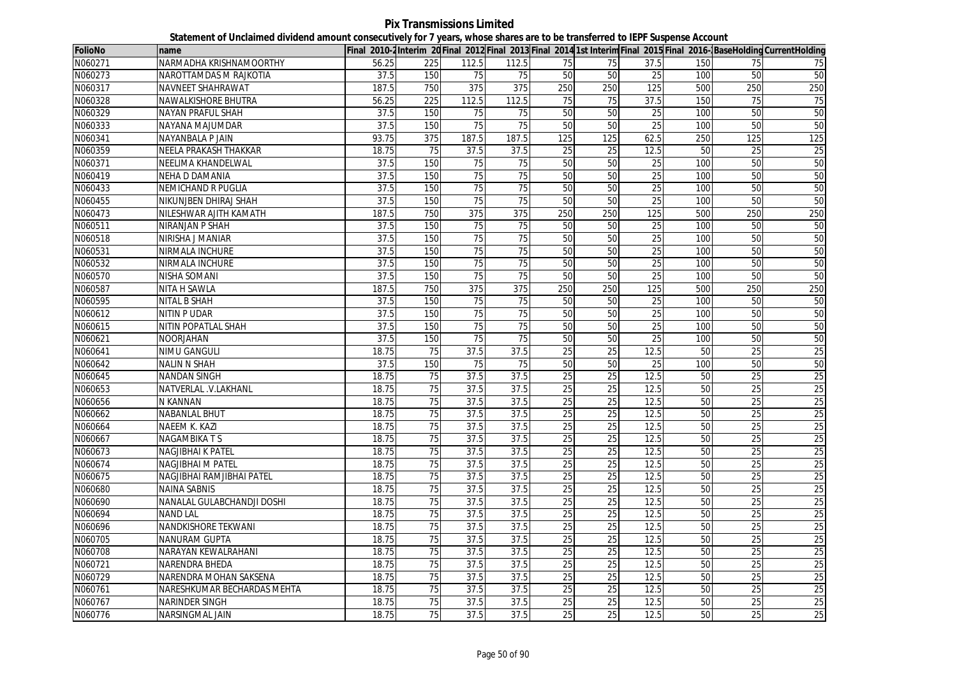## **Pix Transmissions Limited Statement of Unclaimed dividend amount consecutively for 7 years, whose shares are to be transferred to IEPF Suspense Account**

| <b>FolioNo</b> | Iname                       |       |     |                 |                  |                 |                 |                 |            |                 | Final 2010-2Interim 20 Final 2012 Final 2013 Final 2014 1st Interim Final 2015 Final 2016-BaseHolding CurrentHolding |
|----------------|-----------------------------|-------|-----|-----------------|------------------|-----------------|-----------------|-----------------|------------|-----------------|----------------------------------------------------------------------------------------------------------------------|
| N060271        | NARMADHA KRISHNAMOORTHY     | 56.25 | 225 | 112.5           | 112.5            | 75              | 75              | 37.5            | 150        | 75              | 75                                                                                                                   |
| N060273        | NAROTTAMDAS M RAJKOTIA      | 37.5  | 150 | 75              | 75               | 50              | 50              | 25              | 100        | 50              | 50                                                                                                                   |
| N060317        | <b>NAVNEET SHAHRAWAT</b>    | 187.5 | 750 | 375             | 375              | 250             | 250             | 125             | 500        | 250             | 250                                                                                                                  |
| N060328        | NAWALKISHORE BHUTRA         | 56.25 | 225 | 112.5           | 112.5            | 75              | 75              | 37.5            | 150        | 75              | 75                                                                                                                   |
| N060329        | <b>NAYAN PRAFUL SHAH</b>    | 37.5  | 150 | 75              | 75               | 50              | 50              | 25              | <b>100</b> | 50              | 50                                                                                                                   |
| N060333        | NAYANA MAJUMDAR             | 37.5  | 150 | 75              | 75               | 50              | 50              | 25              | 100        | 50              | 50                                                                                                                   |
| N060341        | NAYANBALA P JAIN            | 93.75 | 375 | 187.5           | 187.5            | 125             | 125             | 62.5            | 250        | 125             | 125                                                                                                                  |
| N060359        | NEELA PRAKASH THAKKAR       | 18.75 | 75  | 37.5            | 37.5             | $\overline{25}$ | 25              | 12.5            | 50         | 25              | 25                                                                                                                   |
| N060371        | NEELIMA KHANDELWAL          | 37.5  | 150 | $\overline{75}$ | 75               | 50              | 50              | 25              | 100        | 50              | 50                                                                                                                   |
| N060419        | <b>NEHA D DAMANIA</b>       | 37.5  | 150 | 75              | 75               | 50              | 50              | 25              | 100        | 50              | 50                                                                                                                   |
| N060433        | <b>NEMICHAND R PUGLIA</b>   | 37.5  | 150 | 75              | 75               | 50              | 50              | 25              | 100        | 50              | 50                                                                                                                   |
| N060455        | NIKUNJBEN DHIRAJ SHAH       | 37.5  | 150 | 75              | 75               | 50              | 50              | 25              | 100        | 50              | 50                                                                                                                   |
| N060473        | NILESHWAR AJITH KAMATH      | 187.5 | 750 | 375             | $\overline{375}$ | 250             | 250             | 125             | 500        | 250             | 250                                                                                                                  |
| N060511        | NIRANJAN P SHAH             | 37.5  | 150 | 75              | 75               | 50              | 50              | 25              | 100        | 50              | 50                                                                                                                   |
| N060518        | NIRISHA J MANIAR            | 37.5  | 150 | 75              | $\overline{75}$  | 50              | 50              | 25              | 100        | 50              | 50                                                                                                                   |
| N060531        | NIRMALA INCHURE             | 37.5  | 150 | 75              | $\overline{75}$  | 50              | 50              | $\overline{25}$ | 100        | 50              | 50                                                                                                                   |
| N060532        | NIRMALA INCHURE             | 37.5  | 150 | 75              | 75               | 50              | 50              | 25              | 100        | 50              | 50                                                                                                                   |
| N060570        | NISHA SOMANI                | 37.5  | 150 | 75              | 75               | 50              | 50              | 25              | 100        | 50              | 50                                                                                                                   |
| N060587        | NITA H SAWLA                | 187.5 | 750 | 375             | 375              | 250             | 250             | 125             | 500        | 250             | 250                                                                                                                  |
| N060595        | <b>NITAL B SHAH</b>         | 37.5  | 150 | $\overline{75}$ | 75               | 50              | 50              | 25              | 100        | 50              | 50                                                                                                                   |
| N060612        | <b>NITIN P UDAR</b>         | 37.5  | 150 | 75              | 75               | 50              | 50              | 25              | 100        | 50              | 50                                                                                                                   |
| N060615        | NITIN POPATLAL SHAH         | 37.5  | 150 | 75              | 75               | 50              | 50              | 25              | 100        | 50              | 50                                                                                                                   |
| N060621        | <b>NOORJAHAN</b>            | 37.5  | 150 | 75              | 75               | 50              | 50              | 25              | 100        | 50              | 50                                                                                                                   |
| N060641        | <b>NIMU GANGULI</b>         | 18.75 | 75  | 37.5            | 37.5             | 25              | 25              | 12.5            | 50         | 25              | 25                                                                                                                   |
| N060642        | <b>NALIN N SHAH</b>         | 37.5  | 150 | 75              | 75               | 50              | 50              | 25              | 100        | 50              | 50                                                                                                                   |
| N060645        | <b>NANDAN SINGH</b>         | 18.75 | 75  | 37.5            | 37.5             | 25              | 25              | 12.5            | 50         | 25              | 25                                                                                                                   |
| N060653        | NATVERLAL .V.LAKHANL        | 18.75 | 75  | 37.5            | 37.5             | 25              | 25              | 12.5            | 50         | 25              | 25                                                                                                                   |
| N060656        | N KANNAN                    | 18.75 | 75  | 37.5            | 37.5             | $\overline{25}$ | $\overline{25}$ | 12.5            | 50         | $\overline{25}$ | 25                                                                                                                   |
| N060662        | NABANLAL BHUT               | 18.75 | 75  | 37.5            | 37.5             | 25              | 25              | 12.5            | 50         | 25              | 25                                                                                                                   |
| N060664        | NAEEM K. KAZI               | 18.75 | 75  | 37.5            | 37.5             | 25              | 25              | 12.5            | 50         | 25              | 25                                                                                                                   |
| N060667        | NAGAMBIKA T S               | 18.75 | 75  | 37.5            | 37.5             | 25              | 25              | 12.5            | 50         | 25              | $\overline{25}$                                                                                                      |
| N060673        | NAGJIBHAI K PATEL           | 18.75 | 75  | 37.5            | 37.5             | 25              | 25              | 12.5            | 50         | 25              | 25                                                                                                                   |
| N060674        | <b>NAGJIBHAI M PATEL</b>    | 18.75 | 75  | 37.5            | 37.5             | 25              | 25              | 12.5            | 50         | 25              | 25                                                                                                                   |
| N060675        | NAGJIBHAI RAMJIBHAI PATEL   | 18.75 | 75  | 37.5            | 37.5             | 25              | 25              | 12.5            | 50         | 25              | 25                                                                                                                   |
| N060680        | <b>NAINA SABNIS</b>         | 18.75 | 75  | 37.5            | 37.5             | 25              | 25              | 12.5            | 50         | 25              | $\overline{25}$                                                                                                      |
| N060690        | NANALAL GULABCHANDJI DOSHI  | 18.75 | 75  | 37.5            | 37.5             | $\overline{25}$ | 25              | 12.5            | 50         | 25              | 25                                                                                                                   |
| N060694        | <b>NAND LAL</b>             | 18.75 | 75  | 37.5            | 37.5             | 25              | $\overline{25}$ | 12.5            | 50         | 25              | 25                                                                                                                   |
| N060696        | NANDKISHORE TEKWANI         | 18.75 | 75  | 37.5            | 37.5             | 25              | 25              | 12.5            | 50         | 25              | 25                                                                                                                   |
| N060705        | NANURAM GUPTA               | 18.75 | 75  | 37.5            | 37.5             | 25              | 25              | 12.5            | 50         | 25              | 25                                                                                                                   |
| N060708        | NARAYAN KEWALRAHANI         | 18.75 | 75  | 37.5            | 37.5             | 25              | 25              | 12.5            | 50         | 25              | 25                                                                                                                   |
| N060721        | NARENDRA BHEDA              | 18.75 | 75  | 37.5            | 37.5             | 25              | 25              | 12.5            | 50         | 25              | $\overline{25}$                                                                                                      |
| N060729        | NARENDRA MOHAN SAKSENA      | 18.75 | 75  | 37.5            | 37.5             | 25              | 25              | 12.5            | 50         | $\overline{25}$ | 25                                                                                                                   |
| N060761        | NARESHKUMAR BECHARDAS MEHTA | 18.75 | 75  | 37.5            | 37.5             | 25              | 25              | 12.5            | 50         | 25              | 25                                                                                                                   |
| N060767        | NARINDER SINGH              | 18.75 | 75  | 37.5            | 37.5             | $\overline{25}$ | 25              | 12.5            | 50         | 25              | 25                                                                                                                   |
| N060776        | NARSINGMAL JAIN             | 18.75 | 75  | 37.5            | 37.5             | 25              | $\overline{25}$ | 12.5            | 50         | 25              | 25                                                                                                                   |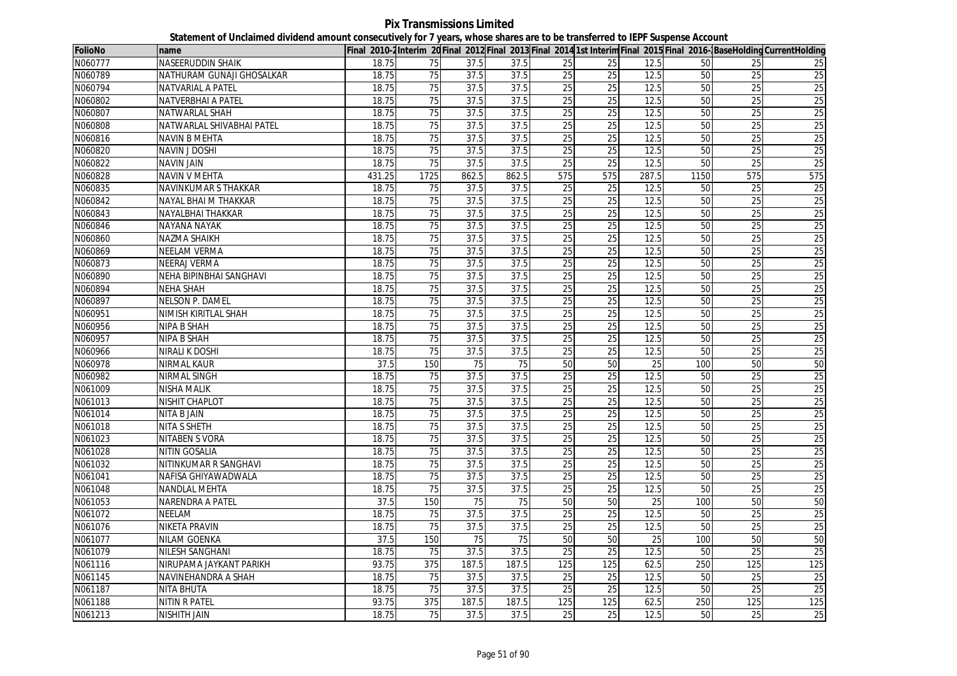**Pix Transmissions Limited Statement of Unclaimed dividend amount consecutively for 7 years, whose shares are to be transferred to IEPF Suspense Account**

| FolioNo | name                      |        |                  |       |                   |                 |                 |                 |      |                 | Final 2010-2Interim 20 Final 2012 Final 2013 Final 2014 1st Interim Final 2015 Final 2016-BaseHolding CurrentHolding |
|---------|---------------------------|--------|------------------|-------|-------------------|-----------------|-----------------|-----------------|------|-----------------|----------------------------------------------------------------------------------------------------------------------|
| N060777 | NASEERUDDIN SHAIK         | 18.75  | 75               | 37.5  | 37.5              | 25              | 25              | 12.5            | 50   | 25              | 25                                                                                                                   |
| N060789 | NATHURAM GUNAJI GHOSALKAR | 18.75  | 75               | 37.5  | 37.5              | 25              | 25              | 12.5            | 50   | $\overline{25}$ | 25                                                                                                                   |
| N060794 | NATVARIAL A PATEL         | 18.75  | 75               | 37.5  | 37.5              | 25              | 25              | 12.5            | 50   | 25              | 25                                                                                                                   |
| N060802 | NATVERBHAI A PATEL        | 18.75  | 75               | 37.5  | 37.5              | 25              | 25              | 12.5            | 50   | 25              | 25                                                                                                                   |
| N060807 | NATWARLAL SHAH            | 18.75  | 75               | 37.5  | 37.5              | 25              | 25              | 12.5            | 50   | 25              | 25                                                                                                                   |
| N060808 | NATWARLAL SHIVABHAI PATEL | 18.75  | 75               | 37.5  | 37.5              | 25              | $\overline{25}$ | 12.5            | 50   | 25              | 25                                                                                                                   |
| N060816 | <b>NAVIN B MEHTA</b>      | 18.75  | 75               | 37.5  | 37.5              | 25              | 25              | 12.5            | 50   | 25              | 25                                                                                                                   |
| N060820 | <b>NAVIN J DOSHI</b>      | 18.75  | 75               | 37.5  | 37.5              | 25              | 25              | 12.5            | 50   | 25              | 25                                                                                                                   |
| N060822 | <b>NAVIN JAIN</b>         | 18.75  | $\overline{75}$  | 37.5  | 37.5              | $\overline{25}$ | $\overline{25}$ | 12.5            | 50   | $\overline{25}$ | 25                                                                                                                   |
| N060828 | <b>NAVIN V MEHTA</b>      | 431.25 | 1725             | 862.5 | 862.5             | 575             | 575             | 287.5           | 1150 | 575             | 575                                                                                                                  |
| N060835 | NAVINKUMAR S THAKKAR      | 18.75  | 75               | 37.5  | 37.5              | 25              | 25              | 12.5            | 50   | 25              | 25                                                                                                                   |
| N060842 | NAYAL BHAI M THAKKAR      | 18.75  | $\overline{75}$  | 37.5  | 37.5              | 25              | 25              | 12.5            | 50   | $\overline{25}$ | 25                                                                                                                   |
| N060843 | NAYALBHAI THAKKAR         | 18.75  | 75               | 37.5  | 37.5              | 25              | 25              | 12.5            | 50   | 25              | 25                                                                                                                   |
| N060846 | NAYANA NAYAK              | 18.75  | 75               | 37.5  | 37.5              | 25              | 25              | 12.5            | 50   | $\overline{25}$ | 25                                                                                                                   |
| N060860 | <b>NAZMA SHAIKH</b>       | 18.75  | 75               | 37.5  | 37.5              | 25              | 25              | 12.5            | 50   | $\overline{25}$ | 25                                                                                                                   |
| N060869 | <b>NEELAM VERMA</b>       | 18.75  | $\overline{75}$  | 37.5  | 37.5              | $\overline{25}$ | 25              | 12.5            | 50   | 25              | 25                                                                                                                   |
| N060873 | NEERAJ VERMA              | 18.75  | $\overline{75}$  | 37.5  | 37.5              | $\overline{25}$ | $\overline{25}$ | 12.5            | 50   | $\overline{25}$ | 25                                                                                                                   |
| N060890 | NEHA BIPINBHAI SANGHAVI   | 18.75  | 75               | 37.5  | 37.5              | 25              | 25              | 12.5            | 50   | $\overline{25}$ | 25                                                                                                                   |
| N060894 | <b>NEHA SHAH</b>          | 18.75  | 75               | 37.5  | 37.5              | 25              | 25              | 12.5            | 50   | 25              | 25                                                                                                                   |
| N060897 | NELSON P. DAMEL           | 18.75  | $\overline{75}$  | 37.5  | 37.5              | $\overline{25}$ | 25              | 12.5            | 50   | 25              | $\overline{25}$                                                                                                      |
| N060951 | NIMISH KIRITLAL SHAH      | 18.75  | 75               | 37.5  | 37.5              | 25              | 25              | 12.5            | 50   | 25              | 25                                                                                                                   |
| N060956 | NIPA B SHAH               | 18.75  | $\overline{75}$  | 37.5  | 37.5              | $\overline{25}$ | $\overline{25}$ | 12.5            | 50   | $\overline{25}$ | $\overline{25}$                                                                                                      |
| N060957 | NIPA B SHAH               | 18.75  | 75               | 37.5  | $\overline{37.5}$ | $\overline{25}$ | $\overline{25}$ | 12.5            | 50   | $\overline{25}$ | 25                                                                                                                   |
| N060966 | NIRALI K DOSHI            | 18.75  | 75               | 37.5  | 37.5              | 25              | 25              | 12.5            | 50   | 25              | 25                                                                                                                   |
| N060978 | <b>NIRMAL KAUR</b>        | 37.5   | 150              | 75    | 75                | 50              | 50              | 25              | 100  | 50              | 50                                                                                                                   |
| N060982 | <b>NIRMAL SINGH</b>       | 18.75  | 75               | 37.5  | 37.5              | 25              | 25              | 12.5            | 50   | 25              | 25                                                                                                                   |
| N061009 | NISHA MALIK               | 18.75  | 75               | 37.5  | 37.5              | 25              | 25              | 12.5            | 50   | 25              | 25                                                                                                                   |
| N061013 | NISHIT CHAPLOT            | 18.75  | 75               | 37.5  | 37.5              | 25              | 25              | 12.5            | 50   | 25              | 25                                                                                                                   |
| N061014 | NITA B JAIN               | 18.75  | 75               | 37.5  | 37.5              | 25              | 25              | 12.5            | 50   | 25              | 25                                                                                                                   |
| N061018 | <b>NITA S SHETH</b>       | 18.75  | 75               | 37.5  | 37.5              | $\overline{25}$ | $\overline{25}$ | 12.5            | 50   | $\overline{25}$ | 25                                                                                                                   |
| N061023 | <b>NITABEN S VORA</b>     | 18.75  | 75               | 37.5  | 37.5              | 25              | 25              | 12.5            | 50   | $\overline{25}$ | 25                                                                                                                   |
| N061028 | NITIN GOSALIA             | 18.75  | 75               | 37.5  | 37.5              | 25              | 25              | 12.5            | 50   | 25              | 25                                                                                                                   |
| N061032 | NITINKUMAR R SANGHAVI     | 18.75  | 75               | 37.5  | 37.5              | 25              | 25              | 12.5            | 50   | 25              | 25                                                                                                                   |
| N061041 | NAFISA GHIYAWADWALA       | 18.75  | 75               | 37.5  | 37.5              | 25              | 25              | 12.5            | 50   | 25              | 25                                                                                                                   |
| N061048 | NANDLAL MEHTA             | 18.75  | 75               | 37.5  | 37.5              | 25              | 25              | 12.5            | 50   | 25              | 25                                                                                                                   |
| N061053 | NARENDRA A PATEL          | 37.5   | 150              | 75    | 75                | 50              | 50              | 25              | 100  | 50              | 50                                                                                                                   |
| N061072 | <b>NEELAM</b>             | 18.75  | 75               | 37.5  | 37.5              | 25              | 25              | 12.5            | 50   | 25              | 25                                                                                                                   |
| N061076 | <b>NIKETA PRAVIN</b>      | 18.75  | 75               | 37.5  | 37.5              | 25              | 25              | 12.5            | 50   | $\overline{25}$ | 25                                                                                                                   |
| N061077 | NILAM GOENKA              | 37.5   | 150              | 75    | 75                | 50              | 50              | $\overline{25}$ | 100  | 50              | 50                                                                                                                   |
| N061079 | <b>NILESH SANGHANI</b>    | 18.75  | 75               | 37.5  | 37.5              | 25              | 25              | 12.5            | 50   | 25              | 25                                                                                                                   |
| N061116 | NIRUPAMA JAYKANT PARIKH   | 93.75  | $\overline{375}$ | 187.5 | 187.5             | 125             | 125             | 62.5            | 250  | 125             | 125                                                                                                                  |
| N061145 | NAVINEHANDRA A SHAH       | 18.75  | 75               | 37.5  | 37.5              | 25              | 25              | 12.5            | 50   | 25              | 25                                                                                                                   |
| N061187 | NITA BHUTA                | 18.75  | $\overline{75}$  | 37.5  | 37.5              | $\overline{25}$ | $\overline{25}$ | 12.5            | 50   | 25              | 25                                                                                                                   |
| N061188 | <b>NITIN R PATEL</b>      | 93.75  | 375              | 187.5 | 187.5             | 125             | 125             | 62.5            | 250  | 125             | 125                                                                                                                  |
| N061213 | <b>NISHITH JAIN</b>       | 18.75  | 75               | 37.5  | 37.5              | 25              | 25              | 12.5            | 50   | $\overline{25}$ | 25                                                                                                                   |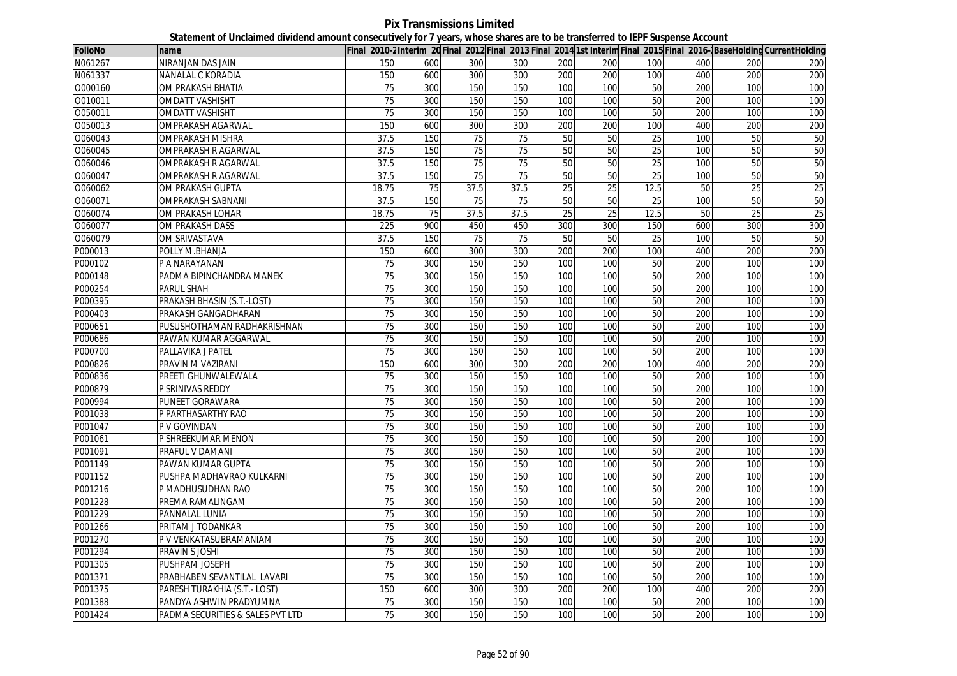**Pix Transmissions Limited Statement of Unclaimed dividend amount consecutively for 7 years, whose shares are to be transferred to IEPF Suspense Account**

| <b>FolioNo</b> | name                             |                 |     |                 |                 |     |     |                 |     |                  | Final 2010-2 Interim 20 Final 2012 Final 2013 Final 2014 1st Interim Final 2015 Final 2016-1 Base Holding Current Holding |
|----------------|----------------------------------|-----------------|-----|-----------------|-----------------|-----|-----|-----------------|-----|------------------|---------------------------------------------------------------------------------------------------------------------------|
| N061267        | NIRANJAN DAS JAIN                | 150             | 600 | 300             | 300             | 200 | 200 | 100             | 400 | 200              | 200                                                                                                                       |
| N061337        | NANALAL C KORADIA                | 150             | 600 | 300             | 300             | 200 | 200 | 100             | 400 | 200              | 200                                                                                                                       |
| 0000160        | OM PRAKASH BHATIA                | 75              | 300 | 150             | 150             | 100 | 100 | 50              | 200 | 100              | 100                                                                                                                       |
| 0010011        | OMDATT VASHISHT                  | $\overline{75}$ | 300 | 150             | 150             | 100 | 100 | 50              | 200 | 100              | 100                                                                                                                       |
| 0050011        | <b>OMDATT VASHISHT</b>           | 75              | 300 | 150             | 150             | 100 | 100 | 50              | 200 | 100              | 100                                                                                                                       |
| 0050013        | <b>OMPRAKASH AGARWAL</b>         | 150             | 600 | 300             | 300             | 200 | 200 | 100             | 400 | 200              | 200                                                                                                                       |
| O060043        | <b>OMPRAKASH MISHRA</b>          | 37.5            | 150 | 75              | 75              | 50  | 50  | 25              | 100 | 50               | 50                                                                                                                        |
| 0060045        | OMPRAKASH R AGARWAL              | 37.5            | 150 | 75              | $\overline{75}$ | 50  | 50  | $\overline{25}$ | 100 | 50               | 50                                                                                                                        |
| 0060046        | <b>OMPRAKASH R AGARWAL</b>       | 37.5            | 150 | $\overline{75}$ | 75              | 50  | 50  | 25              | 100 | 50               | 50                                                                                                                        |
| 0060047        | OMPRAKASH R AGARWAL              | 37.5            | 150 | $\overline{75}$ | 75              | 50  | 50  | $\overline{25}$ | 100 | 50               | 50                                                                                                                        |
| O060062        | OM PRAKASH GUPTA                 | 18.75           | 75  | 37.5            | 37.5            | 25  | 25  | 12.5            | 50  | 25               | 25                                                                                                                        |
| 0060071        | OMPRAKASH SABNANI                | 37.5            | 150 | $\overline{75}$ | 75              | 50  | 50  | 25              | 100 | 50               | 50                                                                                                                        |
| O060074        | OM PRAKASH LOHAR                 | 18.75           | 75  | 37.5            | 37.5            | 25  | 25  | 12.5            | 50  | 25               | 25                                                                                                                        |
| 0060077        | OM PRAKASH DASS                  | 225             | 900 | 450             | 450             | 300 | 300 | 150             | 600 | 300              | 300                                                                                                                       |
| 0060079        | <b>OM SRIVASTAVA</b>             | 37.5            | 150 | 75              | 75              | 50  | 50  | $\overline{25}$ | 100 | 50               | 50                                                                                                                        |
| P000013        | POLLY M.BHANJA                   | 150             | 600 | 300             | 300             | 200 | 200 | 100             | 400 | 200              | 200                                                                                                                       |
| P000102        | P A NARAYANAN                    | 75              | 300 | 150             | 150             | 100 | 100 | 50              | 200 | 100              | 100                                                                                                                       |
| P000148        | PADMA BIPINCHANDRA MANEK         | 75              | 300 | 150             | 150             | 100 | 100 | 50              | 200 | 100              | 100                                                                                                                       |
| P000254        | <b>PARUL SHAH</b>                | 75              | 300 | 150             | 150             | 100 | 100 | 50              | 200 | 100              | 100                                                                                                                       |
| P000395        | PRAKASH BHASIN (S.T.-LOST)       | 75              | 300 | 150             | 150             | 100 | 100 | 50              | 200 | 100              | 100                                                                                                                       |
| P000403        | PRAKASH GANGADHARAN              | 75              | 300 | 150             | 150             | 100 | 100 | 50              | 200 | 100              | 100                                                                                                                       |
| P000651        | PUSUSHOTHAMAN RADHAKRISHNAN      | 75              | 300 | 150             | 150             | 100 | 100 | 50              | 200 | 100              | 100                                                                                                                       |
| P000686        | PAWAN KUMAR AGGARWAL             | 75              | 300 | 150             | 150             | 100 | 100 | 50              | 200 | 100              | 100                                                                                                                       |
| P000700        | PALLAVIKA J PATEL                | 75              | 300 | 150             | 150             | 100 | 100 | 50              | 200 | 100              | 100                                                                                                                       |
| P000826        | PRAVIN M VAZIRANI                | 150             | 600 | 300             | 300             | 200 | 200 | 100             | 400 | 200              | 200                                                                                                                       |
| P000836        | PREETI GHUNWALEWALA              | 75              | 300 | 150             | 150             | 100 | 100 | 50              | 200 | 100              | 100                                                                                                                       |
| P000879        | P SRINIVAS REDDY                 | 75              | 300 | 150             | 150             | 100 | 100 | 50              | 200 | 100              | 100                                                                                                                       |
| P000994        | PUNEET GORAWARA                  | 75              | 300 | 150             | 150             | 100 | 100 | 50              | 200 | 100              | 100                                                                                                                       |
| P001038        | P PARTHASARTHY RAO               | 75              | 300 | 150             | 150             | 100 | 100 | 50              | 200 | 100              | 100                                                                                                                       |
| P001047        | P V GOVINDAN                     | 75              | 300 | 150             | 150             | 100 | 100 | 50              | 200 | 100              | 100                                                                                                                       |
| P001061        | P SHREEKUMAR MENON               | 75              | 300 | 150             | 150             | 100 | 100 | 50              | 200 | 100              | 100                                                                                                                       |
| P001091        | PRAFUL V DAMANI                  | 75              | 300 | 150             | 150             | 100 | 100 | 50              | 200 | 100              | 100                                                                                                                       |
| P001149        | PAWAN KUMAR GUPTA                | 75              | 300 | 150             | 150             | 100 | 100 | 50              | 200 | 100              | 100                                                                                                                       |
| P001152        | PUSHPA MADHAVRAO KULKARNI        | $\overline{75}$ | 300 | 150             | 150             | 100 | 100 | 50              | 200 | 100              | 100                                                                                                                       |
| P001216        | P MADHUSUDHAN RAO                | 75              | 300 | 150             | 150             | 100 | 100 | 50              | 200 | 100              | 100                                                                                                                       |
| P001228        | PREMA RAMALINGAM                 | 75              | 300 | 150             | 150             | 100 | 100 | 50              | 200 | 100              | 100                                                                                                                       |
| P001229        | PANNALAL LUNIA                   | 75              | 300 | 150             | 150             | 100 | 100 | 50              | 200 | 100              | 100                                                                                                                       |
| P001266        | PRITAM J TODANKAR                | $\overline{75}$ | 300 | 150             | 150             | 100 | 100 | 50              | 200 | 100              | 100                                                                                                                       |
| P001270        | P V VENKATASUBRAMANIAM           | 75              | 300 | 150             | 150             | 100 | 100 | 50              | 200 | 100              | 100                                                                                                                       |
| P001294        | PRAVIN S JOSHI                   | 75              | 300 | 150             | 150             | 100 | 100 | 50              | 200 | 100              | 100                                                                                                                       |
| P001305        | PUSHPAM JOSEPH                   | 75              | 300 | 150             | 150             | 100 | 100 | 50              | 200 | 100              | 100                                                                                                                       |
| P001371        | PRABHABEN SEVANTILAL LAVARI      | 75              | 300 | 150             | 150             | 100 | 100 | 50              | 200 | 100              | 100                                                                                                                       |
| P001375        | PARESH TURAKHIA (S.T.- LOST)     | 150             | 600 | 300             | 300             | 200 | 200 | 100             | 400 | 200              | 200                                                                                                                       |
| P001388        | PANDYA ASHWIN PRADYUMNA          | 75              | 300 | 150             | 150             | 100 | 100 | 50              | 200 | 100              | 100                                                                                                                       |
| P001424        | PADMA SECURITIES & SALES PVT LTD | 75              | 300 | 150             | 150             | 100 | 100 | 50              | 200 | 100 <sup>1</sup> | 100                                                                                                                       |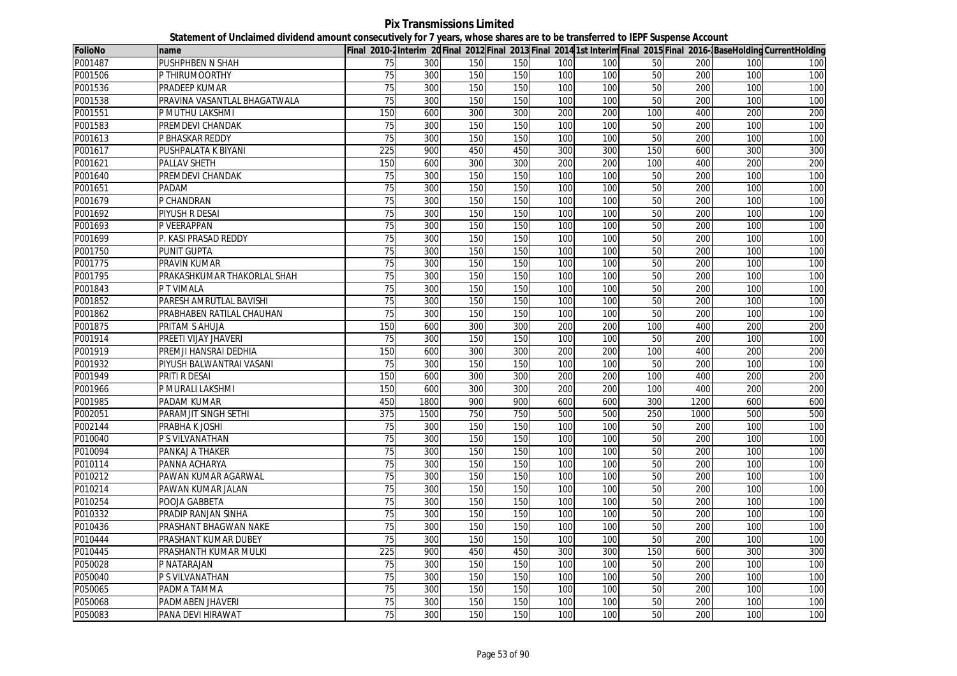**Pix Transmissions Limited Statement of Unclaimed dividend amount consecutively for 7 years, whose shares are to be transferred to IEPF Suspense Account**

| <b>FolioNo</b> | name                         |                 |      |     |     |     |     |                 |      |     | Final 2010-2Interim 20Final 2012 Final 2013 Final 2014 1st Interim Final 2015 Final 2016-BaseHolding CurrentHolding |
|----------------|------------------------------|-----------------|------|-----|-----|-----|-----|-----------------|------|-----|---------------------------------------------------------------------------------------------------------------------|
| P001487        | PUSHPHBEN N SHAH             | 75              | 300  | 150 | 150 | 100 | 100 | 50              | 200  | 100 | 100                                                                                                                 |
| P001506        | P THIRUMOORTHY               | 75              | 300  | 150 | 150 | 100 | 100 | 50              | 200  | 100 | 100                                                                                                                 |
| P001536        | PRADEEP KUMAR                | 75              | 300  | 150 | 150 | 100 | 100 | 50              | 200  | 100 | 100                                                                                                                 |
| P001538        | PRAVINA VASANTLAL BHAGATWALA | 75              | 300  | 150 | 150 | 100 | 100 | 50              | 200  | 100 | 100                                                                                                                 |
| P001551        | P MUTHU LAKSHMI              | 150             | 600  | 300 | 300 | 200 | 200 | 100             | 400  | 200 | 200                                                                                                                 |
| P001583        | PREMDEVI CHANDAK             | 75              | 300  | 150 | 150 | 100 | 100 | 50              | 200  | 100 | 100                                                                                                                 |
| P001613        | P BHASKAR REDDY              | 75              | 300  | 150 | 150 | 100 | 100 | 50              | 200  | 100 | 100                                                                                                                 |
| P001617        | PUSHPALATA K BIYANI          | 225             | 900  | 450 | 450 | 300 | 300 | 150             | 600  | 300 | 300                                                                                                                 |
| P001621        | PALLAV SHETH                 | 150             | 600  | 300 | 300 | 200 | 200 | 100             | 400  | 200 | 200                                                                                                                 |
| P001640        | PREMDEVI CHANDAK             | $\overline{75}$ | 300  | 150 | 150 | 100 | 100 | $\overline{50}$ | 200  | 100 | 100                                                                                                                 |
| P001651        | PADAM                        | 75              | 300  | 150 | 150 | 100 | 100 | 50              | 200  | 100 | 100                                                                                                                 |
| P001679        | P CHANDRAN                   | $\overline{75}$ | 300  | 150 | 150 | 100 | 100 | 50              | 200  | 100 | 100                                                                                                                 |
| P001692        | PIYUSH R DESAI               | 75              | 300  | 150 | 150 | 100 | 100 | 50              | 200  | 100 | 100                                                                                                                 |
| P001693        | P VEERAPPAN                  | $\overline{75}$ | 300  | 150 | 150 | 100 | 100 | 50              | 200  | 100 | 100                                                                                                                 |
| P001699        | P. KASI PRASAD REDDY         | 75              | 300  | 150 | 150 | 100 | 100 | 50              | 200  | 100 | 100                                                                                                                 |
| P001750        | <b>PUNIT GUPTA</b>           | 75              | 300  | 150 | 150 | 100 | 100 | 50              | 200  | 100 | 100                                                                                                                 |
| P001775        | PRAVIN KUMAR                 | 75              | 300  | 150 | 150 | 100 | 100 | 50              | 200  | 100 | 100                                                                                                                 |
| P001795        | PRAKASHKUMAR THAKORLAL SHAH  | 75              | 300  | 150 | 150 | 100 | 100 | 50              | 200  | 100 | 100                                                                                                                 |
| P001843        | P T VIMALA                   | 75              | 300  | 150 | 150 | 100 | 100 | 50              | 200  | 100 | 100                                                                                                                 |
| P001852        | PARESH AMRUTLAL BAVISHI      | 75              | 300  | 150 | 150 | 100 | 100 | 50              | 200  | 100 | 100                                                                                                                 |
| P001862        | PRABHABEN RATILAL CHAUHAN    | 75              | 300  | 150 | 150 | 100 | 100 | 50              | 200  | 100 | 100                                                                                                                 |
| P001875        | PRITAM S AHUJA               | 150             | 600  | 300 | 300 | 200 | 200 | 100             | 400  | 200 | 200                                                                                                                 |
| P001914        | PREETI VIJAY JHAVERI         | 75              | 300  | 150 | 150 | 100 | 100 | 50              | 200  | 100 | 100                                                                                                                 |
| P001919        | PREMJI HANSRAI DEDHIA        | 150             | 600  | 300 | 300 | 200 | 200 | 100             | 400  | 200 | 200                                                                                                                 |
| P001932        | PIYUSH BALWANTRAI VASANI     | $\overline{75}$ | 300  | 150 | 150 | 100 | 100 | 50              | 200  | 100 | 100                                                                                                                 |
| P001949        | <b>PRITI R DESAI</b>         | 150             | 600  | 300 | 300 | 200 | 200 | 100             | 400  | 200 | 200                                                                                                                 |
| P001966        | P MURALI LAKSHMI             | 150             | 600  | 300 | 300 | 200 | 200 | 100             | 400  | 200 | 200                                                                                                                 |
| P001985        | PADAM KUMAR                  | 450             | 1800 | 900 | 900 | 600 | 600 | 300             | 1200 | 600 | 600                                                                                                                 |
| P002051        | PARAMJIT SINGH SETHI         | 375             | 1500 | 750 | 750 | 500 | 500 | 250             | 1000 | 500 | 500                                                                                                                 |
| P002144        | PRABHA K JOSHI               | 75              | 300  | 150 | 150 | 100 | 100 | 50              | 200  | 100 | 100                                                                                                                 |
| P010040        | P S VILVANATHAN              | 75              | 300  | 150 | 150 | 100 | 100 | 50              | 200  | 100 | 100                                                                                                                 |
| P010094        | PANKAJ A THAKER              | 75              | 300  | 150 | 150 | 100 | 100 | 50              | 200  | 100 | 100                                                                                                                 |
| P010114        | PANNA ACHARYA                | 75              | 300  | 150 | 150 | 100 | 100 | 50              | 200  | 100 | 100                                                                                                                 |
| P010212        | PAWAN KUMAR AGARWAL          | 75              | 300  | 150 | 150 | 100 | 100 | 50              | 200  | 100 | 100                                                                                                                 |
| P010214        | PAWAN KUMAR JALAN            | $\overline{75}$ | 300  | 150 | 150 | 100 | 100 | 50              | 200  | 100 | 100                                                                                                                 |
| P010254        | POOJA GABBETA                | 75              | 300  | 150 | 150 | 100 | 100 | 50              | 200  | 100 | 100                                                                                                                 |
| P010332        | PRADIP RANJAN SINHA          | $\overline{75}$ | 300  | 150 | 150 | 100 | 100 | 50              | 200  | 100 | 100                                                                                                                 |
| P010436        | PRASHANT BHAGWAN NAKE        | 75              | 300  | 150 | 150 | 100 | 100 | 50              | 200  | 100 | 100                                                                                                                 |
| P010444        | PRASHANT KUMAR DUBEY         | 75              | 300  | 150 | 150 | 100 | 100 | 50              | 200  | 100 | 100                                                                                                                 |
| P010445        | PRASHANTH KUMAR MULKI        | 225             | 900  | 450 | 450 | 300 | 300 | 150             | 600  | 300 | 300                                                                                                                 |
| P050028        | P NATARAJAN                  | 75              | 300  | 150 | 150 | 100 | 100 | 50              | 200  | 100 | 100                                                                                                                 |
| P050040        | P S VILVANATHAN              | 75              | 300  | 150 | 150 | 100 | 100 | 50              | 200  | 100 | 100                                                                                                                 |
| P050065        | PADMA TAMMA                  | 75              | 300  | 150 | 150 | 100 | 100 | 50              | 200  | 100 | 100                                                                                                                 |
| P050068        | PADMABEN JHAVERI             | 75              | 300  | 150 | 150 | 100 | 100 | 50              | 200  | 100 | 100                                                                                                                 |
| P050083        | PANA DEVI HIRAWAT            | 75              | 300  | 150 | 150 | 100 | 100 | 50              | 200  | 100 | 100                                                                                                                 |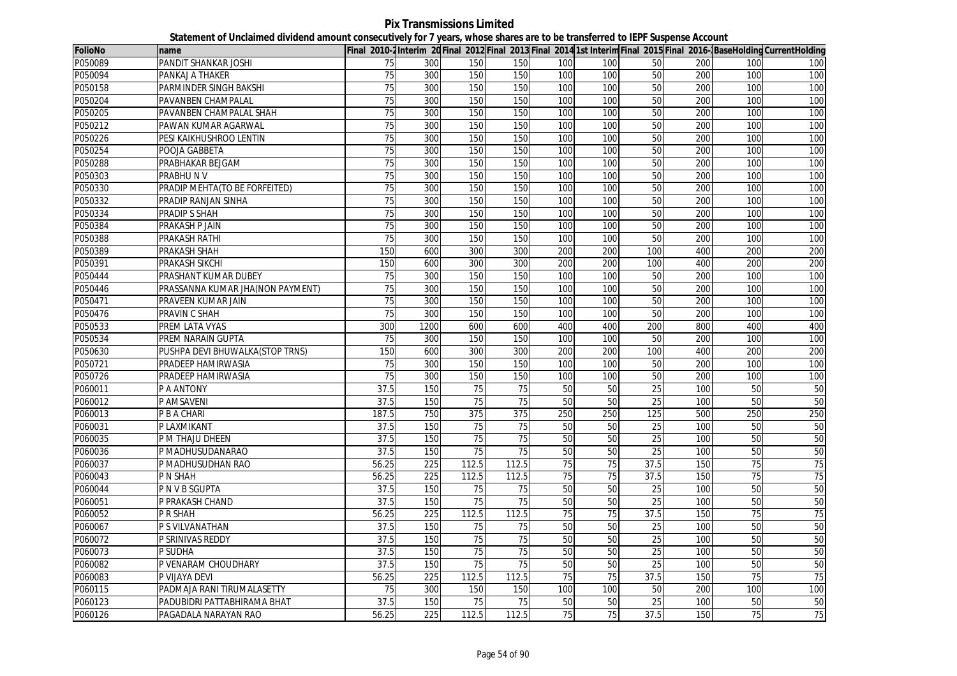**Pix Transmissions Limited Statement of Unclaimed dividend amount consecutively for 7 years, whose shares are to be transferred to IEPF Suspense Account**

| <b>FolioNo</b> | name                             |                 |      |       |                 |                 |     |      |     |     | Final 2010-2Interim 20Final 2012 Final 2013 Final 2014 1st Interim Final 2015 Final 2016- BaseHolding CurrentHolding |
|----------------|----------------------------------|-----------------|------|-------|-----------------|-----------------|-----|------|-----|-----|----------------------------------------------------------------------------------------------------------------------|
| P050089        | <b>PANDIT SHANKAR JOSHI</b>      | 75              | 300  | 150   | 150             | 100             | 100 | 50   | 200 | 100 | 100                                                                                                                  |
| P050094        | PANKAJ A THAKER                  | 75              | 300  | 150   | 150             | 100             | 100 | 50   | 200 | 100 | 100                                                                                                                  |
| P050158        | PARMINDER SINGH BAKSHI           | 75              | 300  | 150   | 150             | 100             | 100 | 50   | 200 | 100 | 100                                                                                                                  |
| P050204        | PAVANBEN CHAMPALAL               | 75              | 300  | 150   | 150             | 100             | 100 | 50   | 200 | 100 | 100                                                                                                                  |
| P050205        | PAVANBEN CHAMPALAL SHAH          | 75              | 300  | 150   | 150             | 100             | 100 | 50   | 200 | 100 | 100                                                                                                                  |
| P050212        | PAWAN KUMAR AGARWAL              | 75              | 300  | 150   | 150             | 100             | 100 | 50   | 200 | 100 | 100                                                                                                                  |
| P050226        | PESI KAIKHUSHROO LENTIN          | 75              | 300  | 150   | 150             | 100             | 100 | 50   | 200 | 100 | 100                                                                                                                  |
| P050254        | POOJA GABBETA                    | 75              | 300  | 150   | 150             | 100             | 100 | 50   | 200 | 100 | 100                                                                                                                  |
| P050288        | PRABHAKAR BEJGAM                 | 75              | 300  | 150   | 150             | 100             | 100 | 50   | 200 | 100 | 100                                                                                                                  |
| P050303        | <b>PRABHUNV</b>                  | 75              | 300  | 150   | 150             | 100             | 100 | 50   | 200 | 100 | 100                                                                                                                  |
| P050330        | PRADIP MEHTA(TO BE FORFEITED)    | 75              | 300  | 150   | 150             | 100             | 100 | 50   | 200 | 100 | 100                                                                                                                  |
| P050332        | PRADIP RANJAN SINHA              | 75              | 300  | 150   | 150             | 100             | 100 | 50   | 200 | 100 | 100                                                                                                                  |
| P050334        | PRADIP S SHAH                    | $\overline{75}$ | 300  | 150   | 150             | 100             | 100 | 50   | 200 | 100 | 100                                                                                                                  |
| P050384        | PRAKASH P JAIN                   | 75              | 300  | 150   | 150             | 100             | 100 | 50   | 200 | 100 | 100                                                                                                                  |
| P050388        | PRAKASH RATHI                    | 75              | 300  | 150   | 150             | 100             | 100 | 50   | 200 | 100 | 100                                                                                                                  |
| P050389        | PRAKASH SHAH                     | 150             | 600  | 300   | 300             | 200             | 200 | 100  | 400 | 200 | 200                                                                                                                  |
| P050391        | PRAKASH SIKCHI                   | 150             | 600  | 300   | 300             | 200             | 200 | 100  | 400 | 200 | 200                                                                                                                  |
| P050444        | PRASHANT KUMAR DUBEY             | 75              | 300  | 150   | 150             | 100             | 100 | 50   | 200 | 100 | 100                                                                                                                  |
| P050446        | PRASSANNA KUMAR JHA(NON PAYMENT) | 75              | 300  | 150   | 150             | 100             | 100 | 50   | 200 | 100 | 100                                                                                                                  |
| P050471        | PRAVEEN KUMAR JAIN               | 75              | 300  | 150   | 150             | 100             | 100 | 50   | 200 | 100 | 100                                                                                                                  |
| P050476        | PRAVIN C SHAH                    | 75              | 300  | 150   | 150             | 100             | 100 | 50   | 200 | 100 | 100                                                                                                                  |
| P050533        | PREM LATA VYAS                   | 300             | 1200 | 600   | 600             | 400             | 400 | 200  | 800 | 400 | 400                                                                                                                  |
| P050534        | PREM NARAIN GUPTA                | 75              | 300  | 150   | 150             | 100             | 100 | 50   | 200 | 100 | 100                                                                                                                  |
| P050630        | PUSHPA DEVI BHUWALKA (STOP TRNS) | 150             | 600  | 300   | 300             | 200             | 200 | 100  | 400 | 200 | 200                                                                                                                  |
| P050721        | PRADEEP HAMIRWASIA               | 75              | 300  | 150   | 150             | 100             | 100 | 50   | 200 | 100 | 100                                                                                                                  |
| P050726        | PRADEEP HAMIRWASIA               | 75              | 300  | 150   | 150             | 100             | 100 | 50   | 200 | 100 | 100                                                                                                                  |
| P060011        | P A ANTONY                       | 37.5            | 150  | 75    | $\overline{75}$ | 50              | 50  | 25   | 100 | 50  | 50                                                                                                                   |
| P060012        | P AMSAVENI                       | 37.5            | 150  | 75    | 75              | 50              | 50  | 25   | 100 | 50  | 50                                                                                                                   |
| P060013        | P B A CHARI                      | 187.5           | 750  | 375   | 375             | 250             | 250 | 125  | 500 | 250 | 250                                                                                                                  |
| P060031        | P LAXMIKANT                      | 37.5            | 150  | 75    | 75              | 50              | 50  | 25   | 100 | 50  | 50                                                                                                                   |
| P060035        | P M THAJU DHEEN                  | 37.5            | 150  | 75    | 75              | 50              | 50  | 25   | 100 | 50  | 50                                                                                                                   |
| P060036        | P MADHUSUDANARAO                 | 37.5            | 150  | 75    | 75              | 50              | 50  | 25   | 100 | 50  | 50                                                                                                                   |
| P060037        | P MADHUSUDHAN RAO                | 56.25           | 225  | 112.5 | 112.5           | $\overline{75}$ | 75  | 37.5 | 150 | 75  | 75                                                                                                                   |
| P060043        | P N SHAH                         | 56.25           | 225  | 112.5 | 112.5           | 75              | 75  | 37.5 | 150 | 75  | 75                                                                                                                   |
| P060044        | <b>PNVBSGUPTA</b>                | 37.5            | 150  | 75    | 75              | 50              | 50  | 25   | 100 | 50  | 50                                                                                                                   |
| P060051        | P PRAKASH CHAND                  | 37.5            | 150  | 75    | 75              | 50              | 50  | 25   | 100 | 50  | 50                                                                                                                   |
| P060052        | P R SHAH                         | 56.25           | 225  | 112.5 | 112.5           | 75              | 75  | 37.5 | 150 | 75  | 75                                                                                                                   |
| P060067        | P S VILVANATHAN                  | 37.5            | 150  | 75    | 75              | 50              | 50  | 25   | 100 | 50  | 50                                                                                                                   |
| P060072        | P SRINIVAS REDDY                 | 37.5            | 150  | 75    | 75              | 50              | 50  | 25   | 100 | 50  | 50                                                                                                                   |
| P060073        | P SUDHA                          | 37.5            | 150  | 75    | 75              | 50              | 50  | 25   | 100 | 50  | 50                                                                                                                   |
| P060082        | P VENARAM CHOUDHARY              | 37.5            | 150  | 75    | $\overline{75}$ | 50              | 50  | 25   | 100 | 50  | 50                                                                                                                   |
| P060083        | P VIJAYA DEVI                    | 56.25           | 225  | 112.5 | 112.5           | 75              | 75  | 37.5 | 150 | 75  | 75                                                                                                                   |
| P060115        | PADMAJA RANI TIRUMALASETTY       | 75              | 300  | 150   | 150             | 100             | 100 | 50   | 200 | 100 | 100                                                                                                                  |
| P060123        | PADUBIDRI PATTABHIRAMA BHAT      | 37.5            | 150  | 75    | 75              | 50              | 50  | 25   | 100 | 50  | 50                                                                                                                   |
| P060126        | PAGADALA NARAYAN RAO             | 56.25           | 225  | 112.5 | 112.5           | 75              | 75  | 37.5 | 150 | 75  | 75                                                                                                                   |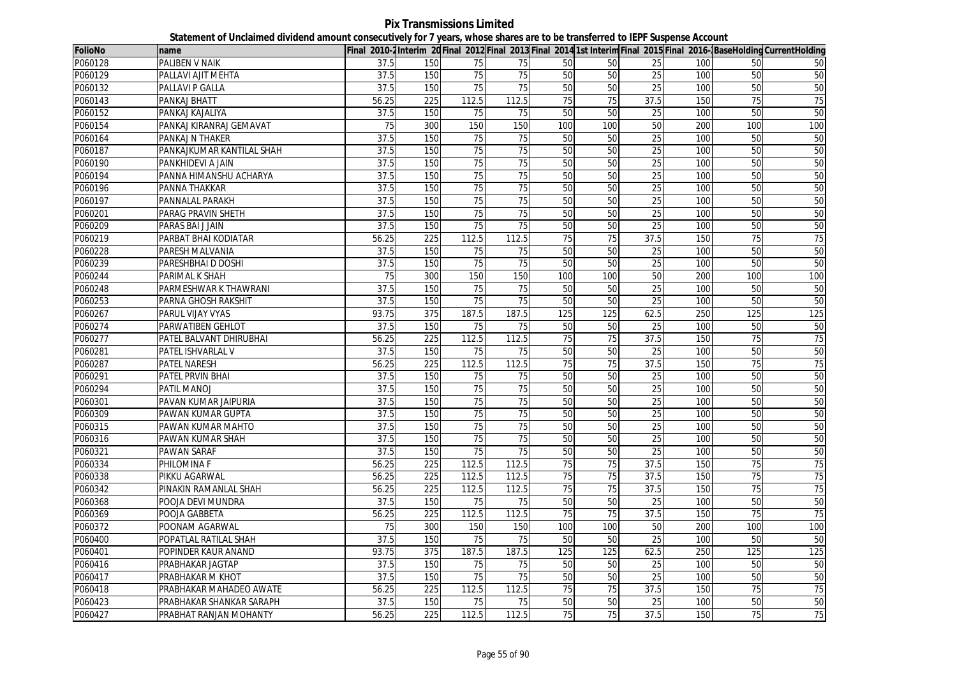## **Pix Transmissions Limited Statement of Unclaimed dividend amount consecutively for 7 years, whose shares are to be transferred to IEPF Suspense Account**

| <b>FolioNo</b> | name                      |       |                  |                 |                 |                 |     |                 |     |                 | Final 2010-2Interim 20 Final 2012 Final 2013 Final 2014 1st Interim Final 2015 Final 2016-BaseHolding CurrentHolding |
|----------------|---------------------------|-------|------------------|-----------------|-----------------|-----------------|-----|-----------------|-----|-----------------|----------------------------------------------------------------------------------------------------------------------|
| P060128        | PALIBEN V NAIK            | 37.5  | 150              | 75              | 75              | 50              | 50  | 25              | 100 | 50              | 50                                                                                                                   |
| P060129        | PALLAVI AJIT MEHTA        | 37.5  | 150              | 75              | 75              | 50              | 50  | 25              | 100 | 50              | 50                                                                                                                   |
| P060132        | PALLAVI P GALLA           | 37.5  | 150              | 75              | 75              | 50              | 50  | $\overline{25}$ | 100 | 50              | 50                                                                                                                   |
| P060143        | PANKAJ BHATT              | 56.25 | 225              | 112.5           | 112.5           | 75              | 75  | 37.5            | 150 | 75              | 75                                                                                                                   |
| P060152        | PANKAJ KAJALIYA           | 37.5  | 150              | 75              | 75              | 50              | 50  | 25              | 100 | 50              | 50                                                                                                                   |
| P060154        | PANKAJ KIRANRAJ GEMAVAT   | 75    | 300              | 150             | 150             | 100             | 100 | 50              | 200 | 100             | 100                                                                                                                  |
| P060164        | PANKAJ N THAKER           | 37.5  | 150              | 75              | 75              | 50              | 50  | 25              | 100 | 50              | 50                                                                                                                   |
| P060187        | PANKAJKUMAR KANTILAL SHAH | 37.5  | 150              | 75              | 75              | 50              | 50  | 25              | 100 | 50              | 50                                                                                                                   |
| P060190        | PANKHIDEVI A JAIN         | 37.5  | 150              | $\overline{75}$ | $\overline{75}$ | 50              | 50  | 25              | 100 | 50              | 50                                                                                                                   |
| P060194        | PANNA HIMANSHU ACHARYA    | 37.5  | 150              | 75              | 75              | 50              | 50  | 25              | 100 | 50              | 50                                                                                                                   |
| P060196        | PANNA THAKKAR             | 37.5  | 150              | 75              | 75              | 50              | 50  | 25              | 100 | 50              | 50                                                                                                                   |
| P060197        | PANNALAL PARAKH           | 37.5  | 150              | 75              | $\overline{75}$ | 50              | 50  | 25              | 100 | 50              | 50                                                                                                                   |
| P060201        | PARAG PRAVIN SHETH        | 37.5  | 150              | 75              | 75              | 50              | 50  | 25              | 100 | 50              | 50                                                                                                                   |
| P060209        | PARAS BAI J JAIN          | 37.5  | 150              | 75              | 75              | 50              | 50  | 25              | 100 | 50              | 50                                                                                                                   |
| P060219        | PARBAT BHAI KODIATAR      | 56.25 | 225              | 112.5           | 112.5           | 75              | 75  | 37.5            | 150 | 75              | 75                                                                                                                   |
| P060228        | PARESH MALVANIA           | 37.5  | 150              | 75              | 75              | 50              | 50  | 25              | 100 | 50              | 50                                                                                                                   |
| P060239        | PARESHBHAI D DOSHI        | 37.5  | 150              | 75              | $\overline{75}$ | 50              | 50  | $\overline{25}$ | 100 | 50              | 50                                                                                                                   |
| P060244        | PARIMAL K SHAH            | 75    | 300              | 150             | 150             | 100             | 100 | 50              | 200 | 100             | 100                                                                                                                  |
| P060248        | PARMESHWAR K THAWRANI     | 37.5  | 150              | 75              | 75              | 50              | 50  | 25              | 100 | 50              | 50                                                                                                                   |
| P060253        | PARNA GHOSH RAKSHIT       | 37.5  | 150              | 75              | 75              | 50              | 50  | 25              | 100 | 50              | 50                                                                                                                   |
| P060267        | PARUL VIJAY VYAS          | 93.75 | 375              | 187.5           | 187.5           | 125             | 125 | 62.5            | 250 | 125             | 125                                                                                                                  |
| P060274        | PARWATIBEN GEHLOT         | 37.5  | 150              | 75              | 75              | 50              | 50  | 25              | 100 | 50              | 50                                                                                                                   |
| P060277        | PATEL BALVANT DHIRUBHAI   | 56.25 | 225              | 112.5           | 112.5           | $\overline{75}$ | 75  | 37.5            | 150 | $\overline{75}$ | 75                                                                                                                   |
| P060281        | PATEL ISHVARLAL V         | 37.5  | 150              | 75              | 75              | 50              | 50  | 25              | 100 | 50              | 50                                                                                                                   |
| P060287        | <b>PATEL NARESH</b>       | 56.25 | 225              | 112.5           | 112.5           | 75              | 75  | 37.5            | 150 | 75              | 75                                                                                                                   |
| P060291        | PATEL PRVIN BHAI          | 37.5  | 150              | $\overline{75}$ | 75              | 50              | 50  | 25              | 100 | 50              | 50                                                                                                                   |
| P060294        | PATIL MANOJ               | 37.5  | 150              | 75              | 75              | 50              | 50  | 25              | 100 | 50              | 50                                                                                                                   |
| P060301        | PAVAN KUMAR JAIPURIA      | 37.5  | 150              | 75              | 75              | 50              | 50  | 25              | 100 | 50              | 50                                                                                                                   |
| P060309        | PAWAN KUMAR GUPTA         | 37.5  | 150              | 75              | 75              | 50              | 50  | $\overline{25}$ | 100 | 50              | 50                                                                                                                   |
| P060315        | PAWAN KUMAR MAHTO         | 37.5  | 150              | 75              | $\overline{75}$ | 50              | 50  | 25              | 100 | 50              | 50                                                                                                                   |
| P060316        | PAWAN KUMAR SHAH          | 37.5  | 150              | 75              | 75              | 50              | 50  | 25              | 100 | 50              | 50                                                                                                                   |
| P060321        | PAWAN SARAF               | 37.5  | 150              | 75              | 75              | 50              | 50  | 25              | 100 | 50              | 50                                                                                                                   |
| P060334        | PHILOMINA F               | 56.25 | 225              | 112.5           | 112.5           | 75              | 75  | 37.5            | 150 | 75              | 75                                                                                                                   |
| P060338        | PIKKU AGARWAL             | 56.25 | 225              | 112.5           | 112.5           | 75              | 75  | 37.5            | 150 | 75              | 75                                                                                                                   |
| P060342        | PINAKIN RAMANLAL SHAH     | 56.25 | 225              | 112.5           | 112.5           | 75              | 75  | 37.5            | 150 | 75              | 75                                                                                                                   |
| P060368        | POOJA DEVI MUNDRA         | 37.5  | 150              | 75              | 75              | 50              | 50  | $\overline{25}$ | 100 | 50              | 50                                                                                                                   |
| P060369        | POOJA GABBETA             | 56.25 | $\overline{225}$ | 112.5           | 112.5           | 75              | 75  | 37.5            | 150 | 75              | 75                                                                                                                   |
| P060372        | POONAM AGARWAL            | 75    | 300              | 150             | 150             | 100             | 100 | 50              | 200 | 100             | 100                                                                                                                  |
| P060400        | POPATLAL RATILAL SHAH     | 37.5  | 150              | 75              | 75              | 50              | 50  | 25              | 100 | 50              | 50                                                                                                                   |
| P060401        | POPINDER KAUR ANAND       | 93.75 | 375              | 187.5           | 187.5           | 125             | 125 | 62.5            | 250 | 125             | 125                                                                                                                  |
| P060416        | PRABHAKAR JAGTAP          | 37.5  | 150              | 75              | 75              | 50              | 50  | 25              | 100 | 50              | 50                                                                                                                   |
| P060417        | PRABHAKAR M KHOT          | 37.5  | 150              | 75              | 75              | 50              | 50  | 25              | 100 | 50              | 50                                                                                                                   |
| P060418        | PRABHAKAR MAHADEO AWATE   | 56.25 | 225              | 112.5           | 112.5           | 75              | 75  | 37.5            | 150 | 75              | 75                                                                                                                   |
| P060423        | PRABHAKAR SHANKAR SARAPH  | 37.5  | 150              | 75              | 75              | 50              | 50  | 25              | 100 | 50              | 50                                                                                                                   |
| P060427        | PRABHAT RANJAN MOHANTY    | 56.25 | 225              | 112.5           | 112.5           | 75              | 75  | 37.5            | 150 | 75              | 75                                                                                                                   |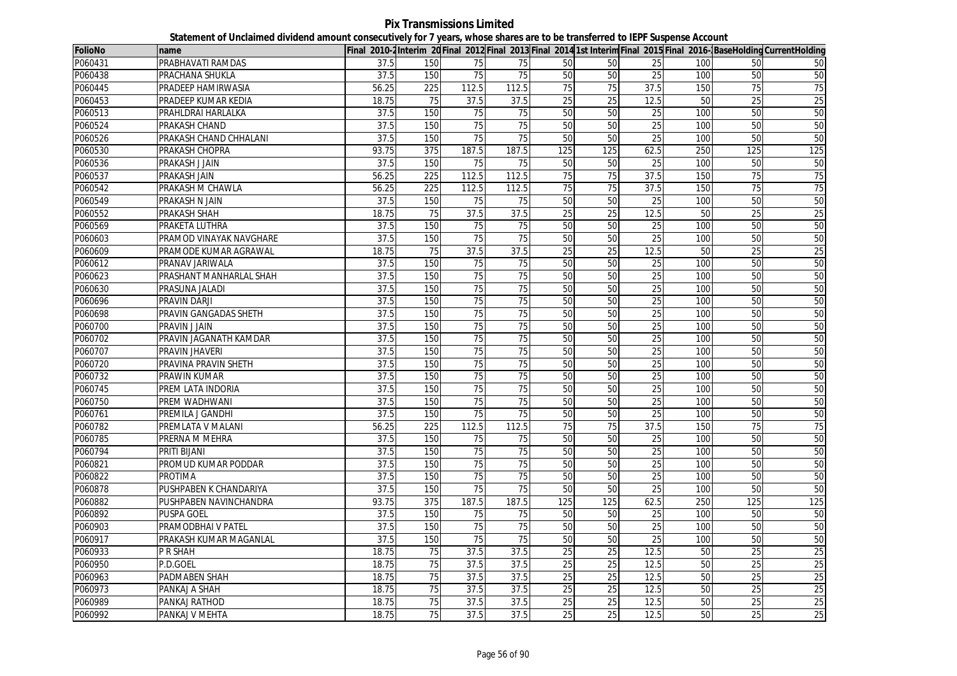**Pix Transmissions Limited Statement of Unclaimed dividend amount consecutively for 7 years, whose shares are to be transferred to IEPF Suspense Account**

| <b>FolioNo</b> | name                    |       |                 |       |                 |                 |                 |                 |     |                 | Final 2010-2Interim 20 Final 2012 Final 2013 Final 2014 1st Interim Final 2015 Final 2016-BaseHolding CurrentHolding |
|----------------|-------------------------|-------|-----------------|-------|-----------------|-----------------|-----------------|-----------------|-----|-----------------|----------------------------------------------------------------------------------------------------------------------|
| P060431        | PRABHAVATI RAMDAS       | 37.5  | 150             | 75    | 75              | 50              | 50              | 25              | 100 | 50              | 50                                                                                                                   |
| P060438        | PRACHANA SHUKLA         | 37.5  | 150             | 75    | 75              | 50              | 50              | 25              | 100 | 50              | 50                                                                                                                   |
| P060445        | PRADEEP HAMIRWASIA      | 56.25 | 225             | 112.5 | 112.5           | 75              | 75              | 37.5            | 150 | 75              | 75                                                                                                                   |
| P060453        | PRADEEP KUMAR KEDIA     | 18.75 | 75              | 37.5  | 37.5            | 25              | 25              | 12.5            | 50  | 25              | 25                                                                                                                   |
| P060513        | PRAHLDRAI HARLALKA      | 37.5  | 150             | 75    | 75              | 50              | 50              | 25              | 100 | 50              | 50                                                                                                                   |
| P060524        | <b>PRAKASH CHAND</b>    | 37.5  | 150             | 75    | 75              | 50              | 50              | $\overline{25}$ | 100 | 50              | 50                                                                                                                   |
| P060526        | PRAKASH CHAND CHHALANI  | 37.5  | 150             | 75    | 75              | 50              | 50              | 25              | 100 | 50              | 50                                                                                                                   |
| P060530        | PRAKASH CHOPRA          | 93.75 | 375             | 187.5 | 187.5           | 125             | 125             | 62.5            | 250 | 125             | 125                                                                                                                  |
| P060536        | PRAKASH J JAIN          | 37.5  | 150             | 75    | 75              | 50              | 50              | 25              | 100 | 50              | 50                                                                                                                   |
| P060537        | <b>PRAKASH JAIN</b>     | 56.25 | 225             | 112.5 | 112.5           | 75              | 75              | 37.5            | 150 | $\overline{75}$ | 75                                                                                                                   |
| P060542        | PRAKASH M CHAWLA        | 56.25 | 225             | 112.5 | 112.5           | 75              | 75              | 37.5            | 150 | 75              | 75                                                                                                                   |
| P060549        | PRAKASH N JAIN          | 37.5  | 150             | 75    | 75              | 50              | 50              | 25              | 100 | 50              | 50                                                                                                                   |
| P060552        | PRAKASH SHAH            | 18.75 | 75              | 37.5  | 37.5            | 25              | 25              | 12.5            | 50  | 25              | 25                                                                                                                   |
| P060569        | PRAKETA LUTHRA          | 37.5  | 150             | 75    | 75              | 50              | $\overline{50}$ | 25              | 100 | 50              | 50                                                                                                                   |
| P060603        | PRAMOD VINAYAK NAVGHARE | 37.5  | 150             | 75    | 75              | 50              | 50              | 25              | 100 | 50              | 50                                                                                                                   |
| P060609        | PRAMODE KUMAR AGRAWAL   | 18.75 | 75              | 37.5  | 37.5            | 25              | 25              | 12.5            | 50  | 25              | 25                                                                                                                   |
| P060612        | PRANAV JARIWALA         | 37.5  | 150             | 75    | 75              | 50              | 50              | 25              | 100 | 50              | 50                                                                                                                   |
| P060623        | PRASHANT MANHARLAL SHAH | 37.5  | 150             | 75    | 75              | 50              | 50              | 25              | 100 | 50              | 50                                                                                                                   |
| P060630        | PRASUNA JALADI          | 37.5  | 150             | 75    | 75              | 50              | 50              | 25              | 100 | 50              | 50                                                                                                                   |
| P060696        | PRAVIN DARJI            | 37.5  | 150             | 75    | 75              | 50              | 50              | $\overline{25}$ | 100 | 50              | 50                                                                                                                   |
| P060698        | PRAVIN GANGADAS SHETH   | 37.5  | 150             | 75    | 75              | 50              | 50              | 25              | 100 | 50              | 50                                                                                                                   |
| P060700        | PRAVIN J JAIN           | 37.5  | 150             | 75    | 75              | 50              | 50              | 25              | 100 | 50              | 50                                                                                                                   |
| P060702        | PRAVIN JAGANATH KAMDAR  | 37.5  | 150             | 75    | 75              | 50              | 50              | 25              | 100 | 50              | 50                                                                                                                   |
| P060707        | <b>PRAVIN JHAVERI</b>   | 37.5  | 150             | 75    | 75              | 50              | 50              | 25              | 100 | 50              | 50                                                                                                                   |
| P060720        | PRAVINA PRAVIN SHETH    | 37.5  | 150             | 75    | 75              | 50              | 50              | 25              | 100 | 50              | 50                                                                                                                   |
| P060732        | <b>PRAWIN KUMAR</b>     | 37.5  | 150             | 75    | 75              | 50              | 50              | 25              | 100 | 50              | 50                                                                                                                   |
| P060745        | PREM LATA INDORIA       | 37.5  | 150             | 75    | 75              | 50              | 50              | 25              | 100 | 50              | 50                                                                                                                   |
| P060750        | PREM WADHWANI           | 37.5  | 150             | 75    | $\overline{75}$ | 50              | 50              | 25              | 100 | 50              | 50                                                                                                                   |
| P060761        | PREMILA J GANDHI        | 37.5  | 150             | 75    | 75              | 50              | 50              | 25              | 100 | 50              | 50                                                                                                                   |
| P060782        | PREMLATA V MALANI       | 56.25 | 225             | 112.5 | 112.5           | $\overline{75}$ | $\overline{75}$ | 37.5            | 150 | $\overline{75}$ | 75                                                                                                                   |
| P060785        | PRERNA M MEHRA          | 37.5  | 150             | 75    | 75              | 50              | 50              | 25              | 100 | 50              | 50                                                                                                                   |
| P060794        | PRITI BIJANI            | 37.5  | 150             | 75    | 75              | 50              | 50              | 25              | 100 | 50              | 50                                                                                                                   |
| P060821        | PROMUD KUMAR PODDAR     | 37.5  | 150             | 75    | 75              | 50              | 50              | 25              | 100 | 50              | 50                                                                                                                   |
| P060822        | PROTIMA                 | 37.5  | 150             | 75    | 75              | 50              | 50              | $\overline{25}$ | 100 | 50              | 50                                                                                                                   |
| P060878        | PUSHPABEN K CHANDARIYA  | 37.5  | 150             | 75    | 75              | 50              | 50              | 25              | 100 | 50              | 50                                                                                                                   |
| P060882        | PUSHPABEN NAVINCHANDRA  | 93.75 | 375             | 187.5 | 187.5           | 125             | 125             | 62.5            | 250 | 125             | 125                                                                                                                  |
| P060892        | PUSPA GOEL              | 37.5  | 150             | 75    | 75              | 50              | 50              | 25              | 100 | 50              | 50                                                                                                                   |
| P060903        | PRAMODBHAI V PATEL      | 37.5  | 150             | 75    | $\overline{75}$ | 50              | 50              | 25              | 100 | 50              | 50                                                                                                                   |
| P060917        | PRAKASH KUMAR MAGANLAL  | 37.5  | 150             | 75    | 75              | 50              | 50              | 25              | 100 | 50              | 50                                                                                                                   |
| P060933        | P R SHAH                | 18.75 | 75              | 37.5  | 37.5            | 25              | 25              | 12.5            | 50  | 25              | 25                                                                                                                   |
| P060950        | P.D.GOEL                | 18.75 | 75              | 37.5  | 37.5            | 25              | $\overline{25}$ | 12.5            | 50  | $\overline{25}$ | 25                                                                                                                   |
| P060963        | PADMABEN SHAH           | 18.75 | $\overline{75}$ | 37.5  | 37.5            | 25              | $\overline{25}$ | 12.5            | 50  | $\overline{25}$ | 25                                                                                                                   |
| P060973        | PANKAJ A SHAH           | 18.75 | 75              | 37.5  | 37.5            | 25              | 25              | 12.5            | 50  | 25              | 25                                                                                                                   |
| P060989        | PANKAJ RATHOD           | 18.75 | 75              | 37.5  | 37.5            | 25              | 25              | 12.5            | 50  | 25              | 25                                                                                                                   |
| P060992        | PANKAJ V MEHTA          | 18.75 | 75              | 37.5  | 37.5            | 25              | 25              | 12.5            | 50  | 25              | 25                                                                                                                   |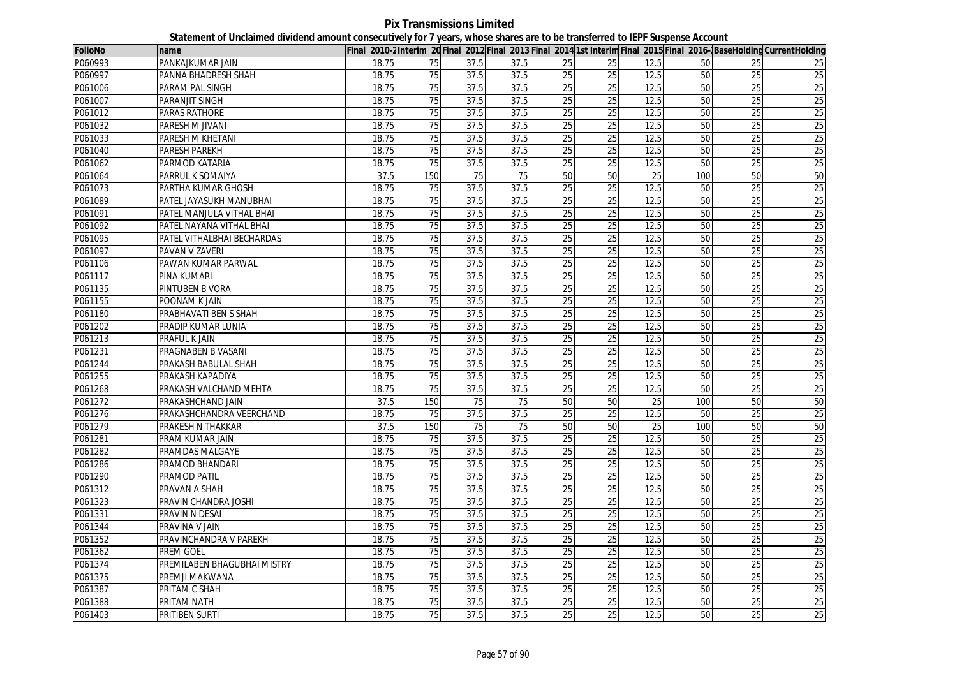**Pix Transmissions Limited Statement of Unclaimed dividend amount consecutively for 7 years, whose shares are to be transferred to IEPF Suspense Account**

| <b>FolioNo</b> | name                        |       |                 |      |      |                 |                 |                 |     |                 | Final 2010-2Interim 20 Final 2012 Final 2013 Final 2014 1st Interim Final 2015 Final 2016-BaseHolding CurrentHolding |
|----------------|-----------------------------|-------|-----------------|------|------|-----------------|-----------------|-----------------|-----|-----------------|----------------------------------------------------------------------------------------------------------------------|
| P060993        | PANKAJKUMAR JAIN            | 18.75 | 75              | 37.5 | 37.5 | 25              | 25              | 12.5            | 50  | 25              | 25                                                                                                                   |
| P060997        | PANNA BHADRESH SHAH         | 18.75 | 75              | 37.5 | 37.5 | 25              | 25              | 12.5            | 50  | 25              | 25                                                                                                                   |
| P061006        | PARAM PAL SINGH             | 18.75 | 75              | 37.5 | 37.5 | 25              | 25              | 12.5            | 50  | 25              | 25                                                                                                                   |
| P061007        | <b>PARANJIT SINGH</b>       | 18.75 | 75              | 37.5 | 37.5 | 25              | $\overline{25}$ | 12.5            | 50  | $\overline{25}$ | 25                                                                                                                   |
| P061012        | PARAS RATHORE               | 18.75 | 75              | 37.5 | 37.5 | 25              | 25              | 12.5            | 50  | 25              | 25                                                                                                                   |
| P061032        | PARESH M JIVANI             | 18.75 | 75              | 37.5 | 37.5 | 25              | 25              | 12.5            | 50  | 25              | 25                                                                                                                   |
| P061033        | PARESH M KHETANI            | 18.75 | 75              | 37.5 | 37.5 | 25              | 25              | 12.5            | 50  | 25              | 25                                                                                                                   |
| P061040        | <b>PARESH PAREKH</b>        | 18.75 | 75              | 37.5 | 37.5 | 25              | 25              | 12.5            | 50  | 25              | 25                                                                                                                   |
| P061062        | PARMOD KATARIA              | 18.75 | 75              | 37.5 | 37.5 | $\overline{25}$ | 25              | 12.5            | 50  | 25              | 25                                                                                                                   |
| P061064        | PARRUL K SOMAIYA            | 37.5  | 150             | 75   | 75   | 50              | 50              | 25              | 100 | 50              | 50                                                                                                                   |
| P061073        | PARTHA KUMAR GHOSH          | 18.75 | 75              | 37.5 | 37.5 | 25              | $\overline{25}$ | 12.5            | 50  | 25              | 25                                                                                                                   |
| P061089        | PATEL JAYASUKH MANUBHAI     | 18.75 | 75              | 37.5 | 37.5 | 25              | 25              | 12.5            | 50  | 25              | 25                                                                                                                   |
| P061091        | PATEL MANJULA VITHAL BHAI   | 18.75 | 75              | 37.5 | 37.5 | 25              | 25              | 12.5            | 50  | 25              | 25                                                                                                                   |
| P061092        | PATEL NAYANA VITHAL BHAI    | 18.75 | 75              | 37.5 | 37.5 | 25              | 25              | 12.5            | 50  | $\overline{25}$ | 25                                                                                                                   |
| P061095        | PATEL VITHALBHAI BECHARDAS  | 18.75 | 75              | 37.5 | 37.5 | 25              | 25              | 12.5            | 50  | $\overline{25}$ | 25                                                                                                                   |
| P061097        | <b>PAVAN V ZAVERI</b>       | 18.75 | 75              | 37.5 | 37.5 | 25              | 25              | 12.5            | 50  | $\overline{25}$ | 25                                                                                                                   |
| P061106        | PAWAN KUMAR PARWAL          | 18.75 | 75              | 37.5 | 37.5 | $\overline{25}$ | $\overline{25}$ | 12.5            | 50  | 25              | 25                                                                                                                   |
| P061117        | PINA KUMARI                 | 18.75 | 75              | 37.5 | 37.5 | 25              | 25              | 12.5            | 50  | 25              | 25                                                                                                                   |
| P061135        | PINTUBEN B VORA             | 18.75 | 75              | 37.5 | 37.5 | 25              | $\overline{25}$ | 12.5            | 50  | $\overline{25}$ | 25                                                                                                                   |
| P061155        | POONAM K JAIN               | 18.75 | 75              | 37.5 | 37.5 | 25              | 25              | 12.5            | 50  | 25              | 25                                                                                                                   |
| P061180        | PRABHAVATI BEN S SHAH       | 18.75 | 75              | 37.5 | 37.5 | 25              | 25              | 12.5            | 50  | 25              | 25                                                                                                                   |
| P061202        | PRADIP KUMAR LUNIA          | 18.75 | 75              | 37.5 | 37.5 | 25              | $\overline{25}$ | 12.5            | 50  | $\overline{25}$ | 25                                                                                                                   |
| P061213        | PRAFUL K JAIN               | 18.75 | 75              | 37.5 | 37.5 | 25              | $\overline{25}$ | 12.5            | 50  | $\overline{25}$ | 25                                                                                                                   |
| P061231        | PRAGNABEN B VASANI          | 18.75 | 75              | 37.5 | 37.5 | 25              | 25              | 12.5            | 50  | 25              | 25                                                                                                                   |
| P061244        | PRAKASH BABULAL SHAH        | 18.75 | 75              | 37.5 | 37.5 | 25              | 25              | 12.5            | 50  | $\overline{25}$ | 25                                                                                                                   |
| P061255        | PRAKASH KAPADIYA            | 18.75 | 75              | 37.5 | 37.5 | 25              | 25              | 12.5            | 50  | 25              | 25                                                                                                                   |
| P061268        | PRAKASH VALCHAND MEHTA      | 18.75 | 75              | 37.5 | 37.5 | 25              | 25              | 12.5            | 50  | 25              | 25                                                                                                                   |
| P061272        | PRAKASHCHAND JAIN           | 37.5  | 150             | 75   | 75   | 50              | 50              | $\overline{25}$ | 100 | 50              | 50                                                                                                                   |
| P061276        | PRAKASHCHANDRA VEERCHAND    | 18.75 | 75              | 37.5 | 37.5 | 25              | 25              | 12.5            | 50  | 25              | 25                                                                                                                   |
| P061279        | PRAKESH N THAKKAR           | 37.5  | 150             | 75   | 75   | 50              | 50              | 25              | 100 | 50              | 50                                                                                                                   |
| P061281        | PRAM KUMAR JAIN             | 18.75 | 75              | 37.5 | 37.5 | 25              | 25              | 12.5            | 50  | $\overline{25}$ | 25                                                                                                                   |
| P061282        | PRAMDAS MALGAYE             | 18.75 | 75              | 37.5 | 37.5 | 25              | 25              | 12.5            | 50  | 25              | 25                                                                                                                   |
| P061286        | PRAMOD BHANDARI             | 18.75 | 75              | 37.5 | 37.5 | $\overline{25}$ | 25              | 12.5            | 50  | 25              | 25                                                                                                                   |
| P061290        | PRAMOD PATIL                | 18.75 | 75              | 37.5 | 37.5 | 25              | 25              | 12.5            | 50  | 25              | 25                                                                                                                   |
| P061312        | PRAVAN A SHAH               | 18.75 | 75              | 37.5 | 37.5 | $\overline{25}$ | 25              | 12.5            | 50  | $\overline{25}$ | 25                                                                                                                   |
| P061323        | PRAVIN CHANDRA JOSHI        | 18.75 | 75              | 37.5 | 37.5 | 25              | 25              | 12.5            | 50  | 25              | 25                                                                                                                   |
| P061331        | PRAVIN N DESAI              | 18.75 | 75              | 37.5 | 37.5 | 25              | 25              | 12.5            | 50  | 25              | 25                                                                                                                   |
| P061344        | PRAVINA V JAIN              | 18.75 | 75              | 37.5 | 37.5 | 25              | $\overline{25}$ | 12.5            | 50  | 25              | 25                                                                                                                   |
| P061352        | PRAVINCHANDRA V PAREKH      | 18.75 | $\overline{75}$ | 37.5 | 37.5 | $\overline{25}$ | 25              | 12.5            | 50  | 25              | 25                                                                                                                   |
| P061362        | PREM GOEL                   | 18.75 | 75              | 37.5 | 37.5 | 25              | 25              | 12.5            | 50  | 25              | 25                                                                                                                   |
| P061374        | PREMILABEN BHAGUBHAI MISTRY | 18.75 | $\overline{75}$ | 37.5 | 37.5 | $\overline{25}$ | 25              | 12.5            | 50  | 25              | $\overline{25}$                                                                                                      |
| P061375        | PREMJI MAKWANA              | 18.75 | 75              | 37.5 | 37.5 | 25              | 25              | 12.5            | 50  | 25              | 25                                                                                                                   |
| P061387        | PRITAM C SHAH               | 18.75 | $\overline{75}$ | 37.5 | 37.5 | $\overline{25}$ | $\overline{25}$ | 12.5            | 50  | 25              | $\overline{25}$                                                                                                      |
| P061388        | PRITAM NATH                 | 18.75 | 75              | 37.5 | 37.5 | 25              | 25              | 12.5            | 50  | $\overline{25}$ | 25                                                                                                                   |
| P061403        | PRITIBEN SURTI              | 18.75 | 75              | 37.5 | 37.5 | 25              | 25              | 12.5            | 50  | $\overline{25}$ | 25                                                                                                                   |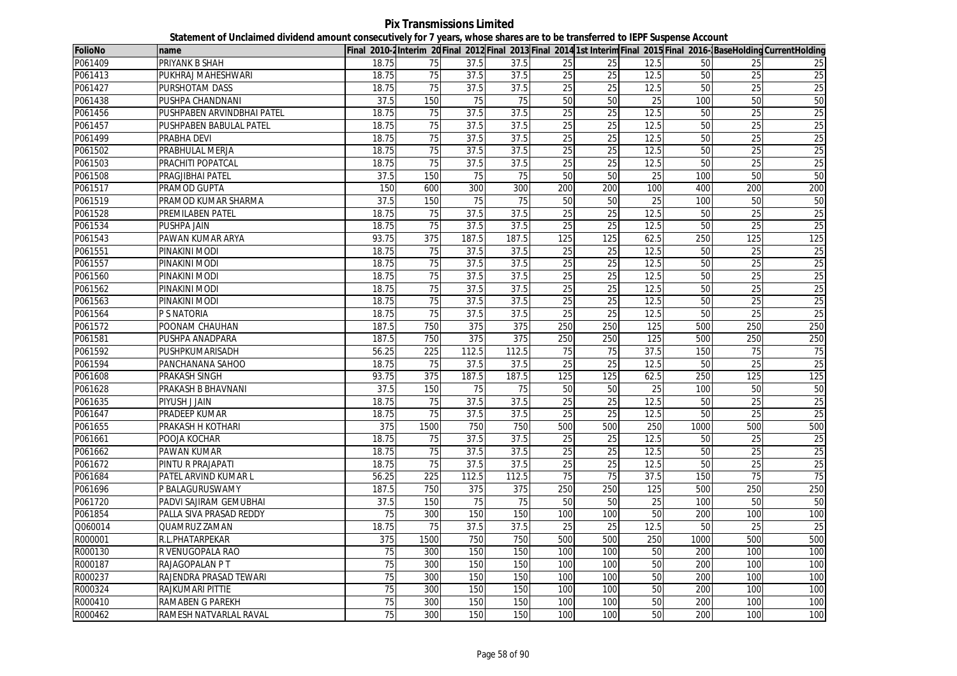**Pix Transmissions Limited Statement of Unclaimed dividend amount consecutively for 7 years, whose shares are to be transferred to IEPF Suspense Account**

| FolioNo | name                       |       |                  |       |       |                 |                 |                 |      |                 | Final 2010-2Interim 20 Final 2012 Final 2013 Final 2014 1st Interim Final 2015 Final 2016-BaseHolding CurrentHolding |
|---------|----------------------------|-------|------------------|-------|-------|-----------------|-----------------|-----------------|------|-----------------|----------------------------------------------------------------------------------------------------------------------|
| P061409 | <b>PRIYANK B SHAH</b>      | 18.75 | 75               | 37.5  | 37.5  | 25              | 25              | 12.5            | 50   | 25              | 25                                                                                                                   |
| P061413 | PUKHRAJ MAHESHWARI         | 18.75 | 75               | 37.5  | 37.5  | 25              | 25              | 12.5            | 50   | 25              | 25                                                                                                                   |
| P061427 | PURSHOTAM DASS             | 18.75 | 75               | 37.5  | 37.5  | 25              | 25              | 12.5            | 50   | 25              | 25                                                                                                                   |
| P061438 | PUSHPA CHANDNANI           | 37.5  | 150              | 75    | 75    | 50              | 50              | $\overline{25}$ | 100  | 50              | 50                                                                                                                   |
| P061456 | PUSHPABEN ARVINDBHAI PATEL | 18.75 | 75               | 37.5  | 37.5  | 25              | 25              | 12.5            | 50   | 25              | 25                                                                                                                   |
| P061457 | PUSHPABEN BABULAL PATEL    | 18.75 | 75               | 37.5  | 37.5  | 25              | 25              | 12.5            | 50   | 25              | 25                                                                                                                   |
| P061499 | PRABHA DEVI                | 18.75 | 75               | 37.5  | 37.5  | 25              | 25              | 12.5            | 50   | 25              | 25                                                                                                                   |
| P061502 | PRABHULAL MERJA            | 18.75 | 75               | 37.5  | 37.5  | 25              | 25              | 12.5            | 50   | 25              | 25                                                                                                                   |
| P061503 | PRACHITI POPATCAL          | 18.75 | $\overline{75}$  | 37.5  | 37.5  | 25              | $\overline{25}$ | 12.5            | 50   | 25              | 25                                                                                                                   |
| P061508 | PRAGJIBHAI PATEL           | 37.5  | 150              | 75    | 75    | 50              | 50              | 25              | 100  | 50              | 50                                                                                                                   |
| P061517 | <b>PRAMOD GUPTA</b>        | 150   | 600              | 300   | 300   | 200             | 200             | 100             | 400  | 200             | 200                                                                                                                  |
| P061519 | PRAMOD KUMAR SHARMA        | 37.5  | 150              | 75    | 75    | 50              | 50              | 25              | 100  | 50              | 50                                                                                                                   |
| P061528 | <b>PREMILABEN PATEL</b>    | 18.75 | 75               | 37.5  | 37.5  | 25              | 25              | 12.5            | 50   | 25              | 25                                                                                                                   |
| P061534 | PUSHPA JAIN                | 18.75 | 75               | 37.5  | 37.5  | 25              | 25              | 12.5            | 50   | 25              | 25                                                                                                                   |
| P061543 | PAWAN KUMAR ARYA           | 93.75 | $\overline{375}$ | 187.5 | 187.5 | 125             | 125             | 62.5            | 250  | 125             | 125                                                                                                                  |
| P061551 | PINAKINI MODI              | 18.75 | $\overline{75}$  | 37.5  | 37.5  | 25              | $\overline{25}$ | 12.5            | 50   | $\overline{25}$ | 25                                                                                                                   |
| P061557 | PINAKINI MODI              | 18.75 | 75               | 37.5  | 37.5  | $\overline{25}$ | $\overline{25}$ | 12.5            | 50   | $\overline{25}$ | 25                                                                                                                   |
| P061560 | PINAKINI MODI              | 18.75 | 75               | 37.5  | 37.5  | 25              | $\overline{25}$ | 12.5            | 50   | 25              | 25                                                                                                                   |
| P061562 | PINAKINI MODI              | 18.75 | 75               | 37.5  | 37.5  | $\overline{25}$ | $\overline{25}$ | 12.5            | 50   | $\overline{25}$ | 25                                                                                                                   |
| P061563 | PINAKINI MODI              | 18.75 | 75               | 37.5  | 37.5  | 25              | 25              | 12.5            | 50   | $\overline{25}$ | 25                                                                                                                   |
| P061564 | P S NATORIA                | 18.75 | 75               | 37.5  | 37.5  | $\overline{25}$ | $\overline{25}$ | 12.5            | 50   | 25              | 25                                                                                                                   |
| P061572 | POONAM CHAUHAN             | 187.5 | 750              | 375   | 375   | 250             | 250             | 125             | 500  | 250             | 250                                                                                                                  |
| P061581 | PUSHPA ANADPARA            | 187.5 | 750              | 375   | 375   | 250             | 250             | 125             | 500  | 250             | 250                                                                                                                  |
| P061592 | PUSHPKUMARISADH            | 56.25 | 225              | 112.5 | 112.5 | 75              | 75              | 37.5            | 150  | 75              | 75                                                                                                                   |
| P061594 | PANCHANANA SAHOO           | 18.75 | 75               | 37.5  | 37.5  | $\overline{25}$ | 25              | 12.5            | 50   | 25              | $\overline{25}$                                                                                                      |
| P061608 | PRAKASH SINGH              | 93.75 | 375              | 187.5 | 187.5 | 125             | 125             | 62.5            | 250  | 125             | 125                                                                                                                  |
| P061628 | PRAKASH B BHAVNANI         | 37.5  | 150              | 75    | 75    | 50              | 50              | 25              | 100  | 50              | 50                                                                                                                   |
| P061635 | PIYUSH J JAIN              | 18.75 | 75               | 37.5  | 37.5  | 25              | 25              | 12.5            | 50   | 25              | 25                                                                                                                   |
| P061647 | PRADEEP KUMAR              | 18.75 | 75               | 37.5  | 37.5  | 25              | 25              | 12.5            | 50   | 25              | 25                                                                                                                   |
| P061655 | PRAKASH H KOTHARI          | 375   | 1500             | 750   | 750   | 500             | 500             | 250             | 1000 | 500             | 500                                                                                                                  |
| P061661 | POOJA KOCHAR               | 18.75 | 75               | 37.5  | 37.5  | $\overline{25}$ | 25              | 12.5            | 50   | $\overline{25}$ | 25                                                                                                                   |
| P061662 | PAWAN KUMAR                | 18.75 | 75               | 37.5  | 37.5  | 25              | 25              | 12.5            | 50   | 25              | 25                                                                                                                   |
| P061672 | PINTU R PRAJAPATI          | 18.75 | 75               | 37.5  | 37.5  | 25              | $\overline{25}$ | 12.5            | 50   | 25              | 25                                                                                                                   |
| P061684 | PATEL ARVIND KUMAR L       | 56.25 | 225              | 112.5 | 112.5 | 75              | 75              | 37.5            | 150  | 75              | 75                                                                                                                   |
| P061696 | P BALAGURUSWAMY            | 187.5 | 750              | 375   | 375   | 250             | 250             | 125             | 500  | 250             | 250                                                                                                                  |
| P061720 | PADVI SAJIRAM GEMUBHAI     | 37.5  | 150              | 75    | 75    | 50              | 50              | 25              | 100  | 50              | 50                                                                                                                   |
| P061854 | PALLA SIVA PRASAD REDDY    | 75    | 300              | 150   | 150   | 100             | 100             | 50              | 200  | 100             | 100                                                                                                                  |
| Q060014 | QUAMRUZ ZAMAN              | 18.75 | 75               | 37.5  | 37.5  | 25              | $\overline{25}$ | 12.5            | 50   | 25              | $\overline{25}$                                                                                                      |
| R000001 | R.L.PHATARPEKAR            | 375   | 1500             | 750   | 750   | 500             | 500             | 250             | 1000 | 500             | 500                                                                                                                  |
| R000130 | R VENUGOPALA RAO           | 75    | 300              | 150   | 150   | 100             | 100             | 50              | 200  | 100             | 100                                                                                                                  |
| R000187 | RAJAGOPALAN PT             | 75    | 300              | 150   | 150   | 100             | 100             | 50              | 200  | 100             | 100                                                                                                                  |
| R000237 | RAJENDRA PRASAD TEWARI     | 75    | 300              | 150   | 150   | 100             | 100             | 50              | 200  | 100             | 100                                                                                                                  |
| R000324 | RAJKUMARI PITTIE           | 75    | 300              | 150   | 150   | 100             | 100             | 50              | 200  | 100             | 100                                                                                                                  |
| R000410 | RAMABEN G PAREKH           | 75    | 300              | 150   | 150   | 100             | 100             | 50              | 200  | 100             | 100                                                                                                                  |
| R000462 | RAMESH NATVARLAL RAVAL     | 75    | 300              | 150   | 150   | 100             | 100             | 50              | 200  | 100             | 100                                                                                                                  |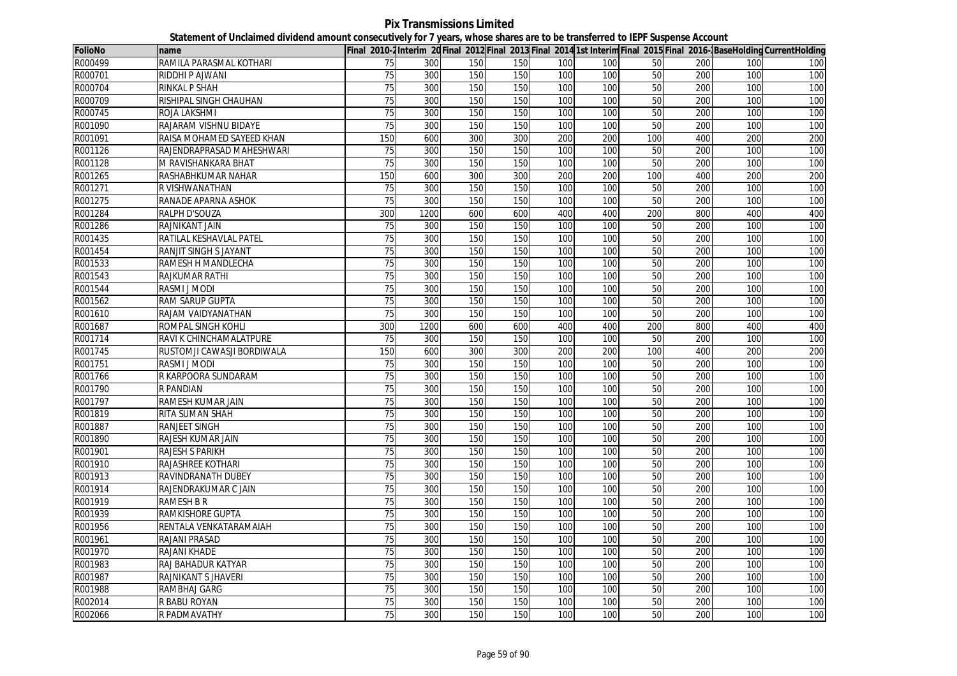**Pix Transmissions Limited Statement of Unclaimed dividend amount consecutively for 7 years, whose shares are to be transferred to IEPF Suspense Account**

| <b>FolioNo</b> | name                       |                 |      |     |     |     |     |     |     |     | Final 2010-2Interim 20Final 2012 Final 2013 Final 2014 1st Interim Final 2015 Final 2016- BaseHolding CurrentHolding |
|----------------|----------------------------|-----------------|------|-----|-----|-----|-----|-----|-----|-----|----------------------------------------------------------------------------------------------------------------------|
| R000499        | RAMILA PARASMAL KOTHARI    | 75              | 300  | 150 | 150 | 100 | 100 | 50  | 200 | 100 | 100                                                                                                                  |
| R000701        | RIDDHI P AJWANI            | $\overline{75}$ | 300  | 150 | 150 | 100 | 100 | 50  | 200 | 100 | 100                                                                                                                  |
| R000704        | RINKAL P SHAH              | 75              | 300  | 150 | 150 | 100 | 100 | 50  | 200 | 100 | 100                                                                                                                  |
| R000709        | RISHIPAL SINGH CHAUHAN     | 75              | 300  | 150 | 150 | 100 | 100 | 50  | 200 | 100 | 100                                                                                                                  |
| R000745        | ROJA LAKSHMI               | 75              | 300  | 150 | 150 | 100 | 100 | 50  | 200 | 100 | 100                                                                                                                  |
| R001090        | RAJARAM VISHNU BIDAYE      | 75              | 300  | 150 | 150 | 100 | 100 | 50  | 200 | 100 | 100                                                                                                                  |
| R001091        | RAISA MOHAMED SAYEED KHAN  | 150             | 600  | 300 | 300 | 200 | 200 | 100 | 400 | 200 | 200                                                                                                                  |
| R001126        | RAJENDRAPRASAD MAHESHWARI  | 75              | 300  | 150 | 150 | 100 | 100 | 50  | 200 | 100 | 100                                                                                                                  |
| R001128        | M RAVISHANKARA BHAT        | 75              | 300  | 150 | 150 | 100 | 100 | 50  | 200 | 100 | 100                                                                                                                  |
| R001265        | RASHABHKUMAR NAHAR         | 150             | 600  | 300 | 300 | 200 | 200 | 100 | 400 | 200 | 200                                                                                                                  |
| R001271        | R VISHWANATHAN             | 75              | 300  | 150 | 150 | 100 | 100 | 50  | 200 | 100 | 100                                                                                                                  |
| R001275        | RANADE APARNA ASHOK        | 75              | 300  | 150 | 150 | 100 | 100 | 50  | 200 | 100 | 100                                                                                                                  |
| R001284        | <b>RALPH D'SOUZA</b>       | 300             | 1200 | 600 | 600 | 400 | 400 | 200 | 800 | 400 | 400                                                                                                                  |
| R001286        | <b>RAJNIKANT JAIN</b>      | 75              | 300  | 150 | 150 | 100 | 100 | 50  | 200 | 100 | 100                                                                                                                  |
| R001435        | RATILAL KESHAVLAL PATEL    | 75              | 300  | 150 | 150 | 100 | 100 | 50  | 200 | 100 | 100                                                                                                                  |
| R001454        | RANJIT SINGH S JAYANT      | 75              | 300  | 150 | 150 | 100 | 100 | 50  | 200 | 100 | 100                                                                                                                  |
| R001533        | RAMESH H MANDLECHA         | 75              | 300  | 150 | 150 | 100 | 100 | 50  | 200 | 100 | 100                                                                                                                  |
| R001543        | RAJKUMAR RATHI             | 75              | 300  | 150 | 150 | 100 | 100 | 50  | 200 | 100 | 100                                                                                                                  |
| R001544        | RASMI J MODI               | 75              | 300  | 150 | 150 | 100 | 100 | 50  | 200 | 100 | 100                                                                                                                  |
| R001562        | <b>RAM SARUP GUPTA</b>     | 75              | 300  | 150 | 150 | 100 | 100 | 50  | 200 | 100 | 100                                                                                                                  |
| R001610        | RAJAM VAIDYANATHAN         | 75              | 300  | 150 | 150 | 100 | 100 | 50  | 200 | 100 | 100                                                                                                                  |
| R001687        | ROMPAL SINGH KOHLI         | 300             | 1200 | 600 | 600 | 400 | 400 | 200 | 800 | 400 | 400                                                                                                                  |
| R001714        | RAVI K CHINCHAMALATPURE    | 75              | 300  | 150 | 150 | 100 | 100 | 50  | 200 | 100 | 100                                                                                                                  |
| R001745        | RUSTOMJI CAWASJI BORDIWALA | 150             | 600  | 300 | 300 | 200 | 200 | 100 | 400 | 200 | 200                                                                                                                  |
| R001751        | RASMI J MODI               | 75              | 300  | 150 | 150 | 100 | 100 | 50  | 200 | 100 | 100                                                                                                                  |
| R001766        | R KARPOORA SUNDARAM        | $\overline{75}$ | 300  | 150 | 150 | 100 | 100 | 50  | 200 | 100 | 100                                                                                                                  |
| R001790        | <b>R PANDIAN</b>           | 75              | 300  | 150 | 150 | 100 | 100 | 50  | 200 | 100 | 100                                                                                                                  |
| R001797        | RAMESH KUMAR JAIN          | 75              | 300  | 150 | 150 | 100 | 100 | 50  | 200 | 100 | 100                                                                                                                  |
| R001819        | <b>RITA SUMAN SHAH</b>     | 75              | 300  | 150 | 150 | 100 | 100 | 50  | 200 | 100 | 100                                                                                                                  |
| R001887        | <b>RANJEET SINGH</b>       | 75              | 300  | 150 | 150 | 100 | 100 | 50  | 200 | 100 | 100                                                                                                                  |
| R001890        | RAJESH KUMAR JAIN          | 75              | 300  | 150 | 150 | 100 | 100 | 50  | 200 | 100 | 100                                                                                                                  |
| R001901        | <b>RAJESH S PARIKH</b>     | 75              | 300  | 150 | 150 | 100 | 100 | 50  | 200 | 100 | 100                                                                                                                  |
| R001910        | RAJASHREE KOTHARI          | 75              | 300  | 150 | 150 | 100 | 100 | 50  | 200 | 100 | 100                                                                                                                  |
| R001913        | RAVINDRANATH DUBEY         | 75              | 300  | 150 | 150 | 100 | 100 | 50  | 200 | 100 | 100                                                                                                                  |
| R001914        | RAJENDRAKUMAR C JAIN       | 75              | 300  | 150 | 150 | 100 | 100 | 50  | 200 | 100 | 100                                                                                                                  |
| R001919        | <b>RAMESH B R</b>          | 75              | 300  | 150 | 150 | 100 | 100 | 50  | 200 | 100 | 100                                                                                                                  |
| R001939        | <b>RAMKISHORE GUPTA</b>    | $\overline{75}$ | 300  | 150 | 150 | 100 | 100 | 50  | 200 | 100 | 100                                                                                                                  |
| R001956        | RENTALA VENKATARAMAIAH     | 75              | 300  | 150 | 150 | 100 | 100 | 50  | 200 | 100 | 100                                                                                                                  |
| R001961        | RAJANI PRASAD              | 75              | 300  | 150 | 150 | 100 | 100 | 50  | 200 | 100 | 100                                                                                                                  |
| R001970        | <b>RAJANI KHADE</b>        | 75              | 300  | 150 | 150 | 100 | 100 | 50  | 200 | 100 | 100                                                                                                                  |
| R001983        | RAJ BAHADUR KATYAR         | 75              | 300  | 150 | 150 | 100 | 100 | 50  | 200 | 100 | 100                                                                                                                  |
| R001987        | RAJNIKANT S JHAVERI        | 75              | 300  | 150 | 150 | 100 | 100 | 50  | 200 | 100 | 100                                                                                                                  |
| R001988        | RAMBHAJ GARG               | 75              | 300  | 150 | 150 | 100 | 100 | 50  | 200 | 100 | 100                                                                                                                  |
| R002014        | <b>R BABU ROYAN</b>        | 75              | 300  | 150 | 150 | 100 | 100 | 50  | 200 | 100 | 100                                                                                                                  |
| R002066        | <b>R PADMAVATHY</b>        | 75              | 300  | 150 | 150 | 100 | 100 | 50  | 200 | 100 | 100                                                                                                                  |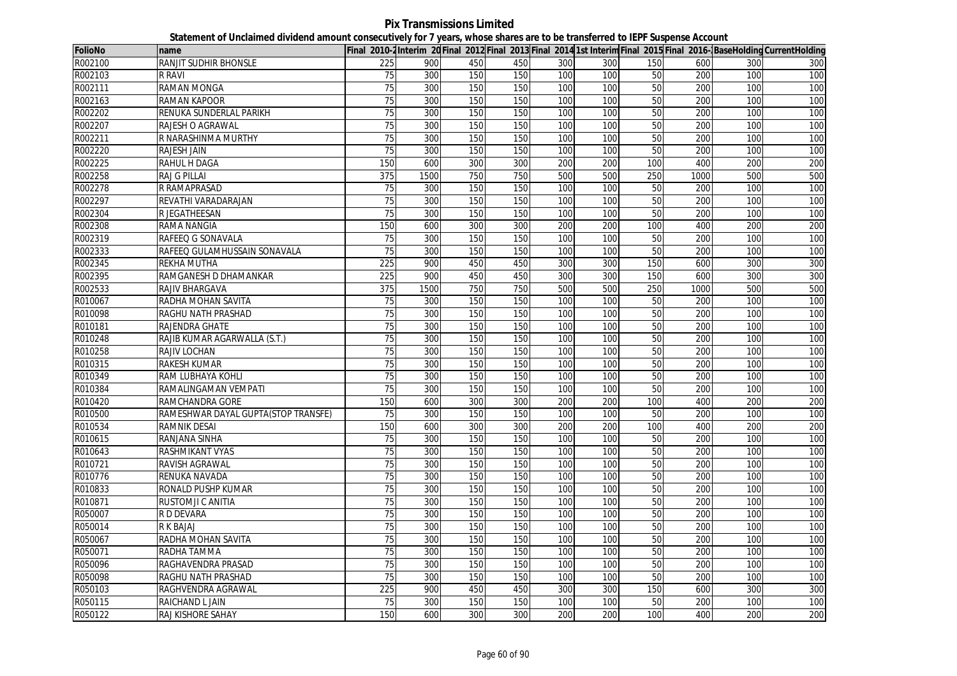**Pix Transmissions Limited Statement of Unclaimed dividend amount consecutively for 7 years, whose shares are to be transferred to IEPF Suspense Account**

| <b>FolioNo</b> | name                                |                 |      |     |     |     |     |     |      |     | Final 2010-2Interim 20Final 2012 Final 2013 Final 2014 1st Interim Final 2015 Final 2016- BaseHolding CurrentHolding |
|----------------|-------------------------------------|-----------------|------|-----|-----|-----|-----|-----|------|-----|----------------------------------------------------------------------------------------------------------------------|
| R002100        | <b>RANJIT SUDHIR BHONSLE</b>        | 225             | 900  | 450 | 450 | 300 | 300 | 150 | 600  | 300 | 300                                                                                                                  |
| R002103        | <b>R RAVI</b>                       | 75              | 300  | 150 | 150 | 100 | 100 | 50  | 200  | 100 | 100                                                                                                                  |
| R002111        | <b>RAMAN MONGA</b>                  | 75              | 300  | 150 | 150 | 100 | 100 | 50  | 200  | 100 | 100                                                                                                                  |
| R002163        | <b>RAMAN KAPOOR</b>                 | $\overline{75}$ | 300  | 150 | 150 | 100 | 100 | 50  | 200  | 100 | 100                                                                                                                  |
| R002202        | RENUKA SUNDERLAL PARIKH             | 75              | 300  | 150 | 150 | 100 | 100 | 50  | 200  | 100 | 100                                                                                                                  |
| R002207        | <b>RAJESH O AGRAWAL</b>             | 75              | 300  | 150 | 150 | 100 | 100 | 50  | 200  | 100 | 100                                                                                                                  |
| R002211        | R NARASHINMA MURTHY                 | 75              | 300  | 150 | 150 | 100 | 100 | 50  | 200  | 100 | 100                                                                                                                  |
| R002220        | <b>RAJESH JAIN</b>                  | 75              | 300  | 150 | 150 | 100 | 100 | 50  | 200  | 100 | 100                                                                                                                  |
| R002225        | <b>RAHUL H DAGA</b>                 | 150             | 600  | 300 | 300 | 200 | 200 | 100 | 400  | 200 | 200                                                                                                                  |
| R002258        | <b>RAJ G PILLAI</b>                 | 375             | 1500 | 750 | 750 | 500 | 500 | 250 | 1000 | 500 | 500                                                                                                                  |
| R002278        | R RAMAPRASAD                        | 75              | 300  | 150 | 150 | 100 | 100 | 50  | 200  | 100 | 100                                                                                                                  |
| R002297        | REVATHI VARADARAJAN                 | 75              | 300  | 150 | 150 | 100 | 100 | 50  | 200  | 100 | 100                                                                                                                  |
| R002304        | <b>R JEGATHEESAN</b>                | 75              | 300  | 150 | 150 | 100 | 100 | 50  | 200  | 100 | 100                                                                                                                  |
| R002308        | <b>RAMA NANGIA</b>                  | 150             | 600  | 300 | 300 | 200 | 200 | 100 | 400  | 200 | 200                                                                                                                  |
| R002319        | RAFEEQ G SONAVALA                   | 75              | 300  | 150 | 150 | 100 | 100 | 50  | 200  | 100 | 100                                                                                                                  |
| R002333        | RAFEEQ GULAMHUSSAIN SONAVALA        | $\overline{75}$ | 300  | 150 | 150 | 100 | 100 | 50  | 200  | 100 | 100                                                                                                                  |
| R002345        | <b>REKHA MUTHA</b>                  | 225             | 900  | 450 | 450 | 300 | 300 | 150 | 600  | 300 | 300                                                                                                                  |
| R002395        | RAMGANESH D DHAMANKAR               | 225             | 900  | 450 | 450 | 300 | 300 | 150 | 600  | 300 | 300                                                                                                                  |
| R002533        | RAJIV BHARGAVA                      | 375             | 1500 | 750 | 750 | 500 | 500 | 250 | 1000 | 500 | 500                                                                                                                  |
| R010067        | RADHA MOHAN SAVITA                  | $\overline{75}$ | 300  | 150 | 150 | 100 | 100 | 50  | 200  | 100 | 100                                                                                                                  |
| R010098        | RAGHU NATH PRASHAD                  | 75              | 300  | 150 | 150 | 100 | 100 | 50  | 200  | 100 | 100                                                                                                                  |
| R010181        | <b>RAJENDRA GHATE</b>               | $\overline{75}$ | 300  | 150 | 150 | 100 | 100 | 50  | 200  | 100 | 100                                                                                                                  |
| R010248        | RAJIB KUMAR AGARWALLA (S.T.)        | 75              | 300  | 150 | 150 | 100 | 100 | 50  | 200  | 100 | 100                                                                                                                  |
| R010258        | <b>RAJIV LOCHAN</b>                 | 75              | 300  | 150 | 150 | 100 | 100 | 50  | 200  | 100 | 100                                                                                                                  |
| R010315        | <b>RAKESH KUMAR</b>                 | $\overline{75}$ | 300  | 150 | 150 | 100 | 100 | 50  | 200  | 100 | 100                                                                                                                  |
| R010349        | RAM LUBHAYA KOHLI                   | 75              | 300  | 150 | 150 | 100 | 100 | 50  | 200  | 100 | 100                                                                                                                  |
| R010384        | RAMALINGAMAN VEMPATI                | 75              | 300  | 150 | 150 | 100 | 100 | 50  | 200  | 100 | 100                                                                                                                  |
| R010420        | RAMCHANDRA GORE                     | 150             | 600  | 300 | 300 | 200 | 200 | 100 | 400  | 200 | 200                                                                                                                  |
| R010500        | RAMESHWAR DAYAL GUPTA(STOP TRANSFE) | 75              | 300  | 150 | 150 | 100 | 100 | 50  | 200  | 100 | 100                                                                                                                  |
| R010534        | <b>RAMNIK DESAI</b>                 | 150             | 600  | 300 | 300 | 200 | 200 | 100 | 400  | 200 | 200                                                                                                                  |
| R010615        | RANJANA SINHA                       | 75              | 300  | 150 | 150 | 100 | 100 | 50  | 200  | 100 | 100                                                                                                                  |
| R010643        | <b>RASHMIKANT VYAS</b>              | 75              | 300  | 150 | 150 | 100 | 100 | 50  | 200  | 100 | 100                                                                                                                  |
| R010721        | RAVISH AGRAWAL                      | 75              | 300  | 150 | 150 | 100 | 100 | 50  | 200  | 100 | 100                                                                                                                  |
| R010776        | RENUKA NAVADA                       | 75              | 300  | 150 | 150 | 100 | 100 | 50  | 200  | 100 | 100                                                                                                                  |
| R010833        | RONALD PUSHP KUMAR                  | 75              | 300  | 150 | 150 | 100 | 100 | 50  | 200  | 100 | 100                                                                                                                  |
| R010871        | RUSTOMJI C ANITIA                   | $\overline{75}$ | 300  | 150 | 150 | 100 | 100 | 50  | 200  | 100 | 100                                                                                                                  |
| R050007        | R D DEVARA                          | 75              | 300  | 150 | 150 | 100 | 100 | 50  | 200  | 100 | 100                                                                                                                  |
| R050014        | <b>RK BAJAJ</b>                     | $\overline{75}$ | 300  | 150 | 150 | 100 | 100 | 50  | 200  | 100 | 100                                                                                                                  |
| R050067        | RADHA MOHAN SAVITA                  | $\overline{75}$ | 300  | 150 | 150 | 100 | 100 | 50  | 200  | 100 | 100                                                                                                                  |
| R050071        | RADHA TAMMA                         | 75              | 300  | 150 | 150 | 100 | 100 | 50  | 200  | 100 | 100                                                                                                                  |
| R050096        | RAGHAVENDRA PRASAD                  | 75              | 300  | 150 | 150 | 100 | 100 | 50  | 200  | 100 | 100                                                                                                                  |
| R050098        | RAGHU NATH PRASHAD                  | 75              | 300  | 150 | 150 | 100 | 100 | 50  | 200  | 100 | 100                                                                                                                  |
| R050103        | RAGHVENDRA AGRAWAL                  | 225             | 900  | 450 | 450 | 300 | 300 | 150 | 600  | 300 | 300                                                                                                                  |
| R050115        | RAICHAND L JAIN                     | 75              | 300  | 150 | 150 | 100 | 100 | 50  | 200  | 100 | 100                                                                                                                  |
| R050122        | RAJ KISHORE SAHAY                   | 150             | 600  | 300 | 300 | 200 | 200 | 100 | 400  | 200 | 200                                                                                                                  |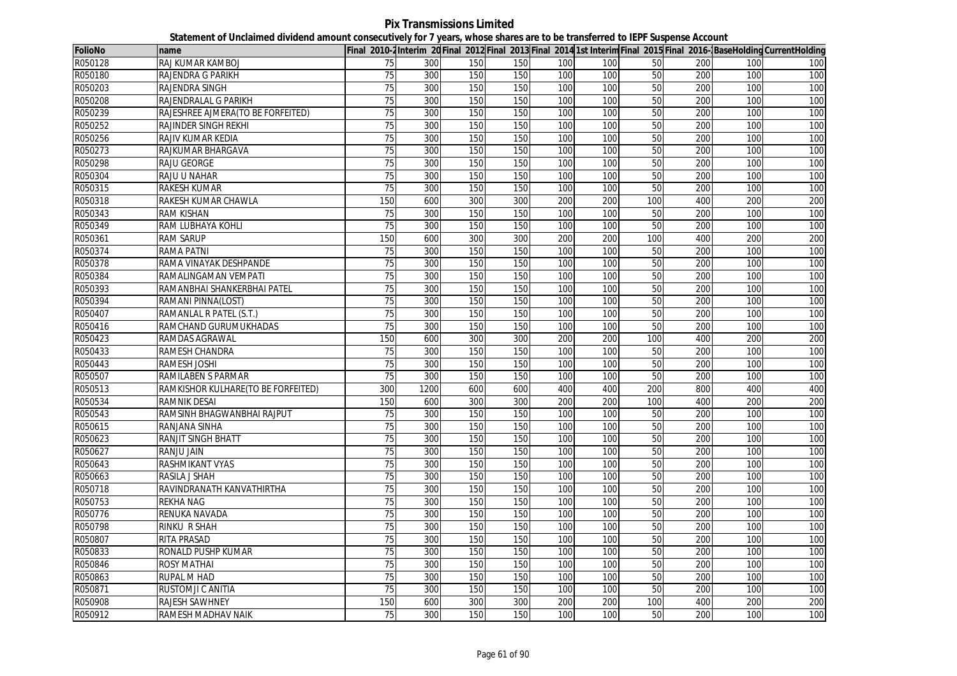**Pix Transmissions Limited Statement of Unclaimed dividend amount consecutively for 7 years, whose shares are to be transferred to IEPF Suspense Account**

| <b>FolioNo</b> | name                               |                 |      |     |     |     |     |     |     |     | Final 2010-2Interim 20 Final 2012 Final 2013 Final 2014 1st Interim Final 2015 Final 2016-BaseHolding CurrentHolding |
|----------------|------------------------------------|-----------------|------|-----|-----|-----|-----|-----|-----|-----|----------------------------------------------------------------------------------------------------------------------|
| R050128        | RAJ KUMAR KAMBOJ                   | 75              | 300  | 150 | 150 | 100 | 100 | 50  | 200 | 100 | 100                                                                                                                  |
| R050180        | RAJENDRA G PARIKH                  | 75              | 300  | 150 | 150 | 100 | 100 | 50  | 200 | 100 | 100                                                                                                                  |
| R050203        | <b>RAJENDRA SINGH</b>              | 75              | 300  | 150 | 150 | 100 | 100 | 50  | 200 | 100 | 100                                                                                                                  |
| R050208        | RAJENDRALAL G PARIKH               | $\overline{75}$ | 300  | 150 | 150 | 100 | 100 | 50  | 200 | 100 | 100                                                                                                                  |
| R050239        | RAJESHREE AJMERA(TO BE FORFEITED)  | $\overline{75}$ | 300  | 150 | 150 | 100 | 100 | 50  | 200 | 100 | 100                                                                                                                  |
| R050252        | <b>RAJINDER SINGH REKHI</b>        | $\overline{75}$ | 300  | 150 | 150 | 100 | 100 | 50  | 200 | 100 | 100                                                                                                                  |
| R050256        | RAJIV KUMAR KEDIA                  | 75              | 300  | 150 | 150 | 100 | 100 | 50  | 200 | 100 | 100                                                                                                                  |
| R050273        | RAJKUMAR BHARGAVA                  | 75              | 300  | 150 | 150 | 100 | 100 | 50  | 200 | 100 | 100                                                                                                                  |
| R050298        | <b>RAJU GEORGE</b>                 | 75              | 300  | 150 | 150 | 100 | 100 | 50  | 200 | 100 | 100                                                                                                                  |
| R050304        | RAJU U NAHAR                       | $\overline{75}$ | 300  | 150 | 150 | 100 | 100 | 50  | 200 | 100 | 100                                                                                                                  |
| R050315        | <b>RAKESH KUMAR</b>                | 75              | 300  | 150 | 150 | 100 | 100 | 50  | 200 | 100 | 100                                                                                                                  |
| R050318        | RAKESH KUMAR CHAWLA                | 150             | 600  | 300 | 300 | 200 | 200 | 100 | 400 | 200 | 200                                                                                                                  |
| R050343        | <b>RAM KISHAN</b>                  | 75              | 300  | 150 | 150 | 100 | 100 | 50  | 200 | 100 | 100                                                                                                                  |
| R050349        | RAM LUBHAYA KOHLI                  | 75              | 300  | 150 | 150 | 100 | 100 | 50  | 200 | 100 | 100                                                                                                                  |
| R050361        | <b>RAM SARUP</b>                   | 150             | 600  | 300 | 300 | 200 | 200 | 100 | 400 | 200 | 200                                                                                                                  |
| R050374        | <b>RAMA PATNI</b>                  | $\overline{75}$ | 300  | 150 | 150 | 100 | 100 | 50  | 200 | 100 | 100                                                                                                                  |
| R050378        | RAMA VINAYAK DESHPANDE             | $\overline{75}$ | 300  | 150 | 150 | 100 | 100 | 50  | 200 | 100 | 100                                                                                                                  |
| R050384        | RAMALINGAMAN VEMPATI               | 75              | 300  | 150 | 150 | 100 | 100 | 50  | 200 | 100 | 100                                                                                                                  |
| R050393        | RAMANBHAI SHANKERBHAI PATEL        | 75              | 300  | 150 | 150 | 100 | 100 | 50  | 200 | 100 | 100                                                                                                                  |
| R050394        | RAMANI PINNA(LOST)                 | 75              | 300  | 150 | 150 | 100 | 100 | 50  | 200 | 100 | 100                                                                                                                  |
| R050407        | RAMANLAL R PATEL (S.T.)            | 75              | 300  | 150 | 150 | 100 | 100 | 50  | 200 | 100 | 100                                                                                                                  |
| R050416        | RAMCHAND GURUMUKHADAS              | $\overline{75}$ | 300  | 150 | 150 | 100 | 100 | 50  | 200 | 100 | 100                                                                                                                  |
| R050423        | RAMDAS AGRAWAL                     | 150             | 600  | 300 | 300 | 200 | 200 | 100 | 400 | 200 | 200                                                                                                                  |
| R050433        | RAMESH CHANDRA                     | 75              | 300  | 150 | 150 | 100 | 100 | 50  | 200 | 100 | 100                                                                                                                  |
| R050443        | RAMESH JOSHI                       | 75              | 300  | 150 | 150 | 100 | 100 | 50  | 200 | 100 | 100                                                                                                                  |
| R050507        | RAMILABEN S PARMAR                 | 75              | 300  | 150 | 150 | 100 | 100 | 50  | 200 | 100 | 100                                                                                                                  |
| R050513        | RAMKISHOR KULHARE(TO BE FORFEITED) | 300             | 1200 | 600 | 600 | 400 | 400 | 200 | 800 | 400 | 400                                                                                                                  |
| R050534        | <b>RAMNIK DESAI</b>                | 150             | 600  | 300 | 300 | 200 | 200 | 100 | 400 | 200 | 200                                                                                                                  |
| R050543        | RAMSINH BHAGWANBHAI RAJPUT         | 75              | 300  | 150 | 150 | 100 | 100 | 50  | 200 | 100 | 100                                                                                                                  |
| R050615        | RANJANA SINHA                      | 75              | 300  | 150 | 150 | 100 | 100 | 50  | 200 | 100 | 100                                                                                                                  |
| R050623        | <b>RANJIT SINGH BHATT</b>          | 75              | 300  | 150 | 150 | 100 | 100 | 50  | 200 | 100 | 100                                                                                                                  |
| R050627        | <b>RANJU JAIN</b>                  | 75              | 300  | 150 | 150 | 100 | 100 | 50  | 200 | 100 | 100                                                                                                                  |
| R050643        | RASHMIKANT VYAS                    | 75              | 300  | 150 | 150 | 100 | 100 | 50  | 200 | 100 | 100                                                                                                                  |
| R050663        | RASILA J SHAH                      | 75              | 300  | 150 | 150 | 100 | 100 | 50  | 200 | 100 | 100                                                                                                                  |
| R050718        | RAVINDRANATH KANVATHIRTHA          | 75              | 300  | 150 | 150 | 100 | 100 | 50  | 200 | 100 | 100                                                                                                                  |
| R050753        | <b>REKHA NAG</b>                   | 75              | 300  | 150 | 150 | 100 | 100 | 50  | 200 | 100 | 100                                                                                                                  |
| R050776        | RENUKA NAVADA                      | $\overline{75}$ | 300  | 150 | 150 | 100 | 100 | 50  | 200 | 100 | 100                                                                                                                  |
| R050798        | RINKU R SHAH                       | 75              | 300  | 150 | 150 | 100 | 100 | 50  | 200 | 100 | 100                                                                                                                  |
| R050807        | RITA PRASAD                        | 75              | 300  | 150 | 150 | 100 | 100 | 50  | 200 | 100 | 100                                                                                                                  |
| R050833        | RONALD PUSHP KUMAR                 | 75              | 300  | 150 | 150 | 100 | 100 | 50  | 200 | 100 | 100                                                                                                                  |
| R050846        | <b>ROSY MATHAI</b>                 | 75              | 300  | 150 | 150 | 100 | 100 | 50  | 200 | 100 | 100                                                                                                                  |
| R050863        | <b>RUPAL M HAD</b>                 | 75              | 300  | 150 | 150 | 100 | 100 | 50  | 200 | 100 | 100                                                                                                                  |
| R050871        | RUSTOMJI C ANITIA                  | 75              | 300  | 150 | 150 | 100 | 100 | 50  | 200 | 100 | 100                                                                                                                  |
| R050908        | <b>RAJESH SAWHNEY</b>              | 150             | 600  | 300 | 300 | 200 | 200 | 100 | 400 | 200 | 200                                                                                                                  |
| R050912        | <b>RAMESH MADHAV NAIK</b>          | 75              | 300  | 150 | 150 | 100 | 100 | 50  | 200 | 100 | 100                                                                                                                  |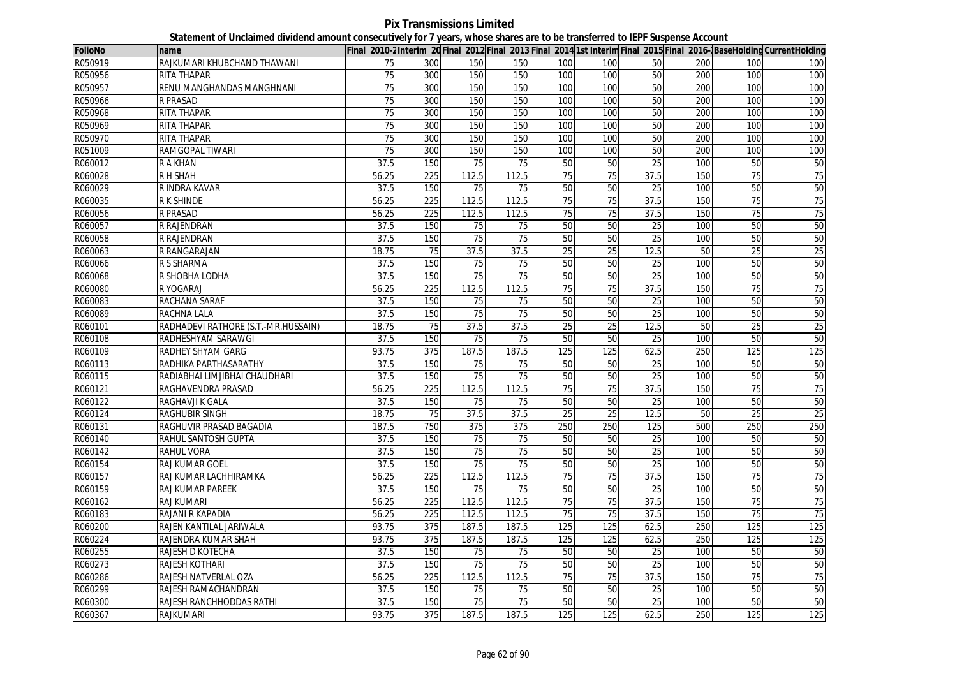**Pix Transmissions Limited Statement of Unclaimed dividend amount consecutively for 7 years, whose shares are to be transferred to IEPF Suspense Account**

| <b>FolioNo</b> | name                                |                   |                  |                 |                 |                 |                 |                 |     |                 | Final 2010-2Interim 20 Final 2012 Final 2013 Final 2014 1st Interim Final 2015 Final 2016-BaseHolding CurrentHolding |
|----------------|-------------------------------------|-------------------|------------------|-----------------|-----------------|-----------------|-----------------|-----------------|-----|-----------------|----------------------------------------------------------------------------------------------------------------------|
| R050919        | RAJKUMARI KHUBCHAND THAWANI         | 75                | 300              | 150             | 150             | 100             | 100             | 50              | 200 | 100             | 100                                                                                                                  |
| R050956        | <b>RITA THAPAR</b>                  | 75                | 300              | 150             | 150             | 100             | 100             | 50              | 200 | 100             | 100                                                                                                                  |
| R050957        | RENU MANGHANDAS MANGHNANI           | 75                | 300              | 150             | 150             | 100             | 100             | 50              | 200 | 100             | 100                                                                                                                  |
| R050966        | <b>R PRASAD</b>                     | 75                | 300              | 150             | 150             | 100             | 100             | 50              | 200 | 100             | 100                                                                                                                  |
| R050968        | RITA THAPAR                         | $\overline{75}$   | 300              | 150             | 150             | 100             | 100             | 50              | 200 | 100             | 100                                                                                                                  |
| R050969        | <b>RITA THAPAR</b>                  | 75                | 300              | 150             | 150             | 100             | 100             | 50              | 200 | 100             | 100                                                                                                                  |
| R050970        | <b>RITA THAPAR</b>                  | 75                | 300              | 150             | 150             | 100             | 100             | 50              | 200 | 100             | 100                                                                                                                  |
| R051009        | <b>RAMGOPAL TIWARI</b>              | 75                | 300              | 150             | 150             | 100             | 100             | 50              | 200 | 100             | 100                                                                                                                  |
| R060012        | <b>RAKHAN</b>                       | 37.5              | 150              | $\overline{75}$ | $\overline{75}$ | 50              | 50              | 25              | 100 | 50              | 50                                                                                                                   |
| R060028        | <b>RH SHAH</b>                      | 56.25             | 225              | 112.5           | 112.5           | 75              | 75              | 37.5            | 150 | $\overline{75}$ | 75                                                                                                                   |
| R060029        | R INDRA KAVAR                       | 37.5              | 150              | 75              | 75              | 50              | 50              | 25              | 100 | 50              | 50                                                                                                                   |
| R060035        | <b>RK SHINDE</b>                    | 56.25             | 225              | 112.5           | 112.5           | 75              | 75              | 37.5            | 150 | 75              | 75                                                                                                                   |
| R060056        | <b>R PRASAD</b>                     | 56.25             | 225              | 112.5           | 112.5           | 75              | 75              | 37.5            | 150 | 75              | 75                                                                                                                   |
| R060057        | R RAJENDRAN                         | $\overline{37.5}$ | 150              | 75              | 75              | 50              | 50              | $\overline{25}$ | 100 | 50              | 50                                                                                                                   |
| R060058        | <b>R RAJENDRAN</b>                  | 37.5              | 150              | $\overline{75}$ | 75              | 50              | 50              | 25              | 100 | 50              | 50                                                                                                                   |
| R060063        | R RANGARAJAN                        | 18.75             | 75               | 37.5            | 37.5            | 25              | $\overline{25}$ | 12.5            | 50  | 25              | 25                                                                                                                   |
| R060066        | R S SHARMA                          | 37.5              | 150              | 75              | 75              | 50              | 50              | 25              | 100 | 50              | 50                                                                                                                   |
| R060068        | R SHOBHA LODHA                      | 37.5              | 150              | 75              | 75              | 50              | 50              | 25              | 100 | 50              | 50                                                                                                                   |
| R060080        | R YOGARAJ                           | 56.25             | $\overline{225}$ | 112.5           | 112.5           | $\overline{75}$ | 75              | 37.5            | 150 | 75              | 75                                                                                                                   |
| R060083        | RACHANA SARAF                       | 37.5              | 150              | 75              | 75              | 50              | 50              | 25              | 100 | 50              | 50                                                                                                                   |
| R060089        | <b>RACHNA LALA</b>                  | 37.5              | 150              | 75              | 75              | 50              | 50              | 25              | 100 | 50              | 50                                                                                                                   |
| R060101        | RADHADEVI RATHORE (S.T.-MR.HUSSAIN) | 18.75             | 75               | 37.5            | 37.5            | $\overline{25}$ | $\overline{25}$ | 12.5            | 50  | 25              | 25                                                                                                                   |
| R060108        | RADHESHYAM SARAWGI                  | 37.5              | 150              | $\overline{75}$ | $\overline{75}$ | 50              | 50              | $\overline{25}$ | 100 | 50              | 50                                                                                                                   |
| R060109        | RADHEY SHYAM GARG                   | 93.75             | 375              | 187.5           | 187.5           | 125             | 125             | 62.5            | 250 | 125             | 125                                                                                                                  |
| R060113        | RADHIKA PARTHASARATHY               | 37.5              | 150              | 75              | 75              | 50              | 50              | $\overline{25}$ | 100 | 50              | 50                                                                                                                   |
| R060115        | RADIABHAI LIMJIBHAI CHAUDHARI       | 37.5              | 150              | 75              | 75              | 50              | 50              | 25              | 100 | 50              | 50                                                                                                                   |
| R060121        | RAGHAVENDRA PRASAD                  | 56.25             | 225              | 112.5           | 112.5           | 75              | 75              | 37.5            | 150 | 75              | 75                                                                                                                   |
| R060122        | RAGHAVJI K GALA                     | 37.5              | 150              | 75              | 75              | 50              | 50              | 25              | 100 | 50              | 50                                                                                                                   |
| R060124        | <b>RAGHUBIR SINGH</b>               | 18.75             | 75               | 37.5            | 37.5            | 25              | 25              | 12.5            | 50  | 25              | $\overline{25}$                                                                                                      |
| R060131        | RAGHUVIR PRASAD BAGADIA             | 187.5             | 750              | 375             | 375             | 250             | 250             | 125             | 500 | 250             | 250                                                                                                                  |
| R060140        | RAHUL SANTOSH GUPTA                 | 37.5              | 150              | 75              | 75              | 50              | 50              | 25              | 100 | 50              | 50                                                                                                                   |
| R060142        | <b>RAHUL VORA</b>                   | 37.5              | 150              | 75              | 75              | 50              | 50              | 25              | 100 | 50              | 50                                                                                                                   |
| R060154        | <b>RAJ KUMAR GOEL</b>               | 37.5              | 150              | 75              | 75              | 50              | 50              | 25              | 100 | 50              | 50                                                                                                                   |
| R060157        | RAJ KUMAR LACHHIRAMKA               | 56.25             | 225              | 112.5           | 112.5           | 75              | 75              | 37.5            | 150 | 75              | 75                                                                                                                   |
| R060159        | RAJ KUMAR PAREEK                    | 37.5              | 150              | 75              | 75              | 50              | 50              | 25              | 100 | 50              | 50                                                                                                                   |
| R060162        | <b>RAJ KUMARI</b>                   | 56.25             | 225              | 112.5           | 112.5           | 75              | 75              | 37.5            | 150 | 75              | 75                                                                                                                   |
| R060183        | RAJANI R KAPADIA                    | 56.25             | 225              | 112.5           | 112.5           | 75              | 75              | 37.5            | 150 | 75              | 75                                                                                                                   |
| R060200        | RAJEN KANTILAL JARIWALA             | 93.75             | 375              | 187.5           | 187.5           | 125             | 125             | 62.5            | 250 | 125             | 125                                                                                                                  |
| R060224        | RAJENDRA KUMAR SHAH                 | 93.75             | 375              | 187.5           | 187.5           | 125             | 125             | 62.5            | 250 | 125             | 125                                                                                                                  |
| R060255        | RAJESH D KOTECHA                    | 37.5              | 150              | 75              | 75              | 50              | 50              | 25              | 100 | 50              | 50                                                                                                                   |
| R060273        | RAJESH KOTHARI                      | 37.5              | 150              | 75              | $\overline{75}$ | 50              | 50              | 25              | 100 | 50              | 50                                                                                                                   |
| R060286        | RAJESH NATVERLAL OZA                | 56.25             | 225              | 112.5           | 112.5           | 75              | 75              | 37.5            | 150 | 75              | 75                                                                                                                   |
| R060299        | RAJESH RAMACHANDRAN                 | 37.5              | 150              | 75              | 75              | 50              | 50              | 25              | 100 | 50              | 50                                                                                                                   |
| R060300        | RAJESH RANCHHODDAS RATHI            | 37.5              | 150              | 75              | 75              | 50              | 50              | 25              | 100 | 50              | 50                                                                                                                   |
| R060367        | <b>RAJKUMARI</b>                    | 93.75             | 375              | 187.5           | 187.5           | 125             | 125             | 62.5            | 250 | 125             | 125                                                                                                                  |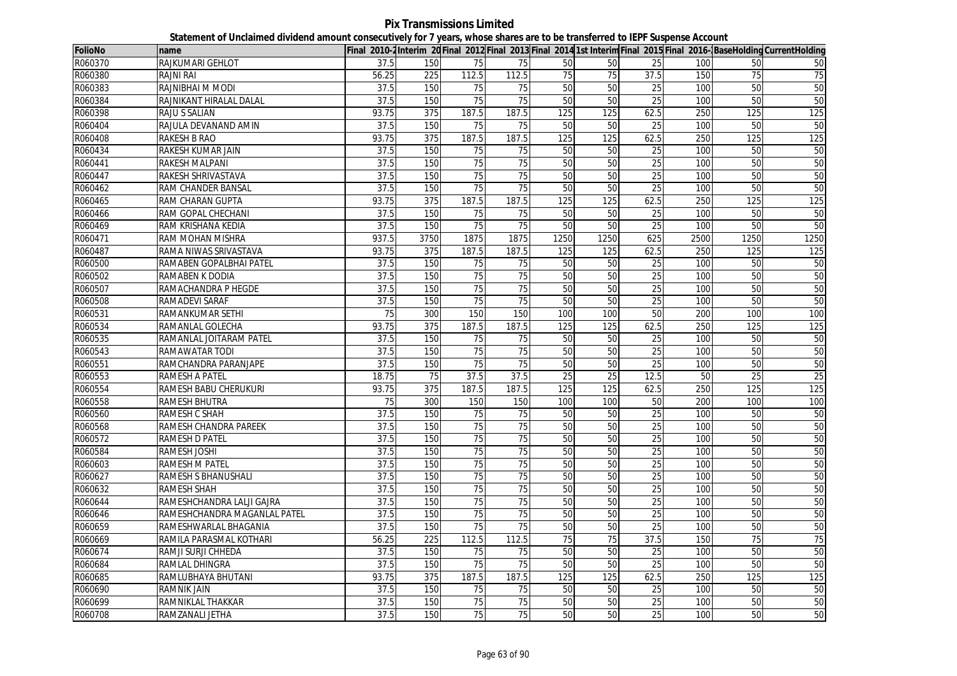**Pix Transmissions Limited Statement of Unclaimed dividend amount consecutively for 7 years, whose shares are to be transferred to IEPF Suspense Account**

| <b>FolioNo</b> | name                         |       |                  |                 |                 |                  |                 |                 |      |                 | Final 2010-2Interim 20 Final 2012 Final 2013 Final 2014 1st Interim Final 2015 Final 2016-BaseHolding CurrentHolding |
|----------------|------------------------------|-------|------------------|-----------------|-----------------|------------------|-----------------|-----------------|------|-----------------|----------------------------------------------------------------------------------------------------------------------|
| R060370        | RAJKUMARI GEHLOT             | 37.5  | 150              | 75              | 75              | 50               | 50              | 25              | 100  | 50              | 50                                                                                                                   |
| R060380        | <b>RAJNI RAI</b>             | 56.25 | 225              | 112.5           | 112.5           | 75               | 75              | 37.5            | 150  | 75              | $\overline{75}$                                                                                                      |
| R060383        | RAJNIBHAI M MODI             | 37.5  | 150              | 75              | 75              | 50               | 50              | 25              | 100  | 50              | 50                                                                                                                   |
| R060384        | RAJNIKANT HIRALAL DALAL      | 37.5  | 150              | 75              | 75              | 50               | 50              | 25              | 100  | 50              | 50                                                                                                                   |
| R060398        | <b>RAJU S SALIAN</b>         | 93.75 | 375              | 187.5           | 187.5           | 125              | 125             | 62.5            | 250  | 125             | 125                                                                                                                  |
| R060404        | RAJULA DEVANAND AMIN         | 37.5  | 150              | 75              | $\overline{75}$ | 50               | 50              | 25              | 100  | 50              | 50                                                                                                                   |
| R060408        | <b>RAKESH B RAO</b>          | 93.75 | 375              | 187.5           | 187.5           | 125              | 125             | 62.5            | 250  | 125             | 125                                                                                                                  |
| R060434        | RAKESH KUMAR JAIN            | 37.5  | 150              | 75              | 75              | 50               | 50              | 25              | 100  | 50              | 50                                                                                                                   |
| R060441        | <b>RAKESH MALPANI</b>        | 37.5  | 150              | 75              | 75              | 50               | 50              | 25              | 100  | 50              | 50                                                                                                                   |
| R060447        | RAKESH SHRIVASTAVA           | 37.5  | 150              | 75              | $\overline{75}$ | 50               | 50              | $\overline{25}$ | 100  | 50              | 50                                                                                                                   |
| R060462        | RAM CHANDER BANSAL           | 37.5  | 150              | $\overline{75}$ | 75              | 50               | 50              | 25              | 100  | 50              | 50                                                                                                                   |
| R060465        | RAM CHARAN GUPTA             | 93.75 | 375              | 187.5           | 187.5           | 125              | 125             | 62.5            | 250  | 125             | 125                                                                                                                  |
| R060466        | RAM GOPAL CHECHANI           | 37.5  | 150              | 75              | 75              | 50               | 50              | 25              | 100  | 50              | 50                                                                                                                   |
| R060469        | RAM KRISHANA KEDIA           | 37.5  | 150              | $\overline{75}$ | 75              | 50               | 50              | 25              | 100  | 50              | 50                                                                                                                   |
| R060471        | RAM MOHAN MISHRA             | 937.5 | 3750             | 1875            | 1875            | 1250             | 1250            | 625             | 2500 | 1250            | 1250                                                                                                                 |
| R060487        | RAMA NIWAS SRIVASTAVA        | 93.75 | 375              | 187.5           | 187.5           | $\overline{125}$ | 125             | 62.5            | 250  | 125             | 125                                                                                                                  |
| R060500        | RAMABEN GOPALBHAI PATEL      | 37.5  | 150              | 75              | 75              | 50               | 50              | 25              | 100  | 50              | 50                                                                                                                   |
| R060502        | RAMABEN K DODIA              | 37.5  | 150              | 75              | $\overline{75}$ | 50               | 50              | 25              | 100  | 50              | 50                                                                                                                   |
| R060507        | RAMACHANDRA P HEGDE          | 37.5  | 150              | 75              | 75              | 50               | 50              | 25              | 100  | 50              | 50                                                                                                                   |
| R060508        | RAMADEVI SARAF               | 37.5  | 150              | 75              | $\overline{75}$ | 50               | 50              | $\overline{25}$ | 100  | 50              | 50                                                                                                                   |
| R060531        | <b>RAMANKUMAR SETHI</b>      | 75    | 300              | 150             | 150             | 100              | 100             | 50              | 200  | 100             | 100                                                                                                                  |
| R060534        | RAMANLAL GOLECHA             | 93.75 | 375              | 187.5           | 187.5           | 125              | 125             | 62.5            | 250  | 125             | 125                                                                                                                  |
| R060535        | RAMANLAL JOITARAM PATEL      | 37.5  | 150              | 75              | 75              | 50               | 50              | 25              | 100  | 50              | 50                                                                                                                   |
| R060543        | <b>RAMAWATAR TODI</b>        | 37.5  | 150              | 75              | 75              | 50               | 50              | 25              | 100  | 50              | 50                                                                                                                   |
| R060551        | RAMCHANDRA PARANJAPE         | 37.5  | 150              | 75              | $\overline{75}$ | 50               | 50              | 25              | 100  | 50              | 50                                                                                                                   |
| R060553        | <b>RAMESH A PATEL</b>        | 18.75 | 75               | 37.5            | 37.5            | 25               | 25              | 12.5            | 50   | $\overline{25}$ | 25                                                                                                                   |
| R060554        | RAMESH BABU CHERUKURI        | 93.75 | 375              | 187.5           | 187.5           | 125              | 125             | 62.5            | 250  | 125             | 125                                                                                                                  |
| R060558        | <b>RAMESH BHUTRA</b>         | 75    | 300              | 150             | 150             | 100              | 100             | 50              | 200  | 100             | 100                                                                                                                  |
| R060560        | RAMESH C SHAH                | 37.5  | 150              | $\overline{75}$ | $\overline{75}$ | 50               | 50              | 25              | 100  | 50              | 50                                                                                                                   |
| R060568        | RAMESH CHANDRA PAREEK        | 37.5  | 150              | 75              | 75              | 50               | 50              | 25              | 100  | 50              | 50                                                                                                                   |
| R060572        | RAMESH D PATEL               | 37.5  | 150              | 75              | 75              | 50               | 50              | 25              | 100  | 50              | 50                                                                                                                   |
| R060584        | RAMESH JOSHI                 | 37.5  | 150              | 75              | $\overline{75}$ | 50               | 50              | 25              | 100  | 50              | 50                                                                                                                   |
| R060603        | <b>RAMESH M PATEL</b>        | 37.5  | 150              | 75              | 75              | 50               | 50              | 25              | 100  | 50              | 50                                                                                                                   |
| R060627        | <b>RAMESH S BHANUSHALI</b>   | 37.5  | 150              | 75              | 75              | 50               | 50              | 25              | 100  | 50              | 50                                                                                                                   |
| R060632        | <b>RAMESH SHAH</b>           | 37.5  | 150              | 75              | 75              | 50               | 50              | 25              | 100  | 50              | 50                                                                                                                   |
| R060644        | RAMESHCHANDRA LALJI GAJRA    | 37.5  | 150              | 75              | $\overline{75}$ | 50               | 50              | $\overline{25}$ | 100  | 50              | 50                                                                                                                   |
| R060646        | RAMESHCHANDRA MAGANLAL PATEL | 37.5  | 150              | 75              | 75              | 50               | 50              | 25              | 100  | 50              | 50                                                                                                                   |
| R060659        | RAMESHWARLAL BHAGANIA        | 37.5  | 150              | 75              | 75              | 50               | 50              | $\overline{25}$ | 100  | 50              | 50                                                                                                                   |
| R060669        | RAMILA PARASMAL KOTHARI      | 56.25 | $\overline{225}$ | 112.5           | 112.5           | $\overline{75}$  | $\overline{75}$ | 37.5            | 150  | $\overline{75}$ | 75                                                                                                                   |
| R060674        | RAMJI SURJI CHHEDA           | 37.5  | 150              | 75              | 75              | 50               | 50              | 25              | 100  | 50              | 50                                                                                                                   |
| R060684        | RAMLAL DHINGRA               | 37.5  | 150              | $\overline{75}$ | $\overline{75}$ | 50               | 50              | 25              | 100  | 50              | 50                                                                                                                   |
| R060685        | RAMLUBHAYA BHUTANI           | 93.75 | 375              | 187.5           | 187.5           | 125              | 125             | 62.5            | 250  | 125             | 125                                                                                                                  |
| R060690        | <b>RAMNIK JAIN</b>           | 37.5  | 150              | $\overline{75}$ | 75              | 50               | 50              | 25              | 100  | 50              | 50                                                                                                                   |
| R060699        | RAMNIKLAL THAKKAR            | 37.5  | 150              | 75              | 75              | 50               | 50              | $\overline{25}$ | 100  | 50              | 50                                                                                                                   |
| R060708        | RAMZANALI JETHA              | 37.5  | 150              | 75              | 75              | 50               | 50              | 25              | 100  | 50              | 50                                                                                                                   |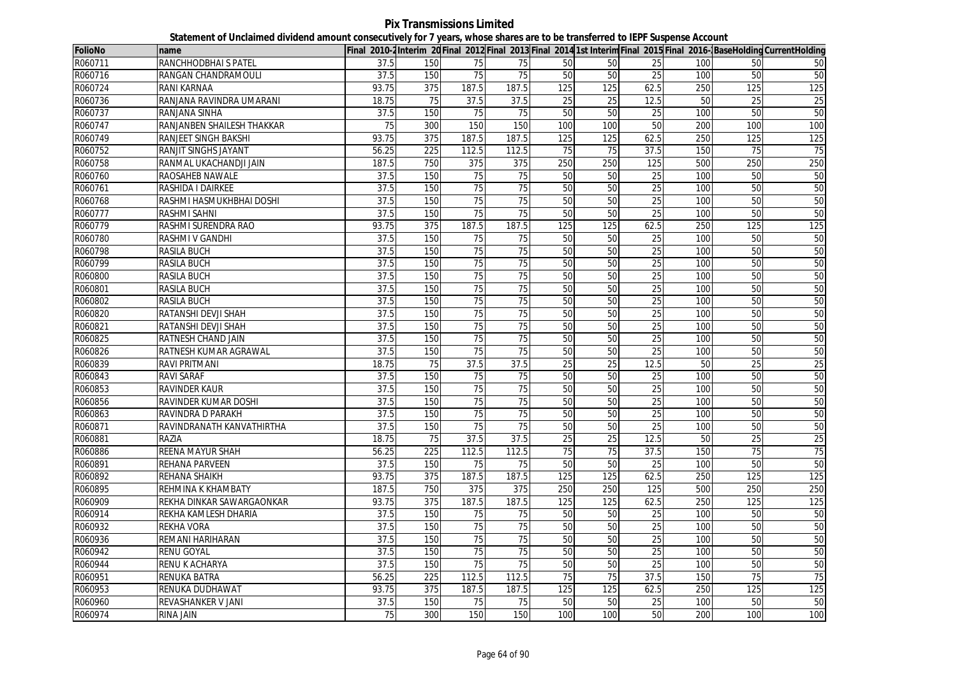**Pix Transmissions Limited Statement of Unclaimed dividend amount consecutively for 7 years, whose shares are to be transferred to IEPF Suspense Account**

| <b>FolioNo</b> | name                       |                 |     |                 |                 |                 |     |                 |     |     | Final 2010-2Interim 20Final 2012 Final 2013 Final 2014 1st Interim Final 2015 Final 2016-BaseHolding CurrentHolding |
|----------------|----------------------------|-----------------|-----|-----------------|-----------------|-----------------|-----|-----------------|-----|-----|---------------------------------------------------------------------------------------------------------------------|
| R060711        | RANCHHODBHAI S PATEL       | 37.5            | 150 | 75              | 75              | 50              | 50  | 25              | 100 | 50  | 50                                                                                                                  |
| R060716        | RANGAN CHANDRAMOULI        | 37.5            | 150 | 75              | 75              | 50              | 50  | 25              | 100 | 50  | 50                                                                                                                  |
| R060724        | RANI KARNAA                | 93.75           | 375 | 187.5           | 187.5           | 125             | 125 | 62.5            | 250 | 125 | 125                                                                                                                 |
| R060736        | RANJANA RAVINDRA UMARANI   | 18.75           | 75  | 37.5            | 37.5            | 25              | 25  | 12.5            | 50  | 25  | 25                                                                                                                  |
| R060737        | RANJANA SINHA              | 37.5            | 150 | 75              | 75              | 50              | 50  | $\overline{25}$ | 100 | 50  | 50                                                                                                                  |
| R060747        | RANJANBEN SHAILESH THAKKAR | $\overline{75}$ | 300 | 150             | 150             | 100             | 100 | 50              | 200 | 100 | 100                                                                                                                 |
| R060749        | RANJEET SINGH BAKSHI       | 93.75           | 375 | 187.5           | 187.5           | 125             | 125 | 62.5            | 250 | 125 | 125                                                                                                                 |
| R060752        | RANJIT SINGHS JAYANT       | 56.25           | 225 | 112.5           | 112.5           | 75              | 75  | 37.5            | 150 | 75  | $\overline{75}$                                                                                                     |
| R060758        | RANMAL UKACHANDJI JAIN     | 187.5           | 750 | 375             | 375             | 250             | 250 | 125             | 500 | 250 | 250                                                                                                                 |
| R060760        | RAOSAHEB NAWALE            | 37.5            | 150 | 75              | 75              | 50              | 50  | 25              | 100 | 50  | 50                                                                                                                  |
| R060761        | RASHIDA I DAIRKEE          | 37.5            | 150 | 75              | 75              | 50              | 50  | 25              | 100 | 50  | 50                                                                                                                  |
| R060768        | RASHMI HASMUKHBHAI DOSHI   | 37.5            | 150 | 75              | 75              | 50              | 50  | 25              | 100 | 50  | 50                                                                                                                  |
| R060777        | RASHMI SAHNI               | 37.5            | 150 | 75              | 75              | 50              | 50  | 25              | 100 | 50  | 50                                                                                                                  |
| R060779        | RASHMI SURENDRA RAO        | 93.75           | 375 | 187.5           | 187.5           | 125             | 125 | 62.5            | 250 | 125 | 125                                                                                                                 |
| R060780        | RASHMI V GANDHI            | 37.5            | 150 | 75              | 75              | 50              | 50  | 25              | 100 | 50  | 50                                                                                                                  |
| R060798        | <b>RASILA BUCH</b>         | 37.5            | 150 | 75              | $\overline{75}$ | 50              | 50  | 25              | 100 | 50  | 50                                                                                                                  |
| R060799        | RASILA BUCH                | 37.5            | 150 | $\overline{75}$ | 75              | 50              | 50  | 25              | 100 | 50  | 50                                                                                                                  |
| R060800        | <b>RASILA BUCH</b>         | 37.5            | 150 | 75              | 75              | 50              | 50  | $\overline{25}$ | 100 | 50  | 50                                                                                                                  |
| R060801        | RASILA BUCH                | 37.5            | 150 | 75              | 75              | 50              | 50  | 25              | 100 | 50  | 50                                                                                                                  |
| R060802        | <b>RASILA BUCH</b>         | 37.5            | 150 | 75              | 75              | 50              | 50  | 25              | 100 | 50  | 50                                                                                                                  |
| R060820        | RATANSHI DEVJI SHAH        | 37.5            | 150 | 75              | 75              | 50              | 50  | 25              | 100 | 50  | 50                                                                                                                  |
| R060821        | RATANSHI DEVJI SHAH        | 37.5            | 150 | 75              | 75              | 50              | 50  | 25              | 100 | 50  | 50                                                                                                                  |
| R060825        | RATNESH CHAND JAIN         | 37.5            | 150 | 75              | 75              | 50              | 50  | 25              | 100 | 50  | 50                                                                                                                  |
| R060826        | RATNESH KUMAR AGRAWAL      | 37.5            | 150 | 75              | 75              | 50              | 50  | 25              | 100 | 50  | 50                                                                                                                  |
| R060839        | RAVI PRITMANI              | 18.75           | 75  | 37.5            | 37.5            | $\overline{25}$ | 25  | 12.5            | 50  | 25  | 25                                                                                                                  |
| R060843        | <b>RAVI SARAF</b>          | 37.5            | 150 | $\overline{75}$ | $\overline{75}$ | 50              | 50  | 25              | 100 | 50  | 50                                                                                                                  |
| R060853        | RAVINDER KAUR              | 37.5            | 150 | 75              | 75              | 50              | 50  | 25              | 100 | 50  | 50                                                                                                                  |
| R060856        | RAVINDER KUMAR DOSHI       | 37.5            | 150 | 75              | 75              | 50              | 50  | $\overline{25}$ | 100 | 50  | 50                                                                                                                  |
| R060863        | RAVINDRA D PARAKH          | 37.5            | 150 | 75              | 75              | 50              | 50  | 25              | 100 | 50  | 50                                                                                                                  |
| R060871        | RAVINDRANATH KANVATHIRTHA  | 37.5            | 150 | 75              | 75              | 50              | 50  | 25              | 100 | 50  | 50                                                                                                                  |
| R060881        | RAZIA                      | 18.75           | 75  | 37.5            | 37.5            | 25              | 25  | 12.5            | 50  | 25  | 25                                                                                                                  |
| R060886        | <b>REENA MAYUR SHAH</b>    | 56.25           | 225 | 112.5           | 112.5           | 75              | 75  | 37.5            | 150 | 75  | 75                                                                                                                  |
| R060891        | REHANA PARVEEN             | 37.5            | 150 | 75              | 75              | 50              | 50  | 25              | 100 | 50  | 50                                                                                                                  |
| R060892        | REHANA SHAIKH              | 93.75           | 375 | 187.5           | 187.5           | 125             | 125 | 62.5            | 250 | 125 | 125                                                                                                                 |
| R060895        | REHMINA K KHAMBATY         | 187.5           | 750 | 375             | 375             | 250             | 250 | 125             | 500 | 250 | 250                                                                                                                 |
| R060909        | REKHA DINKAR SAWARGAONKAR  | 93.75           | 375 | 187.5           | 187.5           | 125             | 125 | 62.5            | 250 | 125 | 125                                                                                                                 |
| R060914        | REKHA KAMLESH DHARIA       | 37.5            | 150 | 75              | 75              | 50              | 50  | 25              | 100 | 50  | 50                                                                                                                  |
| R060932        | REKHA VORA                 | 37.5            | 150 | 75              | 75              | 50              | 50  | 25              | 100 | 50  | 50                                                                                                                  |
| R060936        | REMANI HARIHARAN           | 37.5            | 150 | $\overline{75}$ | $\overline{75}$ | 50              | 50  | $\overline{25}$ | 100 | 50  | 50                                                                                                                  |
| R060942        | RENU GOYAL                 | 37.5            | 150 | 75              | 75              | 50              | 50  | 25              | 100 | 50  | 50                                                                                                                  |
| R060944        | RENU K ACHARYA             | 37.5            | 150 | 75              | $\overline{75}$ | 50              | 50  | 25              | 100 | 50  | 50                                                                                                                  |
| R060951        | <b>RENUKA BATRA</b>        | 56.25           | 225 | 112.5           | 112.5           | 75              | 75  | 37.5            | 150 | 75  | 75                                                                                                                  |
| R060953        | RENUKA DUDHAWAT            | 93.75           | 375 | 187.5           | 187.5           | 125             | 125 | 62.5            | 250 | 125 | 125                                                                                                                 |
| R060960        | REVASHANKER V JANI         | 37.5            | 150 | 75              | 75              | 50              | 50  | $\overline{25}$ | 100 | 50  | 50                                                                                                                  |
| R060974        | RINA JAIN                  | $\overline{75}$ | 300 | 150             | 150             | 100             | 100 | 50              | 200 | 100 | 100                                                                                                                 |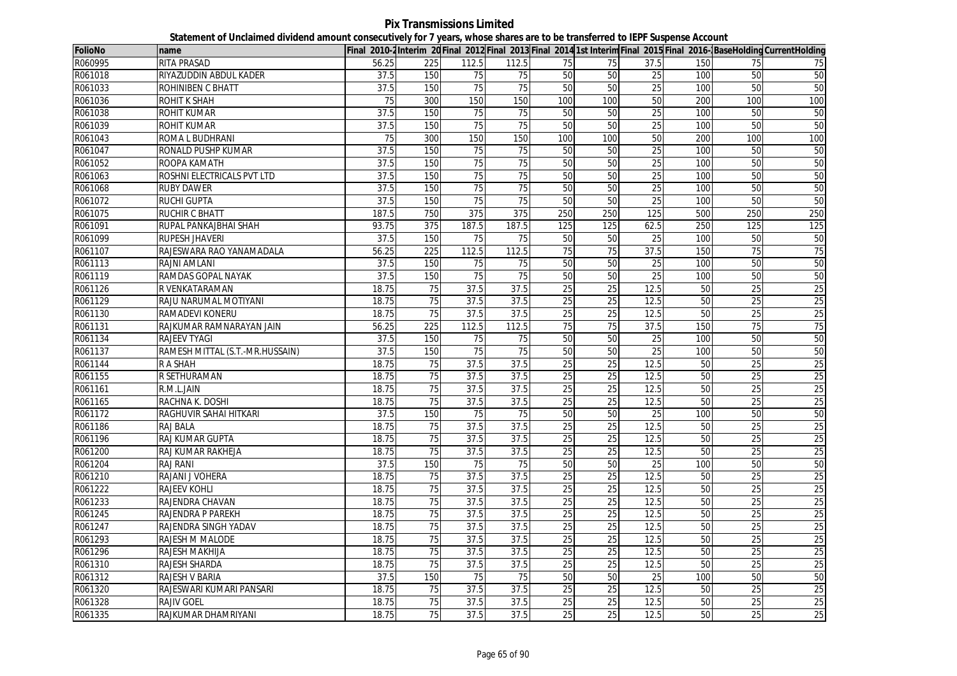**Pix Transmissions Limited Statement of Unclaimed dividend amount consecutively for 7 years, whose shares are to be transferred to IEPF Suspense Account**

| <b>FolioNo</b> | name                            |       |                 |                 |                 |                 |                 |                 |     |                 | Final 2010-2Interim 20 Final 2012 Final 2013 Final 2014 1st Interim Final 2015 Final 2016-BaseHolding CurrentHolding |
|----------------|---------------------------------|-------|-----------------|-----------------|-----------------|-----------------|-----------------|-----------------|-----|-----------------|----------------------------------------------------------------------------------------------------------------------|
| R060995        | <b>RITA PRASAD</b>              | 56.25 | 225             | 112.5           | 112.5           | 75              | 75              | 37.5            | 150 | 75              | 75                                                                                                                   |
| R061018        | RIYAZUDDIN ABDUL KADER          | 37.5  | 150             | $\overline{75}$ | 75              | 50              | 50              | 25              | 100 | 50              | 50                                                                                                                   |
| R061033        | <b>ROHINIBEN C BHATT</b>        | 37.5  | 150             | 75              | 75              | 50              | 50              | 25              | 100 | 50              | 50                                                                                                                   |
| R061036        | <b>ROHIT K SHAH</b>             | 75    | 300             | 150             | 150             | 100             | 100             | 50              | 200 | 100             | 100                                                                                                                  |
| R061038        | <b>ROHIT KUMAR</b>              | 37.5  | 150             | 75              | 75              | 50              | 50              | 25              | 100 | 50              | 50                                                                                                                   |
| R061039        | <b>ROHIT KUMAR</b>              | 37.5  | 150             | 75              | 75              | 50              | 50              | 25              | 100 | 50              | 50                                                                                                                   |
| R061043        | ROMA L BUDHRANI                 | 75    | 300             | 150             | 150             | 100             | 100             | 50              | 200 | 100             | 100                                                                                                                  |
| R061047        | <b>RONALD PUSHP KUMAR</b>       | 37.5  | 150             | 75              | 75              | 50              | 50              | 25              | 100 | 50              | 50                                                                                                                   |
| R061052        | ROOPA KAMATH                    | 37.5  | 150             | 75              | 75              | 50              | 50              | $\overline{25}$ | 100 | 50              | 50                                                                                                                   |
| R061063        | ROSHNI ELECTRICALS PVT LTD      | 37.5  | 150             | $\overline{75}$ | 75              | 50              | 50              | $\overline{25}$ | 100 | 50              | 50                                                                                                                   |
| R061068        | <b>RUBY DAWER</b>               | 37.5  | 150             | 75              | 75              | 50              | 50              | 25              | 100 | 50              | 50                                                                                                                   |
| R061072        | <b>RUCHI GUPTA</b>              | 37.5  | 150             | $\overline{75}$ | $\overline{75}$ | 50              | 50              | 25              | 100 | 50              | 50                                                                                                                   |
| R061075        | <b>RUCHIR C BHATT</b>           | 187.5 | 750             | 375             | 375             | 250             | 250             | 125             | 500 | 250             | 250                                                                                                                  |
| R061091        | RUPAL PANKAJBHAI SHAH           | 93.75 | 375             | 187.5           | 187.5           | 125             | 125             | 62.5            | 250 | 125             | 125                                                                                                                  |
| R061099        | <b>RUPESH JHAVERI</b>           | 37.5  | 150             | $\overline{75}$ | 75              | 50              | 50              | 25              | 100 | 50              | 50                                                                                                                   |
| R061107        | RAJESWARA RAO YANAMADALA        | 56.25 | 225             | 112.5           | 112.5           | 75              | 75              | 37.5            | 150 | 75              | 75                                                                                                                   |
| R061113        | <b>RAJNI AMLANI</b>             | 37.5  | 150             | 75              | 75              | 50              | 50              | 25              | 100 | 50              | 50                                                                                                                   |
| R061119        | RAMDAS GOPAL NAYAK              | 37.5  | 150             | 75              | 75              | 50              | 50              | 25              | 100 | 50              | 50                                                                                                                   |
| R061126        | R VENKATARAMAN                  | 18.75 | 75              | 37.5            | 37.5            | 25              | $\overline{25}$ | 12.5            | 50  | $\overline{25}$ | 25                                                                                                                   |
| R061129        | RAJU NARUMAL MOTIYANI           | 18.75 | 75              | 37.5            | 37.5            | 25              | 25              | 12.5            | 50  | 25              | 25                                                                                                                   |
| R061130        | RAMADEVI KONERU                 | 18.75 | 75              | 37.5            | 37.5            | 25              | 25              | 12.5            | 50  | 25              | 25                                                                                                                   |
| R061131        | RAJKUMAR RAMNARAYAN JAIN        | 56.25 | 225             | 112.5           | 112.5           | 75              | 75              | 37.5            | 150 | 75              | 75                                                                                                                   |
| R061134        | <b>RAJEEV TYAGI</b>             | 37.5  | 150             | 75              | 75              | 50              | 50              | 25              | 100 | 50              | 50                                                                                                                   |
| R061137        | RAMESH MITTAL (S.T.-MR.HUSSAIN) | 37.5  | 150             | 75              | 75              | 50              | 50              | 25              | 100 | 50              | 50                                                                                                                   |
| R061144        | <b>RASHAH</b>                   | 18.75 | 75              | 37.5            | 37.5            | 25              | 25              | 12.5            | 50  | 25              | 25                                                                                                                   |
| R061155        | R SETHURAMAN                    | 18.75 | 75              | 37.5            | 37.5            | 25              | 25              | 12.5            | 50  | $\overline{25}$ | 25                                                                                                                   |
| R061161        | R.M.L.JAIN                      | 18.75 | 75              | 37.5            | 37.5            | 25              | 25              | 12.5            | 50  | 25              | 25                                                                                                                   |
| R061165        | RACHNA K. DOSHI                 | 18.75 | 75              | 37.5            | 37.5            | $\overline{25}$ | 25              | 12.5            | 50  | $\overline{25}$ | 25                                                                                                                   |
| R061172        | <b>RAGHUVIR SAHAI HITKARI</b>   | 37.5  | 150             | 75              | 75              | 50              | 50              | 25              | 100 | 50              | 50                                                                                                                   |
| R061186        | RAJ BALA                        | 18.75 | 75              | 37.5            | 37.5            | 25              | 25              | 12.5            | 50  | 25              | 25                                                                                                                   |
| R061196        | <b>RAJ KUMAR GUPTA</b>          | 18.75 | 75              | 37.5            | 37.5            | 25              | 25              | 12.5            | 50  | 25              | 25                                                                                                                   |
| R061200        | RAJ KUMAR RAKHEJA               | 18.75 | 75              | 37.5            | 37.5            | 25              | 25              | 12.5            | 50  | 25              | 25                                                                                                                   |
| R061204        | <b>RAJ RANI</b>                 | 37.5  | 150             | 75              | 75              | 50              | 50              | 25              | 100 | 50              | 50                                                                                                                   |
| R061210        | RAJANI J VOHERA                 | 18.75 | 75              | 37.5            | 37.5            | 25              | $\overline{25}$ | 12.5            | 50  | $\overline{25}$ | 25                                                                                                                   |
| R061222        | <b>RAJEEV KOHLI</b>             | 18.75 | 75              | 37.5            | 37.5            | 25              | 25              | 12.5            | 50  | 25              | 25                                                                                                                   |
| R061233        | RAJENDRA CHAVAN                 | 18.75 | $\overline{75}$ | 37.5            | 37.5            | $\overline{25}$ | 25              | 12.5            | 50  | 25              | $\overline{25}$                                                                                                      |
| R061245        | RAJENDRA P PAREKH               | 18.75 | 75              | 37.5            | 37.5            | 25              | 25              | 12.5            | 50  | 25              | 25                                                                                                                   |
| R061247        | RAJENDRA SINGH YADAV            | 18.75 | 75              | 37.5            | 37.5            | $\overline{25}$ | 25              | 12.5            | 50  | 25              | 25                                                                                                                   |
| R061293        | RAJESH M MALODE                 | 18.75 | $\overline{75}$ | 37.5            | 37.5            | $\overline{25}$ | 25              | 12.5            | 50  | 25              | 25                                                                                                                   |
| R061296        | RAJESH MAKHIJA                  | 18.75 | 75              | 37.5            | 37.5            | 25              | 25              | 12.5            | 50  | 25              | 25                                                                                                                   |
| R061310        | <b>RAJESH SHARDA</b>            | 18.75 | 75              | 37.5            | 37.5            | 25              | 25              | 12.5            | 50  | $\overline{25}$ | 25                                                                                                                   |
| R061312        | RAJESH V BARIA                  | 37.5  | 150             | 75              | 75              | 50              | 50              | 25              | 100 | 50              | 50                                                                                                                   |
| R061320        | RAJESWARI KUMARI PANSARI        | 18.75 | 75              | 37.5            | 37.5            | 25              | 25              | 12.5            | 50  | 25              | 25                                                                                                                   |
| R061328        | <b>RAJIV GOEL</b>               | 18.75 | 75              | 37.5            | 37.5            | $\overline{25}$ | 25              | 12.5            | 50  | 25              | 25                                                                                                                   |
| R061335        | RAJKUMAR DHAMRIYANI             | 18.75 | 75              | 37.5            | 37.5            | 25              | $\overline{25}$ | 12.5            | 50  | 25              | 25                                                                                                                   |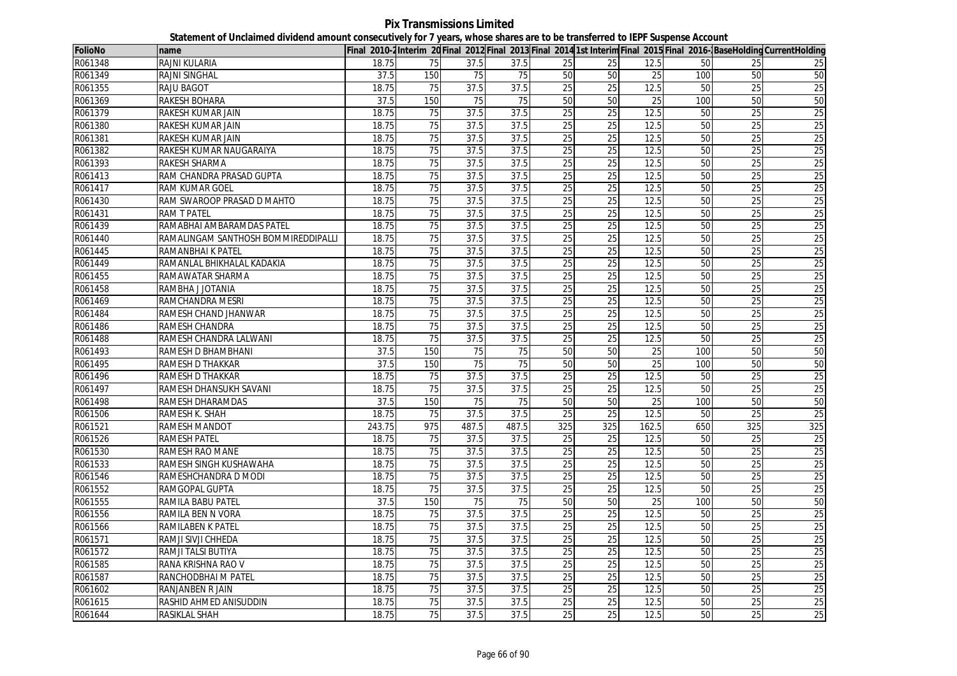**Pix Transmissions Limited Statement of Unclaimed dividend amount consecutively for 7 years, whose shares are to be transferred to IEPF Suspense Account**

| <b>FolioNo</b> | name                                |        |                 |       |                   |                 |                 |                 |                 |                 | Final 2010-2Interim 20 Final 2012 Final 2013 Final 2014 1st Interim Final 2015 Final 2016-BaseHolding CurrentHolding |
|----------------|-------------------------------------|--------|-----------------|-------|-------------------|-----------------|-----------------|-----------------|-----------------|-----------------|----------------------------------------------------------------------------------------------------------------------|
| R061348        | RAJNI KULARIA                       | 18.75  | 75              | 37.5  | 37.5              | 25              | 25              | 12.5            | 50              | 25              | 25                                                                                                                   |
| R061349        | <b>RAJNI SINGHAL</b>                | 37.5   | 150             | 75    | 75                | 50              | 50              | 25              | 100             | 50              | 50                                                                                                                   |
| R061355        | <b>RAJU BAGOT</b>                   | 18.75  | 75              | 37.5  | 37.5              | 25              | 25              | 12.5            | 50              | 25              | 25                                                                                                                   |
| R061369        | RAKESH BOHARA                       | 37.5   | 150             | 75    | 75                | 50              | 50              | 25              | 100             | 50              | 50                                                                                                                   |
| R061379        | RAKESH KUMAR JAIN                   | 18.75  | 75              | 37.5  | 37.5              | 25              | 25              | 12.5            | 50              | 25              | 25                                                                                                                   |
| R061380        | RAKESH KUMAR JAIN                   | 18.75  | 75              | 37.5  | 37.5              | 25              | 25              | 12.5            | 50              | 25              | 25                                                                                                                   |
| R061381        | RAKESH KUMAR JAIN                   | 18.75  | 75              | 37.5  | 37.5              | 25              | 25              | 12.5            | 50              | 25              | 25                                                                                                                   |
| R061382        | RAKESH KUMAR NAUGARAIYA             | 18.75  | 75              | 37.5  | 37.5              | 25              | 25              | 12.5            | 50              | 25              | 25                                                                                                                   |
| R061393        | RAKESH SHARMA                       | 18.75  | $\overline{75}$ | 37.5  | 37.5              | $\overline{25}$ | $\overline{25}$ | 12.5            | 50              | 25              | 25                                                                                                                   |
| R061413        | RAM CHANDRA PRASAD GUPTA            | 18.75  | 75              | 37.5  | 37.5              | 25              | 25              | 12.5            | 50              | 25              | 25                                                                                                                   |
| R061417        | <b>RAM KUMAR GOEL</b>               | 18.75  | 75              | 37.5  | 37.5              | 25              | $\overline{25}$ | 12.5            | 50              | 25              | 25                                                                                                                   |
| R061430        | RAM SWAROOP PRASAD D MAHTO          | 18.75  | 75              | 37.5  | 37.5              | 25              | 25              | 12.5            | 50              | 25              | 25                                                                                                                   |
| R061431        | RAM T PATEL                         | 18.75  | 75              | 37.5  | 37.5              | 25              | 25              | 12.5            | 50              | 25              | 25                                                                                                                   |
| R061439        | RAMABHAI AMBARAMDAS PATEL           | 18.75  | 75              | 37.5  | 37.5              | 25              | 25              | 12.5            | 50              | $\overline{25}$ | 25                                                                                                                   |
| R061440        | RAMALINGAM SANTHOSH BOMMIREDDIPALLI | 18.75  | 75              | 37.5  | 37.5              | 25              | 25              | 12.5            | 50              | $\overline{25}$ | 25                                                                                                                   |
| R061445        | RAMANBHAI K PATEL                   | 18.75  | $\overline{75}$ | 37.5  | $\overline{37.5}$ | 25              | $\overline{25}$ | 12.5            | 50              | $\overline{25}$ | 25                                                                                                                   |
| R061449        | RAMANLAL BHIKHALAL KADAKIA          | 18.75  | $\overline{75}$ | 37.5  | 37.5              | $\overline{25}$ | 25              | 12.5            | 50              | 25              | 25                                                                                                                   |
| R061455        | RAMAWATAR SHARMA                    | 18.75  | 75              | 37.5  | 37.5              | 25              | 25              | 12.5            | 50              | 25              | 25                                                                                                                   |
| R061458        | RAMBHA J JOTANIA                    | 18.75  | $\overline{75}$ | 37.5  | 37.5              | 25              | $\overline{25}$ | 12.5            | 50              | $\overline{25}$ | 25                                                                                                                   |
| R061469        | RAMCHANDRA MESRI                    | 18.75  | 75              | 37.5  | 37.5              | 25              | 25              | 12.5            | 50              | 25              | 25                                                                                                                   |
| R061484        | RAMESH CHAND JHANWAR                | 18.75  | 75              | 37.5  | 37.5              | 25              | 25              | 12.5            | 50              | 25              | 25                                                                                                                   |
| R061486        | RAMESH CHANDRA                      | 18.75  | 75              | 37.5  | 37.5              | $\overline{25}$ | 25              | 12.5            | 50              | 25              | 25                                                                                                                   |
| R061488        | RAMESH CHANDRA LALWANI              | 18.75  | 75              | 37.5  | 37.5              | $\overline{25}$ | $\overline{25}$ | 12.5            | 50              | $\overline{25}$ | 25                                                                                                                   |
| R061493        | RAMESH D BHAMBHANI                  | 37.5   | 150             | 75    | $\overline{75}$   | 50              | 50              | 25              | 100             | 50              | 50                                                                                                                   |
| R061495        | RAMESH D THAKKAR                    | 37.5   | 150             | 75    | 75                | 50              | 50              | 25              | 100             | 50              | 50                                                                                                                   |
| R061496        | RAMESH D THAKKAR                    | 18.75  | $\overline{75}$ | 37.5  | 37.5              | 25              | 25              | 12.5            | $\overline{50}$ | 25              | 25                                                                                                                   |
| R061497        | RAMESH DHANSUKH SAVANI              | 18.75  | 75              | 37.5  | 37.5              | 25              | 25              | 12.5            | 50              | 25              | 25                                                                                                                   |
| R061498        | RAMESH DHARAMDAS                    | 37.5   | 150             | 75    | 75                | 50              | 50              | $\overline{25}$ | 100             | 50              | 50                                                                                                                   |
| R061506        | RAMESH K. SHAH                      | 18.75  | 75              | 37.5  | 37.5              | 25              | 25              | 12.5            | 50              | 25              | 25                                                                                                                   |
| R061521        | <b>RAMESH MANDOT</b>                | 243.75 | 975             | 487.5 | 487.5             | 325             | 325             | 162.5           | 650             | 325             | 325                                                                                                                  |
| R061526        | RAMESH PATEL                        | 18.75  | 75              | 37.5  | 37.5              | $\overline{25}$ | 25              | 12.5            | 50              | 25              | $\overline{25}$                                                                                                      |
| R061530        | RAMESH RAO MANE                     | 18.75  | 75              | 37.5  | 37.5              | 25              | 25              | 12.5            | 50              | 25              | 25                                                                                                                   |
| R061533        | RAMESH SINGH KUSHAWAHA              | 18.75  | 75              | 37.5  | 37.5              | $\overline{25}$ | 25              | 12.5            | 50              | 25              | 25                                                                                                                   |
| R061546        | RAMESHCHANDRA D MODI                | 18.75  | 75              | 37.5  | 37.5              | 25              | 25              | 12.5            | 50              | 25              | 25                                                                                                                   |
| R061552        | RAMGOPAL GUPTA                      | 18.75  | 75              | 37.5  | 37.5              | $\overline{25}$ | 25              | 12.5            | 50              | 25              | 25                                                                                                                   |
| R061555        | RAMILA BABU PATEL                   | 37.5   | 150             | 75    | 75                | 50              | 50              | 25              | 100             | 50              | 50                                                                                                                   |
| R061556        | RAMILA BEN N VORA                   | 18.75  | 75              | 37.5  | 37.5              | 25              | 25              | 12.5            | 50              | 25              | 25                                                                                                                   |
| R061566        | RAMILABEN K PATEL                   | 18.75  | 75              | 37.5  | 37.5              | 25              | $\overline{25}$ | 12.5            | 50              | 25              | 25                                                                                                                   |
| R061571        | RAMJI SIVJI CHHEDA                  | 18.75  | 75              | 37.5  | 37.5              | $\overline{25}$ | 25              | 12.5            | 50              | 25              | 25                                                                                                                   |
| R061572        | RAMJI TALSI BUTIYA                  | 18.75  | 75              | 37.5  | 37.5              | 25              | 25              | 12.5            | 50              | 25              | 25                                                                                                                   |
| R061585        | RANA KRISHNA RAO V                  | 18.75  | $\overline{75}$ | 37.5  | 37.5              | $\overline{25}$ | 25              | 12.5            | 50              | 25              | $\overline{25}$                                                                                                      |
| R061587        | RANCHODBHAI M PATEL                 | 18.75  | 75              | 37.5  | 37.5              | 25              | 25              | 12.5            | 50              | 25              | 25                                                                                                                   |
| R061602        | RANJANBEN R JAIN                    | 18.75  | $\overline{75}$ | 37.5  | 37.5              | $\overline{25}$ | $\overline{25}$ | 12.5            | 50              | 25              | $\overline{25}$                                                                                                      |
| R061615        | RASHID AHMED ANISUDDIN              | 18.75  | 75              | 37.5  | 37.5              | 25              | 25              | 12.5            | 50              | $\overline{25}$ | 25                                                                                                                   |
| R061644        | RASIKLAL SHAH                       | 18.75  | 75              | 37.5  | 37.5              | 25              | 25              | 12.5            | 50              | $\overline{25}$ | 25                                                                                                                   |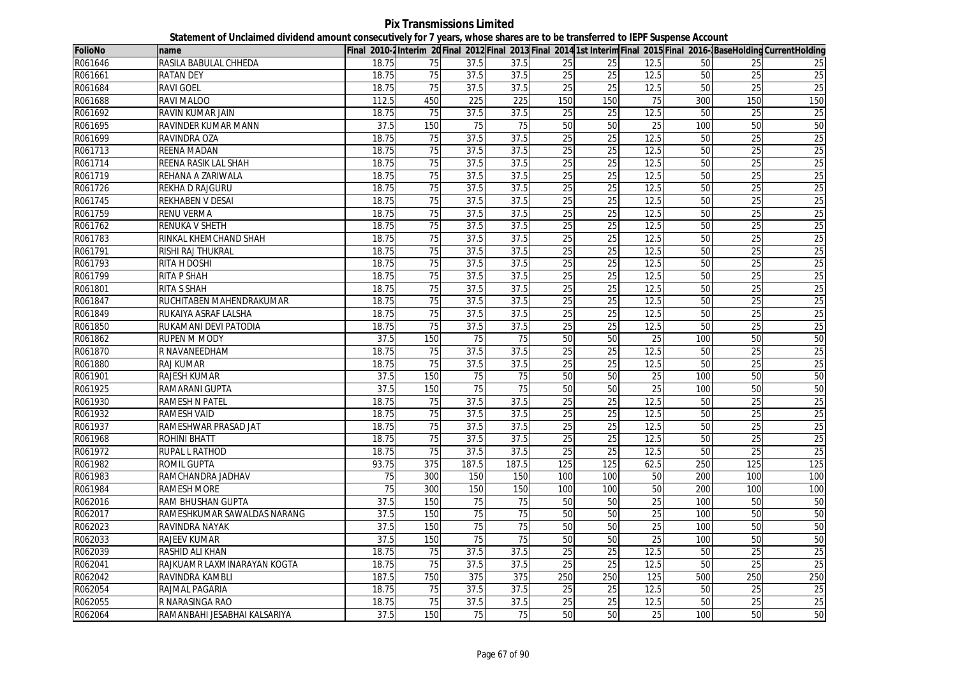**Pix Transmissions Limited Statement of Unclaimed dividend amount consecutively for 7 years, whose shares are to be transferred to IEPF Suspense Account**

| <b>FolioNo</b> | name                         |                   |                 |                 |                 |                 |                 |                 |     |                 | Final 2010-2Interim 20 Final 2012 Final 2013 Final 2014 1st Interim Final 2015 Final 2016-BaseHolding CurrentHolding |
|----------------|------------------------------|-------------------|-----------------|-----------------|-----------------|-----------------|-----------------|-----------------|-----|-----------------|----------------------------------------------------------------------------------------------------------------------|
| R061646        | RASILA BABULAL CHHEDA        | 18.75             | 75              | 37.5            | 37.5            | 25              | 25              | 12.5            | 50  | 25              | 25                                                                                                                   |
| R061661        | <b>RATAN DEY</b>             | 18.75             | 75              | 37.5            | 37.5            | 25              | 25              | 12.5            | 50  | 25              | 25                                                                                                                   |
| R061684        | <b>RAVI GOEL</b>             | 18.75             | 75              | 37.5            | 37.5            | 25              | 25              | 12.5            | 50  | 25              | 25                                                                                                                   |
| R061688        | RAVI MALOO                   | 112.5             | 450             | 225             | 225             | 150             | 150             | 75              | 300 | 150             | 150                                                                                                                  |
| R061692        | RAVIN KUMAR JAIN             | 18.75             | 75              | 37.5            | 37.5            | 25              | 25              | 12.5            | 50  | 25              | 25                                                                                                                   |
| R061695        | RAVINDER KUMAR MANN          | 37.5              | 150             | 75              | 75              | 50              | 50              | 25              | 100 | 50              | 50                                                                                                                   |
| R061699        | RAVINDRA OZA                 | 18.75             | 75              | 37.5            | 37.5            | 25              | 25              | 12.5            | 50  | 25              | 25                                                                                                                   |
| R061713        | <b>REENA MADAN</b>           | 18.75             | 75              | 37.5            | 37.5            | 25              | 25              | 12.5            | 50  | 25              | 25                                                                                                                   |
| R061714        | REENA RASIK LAL SHAH         | 18.75             | $\overline{75}$ | 37.5            | 37.5            | $\overline{25}$ | 25              | 12.5            | 50  | 25              | 25                                                                                                                   |
| R061719        | REHANA A ZARIWALA            | 18.75             | 75              | 37.5            | 37.5            | 25              | 25              | 12.5            | 50  | 25              | 25                                                                                                                   |
| R061726        | <b>REKHA D RAJGURU</b>       | 18.75             | 75              | 37.5            | 37.5            | 25              | $\overline{25}$ | 12.5            | 50  | $\overline{25}$ | 25                                                                                                                   |
| R061745        | <b>REKHABEN V DESAI</b>      | 18.75             | 75              | 37.5            | 37.5            | 25              | 25              | 12.5            | 50  | 25              | 25                                                                                                                   |
| R061759        | <b>RENU VERMA</b>            | 18.75             | 75              | 37.5            | 37.5            | 25              | 25              | 12.5            | 50  | 25              | 25                                                                                                                   |
| R061762        | <b>RENUKA V SHETH</b>        | 18.75             | 75              | 37.5            | 37.5            | 25              | $\overline{25}$ | 12.5            | 50  | $\overline{25}$ | 25                                                                                                                   |
| R061783        | RINKAL KHEMCHAND SHAH        | 18.75             | 75              | 37.5            | 37.5            | 25              | 25              | 12.5            | 50  | 25              | 25                                                                                                                   |
| R061791        | RISHI RAJ THUKRAL            | 18.75             | $\overline{75}$ | 37.5            | 37.5            | $\overline{25}$ | $\overline{25}$ | 12.5            | 50  | 25              | 25                                                                                                                   |
| R061793        | RITA H DOSHI                 | 18.75             | 75              | 37.5            | 37.5            | 25              | 25              | 12.5            | 50  | 25              | 25                                                                                                                   |
| R061799        | <b>RITA P SHAH</b>           | 18.75             | 75              | 37.5            | 37.5            | 25              | 25              | 12.5            | 50  | $\overline{25}$ | 25                                                                                                                   |
| R061801        | <b>RITA S SHAH</b>           | 18.75             | 75              | 37.5            | 37.5            | 25              | 25              | 12.5            | 50  | 25              | 25                                                                                                                   |
| R061847        | RUCHITABEN MAHENDRAKUMAR     | 18.75             | $\overline{75}$ | 37.5            | 37.5            | 25              | $\overline{25}$ | 12.5            | 50  | $\overline{25}$ | 25                                                                                                                   |
| R061849        | RUKAIYA ASRAF LALSHA         | 18.75             | 75              | 37.5            | 37.5            | 25              | 25              | 12.5            | 50  | 25              | 25                                                                                                                   |
| R061850        | RUKAMANI DEVI PATODIA        | 18.75             | 75              | 37.5            | 37.5            | 25              | 25              | 12.5            | 50  | 25              | 25                                                                                                                   |
| R061862        | RUPEN M MODY                 | 37.5              | 150             | $\overline{75}$ | 75              | 50              | 50              | 25              | 100 | 50              | 50                                                                                                                   |
| R061870        | R NAVANEEDHAM                | 18.75             | 75              | 37.5            | 37.5            | 25              | 25              | 12.5            | 50  | 25              | 25                                                                                                                   |
| R061880        | RAJ KUMAR                    | 18.75             | 75              | 37.5            | 37.5            | $\overline{25}$ | $\overline{25}$ | 12.5            | 50  | $\overline{25}$ | 25                                                                                                                   |
| R061901        | <b>RAJESH KUMAR</b>          | 37.5              | 150             | 75              | 75              | 50              | 50              | 25              | 100 | 50              | 50                                                                                                                   |
| R061925        | RAMARANI GUPTA               | 37.5              | 150             | $\overline{75}$ | $\overline{75}$ | 50              | 50              | 25              | 100 | 50              | 50                                                                                                                   |
| R061930        | <b>RAMESH N PATEL</b>        | 18.75             | 75              | 37.5            | 37.5            | 25              | 25              | 12.5            | 50  | $\overline{25}$ | 25                                                                                                                   |
| R061932        | <b>RAMESH VAID</b>           | 18.75             | 75              | 37.5            | 37.5            | 25              | $\overline{25}$ | 12.5            | 50  | $\overline{25}$ | 25                                                                                                                   |
| R061937        | RAMESHWAR PRASAD JAT         | 18.75             | 75              | 37.5            | 37.5            | 25              | 25              | 12.5            | 50  | 25              | 25                                                                                                                   |
| R061968        | ROHINI BHATT                 | 18.75             | 75              | 37.5            | 37.5            | 25              | 25              | 12.5            | 50  | 25              | 25                                                                                                                   |
| R061972        | <b>RUPAL L RATHOD</b>        | 18.75             | 75              | 37.5            | 37.5            | 25              | 25              | 12.5            | 50  | 25              | 25                                                                                                                   |
| R061982        | ROMIL GUPTA                  | 93.75             | 375             | 187.5           | 187.5           | 125             | 125             | 62.5            | 250 | 125             | 125                                                                                                                  |
| R061983        | RAMCHANDRA JADHAV            | $\overline{75}$   | 300             | 150             | 150             | 100             | 100             | 50              | 200 | 100             | 100                                                                                                                  |
| R061984        | <b>RAMESH MORE</b>           | 75                | 300             | 150             | 150             | 100             | 100             | 50              | 200 | 100             | 100                                                                                                                  |
| R062016        | RAM BHUSHAN GUPTA            | 37.5              | 150             | 75              | $\overline{75}$ | 50              | 50              | $\overline{25}$ | 100 | 50              | 50                                                                                                                   |
| R062017        | RAMESHKUMAR SAWALDAS NARANG  | 37.5              | 150             | 75              | 75              | 50              | 50              | 25              | 100 | 50              | 50                                                                                                                   |
| R062023        | RAVINDRA NAYAK               | $\overline{37.5}$ | 150             | 75              | 75              | 50              | 50              | $\overline{25}$ | 100 | 50              | 50                                                                                                                   |
| R062033        | RAJEEV KUMAR                 | 37.5              | 150             | $\overline{75}$ | $\overline{75}$ | 50              | 50              | $\overline{25}$ | 100 | 50              | 50                                                                                                                   |
| R062039        | RASHID ALI KHAN              | 18.75             | 75              | 37.5            | 37.5            | 25              | 25              | 12.5            | 50  | 25              | 25                                                                                                                   |
| R062041        | RAJKUAMR LAXMINARAYAN KOGTA  | 18.75             | 75              | 37.5            | 37.5            | $\overline{25}$ | 25              | 12.5            | 50  | 25              | $\overline{25}$                                                                                                      |
| R062042        | RAVINDRA KAMBLI              | 187.5             | 750             | 375             | 375             | 250             | 250             | 125             | 500 | 250             | 250                                                                                                                  |
| R062054        | RAJMAL PAGARIA               | 18.75             | 75              | 37.5            | 37.5            | $\overline{25}$ | $\overline{25}$ | 12.5            | 50  | 25              | 25                                                                                                                   |
| R062055        | R NARASINGA RAO              | 18.75             | 75              | 37.5            | 37.5            | 25              | 25              | 12.5            | 50  | 25              | 25                                                                                                                   |
| R062064        | RAMANBAHI JESABHAI KALSARIYA | 37.5              | 150             | 75              | $\overline{75}$ | 50              | 50              | 25              | 100 | 50              | 50                                                                                                                   |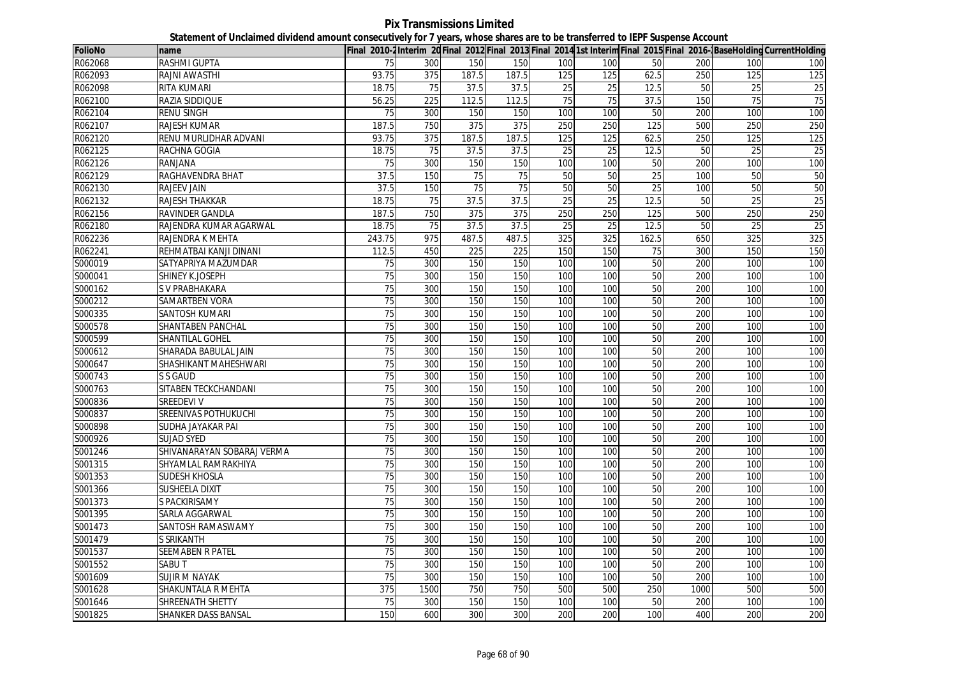**Pix Transmissions Limited Statement of Unclaimed dividend amount consecutively for 7 years, whose shares are to be transferred to IEPF Suspense Account**

| <b>FolioNo</b> | name                       |                 |      |       |                 |                 |                 |                 |      |                 | Final 2010-2 Interim 20 Final 2012 Final 2013 Final 2014 1st Interim Final 2015 Final 2016- Base Holding Current Holding |
|----------------|----------------------------|-----------------|------|-------|-----------------|-----------------|-----------------|-----------------|------|-----------------|--------------------------------------------------------------------------------------------------------------------------|
| R062068        | RASHMI GUPTA               | 75              | 300  | 150   | 150             | 100             | 100             | 50              | 200  | 100             | 100                                                                                                                      |
| R062093        | RAJNI AWASTHI              | 93.75           | 375  | 187.5 | 187.5           | 125             | 125             | 62.5            | 250  | 125             | 125                                                                                                                      |
| R062098        | <b>RITA KUMARI</b>         | 18.75           | 75   | 37.5  | 37.5            | $\overline{25}$ | $\overline{25}$ | 12.5            | 50   | $\overline{25}$ | $\overline{25}$                                                                                                          |
| R062100        | RAZIA SIDDIQUE             | 56.25           | 225  | 112.5 | 112.5           | 75              | 75              | 37.5            | 150  | 75              | 75                                                                                                                       |
| R062104        | <b>RENU SINGH</b>          | $\overline{75}$ | 300  | 150   | 150             | 100             | 100             | 50              | 200  | 100             | 100                                                                                                                      |
| R062107        | <b>RAJESH KUMAR</b>        | 187.5           | 750  | 375   | 375             | 250             | 250             | 125             | 500  | 250             | 250                                                                                                                      |
| R062120        | RENU MURLIDHAR ADVANI      | 93.75           | 375  | 187.5 | 187.5           | 125             | 125             | 62.5            | 250  | 125             | 125                                                                                                                      |
| R062125        | RACHNA GOGIA               | 18.75           | 75   | 37.5  | 37.5            | 25              | 25              | 12.5            | 50   | 25              | $\overline{25}$                                                                                                          |
| R062126        | RANJANA                    | 75              | 300  | 150   | 150             | 100             | 100             | 50              | 200  | 100             | 100                                                                                                                      |
| R062129        | RAGHAVENDRA BHAT           | 37.5            | 150  | 75    | $\overline{75}$ | 50              | 50              | 25              | 100  | 50              | 50                                                                                                                       |
| R062130        | <b>RAJEEV JAIN</b>         | 37.5            | 150  | 75    | 75              | 50              | 50              | 25              | 100  | 50              | 50                                                                                                                       |
| R062132        | RAJESH THAKKAR             | 18.75           | 75   | 37.5  | 37.5            | 25              | 25              | 12.5            | 50   | 25              | 25                                                                                                                       |
| R062156        | RAVINDER GANDLA            | 187.5           | 750  | 375   | 375             | 250             | 250             | 125             | 500  | 250             | 250                                                                                                                      |
| R062180        | RAJENDRA KUMAR AGARWAL     | 18.75           | 75   | 37.5  | 37.5            | 25              | 25              | 12.5            | 50   | 25              | $\overline{25}$                                                                                                          |
| R062236        | RAJENDRA K MEHTA           | 243.75          | 975  | 487.5 | 487.5           | 325             | 325             | 162.5           | 650  | 325             | 325                                                                                                                      |
| R062241        | REHMATBAI KANJI DINANI     | 112.5           | 450  | 225   | 225             | 150             | 150             | 75              | 300  | 150             | 150                                                                                                                      |
| S000019        | SATYAPRIYA MAZUMDAR        | 75              | 300  | 150   | 150             | 100             | 100             | 50              | 200  | 100             | 100                                                                                                                      |
| S000041        | SHINEY K.JOSEPH            | 75              | 300  | 150   | 150             | 100             | 100             | 50              | 200  | 100             | 100                                                                                                                      |
| S000162        | S V PRABHAKARA             | 75              | 300  | 150   | 150             | 100             | 100             | 50              | 200  | 100             | 100                                                                                                                      |
| S000212        | SAMARTBEN VORA             | 75              | 300  | 150   | 150             | 100             | 100             | 50              | 200  | 100             | 100                                                                                                                      |
| S000335        | <b>SANTOSH KUMARI</b>      | 75              | 300  | 150   | 150             | 100             | 100             | $\overline{50}$ | 200  | 100             | 100                                                                                                                      |
| S000578        | SHANTABEN PANCHAL          | 75              | 300  | 150   | 150             | 100             | 100             | 50              | 200  | 100             | 100                                                                                                                      |
| S000599        | SHANTILAL GOHEL            | $\overline{75}$ | 300  | 150   | 150             | 100             | 100             | 50              | 200  | 100             | 100                                                                                                                      |
| S000612        | SHARADA BABULAL JAIN       | 75              | 300  | 150   | 150             | 100             | 100             | 50              | 200  | 100             | 100                                                                                                                      |
| S000647        | SHASHIKANT MAHESHWARI      | $\overline{75}$ | 300  | 150   | 150             | 100             | 100             | 50              | 200  | 100             | 100                                                                                                                      |
| S000743        | S S GAUD                   | 75              | 300  | 150   | 150             | 100             | 100             | $\overline{50}$ | 200  | 100             | 100                                                                                                                      |
| S000763        | SITABEN TECKCHANDANI       | 75              | 300  | 150   | 150             | 100             | 100             | 50              | 200  | 100             | 100                                                                                                                      |
| S000836        | SREEDEVI V                 | $\overline{75}$ | 300  | 150   | 150             | 100             | 100             | 50              | 200  | 100             | 100                                                                                                                      |
| S000837        | SREENIVAS POTHUKUCHI       | 75              | 300  | 150   | 150             | 100             | 100             | $\overline{50}$ | 200  | 100             | 100                                                                                                                      |
| S000898        | SUDHA JAYAKAR PAI          | 75              | 300  | 150   | 150             | 100             | 100             | 50              | 200  | 100             | 100                                                                                                                      |
| S000926        | <b>SUJAD SYED</b>          | 75              | 300  | 150   | 150             | 100             | 100             | 50              | 200  | 100             | 100                                                                                                                      |
| S001246        | SHIVANARAYAN SOBARAJ VERMA | 75              | 300  | 150   | 150             | 100             | 100             | 50              | 200  | 100             | 100                                                                                                                      |
| S001315        | SHYAMLAL RAMRAKHIYA        | 75              | 300  | 150   | 150             | 100             | 100             | 50              | 200  | 100             | 100                                                                                                                      |
| S001353        | <b>SUDESH KHOSLA</b>       | 75              | 300  | 150   | 150             | 100             | 100             | 50              | 200  | 100             | 100                                                                                                                      |
| S001366        | <b>SUSHEELA DIXIT</b>      | 75              | 300  | 150   | 150             | 100             | 100             | 50              | 200  | 100             | 100                                                                                                                      |
| S001373        | S PACKIRISAMY              | 75              | 300  | 150   | 150             | 100             | 100             | 50              | 200  | 100             | 100                                                                                                                      |
| S001395        | SARLA AGGARWAL             | 75              | 300  | 150   | 150             | 100             | 100             | 50              | 200  | 100             | 100                                                                                                                      |
| S001473        | SANTOSH RAMASWAMY          | 75              | 300  | 150   | 150             | 100             | 100             | 50              | 200  | 100             | 100                                                                                                                      |
| S001479        | <b>S SRIKANTH</b>          | 75              | 300  | 150   | 150             | 100             | 100             | 50              | 200  | 100             | 100                                                                                                                      |
| S001537        | SEEMABEN R PATEL           | 75              | 300  | 150   | 150             | 100             | 100             | 50              | 200  | 100             | 100                                                                                                                      |
| S001552        | SABU T                     | 75              | 300  | 150   | 150             | 100             | 100             | 50              | 200  | 100             | 100                                                                                                                      |
| S001609        | SUJIR M NAYAK              | 75              | 300  | 150   | 150             | 100             | 100             | 50              | 200  | 100             | 100                                                                                                                      |
| S001628        | SHAKUNTALA R MEHTA         | 375             | 1500 | 750   | 750             | 500             | 500             | 250             | 1000 | 500             | 500                                                                                                                      |
| S001646        | SHREENATH SHETTY           | 75              | 300  | 150   | 150             | 100             | 100             | 50              | 200  | 100             | 100                                                                                                                      |
| S001825        | SHANKER DASS BANSAL        | 150             | 600  | 300   | 300             | 200             | 200             | 100             | 400  | 200             | 200                                                                                                                      |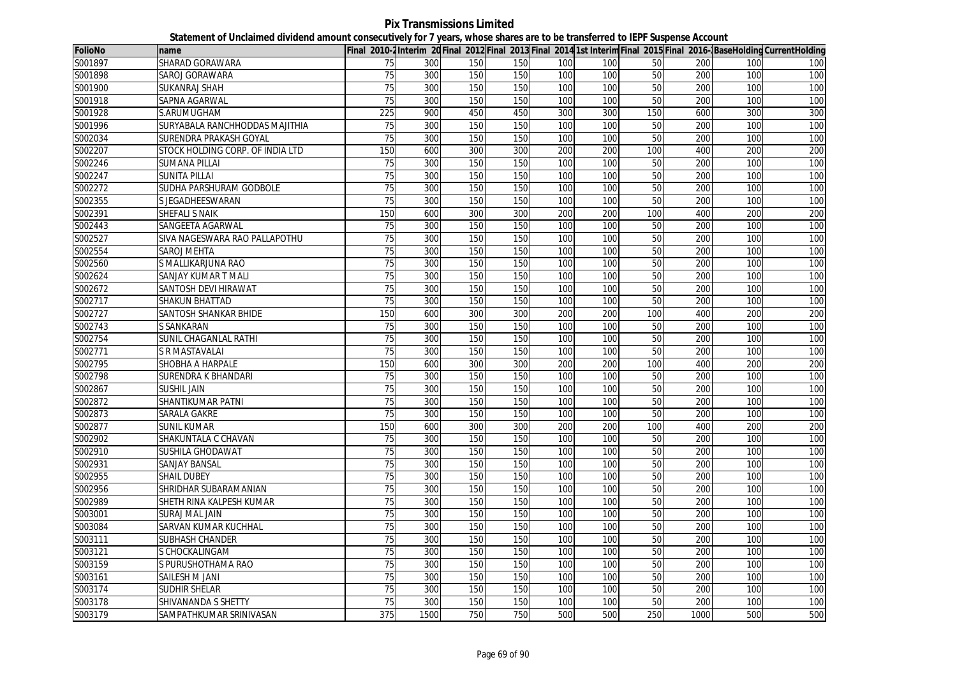**Pix Transmissions Limited Statement of Unclaimed dividend amount consecutively for 7 years, whose shares are to be transferred to IEPF Suspense Account**

| <b>FolioNo</b> | name                             |                 |      |     |     |     |     |     |      |     | Final 2010-2Interim 20Final 2012 Final 2013 Final 2014 1st Interim Final 2015 Final 2016-BaseHolding CurrentHolding |
|----------------|----------------------------------|-----------------|------|-----|-----|-----|-----|-----|------|-----|---------------------------------------------------------------------------------------------------------------------|
| S001897        | SHARAD GORAWARA                  | 75              | 300  | 150 | 150 | 100 | 100 | 50  | 200  | 100 | 100                                                                                                                 |
| S001898        | SAROJ GORAWARA                   | 75              | 300  | 150 | 150 | 100 | 100 | 50  | 200  | 100 | 100                                                                                                                 |
| S001900        | <b>SUKANRAJ SHAH</b>             | 75              | 300  | 150 | 150 | 100 | 100 | 50  | 200  | 100 | 100                                                                                                                 |
| S001918        | SAPNA AGARWAL                    | 75              | 300  | 150 | 150 | 100 | 100 | 50  | 200  | 100 | 100                                                                                                                 |
| S001928        | S.ARUMUGHAM                      | 225             | 900  | 450 | 450 | 300 | 300 | 150 | 600  | 300 | 300                                                                                                                 |
| S001996        | SURYABALA RANCHHODDAS MAJITHIA   | 75              | 300  | 150 | 150 | 100 | 100 | 50  | 200  | 100 | 100                                                                                                                 |
| S002034        | SURENDRA PRAKASH GOYAL           | 75              | 300  | 150 | 150 | 100 | 100 | 50  | 200  | 100 | 100                                                                                                                 |
| S002207        | STOCK HOLDING CORP. OF INDIA LTD | 150             | 600  | 300 | 300 | 200 | 200 | 100 | 400  | 200 | 200                                                                                                                 |
| S002246        | <b>SUMANA PILLAI</b>             | 75              | 300  | 150 | 150 | 100 | 100 | 50  | 200  | 100 | 100                                                                                                                 |
| S002247        | <b>SUNITA PILLAI</b>             | 75              | 300  | 150 | 150 | 100 | 100 | 50  | 200  | 100 | 100                                                                                                                 |
| S002272        | SUDHA PARSHURAM GODBOLE          | $\overline{75}$ | 300  | 150 | 150 | 100 | 100 | 50  | 200  | 100 | 100                                                                                                                 |
| S002355        | S JEGADHEESWARAN                 | 75              | 300  | 150 | 150 | 100 | 100 | 50  | 200  | 100 | 100                                                                                                                 |
| S002391        | <b>SHEFALI S NAIK</b>            | 150             | 600  | 300 | 300 | 200 | 200 | 100 | 400  | 200 | 200                                                                                                                 |
| S002443        | SANGEETA AGARWAL                 | 75              | 300  | 150 | 150 | 100 | 100 | 50  | 200  | 100 | 100                                                                                                                 |
| S002527        | SIVA NAGESWARA RAO PALLAPOTHU    | 75              | 300  | 150 | 150 | 100 | 100 | 50  | 200  | 100 | 100                                                                                                                 |
| S002554        | SAROJ MEHTA                      | $\overline{75}$ | 300  | 150 | 150 | 100 | 100 | 50  | 200  | 100 | 100                                                                                                                 |
| S002560        | S MALLIKARJUNA RAO               | 75              | 300  | 150 | 150 | 100 | 100 | 50  | 200  | 100 | 100                                                                                                                 |
| S002624        | SANJAY KUMAR T MALI              | 75              | 300  | 150 | 150 | 100 | 100 | 50  | 200  | 100 | 100                                                                                                                 |
| S002672        | SANTOSH DEVI HIRAWAT             | 75              | 300  | 150 | 150 | 100 | 100 | 50  | 200  | 100 | 100                                                                                                                 |
| S002717        | SHAKUN BHATTAD                   | $\overline{75}$ | 300  | 150 | 150 | 100 | 100 | 50  | 200  | 100 | 100                                                                                                                 |
| S002727        | SANTOSH SHANKAR BHIDE            | 150             | 600  | 300 | 300 | 200 | 200 | 100 | 400  | 200 | 200                                                                                                                 |
| S002743        | S SANKARAN                       | 75              | 300  | 150 | 150 | 100 | 100 | 50  | 200  | 100 | 100                                                                                                                 |
| S002754        | SUNIL CHAGANLAL RATHI            | $\overline{75}$ | 300  | 150 | 150 | 100 | 100 | 50  | 200  | 100 | 100                                                                                                                 |
| S002771        | S R MASTAVALAI                   | 75              | 300  | 150 | 150 | 100 | 100 | 50  | 200  | 100 | 100                                                                                                                 |
| S002795        | SHOBHA A HARPALE                 | 150             | 600  | 300 | 300 | 200 | 200 | 100 | 400  | 200 | 200                                                                                                                 |
| S002798        | SURENDRA K BHANDARI              | 75              | 300  | 150 | 150 | 100 | 100 | 50  | 200  | 100 | 100                                                                                                                 |
| S002867        | <b>SUSHIL JAIN</b>               | $\overline{75}$ | 300  | 150 | 150 | 100 | 100 | 50  | 200  | 100 | 100                                                                                                                 |
| S002872        | SHANTIKUMAR PATNI                | 75              | 300  | 150 | 150 | 100 | 100 | 50  | 200  | 100 | 100                                                                                                                 |
| S002873        | SARALA GAKRE                     | 75              | 300  | 150 | 150 | 100 | 100 | 50  | 200  | 100 | 100                                                                                                                 |
| S002877        | SUNIL KUMAR                      | 150             | 600  | 300 | 300 | 200 | 200 | 100 | 400  | 200 | 200                                                                                                                 |
| S002902        | SHAKUNTALA C CHAVAN              | 75              | 300  | 150 | 150 | 100 | 100 | 50  | 200  | 100 | 100                                                                                                                 |
| S002910        | <b>SUSHILA GHODAWAT</b>          | 75              | 300  | 150 | 150 | 100 | 100 | 50  | 200  | 100 | 100                                                                                                                 |
| S002931        | SANJAY BANSAL                    | 75              | 300  | 150 | 150 | 100 | 100 | 50  | 200  | 100 | 100                                                                                                                 |
| S002955        | <b>SHAIL DUBEY</b>               | 75              | 300  | 150 | 150 | 100 | 100 | 50  | 200  | 100 | 100                                                                                                                 |
| S002956        | SHRIDHAR SUBARAMANIAN            | 75              | 300  | 150 | 150 | 100 | 100 | 50  | 200  | 100 | 100                                                                                                                 |
| S002989        | SHETH RINA KALPESH KUMAR         | 75              | 300  | 150 | 150 | 100 | 100 | 50  | 200  | 100 | 100                                                                                                                 |
| S003001        | SURAJ MAL JAIN                   | 75              | 300  | 150 | 150 | 100 | 100 | 50  | 200  | 100 | 100                                                                                                                 |
| S003084        | SARVAN KUMAR KUCHHAL             | 75              | 300  | 150 | 150 | 100 | 100 | 50  | 200  | 100 | 100                                                                                                                 |
| S003111        | SUBHASH CHANDER                  | $\overline{75}$ | 300  | 150 | 150 | 100 | 100 | 50  | 200  | 100 | 100                                                                                                                 |
| S003121        | S CHOCKALINGAM                   | 75              | 300  | 150 | 150 | 100 | 100 | 50  | 200  | 100 | 100                                                                                                                 |
| S003159        | S PURUSHOTHAMA RAO               | $\overline{75}$ | 300  | 150 | 150 | 100 | 100 | 50  | 200  | 100 | 100                                                                                                                 |
| S003161        | SAILESH M JANI                   | 75              | 300  | 150 | 150 | 100 | 100 | 50  | 200  | 100 | 100                                                                                                                 |
| S003174        | <b>SUDHIR SHELAR</b>             | $\overline{75}$ | 300  | 150 | 150 | 100 | 100 | 50  | 200  | 100 | 100                                                                                                                 |
| S003178        | SHIVANANDA S SHETTY              | 75              | 300  | 150 | 150 | 100 | 100 | 50  | 200  | 100 | 100                                                                                                                 |
| S003179        | SAMPATHKUMAR SRINIVASAN          | 375             | 1500 | 750 | 750 | 500 | 500 | 250 | 1000 | 500 | 500                                                                                                                 |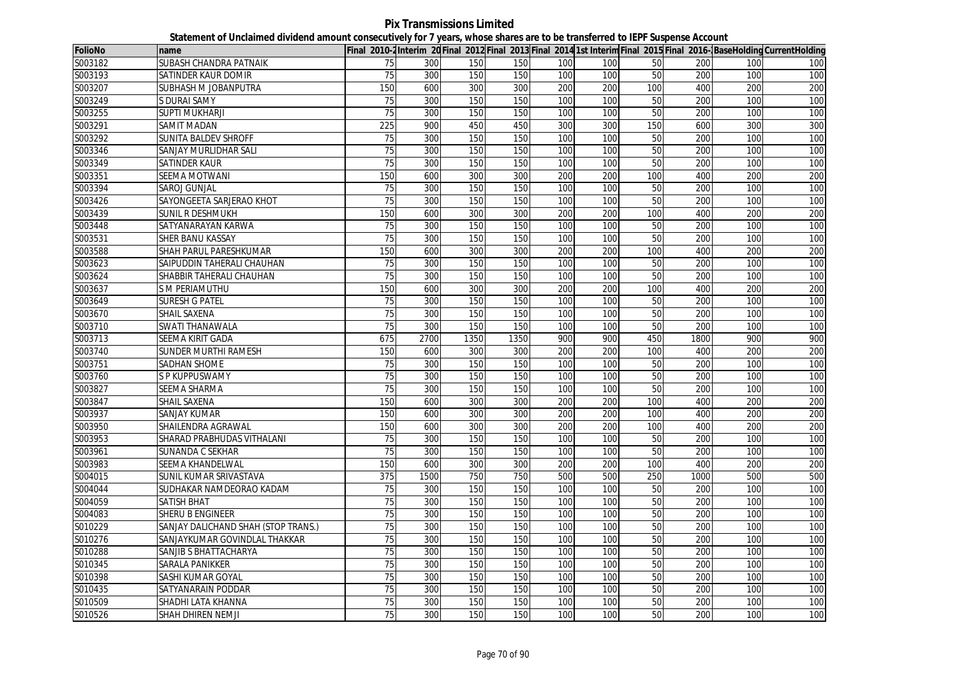**Pix Transmissions Limited Statement of Unclaimed dividend amount consecutively for 7 years, whose shares are to be transferred to IEPF Suspense Account**

| <b>FolioNo</b> | name                                |                 |      |      |      |     |     |                 |      |     | Final 2010-2Interim 20Final 2012 Final 2013 Final 2014 1st Interim Final 2015 Final 2016-BaseHolding CurrentHolding |
|----------------|-------------------------------------|-----------------|------|------|------|-----|-----|-----------------|------|-----|---------------------------------------------------------------------------------------------------------------------|
| S003182        | SUBASH CHANDRA PATNAIK              | 75              | 300  | 150  | 150  | 100 | 100 | 50              | 200  | 100 | 100                                                                                                                 |
| S003193        | SATINDER KAUR DOMIR                 | 75              | 300  | 150  | 150  | 100 | 100 | 50              | 200  | 100 | 100                                                                                                                 |
| S003207        | SUBHASH M JOBANPUTRA                | 150             | 600  | 300  | 300  | 200 | 200 | 100             | 400  | 200 | 200                                                                                                                 |
| S003249        | S DURAI SAMY                        | 75              | 300  | 150  | 150  | 100 | 100 | 50              | 200  | 100 | 100                                                                                                                 |
| S003255        | <b>SUPTI MUKHARJI</b>               | 75              | 300  | 150  | 150  | 100 | 100 | 50              | 200  | 100 | 100                                                                                                                 |
| S003291        | SAMIT MADAN                         | 225             | 900  | 450  | 450  | 300 | 300 | 150             | 600  | 300 | 300                                                                                                                 |
| S003292        | SUNITA BALDEV SHROFF                | 75              | 300  | 150  | 150  | 100 | 100 | 50              | 200  | 100 | 100                                                                                                                 |
| S003346        | SANJAY MURLIDHAR SALI               | 75              | 300  | 150  | 150  | 100 | 100 | 50              | 200  | 100 | 100                                                                                                                 |
| S003349        | SATINDER KAUR                       | 75              | 300  | 150  | 150  | 100 | 100 | 50              | 200  | 100 | 100                                                                                                                 |
| S003351        | <b>SEEMA MOTWANI</b>                | 150             | 600  | 300  | 300  | 200 | 200 | 100             | 400  | 200 | 200                                                                                                                 |
| S003394        | SAROJ GUNJAL                        | 75              | 300  | 150  | 150  | 100 | 100 | 50              | 200  | 100 | 100                                                                                                                 |
| S003426        | SAYONGEETA SARJERAO KHOT            | 75              | 300  | 150  | 150  | 100 | 100 | 50              | 200  | 100 | 100                                                                                                                 |
| S003439        | SUNIL R DESHMUKH                    | 150             | 600  | 300  | 300  | 200 | 200 | 100             | 400  | 200 | 200                                                                                                                 |
| S003448        | SATYANARAYAN KARWA                  | 75              | 300  | 150  | 150  | 100 | 100 | 50              | 200  | 100 | 100                                                                                                                 |
| S003531        | SHER BANU KASSAY                    | 75              | 300  | 150  | 150  | 100 | 100 | 50              | 200  | 100 | 100                                                                                                                 |
| S003588        | SHAH PARUL PARESHKUMAR              | 150             | 600  | 300  | 300  | 200 | 200 | 100             | 400  | 200 | 200                                                                                                                 |
| S003623        | SAIPUDDIN TAHERALI CHAUHAN          | 75              | 300  | 150  | 150  | 100 | 100 | 50              | 200  | 100 | 100                                                                                                                 |
| S003624        | SHABBIR TAHERALI CHAUHAN            | 75              | 300  | 150  | 150  | 100 | 100 | 50              | 200  | 100 | 100                                                                                                                 |
| S003637        | S M PERIAMUTHU                      | 150             | 600  | 300  | 300  | 200 | 200 | 100             | 400  | 200 | 200                                                                                                                 |
| S003649        | <b>SURESH G PATEL</b>               | 75              | 300  | 150  | 150  | 100 | 100 | 50              | 200  | 100 | 100                                                                                                                 |
| S003670        | <b>SHAIL SAXENA</b>                 | 75              | 300  | 150  | 150  | 100 | 100 | 50              | 200  | 100 | 100                                                                                                                 |
| S003710        | SWATI THANAWALA                     | 75              | 300  | 150  | 150  | 100 | 100 | 50              | 200  | 100 | 100                                                                                                                 |
| S003713        | SEEMA KIRIT GADA                    | 675             | 2700 | 1350 | 1350 | 900 | 900 | 450             | 1800 | 900 | 900                                                                                                                 |
| S003740        | SUNDER MURTHI RAMESH                | 150             | 600  | 300  | 300  | 200 | 200 | 100             | 400  | 200 | 200                                                                                                                 |
| S003751        | SADHAN SHOME                        | 75              | 300  | 150  | 150  | 100 | 100 | 50              | 200  | 100 | 100                                                                                                                 |
| S003760        | S P KUPPUSWAMY                      | 75              | 300  | 150  | 150  | 100 | 100 | 50              | 200  | 100 | 100                                                                                                                 |
| S003827        | SEEMA SHARMA                        | $\overline{75}$ | 300  | 150  | 150  | 100 | 100 | 50              | 200  | 100 | 100                                                                                                                 |
| S003847        | SHAIL SAXENA                        | 150             | 600  | 300  | 300  | 200 | 200 | 100             | 400  | 200 | 200                                                                                                                 |
| S003937        | SANJAY KUMAR                        | 150             | 600  | 300  | 300  | 200 | 200 | 100             | 400  | 200 | 200                                                                                                                 |
| S003950        | SHAILENDRA AGRAWAL                  | 150             | 600  | 300  | 300  | 200 | 200 | 100             | 400  | 200 | 200                                                                                                                 |
| S003953        | SHARAD PRABHUDAS VITHALANI          | 75              | 300  | 150  | 150  | 100 | 100 | 50              | 200  | 100 | 100                                                                                                                 |
| S003961        | SUNANDA C SEKHAR                    | 75              | 300  | 150  | 150  | 100 | 100 | 50              | 200  | 100 | 100                                                                                                                 |
| S003983        | SEEMA KHANDELWAL                    | 150             | 600  | 300  | 300  | 200 | 200 | 100             | 400  | 200 | 200                                                                                                                 |
| S004015        | SUNIL KUMAR SRIVASTAVA              | 375             | 1500 | 750  | 750  | 500 | 500 | 250             | 1000 | 500 | 500                                                                                                                 |
| S004044        | SUDHAKAR NAMDEORAO KADAM            | 75              | 300  | 150  | 150  | 100 | 100 | 50              | 200  | 100 | 100                                                                                                                 |
| S004059        | <b>SATISH BHAT</b>                  | 75              | 300  | 150  | 150  | 100 | 100 | 50              | 200  | 100 | 100                                                                                                                 |
| S004083        | <b>SHERU B ENGINEER</b>             | 75              | 300  | 150  | 150  | 100 | 100 | 50              | 200  | 100 | 100                                                                                                                 |
| S010229        | SANJAY DALICHAND SHAH (STOP TRANS.) | 75              | 300  | 150  | 150  | 100 | 100 | 50              | 200  | 100 | 100                                                                                                                 |
| S010276        | SANJAYKUMAR GOVINDLAL THAKKAR       | 75              | 300  | 150  | 150  | 100 | 100 | 50              | 200  | 100 | 100                                                                                                                 |
| S010288        | SANJIB S BHATTACHARYA               | 75              | 300  | 150  | 150  | 100 | 100 | 50              | 200  | 100 | 100                                                                                                                 |
| S010345        | SARALA PANIKKER                     | 75              | 300  | 150  | 150  | 100 | 100 | $\overline{50}$ | 200  | 100 | 100                                                                                                                 |
| S010398        | SASHI KUMAR GOYAL                   | 75              | 300  | 150  | 150  | 100 | 100 | 50              | 200  | 100 | 100                                                                                                                 |
| S010435        | SATYANARAIN PODDAR                  | $\overline{75}$ | 300  | 150  | 150  | 100 | 100 | 50              | 200  | 100 | 100                                                                                                                 |
| S010509        | SHADHI LATA KHANNA                  | 75              | 300  | 150  | 150  | 100 | 100 | 50              | 200  | 100 | 100                                                                                                                 |
| S010526        | SHAH DHIREN NEMJI                   | 75              | 300  | 150  | 150  | 100 | 100 | 50              | 200  | 100 | 100                                                                                                                 |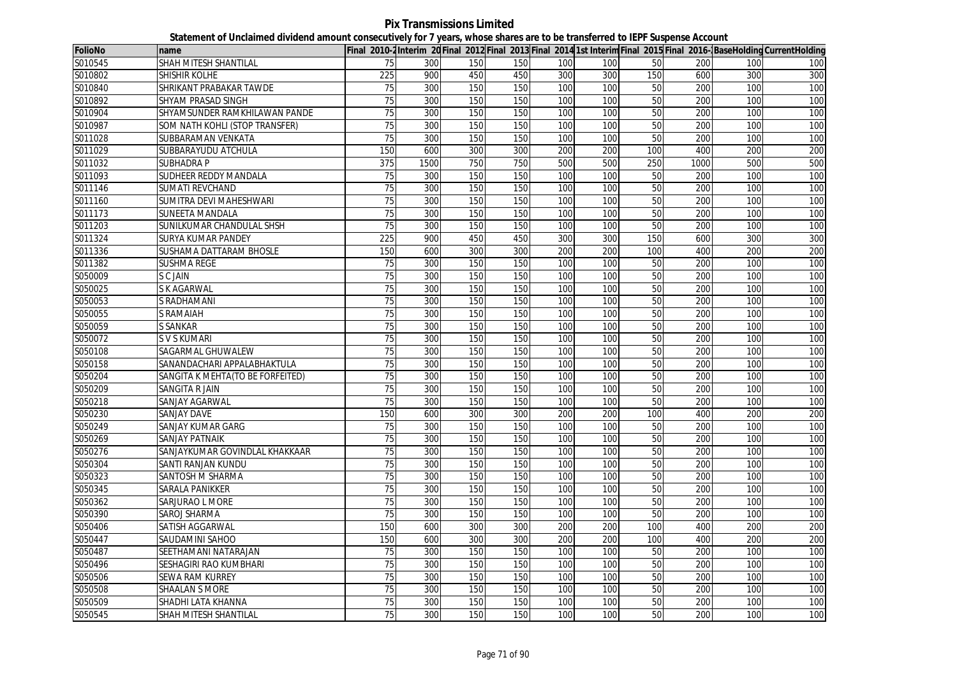**Pix Transmissions Limited Statement of Unclaimed dividend amount consecutively for 7 years, whose shares are to be transferred to IEPF Suspense Account**

| <b>FolioNo</b> | name                             |                 |      |     |     |     |     |                 |      |     | Final 2010-2Interim 20Final 2012 Final 2013 Final 2014 1st Interim Final 2015 Final 2016-BaseHolding CurrentHolding |
|----------------|----------------------------------|-----------------|------|-----|-----|-----|-----|-----------------|------|-----|---------------------------------------------------------------------------------------------------------------------|
| S010545        | SHAH MITESH SHANTILAL            | 75              | 300  | 150 | 150 | 100 | 100 | 50              | 200  | 100 | 100                                                                                                                 |
| S010802        | SHISHIR KOLHE                    | 225             | 900  | 450 | 450 | 300 | 300 | 150             | 600  | 300 | 300                                                                                                                 |
| S010840        | SHRIKANT PRABAKAR TAWDE          | 75              | 300  | 150 | 150 | 100 | 100 | 50              | 200  | 100 | 100                                                                                                                 |
| S010892        | SHYAM PRASAD SINGH               | 75              | 300  | 150 | 150 | 100 | 100 | 50              | 200  | 100 | 100                                                                                                                 |
| S010904        | SHYAMSUNDER RAMKHILAWAN PANDE    | 75              | 300  | 150 | 150 | 100 | 100 | 50              | 200  | 100 | 100                                                                                                                 |
| S010987        | SOM NATH KOHLI (STOP TRANSFER)   | 75              | 300  | 150 | 150 | 100 | 100 | 50              | 200  | 100 | 100                                                                                                                 |
| S011028        | SUBBARAMAN VENKATA               | 75              | 300  | 150 | 150 | 100 | 100 | 50              | 200  | 100 | 100                                                                                                                 |
| S011029        | SUBBARAYUDU ATCHULA              | 150             | 600  | 300 | 300 | 200 | 200 | 100             | 400  | 200 | 200                                                                                                                 |
| S011032        | <b>SUBHADRA P</b>                | 375             | 1500 | 750 | 750 | 500 | 500 | 250             | 1000 | 500 | 500                                                                                                                 |
| S011093        | SUDHEER REDDY MANDALA            | 75              | 300  | 150 | 150 | 100 | 100 | 50              | 200  | 100 | 100                                                                                                                 |
| S011146        | <b>SUMATI REVCHAND</b>           | $\overline{75}$ | 300  | 150 | 150 | 100 | 100 | 50              | 200  | 100 | 100                                                                                                                 |
| S011160        | SUMITRA DEVI MAHESHWARI          | 75              | 300  | 150 | 150 | 100 | 100 | 50              | 200  | 100 | 100                                                                                                                 |
| S011173        | <b>SUNEETA MANDALA</b>           | 75              | 300  | 150 | 150 | 100 | 100 | 50              | 200  | 100 | 100                                                                                                                 |
| S011203        | SUNILKUMAR CHANDULAL SHSH        | 75              | 300  | 150 | 150 | 100 | 100 | $\overline{50}$ | 200  | 100 | 100                                                                                                                 |
| S011324        | SURYA KUMAR PANDEY               | 225             | 900  | 450 | 450 | 300 | 300 | 150             | 600  | 300 | 300                                                                                                                 |
| S011336        | SUSHAMA DATTARAM BHOSLE          | 150             | 600  | 300 | 300 | 200 | 200 | 100             | 400  | 200 | 200                                                                                                                 |
| S011382        | SUSHMA REGE                      | 75              | 300  | 150 | 150 | 100 | 100 | 50              | 200  | 100 | 100                                                                                                                 |
| S050009        | S C JAIN                         | 75              | 300  | 150 | 150 | 100 | 100 | 50              | 200  | 100 | 100                                                                                                                 |
| S050025        | S K AGARWAL                      | $\overline{75}$ | 300  | 150 | 150 | 100 | 100 | 50              | 200  | 100 | 100                                                                                                                 |
| S050053        | S RADHAMANI                      | 75              | 300  | 150 | 150 | 100 | 100 | 50              | 200  | 100 | 100                                                                                                                 |
| S050055        | <b>S RAMAIAH</b>                 | 75              | 300  | 150 | 150 | 100 | 100 | 50              | 200  | 100 | 100                                                                                                                 |
| S050059        | <b>S SANKAR</b>                  | $\overline{75}$ | 300  | 150 | 150 | 100 | 100 | 50              | 200  | 100 | 100                                                                                                                 |
| S050072        | S V S KUMARI                     | $\overline{75}$ | 300  | 150 | 150 | 100 | 100 | 50              | 200  | 100 | 100                                                                                                                 |
| S050108        | SAGARMAL GHUWALEW                | 75              | 300  | 150 | 150 | 100 | 100 | 50              | 200  | 100 | 100                                                                                                                 |
| S050158        | SANANDACHARI APPALABHAKTULA      | 75              | 300  | 150 | 150 | 100 | 100 | 50              | 200  | 100 | 100                                                                                                                 |
| S050204        | SANGITA K MEHTA(TO BE FORFEITED) | 75              | 300  | 150 | 150 | 100 | 100 | 50              | 200  | 100 | 100                                                                                                                 |
| S050209        | SANGITA R JAIN                   | 75              | 300  | 150 | 150 | 100 | 100 | 50              | 200  | 100 | 100                                                                                                                 |
| S050218        | SANJAY AGARWAL                   | 75              | 300  | 150 | 150 | 100 | 100 | 50              | 200  | 100 | 100                                                                                                                 |
| S050230        | <b>SANJAY DAVE</b>               | 150             | 600  | 300 | 300 | 200 | 200 | 100             | 400  | 200 | 200                                                                                                                 |
| S050249        | SANJAY KUMAR GARG                | 75              | 300  | 150 | 150 | 100 | 100 | 50              | 200  | 100 | 100                                                                                                                 |
| S050269        | <b>SANJAY PATNAIK</b>            | 75              | 300  | 150 | 150 | 100 | 100 | 50              | 200  | 100 | 100                                                                                                                 |
| S050276        | SANJAYKUMAR GOVINDLAL KHAKKAAR   | 75              | 300  | 150 | 150 | 100 | 100 | 50              | 200  | 100 | 100                                                                                                                 |
| S050304        | SANTI RANJAN KUNDU               | 75              | 300  | 150 | 150 | 100 | 100 | 50              | 200  | 100 | 100                                                                                                                 |
| S050323        | SANTOSH M SHARMA                 | 75              | 300  | 150 | 150 | 100 | 100 | 50              | 200  | 100 | 100                                                                                                                 |
| S050345        | SARALA PANIKKER                  | 75              | 300  | 150 | 150 | 100 | 100 | 50              | 200  | 100 | 100                                                                                                                 |
| S050362        | SARJURAO L MORE                  | 75              | 300  | 150 | 150 | 100 | 100 | 50              | 200  | 100 | 100                                                                                                                 |
| S050390        | <b>SAROJ SHARMA</b>              | 75              | 300  | 150 | 150 | 100 | 100 | 50              | 200  | 100 | 100                                                                                                                 |
| S050406        | SATISH AGGARWAL                  | 150             | 600  | 300 | 300 | 200 | 200 | 100             | 400  | 200 | 200                                                                                                                 |
| S050447        | SAUDAMINI SAHOO                  | 150             | 600  | 300 | 300 | 200 | 200 | 100             | 400  | 200 | 200                                                                                                                 |
| S050487        | SEETHAMANI NATARAJAN             | 75              | 300  | 150 | 150 | 100 | 100 | 50              | 200  | 100 | 100                                                                                                                 |
| S050496        | SESHAGIRI RAO KUMBHARI           | 75              | 300  | 150 | 150 | 100 | 100 | $\overline{50}$ | 200  | 100 | 100                                                                                                                 |
| S050506        | <b>SEWA RAM KURREY</b>           | 75              | 300  | 150 | 150 | 100 | 100 | 50              | 200  | 100 | 100                                                                                                                 |
| S050508        | <b>SHAALAN S MORE</b>            | $\overline{75}$ | 300  | 150 | 150 | 100 | 100 | 50              | 200  | 100 | 100                                                                                                                 |
| S050509        | SHADHI LATA KHANNA               | 75              | 300  | 150 | 150 | 100 | 100 | 50              | 200  | 100 | 100                                                                                                                 |
| S050545        | SHAH MITESH SHANTILAL            | 75              | 300  | 150 | 150 | 100 | 100 | 50              | 200  | 100 | 100                                                                                                                 |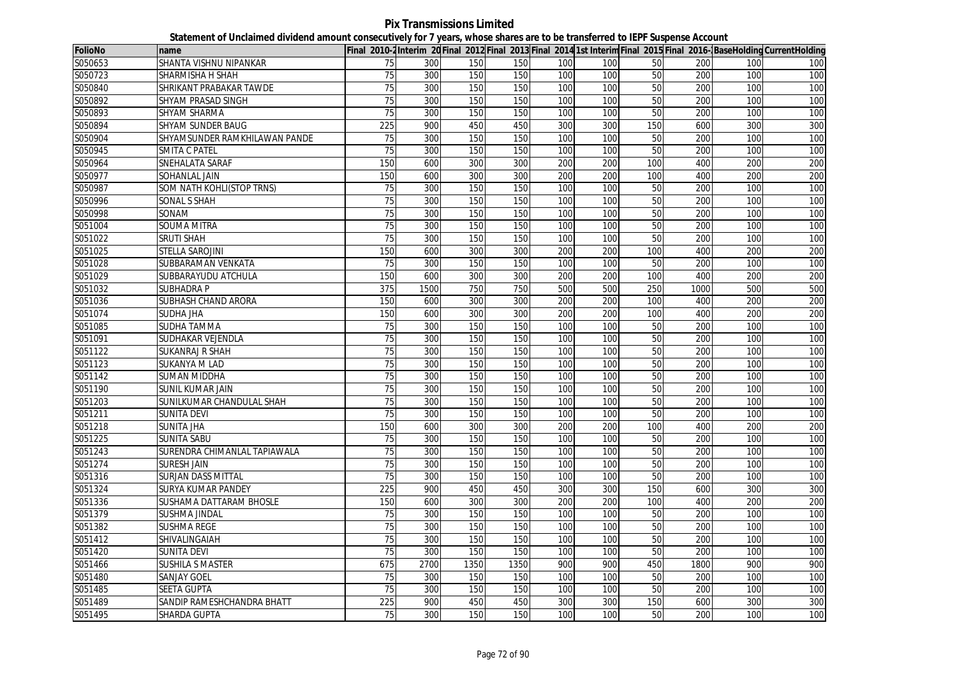**Pix Transmissions Limited Statement of Unclaimed dividend amount consecutively for 7 years, whose shares are to be transferred to IEPF Suspense Account**

| <b>FolioNo</b> | name                          |                  |      |      |      |     |     |                 |      |                  | Final 2010-2Interim 20Final 2012 Final 2013 Final 2014 1st Interim Final 2015 Final 2016-BaseHolding CurrentHolding |
|----------------|-------------------------------|------------------|------|------|------|-----|-----|-----------------|------|------------------|---------------------------------------------------------------------------------------------------------------------|
| S050653        | SHANTA VISHNU NIPANKAR        | 75               | 300  | 150  | 150  | 100 | 100 | 50              | 200  | 100              | 100                                                                                                                 |
| S050723        | SHARMISHA H SHAH              | 75               | 300  | 150  | 150  | 100 | 100 | 50              | 200  | 100              | 100                                                                                                                 |
| S050840        | SHRIKANT PRABAKAR TAWDE       | 75               | 300  | 150  | 150  | 100 | 100 | 50              | 200  | 100              | 100                                                                                                                 |
| S050892        | SHYAM PRASAD SINGH            | 75               | 300  | 150  | 150  | 100 | 100 | 50              | 200  | 100              | 100                                                                                                                 |
| S050893        | SHYAM SHARMA                  | 75               | 300  | 150  | 150  | 100 | 100 | 50              | 200  | 100              | 100                                                                                                                 |
| S050894        | <b>SHYAM SUNDER BAUG</b>      | $\overline{225}$ | 900  | 450  | 450  | 300 | 300 | 150             | 600  | 300              | 300                                                                                                                 |
| S050904        | SHYAMSUNDER RAMKHILAWAN PANDE | 75               | 300  | 150  | 150  | 100 | 100 | 50              | 200  | 100 <sub>l</sub> | 100                                                                                                                 |
| S050945        | SMITA C PATEL                 | 75               | 300  | 150  | 150  | 100 | 100 | 50              | 200  | 100              | 100                                                                                                                 |
| S050964        | SNEHALATA SARAF               | 150              | 600  | 300  | 300  | 200 | 200 | 100             | 400  | 200              | 200                                                                                                                 |
| S050977        | SOHANLAL JAIN                 | 150              | 600  | 300  | 300  | 200 | 200 | 100             | 400  | 200              | 200                                                                                                                 |
| S050987        | SOM NATH KOHLI(STOP TRNS)     | $\overline{75}$  | 300  | 150  | 150  | 100 | 100 | 50              | 200  | 100              | 100                                                                                                                 |
| S050996        | SONAL S SHAH                  | 75               | 300  | 150  | 150  | 100 | 100 | 50              | 200  | 100              | 100                                                                                                                 |
| S050998        | SONAM                         | 75               | 300  | 150  | 150  | 100 | 100 | 50              | 200  | 100              | 100                                                                                                                 |
| S051004        | <b>SOUMA MITRA</b>            | 75               | 300  | 150  | 150  | 100 | 100 | 50              | 200  | 100              | 100                                                                                                                 |
| S051022        | <b>SRUTI SHAH</b>             | 75               | 300  | 150  | 150  | 100 | 100 | 50              | 200  | 100              | 100                                                                                                                 |
| S051025        | STELLA SAROJINI               | 150              | 600  | 300  | 300  | 200 | 200 | 100             | 400  | 200              | 200                                                                                                                 |
| S051028        | SUBBARAMAN VENKATA            | 75               | 300  | 150  | 150  | 100 | 100 | 50              | 200  | 100              | 100                                                                                                                 |
| S051029        | SUBBARAYUDU ATCHULA           | 150              | 600  | 300  | 300  | 200 | 200 | 100             | 400  | 200              | 200                                                                                                                 |
| S051032        | <b>SUBHADRA P</b>             | 375              | 1500 | 750  | 750  | 500 | 500 | 250             | 1000 | 500              | 500                                                                                                                 |
| S051036        | SUBHASH CHAND ARORA           | 150              | 600  | 300  | 300  | 200 | 200 | 100             | 400  | 200              | 200                                                                                                                 |
| S051074        | <b>SUDHA JHA</b>              | 150              | 600  | 300  | 300  | 200 | 200 | 100             | 400  | 200              | 200                                                                                                                 |
| S051085        | <b>SUDHA TAMMA</b>            | 75               | 300  | 150  | 150  | 100 | 100 | 50              | 200  | 100              | 100                                                                                                                 |
| S051091        | SUDHAKAR VEJENDLA             | 75               | 300  | 150  | 150  | 100 | 100 | 50              | 200  | 100              | 100                                                                                                                 |
| S051122        | <b>SUKANRAJ R SHAH</b>        | 75               | 300  | 150  | 150  | 100 | 100 | 50              | 200  | 100              | 100                                                                                                                 |
| S051123        | SUKANYA M LAD                 | 75               | 300  | 150  | 150  | 100 | 100 | $\overline{50}$ | 200  | 100              | 100                                                                                                                 |
| S051142        | <b>SUMAN MIDDHA</b>           | 75               | 300  | 150  | 150  | 100 | 100 | 50              | 200  | 100              | 100                                                                                                                 |
| S051190        | SUNIL KUMAR JAIN              | 75               | 300  | 150  | 150  | 100 | 100 | 50              | 200  | 100              | 100                                                                                                                 |
| S051203        | SUNILKUMAR CHANDULAL SHAH     | $\overline{75}$  | 300  | 150  | 150  | 100 | 100 | 50              | 200  | 100              | 100                                                                                                                 |
| S051211        | <b>SUNITA DEVI</b>            | 75               | 300  | 150  | 150  | 100 | 100 | 50              | 200  | 100              | 100                                                                                                                 |
| S051218        | <b>SUNITA JHA</b>             | 150              | 600  | 300  | 300  | 200 | 200 | 100             | 400  | 200              | 200                                                                                                                 |
| S051225        | <b>SUNITA SABU</b>            | 75               | 300  | 150  | 150  | 100 | 100 | 50              | 200  | 100              | 100                                                                                                                 |
| S051243        | SURENDRA CHIMANLAL TAPIAWALA  | 75               | 300  | 150  | 150  | 100 | 100 | 50              | 200  | 100              | 100                                                                                                                 |
| S051274        | <b>SURESH JAIN</b>            | 75               | 300  | 150  | 150  | 100 | 100 | $\overline{50}$ | 200  | 100              | 100                                                                                                                 |
| S051316        | <b>SURJAN DASS MITTAL</b>     | 75               | 300  | 150  | 150  | 100 | 100 | 50              | 200  | 100              | 100                                                                                                                 |
| S051324        | SURYA KUMAR PANDEY            | 225              | 900  | 450  | 450  | 300 | 300 | 150             | 600  | 300              | 300                                                                                                                 |
| S051336        | SUSHAMA DATTARAM BHOSLE       | 150              | 600  | 300  | 300  | 200 | 200 | 100             | 400  | 200              | 200                                                                                                                 |
| S051379        | <b>SUSHMA JINDAL</b>          | 75               | 300  | 150  | 150  | 100 | 100 | 50              | 200  | 100              | 100                                                                                                                 |
| S051382        | <b>SUSHMA REGE</b>            | 75               | 300  | 150  | 150  | 100 | 100 | 50              | 200  | 100              | 100                                                                                                                 |
| S051412        | SHIVALINGAIAH                 | 75               | 300  | 150  | 150  | 100 | 100 | 50              | 200  | 100              | 100                                                                                                                 |
| S051420        | <b>SUNITA DEVI</b>            | 75               | 300  | 150  | 150  | 100 | 100 | 50              | 200  | 100              | 100                                                                                                                 |
| S051466        | <b>SUSHILA S MASTER</b>       | 675              | 2700 | 1350 | 1350 | 900 | 900 | 450             | 1800 | 900              | 900                                                                                                                 |
| S051480        | <b>SANJAY GOEL</b>            | 75               | 300  | 150  | 150  | 100 | 100 | 50              | 200  | 100              | 100                                                                                                                 |
| S051485        | <b>SEETA GUPTA</b>            | $\overline{75}$  | 300  | 150  | 150  | 100 | 100 | 50              | 200  | 100              | 100                                                                                                                 |
| S051489        | SANDIP RAMESHCHANDRA BHATT    | 225              | 900  | 450  | 450  | 300 | 300 | 150             | 600  | 300              | 300                                                                                                                 |
| S051495        | SHARDA GUPTA                  | 75               | 300  | 150  | 150  | 100 | 100 | 50              | 200  | <b>100</b>       | 100                                                                                                                 |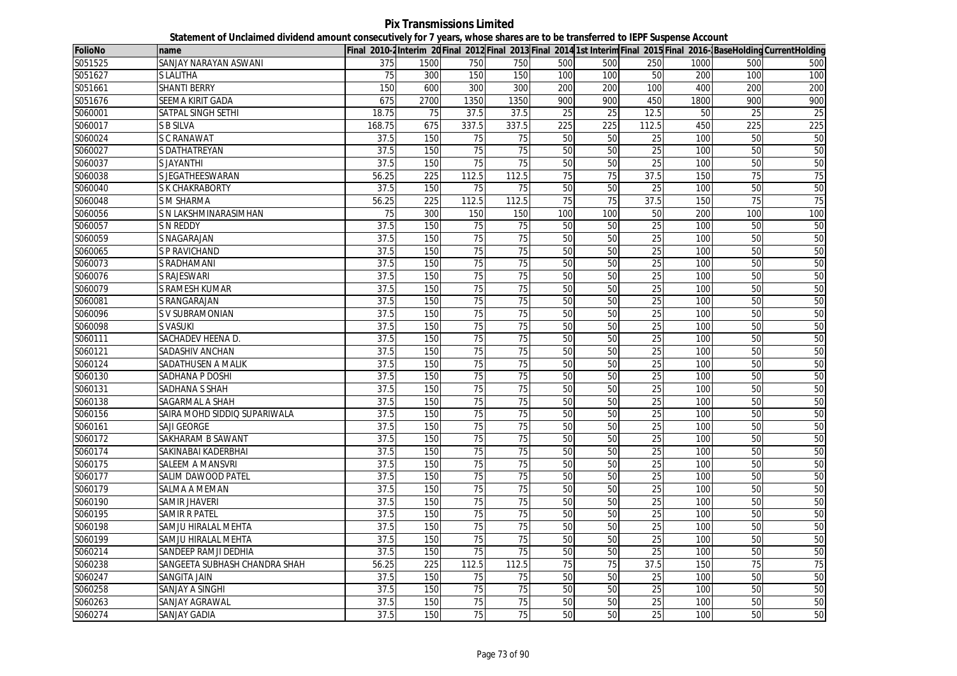**Pix Transmissions Limited Statement of Unclaimed dividend amount consecutively for 7 years, whose shares are to be transferred to IEPF Suspense Account**

| <b>FolioNo</b> | name                          |        |                  |                 |                 |                 |     |                 |      |                 | Final 2010-2Interim 20 Final 2012 Final 2013 Final 2014 1st Interim Final 2015 Final 2016-BaseHolding CurrentHolding |
|----------------|-------------------------------|--------|------------------|-----------------|-----------------|-----------------|-----|-----------------|------|-----------------|----------------------------------------------------------------------------------------------------------------------|
| S051525        | SANJAY NARAYAN ASWANI         | 375    | 1500             | 750             | 750             | 500             | 500 | 250             | 1000 | 500             | 500                                                                                                                  |
| S051627        | <b>SLALITHA</b>               | 75     | 300              | 150             | 150             | 100             | 100 | 50              | 200  | 100             | 100                                                                                                                  |
| S051661        | <b>SHANTI BERRY</b>           | 150    | 600              | 300             | 300             | 200             | 200 | 100             | 400  | 200             | 200                                                                                                                  |
| S051676        | SEEMA KIRIT GADA              | 675    | 2700             | 1350            | 1350            | 900             | 900 | 450             | 1800 | 900             | 900                                                                                                                  |
| S060001        | SATPAL SINGH SETHI            | 18.75  | 75               | 37.5            | 37.5            | 25              | 25  | 12.5            | 50   | 25              | 25                                                                                                                   |
| S060017        | <b>S B SILVA</b>              | 168.75 | 675              | 337.5           | 337.5           | 225             | 225 | 112.5           | 450  | 225             | 225                                                                                                                  |
| S060024        | <b>S C RANAWAT</b>            | 37.5   | 150              | 75              | 75              | 50              | 50  | 25              | 100  | 50              | 50                                                                                                                   |
| S060027        | S DATHATREYAN                 | 37.5   | 150              | 75              | $\overline{75}$ | 50              | 50  | 25              | 100  | 50              | 50                                                                                                                   |
| S060037        | <b>SJAYANTHI</b>              | 37.5   | 150              | $\overline{75}$ | $\overline{75}$ | 50              | 50  | $\overline{25}$ | 100  | 50              | 50                                                                                                                   |
| S060038        | S JEGATHEESWARAN              | 56.25  | 225              | 112.5           | 112.5           | 75              | 75  | 37.5            | 150  | 75              | 75                                                                                                                   |
| S060040        | S K CHAKRABORTY               | 37.5   | 150              | 75              | 75              | 50              | 50  | 25              | 100  | 50              | 50                                                                                                                   |
| S060048        | S M SHARMA                    | 56.25  | 225              | 112.5           | 112.5           | 75              | 75  | 37.5            | 150  | 75              | 75                                                                                                                   |
| S060056        | S N LAKSHMINARASIMHAN         | 75     | 300              | 150             | 150             | 100             | 100 | 50              | 200  | 100             | 100                                                                                                                  |
| S060057        | <b>S N REDDY</b>              | 37.5   | 150              | $\overline{75}$ | $\overline{75}$ | 50              | 50  | 25              | 100  | 50              | 50                                                                                                                   |
| S060059        | S NAGARAJAN                   | 37.5   | 150              | 75              | 75              | 50              | 50  | 25              | 100  | 50              | 50                                                                                                                   |
| S060065        | <b>S P RAVICHAND</b>          | 37.5   | 150              | $\overline{75}$ | 75              | 50              | 50  | 25              | 100  | 50              | 50                                                                                                                   |
| S060073        | S RADHAMANI                   | 37.5   | 150              | 75              | 75              | 50              | 50  | 25              | 100  | 50              | 50                                                                                                                   |
| S060076        | S RAJESWARI                   | 37.5   | 150              | 75              | $\overline{75}$ | 50              | 50  | 25              | 100  | 50              | 50                                                                                                                   |
| S060079        | S RAMESH KUMAR                | 37.5   | 150              | 75              | 75              | 50              | 50  | 25              | 100  | 50              | 50                                                                                                                   |
| S060081        | S RANGARAJAN                  | 37.5   | 150              | $\overline{75}$ | 75              | 50              | 50  | $\overline{25}$ | 100  | 50              | 50                                                                                                                   |
| S060096        | S V SUBRAMONIAN               | 37.5   | 150              | 75              | 75              | 50              | 50  | 25              | 100  | 50              | 50                                                                                                                   |
| S060098        | <b>S VASUKI</b>               | 37.5   | 150              | $\overline{75}$ | $\overline{75}$ | 50              | 50  | 25              | 100  | 50              | 50                                                                                                                   |
| S060111        | SACHADEV HEENA D.             | 37.5   | 150              | $\overline{75}$ | 75              | 50              | 50  | $\overline{25}$ | 100  | 50              | 50                                                                                                                   |
| S060121        | SADASHIV ANCHAN               | 37.5   | 150              | 75              | 75              | 50              | 50  | 25              | 100  | 50              | 50                                                                                                                   |
| S060124        | SADATHUSEN A MALIK            | 37.5   | 150              | 75              | 75              | 50              | 50  | 25              | 100  | 50              | 50                                                                                                                   |
| S060130        | SADHANA P DOSHI               | 37.5   | 150              | 75              | 75              | 50              | 50  | 25              | 100  | 50              | 50                                                                                                                   |
| S060131        | SADHANA S SHAH                | 37.5   | 150              | 75              | 75              | 50              | 50  | 25              | 100  | 50              | 50                                                                                                                   |
| S060138        | SAGARMAL A SHAH               | 37.5   | 150              | 75              | 75              | 50              | 50  | 25              | 100  | 50              | 50                                                                                                                   |
| S060156        | SAIRA MOHD SIDDIQ SUPARIWALA  | 37.5   | 150              | 75              | 75              | 50              | 50  | 25              | 100  | 50              | 50                                                                                                                   |
| S060161        | SAJI GEORGE                   | 37.5   | 150              | $\overline{75}$ | 75              | 50              | 50  | 25              | 100  | 50              | 50                                                                                                                   |
| S060172        | SAKHARAM B SAWANT             | 37.5   | 150              | 75              | 75              | 50              | 50  | 25              | 100  | 50              | 50                                                                                                                   |
| S060174        | SAKINABAI KADERBHAI           | 37.5   | 150              | 75              | 75              | 50              | 50  | 25              | 100  | 50              | 50                                                                                                                   |
| S060175        | SALEEM A MANSVRI              | 37.5   | 150              | 75              | 75              | 50              | 50  | 25              | 100  | 50              | 50                                                                                                                   |
| S060177        | SALIM DAWOOD PATEL            | 37.5   | 150              | 75              | 75              | 50              | 50  | $\overline{25}$ | 100  | 50              | 50                                                                                                                   |
| S060179        | SALMA A MEMAN                 | 37.5   | 150              | 75              | 75              | 50              | 50  | 25              | 100  | 50              | 50                                                                                                                   |
| S060190        | <b>SAMIR JHAVERI</b>          | 37.5   | 150              | 75              | 75              | 50              | 50  | $\overline{25}$ | 100  | 50              | 50                                                                                                                   |
| S060195        | <b>SAMIR R PATEL</b>          | 37.5   | 150              | 75              | 75              | 50              | 50  | 25              | 100  | 50              | 50                                                                                                                   |
| S060198        | SAMJU HIRALAL MEHTA           | 37.5   | 150              | 75              | 75              | 50              | 50  | $\overline{25}$ | 100  | 50              | 50                                                                                                                   |
| S060199        | SAMJU HIRALAL MEHTA           | 37.5   | 150              | $\overline{75}$ | $\overline{75}$ | 50              | 50  | $\overline{25}$ | 100  | 50              | 50                                                                                                                   |
| S060214        | SANDEEP RAMJI DEDHIA          | 37.5   | 150              | 75              | $\overline{75}$ | 50              | 50  | 25              | 100  | 50              | 50                                                                                                                   |
| S060238        | SANGEETA SUBHASH CHANDRA SHAH | 56.25  | $\overline{225}$ | 112.5           | 112.5           | $\overline{75}$ | 75  | 37.5            | 150  | $\overline{75}$ | 75                                                                                                                   |
| S060247        | <b>SANGITA JAIN</b>           | 37.5   | 150              | 75              | 75              | 50              | 50  | 25              | 100  | 50              | 50                                                                                                                   |
| S060258        | SANJAY A SINGHI               | 37.5   | 150              | $\overline{75}$ | $\overline{75}$ | 50              | 50  | 25              | 100  | 50              | 50                                                                                                                   |
| S060263        | SANJAY AGRAWAL                | 37.5   | 150              | 75              | 75              | 50              | 50  | $\overline{25}$ | 100  | 50              | 50                                                                                                                   |
| S060274        | <b>SANJAY GADIA</b>           | 37.5   | 150              | 75              | 75              | 50              | 50  | 25              | 100  | 50              | 50                                                                                                                   |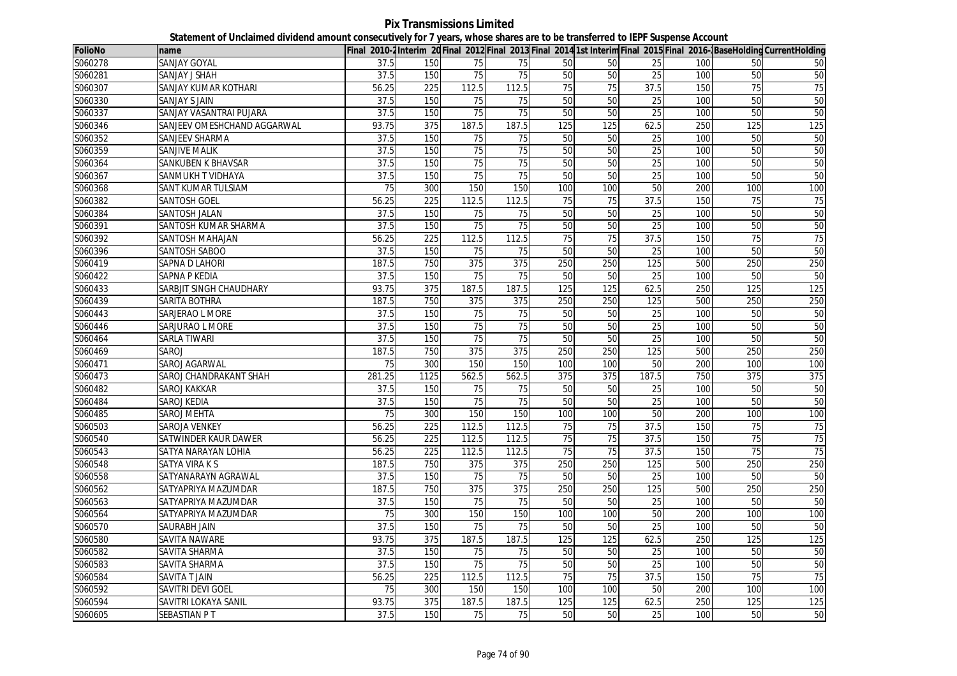**Pix Transmissions Limited Statement of Unclaimed dividend amount consecutively for 7 years, whose shares are to be transferred to IEPF Suspense Account**

| <b>FolioNo</b> | name                        |        |                  |                 |                  |                 |     |                 |     |                 | Final 2010-2Interim 20Final 2012 Final 2013 Final 2014 1st Interim Final 2015 Final 2016-BaseHolding CurrentHolding |
|----------------|-----------------------------|--------|------------------|-----------------|------------------|-----------------|-----|-----------------|-----|-----------------|---------------------------------------------------------------------------------------------------------------------|
| S060278        | SANJAY GOYAL                | 37.5   | 150              | 75              | 75               | 50              | 50  | 25              | 100 | 50              | 50                                                                                                                  |
| S060281        | SANJAY J SHAH               | 37.5   | 150              | 75              | 75               | 50              | 50  | 25              | 100 | 50              | 50                                                                                                                  |
| S060307        | SANJAY KUMAR KOTHARI        | 56.25  | 225              | 112.5           | 112.5            | 75              | 75  | 37.5            | 150 | 75              | 75                                                                                                                  |
| S060330        | SANJAY S JAIN               | 37.5   | 150              | 75              | 75               | 50              | 50  | 25              | 100 | 50              | 50                                                                                                                  |
| S060337        | SANJAY VASANTRAI PUJARA     | 37.5   | 150              | 75              | 75               | 50              | 50  | 25              | 100 | 50              | 50                                                                                                                  |
| S060346        | SANJEEV OMESHCHAND AGGARWAL | 93.75  | 375              | 187.5           | 187.5            | 125             | 125 | 62.5            | 250 | 125             | 125                                                                                                                 |
| S060352        | SANJEEV SHARMA              | 37.5   | 150              | 75              | 75               | 50              | 50  | 25              | 100 | 50              | 50                                                                                                                  |
| S060359        | SANJIVE MALIK               | 37.5   | 150              | 75              | 75               | 50              | 50  | 25              | 100 | 50              | 50                                                                                                                  |
| S060364        | SANKUBEN K BHAVSAR          | 37.5   | 150              | $\overline{75}$ | 75               | 50              | 50  | 25              | 100 | 50              | 50                                                                                                                  |
| S060367        | SANMUKH T VIDHAYA           | 37.5   | 150              | 75              | $\overline{75}$  | 50              | 50  | 25              | 100 | 50              | 50                                                                                                                  |
| S060368        | SANT KUMAR TULSIAM          | 75     | 300              | 150             | 150              | 100             | 100 | 50              | 200 | 100             | 100                                                                                                                 |
| S060382        | SANTOSH GOEL                | 56.25  | $\overline{225}$ | 112.5           | 112.5            | $\overline{75}$ | 75  | 37.5            | 150 | $\overline{75}$ | 75                                                                                                                  |
| S060384        | SANTOSH JALAN               | 37.5   | 150              | 75              | 75               | 50              | 50  | 25              | 100 | 50              | 50                                                                                                                  |
| S060391        | SANTOSH KUMAR SHARMA        | 37.5   | 150              | $\overline{75}$ | 75               | 50              | 50  | $\overline{25}$ | 100 | 50              | 50                                                                                                                  |
| S060392        | SANTOSH MAHAJAN             | 56.25  | 225              | 112.5           | 112.5            | 75              | 75  | 37.5            | 150 | 75              | 75                                                                                                                  |
| S060396        | SANTOSH SABOO               | 37.5   | 150              | 75              | 75               | 50              | 50  | 25              | 100 | 50              | 50                                                                                                                  |
| S060419        | SAPNA D LAHORI              | 187.5  | 750              | 375             | 375              | 250             | 250 | 125             | 500 | 250             | 250                                                                                                                 |
| S060422        | SAPNA P KEDIA               | 37.5   | 150              | 75              | 75               | 50              | 50  | 25              | 100 | 50              | 50                                                                                                                  |
| S060433        | SARBJIT SINGH CHAUDHARY     | 93.75  | 375              | 187.5           | 187.5            | 125             | 125 | 62.5            | 250 | 125             | 125                                                                                                                 |
| S060439        | SARITA BOTHRA               | 187.5  | 750              | 375             | 375              | 250             | 250 | 125             | 500 | 250             | 250                                                                                                                 |
| S060443        | SARJERAO L MORE             | 37.5   | 150              | 75              | 75               | 50              | 50  | 25              | 100 | 50              | 50                                                                                                                  |
| S060446        | SARJURAO L MORE             | 37.5   | 150              | 75              | 75               | 50              | 50  | 25              | 100 | 50              | 50                                                                                                                  |
| S060464        | SARLA TIWARI                | 37.5   | 150              | $\overline{75}$ | $\overline{75}$  | 50              | 50  | $\overline{25}$ | 100 | 50              | 50                                                                                                                  |
| S060469        | SAROJ                       | 187.5  | 750              | 375             | 375              | 250             | 250 | 125             | 500 | 250             | 250                                                                                                                 |
| S060471        | SAROJ AGARWAL               | 75     | 300              | 150             | 150              | 100             | 100 | 50              | 200 | 100             | 100                                                                                                                 |
| S060473        | SAROJ CHANDRAKANT SHAH      | 281.25 | 1125             | 562.5           | 562.5            | 375             | 375 | 187.5           | 750 | 375             | 375                                                                                                                 |
| S060482        | <b>SAROJ KAKKAR</b>         | 37.5   | 150              | 75              | 75               | 50              | 50  | 25              | 100 | 50              | 50                                                                                                                  |
| S060484        | <b>SAROJ KEDIA</b>          | 37.5   | 150              | 75              | 75               | 50              | 50  | 25              | 100 | 50              | 50                                                                                                                  |
| S060485        | <b>SAROJ MEHTA</b>          | 75     | 300              | 150             | 150              | 100             | 100 | 50              | 200 | 100             | 100                                                                                                                 |
| S060503        | <b>SAROJA VENKEY</b>        | 56.25  | $\overline{225}$ | 112.5           | 112.5            | 75              | 75  | 37.5            | 150 | 75              | 75                                                                                                                  |
| S060540        | SATWINDER KAUR DAWER        | 56.25  | 225              | 112.5           | 112.5            | 75              | 75  | 37.5            | 150 | 75              | 75                                                                                                                  |
| S060543        | SATYA NARAYAN LOHIA         | 56.25  | 225              | 112.5           | 112.5            | 75              | 75  | 37.5            | 150 | 75              | 75                                                                                                                  |
| S060548        | SATYA VIRA K S              | 187.5  | 750              | 375             | $\overline{375}$ | 250             | 250 | 125             | 500 | 250             | 250                                                                                                                 |
| S060558        | SATYANARAYN AGRAWAL         | 37.5   | 150              | 75              | 75               | 50              | 50  | 25              | 100 | 50              | 50                                                                                                                  |
| S060562        | SATYAPRIYA MAZUMDAR         | 187.5  | 750              | 375             | 375              | 250             | 250 | 125             | 500 | 250             | 250                                                                                                                 |
| S060563        | SATYAPRIYA MAZUMDAR         | 37.5   | 150              | 75              | 75               | 50              | 50  | 25              | 100 | 50              | 50                                                                                                                  |
| S060564        | SATYAPRIYA MAZUMDAR         | 75     | 300              | 150             | 150              | 100             | 100 | 50              | 200 | 100             | 100                                                                                                                 |
| S060570        | SAURABH JAIN                | 37.5   | 150              | 75              | 75               | 50              | 50  | 25              | 100 | 50              | 50                                                                                                                  |
| S060580        | SAVITA NAWARE               | 93.75  | 375              | 187.5           | 187.5            | 125             | 125 | 62.5            | 250 | 125             | 125                                                                                                                 |
| S060582        | SAVITA SHARMA               | 37.5   | 150              | 75              | 75               | 50              | 50  | 25              | 100 | 50              | 50                                                                                                                  |
| S060583        | SAVITA SHARMA               | 37.5   | 150              | $\overline{75}$ | $\overline{75}$  | 50              | 50  | 25              | 100 | 50              | 50                                                                                                                  |
| S060584        | SAVITA T JAIN               | 56.25  | 225              | 112.5           | 112.5            | 75              | 75  | 37.5            | 150 | 75              | 75                                                                                                                  |
| S060592        | <b>SAVITRI DEVI GOEL</b>    | 75     | 300              | 150             | 150              | 100             | 100 | 50              | 200 | 100             | 100                                                                                                                 |
| S060594        | SAVITRI LOKAYA SANIL        | 93.75  | 375              | 187.5           | 187.5            | 125             | 125 | 62.5            | 250 | 125             | 125                                                                                                                 |
| S060605        | SEBASTIAN P T               | 37.5   | 150              | 75              | 75               | 50              | 50  | 25              | 100 | 50              | 50                                                                                                                  |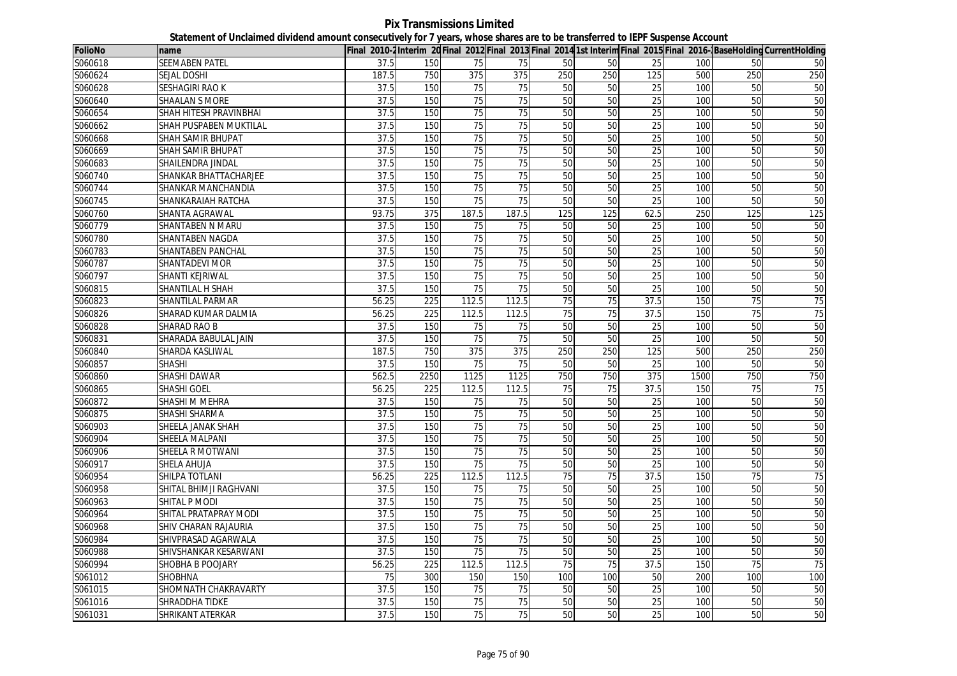**Pix Transmissions Limited Statement of Unclaimed dividend amount consecutively for 7 years, whose shares are to be transferred to IEPF Suspense Account**

| <b>FolioNo</b> | name                     |       |                  |                 |                 |     |     |                 |      |     | Final 2010-2Interim 20 Final 2012 Final 2013 Final 2014 1st Interim Final 2015 Final 2016-BaseHolding CurrentHolding |
|----------------|--------------------------|-------|------------------|-----------------|-----------------|-----|-----|-----------------|------|-----|----------------------------------------------------------------------------------------------------------------------|
| S060618        | SEEMABEN PATEL           | 37.5  | 150              | 75              | 75              | 50  | 50  | 25              | 100  | 50  | 50                                                                                                                   |
| S060624        | <b>SEJAL DOSHI</b>       | 187.5 | 750              | 375             | 375             | 250 | 250 | 125             | 500  | 250 | 250                                                                                                                  |
| S060628        | <b>SESHAGIRI RAO K</b>   | 37.5  | 150              | 75              | 75              | 50  | 50  | 25              | 100  | 50  | 50                                                                                                                   |
| S060640        | <b>SHAALAN S MORE</b>    | 37.5  | 150              | 75              | $\overline{75}$ | 50  | 50  | 25              | 100  | 50  | 50                                                                                                                   |
| S060654        | SHAH HITESH PRAVINBHAI   | 37.5  | 150              | 75              | 75              | 50  | 50  | 25              | 100  | 50  | 50                                                                                                                   |
| S060662        | SHAH PUSPABEN MUKTILAL   | 37.5  | 150              | 75              | $\overline{75}$ | 50  | 50  | 25              | 100  | 50  | 50                                                                                                                   |
| S060668        | <b>SHAH SAMIR BHUPAT</b> | 37.5  | 150              | 75              | 75              | 50  | 50  | 25              | 100  | 50  | 50                                                                                                                   |
| S060669        | SHAH SAMIR BHUPAT        | 37.5  | 150              | 75              | $\overline{75}$ | 50  | 50  | 25              | 100  | 50  | 50                                                                                                                   |
| S060683        | SHAILENDRA JINDAL        | 37.5  | 150              | 75              | 75              | 50  | 50  | $\overline{25}$ | 100  | 50  | 50                                                                                                                   |
| S060740        | SHANKAR BHATTACHARJEE    | 37.5  | 150              | 75              | $\overline{75}$ | 50  | 50  | 25              | 100  | 50  | 50                                                                                                                   |
| S060744        | SHANKAR MANCHANDIA       | 37.5  | 150              | 75              | 75              | 50  | 50  | 25              | 100  | 50  | 50                                                                                                                   |
| S060745        | SHANKARAIAH RATCHA       | 37.5  | 150              | 75              | $\overline{75}$ | 50  | 50  | 25              | 100  | 50  | 50                                                                                                                   |
| S060760        | SHANTA AGRAWAL           | 93.75 | 375              | 187.5           | 187.5           | 125 | 125 | 62.5            | 250  | 125 | 125                                                                                                                  |
| S060779        | SHANTABEN N MARU         | 37.5  | 150              | 75              | 75              | 50  | 50  | 25              | 100  | 50  | 50                                                                                                                   |
| S060780        | SHANTABEN NAGDA          | 37.5  | 150              | 75              | $\overline{75}$ | 50  | 50  | $\overline{25}$ | 100  | 50  | 50                                                                                                                   |
| S060783        | SHANTABEN PANCHAL        | 37.5  | 150              | 75              | $\overline{75}$ | 50  | 50  | $\overline{25}$ | 100  | 50  | 50                                                                                                                   |
| S060787        | <b>SHANTADEVI MOR</b>    | 37.5  | 150              | 75              | $\overline{75}$ | 50  | 50  | $\overline{25}$ | 100  | 50  | 50                                                                                                                   |
| S060797        | SHANTI KEJRIWAL          | 37.5  | 150              | 75              | 75              | 50  | 50  | 25              | 100  | 50  | 50                                                                                                                   |
| S060815        | SHANTILAL H SHAH         | 37.5  | 150              | 75              | 75              | 50  | 50  | 25              | 100  | 50  | 50                                                                                                                   |
| S060823        | SHANTILAL PARMAR         | 56.25 | 225              | 112.5           | 112.5           | 75  | 75  | 37.5            | 150  | 75  | 75                                                                                                                   |
| S060826        | SHARAD KUMAR DALMIA      | 56.25 | 225              | 112.5           | 112.5           | 75  | 75  | 37.5            | 150  | 75  | 75                                                                                                                   |
| S060828        | <b>SHARAD RAO B</b>      | 37.5  | 150              | 75              | 75              | 50  | 50  | 25              | 100  | 50  | 50                                                                                                                   |
| S060831        | SHARADA BABULAL JAIN     | 37.5  | 150              | 75              | 75              | 50  | 50  | 25              | 100  | 50  | 50                                                                                                                   |
| S060840        | SHARDA KASLIWAL          | 187.5 | 750              | 375             | 375             | 250 | 250 | 125             | 500  | 250 | 250                                                                                                                  |
| S060857        | SHASHI                   | 37.5  | 150              | 75              | 75              | 50  | 50  | 25              | 100  | 50  | 50                                                                                                                   |
| S060860        | <b>SHASHI DAWAR</b>      | 562.5 | 2250             | 1125            | 1125            | 750 | 750 | 375             | 1500 | 750 | 750                                                                                                                  |
| S060865        | SHASHI GOEL              | 56.25 | 225              | 112.5           | 112.5           | 75  | 75  | 37.5            | 150  | 75  | 75                                                                                                                   |
| S060872        | SHASHI M MEHRA           | 37.5  | 150              | 75              | 75              | 50  | 50  | 25              | 100  | 50  | 50                                                                                                                   |
| S060875        | SHASHI SHARMA            | 37.5  | 150              | 75              | 75              | 50  | 50  | 25              | 100  | 50  | 50                                                                                                                   |
| S060903        | SHEELA JANAK SHAH        | 37.5  | 150              | 75              | 75              | 50  | 50  | 25              | 100  | 50  | 50                                                                                                                   |
| S060904        | SHEELA MALPANI           | 37.5  | 150              | 75              | 75              | 50  | 50  | 25              | 100  | 50  | 50                                                                                                                   |
| S060906        | <b>SHEELA R MOTWANI</b>  | 37.5  | 150              | 75              | $\overline{75}$ | 50  | 50  | 25              | 100  | 50  | 50                                                                                                                   |
| S060917        | SHELA AHUJA              | 37.5  | 150              | 75              | 75              | 50  | 50  | 25              | 100  | 50  | 50                                                                                                                   |
| S060954        | SHILPA TOTLANI           | 56.25 | $\overline{225}$ | 112.5           | 112.5           | 75  | 75  | 37.5            | 150  | 75  | 75                                                                                                                   |
| S060958        | SHITAL BHIMJI RAGHVANI   | 37.5  | 150              | 75              | 75              | 50  | 50  | 25              | 100  | 50  | 50                                                                                                                   |
| S060963        | SHITAL P MODI            | 37.5  | 150              | $\overline{75}$ | 75              | 50  | 50  | 25              | 100  | 50  | 50                                                                                                                   |
| S060964        | SHITAL PRATAPRAY MODI    | 37.5  | 150              | 75              | 75              | 50  | 50  | 25              | 100  | 50  | 50                                                                                                                   |
| S060968        | SHIV CHARAN RAJAURIA     | 37.5  | 150              | $\overline{75}$ | $\overline{75}$ | 50  | 50  | $\overline{25}$ | 100  | 50  | 50                                                                                                                   |
| S060984        | SHIVPRASAD AGARWALA      | 37.5  | 150              | $\overline{75}$ | 75              | 50  | 50  | 25              | 100  | 50  | 50                                                                                                                   |
| S060988        | SHIVSHANKAR KESARWANI    | 37.5  | 150              | 75              | 75              | 50  | 50  | 25              | 100  | 50  | 50                                                                                                                   |
| S060994        | SHOBHA B POOJARY         | 56.25 | 225              | 112.5           | 112.5           | 75  | 75  | 37.5            | 150  | 75  | $\overline{75}$                                                                                                      |
| S061012        | SHOBHNA                  | 75    | 300              | 150             | 150             | 100 | 100 | 50              | 200  | 100 | 100                                                                                                                  |
| S061015        | SHOMNATH CHAKRAVARTY     | 37.5  | 150              | 75              | 75              | 50  | 50  | 25              | 100  | 50  | 50                                                                                                                   |
| S061016        | SHRADDHA TIDKE           | 37.5  | 150              | 75              | 75              | 50  | 50  | 25              | 100  | 50  | 50                                                                                                                   |
| S061031        | SHRIKANT ATERKAR         | 37.5  | 150              | 75              | 75              | 50  | 50  | 25              | 100  | 50  | 50                                                                                                                   |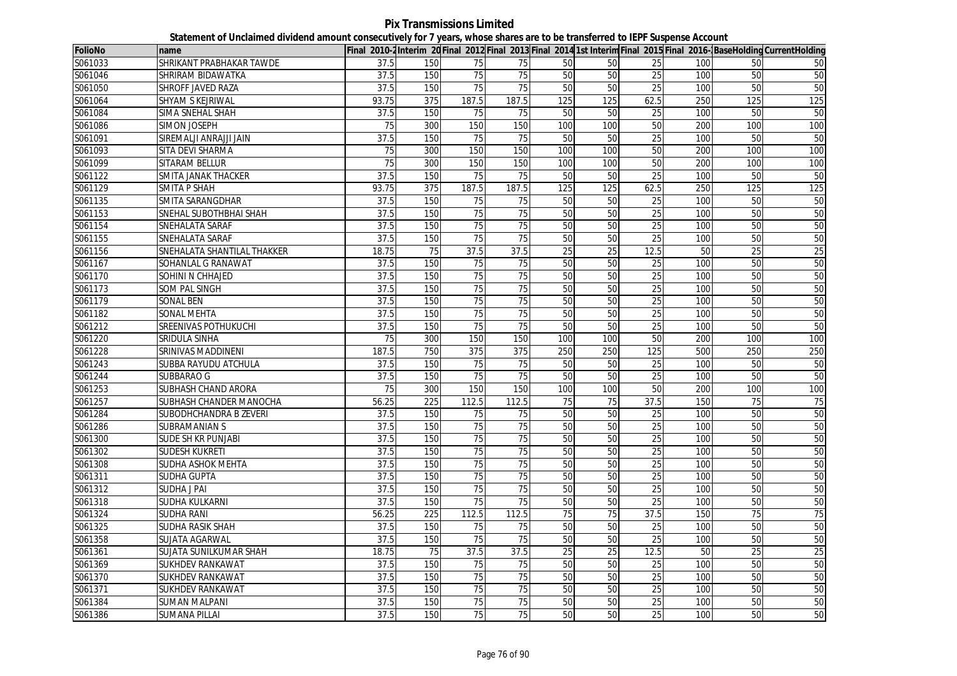## **Pix Transmissions Limited Statement of Unclaimed dividend amount consecutively for 7 years, whose shares are to be transferred to IEPF Suspense Account**

| <b>FolioNo</b> | name                        |       |                 |                 |                 |     |     |                 |     |     | Final 2010-2Interim 20 Final 2012 Final 2013 Final 2014 1st Interim Final 2015 Final 2016-BaseHolding CurrentHolding |
|----------------|-----------------------------|-------|-----------------|-----------------|-----------------|-----|-----|-----------------|-----|-----|----------------------------------------------------------------------------------------------------------------------|
| S061033        | SHRIKANT PRABHAKAR TAWDE    | 37.5  | 150             | 75              | 75              | 50  | 50  | 25              | 100 | 50  | 50                                                                                                                   |
| S061046        | SHRIRAM BIDAWATKA           | 37.5  | 150             | 75              | 75              | 50  | 50  | 25              | 100 | 50  | 50                                                                                                                   |
| S061050        | SHROFF JAVED RAZA           | 37.5  | 150             | 75              | 75              | 50  | 50  | $\overline{25}$ | 100 | 50  | 50                                                                                                                   |
| S061064        | SHYAM S KEJRIWAL            | 93.75 | 375             | 187.5           | 187.5           | 125 | 125 | 62.5            | 250 | 125 | 125                                                                                                                  |
| S061084        | SIMA SNEHAL SHAH            | 37.5  | 150             | 75              | 75              | 50  | 50  | 25              | 100 | 50  | 50                                                                                                                   |
| S061086        | <b>SIMON JOSEPH</b>         | 75    | 300             | 150             | 150             | 100 | 100 | 50              | 200 | 100 | 100                                                                                                                  |
| S061091        | SIREMALJI ANRAJJI JAIN      | 37.5  | 150             | 75              | 75              | 50  | 50  | 25              | 100 | 50  | 50                                                                                                                   |
| S061093        | SITA DEVI SHARMA            | 75    | 300             | 150             | 150             | 100 | 100 | 50              | 200 | 100 | 100                                                                                                                  |
| S061099        | SITARAM BELLUR              | 75    | 300             | 150             | 150             | 100 | 100 | 50              | 200 | 100 | 100                                                                                                                  |
| S061122        | SMITA JANAK THACKER         | 37.5  | 150             | 75              | $\overline{75}$ | 50  | 50  | 25              | 100 | 50  | 50                                                                                                                   |
| S061129        | <b>SMITA P SHAH</b>         | 93.75 | 375             | 187.5           | 187.5           | 125 | 125 | 62.5            | 250 | 125 | 125                                                                                                                  |
| S061135        | SMITA SARANGDHAR            | 37.5  | 150             | 75              | 75              | 50  | 50  | $\overline{25}$ | 100 | 50  | 50                                                                                                                   |
| S061153        | SNEHAL SUBOTHBHAI SHAH      | 37.5  | 150             | 75              | 75              | 50  | 50  | 25              | 100 | 50  | 50                                                                                                                   |
| S061154        | SNEHALATA SARAF             | 37.5  | 150             | 75              | $\overline{75}$ | 50  | 50  | 25              | 100 | 50  | 50                                                                                                                   |
| S061155        | SNEHALATA SARAF             | 37.5  | 150             | 75              | 75              | 50  | 50  | 25              | 100 | 50  | 50                                                                                                                   |
| S061156        | SNEHALATA SHANTILAL THAKKER | 18.75 | $\overline{75}$ | 37.5            | 37.5            | 25  | 25  | 12.5            | 50  | 25  | 25                                                                                                                   |
| S061167        | SOHANLAL G RANAWAT          | 37.5  | 150             | $\overline{75}$ | $\overline{75}$ | 50  | 50  | $\overline{25}$ | 100 | 50  | 50                                                                                                                   |
| S061170        | SOHINI N CHHAJED            | 37.5  | 150             | 75              | 75              | 50  | 50  | 25              | 100 | 50  | 50                                                                                                                   |
| S061173        | <b>SOM PAL SINGH</b>        | 37.5  | 150             | 75              | $\overline{75}$ | 50  | 50  | $\overline{25}$ | 100 | 50  | 50                                                                                                                   |
| S061179        | SONAL BEN                   | 37.5  | 150             | 75              | 75              | 50  | 50  | 25              | 100 | 50  | 50                                                                                                                   |
| S061182        | SONAL MEHTA                 | 37.5  | 150             | 75              | $\overline{75}$ | 50  | 50  | $\overline{25}$ | 100 | 50  | 50                                                                                                                   |
| S061212        | SREENIVAS POTHUKUCHI        | 37.5  | 150             | 75              | 75              | 50  | 50  | 25              | 100 | 50  | 50                                                                                                                   |
| S061220        | SRIDULA SINHA               | 75    | 300             | 150             | 150             | 100 | 100 | 50              | 200 | 100 | 100                                                                                                                  |
| S061228        | SRINIVAS MADDINENI          | 187.5 | 750             | 375             | 375             | 250 | 250 | 125             | 500 | 250 | 250                                                                                                                  |
| S061243        | SUBBA RAYUDU ATCHULA        | 37.5  | 150             | $\overline{75}$ | 75              | 50  | 50  | $\overline{25}$ | 100 | 50  | 50                                                                                                                   |
| S061244        | SUBBARAO G                  | 37.5  | 150             | 75              | 75              | 50  | 50  | 25              | 100 | 50  | 50                                                                                                                   |
| S061253        | <b>SUBHASH CHAND ARORA</b>  | 75    | 300             | 150             | 150             | 100 | 100 | 50              | 200 | 100 | 100                                                                                                                  |
| S061257        | SUBHASH CHANDER MANOCHA     | 56.25 | 225             | 112.5           | 112.5           | 75  | 75  | 37.5            | 150 | 75  | 75                                                                                                                   |
| S061284        | SUBODHCHANDRA B ZEVERI      | 37.5  | 150             | $\overline{75}$ | 75              | 50  | 50  | $\overline{25}$ | 100 | 50  | 50                                                                                                                   |
| S061286        | <b>SUBRAMANIAN S</b>        | 37.5  | 150             | 75              | 75              | 50  | 50  | 25              | 100 | 50  | 50                                                                                                                   |
| S061300        | <b>SUDE SH KR PUNJABI</b>   | 37.5  | 150             | 75              | 75              | 50  | 50  | 25              | 100 | 50  | 50                                                                                                                   |
| S061302        | <b>SUDESH KUKRETI</b>       | 37.5  | 150             | 75              | 75              | 50  | 50  | 25              | 100 | 50  | 50                                                                                                                   |
| S061308        | SUDHA ASHOK MEHTA           | 37.5  | 150             | 75              | 75              | 50  | 50  | 25              | 100 | 50  | 50                                                                                                                   |
| S061311        | <b>SUDHA GUPTA</b>          | 37.5  | 150             | 75              | 75              | 50  | 50  | 25              | 100 | 50  | 50                                                                                                                   |
| S061312        | SUDHA J PAI                 | 37.5  | 150             | 75              | 75              | 50  | 50  | 25              | 100 | 50  | 50                                                                                                                   |
| S061318        | SUDHA KULKARNI              | 37.5  | 150             | 75              | $\overline{75}$ | 50  | 50  | 25              | 100 | 50  | 50                                                                                                                   |
| S061324        | <b>SUDHA RANI</b>           | 56.25 | 225             | 112.5           | 112.5           | 75  | 75  | 37.5            | 150 | 75  | 75                                                                                                                   |
| S061325        | <b>SUDHA RASIK SHAH</b>     | 37.5  | 150             | 75              | 75              | 50  | 50  | 25              | 100 | 50  | 50                                                                                                                   |
| S061358        | SUJATA AGARWAL              | 37.5  | 150             | $\overline{75}$ | $\overline{75}$ | 50  | 50  | $\overline{25}$ | 100 | 50  | 50                                                                                                                   |
| S061361        | SUJATA SUNILKUMAR SHAH      | 18.75 | 75              | 37.5            | 37.5            | 25  | 25  | 12.5            | 50  | 25  | 25                                                                                                                   |
| S061369        | <b>SUKHDEV RANKAWAT</b>     | 37.5  | 150             | 75              | 75              | 50  | 50  | 25              | 100 | 50  | 50                                                                                                                   |
| S061370        | <b>SUKHDEV RANKAWAT</b>     | 37.5  | 150             | 75              | $\overline{75}$ | 50  | 50  | 25              | 100 | 50  | 50                                                                                                                   |
| S061371        | <b>SUKHDEV RANKAWAT</b>     | 37.5  | 150             | 75              | 75              | 50  | 50  | 25              | 100 | 50  | 50                                                                                                                   |
| S061384        | <b>SUMAN MALPANI</b>        | 37.5  | 150             | 75              | 75              | 50  | 50  | 25              | 100 | 50  | 50                                                                                                                   |
| S061386        | <b>SUMANA PILLAI</b>        | 37.5  | 150             | 75              | 75              | 50  | 50  | 25              | 100 | 50  | 50                                                                                                                   |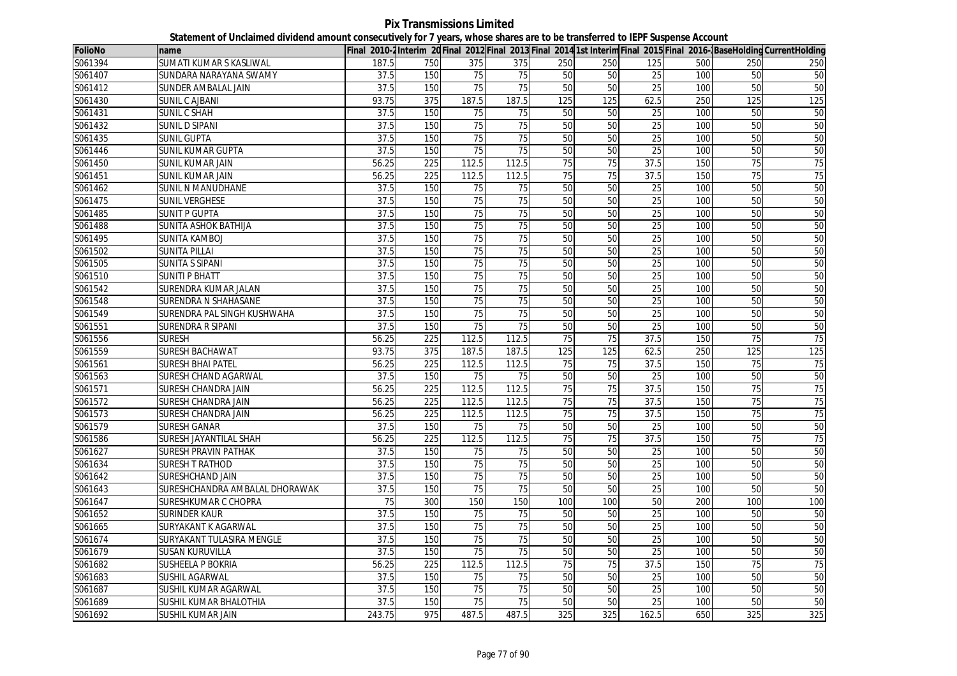**Pix Transmissions Limited Statement of Unclaimed dividend amount consecutively for 7 years, whose shares are to be transferred to IEPF Suspense Account**

| <b>FolioNo</b> | name                           |        |                  |                 |                 |                 |                 |                 |            |                 | Final 2010-2Interim 20 Final 2012 Final 2013 Final 2014 1st Interim Final 2015 Final 2016-BaseHolding CurrentHolding |
|----------------|--------------------------------|--------|------------------|-----------------|-----------------|-----------------|-----------------|-----------------|------------|-----------------|----------------------------------------------------------------------------------------------------------------------|
| S061394        | SUMATI KUMAR S KASLIWAL        | 187.5  | 750              | 375             | 375             | 250             | 250             | 125             | 500        | 250             | 250                                                                                                                  |
| S061407        | SUNDARA NARAYANA SWAMY         | 37.5   | 150              | 75              | 75              | 50              | 50              | 25              | <b>100</b> | 50              | 50                                                                                                                   |
| S061412        | SUNDER AMBALAL JAIN            | 37.5   | 150              | 75              | 75              | 50              | 50              | 25              | 100        | 50              | 50                                                                                                                   |
| S061430        | <b>SUNIL C AJBANI</b>          | 93.75  | 375              | 187.5           | 187.5           | 125             | 125             | 62.5            | 250        | 125             | 125                                                                                                                  |
| S061431        | SUNIL C SHAH                   | 37.5   | 150              | 75              | 75              | 50              | 50              | 25              | 100        | 50              | 50                                                                                                                   |
| S061432        | <b>SUNIL D SIPANI</b>          | 37.5   | 150              | 75              | 75              | 50              | 50              | 25              | 100        | 50              | 50                                                                                                                   |
| S061435        | <b>SUNIL GUPTA</b>             | 37.5   | 150              | 75              | 75              | 50              | 50              | 25              | 100        | 50              | 50                                                                                                                   |
| S061446        | SUNIL KUMAR GUPTA              | 37.5   | 150              | 75              | 75              | 50              | 50              | 25              | 100        | 50              | 50                                                                                                                   |
| S061450        | SUNIL KUMAR JAIN               | 56.25  | 225              | 112.5           | 112.5           | 75              | 75              | 37.5            | 150        | 75              | 75                                                                                                                   |
| S061451        | <b>SUNIL KUMAR JAIN</b>        | 56.25  | 225              | 112.5           | 112.5           | 75              | 75              | 37.5            | 150        | 75              | 75                                                                                                                   |
| S061462        | SUNIL N MANUDHANE              | 37.5   | 150              | 75              | 75              | 50              | 50              | 25              | 100        | 50              | 50                                                                                                                   |
| S061475        | <b>SUNIL VERGHESE</b>          | 37.5   | 150              | $\overline{75}$ | $\overline{75}$ | 50              | 50              | 25              | 100        | 50              | 50                                                                                                                   |
| S061485        | <b>SUNIT P GUPTA</b>           | 37.5   | 150              | 75              | 75              | 50              | 50              | $\overline{25}$ | 100        | 50              | 50                                                                                                                   |
| S061488        | SUNITA ASHOK BATHIJA           | 37.5   | 150              | $\overline{75}$ | 75              | 50              | 50              | 25              | 100        | 50              | 50                                                                                                                   |
| S061495        | <b>SUNITA KAMBOJ</b>           | 37.5   | 150              | 75              | 75              | 50              | 50              | $\overline{25}$ | 100        | 50              | 50                                                                                                                   |
| S061502        | <b>SUNITA PILLAI</b>           | 37.5   | 150              | 75              | 75              | 50              | 50              | 25              | 100        | 50              | 50                                                                                                                   |
| S061505        | <b>SUNITA S SIPANI</b>         | 37.5   | 150              | 75              | 75              | 50              | 50              | 25              | 100        | 50              | 50                                                                                                                   |
| S061510        | <b>SUNITI P BHATT</b>          | 37.5   | 150              | 75              | 75              | 50              | 50              | 25              | 100        | 50              | 50                                                                                                                   |
| S061542        | SURENDRA KUMAR JALAN           | 37.5   | 150              | 75              | 75              | 50              | 50              | 25              | 100        | 50              | 50                                                                                                                   |
| S061548        | SURENDRA N SHAHASANE           | 37.5   | 150              | 75              | 75              | 50              | 50              | $\overline{25}$ | 100        | 50              | 50                                                                                                                   |
| S061549        | SURENDRA PAL SINGH KUSHWAHA    | 37.5   | 150              | 75              | $\overline{75}$ | 50              | 50              | $\overline{25}$ | 100        | 50              | 50                                                                                                                   |
| S061551        | <b>SURENDRA R SIPANI</b>       | 37.5   | 150              | 75              | 75              | 50              | 50              | 25              | 100        | 50              | 50                                                                                                                   |
| S061556        | <b>SURESH</b>                  | 56.25  | 225              | 112.5           | 112.5           | $\overline{75}$ | $\overline{75}$ | 37.5            | 150        | $\overline{75}$ | 75                                                                                                                   |
| S061559        | <b>SURESH BACHAWAT</b>         | 93.75  | 375              | 187.5           | 187.5           | 125             | 125             | 62.5            | 250        | 125             | 125                                                                                                                  |
| S061561        | <b>SURESH BHAI PATEL</b>       | 56.25  | $\overline{225}$ | 112.5           | 112.5           | 75              | 75              | 37.5            | 150        | 75              | 75                                                                                                                   |
| S061563        | SURESH CHAND AGARWAL           | 37.5   | 150              | 75              | 75              | 50              | 50              | 25              | 100        | 50              | 50                                                                                                                   |
| S061571        | <b>SURESH CHANDRA JAIN</b>     | 56.25  | 225              | 112.5           | 112.5           | 75              | 75              | 37.5            | 150        | 75              | 75                                                                                                                   |
| S061572        | SURESH CHANDRA JAIN            | 56.25  | 225              | 112.5           | 112.5           | 75              | 75              | 37.5            | 150        | 75              | 75                                                                                                                   |
| S061573        | SURESH CHANDRA JAIN            | 56.25  | 225              | 112.5           | 112.5           | 75              | 75              | 37.5            | 150        | 75              | 75                                                                                                                   |
| S061579        | SURESH GANAR                   | 37.5   | 150              | 75              | 75              | 50              | 50              | 25              | 100        | 50              | 50                                                                                                                   |
| S061586        | SURESH JAYANTILAL SHAH         | 56.25  | 225              | 112.5           | 112.5           | 75              | 75              | 37.5            | 150        | 75              | 75                                                                                                                   |
| S061627        | <b>SURESH PRAVIN PATHAK</b>    | 37.5   | 150              | 75              | 75              | 50              | 50              | $\overline{25}$ | 100        | 50              | 50                                                                                                                   |
| S061634        | <b>SURESH T RATHOD</b>         | 37.5   | 150              | 75              | $\overline{75}$ | 50              | 50              | 25              | 100        | 50              | 50                                                                                                                   |
| S061642        | SURESHCHAND JAIN               | 37.5   | 150              | 75              | 75              | 50              | 50              | 25              | 100        | 50              | 50                                                                                                                   |
| S061643        | SURESHCHANDRA AMBALAL DHORAWAK | 37.5   | 150              | 75              | 75              | 50              | 50              | 25              | 100        | 50              | 50                                                                                                                   |
| S061647        | SURESHKUMAR C CHOPRA           | 75     | 300              | 150             | 150             | 100             | 100             | 50              | 200        | 100             | 100                                                                                                                  |
| S061652        | <b>SURINDER KAUR</b>           | 37.5   | 150              | 75              | 75              | 50              | 50              | $\overline{25}$ | 100        | 50              | 50                                                                                                                   |
| S061665        | SURYAKANT K AGARWAL            | 37.5   | 150              | $\overline{75}$ | $\overline{75}$ | 50              | 50              | 25              | 100        | 50              | 50                                                                                                                   |
| S061674        | SURYAKANT TULASIRA MENGLE      | 37.5   | 150              | $\overline{75}$ | $\overline{75}$ | 50              | 50              | $\overline{25}$ | 100        | 50              | 50                                                                                                                   |
| S061679        | <b>SUSAN KURUVILLA</b>         | 37.5   | 150              | 75              | $\overline{75}$ | 50              | 50              | $\overline{25}$ | 100        | 50              | 50                                                                                                                   |
| S061682        | <b>SUSHEELA P BOKRIA</b>       | 56.25  | 225              | 112.5           | 112.5           | 75              | 75              | 37.5            | 150        | 75              | 75                                                                                                                   |
| S061683        | <b>SUSHIL AGARWAL</b>          | 37.5   | 150              | $\overline{75}$ | $\overline{75}$ | 50              | 50              | $\overline{25}$ | 100        | 50              | 50                                                                                                                   |
| S061687        | SUSHIL KUMAR AGARWAL           | 37.5   | 150              | 75              | 75              | 50              | 50              | 25              | 100        | 50              | 50                                                                                                                   |
| S061689        | SUSHIL KUMAR BHALOTHIA         | 37.5   | 150              | 75              | 75              | 50              | 50              | 25              | 100        | 50              | 50                                                                                                                   |
| S061692        | <b>SUSHIL KUMAR JAIN</b>       | 243.75 | 975              | 487.5           | 487.5           | 325             | 325             | 162.5           | 650        | 325             | 325                                                                                                                  |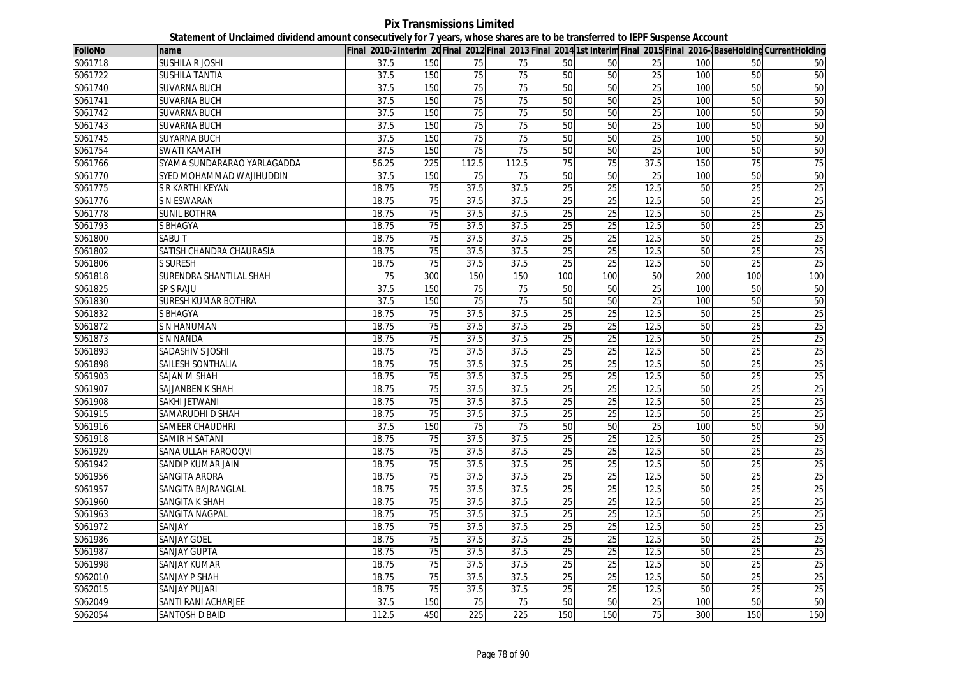**Pix Transmissions Limited Statement of Unclaimed dividend amount consecutively for 7 years, whose shares are to be transferred to IEPF Suspense Account**

| <b>FolioNo</b> | name                        |       |                 |       |                 |                 |                 |                 |     |                 | Final 2010-2 Interim 20 Final 2012 Final 2013 Final 2014 1st Interim Final 2015 Final 2016- BaseHolding CurrentHolding |
|----------------|-----------------------------|-------|-----------------|-------|-----------------|-----------------|-----------------|-----------------|-----|-----------------|------------------------------------------------------------------------------------------------------------------------|
| S061718        | SUSHILA R JOSHI             | 37.5  | 150             | 75    | 75              | 50              | 50              | 25              | 100 | 50              | 50                                                                                                                     |
| S061722        | <b>SUSHILA TANTIA</b>       | 37.5  | 150             | 75    | 75              | 50              | 50              | 25              | 100 | 50              | 50                                                                                                                     |
| S061740        | <b>SUVARNA BUCH</b>         | 37.5  | 150             | 75    | $\overline{75}$ | 50              | 50              | 25              | 100 | 50              | 50                                                                                                                     |
| S061741        | <b>SUVARNA BUCH</b>         | 37.5  | 150             | 75    | 75              | 50              | 50              | 25              | 100 | 50              | 50                                                                                                                     |
| S061742        | <b>SUVARNA BUCH</b>         | 37.5  | 150             | 75    | $\overline{75}$ | 50              | 50              | 25              | 100 | 50              | 50                                                                                                                     |
| S061743        | <b>SUVARNA BUCH</b>         | 37.5  | 150             | 75    | 75              | 50              | 50              | $\overline{25}$ | 100 | 50              | 50                                                                                                                     |
| S061745        | <b>SUYARNA BUCH</b>         | 37.5  | 150             | 75    | 75              | 50              | 50              | 25              | 100 | 50              | 50                                                                                                                     |
| S061754        | <b>SWATI KAMATH</b>         | 37.5  | 150             | 75    | 75              | 50              | 50              | 25              | 100 | 50              | 50                                                                                                                     |
| S061766        | SYAMA SUNDARARAO YARLAGADDA | 56.25 | 225             | 112.5 | 112.5           | $\overline{75}$ | 75              | 37.5            | 150 | 75              | 75                                                                                                                     |
| S061770        | SYED MOHAMMAD WAJIHUDDIN    | 37.5  | 150             | 75    | 75              | 50              | 50              | $\overline{25}$ | 100 | 50              | 50                                                                                                                     |
| S061775        | S R KARTHI KEYAN            | 18.75 | 75              | 37.5  | 37.5            | 25              | $\overline{25}$ | 12.5            | 50  | 25              | 25                                                                                                                     |
| S061776        | <b>S N ESWARAN</b>          | 18.75 | 75              | 37.5  | 37.5            | 25              | 25              | 12.5            | 50  | 25              | 25                                                                                                                     |
| S061778        | SUNIL BOTHRA                | 18.75 | 75              | 37.5  | 37.5            | 25              | 25              | 12.5            | 50  | 25              | 25                                                                                                                     |
| S061793        | S BHAGYA                    | 18.75 | 75              | 37.5  | 37.5            | 25              | 25              | 12.5            | 50  | 25              | 25                                                                                                                     |
| S061800        | Sabu t                      | 18.75 | 75              | 37.5  | 37.5            | 25              | $\overline{25}$ | 12.5            | 50  | $\overline{25}$ | 25                                                                                                                     |
| S061802        | SATISH CHANDRA CHAURASIA    | 18.75 | $\overline{75}$ | 37.5  | 37.5            | 25              | 25              | 12.5            | 50  | $\overline{25}$ | 25                                                                                                                     |
| S061806        | <b>S SURESH</b>             | 18.75 | 75              | 37.5  | 37.5            | 25              | 25              | 12.5            | 50  | 25              | 25                                                                                                                     |
| S061818        | SURENDRA SHANTILAL SHAH     | 75    | 300             | 150   | 150             | 100             | 100             | 50              | 200 | 100             | 100                                                                                                                    |
| S061825        | SP S RAJU                   | 37.5  | 150             | 75    | 75              | 50              | 50              | 25              | 100 | 50              | 50                                                                                                                     |
| S061830        | <b>SURESH KUMAR BOTHRA</b>  | 37.5  | 150             | 75    | $\overline{75}$ | 50              | 50              | $\overline{25}$ | 100 | 50              | 50                                                                                                                     |
| S061832        | S BHAGYA                    | 18.75 | 75              | 37.5  | 37.5            | 25              | 25              | 12.5            | 50  | 25              | 25                                                                                                                     |
| S061872        | S N HANUMAN                 | 18.75 | 75              | 37.5  | 37.5            | 25              | 25              | 12.5            | 50  | 25              | 25                                                                                                                     |
| S061873        | <b>S N NANDA</b>            | 18.75 | $\overline{75}$ | 37.5  | 37.5            | 25              | 25              | 12.5            | 50  | $\overline{25}$ | 25                                                                                                                     |
| S061893        | SADASHIV S JOSHI            | 18.75 | 75              | 37.5  | 37.5            | 25              | 25              | 12.5            | 50  | 25              | 25                                                                                                                     |
| S061898        | SAILESH SONTHALIA           | 18.75 | 75              | 37.5  | 37.5            | $\overline{25}$ | $\overline{25}$ | 12.5            | 50  | $\overline{25}$ | 25                                                                                                                     |
| S061903        | SAJAN M SHAH                | 18.75 | 75              | 37.5  | 37.5            | 25              | 25              | 12.5            | 50  | 25              | 25                                                                                                                     |
| S061907        | SAJJANBEN K SHAH            | 18.75 | 75              | 37.5  | 37.5            | 25              | 25              | 12.5            | 50  | 25              | 25                                                                                                                     |
| S061908        | SAKHI JETWANI               | 18.75 | 75              | 37.5  | 37.5            | 25              | 25              | 12.5            | 50  | $\overline{25}$ | 25                                                                                                                     |
| S061915        | SAMARUDHI D SHAH            | 18.75 | 75              | 37.5  | 37.5            | 25              | 25              | 12.5            | 50  | 25              | 25                                                                                                                     |
| S061916        | SAMEER CHAUDHRI             | 37.5  | 150             | 75    | 75              | 50              | 50              | 25              | 100 | 50              | 50                                                                                                                     |
| S061918        | SAMIR H SATANI              | 18.75 | 75              | 37.5  | 37.5            | 25              | 25              | 12.5            | 50  | 25              | 25                                                                                                                     |
| S061929        | SANA ULLAH FAROOQVI         | 18.75 | 75              | 37.5  | 37.5            | 25              | 25              | 12.5            | 50  | 25              | 25                                                                                                                     |
| S061942        | SANDIP KUMAR JAIN           | 18.75 | 75              | 37.5  | 37.5            | 25              | $\overline{25}$ | 12.5            | 50  | 25              | 25                                                                                                                     |
| S061956        | SANGITA ARORA               | 18.75 | 75              | 37.5  | 37.5            | 25              | 25              | 12.5            | 50  | 25              | 25                                                                                                                     |
| S061957        | SANGITA BAJRANGLAL          | 18.75 | 75              | 37.5  | 37.5            | 25              | 25              | 12.5            | 50  | 25              | 25                                                                                                                     |
| S061960        | SANGITA K SHAH              | 18.75 | 75              | 37.5  | 37.5            | 25              | 25              | 12.5            | 50  | 25              | 25                                                                                                                     |
| S061963        | SANGITA NAGPAL              | 18.75 | 75              | 37.5  | 37.5            | $\overline{25}$ | $\overline{25}$ | 12.5            | 50  | 25              | 25                                                                                                                     |
| S061972        | SANJAY                      | 18.75 | 75              | 37.5  | 37.5            | $\overline{25}$ | $\overline{25}$ | 12.5            | 50  | $\overline{25}$ | 25                                                                                                                     |
| S061986        | <b>SANJAY GOEL</b>          | 18.75 | 75              | 37.5  | 37.5            | 25              | $\overline{25}$ | 12.5            | 50  | $\overline{25}$ | 25                                                                                                                     |
| S061987        | <b>SANJAY GUPTA</b>         | 18.75 | 75              | 37.5  | 37.5            | 25              | 25              | 12.5            | 50  | 25              | 25                                                                                                                     |
| S061998        | SANJAY KUMAR                | 18.75 | 75              | 37.5  | 37.5            | $\overline{25}$ | $\overline{25}$ | 12.5            | 50  | $\overline{25}$ | 25                                                                                                                     |
| S062010        | <b>SANJAY P SHAH</b>        | 18.75 | 75              | 37.5  | 37.5            | 25              | $\overline{25}$ | 12.5            | 50  | $\overline{25}$ | 25                                                                                                                     |
| S062015        | SANJAY PUJARI               | 18.75 | 75              | 37.5  | 37.5            | 25              | 25              | 12.5            | 50  | 25              | 25                                                                                                                     |
| S062049        | SANTI RANI ACHARJEE         | 37.5  | 150             | 75    | 75              | 50              | 50              | 25              | 100 | 50              | 50                                                                                                                     |
| S062054        | SANTOSH D BAID              | 112.5 | 450             | 225   | 225             | 150             | 150             | 75              | 300 | 150             | 150                                                                                                                    |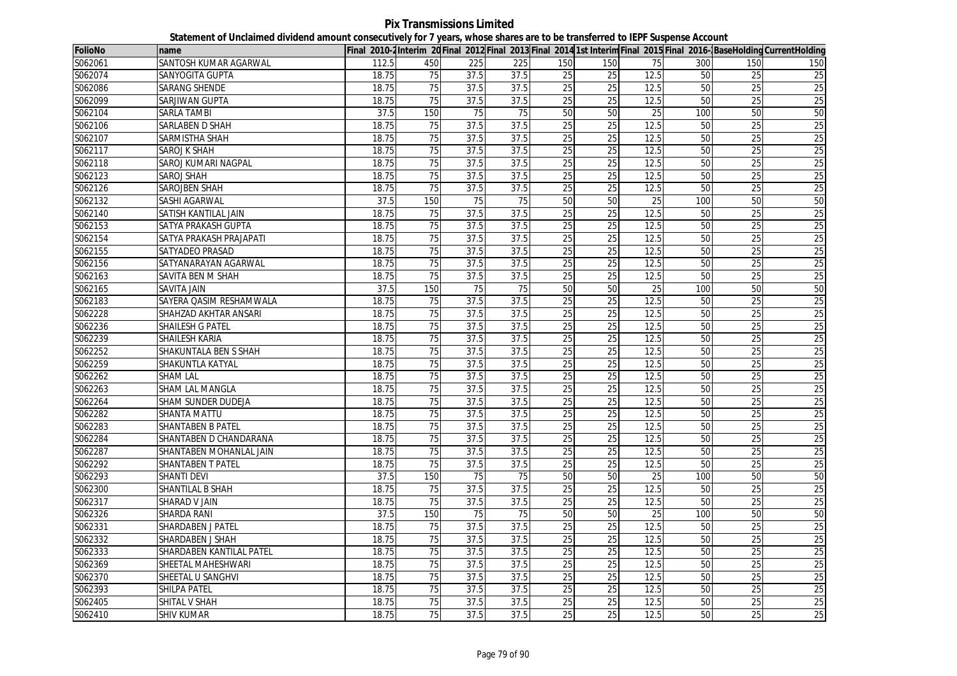**Pix Transmissions Limited Statement of Unclaimed dividend amount consecutively for 7 years, whose shares are to be transferred to IEPF Suspense Account**

| <b>FolioNo</b> | name                     |       |                 |      |                 |                 |                 |      |     |                 | Final 2010-2Interim 20 Final 2012 Final 2013 Final 2014 1st Interim Final 2015 Final 2016-BaseHolding CurrentHolding |
|----------------|--------------------------|-------|-----------------|------|-----------------|-----------------|-----------------|------|-----|-----------------|----------------------------------------------------------------------------------------------------------------------|
| S062061        | SANTOSH KUMAR AGARWAL    | 112.5 | 450             | 225  | 225             | 150             | 150             | 75   | 300 | 150             | 150                                                                                                                  |
| S062074        | <b>SANYOGITA GUPTA</b>   | 18.75 | 75              | 37.5 | 37.5            | 25              | 25              | 12.5 | 50  | 25              | $\overline{25}$                                                                                                      |
| S062086        | <b>SARANG SHENDE</b>     | 18.75 | 75              | 37.5 | 37.5            | 25              | 25              | 12.5 | 50  | 25              | 25                                                                                                                   |
| S062099        | SARJIWAN GUPTA           | 18.75 | 75              | 37.5 | 37.5            | 25              | 25              | 12.5 | 50  | 25              | 25                                                                                                                   |
| S062104        | SARLA TAMBI              | 37.5  | 150             | 75   | 75              | 50              | 50              | 25   | 100 | 50              | 50                                                                                                                   |
| S062106        | <b>SARLABEN D SHAH</b>   | 18.75 | 75              | 37.5 | 37.5            | 25              | 25              | 12.5 | 50  | 25              | 25                                                                                                                   |
| S062107        | SARMISTHA SHAH           | 18.75 | 75              | 37.5 | 37.5            | 25              | 25              | 12.5 | 50  | 25              | 25                                                                                                                   |
| S062117        | <b>SAROJ K SHAH</b>      | 18.75 | 75              | 37.5 | 37.5            | 25              | 25              | 12.5 | 50  | 25              | 25                                                                                                                   |
| S062118        | SAROJ KUMARI NAGPAL      | 18.75 | $\overline{75}$ | 37.5 | 37.5            | $\overline{25}$ | 25              | 12.5 | 50  | 25              | 25                                                                                                                   |
| S062123        | SAROJ SHAH               | 18.75 | 75              | 37.5 | 37.5            | 25              | 25              | 12.5 | 50  | 25              | 25                                                                                                                   |
| S062126        | <b>SAROJBEN SHAH</b>     | 18.75 | 75              | 37.5 | 37.5            | 25              | $\overline{25}$ | 12.5 | 50  | $\overline{25}$ | 25                                                                                                                   |
| S062132        | SASHI AGARWAL            | 37.5  | 150             | 75   | 75              | 50              | 50              | 25   | 100 | 50              | 50                                                                                                                   |
| S062140        | SATISH KANTILAL JAIN     | 18.75 | 75              | 37.5 | 37.5            | 25              | 25              | 12.5 | 50  | 25              | 25                                                                                                                   |
| S062153        | SATYA PRAKASH GUPTA      | 18.75 | 75              | 37.5 | 37.5            | 25              | $\overline{25}$ | 12.5 | 50  | $\overline{25}$ | 25                                                                                                                   |
| S062154        | SATYA PRAKASH PRAJAPATI  | 18.75 | 75              | 37.5 | 37.5            | 25              | 25              | 12.5 | 50  | 25              | 25                                                                                                                   |
| S062155        | SATYADEO PRASAD          | 18.75 | $\overline{75}$ | 37.5 | 37.5            | $\overline{25}$ | $\overline{25}$ | 12.5 | 50  | 25              | 25                                                                                                                   |
| S062156        | SATYANARAYAN AGARWAL     | 18.75 | 75              | 37.5 | 37.5            | 25              | 25              | 12.5 | 50  | 25              | 25                                                                                                                   |
| S062163        | SAVITA BEN M SHAH        | 18.75 | 75              | 37.5 | 37.5            | 25              | 25              | 12.5 | 50  | $\overline{25}$ | 25                                                                                                                   |
| S062165        | <b>SAVITA JAIN</b>       | 37.5  | 150             | 75   | 75              | 50              | 50              | 25   | 100 | 50              | 50                                                                                                                   |
| S062183        | SAYERA QASIM RESHAMWALA  | 18.75 | 75              | 37.5 | 37.5            | 25              | $\overline{25}$ | 12.5 | 50  | $\overline{25}$ | 25                                                                                                                   |
| S062228        | SHAHZAD AKHTAR ANSARI    | 18.75 | 75              | 37.5 | 37.5            | 25              | 25              | 12.5 | 50  | $\overline{25}$ | 25                                                                                                                   |
| S062236        | SHAILESH G PATEL         | 18.75 | 75              | 37.5 | 37.5            | 25              | 25              | 12.5 | 50  | 25              | 25                                                                                                                   |
| S062239        | SHAILESH KARIA           | 18.75 | $\overline{75}$ | 37.5 | 37.5            | 25              | 25              | 12.5 | 50  | $\overline{25}$ | 25                                                                                                                   |
| S062252        | SHAKUNTALA BEN S SHAH    | 18.75 | 75              | 37.5 | 37.5            | 25              | 25              | 12.5 | 50  | 25              | 25                                                                                                                   |
| S062259        | SHAKUNTLA KATYAL         | 18.75 | 75              | 37.5 | 37.5            | $\overline{25}$ | 25              | 12.5 | 50  | $\overline{25}$ | 25                                                                                                                   |
| S062262        | SHAM LAL                 | 18.75 | 75              | 37.5 | 37.5            | 25              | 25              | 12.5 | 50  | 25              | 25                                                                                                                   |
| S062263        | <b>SHAM LAL MANGLA</b>   | 18.75 | 75              | 37.5 | 37.5            | 25              | $\overline{25}$ | 12.5 | 50  | $\overline{25}$ | 25                                                                                                                   |
| S062264        | SHAM SUNDER DUDEJA       | 18.75 | 75              | 37.5 | 37.5            | 25              | 25              | 12.5 | 50  | 25              | 25                                                                                                                   |
| S062282        | SHANTA MATTU             | 18.75 | 75              | 37.5 | 37.5            | 25              | $\overline{25}$ | 12.5 | 50  | $\overline{25}$ | 25                                                                                                                   |
| S062283        | SHANTABEN B PATEL        | 18.75 | 75              | 37.5 | 37.5            | 25              | 25              | 12.5 | 50  | 25              | 25                                                                                                                   |
| S062284        | SHANTABEN D CHANDARANA   | 18.75 | 75              | 37.5 | 37.5            | 25              | 25              | 12.5 | 50  | 25              | 25                                                                                                                   |
| S062287        | SHANTABEN MOHANLAL JAIN  | 18.75 | 75              | 37.5 | 37.5            | 25              | 25              | 12.5 | 50  | 25              | 25                                                                                                                   |
| S062292        | SHANTABEN T PATEL        | 18.75 | 75              | 37.5 | 37.5            | 25              | 25              | 12.5 | 50  | 25              | 25                                                                                                                   |
| S062293        | <b>SHANTI DEVI</b>       | 37.5  | 150             | 75   | $\overline{75}$ | 50              | 50              | 25   | 100 | 50              | 50                                                                                                                   |
| S062300        | <b>SHANTILAL B SHAH</b>  | 18.75 | 75              | 37.5 | 37.5            | 25              | 25              | 12.5 | 50  | 25              | 25                                                                                                                   |
| S062317        | <b>SHARAD V JAIN</b>     | 18.75 | 75              | 37.5 | 37.5            | 25              | 25              | 12.5 | 50  | $\overline{25}$ | 25                                                                                                                   |
| S062326        | <b>SHARDA RANI</b>       | 37.5  | 150             | 75   | 75              | 50              | 50              | 25   | 100 | 50              | 50                                                                                                                   |
| S062331        | <b>SHARDABEN J PATEL</b> | 18.75 | $\overline{75}$ | 37.5 | 37.5            | $\overline{25}$ | $\overline{25}$ | 12.5 | 50  | $\overline{25}$ | 25                                                                                                                   |
| S062332        | SHARDABEN J SHAH         | 18.75 | $\overline{75}$ | 37.5 | 37.5            | 25              | 25              | 12.5 | 50  | 25              | 25                                                                                                                   |
| S062333        | SHARDABEN KANTILAL PATEL | 18.75 | 75              | 37.5 | 37.5            | 25              | 25              | 12.5 | 50  | 25              | 25                                                                                                                   |
| S062369        | SHEETAL MAHESHWARI       | 18.75 | 75              | 37.5 | 37.5            | $\overline{25}$ | 25              | 12.5 | 50  | $\overline{25}$ | $\overline{25}$                                                                                                      |
| S062370        | SHEETAL U SANGHVI        | 18.75 | 75              | 37.5 | 37.5            | 25              | 25              | 12.5 | 50  | 25              | 25                                                                                                                   |
| S062393        | <b>SHILPA PATEL</b>      | 18.75 | 75              | 37.5 | 37.5            | 25              | $\overline{25}$ | 12.5 | 50  | $\overline{25}$ | 25                                                                                                                   |
| S062405        | SHITAL V SHAH            | 18.75 | 75              | 37.5 | 37.5            | 25              | 25              | 12.5 | 50  | 25              | 25                                                                                                                   |
| S062410        | SHIV KUMAR               | 18.75 | 75              | 37.5 | 37.5            | 25              | 25              | 12.5 | 50  | 25              | 25                                                                                                                   |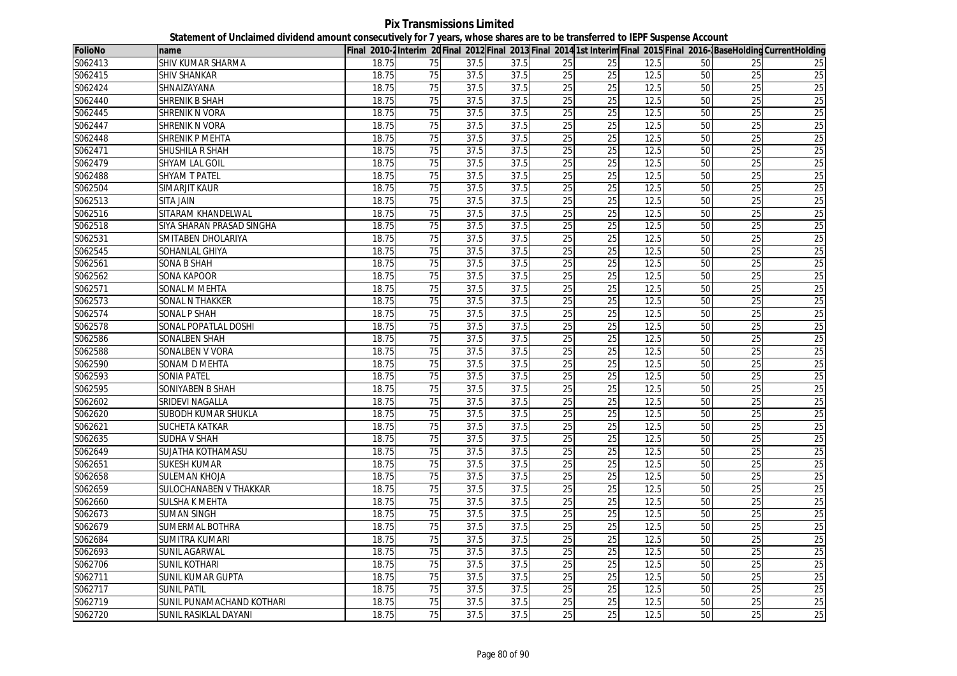**Pix Transmissions Limited Statement of Unclaimed dividend amount consecutively for 7 years, whose shares are to be transferred to IEPF Suspense Account**

| <b>FolioNo</b> | name                      |       |                 |      |      |                 |                 |      |    |                 | Final 2010-2Interim 20 Final 2012 Final 2013 Final 2014 1st Interim Final 2015 Final 2016-BaseHolding CurrentHolding |
|----------------|---------------------------|-------|-----------------|------|------|-----------------|-----------------|------|----|-----------------|----------------------------------------------------------------------------------------------------------------------|
| S062413        | SHIV KUMAR SHARMA         | 18.75 | 75              | 37.5 | 37.5 | $\overline{25}$ | 25              | 12.5 | 50 | 25              | 25                                                                                                                   |
| S062415        | <b>SHIV SHANKAR</b>       | 18.75 | 75              | 37.5 | 37.5 | 25              | 25              | 12.5 | 50 | 25              | 25                                                                                                                   |
| S062424        | <b>SHNAIZAYANA</b>        | 18.75 | 75              | 37.5 | 37.5 | 25              | 25              | 12.5 | 50 | 25              | 25                                                                                                                   |
| S062440        | <b>SHRENIK B SHAH</b>     | 18.75 | 75              | 37.5 | 37.5 | 25              | $\overline{25}$ | 12.5 | 50 | $\overline{25}$ | 25                                                                                                                   |
| S062445        | SHRENIK N VORA            | 18.75 | 75              | 37.5 | 37.5 | 25              | 25              | 12.5 | 50 | 25              | 25                                                                                                                   |
| S062447        | <b>SHRENIK N VORA</b>     | 18.75 | 75              | 37.5 | 37.5 | 25              | 25              | 12.5 | 50 | 25              | 25                                                                                                                   |
| S062448        | <b>SHRENIK P MEHTA</b>    | 18.75 | 75              | 37.5 | 37.5 | 25              | 25              | 12.5 | 50 | 25              | 25                                                                                                                   |
| S062471        | SHUSHILA R SHAH           | 18.75 | 75              | 37.5 | 37.5 | 25              | 25              | 12.5 | 50 | 25              | 25                                                                                                                   |
| S062479        | SHYAM LAL GOIL            | 18.75 | 75              | 37.5 | 37.5 | 25              | 25              | 12.5 | 50 | 25              | 25                                                                                                                   |
| S062488        | <b>SHYAM T PATEL</b>      | 18.75 | 75              | 37.5 | 37.5 | 25              | 25              | 12.5 | 50 | 25              | 25                                                                                                                   |
| S062504        | <b>SIMARJIT KAUR</b>      | 18.75 | 75              | 37.5 | 37.5 | 25              | $\overline{25}$ | 12.5 | 50 | 25              | 25                                                                                                                   |
| S062513        | SITA JAIN                 | 18.75 | 75              | 37.5 | 37.5 | 25              | 25              | 12.5 | 50 | 25              | 25                                                                                                                   |
| S062516        | SITARAM KHANDELWAL        | 18.75 | 75              | 37.5 | 37.5 | 25              | $\overline{25}$ | 12.5 | 50 | 25              | 25                                                                                                                   |
| S062518        | SIYA SHARAN PRASAD SINGHA | 18.75 | 75              | 37.5 | 37.5 | 25              | 25              | 12.5 | 50 | $\overline{25}$ | 25                                                                                                                   |
| S062531        | SMITABEN DHOLARIYA        | 18.75 | 75              | 37.5 | 37.5 | 25              | 25              | 12.5 | 50 | $\overline{25}$ | 25                                                                                                                   |
| S062545        | SOHANLAL GHIYA            | 18.75 | 75              | 37.5 | 37.5 | 25              | $\overline{25}$ | 12.5 | 50 | $\overline{25}$ | 25                                                                                                                   |
| S062561        | SONA B SHAH               | 18.75 | 75              | 37.5 | 37.5 | $\overline{25}$ | $\overline{25}$ | 12.5 | 50 | 25              | 25                                                                                                                   |
| S062562        | <b>SONA KAPOOR</b>        | 18.75 | 75              | 37.5 | 37.5 | 25              | 25              | 12.5 | 50 | $\overline{25}$ | 25                                                                                                                   |
| S062571        | SONAL M MEHTA             | 18.75 | 75              | 37.5 | 37.5 | 25              | 25              | 12.5 | 50 | $\overline{25}$ | 25                                                                                                                   |
| S062573        | <b>SONAL N THAKKER</b>    | 18.75 | 75              | 37.5 | 37.5 | 25              | 25              | 12.5 | 50 | $\overline{25}$ | 25                                                                                                                   |
| S062574        | <b>SONAL P SHAH</b>       | 18.75 | 75              | 37.5 | 37.5 | 25              | 25              | 12.5 | 50 | 25              | 25                                                                                                                   |
| S062578        | SONAL POPATLAL DOSHI      | 18.75 | 75              | 37.5 | 37.5 | 25              | $\overline{25}$ | 12.5 | 50 | $\overline{25}$ | 25                                                                                                                   |
| S062586        | SONALBEN SHAH             | 18.75 | 75              | 37.5 | 37.5 | 25              | $\overline{25}$ | 12.5 | 50 | $\overline{25}$ | 25                                                                                                                   |
| S062588        | <b>SONALBEN V VORA</b>    | 18.75 | 75              | 37.5 | 37.5 | 25              | 25              | 12.5 | 50 | 25              | 25                                                                                                                   |
| S062590        | <b>SONAM D MEHTA</b>      | 18.75 | 75              | 37.5 | 37.5 | 25              | 25              | 12.5 | 50 | $\overline{25}$ | 25                                                                                                                   |
| S062593        | <b>SONIA PATEL</b>        | 18.75 | 75              | 37.5 | 37.5 | 25              | 25              | 12.5 | 50 | 25              | 25                                                                                                                   |
| S062595        | <b>SONIYABEN B SHAH</b>   | 18.75 | 75              | 37.5 | 37.5 | 25              | $\overline{25}$ | 12.5 | 50 | 25              | 25                                                                                                                   |
| S062602        | <b>SRIDEVI NAGALLA</b>    | 18.75 | 75              | 37.5 | 37.5 | 25              | 25              | 12.5 | 50 | 25              | 25                                                                                                                   |
| S062620        | SUBODH KUMAR SHUKLA       | 18.75 | 75              | 37.5 | 37.5 | 25              | 25              | 12.5 | 50 | 25              | 25                                                                                                                   |
| S062621        | <b>SUCHETA KATKAR</b>     | 18.75 | 75              | 37.5 | 37.5 | 25              | 25              | 12.5 | 50 | 25              | 25                                                                                                                   |
| S062635        | <b>SUDHA V SHAH</b>       | 18.75 | 75              | 37.5 | 37.5 | 25              | 25              | 12.5 | 50 | $\overline{25}$ | 25                                                                                                                   |
| S062649        | SUJATHA KOTHAMASU         | 18.75 | 75              | 37.5 | 37.5 | 25              | 25              | 12.5 | 50 | 25              | 25                                                                                                                   |
| S062651        | <b>SUKESH KUMAR</b>       | 18.75 | 75              | 37.5 | 37.5 | $\overline{25}$ | 25              | 12.5 | 50 | $\overline{25}$ | 25                                                                                                                   |
| S062658        | <b>SULEMAN KHOJA</b>      | 18.75 | 75              | 37.5 | 37.5 | 25              | 25              | 12.5 | 50 | 25              | 25                                                                                                                   |
| S062659        | SULOCHANABEN V THAKKAR    | 18.75 | 75              | 37.5 | 37.5 | $\overline{25}$ | 25              | 12.5 | 50 | $\overline{25}$ | 25                                                                                                                   |
| S062660        | SULSHA K MEHTA            | 18.75 | 75              | 37.5 | 37.5 | 25              | 25              | 12.5 | 50 | 25              | 25                                                                                                                   |
| S062673        | <b>SUMAN SINGH</b>        | 18.75 | 75              | 37.5 | 37.5 | 25              | 25              | 12.5 | 50 | 25              | 25                                                                                                                   |
| S062679        | SUMERMAL BOTHRA           | 18.75 | 75              | 37.5 | 37.5 | 25              | $\overline{25}$ | 12.5 | 50 | $\overline{25}$ | 25                                                                                                                   |
| S062684        | SUMITRA KUMARI            | 18.75 | $\overline{75}$ | 37.5 | 37.5 | 25              | 25              | 12.5 | 50 | 25              | 25                                                                                                                   |
| S062693        | SUNIL AGARWAL             | 18.75 | 75              | 37.5 | 37.5 | 25              | 25              | 12.5 | 50 | 25              | 25                                                                                                                   |
| S062706        | SUNIL KOTHARI             | 18.75 | $\overline{75}$ | 37.5 | 37.5 | $\overline{25}$ | 25              | 12.5 | 50 | 25              | $\overline{25}$                                                                                                      |
| S062711        | SUNIL KUMAR GUPTA         | 18.75 | 75              | 37.5 | 37.5 | 25              | 25              | 12.5 | 50 | 25              | 25                                                                                                                   |
| S062717        | <b>SUNIL PATIL</b>        | 18.75 | $\overline{75}$ | 37.5 | 37.5 | $\overline{25}$ | $\overline{25}$ | 12.5 | 50 | 25              | $\overline{25}$                                                                                                      |
| S062719        | SUNIL PUNAMACHAND KOTHARI | 18.75 | 75              | 37.5 | 37.5 | 25              | 25              | 12.5 | 50 | $\overline{25}$ | 25                                                                                                                   |
| S062720        | SUNIL RASIKLAL DAYANI     | 18.75 | 75              | 37.5 | 37.5 | 25              | 25              | 12.5 | 50 | $\overline{25}$ | 25                                                                                                                   |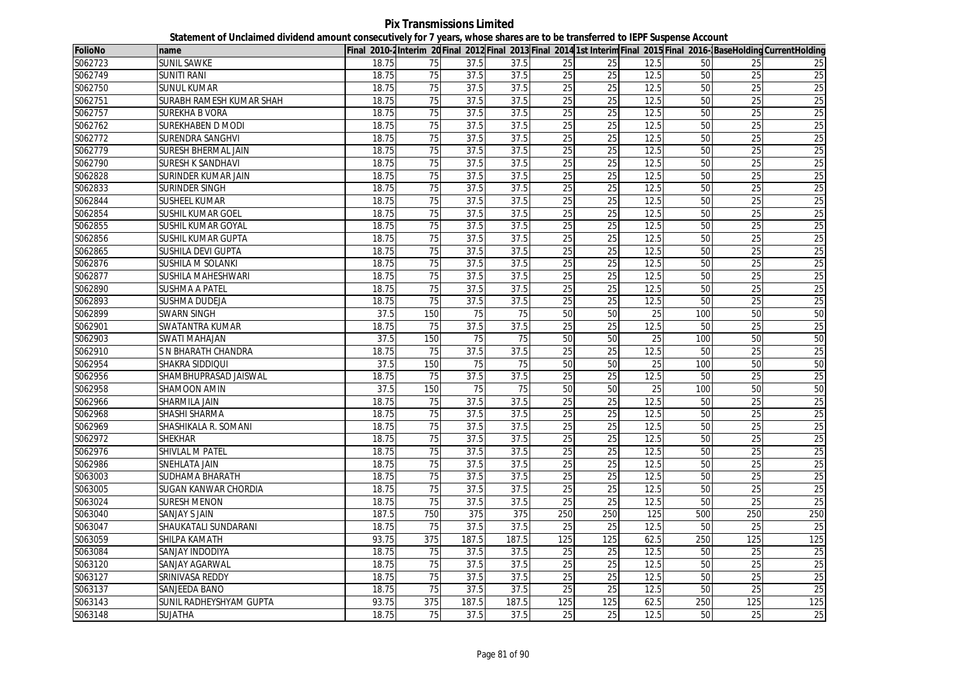**Pix Transmissions Limited Statement of Unclaimed dividend amount consecutively for 7 years, whose shares are to be transferred to IEPF Suspense Account**

| <b>FolioNo</b> | name                       |       |                 |       |       |                 |                 |                 |     |                 | Final 2010-2Interim 20Final 2012 Final 2013 Final 2014 1st Interim Final 2015 Final 2016-BaseHolding CurrentHolding |
|----------------|----------------------------|-------|-----------------|-------|-------|-----------------|-----------------|-----------------|-----|-----------------|---------------------------------------------------------------------------------------------------------------------|
| S062723        | <b>SUNIL SAWKE</b>         | 18.75 | 75              | 37.5  | 37.5  | 25              | 25              | 12.5            | 50  | 25              | 25                                                                                                                  |
| S062749        | <b>SUNITI RANI</b>         | 18.75 | 75              | 37.5  | 37.5  | 25              | 25              | 12.5            | 50  | 25              | $\overline{25}$                                                                                                     |
| S062750        | <b>SUNUL KUMAR</b>         | 18.75 | 75              | 37.5  | 37.5  | 25              | 25              | 12.5            | 50  | 25              | 25                                                                                                                  |
| S062751        | SURABH RAMESH KUMAR SHAH   | 18.75 | $\overline{75}$ | 37.5  | 37.5  | $\overline{25}$ | 25              | 12.5            | 50  | $\overline{25}$ | $\overline{25}$                                                                                                     |
| S062757        | <b>SUREKHA B VORA</b>      | 18.75 | 75              | 37.5  | 37.5  | 25              | 25              | 12.5            | 50  | 25              | 25                                                                                                                  |
| S062762        | SUREKHABEN D MODI          | 18.75 | $\overline{75}$ | 37.5  | 37.5  | $\overline{25}$ | $\overline{25}$ | 12.5            | 50  | $\overline{25}$ | $\overline{25}$                                                                                                     |
| S062772        | SURENDRA SANGHVI           | 18.75 | 75              | 37.5  | 37.5  | 25              | 25              | 12.5            | 50  | 25              | 25                                                                                                                  |
| S062779        | <b>SURESH BHERMAL JAIN</b> | 18.75 | 75              | 37.5  | 37.5  | 25              | 25              | 12.5            | 50  | 25              | 25                                                                                                                  |
| S062790        | <b>SURESH K SANDHAVI</b>   | 18.75 | $\overline{75}$ | 37.5  | 37.5  | $\overline{25}$ | 25              | 12.5            | 50  | $\overline{25}$ | 25                                                                                                                  |
| S062828        | SURINDER KUMAR JAIN        | 18.75 | 75              | 37.5  | 37.5  | 25              | 25              | 12.5            | 50  | 25              | 25                                                                                                                  |
| S062833        | SURINDER SINGH             | 18.75 | 75              | 37.5  | 37.5  | 25              | 25              | 12.5            | 50  | 25              | 25                                                                                                                  |
| S062844        | SUSHEEL KUMAR              | 18.75 | $\overline{75}$ | 37.5  | 37.5  | $\overline{25}$ | $\overline{25}$ | 12.5            | 50  | $\overline{25}$ | 25                                                                                                                  |
| S062854        | SUSHIL KUMAR GOEL          | 18.75 | 75              | 37.5  | 37.5  | 25              | 25              | 12.5            | 50  | 25              | 25                                                                                                                  |
| S062855        | SUSHIL KUMAR GOYAL         | 18.75 | $\overline{75}$ | 37.5  | 37.5  | $\overline{25}$ | $\overline{25}$ | 12.5            | 50  | $\overline{25}$ | 25                                                                                                                  |
| S062856        | <b>SUSHIL KUMAR GUPTA</b>  | 18.75 | $\overline{75}$ | 37.5  | 37.5  | 25              | 25              | 12.5            | 50  | 25              | 25                                                                                                                  |
| S062865        | SUSHILA DEVI GUPTA         | 18.75 | 75              | 37.5  | 37.5  | 25              | 25              | 12.5            | 50  | 25              | 25                                                                                                                  |
| S062876        | <b>SUSHILA M SOLANKI</b>   | 18.75 | 75              | 37.5  | 37.5  | 25              | 25              | 12.5            | 50  | 25              | 25                                                                                                                  |
| S062877        | SUSHILA MAHESHWARI         | 18.75 | 75              | 37.5  | 37.5  | 25              | 25              | 12.5            | 50  | 25              | 25                                                                                                                  |
| S062890        | <b>SUSHMA A PATEL</b>      | 18.75 | 75              | 37.5  | 37.5  | 25              | 25              | 12.5            | 50  | 25              | 25                                                                                                                  |
| S062893        | SUSHMA DUDEJA              | 18.75 | 75              | 37.5  | 37.5  | 25              | 25              | 12.5            | 50  | 25              | 25                                                                                                                  |
| S062899        | <b>SWARN SINGH</b>         | 37.5  | 150             | 75    | 75    | 50              | 50              | 25              | 100 | 50              | 50                                                                                                                  |
| S062901        | <b>SWATANTRA KUMAR</b>     | 18.75 | 75              | 37.5  | 37.5  | 25              | 25              | 12.5            | 50  | 25              | 25                                                                                                                  |
| S062903        | <b>SWATI MAHAJAN</b>       | 37.5  | 150             | 75    | 75    | 50              | 50              | $\overline{25}$ | 100 | 50              | 50                                                                                                                  |
| S062910        | S N BHARATH CHANDRA        | 18.75 | 75              | 37.5  | 37.5  | 25              | 25              | 12.5            | 50  | 25              | 25                                                                                                                  |
| S062954        | SHAKRA SIDDIQUI            | 37.5  | 150             | 75    | 75    | 50              | 50              | 25              | 100 | 50              | 50                                                                                                                  |
| S062956        | SHAMBHUPRASAD JAISWAL      | 18.75 | 75              | 37.5  | 37.5  | 25              | 25              | 12.5            | 50  | 25              | 25                                                                                                                  |
| S062958        | SHAMOON AMIN               | 37.5  | 150             | 75    | 75    | 50              | 50              | 25              | 100 | 50              | 50                                                                                                                  |
| S062966        | SHARMILA JAIN              | 18.75 | 75              | 37.5  | 37.5  | 25              | 25              | 12.5            | 50  | 25              | 25                                                                                                                  |
| S062968        | SHASHI SHARMA              | 18.75 | 75              | 37.5  | 37.5  | 25              | 25              | 12.5            | 50  | 25              | 25                                                                                                                  |
| S062969        | SHASHIKALA R. SOMANI       | 18.75 | $\overline{75}$ | 37.5  | 37.5  | $\overline{25}$ | $\overline{25}$ | 12.5            | 50  | $\overline{25}$ | 25                                                                                                                  |
| S062972        | <b>SHEKHAR</b>             | 18.75 | 75              | 37.5  | 37.5  | 25              | 25              | 12.5            | 50  | 25              | 25                                                                                                                  |
| S062976        | <b>SHIVLAL M PATEL</b>     | 18.75 | 75              | 37.5  | 37.5  | 25              | 25              | 12.5            | 50  | 25              | 25                                                                                                                  |
| S062986        | SNEHLATA JAIN              | 18.75 | $\overline{75}$ | 37.5  | 37.5  | 25              | $\overline{25}$ | 12.5            | 50  | $\overline{25}$ | 25                                                                                                                  |
| S063003        | SUDHAMA BHARATH            | 18.75 | 75              | 37.5  | 37.5  | 25              | 25              | 12.5            | 50  | 25              | 25                                                                                                                  |
| S063005        | SUGAN KANWAR CHORDIA       | 18.75 | 75              | 37.5  | 37.5  | 25              | $\overline{25}$ | 12.5            | 50  | $\overline{25}$ | 25                                                                                                                  |
| S063024        | <b>SURESH MENON</b>        | 18.75 | 75              | 37.5  | 37.5  | 25              | 25              | 12.5            | 50  | 25              | 25                                                                                                                  |
| S063040        | <b>SANJAY S JAIN</b>       | 187.5 | 750             | 375   | 375   | 250             | 250             | 125             | 500 | 250             | 250                                                                                                                 |
| S063047        | SHAUKATALI SUNDARANI       | 18.75 | 75              | 37.5  | 37.5  | 25              | $\overline{25}$ | 12.5            | 50  | $\overline{25}$ | $\overline{25}$                                                                                                     |
| S063059        | SHILPA KAMATH              | 93.75 | 375             | 187.5 | 187.5 | 125             | 125             | 62.5            | 250 | 125             | 125                                                                                                                 |
| S063084        | SANJAY INDODIYA            | 18.75 | 75              | 37.5  | 37.5  | 25              | 25              | 12.5            | 50  | 25              | $\overline{25}$                                                                                                     |
| S063120        | SANJAY AGARWAL             | 18.75 | $\overline{75}$ | 37.5  | 37.5  | $\overline{25}$ | 25              | 12.5            | 50  | 25              | $\overline{25}$                                                                                                     |
| S063127        | SRINIVASA REDDY            | 18.75 | 75              | 37.5  | 37.5  | 25              | 25              | 12.5            | 50  | 25              | 25                                                                                                                  |
| S063137        | SANJEEDA BANO              | 18.75 | 75              | 37.5  | 37.5  | 25              | 25              | 12.5            | 50  | 25              | 25                                                                                                                  |
| S063143        | SUNIL RADHEYSHYAM GUPTA    | 93.75 | 375             | 187.5 | 187.5 | 125             | 125             | 62.5            | 250 | 125             | 125                                                                                                                 |
| S063148        | SUJATHA                    | 18.75 | 75              | 37.5  | 37.5  | 25              | 25              | 12.5            | 50  | 25              | 25                                                                                                                  |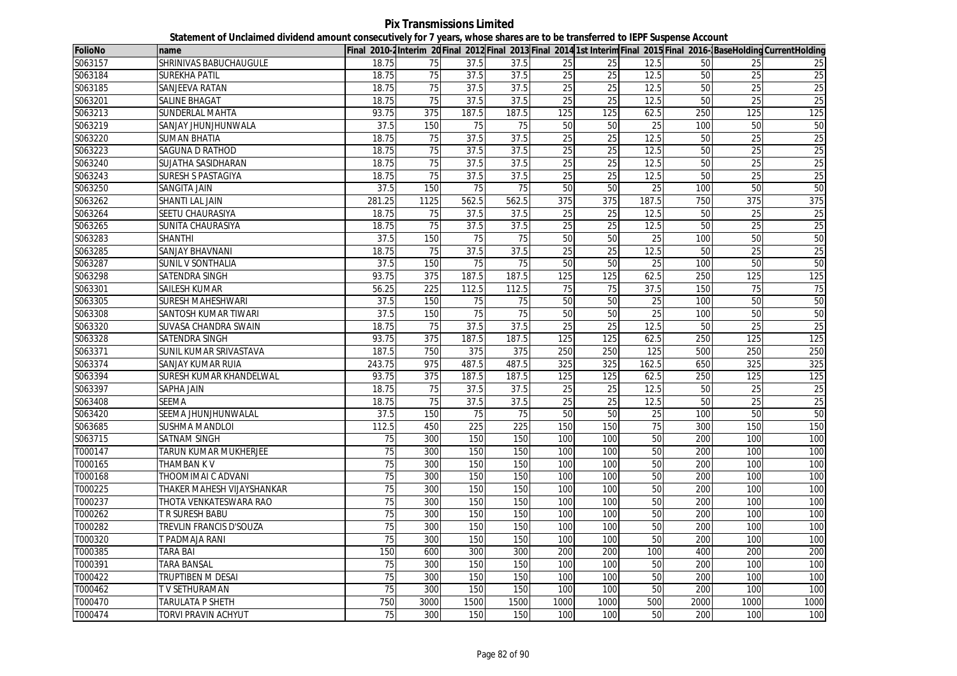**Pix Transmissions Limited Statement of Unclaimed dividend amount consecutively for 7 years, whose shares are to be transferred to IEPF Suspense Account**

| <b>FolioNo</b> | name                       |                 |                  |                 |                 |                 |                 |                 |      |                 | Final 2010-2Interim 20 Final 2012 Final 2013 Final 2014 1st Interim Final 2015 Final 2016-BaseHolding CurrentHolding |
|----------------|----------------------------|-----------------|------------------|-----------------|-----------------|-----------------|-----------------|-----------------|------|-----------------|----------------------------------------------------------------------------------------------------------------------|
| S063157        | SHRINIVAS BABUCHAUGULE     | 18.75           | 75               | 37.5            | 37.5            | 25              | 25              | 12.5            | 50   | 25              | 25                                                                                                                   |
| S063184        | <b>SUREKHA PATIL</b>       | 18.75           | 75               | 37.5            | 37.5            | 25              | 25              | 12.5            | 50   | 25              | 25                                                                                                                   |
| S063185        | SANJEEVA RATAN             | 18.75           | 75               | 37.5            | 37.5            | 25              | 25              | 12.5            | 50   | 25              | 25                                                                                                                   |
| S063201        | SALINE BHAGAT              | 18.75           | 75               | 37.5            | 37.5            | 25              | 25              | 12.5            | 50   | $\overline{25}$ | 25                                                                                                                   |
| S063213        | SUNDERLAL MAHTA            | 93.75           | 375              | 187.5           | 187.5           | 125             | 125             | 62.5            | 250  | 125             | 125                                                                                                                  |
| S063219        | SANJAY JHUNJHUNWALA        | 37.5            | 150              | 75              | 75              | 50              | 50              | 25              | 100  | 50              | 50                                                                                                                   |
| S063220        | <b>SUMAN BHATIA</b>        | 18.75           | 75               | 37.5            | 37.5            | 25              | 25              | 12.5            | 50   | 25              | 25                                                                                                                   |
| S063223        | SAGUNA D RATHOD            | 18.75           | 75               | 37.5            | 37.5            | 25              | 25              | 12.5            | 50   | 25              | 25                                                                                                                   |
| S063240        | SUJATHA SASIDHARAN         | 18.75           | 75               | 37.5            | 37.5            | 25              | 25              | 12.5            | 50   | 25              | 25                                                                                                                   |
| S063243        | <b>SURESH S PASTAGIYA</b>  | 18.75           | 75               | 37.5            | 37.5            | 25              | 25              | 12.5            | 50   | 25              | 25                                                                                                                   |
| S063250        | SANGITA JAIN               | 37.5            | 150              | $\overline{75}$ | $\overline{75}$ | 50              | 50              | 25              | 100  | 50              | 50                                                                                                                   |
| S063262        | SHANTI LAL JAIN            | 281.25          | 1125             | 562.5           | 562.5           | 375             | 375             | 187.5           | 750  | 375             | 375                                                                                                                  |
| S063264        | SEETU CHAURASIYA           | 18.75           | $\overline{75}$  | 37.5            | 37.5            | 25              | $\overline{25}$ | 12.5            | 50   | $\overline{25}$ | 25                                                                                                                   |
| S063265        | SUNITA CHAURASIYA          | 18.75           | 75               | 37.5            | 37.5            | 25              | 25              | 12.5            | 50   | $\overline{25}$ | 25                                                                                                                   |
| S063283        | <b>SHANTHI</b>             | 37.5            | 150              | 75              | $\overline{75}$ | 50              | 50              | $\overline{25}$ | 100  | 50              | 50                                                                                                                   |
| S063285        | <b>SANJAY BHAVNANI</b>     | 18.75           | $\overline{75}$  | 37.5            | 37.5            | 25              | $\overline{25}$ | 12.5            | 50   | $\overline{25}$ | 25                                                                                                                   |
| S063287        | SUNIL V SONTHALIA          | 37.5            | 150              | 75              | 75              | 50              | 50              | 25              | 100  | 50              | 50                                                                                                                   |
| S063298        | SATENDRA SINGH             | 93.75           | 375              | 187.5           | 187.5           | 125             | 125             | 62.5            | 250  | 125             | 125                                                                                                                  |
| S063301        | SAILESH KUMAR              | 56.25           | $\overline{225}$ | 112.5           | 112.5           | $\overline{75}$ | $\overline{75}$ | 37.5            | 150  | $\overline{75}$ | 75                                                                                                                   |
| S063305        | <b>SURESH MAHESHWARI</b>   | 37.5            | 150              | 75              | 75              | 50              | 50              | 25              | 100  | 50              | 50                                                                                                                   |
| S063308        | SANTOSH KUMAR TIWARI       | 37.5            | 150              | 75              | 75              | 50              | 50              | 25              | 100  | 50              | 50                                                                                                                   |
| S063320        | SUVASA CHANDRA SWAIN       | 18.75           | 75               | 37.5            | 37.5            | $\overline{25}$ | $\overline{25}$ | 12.5            | 50   | $\overline{25}$ | 25                                                                                                                   |
| S063328        | SATENDRA SINGH             | 93.75           | 375              | 187.5           | 187.5           | 125             | 125             | 62.5            | 250  | 125             | 125                                                                                                                  |
| S063371        | SUNIL KUMAR SRIVASTAVA     | 187.5           | 750              | 375             | 375             | 250             | 250             | 125             | 500  | 250             | 250                                                                                                                  |
| S063374        | SANJAY KUMAR RUIA          | 243.75          | 975              | 487.5           | 487.5           | 325             | 325             | 162.5           | 650  | 325             | 325                                                                                                                  |
| S063394        | SURESH KUMAR KHANDELWAL    | 93.75           | 375              | 187.5           | 187.5           | 125             | 125             | 62.5            | 250  | 125             | 125                                                                                                                  |
| S063397        | SAPHA JAIN                 | 18.75           | 75               | 37.5            | 37.5            | 25              | $\overline{25}$ | 12.5            | 50   | 25              | $\overline{25}$                                                                                                      |
| S063408        | SEEMA                      | 18.75           | 75               | 37.5            | 37.5            | 25              | 25              | 12.5            | 50   | 25              | 25                                                                                                                   |
| S063420        | SEEMA JHUNJHUNWALAL        | 37.5            | 150              | 75              | 75              | 50              | 50              | 25              | 100  | 50              | 50                                                                                                                   |
| S063685        | SUSHMA MANDLOI             | 112.5           | 450              | 225             | 225             | 150             | 150             | 75              | 300  | 150             | 150                                                                                                                  |
| S063715        | <b>SATNAM SINGH</b>        | 75              | 300              | 150             | 150             | 100             | 100             | 50              | 200  | 100             | 100                                                                                                                  |
| T000147        | TARUN KUMAR MUKHERJEE      | 75              | 300              | 150             | 150             | 100             | 100             | 50              | 200  | 100             | 100                                                                                                                  |
| T000165        | THAMBAN K V                | 75              | 300              | 150             | 150             | 100             | 100             | 50              | 200  | 100             | 100                                                                                                                  |
| T000168        | THOOMIMAI C ADVANI         | 75              | 300              | 150             | 150             | 100             | 100             | 50              | 200  | 100             | 100                                                                                                                  |
| T000225        | THAKER MAHESH VIJAYSHANKAR | 75              | 300              | 150             | 150             | 100             | 100             | 50              | 200  | 100             | 100                                                                                                                  |
| T000237        | THOTA VENKATESWARA RAO     | 75              | 300              | 150             | 150             | 100             | 100             | 50              | 200  | 100             | 100                                                                                                                  |
| T000262        | T R SURESH BABU            | 75              | 300              | 150             | 150             | 100             | 100             | 50              | 200  | 100             | 100                                                                                                                  |
| T000282        | TREVLIN FRANCIS D'SOUZA    | 75              | 300              | 150             | 150             | 100             | 100             | 50              | 200  | 100             | 100                                                                                                                  |
| T000320        | T PADMAJA RANI             | $\overline{75}$ | 300              | 150             | 150             | 100             | 100             | 50              | 200  | 100             | 100                                                                                                                  |
| T000385        | TARA BAI                   | 150             | 600              | 300             | 300             | 200             | 200             | 100             | 400  | 200             | 200                                                                                                                  |
| T000391        | TARA BANSAL                | 75              | 300              | 150             | 150             | 100             | 100             | 50              | 200  | 100             | 100                                                                                                                  |
| T000422        | TRUPTIBEN M DESAI          | 75              | 300              | 150             | 150             | 100             | 100             | 50              | 200  | 100             | 100                                                                                                                  |
| T000462        | T V SETHURAMAN             | $\overline{75}$ | 300              | 150             | 150             | 100             | 100             | 50              | 200  | 100             | 100                                                                                                                  |
| T000470        | <b>TARULATA P SHETH</b>    | 750             | 3000             | 1500            | 1500            | 1000            | 1000            | 500             | 2000 | 1000            | 1000                                                                                                                 |
| T000474        | TORVI PRAVIN ACHYUT        | $\overline{75}$ | 300              | 150             | 150             | 100             | 100             | 50              | 200  | 100             | 100                                                                                                                  |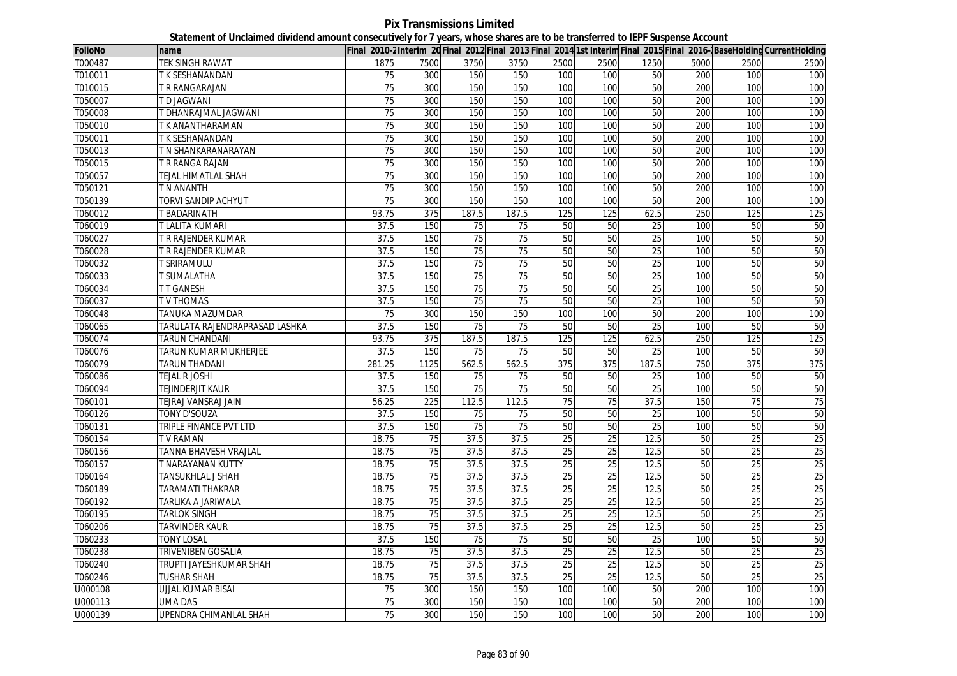**Pix Transmissions Limited Statement of Unclaimed dividend amount consecutively for 7 years, whose shares are to be transferred to IEPF Suspense Account**

| FolioNo | name                                  |                 |                  |                 |                 |                 |                 |                 |      |                 | Final 2010-2Interim 20 Final 2012 Final 2013 Final 2014 1st Interim Final 2015 Final 2016-BaseHolding CurrentHolding |
|---------|---------------------------------------|-----------------|------------------|-----------------|-----------------|-----------------|-----------------|-----------------|------|-----------------|----------------------------------------------------------------------------------------------------------------------|
| T000487 | TEK SINGH RAWAT                       | 1875            | 7500             | 3750            | 3750            | 2500            | 2500            | 1250            | 5000 | 2500            | 2500                                                                                                                 |
| T010011 | T K SESHANANDAN                       | 75              | 300              | 150             | 150             | 100             | 100             | 50              | 200  | 100             | 100                                                                                                                  |
| T010015 | <b>T R RANGARAJAN</b>                 | 75              | 300              | 150             | 150             | 100             | 100             | 50              | 200  | 100             | 100                                                                                                                  |
| T050007 | <b>I D JAGWANI</b>                    | $\overline{75}$ | 300              | 150             | 150             | 100             | 100             | 50              | 200  | 100             | 100                                                                                                                  |
| T050008 | <b><i>FDHANRAJMAL JAGWANI</i></b>     | 75              | 300              | 150             | 150             | 100             | 100             | 50              | 200  | 100             | 100                                                                                                                  |
| T050010 | T K ANANTHARAMAN                      | 75              | 300              | 150             | 150             | 100             | 100             | 50              | 200  | 100             | 100                                                                                                                  |
| T050011 | T K SESHANANDAN                       | 75              | 300              | 150             | 150             | 100             | 100             | 50              | 200  | 100             | 100                                                                                                                  |
| T050013 | I N SHANKARANARAYAN                   | 75              | 300              | 150             | 150             | 100             | 100             | 50              | 200  | 100             | 100                                                                                                                  |
| T050015 | I R RANGA RAJAN                       | 75              | 300              | 150             | 150             | 100             | 100             | 50              | 200  | 100             | 100                                                                                                                  |
| T050057 | <b>TEJAL HIMATLAL SHAH</b>            | $\overline{75}$ | 300              | 150             | 150             | 100             | 100             | 50              | 200  | 100             | 100                                                                                                                  |
| T050121 | T N ANANTH                            | 75              | 300              | 150             | 150             | 100             | 100             | 50              | 200  | 100             | 100                                                                                                                  |
| T050139 | TORVI SANDIP ACHYUT                   | 75              | 300              | 150             | 150             | 100             | 100             | 50              | 200  | 100             | 100                                                                                                                  |
| T060012 | <b>FBADARINATH</b>                    | 93.75           | 375              | 187.5           | 187.5           | 125             | 125             | 62.5            | 250  | 125             | 125                                                                                                                  |
| T060019 | <b><i>LALITA KUMARI</i></b>           | 37.5            | 150              | 75              | 75              | 50              | 50              | $\overline{25}$ | 100  | 50              | 50                                                                                                                   |
| T060027 | <b>TR RAJENDER KUMAR</b>              | 37.5            | 150              | 75              | 75              | 50              | 50              | 25              | 100  | 50              | 50                                                                                                                   |
| T060028 | <b>TR RAJENDER KUMAR</b>              | 37.5            | 150              | 75              | $\overline{75}$ | 50              | 50              | $\overline{25}$ | 100  | 50              | 50                                                                                                                   |
| T060032 | <b><i><u>SRIRAMULU</u></i></b>        | 37.5            | 150              | $\overline{75}$ | $\overline{75}$ | 50              | 50              | $\overline{25}$ | 100  | $\overline{50}$ | 50                                                                                                                   |
| T060033 | <b><i><u>SUMALATHA</u></i></b>        | 37.5            | 150              | 75              | 75              | 50              | 50              | 25              | 100  | 50              | 50                                                                                                                   |
| T060034 | T T GANESH                            | 37.5            | 150              | $\overline{75}$ | $\overline{75}$ | 50              | $\overline{50}$ | $\overline{25}$ | 100  | $\overline{50}$ | 50                                                                                                                   |
| T060037 | <b>TV THOMAS</b>                      | 37.5            | 150              | 75              | 75              | 50              | 50              | $\overline{25}$ | 100  | 50              | 50                                                                                                                   |
| T060048 | <b>TANUKA MAZUMDAR</b>                | 75              | 300              | 150             | 150             | 100             | 100             | 50              | 200  | 100             | 100                                                                                                                  |
| T060065 | <b>TARULATA RAJENDRAPRASAD LASHKA</b> | 37.5            | 150              | 75              | $\overline{75}$ | 50              | 50              | 25              | 100  | 50              | 50                                                                                                                   |
| T060074 | TARUN CHANDANI                        | 93.75           | $\overline{375}$ | 187.5           | 187.5           | 125             | 125             | 62.5            | 250  | 125             | 125                                                                                                                  |
| T060076 | TARUN KUMAR MUKHERJEE                 | 37.5            | 150              | 75              | 75              | 50              | 50              | 25              | 100  | 50              | $\overline{50}$                                                                                                      |
| T060079 | TARUN THADANI                         | 281.25          | 1125             | 562.5           | 562.5           | 375             | 375             | 187.5           | 750  | 375             | 375                                                                                                                  |
| T060086 | <b>TEJAL R JOSHI</b>                  | 37.5            | 150              | 75              | $\overline{75}$ | 50              | 50              | 25              | 100  | 50              | 50                                                                                                                   |
| T060094 | <b>TEJINDERJIT KAUR</b>               | 37.5            | 150              | 75              | 75              | 50              | 50              | 25              | 100  | 50              | 50                                                                                                                   |
| T060101 | TEJRAJ VANSRAJ JAIN                   | 56.25           | 225              | 112.5           | 112.5           | 75              | 75              | 37.5            | 150  | $\overline{75}$ | 75                                                                                                                   |
| T060126 | TONY D'SOUZA                          | 37.5            | 150              | 75              | 75              | 50              | 50              | 25              | 100  | 50              | 50                                                                                                                   |
| T060131 | TRIPLE FINANCE PVT LTD                | 37.5            | 150              | 75              | 75              | 50              | 50              | 25              | 100  | 50              | 50                                                                                                                   |
| T060154 | <b>IV RAMAN</b>                       | 18.75           | 75               | 37.5            | 37.5            | 25              | 25              | 12.5            | 50   | 25              | 25                                                                                                                   |
| T060156 | TANNA BHAVESH VRAJLAL                 | 18.75           | 75               | 37.5            | 37.5            | 25              | 25              | 12.5            | 50   | 25              | 25                                                                                                                   |
| T060157 | <b>F NARAYANAN KUTTY</b>              | 18.75           | 75               | 37.5            | 37.5            | $\overline{25}$ | $\overline{25}$ | 12.5            | 50   | 25              | 25                                                                                                                   |
| T060164 | TANSUKHLAL J SHAH                     | 18.75           | 75               | 37.5            | 37.5            | $\overline{25}$ | 25              | 12.5            | 50   | 25              | 25                                                                                                                   |
| T060189 | <b>FARAMATI THAKRAR</b>               | 18.75           | 75               | 37.5            | 37.5            | $\overline{25}$ | $\overline{25}$ | 12.5            | 50   | $\overline{25}$ | 25                                                                                                                   |
| T060192 | <b>TARLIKA A JARIWALA</b>             | 18.75           | 75               | 37.5            | 37.5            | 25              | 25              | 12.5            | 50   | 25              | 25                                                                                                                   |
| T060195 | <b>TARLOK SINGH</b>                   | 18.75           | 75               | 37.5            | 37.5            | 25              | 25              | 12.5            | 50   | 25              | 25                                                                                                                   |
| T060206 | <b><i>FARVINDER KAUR</i></b>          | 18.75           | 75               | 37.5            | 37.5            | 25              | $\overline{25}$ | 12.5            | 50   | $\overline{25}$ | 25                                                                                                                   |
| T060233 | <b>TONY LOSAL</b>                     | 37.5            | 150              | 75              | 75              | $\overline{50}$ | 50              | 25              | 100  | 50              | 50                                                                                                                   |
| T060238 | TRIVENIBEN GOSALIA                    | 18.75           | 75               | 37.5            | 37.5            | 25              | $\overline{25}$ | 12.5            | 50   | 25              | 25                                                                                                                   |
| T060240 | TRUPTI JAYESHKUMAR SHAH               | 18.75           | 75               | 37.5            | 37.5            | $\overline{25}$ | 25              | 12.5            | 50   | 25              | $\overline{25}$                                                                                                      |
| T060246 | TUSHAR SHAH                           | 18.75           | 75               | 37.5            | 37.5            | 25              | 25              | 12.5            | 50   | 25              | 25                                                                                                                   |
| U000108 | <b>UJJAL KUMAR BISAI</b>              | 75              | 300              | 150             | 150             | 100             | 100             | 50              | 200  | 100             | 100                                                                                                                  |
| U000113 | <b>UMA DAS</b>                        | 75              | 300              | 150             | 150             | 100             | 100             | 50              | 200  | 100             | 100                                                                                                                  |
| U000139 | UPENDRA CHIMANLAL SHAH                | 75              | 300              | 150             | 150             | 100             | 100             | 50              | 200  | 100             | 100                                                                                                                  |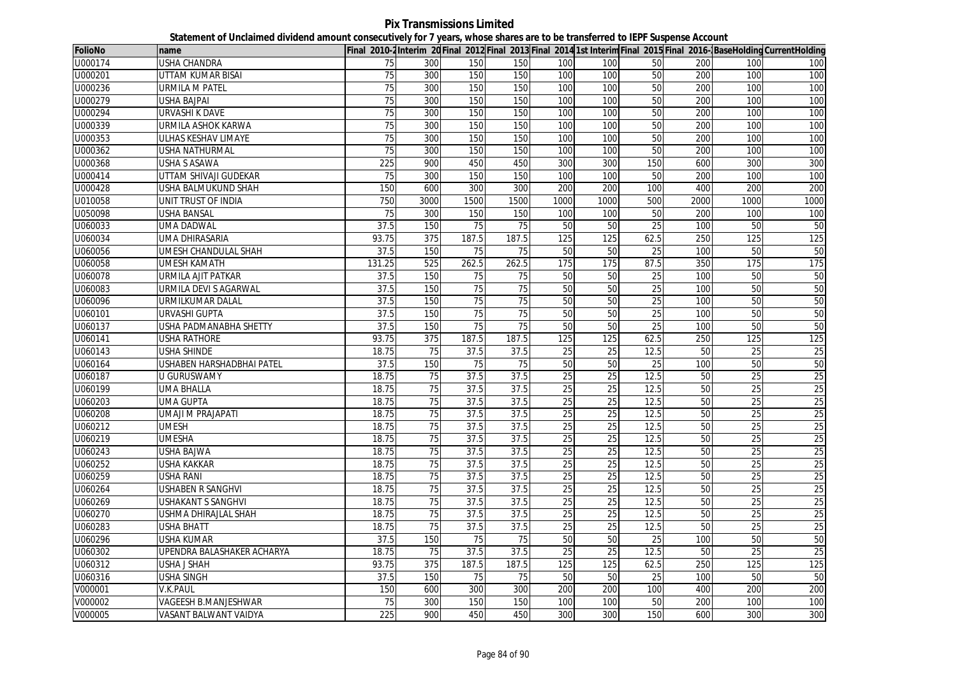**Pix Transmissions Limited Statement of Unclaimed dividend amount consecutively for 7 years, whose shares are to be transferred to IEPF Suspense Account**

| <b>FolioNo</b> | name                        |                 |      |       |       |                 |                 |                 |      |                 | Final 2010-2 Interim 20 Final 2012 Final 2013 Final 2014 1st Interim Final 2015 Final 2016- BaseHolding CurrentHolding |
|----------------|-----------------------------|-----------------|------|-------|-------|-----------------|-----------------|-----------------|------|-----------------|------------------------------------------------------------------------------------------------------------------------|
| U000174        | USHA CHANDRA                | 75              | 300  | 150   | 150   | 100             | 100             | 50              | 200  | 100             | 100                                                                                                                    |
| U000201        | UTTAM KUMAR BISAI           | 75              | 300  | 150   | 150   | 100             | 100             | 50              | 200  | 100             | 100                                                                                                                    |
| U000236        | <b>URMILA M PATEL</b>       | $\overline{75}$ | 300  | 150   | 150   | 100             | 100             | 50              | 200  | 100             | 100                                                                                                                    |
| U000279        | USHA BAJPAI                 | 75              | 300  | 150   | 150   | 100             | 100             | 50              | 200  | 100             | 100                                                                                                                    |
| U000294        | URVASHI K DAVE              | 75              | 300  | 150   | 150   | 100             | 100             | 50              | 200  | 100             | 100                                                                                                                    |
| U000339        | URMILA ASHOK KARWA          | 75              | 300  | 150   | 150   | 100             | 100             | 50              | 200  | 100             | 100                                                                                                                    |
| U000353        | ULHAS KESHAV LIMAYE         | 75              | 300  | 150   | 150   | 100             | 100             | 50              | 200  | 100             | 100                                                                                                                    |
| U000362        | USHA NATHURMAL              | 75              | 300  | 150   | 150   | 100             | 100             | 50              | 200  | 100             | 100                                                                                                                    |
| U000368        | USHA S ASAWA                | 225             | 900  | 450   | 450   | 300             | 300             | 150             | 600  | 300             | 300                                                                                                                    |
| U000414        | UTTAM SHIVAJI GUDEKAR       | 75              | 300  | 150   | 150   | 100             | 100             | 50              | 200  | 100             | 100                                                                                                                    |
| U000428        | USHA BALMUKUND SHAH         | 150             | 600  | 300   | 300   | 200             | 200             | 100             | 400  | 200             | 200                                                                                                                    |
| U010058        | <b>UNIT TRUST OF INDIA</b>  | 750             | 3000 | 1500  | 1500  | 1000            | 1000            | 500             | 2000 | 1000            | 1000                                                                                                                   |
| U050098        | USHA BANSAL                 | 75              | 300  | 150   | 150   | 100             | 100             | 50              | 200  | 100             | 100                                                                                                                    |
| U060033        | UMA DADWAL                  | 37.5            | 150  | 75    | 75    | 50              | 50              | 25              | 100  | 50              | 50                                                                                                                     |
| U060034        | UMA DHIRASARIA              | 93.75           | 375  | 187.5 | 187.5 | 125             | 125             | 62.5            | 250  | 125             | 125                                                                                                                    |
| U060056        | UMESH CHANDULAL SHAH        | 37.5            | 150  | 75    | 75    | 50              | 50              | 25              | 100  | 50              | 50                                                                                                                     |
| U060058        | UMESH KAMATH                | 131.25          | 525  | 262.5 | 262.5 | 175             | 175             | 87.5            | 350  | 175             | 175                                                                                                                    |
| U060078        | URMILA AJIT PATKAR          | 37.5            | 150  | 75    | 75    | 50              | 50              | 25              | 100  | 50              | 50                                                                                                                     |
| U060083        | URMILA DEVI S AGARWAL       | 37.5            | 150  | 75    | 75    | 50              | 50              | $\overline{25}$ | 100  | 50              | 50                                                                                                                     |
| U060096        | URMILKUMAR DALAL            | 37.5            | 150  | 75    | 75    | 50              | 50              | 25              | 100  | 50              | 50                                                                                                                     |
| U060101        | <b>URVASHI GUPTA</b>        | 37.5            | 150  | 75    | 75    | 50              | 50              | 25              | 100  | 50              | 50                                                                                                                     |
| U060137        | USHA PADMANABHA SHETTY      | 37.5            | 150  | 75    | 75    | 50              | 50              | 25              | 100  | 50              | 50                                                                                                                     |
| U060141        | USHA RATHORE                | 93.75           | 375  | 187.5 | 187.5 | 125             | 125             | 62.5            | 250  | 125             | 125                                                                                                                    |
| U060143        | USHA SHINDE                 | 18.75           | 75   | 37.5  | 37.5  | 25              | 25              | 12.5            | 50   | 25              | 25                                                                                                                     |
| U060164        | USHABEN HARSHADBHAI PATEL   | 37.5            | 150  | 75    | 75    | 50              | 50              | 25              | 100  | 50              | 50                                                                                                                     |
| U060187        | U GURUSWAMY                 | 18.75           | 75   | 37.5  | 37.5  | 25              | 25              | 12.5            | 50   | $\overline{25}$ | 25                                                                                                                     |
| U060199        | <b>UMA BHALLA</b>           | 18.75           | 75   | 37.5  | 37.5  | $\overline{25}$ | $\overline{25}$ | 12.5            | 50   | 25              | $\overline{25}$                                                                                                        |
| U060203        | UMA GUPTA                   | 18.75           | 75   | 37.5  | 37.5  | 25              | 25              | 12.5            | 50   | 25              | $\overline{25}$                                                                                                        |
| U060208        | UMAJI M PRAJAPATI           | 18.75           | 75   | 37.5  | 37.5  | 25              | 25              | 12.5            | 50   | 25              | 25                                                                                                                     |
| U060212        | <b>UMESH</b>                | 18.75           | 75   | 37.5  | 37.5  | 25              | 25              | 12.5            | 50   | 25              | 25                                                                                                                     |
| U060219        | <b>UMESHA</b>               | 18.75           | 75   | 37.5  | 37.5  | 25              | 25              | 12.5            | 50   | $\overline{25}$ | 25                                                                                                                     |
| U060243        | USHA BAJWA                  | 18.75           | 75   | 37.5  | 37.5  | 25              | 25              | 12.5            | 50   | 25              | 25                                                                                                                     |
| U060252        | <b>USHA KAKKAR</b>          | 18.75           | 75   | 37.5  | 37.5  | 25              | 25              | 12.5            | 50   | 25              | $\overline{25}$                                                                                                        |
| U060259        | USHA RANI                   | 18.75           | 75   | 37.5  | 37.5  | 25              | 25              | 12.5            | 50   | 25              | 25                                                                                                                     |
| U060264        | <b>USHABEN R SANGHVI</b>    | 18.75           | 75   | 37.5  | 37.5  | $\overline{25}$ | 25              | 12.5            | 50   | 25              | $\overline{25}$                                                                                                        |
| U060269        | USHAKANT S SANGHVI          | 18.75           | 75   | 37.5  | 37.5  | $\overline{25}$ | 25              | 12.5            | 50   | 25              | 25                                                                                                                     |
| U060270        | <b>USHMA DHIRAJLAL SHAH</b> | 18.75           | 75   | 37.5  | 37.5  | 25              | 25              | 12.5            | 50   | 25              | $\overline{25}$                                                                                                        |
| U060283        | USHA BHATT                  | 18.75           | 75   | 37.5  | 37.5  | 25              | 25              | 12.5            | 50   | 25              | 25                                                                                                                     |
| U060296        | USHA KUMAR                  | 37.5            | 150  | 75    | 75    | 50              | 50              | 25              | 100  | 50              | 50                                                                                                                     |
| U060302        | UPENDRA BALASHAKER ACHARYA  | 18.75           | 75   | 37.5  | 37.5  | 25              | 25              | 12.5            | 50   | 25              | $\overline{25}$                                                                                                        |
| U060312        | USHA J SHAH                 | 93.75           | 375  | 187.5 | 187.5 | 125             | 125             | 62.5            | 250  | 125             | 125                                                                                                                    |
| U060316        | USHA SINGH                  | 37.5            | 150  | 75    | 75    | 50              | 50              | 25              | 100  | 50              | 50                                                                                                                     |
| V000001        | V.K.PAUL                    | 150             | 600  | 300   | 300   | 200             | 200             | 100             | 400  | 200             | 200                                                                                                                    |
| V000002        | VAGEESH B.MANJESHWAR        | 75              | 300  | 150   | 150   | 100             | 100             | 50              | 200  | 100             | 100                                                                                                                    |
| V000005        | VASANT BALWANT VAIDYA       | 225             | 900  | 450   | 450   | 300             | 300             | 150             | 600  | 300             | 300                                                                                                                    |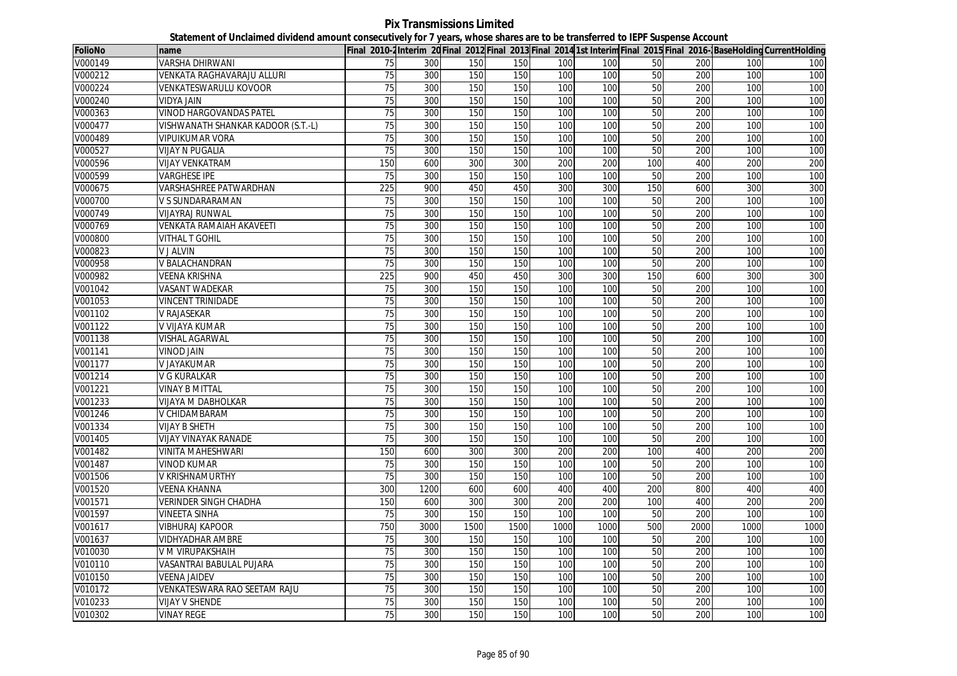**Pix Transmissions Limited Statement of Unclaimed dividend amount consecutively for 7 years, whose shares are to be transferred to IEPF Suspense Account**

| <b>FolioNo</b> | name                               |                 |      |      |      |      |      |                 |      |      | Final 2010-2Interim 20Final 2012 Final 2013 Final 2014 1st Interim Final 2015 Final 2016-BaseHolding CurrentHolding |
|----------------|------------------------------------|-----------------|------|------|------|------|------|-----------------|------|------|---------------------------------------------------------------------------------------------------------------------|
| V000149        | VARSHA DHIRWANI                    | 75              | 300  | 150  | 150  | 100  | 100  | 50              | 200  | 100  | 100                                                                                                                 |
| V000212        | VENKATA RAGHAVARAJU ALLURI         | 75              | 300  | 150  | 150  | 100  | 100  | 50              | 200  | 100  | 100                                                                                                                 |
| V000224        | <b>VENKATESWARULU KOVOOR</b>       | 75              | 300  | 150  | 150  | 100  | 100  | 50              | 200  | 100  | 100                                                                                                                 |
| V000240        | VIDYA JAIN                         | 75              | 300  | 150  | 150  | 100  | 100  | 50              | 200  | 100  | 100                                                                                                                 |
| V000363        | <b>VINOD HARGOVANDAS PATEL</b>     | 75              | 300  | 150  | 150  | 100  | 100  | 50              | 200  | 100  | 100                                                                                                                 |
| V000477        | VISHWANATH SHANKAR KADOOR (S.T.-L) | $\overline{75}$ | 300  | 150  | 150  | 100  | 100  | 50              | 200  | 100  | 100                                                                                                                 |
| V000489        | <b>VIPUIKUMAR VORA</b>             | 75              | 300  | 150  | 150  | 100  | 100  | 50              | 200  | 100  | 100                                                                                                                 |
| V000527        | <b>VIJAY N PUGALIA</b>             | 75              | 300  | 150  | 150  | 100  | 100  | 50              | 200  | 100  | 100                                                                                                                 |
| V000596        | <b>VIJAY VENKATRAM</b>             | 150             | 600  | 300  | 300  | 200  | 200  | 100             | 400  | 200  | 200                                                                                                                 |
| V000599        | <b>VARGHESE IPE</b>                | 75              | 300  | 150  | 150  | 100  | 100  | 50              | 200  | 100  | 100                                                                                                                 |
| V000675        | VARSHASHREE PATWARDHAN             | 225             | 900  | 450  | 450  | 300  | 300  | 150             | 600  | 300  | 300                                                                                                                 |
| V000700        | V S SUNDARARAMAN                   | 75              | 300  | 150  | 150  | 100  | 100  | 50              | 200  | 100  | 100                                                                                                                 |
| V000749        | <b>VIJAYRAJ RUNWAL</b>             | 75              | 300  | 150  | 150  | 100  | 100  | 50              | 200  | 100  | 100                                                                                                                 |
| V000769        | VENKATA RAMAIAH AKAVEETI           | $\overline{75}$ | 300  | 150  | 150  | 100  | 100  | 50              | 200  | 100  | 100                                                                                                                 |
| V000800        | VITHAL T GOHIL                     | 75              | 300  | 150  | 150  | 100  | 100  | 50              | 200  | 100  | 100                                                                                                                 |
| V000823        | <b>V J ALVIN</b>                   | 75              | 300  | 150  | 150  | 100  | 100  | 50              | 200  | 100  | 100                                                                                                                 |
| V000958        | V BALACHANDRAN                     | 75              | 300  | 150  | 150  | 100  | 100  | 50              | 200  | 100  | 100                                                                                                                 |
| V000982        | <b>VEENA KRISHNA</b>               | 225             | 900  | 450  | 450  | 300  | 300  | 150             | 600  | 300  | 300                                                                                                                 |
| V001042        | <b>VASANT WADEKAR</b>              | 75              | 300  | 150  | 150  | 100  | 100  | 50              | 200  | 100  | 100                                                                                                                 |
| V001053        | <b>VINCENT TRINIDADE</b>           | 75              | 300  | 150  | 150  | 100  | 100  | 50              | 200  | 100  | 100                                                                                                                 |
| V001102        | V RAJASEKAR                        | 75              | 300  | 150  | 150  | 100  | 100  | 50              | 200  | 100  | 100                                                                                                                 |
| V001122        | V VIJAYA KUMAR                     | 75              | 300  | 150  | 150  | 100  | 100  | 50              | 200  | 100  | 100                                                                                                                 |
| V001138        | <b>VISHAL AGARWAL</b>              | $\overline{75}$ | 300  | 150  | 150  | 100  | 100  | 50              | 200  | 100  | 100                                                                                                                 |
| V001141        | <b>VINOD JAIN</b>                  | 75              | 300  | 150  | 150  | 100  | 100  | 50              | 200  | 100  | 100                                                                                                                 |
| V001177        | V JAYAKUMAR                        | $\overline{75}$ | 300  | 150  | 150  | 100  | 100  | 50              | 200  | 100  | 100                                                                                                                 |
| V001214        | <b>V G KURALKAR</b>                | 75              | 300  | 150  | 150  | 100  | 100  | 50              | 200  | 100  | 100                                                                                                                 |
| V001221        | <b>VINAY B MITTAL</b>              | $\overline{75}$ | 300  | 150  | 150  | 100  | 100  | 50              | 200  | 100  | 100                                                                                                                 |
| V001233        | VIJAYA M DABHOLKAR                 | 75              | 300  | 150  | 150  | 100  | 100  | 50              | 200  | 100  | 100                                                                                                                 |
| V001246        | V CHIDAMBARAM                      | 75              | 300  | 150  | 150  | 100  | 100  | 50              | 200  | 100  | 100                                                                                                                 |
| V001334        | VIJAY B SHETH                      | 75              | 300  | 150  | 150  | 100  | 100  | 50              | 200  | 100  | 100                                                                                                                 |
| V001405        | <b>VIJAY VINAYAK RANADE</b>        | 75              | 300  | 150  | 150  | 100  | 100  | 50              | 200  | 100  | 100                                                                                                                 |
| V001482        | <b>VINITA MAHESHWARI</b>           | 150             | 600  | 300  | 300  | 200  | 200  | 100             | 400  | 200  | 200                                                                                                                 |
| V001487        | <b>VINOD KUMAR</b>                 | $\overline{75}$ | 300  | 150  | 150  | 100  | 100  | 50              | 200  | 100  | 100                                                                                                                 |
| V001506        | V KRISHNAMURTHY                    | 75              | 300  | 150  | 150  | 100  | 100  | 50              | 200  | 100  | 100                                                                                                                 |
| V001520        | <b>VEENA KHANNA</b>                | 300             | 1200 | 600  | 600  | 400  | 400  | 200             | 800  | 400  | 400                                                                                                                 |
| V001571        | <b>VERINDER SINGH CHADHA</b>       | 150             | 600  | 300  | 300  | 200  | 200  | 100             | 400  | 200  | 200                                                                                                                 |
| V001597        | <b>VINEETA SINHA</b>               | 75              | 300  | 150  | 150  | 100  | 100  | 50              | 200  | 100  | 100                                                                                                                 |
| V001617        | <b>VIBHURAJ KAPOOR</b>             | 750             | 3000 | 1500 | 1500 | 1000 | 1000 | 500             | 2000 | 1000 | 1000                                                                                                                |
| V001637        | <b>VIDHYADHAR AMBRE</b>            | 75              | 300  | 150  | 150  | 100  | 100  | 50              | 200  | 100  | 100                                                                                                                 |
| V010030        | V M VIRUPAKSHAIH                   | 75              | 300  | 150  | 150  | 100  | 100  | 50              | 200  | 100  | 100                                                                                                                 |
| V010110        | VASANTRAI BABULAL PUJARA           | 75              | 300  | 150  | 150  | 100  | 100  | $\overline{50}$ | 200  | 100  | 100                                                                                                                 |
| V010150        | <b>VEENA JAIDEV</b>                | 75              | 300  | 150  | 150  | 100  | 100  | 50              | 200  | 100  | 100                                                                                                                 |
| V010172        | VENKATESWARA RAO SEETAM RAJU       | 75              | 300  | 150  | 150  | 100  | 100  | 50              | 200  | 100  | 100                                                                                                                 |
| V010233        | <b>VIJAY V SHENDE</b>              | 75              | 300  | 150  | 150  | 100  | 100  | 50              | 200  | 100  | 100                                                                                                                 |
| V010302        | <b>VINAY REGE</b>                  | 75              | 300  | 150  | 150  | 100  | 100  | 50              | 200  | 100  | 100                                                                                                                 |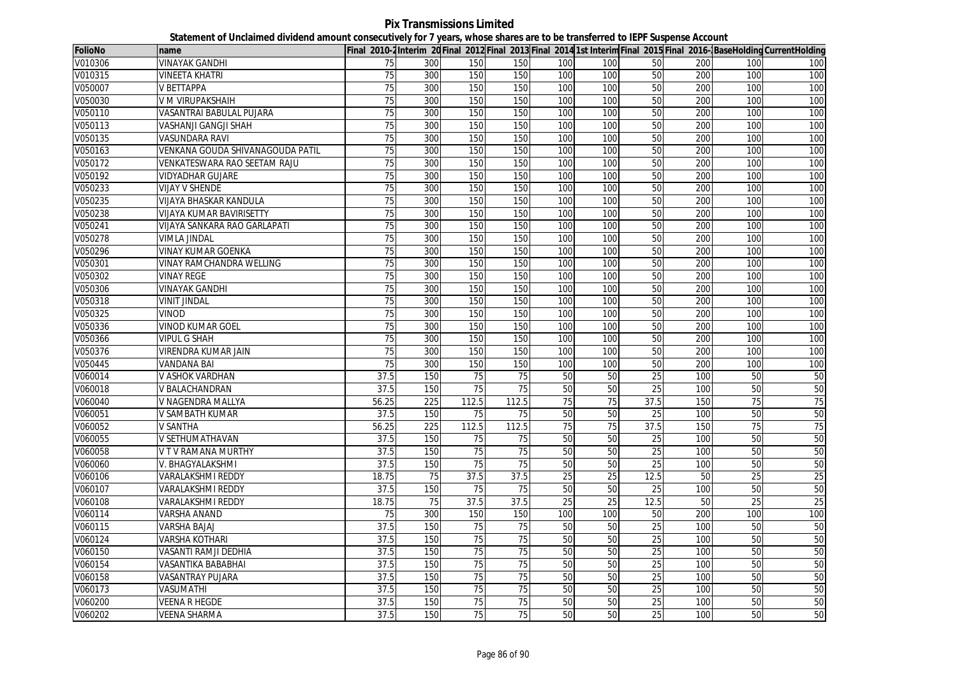**Pix Transmissions Limited Statement of Unclaimed dividend amount consecutively for 7 years, whose shares are to be transferred to IEPF Suspense Account**

| <b>FolioNo</b>       | name                             |                 |     |                 |       |                 |     |                 |     |     | Final 2010-2Interim 20 Final 2012 Final 2013 Final 2014 1st Interim Final 2015 Final 2016-BaseHolding CurrentHolding |
|----------------------|----------------------------------|-----------------|-----|-----------------|-------|-----------------|-----|-----------------|-----|-----|----------------------------------------------------------------------------------------------------------------------|
| V010306              | VINAYAK GANDHI                   | 75              | 300 | 150             | 150   | 100             | 100 | 50              | 200 | 100 | 100                                                                                                                  |
| V010315              | <b>VINEETA KHATRI</b>            | 75              | 300 | 150             | 150   | 100             | 100 | 50              | 200 | 100 | 100                                                                                                                  |
| V050007              | V BETTAPPA                       | 75              | 300 | 150             | 150   | 100             | 100 | 50              | 200 | 100 | 100                                                                                                                  |
| V050030              | V M VIRUPAKSHAIH                 | $\overline{75}$ | 300 | 150             | 150   | 100             | 100 | 50              | 200 | 100 | 100                                                                                                                  |
| V050110              | VASANTRAI BABULAL PUJARA         | 75              | 300 | 150             | 150   | 100             | 100 | 50              | 200 | 100 | 100                                                                                                                  |
| V050113              | <b>VASHANJI GANGJI SHAH</b>      | $\overline{75}$ | 300 | 150             | 150   | 100             | 100 | 50              | 200 | 100 | 100                                                                                                                  |
| V050135              | VASUNDARA RAVI                   | 75              | 300 | 150             | 150   | 100             | 100 | 50              | 200 | 100 | 100                                                                                                                  |
| V050163              | VENKANA GOUDA SHIVANAGOUDA PATIL | $\overline{75}$ | 300 | 150             | 150   | 100             | 100 | 50              | 200 | 100 | 100                                                                                                                  |
| V050172              | VENKATESWARA RAO SEETAM RAJU     | 75              | 300 | 150             | 150   | 100             | 100 | 50              | 200 | 100 | 100                                                                                                                  |
| V050192              | VIDYADHAR GUJARE                 | 75              | 300 | 150             | 150   | 100             | 100 | 50              | 200 | 100 | 100                                                                                                                  |
| V050233              | <b>VIJAY V SHENDE</b>            | 75              | 300 | 150             | 150   | 100             | 100 | 50              | 200 | 100 | 100                                                                                                                  |
| V050235              | VIJAYA BHASKAR KANDULA           | $\overline{75}$ | 300 | 150             | 150   | 100             | 100 | 50              | 200 | 100 | 100                                                                                                                  |
| V050238              | <b>VIJAYA KUMAR BAVIRISETTY</b>  | 75              | 300 | 150             | 150   | 100             | 100 | 50              | 200 | 100 | 100                                                                                                                  |
| V050241              | VIJAYA SANKARA RAO GARLAPATI     | 75              | 300 | 150             | 150   | 100             | 100 | 50              | 200 | 100 | 100                                                                                                                  |
| V050278              | <b>VIMLA JINDAL</b>              | 75              | 300 | 150             | 150   | 100             | 100 | 50              | 200 | 100 | 100                                                                                                                  |
| V050296              | <b>VINAY KUMAR GOENKA</b>        | $\overline{75}$ | 300 | 150             | 150   | 100             | 100 | 50              | 200 | 100 | 100                                                                                                                  |
| V050301              | <b>VINAY RAMCHANDRA WELLING</b>  | $\overline{75}$ | 300 | 150             | 150   | 100             | 100 | 50              | 200 | 100 | 100                                                                                                                  |
| V050302              | VINAY REGE                       | 75              | 300 | 150             | 150   | 100             | 100 | 50              | 200 | 100 | 100                                                                                                                  |
| V050306              | <b>VINAYAK GANDHI</b>            | 75              | 300 | 150             | 150   | 100             | 100 | 50              | 200 | 100 | 100                                                                                                                  |
| V050318              | <b>VINIT JINDAL</b>              | 75              | 300 | 150             | 150   | 100             | 100 | 50              | 200 | 100 | 100                                                                                                                  |
| V050325              | VINOD                            | 75              | 300 | 150             | 150   | 100             | 100 | 50              | 200 | 100 | 100                                                                                                                  |
| V050336              | <b>VINOD KUMAR GOEL</b>          | 75              | 300 | 150             | 150   | 100             | 100 | 50              | 200 | 100 | 100                                                                                                                  |
| V050366              | <b>VIPUL G SHAH</b>              | 75              | 300 | 150             | 150   | 100             | 100 | 50              | 200 | 100 | 100                                                                                                                  |
| V050376              | VIRENDRA KUMAR JAIN              | 75              | 300 | 150             | 150   | 100             | 100 | 50              | 200 | 100 | 100                                                                                                                  |
| V050445              | VANDANA BAI                      | 75              | 300 | 150             | 150   | 100             | 100 | 50              | 200 | 100 | 100                                                                                                                  |
| V060014              | V ASHOK VARDHAN                  | 37.5            | 150 | 75              | 75    | 50              | 50  | 25              | 100 | 50  | 50                                                                                                                   |
| V060018              | V BALACHANDRAN                   | 37.5            | 150 | 75              | 75    | 50              | 50  | 25              | 100 | 50  | 50                                                                                                                   |
| V060040              | V NAGENDRA MALLYA                | 56.25           | 225 | 112.5           | 112.5 | 75              | 75  | 37.5            | 150 | 75  | 75                                                                                                                   |
| V060051              | V SAMBATH KUMAR                  | 37.5            | 150 | 75              | 75    | 50              | 50  | 25              | 100 | 50  | 50                                                                                                                   |
| V060052              | V SANTHA                         | 56.25           | 225 | 112.5           | 112.5 | 75              | 75  | 37.5            | 150 | 75  | 75                                                                                                                   |
| V060055              | V SETHUMATHAVAN                  | 37.5            | 150 | 75              | 75    | 50              | 50  | 25              | 100 | 50  | 50                                                                                                                   |
| V060058              | V T V RAMANA MURTHY              | 37.5            | 150 | 75              | 75    | 50              | 50  | 25              | 100 | 50  | 50                                                                                                                   |
| V060060              | V. BHAGYALAKSHMI                 | 37.5            | 150 | 75              | 75    | 50              | 50  | 25              | 100 | 50  | 50                                                                                                                   |
| V060106              | <b>VARALAKSHMI REDDY</b>         | 18.75           | 75  | 37.5            | 37.5  | 25              | 25  | 12.5            | 50  | 25  | 25                                                                                                                   |
| V060107              | VARALAKSHMI REDDY                | 37.5            | 150 | 75              | 75    | 50              | 50  | 25              | 100 | 50  | 50                                                                                                                   |
| V060108              | VARALAKSHMI REDDY                | 18.75           | 75  | 37.5            | 37.5  | $\overline{25}$ | 25  | 12.5            | 50  | 25  | 25                                                                                                                   |
| $V0601\overline{14}$ | VARSHA ANAND                     | 75              | 300 | 150             | 150   | 100             | 100 | 50              | 200 | 100 | 100                                                                                                                  |
| V060115              | <b>VARSHA BAJAJ</b>              | 37.5            | 150 | $\overline{75}$ | 75    | 50              | 50  | $\overline{25}$ | 100 | 50  | 50                                                                                                                   |
| V060124              | VARSHA KOTHARI                   | 37.5            | 150 | $\overline{75}$ | 75    | 50              | 50  | 25              | 100 | 50  | 50                                                                                                                   |
| V060150              | <b>VASANTI RAMJI DEDHIA</b>      | 37.5            | 150 | 75              | 75    | 50              | 50  | 25              | 100 | 50  | 50                                                                                                                   |
| V060154              | VASANTIKA BABABHAI               | 37.5            | 150 | 75              | 75    | 50              | 50  | 25              | 100 | 50  | 50                                                                                                                   |
| V060158              | VASANTRAY PUJARA                 | 37.5            | 150 | 75              | 75    | 50              | 50  | 25              | 100 | 50  | 50                                                                                                                   |
| V060173              | VASUMATHI                        | 37.5            | 150 | 75              | 75    | 50              | 50  | 25              | 100 | 50  | 50                                                                                                                   |
| V060200              | <b>VEENA R HEGDE</b>             | 37.5            | 150 | 75              | 75    | 50              | 50  | 25              | 100 | 50  | 50                                                                                                                   |
| V060202              | <b>VEENA SHARMA</b>              | 37.5            | 150 | 75              | 75    | 50              | 50  | 25              | 100 | 50  | 50                                                                                                                   |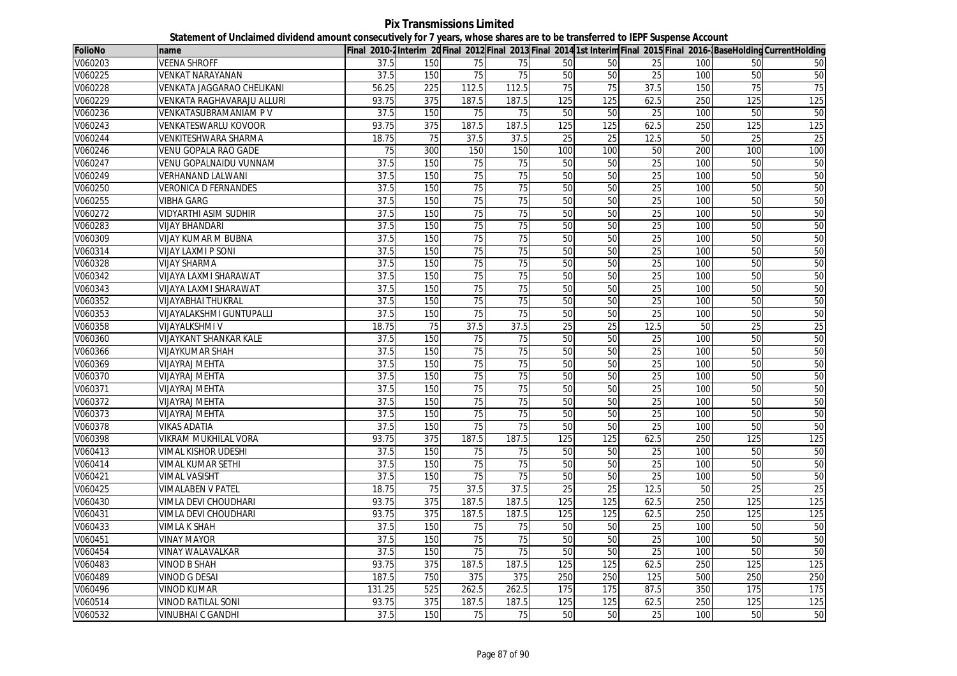## **Pix Transmissions Limited Statement of Unclaimed dividend amount consecutively for 7 years, whose shares are to be transferred to IEPF Suspense Account**

| <b>FolioNo</b> | name                            |        |     |                 |                 |                 |                 |                 |     |                 | Final 2010-2Interim 20 Final 2012 Final 2013 Final 2014 1st Interim Final 2015 Final 2016-BaseHolding CurrentHolding |
|----------------|---------------------------------|--------|-----|-----------------|-----------------|-----------------|-----------------|-----------------|-----|-----------------|----------------------------------------------------------------------------------------------------------------------|
| V060203        | <b>VEENA SHROFF</b>             | 37.5   | 150 | 75              | 75              | 50              | 50              | 25              | 100 | 50              | 50                                                                                                                   |
| V060225        | <b>VENKAT NARAYANAN</b>         | 37.5   | 150 | 75              | 75              | 50              | 50              | 25              | 100 | 50              | 50                                                                                                                   |
| V060228        | VENKATA JAGGARAO CHELIKANI      | 56.25  | 225 | 112.5           | 112.5           | 75              | 75              | 37.5            | 150 | 75              | 75                                                                                                                   |
| V060229        | VENKATA RAGHAVARAJU ALLURI      | 93.75  | 375 | 187.5           | 187.5           | 125             | 125             | 62.5            | 250 | 125             | 125                                                                                                                  |
| V060236        | VENKATASUBRAMANIAM PV           | 37.5   | 150 | 75              | 75              | 50              | 50              | 25              | 100 | 50              | 50                                                                                                                   |
| V060243        | VENKATESWARLU KOVOOR            | 93.75  | 375 | 187.5           | 187.5           | 125             | 125             | 62.5            | 250 | 125             | 125                                                                                                                  |
| V060244        | VENKITESHWARA SHARMA            | 18.75  | 75  | 37.5            | 37.5            | $\overline{25}$ | 25              | 12.5            | 50  | $\overline{25}$ | 25                                                                                                                   |
| V060246        | VENU GOPALA RAO GADE            | 75     | 300 | 150             | 150             | 100             | 100             | 50              | 200 | 100             | 100                                                                                                                  |
| V060247        | <b>VENU GOPALNAIDU VUNNAM</b>   | 37.5   | 150 | 75              | 75              | 50              | 50              | 25              | 100 | 50              | 50                                                                                                                   |
| V060249        | <b>VERHANAND LALWANI</b>        | 37.5   | 150 | 75              | 75              | 50              | 50              | 25              | 100 | 50              | 50                                                                                                                   |
| V060250        | <b>VERONICA D FERNANDES</b>     | 37.5   | 150 | 75              | 75              | 50              | 50              | 25              | 100 | 50              | 50                                                                                                                   |
| V060255        | <b>VIBHA GARG</b>               | 37.5   | 150 | 75              | 75              | 50              | 50              | 25              | 100 | 50              | 50                                                                                                                   |
| V060272        | <b>VIDYARTHI ASIM SUDHIR</b>    | 37.5   | 150 | 75              | 75              | 50              | 50              | 25              | 100 | 50              | 50                                                                                                                   |
| V060283        | <b>VIJAY BHANDARI</b>           | 37.5   | 150 | 75              | 75              | 50              | 50              | 25              | 100 | 50              | 50                                                                                                                   |
| V060309        | <b>VIJAY KUMAR M BUBNA</b>      | 37.5   | 150 | 75              | $\overline{75}$ | 50              | 50              | $\overline{25}$ | 100 | 50              | 50                                                                                                                   |
| V060314        | <b>VIJAY LAXMI P SONI</b>       | 37.5   | 150 | 75              | 75              | 50              | $\overline{50}$ | 25              | 100 | 50              | 50                                                                                                                   |
| V060328        | <b>VIJAY SHARMA</b>             | 37.5   | 150 | 75              | $\overline{75}$ | 50              | 50              | 25              | 100 | 50              | 50                                                                                                                   |
| V060342        | <b>VIJAYA LAXMI SHARAWAT</b>    | 37.5   | 150 | 75              | 75              | 50              | 50              | 25              | 100 | 50              | 50                                                                                                                   |
| V060343        | VIJAYA LAXMI SHARAWAT           | 37.5   | 150 | 75              | 75              | 50              | 50              | 25              | 100 | 50              | 50                                                                                                                   |
| V060352        | <b>VIJAYABHAI THUKRAL</b>       | 37.5   | 150 | 75              | 75              | 50              | 50              | $\overline{25}$ | 100 | 50              | 50                                                                                                                   |
| V060353        | <b>VIJAYALAKSHMI GUNTUPALLI</b> | 37.5   | 150 | 75              | $\overline{75}$ | 50              | 50              | 25              | 100 | 50              | 50                                                                                                                   |
| V060358        | <b>VIJAYALKSHMI V</b>           | 18.75  | 75  | 37.5            | 37.5            | 25              | 25              | 12.5            | 50  | $\overline{25}$ | $\overline{25}$                                                                                                      |
| V060360        | VIJAYKANT SHANKAR KALE          | 37.5   | 150 | 75              | 75              | 50              | 50              | 25              | 100 | 50              | 50                                                                                                                   |
| V060366        | <b>VIJAYKUMAR SHAH</b>          | 37.5   | 150 | 75              | 75              | 50              | 50              | 25              | 100 | 50              | 50                                                                                                                   |
| V060369        | <b>VIJAYRAJ MEHTA</b>           | 37.5   | 150 | $\overline{75}$ | 75              | 50              | 50              | 25              | 100 | 50              | 50                                                                                                                   |
| V060370        | <b>VIJAYRAJ MEHTA</b>           | 37.5   | 150 | 75              | 75              | 50              | 50              | 25              | 100 | 50              | 50                                                                                                                   |
| V060371        | <b>VIJAYRAJ MEHTA</b>           | 37.5   | 150 | 75              | $\overline{75}$ | 50              | 50              | 25              | 100 | 50              | 50                                                                                                                   |
| V060372        | <b>VIJAYRAJ MEHTA</b>           | 37.5   | 150 | 75              | 75              | 50              | 50              | 25              | 100 | 50              | 50                                                                                                                   |
| V060373        | <b>VIJAYRAJ MEHTA</b>           | 37.5   | 150 | 75              | 75              | 50              | 50              | 25              | 100 | $\overline{50}$ | 50                                                                                                                   |
| V060378        | <b>VIKAS ADATIA</b>             | 37.5   | 150 | $\overline{75}$ | 75              | 50              | 50              | 25              | 100 | 50              | 50                                                                                                                   |
| V060398        | VIKRAM MUKHILAL VORA            | 93.75  | 375 | 187.5           | 187.5           | 125             | 125             | 62.5            | 250 | 125             | 125                                                                                                                  |
| V060413        | VIMAL KISHOR UDESHI             | 37.5   | 150 | 75              | 75              | 50              | 50              | 25              | 100 | 50              | 50                                                                                                                   |
| V060414        | VIMAL KUMAR SETHI               | 37.5   | 150 | 75              | 75              | 50              | 50              | 25              | 100 | 50              | 50                                                                                                                   |
| V060421        | <b>VIMAL VASISHT</b>            | 37.5   | 150 | 75              | $\overline{75}$ | 50              | 50              | 25              | 100 | 50              | 50                                                                                                                   |
| V060425        | <b>VIMALABEN V PATEL</b>        | 18.75  | 75  | 37.5            | 37.5            | 25              | 25              | 12.5            | 50  | 25              | $\overline{25}$                                                                                                      |
| V060430        | VIMLA DEVI CHOUDHARI            | 93.75  | 375 | 187.5           | 187.5           | 125             | 125             | 62.5            | 250 | 125             | 125                                                                                                                  |
| V060431        | <b>VIMLA DEVI CHOUDHARI</b>     | 93.75  | 375 | 187.5           | 187.5           | 125             | 125             | 62.5            | 250 | 125             | 125                                                                                                                  |
| V060433        | VIMLA K SHAH                    | 37.5   | 150 | 75              | 75              | 50              | 50              | 25              | 100 | 50              | 50                                                                                                                   |
| V060451        | <b>VINAY MAYOR</b>              | 37.5   | 150 | 75              | 75              | 50              | 50              | 25              | 100 | 50              | 50                                                                                                                   |
| V060454        | <b>VINAY WALAVALKAR</b>         | 37.5   | 150 | 75              | 75              | 50              | 50              | 25              | 100 | 50              | 50                                                                                                                   |
| V060483        | <b>VINOD B SHAH</b>             | 93.75  | 375 | 187.5           | 187.5           | 125             | 125             | 62.5            | 250 | 125             | 125                                                                                                                  |
| V060489        | <b>VINOD G DESAI</b>            | 187.5  | 750 | 375             | 375             | 250             | 250             | 125             | 500 | 250             | 250                                                                                                                  |
| V060496        | <b>VINOD KUMAR</b>              | 131.25 | 525 | 262.5           | 262.5           | 175             | 175             | 87.5            | 350 | 175             | 175                                                                                                                  |
| V060514        | <b>VINOD RATILAL SONI</b>       | 93.75  | 375 | 187.5           | 187.5           | 125             | 125             | 62.5            | 250 | 125             | 125                                                                                                                  |
| V060532        | <b>VINUBHAIC GANDHI</b>         | 37.5   | 150 | 75              | 75              | 50              | 50              | 25              | 100 | 50              | 50                                                                                                                   |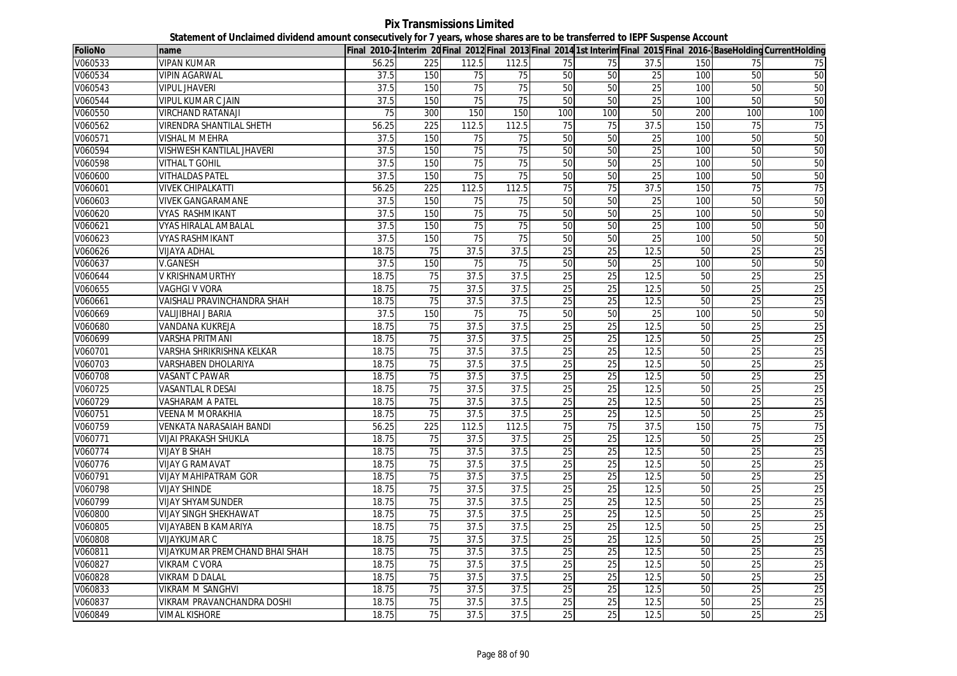**Pix Transmissions Limited Statement of Unclaimed dividend amount consecutively for 7 years, whose shares are to be transferred to IEPF Suspense Account**

| <b>FolioNo</b> | name                            |       |                  |       |                   |                 |                 |                 |     |                 | Final 2010-2Interim 20 Final 2012 Final 2013 Final 2014 1st Interim Final 2015 Final 2016-BaseHolding CurrentHolding |
|----------------|---------------------------------|-------|------------------|-------|-------------------|-----------------|-----------------|-----------------|-----|-----------------|----------------------------------------------------------------------------------------------------------------------|
| V060533        | <b>VIPAN KUMAR</b>              | 56.25 | 225              | 112.5 | 112.5             | 75              | 75              | 37.5            | 150 | 75              | 75                                                                                                                   |
| V060534        | <b>VIPIN AGARWAL</b>            | 37.5  | 150              | 75    | $\overline{75}$   | 50              | 50              | 25              | 100 | 50              | 50                                                                                                                   |
| V060543        | <b>VIPUL JHAVERI</b>            | 37.5  | 150              | 75    | 75                | 50              | 50              | 25              | 100 | 50              | 50                                                                                                                   |
| V060544        | <b>VIPUL KUMAR C JAIN</b>       | 37.5  | 150              | 75    | 75                | 50              | 50              | 25              | 100 | 50              | 50                                                                                                                   |
| V060550        | <b>VIRCHAND RATANAJI</b>        | 75    | 300              | 150   | 150               | 100             | 100             | 50              | 200 | 100             | 100                                                                                                                  |
| V060562        | <b>VIRENDRA SHANTILAL SHETH</b> | 56.25 | 225              | 112.5 | 112.5             | 75              | 75              | 37.5            | 150 | 75              | 75                                                                                                                   |
| V060571        | <b>VISHAL M MEHRA</b>           | 37.5  | 150              | 75    | 75                | 50              | 50              | 25              | 100 | 50              | 50                                                                                                                   |
| V060594        | VISHWESH KANTILAL JHAVERI       | 37.5  | 150              | 75    | 75                | 50              | 50              | 25              | 100 | 50              | 50                                                                                                                   |
| V060598        | <b>VITHAL T GOHIL</b>           | 37.5  | 150              | 75    | 75                | 50              | 50              | $\overline{25}$ | 100 | 50              | 50                                                                                                                   |
| V060600        | <b>VITHALDAS PATEL</b>          | 37.5  | 150              | 75    | 75                | 50              | 50              | 25              | 100 | 50              | 50                                                                                                                   |
| V060601        | <b>VIVEK CHIPALKATTI</b>        | 56.25 | 225              | 112.5 | 112.5             | 75              | 75              | 37.5            | 150 | 75              | 75                                                                                                                   |
| V060603        | <b>VIVEK GANGARAMANE</b>        | 37.5  | 150              | 75    | 75                | 50              | 50              | 25              | 100 | 50              | 50                                                                                                                   |
| V060620        | VYAS RASHMIKANT                 | 37.5  | 150              | 75    | 75                | 50              | 50              | 25              | 100 | 50              | 50                                                                                                                   |
| V060621        | <b>VYAS HIRALAL AMBALAL</b>     | 37.5  | 150              | 75    | 75                | 50              | 50              | 25              | 100 | 50              | 50                                                                                                                   |
| V060623        | VYAS RASHMIKANT                 | 37.5  | 150              | 75    | 75                | 50              | 50              | 25              | 100 | 50              | 50                                                                                                                   |
| V060626        | <b>VIJAYA ADHAL</b>             | 18.75 | $\overline{75}$  | 37.5  | 37.5              | $\overline{25}$ | $\overline{25}$ | 12.5            | 50  | 25              | 25                                                                                                                   |
| V060637        | <b>V.GANESH</b>                 | 37.5  | 150              | 75    | 75                | 50              | 50              | 25              | 100 | 50              | 50                                                                                                                   |
| V060644        | V KRISHNAMURTHY                 | 18.75 | 75               | 37.5  | 37.5              | 25              | 25              | 12.5            | 50  | 25              | 25                                                                                                                   |
| V060655        | <b>VAGHGI V VORA</b>            | 18.75 | 75               | 37.5  | 37.5              | 25              | 25              | 12.5            | 50  | 25              | 25                                                                                                                   |
| V060661        | VAISHALI PRAVINCHANDRA SHAH     | 18.75 | 75               | 37.5  | 37.5              | $\overline{25}$ | 25              | 12.5            | 50  | $\overline{25}$ | $\overline{25}$                                                                                                      |
| V060669        | VALIJIBHAI J BARIA              | 37.5  | 150              | 75    | 75                | 50              | 50              | 25              | 100 | 50              | 50                                                                                                                   |
| V060680        | VANDANA KUKREJA                 | 18.75 | 75               | 37.5  | 37.5              | 25              | $\overline{25}$ | 12.5            | 50  | $\overline{25}$ | 25                                                                                                                   |
| V060699        | VARSHA PRITMANI                 | 18.75 | 75               | 37.5  | 37.5              | 25              | 25              | 12.5            | 50  | 25              | 25                                                                                                                   |
| V060701        | VARSHA SHRIKRISHNA KELKAR       | 18.75 | 75               | 37.5  | 37.5              | 25              | 25              | 12.5            | 50  | 25              | 25                                                                                                                   |
| V060703        | <b>VARSHABEN DHOLARIYA</b>      | 18.75 | 75               | 37.5  | 37.5              | 25              | 25              | 12.5            | 50  | 25              | 25                                                                                                                   |
| V060708        | VASANT C PAWAR                  | 18.75 | 75               | 37.5  | 37.5              | 25              | 25              | 12.5            | 50  | 25              | 25                                                                                                                   |
| V060725        | <b>VASANTLAL R DESAI</b>        | 18.75 | 75               | 37.5  | 37.5              | 25              | 25              | 12.5            | 50  | 25              | 25                                                                                                                   |
| V060729        | <b>VASHARAM A PATEL</b>         | 18.75 | 75               | 37.5  | 37.5              | 25              | 25              | 12.5            | 50  | 25              | 25                                                                                                                   |
| V060751        | VEENA M MORAKHIA                | 18.75 | 75               | 37.5  | 37.5              | 25              | 25              | 12.5            | 50  | $\overline{25}$ | 25                                                                                                                   |
| V060759        | VENKATA NARASAIAH BANDI         | 56.25 | $\overline{225}$ | 112.5 | 112.5             | 75              | $\overline{75}$ | 37.5            | 150 | $\overline{75}$ | 75                                                                                                                   |
| V060771        | VIJAI PRAKASH SHUKLA            | 18.75 | 75               | 37.5  | 37.5              | 25              | 25              | 12.5            | 50  | 25              | 25                                                                                                                   |
| V060774        | <b>VIJAY B SHAH</b>             | 18.75 | 75               | 37.5  | 37.5              | 25              | 25              | 12.5            | 50  | 25              | 25                                                                                                                   |
| V060776        | VIJAY G RAMAVAT                 | 18.75 | 75               | 37.5  | 37.5              | 25              | 25              | 12.5            | 50  | 25              | 25                                                                                                                   |
| V060791        | <b>VIJAY MAHIPATRAM GOR</b>     | 18.75 | 75               | 37.5  | 37.5              | 25              | 25              | 12.5            | 50  | 25              | 25                                                                                                                   |
| V060798        | <b>VIJAY SHINDE</b>             | 18.75 | 75               | 37.5  | 37.5              | 25              | 25              | 12.5            | 50  | 25              | 25                                                                                                                   |
| V060799        | <b>VIJAY SHYAMSUNDER</b>        | 18.75 | 75               | 37.5  | 37.5              | 25              | 25              | 12.5            | 50  | $\overline{25}$ | 25                                                                                                                   |
| V060800        | <b>VIJAY SINGH SHEKHAWAT</b>    | 18.75 | 75               | 37.5  | 37.5              | 25              | 25              | 12.5            | 50  | $\overline{25}$ | 25                                                                                                                   |
| V060805        | <b>VIJAYABEN B KAMARIYA</b>     | 18.75 | 75               | 37.5  | $\overline{37.5}$ | $\overline{25}$ | $\overline{25}$ | 12.5            | 50  | $\overline{25}$ | 25                                                                                                                   |
| V060808        | VIJAYKUMAR C                    | 18.75 | 75               | 37.5  | 37.5              | 25              | 25              | 12.5            | 50  | 25              | 25                                                                                                                   |
| V060811        | VIJAYKUMAR PREMCHAND BHAI SHAH  | 18.75 | 75               | 37.5  | 37.5              | 25              | 25              | 12.5            | 50  | 25              | 25                                                                                                                   |
| V060827        | VIKRAM C VORA                   | 18.75 | 75               | 37.5  | 37.5              | 25              | 25              | 12.5            | 50  | 25              | 25                                                                                                                   |
| V060828        | VIKRAM D DALAL                  | 18.75 | 75               | 37.5  | 37.5              | 25              | 25              | 12.5            | 50  | 25              | 25                                                                                                                   |
| V060833        | <b>VIKRAM M SANGHVI</b>         | 18.75 | 75               | 37.5  | 37.5              | 25              | 25              | 12.5            | 50  | 25              | 25                                                                                                                   |
| V060837        | VIKRAM PRAVANCHANDRA DOSHI      | 18.75 | 75               | 37.5  | 37.5              | 25              | 25              | 12.5            | 50  | $\overline{25}$ | 25                                                                                                                   |
| V060849        | <b>VIMAL KISHORE</b>            | 18.75 | 75               | 37.5  | 37.5              | 25              | 25              | 12.5            | 50  | 25              | 25                                                                                                                   |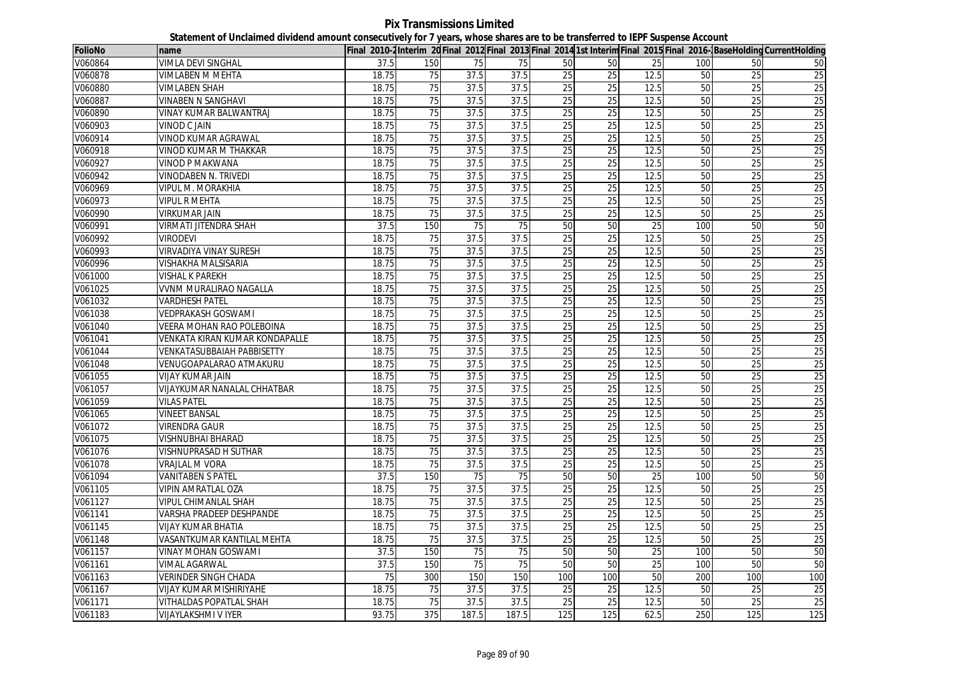**Pix Transmissions Limited Statement of Unclaimed dividend amount consecutively for 7 years, whose shares are to be transferred to IEPF Suspense Account**

| <b>FolioNo</b> | name                               |       |                 |       |       |                 |                 |      |     |                 | Final 2010-2Interim 20Final 2012 Final 2013 Final 2014 1st Interim Final 2015 Final 2016-BaseHolding CurrentHolding |
|----------------|------------------------------------|-------|-----------------|-------|-------|-----------------|-----------------|------|-----|-----------------|---------------------------------------------------------------------------------------------------------------------|
| V060864        | VIMLA DEVI SINGHAL                 | 37.5  | 150             | 75    | 75    | 50              | 50              | 25   | 100 | 50              | 50                                                                                                                  |
| V060878        | VIMLABEN M MEHTA                   | 18.75 | 75              | 37.5  | 37.5  | 25              | $\overline{25}$ | 12.5 | 50  | $\overline{25}$ | $\overline{25}$                                                                                                     |
| V060880        | <b>VIMLABEN SHAH</b>               | 18.75 | 75              | 37.5  | 37.5  | 25              | 25              | 12.5 | 50  | 25              | 25                                                                                                                  |
| V060887        | VINABEN N SANGHAVI                 | 18.75 | $\overline{75}$ | 37.5  | 37.5  | $\overline{25}$ | 25              | 12.5 | 50  | 25              | $\overline{25}$                                                                                                     |
| V060890        | VINAY KUMAR BALWANTRAJ             | 18.75 | 75              | 37.5  | 37.5  | 25              | 25              | 12.5 | 50  | 25              | 25                                                                                                                  |
| V060903        | <b>VINOD C JAIN</b>                | 18.75 | 75              | 37.5  | 37.5  | 25              | 25              | 12.5 | 50  | 25              | 25                                                                                                                  |
| V060914        | VINOD KUMAR AGRAWAL                | 18.75 | 75              | 37.5  | 37.5  | 25              | 25              | 12.5 | 50  | 25              | 25                                                                                                                  |
| V060918        | VINOD KUMAR M THAKKAR              | 18.75 | 75              | 37.5  | 37.5  | 25              | 25              | 12.5 | 50  | 25              | 25                                                                                                                  |
| V060927        | VINOD P MAKWANA                    | 18.75 | 75              | 37.5  | 37.5  | 25              | 25              | 12.5 | 50  | 25              | 25                                                                                                                  |
| V060942        | <b>VINODABEN N. TRIVEDI</b>        | 18.75 | $\overline{75}$ | 37.5  | 37.5  | 25              | 25              | 12.5 | 50  | 25              | 25                                                                                                                  |
| V060969        | VIPUL M. MORAKHIA                  | 18.75 | 75              | 37.5  | 37.5  | 25              | 25              | 12.5 | 50  | 25              | 25                                                                                                                  |
| V060973        | VIPUL R MEHTA                      | 18.75 | 75              | 37.5  | 37.5  | $\overline{25}$ | 25              | 12.5 | 50  | 25              | 25                                                                                                                  |
| V060990        | <b>VIRKUMAR JAIN</b>               | 18.75 | 75              | 37.5  | 37.5  | 25              | 25              | 12.5 | 50  | 25              | 25                                                                                                                  |
| V060991        | <b>VIRMATI JITENDRA SHAH</b>       | 37.5  | 150             | 75    | 75    | 50              | 50              | 25   | 100 | 50              | 50                                                                                                                  |
| V060992        | <b>VIRODEVI</b>                    | 18.75 | 75              | 37.5  | 37.5  | 25              | 25              | 12.5 | 50  | 25              | 25                                                                                                                  |
| V060993        | <b>VIRVADIYA VINAY SURESH</b>      | 18.75 | 75              | 37.5  | 37.5  | $\overline{25}$ | 25              | 12.5 | 50  | $\overline{25}$ | 25                                                                                                                  |
| V060996        | VISHAKHA MALSISARIA                | 18.75 | 75              | 37.5  | 37.5  | $\overline{25}$ | $\overline{25}$ | 12.5 | 50  | 25              | 25                                                                                                                  |
| V061000        | VISHAL K PAREKH                    | 18.75 | 75              | 37.5  | 37.5  | 25              | 25              | 12.5 | 50  | $\overline{25}$ | 25                                                                                                                  |
| V061025        | VVNM MURALIRAO NAGALLA             | 18.75 | 75              | 37.5  | 37.5  | 25              | 25              | 12.5 | 50  | 25              | 25                                                                                                                  |
| V061032        | VARDHESH PATEL                     | 18.75 | 75              | 37.5  | 37.5  | $\overline{25}$ | 25              | 12.5 | 50  | $\overline{25}$ | $\overline{25}$                                                                                                     |
| V061038        | <b>VEDPRAKASH GOSWAMI</b>          | 18.75 | $\overline{75}$ | 37.5  | 37.5  | 25              | 25              | 12.5 | 50  | 25              | 25                                                                                                                  |
| V061040        | VEERA MOHAN RAO POLEBOINA          | 18.75 | $\overline{75}$ | 37.5  | 37.5  | $\overline{25}$ | $\overline{25}$ | 12.5 | 50  | 25              | $\overline{25}$                                                                                                     |
| V061041        | VENKATA KIRAN KUMAR KONDAPALLE     | 18.75 | 75              | 37.5  | 37.5  | $\overline{25}$ | 25              | 12.5 | 50  | 25              | 25                                                                                                                  |
| V061044        | <b>VENKATASUBBAIAH PABBISETTY</b>  | 18.75 | 75              | 37.5  | 37.5  | 25              | 25              | 12.5 | 50  | 25              | 25                                                                                                                  |
| V061048        | VENUGOAPALARAO ATMAKURU            | 18.75 | 75              | 37.5  | 37.5  | 25              | 25              | 12.5 | 50  | 25              | 25                                                                                                                  |
| V061055        | VIJAY KUMAR JAIN                   | 18.75 | 75              | 37.5  | 37.5  | 25              | 25              | 12.5 | 50  | 25              | 25                                                                                                                  |
| V061057        | <b>VIJAYKUMAR NANALAL CHHATBAR</b> | 18.75 | 75              | 37.5  | 37.5  | 25              | 25              | 12.5 | 50  | 25              | 25                                                                                                                  |
| V061059        | <b>VILAS PATEL</b>                 | 18.75 | 75              | 37.5  | 37.5  | 25              | 25              | 12.5 | 50  | 25              | 25                                                                                                                  |
| V061065        | <b>VINEET BANSAL</b>               | 18.75 | 75              | 37.5  | 37.5  | 25              | 25              | 12.5 | 50  | 25              | 25                                                                                                                  |
| V061072        | <b>VIRENDRA GAUR</b>               | 18.75 | $\overline{75}$ | 37.5  | 37.5  | 25              | 25              | 12.5 | 50  | 25              | 25                                                                                                                  |
| V061075        | VISHNUBHAI BHARAD                  | 18.75 | 75              | 37.5  | 37.5  | $\overline{25}$ | 25              | 12.5 | 50  | $\overline{25}$ | 25                                                                                                                  |
| V061076        | VISHNUPRASAD H SUTHAR              | 18.75 | 75              | 37.5  | 37.5  | 25              | 25              | 12.5 | 50  | 25              | 25                                                                                                                  |
| V061078        | VRAJLAL M VORA                     | 18.75 | 75              | 37.5  | 37.5  | 25              | 25              | 12.5 | 50  | 25              | 25                                                                                                                  |
| V061094        | <b>VANITABEN S PATEL</b>           | 37.5  | 150             | 75    | 75    | 50              | 50              | 25   | 100 | 50              | 50                                                                                                                  |
| V061105        | VIPIN AMRATLAL OZA                 | 18.75 | 75              | 37.5  | 37.5  | 25              | 25              | 12.5 | 50  | 25              | 25                                                                                                                  |
| V061127        | VIPUL CHIMANLAL SHAH               | 18.75 | $\overline{75}$ | 37.5  | 37.5  | $\overline{25}$ | 25              | 12.5 | 50  | $\overline{25}$ | $\overline{25}$                                                                                                     |
| V061141        | VARSHA PRADEEP DESHPANDE           | 18.75 | 75              | 37.5  | 37.5  | 25              | 25              | 12.5 | 50  | 25              | 25                                                                                                                  |
| V061145        | <b>VIJAY KUMAR BHATIA</b>          | 18.75 | 75              | 37.5  | 37.5  | $\overline{25}$ | $\overline{25}$ | 12.5 | 50  | 25              | 25                                                                                                                  |
| V061148        | VASANTKUMAR KANTILAL MEHTA         | 18.75 | 75              | 37.5  | 37.5  | $\overline{25}$ | $\overline{25}$ | 12.5 | 50  | $\overline{25}$ | 25                                                                                                                  |
| V061157        | VINAY MOHAN GOSWAMI                | 37.5  | 150             | 75    | 75    | 50              | 50              | 25   | 100 | 50              | 50                                                                                                                  |
| V061161        | <b>VIMAL AGARWAL</b>               | 37.5  | 150             | 75    | 75    | 50              | 50              | 25   | 100 | 50              | 50                                                                                                                  |
| V061163        | <b>VERINDER SINGH CHADA</b>        | 75    | 300             | 150   | 150   | 100             | 100             | 50   | 200 | 100             | 100                                                                                                                 |
| V061167        | <b>VIJAY KUMAR MISHIRIYAHE</b>     | 18.75 | 75              | 37.5  | 37.5  | 25              | 25              | 12.5 | 50  | 25              | $\overline{25}$                                                                                                     |
| V061171        | <b>VITHALDAS POPATLAL SHAH</b>     | 18.75 | 75              | 37.5  | 37.5  | 25              | 25              | 12.5 | 50  | 25              | 25                                                                                                                  |
| V061183        | <b>VIJAYLAKSHMI V IYER</b>         | 93.75 | 375             | 187.5 | 187.5 | 125             | 125             | 62.5 | 250 | 125             | 125                                                                                                                 |